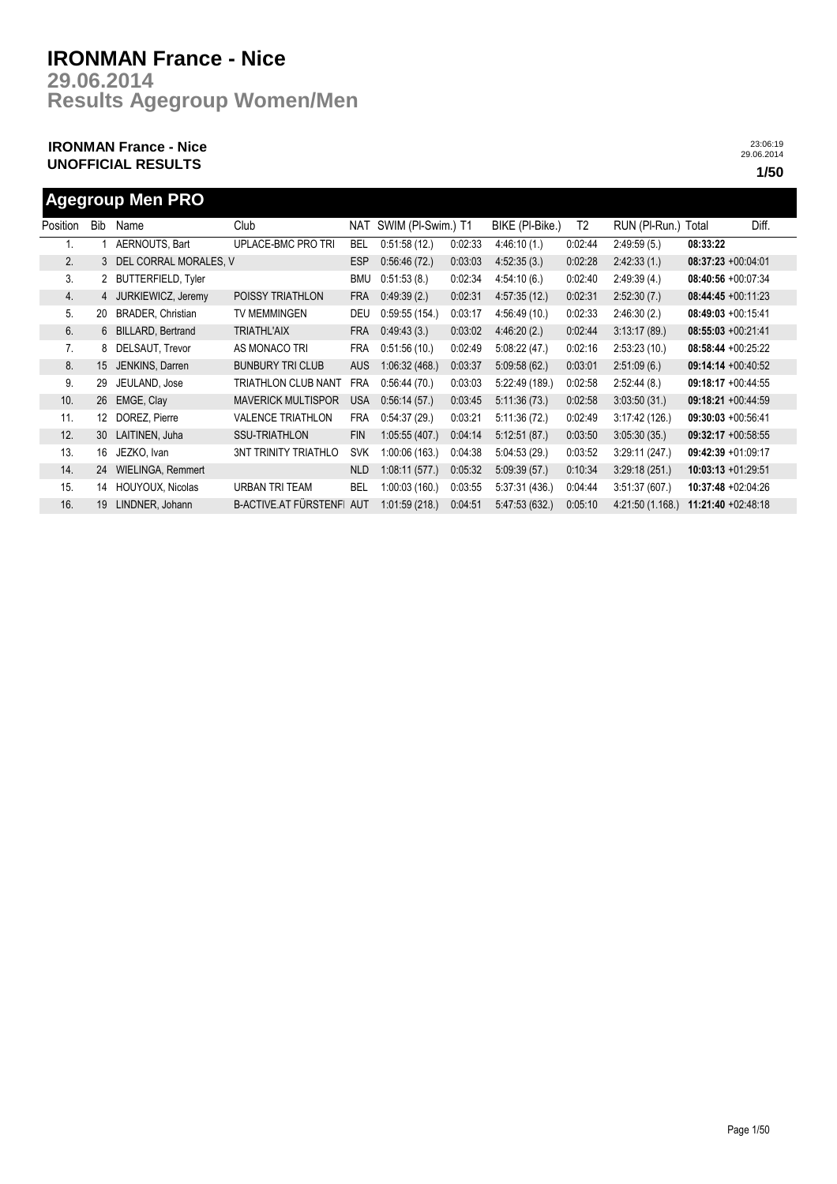**Results Agegroup Women/Men 29.06.2014**

## **IRONMAN France - Nice UNOFFICIAL RESULTS 1/50**

23:06:19 29.06.2014

## **Agegroup Men PRO**

| Position | <b>Bib</b> | Name                      | Club                         | NAT        | SWIM (PI-Swim.) T1 |         | BIKE (PI-Bike.) | T <sub>2</sub> | RUN (PI-Run.) Total |                       | Diff. |
|----------|------------|---------------------------|------------------------------|------------|--------------------|---------|-----------------|----------------|---------------------|-----------------------|-------|
|          |            | AERNOUTS, Bart            | UPLACE-BMC PRO TRI           | <b>BEL</b> | 0:51:58(12)        | 0:02:33 | 4:46:10(1)      | 0:02:44        | 2:49:59(5.)         | 08:33:22              |       |
| 2.       | 3          | CORRAL MORALES, V<br>DEL  |                              | <b>ESP</b> | 0:56:46(72)        | 0:03:03 | 4:52:35(3)      | 0:02:28        | 2.42.33(1)          | $08:37:23 +00.04:01$  |       |
| 3.       |            | <b>BUTTERFIELD, Tyler</b> |                              | <b>BMU</b> | 0:51:53(8.)        | 0:02:34 | 4:54:10(6.)     | 0:02:40        | 2:49:39(4.)         | 08:40:56 +00:07:34    |       |
| 4.       | 4          | JURKIEWICZ, Jeremy        | POISSY TRIATHLON             | <b>FRA</b> | 0.49.39(2.)        | 0:02:31 | 4:57:35(12)     | 0:02:31        | 2:52:30(7.)         | $08:44:45 +00:11:23$  |       |
| 5.       | 20         | BRADER, Christian         | <b>TV MEMMINGEN</b>          | DEU        | 0:59:55(154.)      | 0:03:17 | 4:56:49(10)     | 0:02:33        | 2:46:30(2)          | $08:49:03 +00:15:41$  |       |
| 6.       | 6          | BILLARD, Bertrand         | <b>TRIATHL'AIX</b>           | <b>FRA</b> | 0.49.43(3.)        | 0:03:02 | 4.46:20(2)      | 0:02:44        | 3:13:17(89)         | $08:55:03 +00:21:41$  |       |
| 7.       | 8          | DELSAUT, Trevor           | AS MONACO TRI                | <b>FRA</b> | 0:51:56(10.)       | 0:02:49 | 5.08:22(47.)    | 0:02:16        | 2:53:23(10.)        | $08:58:44 + 00:25:22$ |       |
| 8.       | 15         | JENKINS, Darren           | <b>BUNBURY TRI CLUB</b>      | <b>AUS</b> | 1:06:32(468.)      | 0:03:37 | 5:09:58(62)     | 0:03:01        | 2:51:09(6.)         | $09:14:14 + 00:40:52$ |       |
| 9.       | 29         | JEULAND, Jose             | TRIATHLON CLUB NANT          | <b>FRA</b> | 0:56:44(70.)       | 0:03:03 | 5:22:49(189)    | 0:02:58        | 2:52:44(8.)         | $09:18:17 + 00:44:55$ |       |
| 10.      | 26         | EMGE, Clay                | <b>MAVERICK MULTISPOR</b>    | <b>USA</b> | 0:56:14(57.)       | 0:03:45 | 5:11:36(73)     | 0:02:58        | 3:03:50(31)         | $09:18:21 + 00:44:59$ |       |
| 11.      | 12         | DOREZ. Pierre             | <b>VALENCE TRIATHLON</b>     | <b>FRA</b> | 0:54:37(29)        | 0:03:21 | 5:11:36(72)     | 0:02:49        | 3:17:42(126.)       | $09:30:03 +00:56:41$  |       |
| 12.      | 30         | LAITINEN, Juha            | <b>SSU-TRIATHLON</b>         | <b>FIN</b> | 1:05:55(407.)      | 0:04:14 | 5:12:51(87)     | 0:03:50        | 3.05:30(35)         | 09:32:17 +00:58:55    |       |
| 13.      | 16         | JEZKO, Ivan               | <b>3NT TRINITY TRIATHLO</b>  | <b>SVK</b> | 1:00:06(163.)      | 0:04:38 | 5:04:53(29)     | 0:03:52        | 3:29:11(247)        | $09:42:39 +01:09:17$  |       |
| 14.      | 24         | WIELINGA, Remmert         |                              | <b>NLD</b> | 1:08:11(577.)      | 0:05:32 | 5:09:39(57)     | 0:10:34        | 3:29:18(251)        | 10:03:13 +01:29:51    |       |
| 15.      | 14         | HOUYOUX, Nicolas          | URBAN TRI TEAM               | <b>BEL</b> | 1:00:03(160.)      | 0:03:55 | 5:37:31 (436.)  | 0:04:44        | 3:51:37(607)        | 10:37:48 +02:04:26    |       |
| 16.      | 19         | LINDNER, Johann           | <b>B-ACTIVE AT FÜRSTENFI</b> | <b>AUT</b> | 1:01:59(218.)      | 0:04:51 | 5.47:53(632)    | 0:05:10        | 4:21:50 (1.168.)    | 11:21:40 +02:48:18    |       |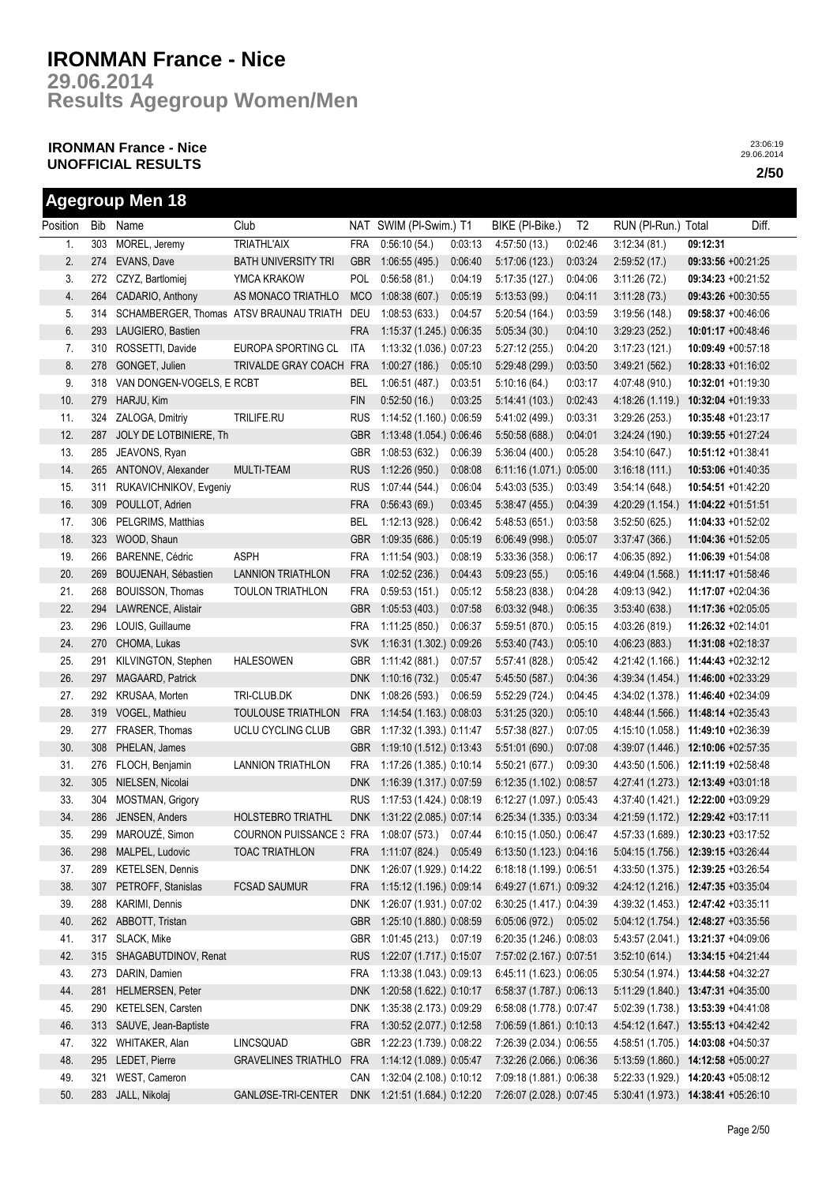**Results Agegroup Women/Men 29.06.2014**

## **IRONMAN France - Nice UNOFFICIAL RESULTS 2/50**

|          |     | <b>Agegroup Men 18</b>    |                                                |            |                              |         |                                                       |                |                                     |                      |       |
|----------|-----|---------------------------|------------------------------------------------|------------|------------------------------|---------|-------------------------------------------------------|----------------|-------------------------------------|----------------------|-------|
| Position | Bib | Name                      | Club                                           |            | NAT SWIM (PI-Swim.) T1       |         | BIKE (PI-Bike.)                                       | T <sub>2</sub> | RUN (PI-Run.)                       | Total                | Diff. |
| 1.       | 303 | MOREL, Jeremy             | <b>TRIATHL'AIX</b>                             | <b>FRA</b> | 0:56:10(54)                  | 0:03:13 | 4:57:50(13)                                           | 0:02:46        | 3:12:34(81)                         | 09:12:31             |       |
| 2.       | 274 | EVANS, Dave               | <b>BATH UNIVERSITY TRI</b>                     | <b>GBR</b> | 1:06:55(495)                 | 0:06:40 | 5:17:06 (123.)                                        | 0:03:24        | 2:59:52(17.)                        | 09:33:56 +00:21:25   |       |
| 3.       |     | 272 CZYZ, Bartlomiej      | YMCA KRAKOW                                    | POL        | 0:56:58(81)                  | 0:04:19 | 5:17:35(127.)                                         | 0:04:06        | 3:11:26(72)                         | 09:34:23 +00:21:52   |       |
| 4.       | 264 | CADARIO, Anthony          | AS MONACO TRIATHLO                             | <b>MCO</b> | 1:08:38(607.)                | 0:05:19 | 5:13:53(99.)                                          | 0:04:11        | 3:11:28(73.)                        | 09:43:26 +00:30:55   |       |
| 5.       | 314 |                           | SCHAMBERGER, Thomas ATSV BRAUNAU TRIATH        | DEU        | 1:08:53(633)                 | 0.04:57 | 5:20:54(164)                                          | 0:03:59        | 3:19:56(148.)                       | 09:58:37 +00:46:06   |       |
| 6.       | 293 | LAUGIERO, Bastien         |                                                | <b>FRA</b> | 1:15:37 (1.245.) 0:06:35     |         | 5:05:34(30.)                                          | 0:04:10        | 3:29:23(252)                        | $10:01:17 +00:48:46$ |       |
| 7.       | 310 | ROSSETTI, Davide          | EUROPA SPORTING CL                             | ITA        | 1:13:32 (1.036.) 0:07:23     |         | 5:27:12 (255.)                                        | 0:04:20        | 3:17:23(121)                        | $10:09:49 +00:57:18$ |       |
| 8.       | 278 | GONGET, Julien            | TRIVALDE GRAY COACH FRA                        |            | 1:00:27(186.)                | 0.05:10 | 5:29:48 (299.)                                        | 0:03:50        | 3:49:21 (562.)                      | 10:28:33 +01:16:02   |       |
| 9.       | 318 | VAN DONGEN-VOGELS, E RCBT |                                                | BEL        | 1:06:51(487.)                | 0:03:51 | 5:10:16(64)                                           | 0:03:17        | 4:07:48 (910.)                      | 10:32:01 +01:19:30   |       |
| 10.      | 279 | HARJU, Kim                |                                                | <b>FIN</b> | 0.52:50(16.)                 | 0:03:25 | 5:14:41(103)                                          | 0:02:43        | 4:18:26(1.119.)                     | $10:32:04 +01:19:33$ |       |
| 11.      | 324 | ZALOGA, Dmitriy           | TRILIFE.RU                                     | <b>RUS</b> | 1:14:52 (1.160.) 0:06:59     |         | 5:41:02 (499.)                                        | 0:03:31        | 3:29:26(253)                        | 10:35:48 +01:23:17   |       |
| 12.      | 287 | JOLY DE LOTBINIERE, Th    |                                                | <b>GBR</b> | 1:13:48 (1.054.) 0:06:46     |         | 5:50:58 (688.)                                        | 0:04:01        | 3:24:24(190.)                       | 10:39:55 +01:27:24   |       |
| 13.      | 285 | JEAVONS, Ryan             |                                                | <b>GBR</b> | 1:08:53(632.)                | 0:06:39 | 5:36:04 (400.)                                        | 0:05:28        | 3:54:10(647)                        | 10:51:12 +01:38:41   |       |
| 14.      | 265 | ANTONOV, Alexander        | <b>MULTI-TEAM</b>                              | <b>RUS</b> | 1:12:26(950.)                | 0:08:08 | 6:11:16 (1.071.) 0:05:00                              |                | 3:16:18(111)                        | 10:53:06 +01:40:35   |       |
| 15.      | 311 | RUKAVICHNIKOV, Evgeniy    |                                                | <b>RUS</b> | 1:07:44 (544.)               | 0:06:04 | 5:43:03(535)                                          | 0:03:49        | 3.54:14(648)                        | 10:54:51 +01:42:20   |       |
| 16.      | 309 | POULLOT, Adrien           |                                                | <b>FRA</b> | 0.56.43(69)                  | 0:03:45 | 5:38:47(455.)                                         | 0:04:39        | 4:20:29 (1.154.)                    | 11:04:22 +01:51:51   |       |
| 17.      | 306 | PELGRIMS, Matthias        |                                                | <b>BEL</b> | 1:12:13(928.)                | 0:06:42 | 5:48:53(651.)                                         | 0:03:58        | 3:52:50(625)                        | 11:04:33 +01:52:02   |       |
| 18.      | 323 | WOOD, Shaun               |                                                | <b>GBR</b> | 1:09:35(686)                 | 0.05:19 | 6:06:49(998.)                                         | 0:05:07        | 3:37:47(366)                        | 11:04:36 +01:52:05   |       |
| 19.      | 266 | BARENNE, Cédric           | ASPH                                           | <b>FRA</b> | 1:11:54(903.)                | 0:08:19 | 5:33:36 (358.)                                        | 0:06:17        | 4:06:35 (892.)                      | 11:06:39 +01:54:08   |       |
| 20.      | 269 | BOUJENAH, Sébastien       | <b>LANNION TRIATHLON</b>                       | <b>FRA</b> | 1:02:52(236.)                | 0:04:43 | 5:09:23(55)                                           | 0:05:16        | 4:49:04 (1.568.)                    | 11:11:17 +01:58:46   |       |
| 21.      | 268 | <b>BOUISSON, Thomas</b>   | <b>TOULON TRIATHLON</b>                        | <b>FRA</b> | 0:59:53(151.)                | 0:05:12 | 5:58:23 (838.)                                        | 0:04:28        | 4:09:13 (942.)                      | 11:17:07 +02:04:36   |       |
| 22.      | 294 | LAWRENCE, Alistair        |                                                | <b>GBR</b> | 1:05:53(403.)                | 0:07:58 | 6:03:32(948.)                                         | 0:06:35        | 3:53:40(638)                        | 11:17:36 +02:05:05   |       |
| 23.      | 296 | LOUIS, Guillaume          |                                                | <b>FRA</b> | 1:11:25(850.)                | 0:06:37 | 5:59:51 (870.)                                        | 0:05:15        | 4:03:26 (819.)                      | 11:26:32 +02:14:01   |       |
| 24.      | 270 | CHOMA, Lukas              |                                                | <b>SVK</b> | 1:16:31 (1.302.) 0:09:26     |         | 5.53:40 (743.)                                        | 0:05:10        | 4:06:23 (883.)                      | 11:31:08 +02:18:37   |       |
| 25.      | 291 | KILVINGTON, Stephen       | <b>HALESOWEN</b>                               | <b>GBR</b> | 1:11:42(881)                 | 0:07:57 | 5:57:41 (828.)                                        | 0:05:42        | 4:21:42 (1.166.)                    | 11:44:43 +02:32:12   |       |
| 26.      | 297 | MAGAARD, Patrick          |                                                | <b>DNK</b> | 1:10:16(732)                 | 0:05:47 | 5:45:50 (587.)                                        | 0:04:36        | 4:39:34(1.454)                      | 11:46:00 +02:33:29   |       |
| 27.      | 292 | KRUSAA, Morten            | TRI-CLUB.DK                                    | <b>DNK</b> | 1:08:26(593.)                | 0.06:59 | 5.52:29 (724.)                                        | 0:04:45        | 4:34:02 (1.378.)                    | 11:46:40 +02:34:09   |       |
| 28.      | 319 | VOGEL, Mathieu            | TOULOUSE TRIATHLON                             | <b>FRA</b> | 1:14:54 (1.163.) 0:08:03     |         | 5:31:25(320.)                                         | 0:05:10        | 4:48:44 (1.566.)                    | 11:48:14 +02:35:43   |       |
| 29.      | 277 | FRASER, Thomas            | UCLU CYCLING CLUB                              | <b>GBR</b> | 1:17:32 (1.393.) 0:11:47     |         | 5:57:38 (827.)                                        | 0:07:05        | 4:15:10 (1.058.)                    | 11:49:10 +02:36:39   |       |
| 30.      | 308 | PHELAN, James             |                                                | <b>GBR</b> | 1:19:10 (1.512.) 0:13:43     |         | 5:51:01 (690.)                                        | 0:07:08        | 4:39:07 (1.446.)                    | 12:10:06 +02:57:35   |       |
| 31.      | 276 | FLOCH, Benjamin           | <b>LANNION TRIATHLON</b>                       | <b>FRA</b> | 1:17:26 (1.385.) 0:10:14     |         | 5:50:21 (677.)                                        | 0:09:30        | 4:43:50 (1.506.)                    | 12:11:19 +02:58:48   |       |
| 32.      | 305 | NIELSEN, Nicolai          |                                                | <b>DNK</b> | 1:16:39 (1.317.) 0:07:59     |         | 6:12:35 (1.102.) 0:08:57                              |                | 4:27:41 (1.273.)                    | 12:13:49 +03:01:18   |       |
| 33.      |     | 304 MOSTMAN, Grigory      |                                                | <b>RUS</b> | 1:17:53 (1.424) 0:08:19      |         | 6:12:27 (1.097.) 0:05:43                              |                | 4:37:40 (1.421.) 12:22:00 +03:09:29 |                      |       |
| 34.      |     | 286 JENSEN, Anders        | HOLSTEBRO TRIATHL                              |            |                              |         | DNK 1:31:22 (2.085.) 0:07:14 6:25:34 (1.335.) 0:03:34 |                | 4:21:59 (1.172.) 12:29:42 +03:17:11 |                      |       |
| 35.      | 299 | MAROUZÉ, Simon            | COURNON PUISSANCE : FRA 1:08:07 (573.) 0:07:44 |            |                              |         | 6:10:15 (1.050.) 0:06:47                              |                | 4:57:33 (1.689.) 12:30:23 +03:17:52 |                      |       |
| 36.      | 298 | MALPEL, Ludovic           | <b>TOAC TRIATHLON</b>                          | FRA        | 1:11:07 (824.)               | 0:05:49 | 6:13:50 (1.123.) 0:04:16                              |                | 5:04:15 (1.756.) 12:39:15 +03:26:44 |                      |       |
| 37.      | 289 | KETELSEN, Dennis          |                                                |            | DNK 1:26:07 (1.929.) 0:14:22 |         | 6:18:18 (1.199.) 0:06:51                              |                | 4:33:50 (1.375.) 12:39:25 +03:26:54 |                      |       |
| 38.      | 307 | PETROFF, Stanislas        | <b>FCSAD SAUMUR</b>                            | FRA        | 1:15:12 (1.196.) 0:09:14     |         | 6:49:27 (1.671.) 0:09:32                              |                | 4:24:12 (1.216.) 12:47:35 +03:35:04 |                      |       |
| 39.      | 288 | KARIMI, Dennis            |                                                | DNK        | 1:26:07 (1.931.) 0:07:02     |         | 6:30:25 (1.417.) 0:04:39                              |                | 4:39:32 (1.453.) 12:47:42 +03:35:11 |                      |       |
| 40.      | 262 | ABBOTT, Tristan           |                                                | <b>GBR</b> | 1:25:10 (1.880.) 0:08:59     |         | 6:05:06(972.)                                         | 0:05:02        | 5:04:12 (1.754.) 12:48:27 +03:35:56 |                      |       |
| 41.      | 317 | SLACK, Mike               |                                                | <b>GBR</b> | 1:01:45 (213.) 0:07:19       |         | 6:20:35 (1.246.) 0:08:03                              |                | 5:43:57 (2.041.) 13:21:37 +04:09:06 |                      |       |
| 42.      | 315 | SHAGABUTDINOV, Renat      |                                                | <b>RUS</b> | 1:22:07 (1.717.) 0:15:07     |         | 7:57:02 (2.167.) 0:07:51                              |                | 3:52:10(614)                        | 13:34:15 +04:21:44   |       |
| 43.      | 273 | DARIN, Damien             |                                                | FRA        | 1:13:38 (1.043.) 0:09:13     |         | 6:45:11 (1.623.) 0:06:05                              |                | 5:30:54 (1.974.) 13:44:58 +04:32:27 |                      |       |
| 44.      | 281 | HELMERSEN, Peter          |                                                | <b>DNK</b> | 1:20:58 (1.622.) 0:10:17     |         | 6:58:37 (1.787.) 0:06:13                              |                | 5:11:29(1.840.)                     | 13:47:31 +04:35:00   |       |
| 45.      | 290 | KETELSEN, Carsten         |                                                | <b>DNK</b> | 1:35:38 (2.173.) 0:09:29     |         | 6:58:08 (1.778.) 0:07:47                              |                | 5:02:39 (1.738.)                    | 13:53:39 +04:41:08   |       |
| 46.      | 313 | SAUVE, Jean-Baptiste      |                                                | <b>FRA</b> | 1:30:52 (2.077.) 0:12:58     |         | 7:06:59 (1.861.) 0:10:13                              |                | 4:54:12 (1.647.)                    | 13:55:13 +04:42:42   |       |
| 47.      | 322 | WHITAKER, Alan            | LINCSQUAD                                      | <b>GBR</b> | 1:22:23 (1.739.) 0:08:22     |         | 7:26:39 (2.034.) 0:06:55                              |                | 4:58:51 (1.705.)                    | 14:03:08 +04:50:37   |       |
| 48.      | 295 | LEDET, Pierre             | <b>GRAVELINES TRIATHLO</b>                     | <b>FRA</b> | 1:14:12 (1.089.) 0:05:47     |         | 7:32:26 (2.066.) 0:06:36                              |                | 5:13:59 (1.860.) 14:12:58 +05:00:27 |                      |       |
| 49.      | 321 | WEST, Cameron             |                                                | CAN        | 1:32:04 (2.108.) 0:10:12     |         | 7:09:18 (1.881.) 0:06:38                              |                | 5:22:33 (1.929.) 14:20:43 +05:08:12 |                      |       |
| 50.      |     | 283 JALL, Nikolaj         | GANLØSE-TRI-CENTER                             |            | DNK 1:21:51 (1.684.) 0:12:20 |         | 7:26:07 (2.028.) 0:07:45                              |                | 5:30:41 (1.973.) 14:38:41 +05:26:10 |                      |       |
|          |     |                           |                                                |            |                              |         |                                                       |                |                                     |                      |       |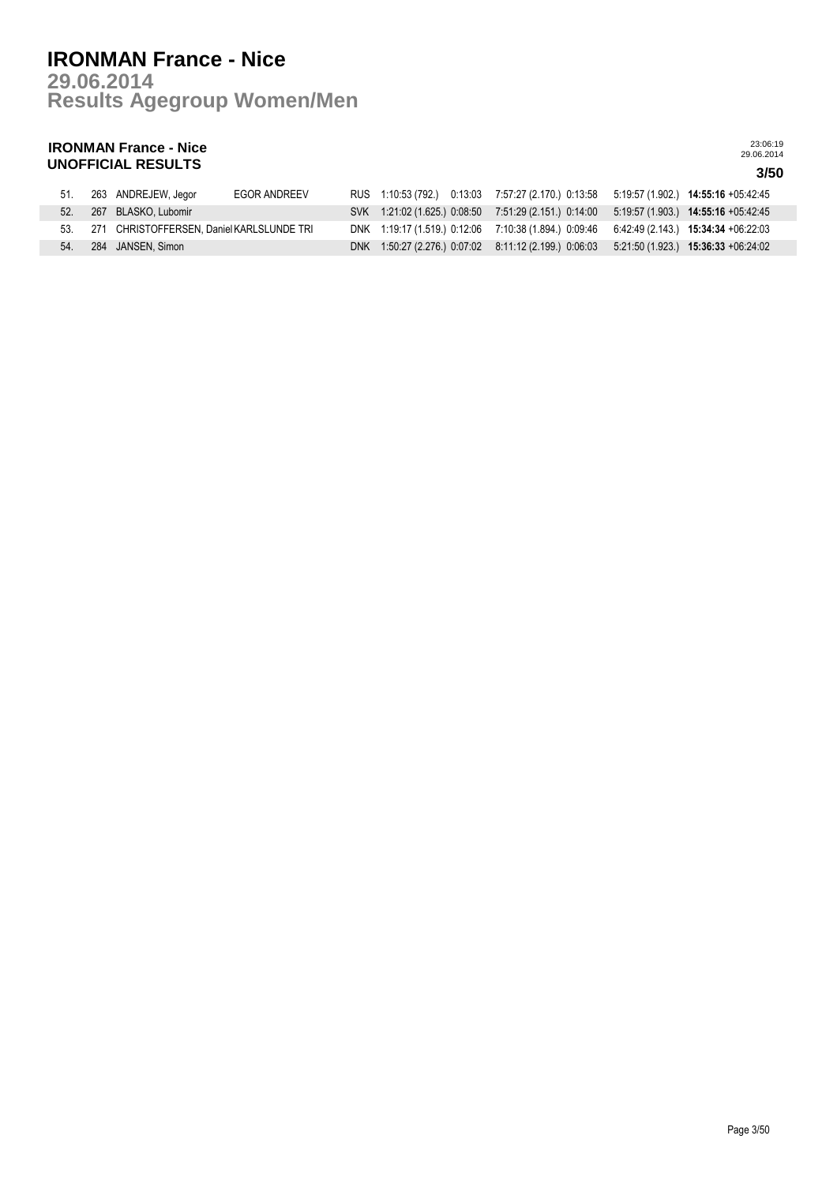## **Results Agegroup Women/Men 29.06.2014 IRONMAN France - Nice**

## **IRONMAN France - Nice UNOFFICIAL RESULTS 3/50**

| -51. | 263 ANDREJEW, Jegor                           | EGOR ANDREEV |  |  |  | RUS 1:10:53 (792.) 0:13:03 7:57:27 (2.170.) 0:13:58 5:19:57 (1.902.) 14:55:16 +05:42:45   |
|------|-----------------------------------------------|--------------|--|--|--|-------------------------------------------------------------------------------------------|
|      | 52. 267 BLASKO, Lubomir                       |              |  |  |  | SVK 1:21:02 (1.625.) 0:08:50 7:51:29 (2.151.) 0:14:00 5:19:57 (1.903.) 14:55:16 +05:42:45 |
|      | 53. 271 CHRISTOFFERSEN. Daniel KARLSLUNDE TRI |              |  |  |  | DNK 1:19:17 (1.519) 0:12:06 7:10:38 (1.894) 0:09:46 6:42:49 (2.143) 15:34:34 +06:22:03    |
| 54.  | . 284 JANSEN, Simon                           |              |  |  |  | DNK 1:50:27 (2.276.) 0:07:02 8:11:12 (2.199.) 0:06:03 5:21:50 (1.923.) 15:36:33 +06:24:02 |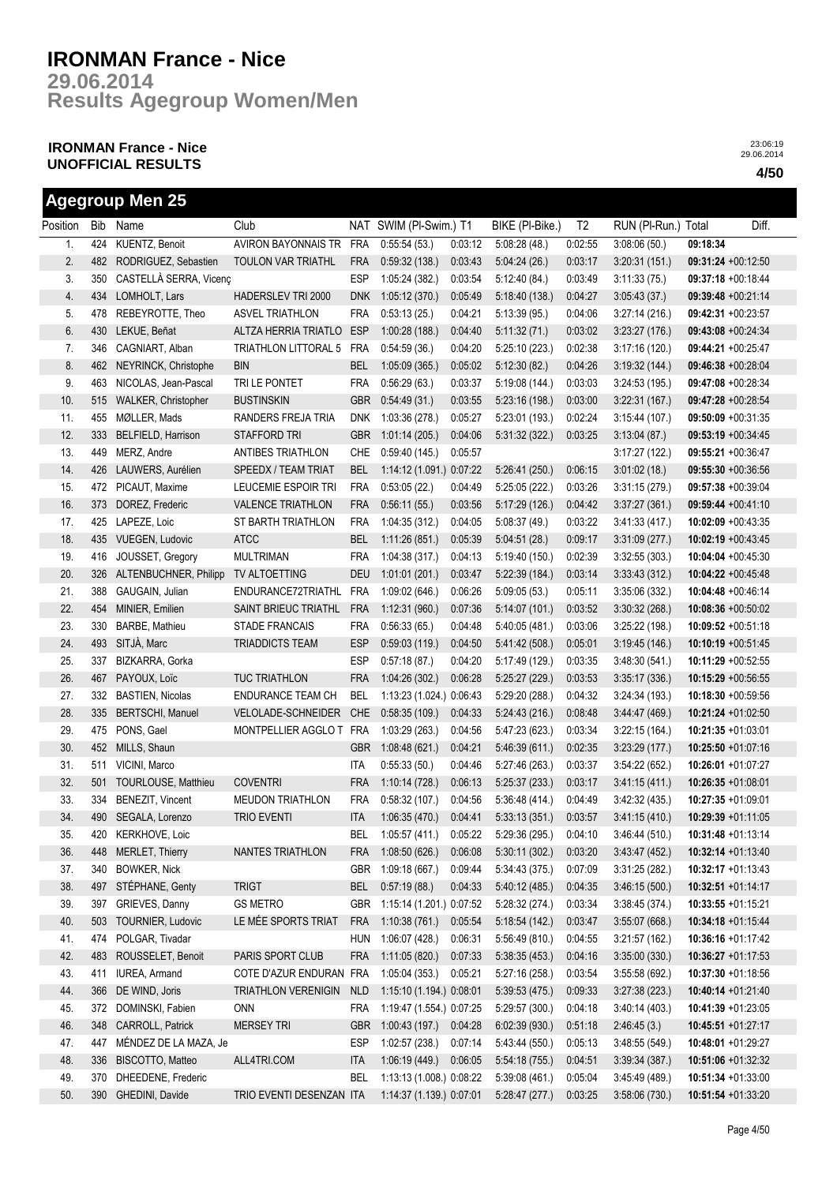**Results Agegroup Women/Men 29.06.2014**

## **IRONMAN France - Nice UNOFFICIAL RESULTS 4/50**

|          |     | <b>Agegroup Men 25</b>  |                          |            |                          |         |                        |                |                     |                       |       |
|----------|-----|-------------------------|--------------------------|------------|--------------------------|---------|------------------------|----------------|---------------------|-----------------------|-------|
| Position | Bib | Name                    | Club                     |            | NAT SWIM (PI-Swim.) T1   |         | BIKE (PI-Bike.)        | T <sub>2</sub> | RUN (PI-Run.) Total |                       | Diff. |
| 1.       | 424 | KUENTZ, Benoit          | AVIRON BAYONNAIS TR FRA  |            | 0:55:54(53)              | 0:03:12 | 5:08:28(48)            | 0:02:55        | 3:08:06(50)         | 09:18:34              |       |
| 2.       | 482 | RODRIGUEZ, Sebastien    | TOULON VAR TRIATHL       | <b>FRA</b> | 0:59:32(138.)            | 0:03:43 | 5:04:24(26.)           | 0:03:17        | 3:20:31(151.)       | 09:31:24 +00:12:50    |       |
| 3.       | 350 | CASTELLÀ SERRA, Vicenç  |                          | ESP        | 1:05:24(382.)            | 0:03:54 | 5:12:40(84.)           | 0:03:49        | 3:11:33(75)         | 09:37:18 +00:18:44    |       |
| 4.       | 434 | LOMHOLT, Lars           | HADERSLEV TRI 2000       | <b>DNK</b> | 1:05:12(370.)            | 0:05:49 | 5:18:40(138.)          | 0:04:27        | 3.05:43(37)         | 09:39:48 +00:21:14    |       |
| 5.       | 478 | REBEYROTTE, Theo        | <b>ASVEL TRIATHLON</b>   | <b>FRA</b> | 0:53:13(25.)             | 0:04:21 | 5:13:39(95)            | 0:04:06        | 3:27:14(216)        | 09:42:31 +00:23:57    |       |
| 6.       | 430 | LEKUE, Beñat            | ALTZA HERRIA TRIATLO     | <b>ESP</b> | 1:00:28(188.)            | 0.04:40 | 5:11:32(71)            | 0:03:02        | 3:23:27(176.)       | 09:43:08 +00:24:34    |       |
| 7.       | 346 | CAGNIART, Alban         | TRIATHLON LITTORAL 5     | <b>FRA</b> | 0:54:59(36.)             | 0:04:20 | 5:25:10(223)           | 0:02:38        | 3:17:16(120.)       | 09:44:21 +00:25:47    |       |
| 8.       | 462 | NEYRINCK, Christophe    | BIN                      | <b>BEL</b> | 1:05:09(365.)            | 0:05:02 | 5:12:30(82)            | 0:04:26        | 3.19.32(144)        | 09:46:38 +00:28:04    |       |
| 9.       | 463 | NICOLAS, Jean-Pascal    | TRI LE PONTET            | <b>FRA</b> | 0:56:29(63)              | 0:03:37 | 5:19:08(144)           | 0:03:03        | 3:24:53(195)        | 09:47:08 +00:28:34    |       |
| 10.      | 515 | WALKER, Christopher     | <b>BUSTINSKIN</b>        | <b>GBR</b> | 0.54.49(31)              | 0:03:55 | 5:23:16(198.)          | 0:03:00        | 3.22.31(167)        | 09:47:28 +00:28:54    |       |
| 11.      | 455 | MØLLER, Mads            | RANDERS FREJA TRIA       | <b>DNK</b> | 1:03:36(278.)            | 0:05:27 | 5:23:01(193)           | 0:02:24        | 3:15:44(107.)       | 09:50:09 +00:31:35    |       |
| 12.      | 333 | BELFIELD, Harrison      | <b>STAFFORD TRI</b>      | <b>GBR</b> | 1:01:14(205.)            | 0:04:06 | 5:31:32(322)           | 0:03:25        | 3:13:04(87)         | 09:53:19 +00:34:45    |       |
| 13.      | 449 | MERZ, Andre             | <b>ANTIBES TRIATHLON</b> | CHE        | 0:59:40(145.)            | 0:05:57 |                        |                | 3:17:27(122)        | 09:55:21 +00:36:47    |       |
| 14.      | 426 | LAUWERS, Aurélien       | SPEEDX / TEAM TRIAT      | <b>BEL</b> | 1:14:12 (1.091.) 0:07:22 |         | 5:26:41(250.)          | 0:06:15        | 3:01:02(18.)        | 09:55:30 +00:36:56    |       |
| 15.      | 472 | PICAUT, Maxime          | LEUCEMIE ESPOIR TRI      | <b>FRA</b> | 0:53:05(22.)             | 0:04:49 | 5:25:05(222.)          | 0:03:26        | 3:31:15(279)        | 09:57:38 +00:39:04    |       |
| 16.      | 373 | DOREZ, Frederic         | <b>VALENCE TRIATHLON</b> | <b>FRA</b> | 0:56:11(55)              | 0:03:56 | 5:17:29(126.)          | 0:04:42        | 3:37:27(361)        | 09:59:44 +00:41:10    |       |
| 17.      | 425 | LAPEZE, Loic            | ST BARTH TRIATHLON       | <b>FRA</b> | 1:04:35(312.)            | 0:04:05 | 5:08:37 (49.)          | 0:03:22        | 3:41:33 (417.)      | 10:02:09 +00:43:35    |       |
| 18.      | 435 | <b>VUEGEN, Ludovic</b>  | <b>ATCC</b>              | <b>BEL</b> | 1:11:26(851)             | 0:05:39 | 5:04:51(28.)           | 0:09:17        | 3.31:09(277)        | 10:02:19 +00:43:45    |       |
| 19.      | 416 | JOUSSET, Gregory        | <b>MULTRIMAN</b>         | <b>FRA</b> | 1:04:38(317)             | 0:04:13 | 5:19:40(150.)          | 0:02:39        | 3:32:55(303)        | 10:04:04 +00:45:30    |       |
| 20.      | 326 | ALTENBUCHNER, Philipp   | TV ALTOETTING            | <b>DEU</b> | 1:01:01(201.)            | 0:03:47 | 5:22:39(184.)          | 0:03:14        | 3:33:43(312)        | 10:04:22 +00:45:48    |       |
| 21.      | 388 | GAUGAIN, Julian         | ENDURANCE72TRIATHL       | <b>FRA</b> | 1:09:02(646.)            | 0:06:26 | 5:09:05(53)            | 0:05:11        | 3:35:06(332)        | 10:04:48 +00:46:14    |       |
| 22.      | 454 | MINIER, Emilien         | SAINT BRIEUC TRIATHL     | <b>FRA</b> | 1:12:31(960.)            | 0:07:36 | 5:14:07 (101.)         | 0:03:52        | 3:30:32(268.)       | $10:08:36 +00:50:02$  |       |
| 23.      | 330 | BARBE, Mathieu          | STADE FRANCAIS           | FRA        | 0:56:33(65.)             | 0:04:48 | 5:40:05(481)           | 0:03:06        | 3:25:22(198.)       | $10:09:52 +00:51:18$  |       |
| 24.      | 493 | SITJÀ, Marc             | TRIADDICTS TEAM          | <b>ESP</b> | 0:59:03(119.)            | 0:04:50 | 5:41:42 (508.)         | 0:05:01        | 3:19:45(146.)       | $10:10:19 + 00:51:45$ |       |
| 25.      | 337 | BIZKARRA, Gorka         |                          | <b>ESP</b> | 0:57:18(87.)             | 0:04:20 | 5:17:49 (129.)         | 0:03:35        | 3.48:30(541)        | 10:11:29 +00:52:55    |       |
| 26.      | 467 | PAYOUX, Loïc            | <b>TUC TRIATHLON</b>     | <b>FRA</b> | 1:04:26(302.)            | 0:06:28 | 5:25:27(229.)          | 0:03:53        | 3:35:17(336)        | 10:15:29 +00:56:55    |       |
| 27.      | 332 | <b>BASTIEN, Nicolas</b> | ENDURANCE TEAM CH        | <b>BEL</b> | 1:13:23 (1.024.) 0:06:43 |         | 5:29:20(288.)          | 0:04:32        | 3:24:34 (193.)      | 10:18:30 +00:59:56    |       |
| 28.      | 335 | <b>BERTSCHI, Manuel</b> | VELOLADE-SCHNEIDER       | <b>CHE</b> | 0.58.35(109.)            | 0:04:33 | 5:24:43(216.)          | 0:08:48        | 3.44.47(469)        | 10:21:24 +01:02:50    |       |
| 29.      | 475 | PONS, Gael              | MONTPELLIER AGGLO T      | <b>FRA</b> | 1:03:29 (263.)           | 0:04:56 | 5:47:23(623)           | 0:03:34        | 3:22:15(164.)       | 10:21:35 +01:03:01    |       |
| 30.      | 452 | MILLS, Shaun            |                          | <b>GBR</b> | 1:08:48(621.)            | 0:04:21 | 5.46.39(611)           | 0:02:35        | 3:23:29(177.)       | 10:25:50 +01:07:16    |       |
| 31.      | 511 | VICINI, Marco           |                          | <b>ITA</b> | 0:55:33(50.)             | 0:04:46 | 5:27:46 (263.)         | 0:03:37        | 3:54:22(652)        | 10:26:01 +01:07:27    |       |
| 32.      | 501 | TOURLOUSE, Matthieu     | <b>COVENTRI</b>          | <b>FRA</b> | 1:10:14(728.)            | 0:06:13 | 5:25:37(233)           | 0:03:17        | 3.41:15(411)        | 10:26:35 +01:08:01    |       |
| 33.      |     | 334 BENEZIT, Vincent    | <b>MEUDON TRIATHLON</b>  | <b>FRA</b> | 0:58:32(107.)            | 0.04:56 | 5:36:48(414)           | 0:04:49        | 3:42:32(435)        | 10:27:35 +01:09:01    |       |
| 34.      |     | 490 SEGALA, Lorenzo     | <b>TRIO EVENTI</b>       | <b>ITA</b> | 1:06:35 (470.) 0:04:41   |         | 5:33:13 (351.) 0:03:57 |                | 3:41:15(410.)       | 10:29:39 +01:11:05    |       |
| 35.      | 420 | <b>KERKHOVE, Loic</b>   |                          | BEL        | 1:05:57 (411.)           | 0:05:22 | 5:29:36(295)           | 0:04:10        | 3:46:44(510.)       | 10:31:48 +01:13:14    |       |
| 36.      | 448 | MERLET, Thierry         | NANTES TRIATHLON         | <b>FRA</b> | 1:08:50(626.)            | 0:06:08 | 5:30:11(302.)          | 0:03:20        | 3.43.47(452)        | 10:32:14 +01:13:40    |       |
| 37.      | 340 | <b>BOWKER, Nick</b>     |                          | <b>GBR</b> | 1:09:18 (667.)           | 0:09:44 | 5:34:43(375)           | 0:07:09        | 3:31:25(282)        | $10:32:17 + 01:13:43$ |       |
| 38.      | 497 | STÉPHANE, Genty         | <b>TRIGT</b>             | <b>BEL</b> | 0:57:19(88.)             | 0:04:33 | 5:40:12 (485.)         | 0:04:35        | 3:46:15(500.)       | $10:32:51 + 01:14:17$ |       |
| 39.      | 397 | GRIEVES, Danny          | <b>GS METRO</b>          | GBR        | 1:15:14 (1.201.) 0:07:52 |         | 5:28:32(274.)          | 0:03:34        | 3:38:45(374)        | 10:33:55 +01:15:21    |       |
| 40.      | 503 | TOURNIER, Ludovic       | LE MÉE SPORTS TRIAT      | <b>FRA</b> | 1:10:38(761)             | 0:05:54 | 5:18:54(142)           | 0:03:47        | 3.55:07(668)        | 10:34:18 +01:15:44    |       |
| 41.      | 474 | POLGAR, Tivadar         |                          | <b>HUN</b> | 1:06:07 (428.)           | 0:06:31 | 5.56.49(810.)          | 0:04:55        | 3:21:57(162)        | 10:36:16 +01:17:42    |       |
| 42.      | 483 | ROUSSELET, Benoit       | PARIS SPORT CLUB         | <b>FRA</b> | 1:11:05(820.)            | 0:07:33 | 5:38:35(453)           | 0:04:16        | 3:35:00(330.)       | 10:36:27 +01:17:53    |       |
| 43.      | 411 | IUREA, Armand           | COTE D'AZUR ENDURAN FRA  |            | 1:05:04(353.)            | 0:05:21 | 5:27:16(258.)          | 0:03:54        | 3:55:58(692)        | 10:37:30 +01:18:56    |       |
| 44.      | 366 | DE WIND, Joris          | TRIATHLON VERENIGIN      | <b>NLD</b> | 1:15:10 (1.194.) 0:08:01 |         | 5:39:53(475)           | 0:09:33        | 3:27:38(223)        | $10:40:14 + 01:21:40$ |       |
| 45.      | 372 | DOMINSKI, Fabien        | <b>ONN</b>               | <b>FRA</b> | 1:19:47 (1.554.) 0:07:25 |         | 5:29:57 (300.)         | 0:04:18        | 3:40:14(403)        | 10:41:39 +01:23:05    |       |
| 46.      | 348 | CARROLL, Patrick        | <b>MERSEY TRI</b>        | <b>GBR</b> | 1:00:43(197.)            | 0:04:28 | 6:02:39(930.)          | 0:51:18        | 2:46:45(3)          | $10:45:51 + 01:27:17$ |       |
| 47.      | 447 | MÉNDEZ DE LA MAZA, Je   |                          | <b>ESP</b> | 1:02:57(238.)            | 0.07:14 | 5:43:44 (550.)         | 0:05:13        | 3:48:55(549)        | 10:48:01 +01:29:27    |       |
| 48.      | 336 | BISCOTTO, Matteo        | ALL4TRI.COM              | <b>ITA</b> | 1:06:19(449)             | 0:06:05 | 5.54:18(755)           | 0:04:51        | 3:39:34(387)        | 10:51:06 +01:32:32    |       |
| 49.      | 370 | DHEEDENE, Frederic      |                          | <b>BEL</b> | 1:13:13 (1.008.) 0:08:22 |         | 5:39:08(461.)          | 0:05:04        | 3.45.49(489)        | 10:51:34 +01:33:00    |       |
| 50.      | 390 | GHEDINI, Davide         | TRIO EVENTI DESENZAN ITA |            | 1:14:37 (1.139.) 0:07:01 |         | 5:28:47(277.)          | 0:03:25        | 3:58:06(730.)       | 10:51:54 +01:33:20    |       |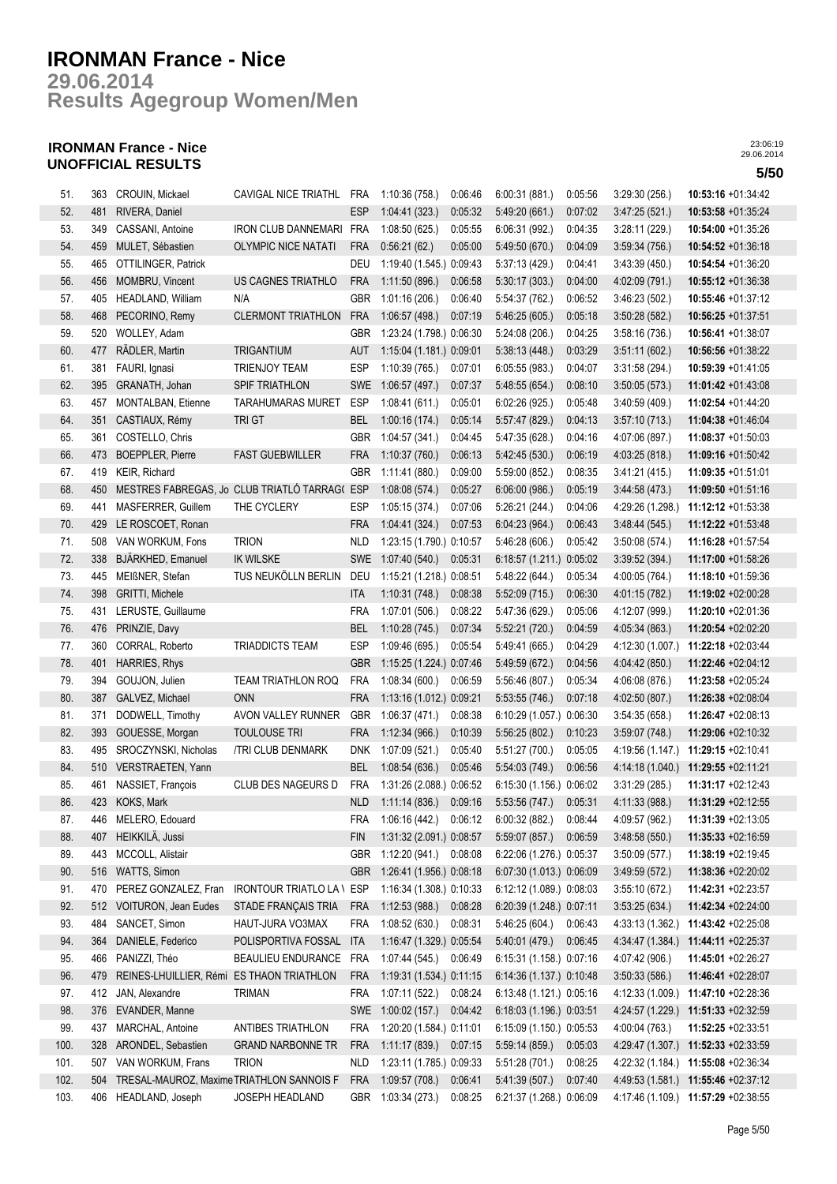**Results Agegroup Women/Men 29.06.2014**

## **IRONMAN France - Nice UNOFFICIAL RESULTS 5/50**

| 51.  | 363 | CROUIN, Mickael                           | CAVIGAL NICE TRIATHL FRA                      |            | 1:10:36 (758.)           | 0:06:46 | 6:00:31(881.)            | 0:05:56 | 3:29:30(256.)    | 10:53:16 +01:34:42                  |
|------|-----|-------------------------------------------|-----------------------------------------------|------------|--------------------------|---------|--------------------------|---------|------------------|-------------------------------------|
| 52.  | 481 | RIVERA, Daniel                            |                                               | <b>ESP</b> | 1:04:41(323)             | 0.05:32 | 5:49:20 (661.)           | 0:07:02 | 3.47:25(521)     | 10:53:58 +01:35:24                  |
| 53.  | 349 | CASSANI, Antoine                          | IRON CLUB DANNEMARI FRA                       |            | 1:08:50 (625.)           | 0:05:55 | 6:06:31 (992.)           | 0:04:35 | 3:28:11(229.)    | 10:54:00 +01:35:26                  |
| 54.  | 459 | MULET, Sébastien                          | <b>OLYMPIC NICE NATATI</b>                    | <b>FRA</b> | 0:56:21(62)              | 0:05:00 | 5.49.50(670.)            | 0:04:09 | 3.59.34(756.)    | 10:54:52 +01:36:18                  |
| 55.  | 465 | OTTILINGER, Patrick                       |                                               | DEU        | 1:19:40 (1.545.) 0:09:43 |         | 5:37:13 (429.)           | 0:04:41 | 3:43:39(450)     | 10:54:54 +01:36:20                  |
| 56.  | 456 | MOMBRU, Vincent                           | US CAGNES TRIATHLO                            | <b>FRA</b> | 1:11:50(896.)            | 0:06:58 | 5:30:17(303.)            | 0:04:00 | 4:02:09 (791.)   | 10:55:12 +01:36:38                  |
| 57.  | 405 | HEADLAND, William                         | N/A                                           | <b>GBR</b> | 1:01:16(206.)            | 0:06:40 | 5:54:37 (762.)           | 0:06:52 | 3:46:23(502)     | 10:55:46 +01:37:12                  |
| 58.  | 468 | PECORINO, Remy                            | <b>CLERMONT TRIATHLON</b>                     | <b>FRA</b> | 1:06:57(498.)            | 0.07:19 | 5.46.25(605)             | 0:05:18 | 3.50:28(582)     | $10:56:25 +01:37:51$                |
| 59.  | 520 | WOLLEY, Adam                              |                                               | <b>GBR</b> | 1:23:24 (1.798.) 0:06:30 |         | 5:24:08 (206.)           | 0:04:25 | 3:58:16(736)     | 10:56:41 +01:38:07                  |
| 60.  | 477 | RÄDLER, Martin                            | <b>TRIGANTIUM</b>                             | <b>AUT</b> | 1:15:04 (1.181.) 0:09:01 |         | 5:38:13(448.)            | 0:03:29 | 3:51:11(602)     | 10:56:56 +01:38:22                  |
| 61.  | 381 | FAURI, Ignasi                             | <b>TRIENJOY TEAM</b>                          | <b>ESP</b> | 1:10:39 (765.)           | 0:07:01 | 6:05:55(983.)            | 0:04:07 | 3:31:58(294.)    | 10:59:39 +01:41:05                  |
| 62.  | 395 | GRANATH, Johan                            | SPIF TRIATHLON                                | SWE        | 1:06:57 (497.)           | 0:07:37 | 5:48:55 (654.)           | 0:08:10 |                  | 11:01:42 +01:43:08                  |
| 63.  |     | MONTALBAN, Etienne                        |                                               | ESP        | 1:08:41(611)             |         |                          | 0:05:48 | 3:50:05(573)     | 11:02:54 +01:44:20                  |
|      | 457 |                                           | TARAHUMARAS MURET                             |            |                          | 0.05:01 | 6:02:26(925)             |         | 3:40:59 (409.)   |                                     |
| 64.  | 351 | CASTIAUX, Rémy                            | TRI GT                                        | <b>BEL</b> | 1:00:16(174.)            | 0:05:14 | 5:57:47 (829.)           | 0:04:13 | 3.57:10(713)     | 11:04:38 +01:46:04                  |
| 65.  | 361 | COSTELLO, Chris                           |                                               | GBR        | 1:04:57 (341.)           | 0:04:45 | 5:47:35 (628.)           | 0:04:16 | 4:07:06 (897.)   | 11:08:37 +01:50:03                  |
| 66.  | 473 | <b>BOEPPLER, Pierre</b>                   | <b>FAST GUEBWILLER</b>                        | <b>FRA</b> | 1:10:37(760.)            | 0:06:13 | 5:42:45 (530.)           | 0:06:19 | 4:03:25 (818.)   | 11:09:16 +01:50:42                  |
| 67.  | 419 | KEIR, Richard                             |                                               | <b>GBR</b> | 1:11:41 (880.)           | 0:09:00 | 5:59:00 (852.)           | 0:08:35 | 3.41:21(415)     | 11:09:35 +01:51:01                  |
| 68.  | 450 |                                           | MESTRES FABREGAS, Jo CLUB TRIATLÓ TARRAG( ESP |            | 1:08:08(574.)            | 0:05:27 | 6:06:00(986.)            | 0:05:19 | 3.44.58(473)     | 11:09:50 +01:51:16                  |
| 69.  | 441 | MASFERRER, Guillem                        | THE CYCLERY                                   | <b>ESP</b> | 1:05:15 (374.)           | 0:07:06 | 5:26:21 (244.)           | 0:04:06 | 4:29:26 (1.298.) | 11:12:12 +01:53:38                  |
| 70.  | 429 | LE ROSCOET, Ronan                         |                                               | <b>FRA</b> | 1.04.41(324.)            | 0:07:53 | 6:04:23 (964.)           | 0:06:43 | 3.48.44(545)     | 11:12:22 +01:53:48                  |
| 71.  | 508 | VAN WORKUM, Fons                          | <b>TRION</b>                                  | <b>NLD</b> | 1:23:15 (1.790.) 0:10:57 |         | 5:46:28 (606.)           | 0:05:42 | 3:50:08(574.)    | 11:16:28 +01:57:54                  |
| 72.  | 338 | BJÄRKHED, Emanuel                         | <b>IK WILSKE</b>                              | <b>SWE</b> | 1:07:40(540.)            | 0:05:31 | 6:18:57 (1.211.) 0:05:02 |         | 3:39:52(394.)    | 11:17:00 +01:58:26                  |
| 73.  | 445 | MEIßNER, Stefan                           | TUS NEUKÖLLN BERLIN                           | DEU        | 1:15:21 (1.218.) 0:08:51 |         | 5.48.22(644)             | 0:05:34 | 4:00:05 (764.)   | $11:18:10 + 01:59:36$               |
| 74.  | 398 | <b>GRITTI, Michele</b>                    |                                               | ITA        | 1:10:31(748.)            | 0:08:38 | 5.52:09(715.)            | 0:06:30 | 4.01:15 (782.)   | 11:19:02 +02:00:28                  |
| 75.  | 431 | LERUSTE, Guillaume                        |                                               | <b>FRA</b> | 1:07:01 (506.)           | 0:08:22 | 5:47:36 (629.)           | 0:05:06 | 4:12:07 (999.)   | 11:20:10 +02:01:36                  |
| 76.  | 476 | PRINZIE, Davy                             |                                               | <b>BEL</b> | 1:10:28(745)             | 0:07:34 | 5:52:21 (720.)           | 0:04:59 | 4:05:34 (863.)   | 11:20:54 +02:02:20                  |
| 77.  | 360 | CORRAL, Roberto                           | <b>TRIADDICTS TEAM</b>                        | <b>ESP</b> | 1:09:46 (695.)           | 0:05:54 | 5:49:41 (665.)           | 0:04:29 | 4:12:30 (1.007.) | 11:22:18 +02:03:44                  |
| 78.  | 401 | HARRIES, Rhys                             |                                               | <b>GBR</b> | 1:15:25 (1.224.) 0:07:46 |         | 5:49:59 (672.)           | 0:04:56 | 4:04:42 (850.)   | 11:22:46 +02:04:12                  |
| 79.  | 394 | GOUJON, Julien                            | <b>TEAM TRIATHLON ROQ</b>                     | <b>FRA</b> | 1:08:34(600.)            | 0:06:59 | 5:56:46 (807.)           | 0:05:34 | 4.06:08(876)     | 11:23:58 +02:05:24                  |
| 80.  | 387 | GALVEZ, Michael                           | <b>ONN</b>                                    | <b>FRA</b> | 1:13:16 (1.012.) 0:09:21 |         | 5:53:55(746.)            | 0:07:18 | 4:02:50 (807.)   | 11:26:38 +02:08:04                  |
| 81.  | 371 | DODWELL, Timothy                          | AVON VALLEY RUNNER                            | GBR        | 1:06:37 (471.)           | 0:08:38 | 6:10:29 (1.057.) 0:06:30 |         | 3:54:35(658)     | 11:26:47 +02:08:13                  |
| 82.  | 393 | GOUESSE, Morgan                           | <b>TOULOUSE TRI</b>                           | <b>FRA</b> | 1:12:34(966.)            | 0:10:39 | 5:56:25(802.)            | 0:10:23 | 3:59:07(748.)    | 11:29:06 +02:10:32                  |
| 83.  | 495 | SROCZYNSKI, Nicholas                      | /TRI CLUB DENMARK                             | <b>DNK</b> | 1:07:09(521.)            | 0:05:40 | 5:51:27 (700.)           | 0:05:05 | 4:19:56 (1.147.) | 11:29:15 +02:10:41                  |
| 84.  | 510 | VERSTRAETEN, Yann                         |                                               | <b>BEL</b> | 1:08:54(636.)            | 0:05:46 | 5:54:03 (749.)           | 0:06:56 | 4:14:18 (1.040.) | 11:29:55 +02:11:21                  |
| 85.  | 461 | NASSIET, François                         | CLUB DES NAGEURS D                            | <b>FRA</b> | 1:31:26 (2.088.) 0:06:52 |         | 6:15:30 (1.156.) 0:06:02 |         | 3:31:29(285.)    | 11:31:17 +02:12:43                  |
| 86.  |     | 423 KOKS, Mark                            |                                               | <b>NLD</b> | 1:11:14(836.)            | 0:09:16 | 5:53:56 (747.)           | 0:05:31 | 4:11:33 (988.)   | 11:31:29 +02:12:55                  |
| 87.  | 446 | MELERO, Edouard                           |                                               | FRA        | $1:06:16(442)$ $0:06:12$ |         | 6:00:32(882)             | 0:08:44 | 4:09:57 (962.)   | 11:31:39 +02:13:05                  |
| 88.  | 407 | HEIKKILÄ, Jussi                           |                                               | FIN        | 1:31:32 (2.091.) 0:08:57 |         | 5:59:07 (857.)           | 0:06:59 | 3:48:58(550.)    | 11:35:33 +02:16:59                  |
| 89.  | 443 | MCCOLL, Alistair                          |                                               | <b>GBR</b> | 1:12:20 (941.) 0:08:08   |         | 6:22:06 (1.276.) 0:05:37 |         | 3:50:09(577.)    | 11:38:19 +02:19:45                  |
| 90.  | 516 | WATTS, Simon                              |                                               | <b>GBR</b> | 1:26:41 (1.956.) 0:08:18 |         | 6:07:30 (1.013.) 0:06:09 |         | 3.49.59(572)     | 11:38:36 +02:20:02                  |
| 91.  | 470 | PEREZ GONZALEZ, Fran                      | <b>IRONTOUR TRIATLO LA \</b>                  | ESP        | 1:16:34 (1.308.) 0:10:33 |         | 6:12:12 (1.089.) 0:08:03 |         | 3:55:10(672)     | 11:42:31 +02:23:57                  |
| 92.  | 512 | VOITURON, Jean Eudes                      | STADE FRANÇAIS TRIA                           | <b>FRA</b> | 1:12:53(988.)            | 0:08:28 | 6:20:39 (1.248.) 0:07:11 |         | 3:53:25(634.)    | 11:42:34 +02:24:00                  |
| 93.  | 484 | SANCET, Simon                             | HAUT-JURA VO3MAX                              | <b>FRA</b> | 1:08:52(630.)            | 0:08:31 | 5:46:25 (604.)           | 0.06:43 | 4:33:13 (1.362.) | 11:43:42 +02:25:08                  |
| 94.  | 364 | DANIELE, Federico                         | POLISPORTIVA FOSSAL                           | <b>ITA</b> | 1:16:47 (1.329.) 0:05:54 |         | 5:40:01 (479.)           | 0:06:45 | 4:34:47 (1.384.) | 11:44:11 +02:25:37                  |
| 95.  | 466 | PANIZZI, Théo                             | BEAULIEU ENDURANCE                            | <b>FRA</b> | 1:07:44 (545.)           | 0:06:49 | 6:15:31 (1.158.) 0:07:16 |         | 4:07:42 (906.)   | 11:45:01 +02:26:27                  |
| 96.  |     |                                           |                                               |            | 1:19:31 (1.534.) 0:11:15 |         | 6:14:36 (1.137.) 0:10:48 |         |                  | 11:46:41 +02:28:07                  |
| 97.  | 479 | REINES-LHUILLIER, Rémi ES THAON TRIATHLON |                                               | <b>FRA</b> |                          | 0:08:24 | 6:13:48 (1.121.) 0:05:16 |         | 3:50:33(586)     |                                     |
|      | 412 | JAN, Alexandre                            | TRIMAN                                        | <b>FRA</b> | 1:07:11 (522.)           |         |                          |         | 4:12:33 (1.009.) | 11:47:10 +02:28:36                  |
| 98.  | 376 | EVANDER, Manne                            |                                               |            | SWE 1:00:02 (157.)       | 0.04:42 | 6:18:03 (1.196.) 0:03:51 |         | 4:24:57 (1.229.) | 11:51:33 +02:32:59                  |
| 99.  | 437 | <b>MARCHAL, Antoine</b>                   | ANTIBES TRIATHLON                             | <b>FRA</b> | 1:20:20 (1.584.) 0:11:01 |         | 6:15:09 (1.150.) 0:05:53 |         | 4:00:04 (763.)   | 11:52:25 +02:33:51                  |
| 100. | 328 | ARONDEL, Sebastien                        | <b>GRAND NARBONNE TR</b>                      | <b>FRA</b> | 1:11:17 (839.)           | 0:07:15 | 5:59:14 (859.)           | 0:05:03 | 4:29:47 (1.307.) | 11:52:33 +02:33:59                  |
| 101. | 507 | VAN WORKUM, Frans                         | <b>TRION</b>                                  | <b>NLD</b> | 1:23:11 (1.785.) 0:09:33 |         | 5:51:28 (701.)           | 0:08:25 | 4:22:32 (1.184.) | 11:55:08 +02:36:34                  |
| 102. | 504 | TRESAL-MAUROZ, Maxime TRIATHLON SANNOIS F |                                               | <b>FRA</b> | 1:09:57 (708.)           | 0.06:41 | 5:41:39 (507.)           | 0:07:40 |                  | 4:49:53 (1.581.) 11:55:46 +02:37:12 |
| 103. |     | 406 HEADLAND, Joseph                      | JOSEPH HEADLAND                               | GBR        | 1:03:34 (273.)           | 0:08:25 | 6:21:37 (1.268.) 0:06:09 |         |                  | 4:17:46 (1.109.) 11:57:29 +02:38:55 |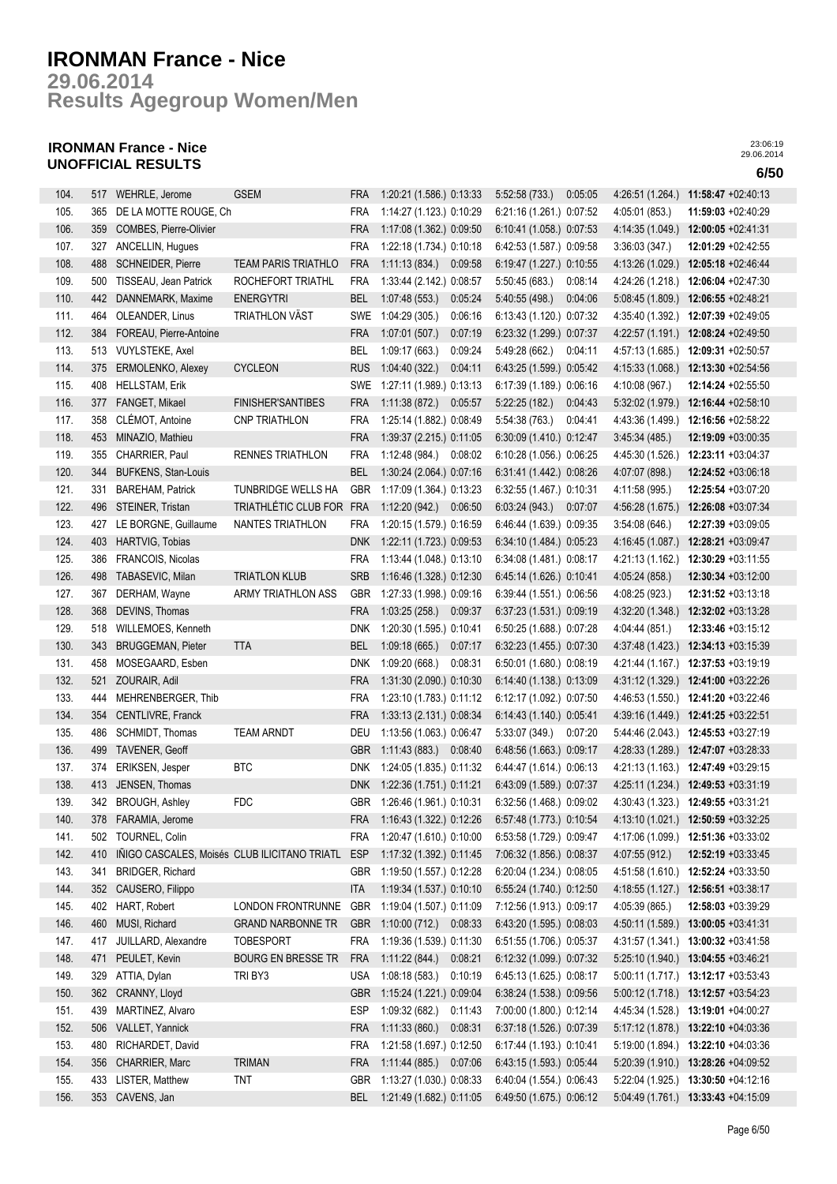**Results Agegroup Women/Men 29.06.2014**

## **IRONMAN France - Nice UNOFFICIAL RESULTS 6/50**

| 104. | 517 | WEHRLE, Jerome                               | <b>GSEM</b>                | <b>FRA</b> | 1:20:21 (1.586.) 0:13:33 |         | 5:52:58(733)             | 0:05:05 | 4:26:51 (1.264.) | 11:58:47 +02:40:13                   |
|------|-----|----------------------------------------------|----------------------------|------------|--------------------------|---------|--------------------------|---------|------------------|--------------------------------------|
| 105. | 365 | DE LA MOTTE ROUGE, Ch                        |                            | <b>FRA</b> | 1:14:27 (1.123.) 0:10:29 |         | 6:21:16 (1.261.) 0:07:52 |         | 4:05:01 (853.)   | $11:59:03 +02:40:29$                 |
| 106. | 359 | COMBES, Pierre-Olivier                       |                            | <b>FRA</b> | 1:17:08 (1.362.) 0:09:50 |         | 6:10:41 (1.058.) 0:07:53 |         | 4:14:35 (1.049.) | $12:00:05 +02:41:31$                 |
| 107. | 327 | ANCELLIN, Hugues                             |                            | <b>FRA</b> | 1:22:18 (1.734.) 0:10:18 |         | 6:42:53 (1.587.) 0:09:58 |         | 3:36:03(347)     | 12:01:29 +02:42:55                   |
| 108. | 488 | <b>SCHNEIDER, Pierre</b>                     | <b>TEAM PARIS TRIATHLO</b> | <b>FRA</b> | 1:11:13(834.)            | 0:09:58 | 6:19:47 (1.227.) 0:10:55 |         | 4:13:26 (1.029.) | 12:05:18 +02:46:44                   |
| 109. | 500 | TISSEAU, Jean Patrick                        | ROCHEFORT TRIATHL          | <b>FRA</b> | 1:33:44 (2.142.) 0:08:57 |         | 5:50:45(683)             | 0:08:14 | 4:24:26 (1.218.) | 12:06:04 +02:47:30                   |
| 110. | 442 | DANNEMARK, Maxime                            | <b>ENERGYTRI</b>           | <b>BEL</b> | 1:07:48(553)             | 0:05:24 | 5:40:55 (498.)           | 0:04:06 | 5:08:45 (1.809.) | 12:06:55 +02:48:21                   |
| 111. | 464 | OLEANDER, Linus                              | <b>TRIATHLON VÄST</b>      | SWE        | 1:04:29 (305.)           | 0:06:16 | 6:13:43 (1.120.) 0:07:32 |         | 4:35:40 (1.392.) | 12:07:39 +02:49:05                   |
| 112. | 384 | FOREAU, Pierre-Antoine                       |                            | <b>FRA</b> | 1:07:01(507.)            | 0:07:19 | 6:23:32 (1.299.) 0:07:37 |         |                  | 4:22:57 (1.191.) 12:08:24 +02:49:50  |
| 113. |     | 513 VUYLSTEKE, Axel                          |                            | <b>BEL</b> | 1:09:17(663)             | 0:09:24 | 5:49:28 (662.)           | 0:04:11 | 4:57:13 (1.685.) | 12:09:31 +02:50:57                   |
| 114. | 375 | ERMOLENKO, Alexey                            | <b>CYCLEON</b>             | <b>RUS</b> | 1:04:40(322.)            | 0.04:11 | 6:43:25 (1.599.) 0:05:42 |         | 4:15:33 (1.068.) | 12:13:30 +02:54:56                   |
| 115. | 408 | <b>HELLSTAM, Erik</b>                        |                            | SWE        | 1:27:11 (1.989.) 0:13:13 |         | 6:17:39 (1.189.) 0:06:16 |         | 4:10:08 (967.)   | 12:14:24 +02:55:50                   |
| 116. | 377 | FANGET, Mikael                               | <b>FINISHER'SANTIBES</b>   | <b>FRA</b> | 1:11:38(872)             | 0:05:57 | 5:22:25(182.)            | 0:04:43 | 5:32:02 (1.979.) | 12:16:44 +02:58:10                   |
| 117. | 358 | CLÉMOT, Antoine                              | <b>CNP TRIATHLON</b>       | <b>FRA</b> | 1:25:14 (1.882.) 0:08:49 |         | 5:54:38 (763.)           | 0:04:41 | 4:43:36 (1.499.) | $12:16:56 + 02:58:22$                |
| 118. | 453 | MINAZIO, Mathieu                             |                            | <b>FRA</b> | 1:39:37 (2.215.) 0:11:05 |         | 6:30:09 (1.410.) 0:12:47 |         | 3.45.34(485)     | 12:19:09 +03:00:35                   |
| 119. | 355 | CHARRIER, Paul                               | <b>RENNES TRIATHLON</b>    | <b>FRA</b> | 1:12:48 (984.)           | 0:08:02 | 6:10:28 (1.056.) 0:06:25 |         | 4:45:30 (1.526.) | 12:23:11 +03:04:37                   |
| 120. | 344 | <b>BUFKENS, Stan-Louis</b>                   |                            | <b>BEL</b> | 1:30:24 (2.064.) 0:07:16 |         | 6:31:41 (1.442.) 0:08:26 |         | 4:07:07 (898.)   | 12:24:52 +03:06:18                   |
| 121. | 331 | <b>BAREHAM, Patrick</b>                      | TUNBRIDGE WELLS HA         | GBR        | 1:17:09 (1.364.) 0:13:23 |         | 6:32:55 (1.467.) 0:10:31 |         | 4:11:58 (995.)   | 12:25:54 +03:07:20                   |
| 122. | 496 | STEINER, Tristan                             | TRIATHLÉTIC CLUB FOR       | <b>FRA</b> | 1:12:20(942)             | 0:06:50 | 6.03:24(943)             | 0:07:07 | 4:56:28 (1.675.) | 12:26:08 +03:07:34                   |
| 123. | 427 | LE BORGNE, Guillaume                         | NANTES TRIATHLON           | <b>FRA</b> | 1:20:15 (1.579.) 0:16:59 |         | 6:46:44 (1.639.) 0:09:35 |         | 3:54:08(646)     | 12:27:39 +03:09:05                   |
| 124. | 403 | HARTVIG, Tobias                              |                            | <b>DNK</b> | 1:22:11 (1.723.) 0:09:53 |         | 6:34:10 (1.484.) 0:05:23 |         | 4:16:45 (1.087.) | 12:28:21 +03:09:47                   |
| 125. | 386 | FRANCOIS, Nicolas                            |                            | <b>FRA</b> | 1:13:44 (1.048.) 0:13:10 |         | 6:34:08 (1.481.) 0:08:17 |         | 4:21:13 (1.162.) | 12:30:29 +03:11:55                   |
| 126. | 498 | TABASEVIC, Milan                             | <b>TRIATLON KLUB</b>       | <b>SRB</b> | 1:16:46 (1.328.) 0:12:30 |         | 6:45:14 (1.626.) 0:10:41 |         | 4:05:24 (858.)   | 12:30:34 +03:12:00                   |
| 127. | 367 | DERHAM, Wayne                                | ARMY TRIATHLON ASS         | GBR        | 1:27:33 (1.998.) 0:09:16 |         | 6:39:44 (1.551.) 0:06:56 |         | 4:08:25 (923.)   | 12:31:52 +03:13:18                   |
| 128. | 368 | DEVINS, Thomas                               |                            | <b>FRA</b> | 1:03:25 (258.) 0:09:37   |         | 6:37:23 (1.531.) 0:09:19 |         | 4:32:20 (1.348.) | 12:32:02 +03:13:28                   |
| 129. | 518 | WILLEMOES, Kenneth                           |                            | <b>DNK</b> | 1:20:30 (1.595.) 0:10:41 |         | 6:50:25 (1.688.) 0:07:28 |         | 4:04:44 (851.)   | 12:33:46 +03:15:12                   |
| 130. | 343 | <b>BRUGGEMAN, Pieter</b>                     | <b>TTA</b>                 | <b>BEL</b> | 1:09:18(665)             | 0.07:17 | 6:32:23 (1.455.) 0:07:30 |         |                  | 12:34:13 +03:15:39                   |
| 131. | 458 | MOSEGAARD, Esben                             |                            | <b>DNK</b> | 1:09:20(668.)            | 0:08:31 | 6:50:01 (1.680.) 0:08:19 |         | 4:37:48 (1.423.) | 12:37:53 +03:19:19                   |
|      |     |                                              |                            |            |                          |         |                          |         | 4:21:44 (1.167.) |                                      |
| 132. | 521 | ZOURAIR, Adil                                |                            | <b>FRA</b> | 1:31:30 (2.090.) 0:10:30 |         | 6:14:40 (1.138.) 0:13:09 |         | 4:31:12 (1.329.) | 12:41:00 +03:22:26                   |
| 133. | 444 | MEHRENBERGER, Thib                           |                            | <b>FRA</b> | 1:23:10 (1.783.) 0:11:12 |         | 6:12:17 (1.092.) 0:07:50 |         | 4:46:53 (1.550.) | 12:41:20 +03:22:46                   |
| 134. | 354 | CENTLIVRE, Franck                            |                            | <b>FRA</b> | 1:33:13 (2.131.) 0:08:34 |         | 6:14:43 (1.140.) 0:05:41 |         | 4:39:16 (1.449.) | 12:41:25 +03:22:51                   |
| 135. | 486 | SCHMIDT, Thomas                              | <b>TEAM ARNDT</b>          | DEU        | 1:13:56 (1.063.) 0.06:47 |         | 5:33:07 (349.)           | 0:07:20 | 5:44:46 (2.043.) | 12:45:53 +03:27:19                   |
| 136. | 499 | <b>TAVENER, Geoff</b>                        |                            | <b>GBR</b> | 1:11:43 (883.) 0:08:40   |         | 6:48:56 (1.663.) 0:09:17 |         |                  | 4:28:33 (1.289.) 12:47:07 +03:28:33  |
| 137. | 374 | ERIKSEN, Jesper                              | <b>BLC</b>                 | DNK        | 1:24:05 (1.835.) 0:11:32 |         | 6:44:47 (1.614.) 0:06:13 |         | 4:21:13 (1.163.) | 12:47:49 +03:29:15                   |
| 138. | 413 | JENSEN, Thomas                               |                            | <b>DNK</b> | 1:22:36 (1.751.) 0:11:21 |         | 6:43:09 (1.589.) 0:07:37 |         | 4:25:11 (1.234.) | 12:49:53 +03:31:19                   |
| 139. | 342 | <b>BROUGH, Ashley</b>                        | <b>FDC</b>                 | GBR        | 1:26:46 (1.961.) 0:10:31 |         | 6:32:56 (1.468.) 0:09:02 |         | 4:30:43 (1.323.) | 12:49:55 +03:31:21                   |
| 140. | 378 | FARAMIA, Jerome                              |                            | <b>FRA</b> | 1:16:43 (1.322.) 0:12:26 |         | 6:57:48 (1.773.) 0:10:54 |         | 4:13:10 (1.021.) | 12:50:59 +03:32:25                   |
| 141. | 502 | TOURNEL, Colin                               |                            | <b>FRA</b> | 1:20:47 (1.610.) 0:10:00 |         | 6:53:58 (1.729.) 0:09:47 |         | 4:17:06 (1.099.) | 12:51:36 +03:33:02                   |
| 142. | 410 | IÑIGO CASCALES, Moisés CLUB ILICITANO TRIATL |                            | <b>ESP</b> | 1:17:32 (1.392.) 0:11:45 |         | 7:06:32 (1.856.) 0:08:37 |         | 4:07:55 (912.)   | 12:52:19 +03:33:45                   |
| 143. | 341 | BRIDGER, Richard                             |                            | GBR        | 1:19:50 (1.557.) 0:12:28 |         | 6:20:04 (1.234.) 0:08:05 |         | 4:51:58 (1.610.) | 12:52:24 +03:33:50                   |
| 144. | 352 | CAUSERO, Filippo                             |                            | <b>ITA</b> | 1:19:34 (1.537.) 0:10:10 |         | 6:55:24 (1.740.) 0:12:50 |         |                  | 4:18:55 (1.127.) 12:56:51 +03:38:17  |
| 145. | 402 | HART, Robert                                 | LONDON FRONTRUNNE          | GBR        | 1:19:04 (1.507.) 0:11:09 |         | 7:12:56 (1.913.) 0:09:17 |         | 4:05:39 (865.)   | 12:58:03 +03:39:29                   |
| 146. | 460 | MUSI, Richard                                | <b>GRAND NARBONNE TR</b>   | <b>GBR</b> | 1:10:00 (712.) 0:08:33   |         | 6:43:20 (1.595.) 0:08:03 |         |                  | 4:50:11 (1.589.) 13:00:05 +03:41:31  |
| 147. | 417 | JUILLARD, Alexandre                          | <b>TOBESPORT</b>           | FRA        | 1:19:36 (1.539.) 0:11:30 |         | 6:51:55 (1.706.) 0:05:37 |         |                  | 4:31:57 (1.341.) 13:00:32 +03:41:58  |
| 148. | 471 | PEULET, Kevin                                | BOURG EN BRESSE TR         | <b>FRA</b> | 1:11:22(844)             | 0:08:21 | 6:12:32 (1.099.) 0:07:32 |         |                  | 5:25:10 (1.940.) 13:04:55 +03:46:21  |
| 149. | 329 | ATTIA, Dylan                                 | TRI BY3                    | <b>USA</b> | 1:08:18 (583.)           | 0:10:19 | 6:45:13 (1.625.) 0:08:17 |         |                  | 5:00:11 (1.717.) 13:12:17 +03:53:43  |
| 150. | 362 | CRANNY, Lloyd                                |                            | <b>GBR</b> | 1:15:24 (1.221.) 0:09:04 |         | 6:38:24 (1.538.) 0:09:56 |         |                  | 5:00:12 (1.718.) 13:12:57 +03:54:23  |
| 151. | 439 | MARTINEZ, Alvaro                             |                            | <b>ESP</b> | 1:09:32 (682.)           | 0:11:43 | 7:00:00 (1.800.) 0:12:14 |         |                  | 4:45:34 (1.528.) 13:19:01 +04:00:27  |
| 152. | 506 | VALLET, Yannick                              |                            | FRA        | 1:11:33(860.)            | 0:08:31 | 6:37:18 (1.526.) 0:07:39 |         | 5:17:12 (1.878.) | 13:22:10 +04:03:36                   |
| 153. | 480 | RICHARDET, David                             |                            | FRA        | 1:21:58 (1.697.) 0:12:50 |         | 6:17:44 (1.193.) 0:10:41 |         |                  | 5:19:00 (1.894.) 13:22:10 +04:03:36  |
| 154. | 356 | CHARRIER, Marc                               | <b>TRIMAN</b>              | FRA        | 1:11:44 (885.) 0:07:06   |         | 6:43:15 (1.593.) 0:05:44 |         |                  | $5:20:39(1.910.)$ 13:28:26 +04:09:52 |
| 155. | 433 | LISTER, Matthew                              | <b>TNT</b>                 | GBR        | 1:13:27 (1.030.) 0:08:33 |         | 6:40:04 (1.554.) 0:06:43 |         | 5:22:04 (1.925.) | 13:30:50 +04:12:16                   |
| 156. | 353 | CAVENS, Jan                                  |                            | BEL        | 1:21:49 (1.682.) 0:11:05 |         | 6:49:50 (1.675.) 0:06:12 |         |                  | 5:04:49 (1.761.) 13:33:43 +04:15:09  |
|      |     |                                              |                            |            |                          |         |                          |         |                  |                                      |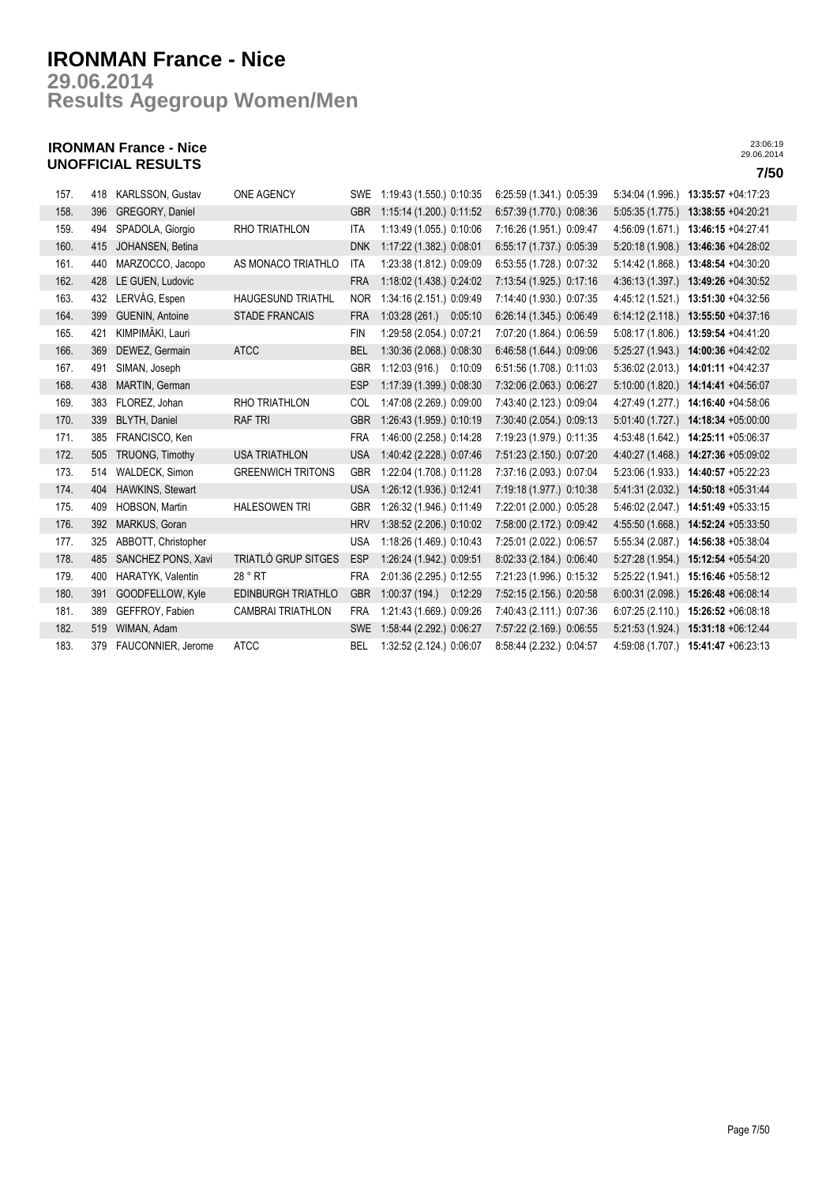## **Results Agegroup Women/Men 29.06.2014**

## **IRONMAN France - Nice UNOFFICIAL RESULTS 7/50**

| 157. | 418 | KARLSSON, Gustav       | ONE AGENCY               | SWE        | 1:19:43 (1.550.) 0:10:35 | 6:25:59 (1.341.) 0:05:39 | 5:34:04 (1.996.) | 13:35:57 +04:17:23 |
|------|-----|------------------------|--------------------------|------------|--------------------------|--------------------------|------------------|--------------------|
| 158. | 396 | GREGORY, Daniel        |                          | <b>GBR</b> | 1:15:14 (1.200.) 0:11:52 | 6:57:39 (1.770.) 0:08:36 | 5.05:35(1.775)   | 13:38:55 +04:20:21 |
| 159. | 494 | SPADOLA, Giorgio       | RHO TRIATHLON            | <b>ITA</b> | 1:13:49 (1.055.) 0:10:06 | 7:16:26 (1.951.) 0:09:47 | 4:56:09 (1.671.) | 13:46:15 +04:27:41 |
| 160. | 415 | JOHANSEN, Betina       |                          | <b>DNK</b> | 1:17:22 (1.382.) 0:08:01 | 6:55:17 (1.737.) 0:05:39 | 5:20:18 (1.908.) | 13:46:36 +04:28:02 |
| 161. | 440 | MARZOCCO, Jacopo       | AS MONACO TRIATHLO       | ITA        | 1:23:38 (1.812.) 0:09:09 | 6:53:55 (1.728.) 0:07:32 | 5:14:42 (1.868.) | 13:48:54 +04:30:20 |
| 162. | 428 | LE GUEN, Ludovic       |                          | <b>FRA</b> | 1:18:02 (1.438.) 0:24:02 | 7:13:54 (1.925.) 0:17:16 | 4:36:13 (1.397.) | 13:49:26 +04:30:52 |
| 163. | 432 | LERVÅG, Espen          | <b>HAUGESUND TRIATHL</b> | <b>NOR</b> | 1:34:16 (2.151.) 0:09:49 | 7:14:40 (1.930.) 0:07:35 | 4:45:12 (1.521.) | 13:51:30 +04:32:56 |
| 164. | 399 | <b>GUENIN, Antoine</b> | <b>STADE FRANCAIS</b>    | <b>FRA</b> | 1:03:28(261)<br>0:05:10  | 6:26:14 (1.345.) 0:06:49 | 6:14:12(2.118.)  | 13:55:50 +04:37:16 |
| 165. | 421 | KIMPIMÄKI, Lauri       |                          | <b>FIN</b> | 1:29:58 (2.054.) 0:07:21 | 7:07:20 (1.864.) 0:06:59 | 5:08:17(1.806.)  | 13:59:54 +04:41:20 |
| 166. | 369 | DEWEZ, Germain         | <b>ATCC</b>              | <b>BEL</b> | 1:30:36 (2.068.) 0:08:30 | 6:46:58 (1.644.) 0:09:06 | 5:25:27(1.943)   | 14:00:36 +04:42:02 |
| 167. | 491 | SIMAN, Joseph          |                          | <b>GBR</b> | 1:12:03(916)<br>0:10:09  | 6:51:56 (1.708.) 0:11:03 | 5:36:02(2.013.)  | 14:01:11 +04:42:37 |
| 168. | 438 | MARTIN, German         |                          | <b>ESP</b> | 1:17:39 (1.399.) 0:08:30 | 7:32:06 (2.063.) 0:06:27 | 5:10:00(1.820.)  | 14:14:41 +04:56:07 |
| 169. | 383 | FLOREZ, Johan          | RHO TRIATHLON            | COL        | 1:47:08 (2.269.) 0:09:00 | 7:43:40 (2.123.) 0:09:04 | 4:27:49 (1.277.) | 14:16:40 +04:58:06 |
| 170. | 339 | <b>BLYTH, Daniel</b>   | <b>RAF TRI</b>           | <b>GBR</b> | 1:26:43 (1.959.) 0:10:19 | 7:30:40 (2.054.) 0:09:13 | 5:01:40 (1.727.) | 14:18:34 +05:00:00 |
| 171. | 385 | FRANCISCO, Ken         |                          | <b>FRA</b> | 1:46:00 (2.258.) 0:14:28 | 7:19:23 (1.979.) 0:11:35 | 4:53:48 (1.642.) | 14:25:11 +05:06:37 |
| 172. | 505 | TRUONG, Timothy        | <b>USA TRIATHLON</b>     | <b>USA</b> | 1:40:42 (2.228.) 0:07:46 | 7:51:23 (2.150.) 0:07:20 | 4:40:27 (1.468.) | 14:27:36 +05:09:02 |
| 173. | 514 | WALDECK, Simon         | <b>GREENWICH TRITONS</b> | <b>GBR</b> | 1:22:04 (1.708.) 0:11:28 | 7:37:16 (2.093.) 0:07:04 | 5:23:06 (1.933.) | 14:40:57 +05:22:23 |
| 174. | 404 | HAWKINS, Stewart       |                          | <b>USA</b> | 1:26:12 (1.936.) 0:12:41 | 7:19:18 (1.977.) 0:10:38 | 5.41:31(2.032.)  | 14:50:18 +05:31:44 |
| 175. | 409 | HOBSON, Martin         | <b>HALESOWEN TRI</b>     | <b>GBR</b> | 1:26:32 (1.946.) 0:11:49 | 7:22:01 (2.000.) 0:05:28 | 5:46:02 (2.047.) | 14:51:49 +05:33:15 |
| 176. | 392 | MARKUS, Goran          |                          | <b>HRV</b> | 1:38:52 (2.206.) 0:10:02 | 7:58:00 (2.172.) 0:09:42 | 4:55:50 (1.668.) | 14:52:24 +05:33:50 |
| 177. | 325 | ABBOTT, Christopher    |                          | <b>USA</b> | 1:18:26 (1.469.) 0:10:43 | 7:25:01 (2.022.) 0:06:57 | 5:55:34 (2.087.) | 14:56:38 +05:38:04 |
| 178. | 485 | SANCHEZ PONS, Xavi     | TRIATLÓ GRUP SITGES      | <b>ESP</b> | 1:26:24 (1.942.) 0:09:51 | 8:02:33 (2.184.) 0:06:40 | 5:27:28(1.954)   | 15:12:54 +05:54:20 |
| 179. | 400 | HARATYK, Valentin      | 28 ° RT                  | FRA        | 2:01:36 (2.295.) 0:12:55 | 7:21:23 (1.996.) 0:15:32 | 5:25:22 (1.941.) | 15:16:46 +05:58:12 |
| 180. | 391 | GOODFELLOW, Kyle       | EDINBURGH TRIATHLO       | <b>GBR</b> | 1:00:37(194)<br>0:12:29  | 7:52:15 (2.156.) 0:20:58 | 6:00:31(2.098.)  | 15:26:48 +06:08:14 |
| 181. | 389 | GEFFROY, Fabien        | <b>CAMBRAI TRIATHLON</b> | <b>FRA</b> | 1:21:43 (1.669.) 0:09:26 | 7:40:43 (2.111.) 0:07:36 | 6:07:25(2.110.)  | 15:26:52 +06:08:18 |
| 182. | 519 | WIMAN, Adam            |                          | <b>SWE</b> | 1:58:44 (2.292.) 0:06:27 | 7:57:22 (2.169.) 0:06:55 | 5:21:53 (1.924.) | 15:31:18 +06:12:44 |
| 183. | 379 | FAUCONNIER, Jerome     | <b>ATCC</b>              | <b>BEL</b> | 1:32:52 (2.124.) 0:06:07 | 8:58:44 (2.232.) 0:04:57 | 4:59:08 (1.707.) | 15:41:47 +06:23:13 |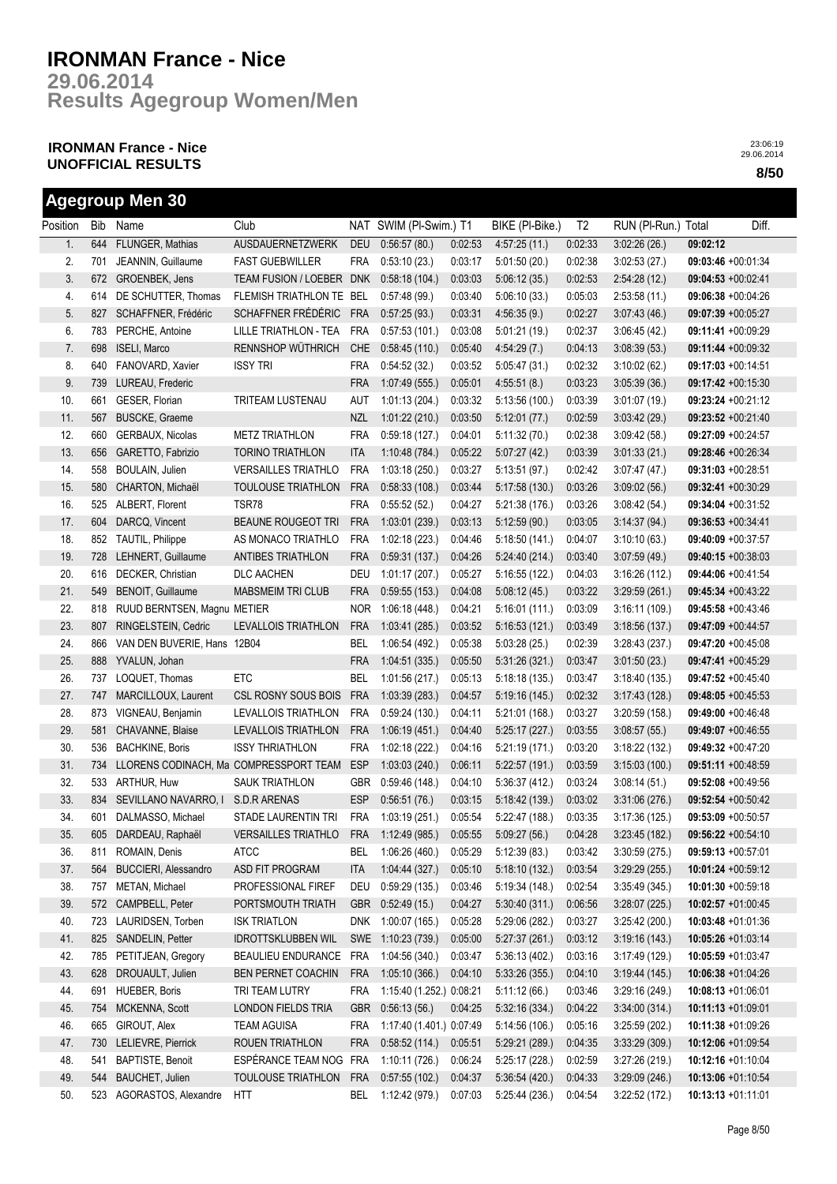**Results Agegroup Women/Men 29.06.2014**

## **IRONMAN France - Nice UNOFFICIAL RESULTS 8/50**

|          |     | <b>Agegroup Men 30</b>                 |                                        |            |                          |         |                 |                |                     |                       |       |
|----------|-----|----------------------------------------|----------------------------------------|------------|--------------------------|---------|-----------------|----------------|---------------------|-----------------------|-------|
| Position | Bib | Name                                   | Club                                   |            | NAT SWIM (PI-Swim.) T1   |         | BIKE (PI-Bike.) | T <sub>2</sub> | RUN (PI-Run.) Total |                       | Diff. |
| 1.       | 644 | FLUNGER, Mathias                       | AUSDAUERNETZWERK                       | <b>DEU</b> | 0:56:57(80.)             | 0:02:53 | 4:57:25(11)     | 0:02:33        | 3.02:26(26)         | 09:02:12              |       |
| 2.       | 701 | JEANNIN, Guillaume                     | <b>FAST GUEBWILLER</b>                 | <b>FRA</b> | 0:53:10(23)              | 0:03:17 | 5:01:50(20.)    | 0:02:38        | 3:02:53(27.)        | 09:03:46 +00:01:34    |       |
| 3.       | 672 | GROENBEK, Jens                         | TEAM FUSION / LOEBER DNK               |            | 0:58:18(104.)            | 0:03:03 | 5:06:12(35)     | 0:02:53        | 2:54:28(12)         | 09:04:53 +00:02:41    |       |
| 4.       | 614 | DE SCHUTTER, Thomas                    | FLEMISH TRIATHLON TE BEL               |            | 0:57:48(99)              | 0:03:40 | 5:06:10(33)     | 0:05:03        | 2:53:58(11)         | 09:06:38 +00:04:26    |       |
| 5.       | 827 | SCHAFFNER, Frédéric                    | SCHAFFNER FRÉDÉRIC                     | <b>FRA</b> | 0:57:25(93.)             | 0:03:31 | 4:56:35(9.)     | 0:02:27        | 3.07:43(46.)        | 09:07:39 +00:05:27    |       |
| 6.       | 783 | PERCHE, Antoine                        | LILLE TRIATHLON - TEA                  | FRA        | 0:57:53(101.)            | 0:03:08 | 5.01:21(19)     | 0:02:37        | 3:06:45(42.)        | 09:11:41 +00:09:29    |       |
| 7.       | 698 | ISELI, Marco                           | RENNSHOP WÜTHRICH                      | <b>CHE</b> | 0:58:45(110.)            | 0:05:40 | 4:54:29(7.)     | 0:04:13        | 3.08:39(53)         | 09:11:44 +00:09:32    |       |
| 8.       | 640 | FANOVARD, Xavier                       | <b>ISSY TRI</b>                        | <b>FRA</b> | 0:54:52(32.)             | 0:03:52 | 5:05:47(31)     | 0:02:32        | 3:10:02(62)         | 09:17:03 +00:14:51    |       |
| 9.       | 739 | LUREAU, Frederic                       |                                        | <b>FRA</b> | 1:07:49(555.)            | 0:05:01 | 4:55:51(8.)     | 0:03:23        | 3.05:39(36)         | 09:17:42 +00:15:30    |       |
| 10.      | 661 | GESER, Florian                         | TRITEAM LUSTENAU                       | AUT        | 1:01:13(204.)            | 0:03:32 | 5:13:56(100.)   | 0:03:39        | 3.01:07(19)         | 09:23:24 +00:21:12    |       |
| 11.      | 567 | <b>BUSCKE, Graeme</b>                  |                                        | <b>NZL</b> | 1:01:22(210.)            | 0:03:50 | 5:12:01(77.)    | 0:02:59        | 3.03.42(29.)        | 09:23:52 +00:21:40    |       |
| 12.      | 660 | GERBAUX, Nicolas                       | <b>METZ TRIATHLON</b>                  | <b>FRA</b> | 0:59:18(127.)            | 0.04:01 | 5:11:32(70.)    | 0:02:38        | 3.09:42(58)         | 09:27:09 +00:24:57    |       |
| 13.      | 656 | GARETTO, Fabrizio                      | <b>TORINO TRIATHLON</b>                | <b>ITA</b> | 1:10:48(784.)            | 0:05:22 | 5.07:27(42)     | 0:03:39        | 3:01:33(21.)        | 09:28:46 +00:26:34    |       |
| 14.      | 558 | BOULAIN, Julien                        | <b>VERSAILLES TRIATHLO</b>             | <b>FRA</b> | 1:03:18(250.)            | 0:03:27 | 5:13:51(97.)    | 0.02:42        | 3.07:47(47)         | 09:31:03 +00:28:51    |       |
| 15.      | 580 | CHARTON, Michaël                       | <b>TOULOUSE TRIATHLON</b>              | <b>FRA</b> | 0:58:33(108.)            | 0:03:44 | 5:17:58 (130.)  | 0:03:26        | 3.09:02(56.)        | 09:32:41 +00:30:29    |       |
| 16.      | 525 | ALBERT, Florent                        | TSR78                                  | <b>FRA</b> | 0:55:52(52)              | 0:04:27 | 5:21:38(176.)   | 0:03:26        | 3:08:42(54.)        | 09:34:04 +00:31:52    |       |
| 17.      | 604 | DARCQ, Vincent                         | BEAUNE ROUGEOT TRI                     | <b>FRA</b> | 1:03:01(239.)            | 0:03:13 | 5:12:59(90.)    | 0:03:05        | 3:14:37(94)         | 09:36:53 +00:34:41    |       |
| 18.      | 852 | <b>TAUTIL, Philippe</b>                | AS MONACO TRIATHLO                     | <b>FRA</b> | 1:02:18(223.)            | 0:04:46 | 5:18:50(141.)   | 0.04.07        | 3:10:10(63)         | 09:40:09 +00:37:57    |       |
| 19.      | 728 | LEHNERT, Guillaume                     | <b>ANTIBES TRIATHLON</b>               | <b>FRA</b> | 0:59:31(137.)            | 0:04:26 | 5:24:40(214.)   | 0:03:40        | 3.07:59(49)         | 09:40:15 +00:38:03    |       |
| 20.      | 616 | DECKER, Christian                      | <b>DLC AACHEN</b>                      | <b>DEU</b> | 1:01:17(207.)            | 0:05:27 | 5:16:55(122.)   | 0:04:03        | 3:16:26(112.)       | 09:44:06 +00:41:54    |       |
| 21.      | 549 | BENOIT, Guillaume                      | <b>MABSMEIM TRI CLUB</b>               | <b>FRA</b> | 0:59:55(153.)            | 0:04:08 | 5.08:12(45)     | 0:03:22        | 3:29:59(261)        | 09:45:34 +00:43:22    |       |
| 22.      | 818 | RUUD BERNTSEN, Magnu METIER            |                                        | <b>NOR</b> | 1:06:18(448.)            | 0:04:21 | 5:16:01(111.)   | 0:03:09        | 3:16:11(109.)       | 09:45:58 +00:43:46    |       |
| 23.      | 807 | RINGELSTEIN, Cedric                    | LEVALLOIS TRIATHLON                    | <b>FRA</b> | 1:03:41(285.)            | 0:03:52 | 5:16:53(121.)   | 0:03:49        | 3:18:56(137)        | 09:47:09 +00:44:57    |       |
| 24.      | 866 | VAN DEN BUVERIE, Hans 12B04            |                                        | <b>BEL</b> | 1:06:54 (492.)           | 0:05:38 | 5.03:28(25)     | 0:02:39        | 3:28:43(237)        | 09:47:20 +00:45:08    |       |
| 25.      | 888 | YVALUN, Johan                          |                                        | <b>FRA</b> | 1:04:51(335.)            | 0:05:50 | 5:31:26(321)    | 0:03:47        | 3.01:50(23)         | 09:47:41 +00:45:29    |       |
| 26.      | 737 | LOQUET, Thomas                         | ETC                                    | <b>BEL</b> | 1:01:56(217.)            | 0:05:13 | 5:18:18(135)    | 0:03:47        | 3:18:40(135)        | 09:47:52 +00:45:40    |       |
| 27.      | 747 | MARCILLOUX, Laurent                    | CSL ROSNY SOUS BOIS                    | <b>FRA</b> | 1:03:39(283)             | 0.04:57 | 5:19:16(145)    | 0.02:32        | 3:17:43(128)        | $09:48:05 +00:45:53$  |       |
| 28.      | 873 | VIGNEAU, Benjamin                      | LEVALLOIS TRIATHLON                    | <b>FRA</b> | 0:59:24(130.)            | 0.04:11 | 5:21:01(168.)   | 0:03:27        | 3:20:59(158)        | 09:49:00 +00:46:48    |       |
| 29.      | 581 | CHAVANNE, Blaise                       | LEVALLOIS TRIATHLON                    | <b>FRA</b> | 1:06:19(451)             | 0.04:40 | 5:25:17(227.)   | 0:03:55        | 3.08:57(55)         | 09:49:07 +00:46:55    |       |
| 30.      | 536 | <b>BACHKINE, Boris</b>                 | <b>ISSY THRIATHLON</b>                 | <b>FRA</b> | 1:02:18 (222.)           | 0:04:16 | 5:21:19 (171.)  | 0:03:20        | 3:18:22(132)        | 09:49:32 +00:47:20    |       |
| 31.      | 734 | LLORENS CODINACH, Ma COMPRESSPORT TEAM |                                        | <b>ESP</b> | 1:03:03(240.)            | 0:06:11 | 5:22:57 (191.)  | 0:03:59        | 3:15:03(100.)       | 09:51:11 +00:48:59    |       |
| 32.      | 533 | ARTHUR, Huw                            | <b>SAUK TRIATHLON</b>                  | <b>GBR</b> | 0:59:46(148.)            | 0:04:10 | 5:36:37 (412.)  | 0:03:24        | 3:08:14(51)         | 09:52:08 +00:49:56    |       |
| 33.      | 834 | SEVILLANO NAVARRO, I                   | S.D.R ARENAS                           | <b>ESP</b> | 0:56:51(76.)             | 0:03:15 | 5:18:42 (139.)  | 0.03:02        | 3:31:06(276.)       | 09:52:54 +00:50:42    |       |
| 34.      | 601 | DALMASSO, Michael                      | STADE LAURENTIN TRI FRA 1:03:19 (251.) |            |                          | 0:05:54 | 5:22:47 (188.)  | 0:03:35        | 3:17:36(125.)       | 09:53:09 +00:50:57    |       |
| 35.      | 605 | DARDEAU, Raphaël                       | VERSAILLES TRIATHLO FRA 1:12:49 (985.) |            |                          | 0:05:55 | 5:09:27(56.)    | 0.04:28        | 3:23:45(182.)       | 09:56:22 +00:54:10    |       |
| 36.      | 811 | ROMAIN, Denis                          | <b>ATCC</b>                            | BEL        | 1:06:26 (460.)           | 0:05:29 | 5:12:39(83)     | 0:03:42        | 3:30:59(275)        | 09:59:13 +00:57:01    |       |
| 37.      | 564 | BUCCIERI, Alessandro                   | ASD FIT PROGRAM                        | ITA        | 1.04.44(327)             | 0:05:10 | 5:18:10(132.)   | 0:03:54        | 3:29:29(255.)       | $10:01:24 +00:59:12$  |       |
| 38.      | 757 | METAN, Michael                         | PROFESSIONAL FIREF                     | DEU        | 0:59:29(135.)            | 0:03:46 | 5:19:34(148)    | 0:02:54        | 3:35:49(345)        | $10:01:30 +00:59:18$  |       |
| 39.      | 572 | CAMPBELL, Peter                        | PORTSMOUTH TRIATH                      | <b>GBR</b> | 0:52:49(15.)             | 0:04:27 | 5:30:40 (311.)  | 0:06:56        | 3:28:07(225)        | 10:02:57 +01:00:45    |       |
| 40.      | 723 | LAURIDSEN, Torben                      | <b>ISK TRIATLON</b>                    | <b>DNK</b> | 1:00:07 (165.)           | 0:05:28 | 5:29:06 (282.)  | 0:03:27        | 3:25:42(200.)       | 10:03:48 +01:01:36    |       |
| 41.      | 825 | SANDELIN, Petter                       | <b>IDROTTSKLUBBEN WIL</b>              | SWE        | 1:10:23(739.)            | 0:05:00 | 5:27:37(261.)   | 0:03:12        | 3:19:16(143)        | 10:05:26 +01:03:14    |       |
| 42.      | 785 | PETITJEAN, Gregory                     | BEAULIEU ENDURANCE                     | <b>FRA</b> | 1:04:56 (340.)           | 0:03:47 | 5:36:13(402)    | 0:03:16        | 3:17:49(129)        | 10:05:59 +01:03:47    |       |
| 43.      | 628 | DROUAULT, Julien                       | BEN PERNET COACHIN                     | <b>FRA</b> | 1:05:10(366.)            | 0:04:10 | 5:33:26 (355.)  | 0:04:10        | 3:19:44(145)        | 10:06:38 +01:04:26    |       |
| 44.      | 691 | HUEBER, Boris                          | TRI TEAM LUTRY                         | <b>FRA</b> | 1:15:40 (1.252.) 0:08:21 |         | 5:11:12(66.)    | 0:03:46        | 3:29:16(249)        | 10:08:13 +01:06:01    |       |
| 45.      | 754 | MCKENNA, Scott                         | LONDON FIELDS TRIA                     | <b>GBR</b> | 0:56:13(56.)             | 0:04:25 | 5:32:16(334.)   | 0:04:22        | 3:34:00(314.)       | $10:11:13 + 01:09:01$ |       |
| 46.      | 665 | GIROUT, Alex                           | <b>TEAM AGUISA</b>                     | FRA        | 1:17:40 (1.401.) 0:07:49 |         | 5:14:56(106.)   | 0:05:16        | 3:25:59 (202.)      | 10:11:38 +01:09:26    |       |
| 47.      | 730 | LELIEVRE, Pierrick                     | ROUEN TRIATHLON                        | <b>FRA</b> | 0.58.52(114.)            | 0:05:51 | 5:29:21 (289.)  | 0:04:35        | 3:33:29(309)        | 10:12:06 +01:09:54    |       |
| 48.      | 541 | BAPTISTE, Benoit                       | ESPÉRANCE TEAM NOG FRA                 |            | 1:10:11(726.)            | 0:06:24 | 5:25:17 (228.)  | 0:02:59        | 3:27:26 (219.)      | 10:12:16 +01:10:04    |       |
| 49.      | 544 | BAUCHET, Julien                        | TOULOUSE TRIATHLON                     | <b>FRA</b> | 0.57:55(102.)            | 0:04:37 | 5:36:54(420.)   | 0:04:33        | 3:29:09(246.)       | 10:13:06 +01:10:54    |       |
| 50.      | 523 | AGORASTOS, Alexandre                   | HTT                                    | BEL        | 1:12:42 (979.)           | 0:07:03 | 5:25:44 (236.)  | 0:04:54        | 3:22:52 (172.)      | 10:13:13 +01:11:01    |       |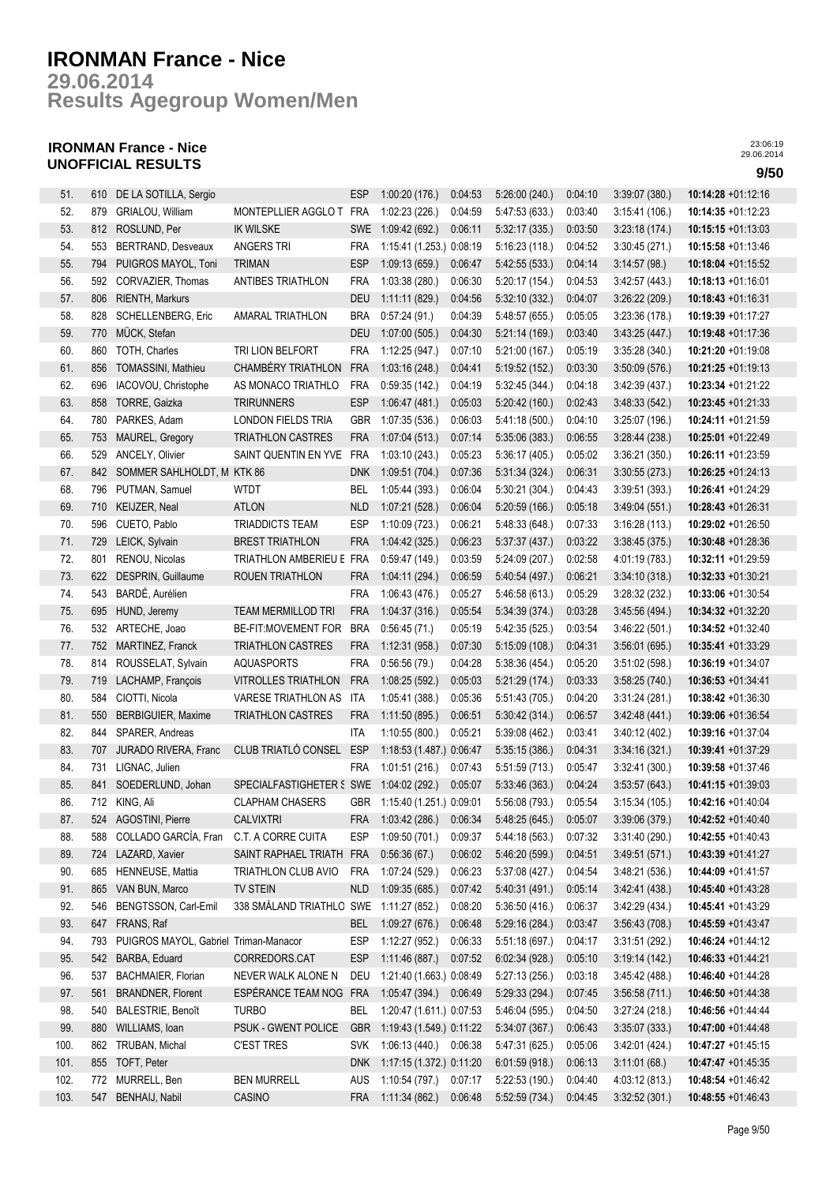**Results Agegroup Women/Men 29.06.2014**

## **IRONMAN France - Nice UNOFFICIAL RESULTS 9/50**

| 51.  | 610 | DE LA SOTILLA, Sergio                 |                            | <b>ESP</b> | 1:00:20(176.)            | 0:04:53            | 5:26:00 (240.) | 0.04:10 | 3:39:07(380.)  | 10:14:28 +01:12:16    |
|------|-----|---------------------------------------|----------------------------|------------|--------------------------|--------------------|----------------|---------|----------------|-----------------------|
| 52.  | 879 | GRIALOU, William                      | MONTEPLLIER AGGLO T        | FRA        | 1:02:23 (226.)           | 0:04:59            | 5:47:53 (633.) | 0:03:40 | 3:15:41 (106.) | 10:14:35 +01:12:23    |
| 53.  | 812 | ROSLUND, Per                          | <b>IK WILSKE</b>           | <b>SWE</b> | 1:09:42 (692.)           | 0:06:11            | 5:32:17(335.)  | 0:03:50 | 3:23:18(174)   | $10:15:15 + 01:13:03$ |
| 54.  | 553 | <b>BERTRAND, Desveaux</b>             | ANGERS TRI                 | <b>FRA</b> | 1:15:41 (1.253.) 0:08:19 |                    | 5:16:23(118.)  | 0:04:52 | 3:30:45(271.)  | 10:15:58 +01:13:46    |
| 55.  | 794 | PUIGROS MAYOL, Toni                   | <b>TRIMAN</b>              | <b>ESP</b> | 1:09:13(659)             | 0:06:47            | 5:42:55 (533.) | 0:04:14 | 3:14:57(98.)   | 10:18:04 +01:15:52    |
| 56.  | 592 | CORVAZIER, Thomas                     | <b>ANTIBES TRIATHLON</b>   | <b>FRA</b> | 1:03:38 (280.)           | 0:06:30            | 5:20:17 (154.) | 0:04:53 | 3:42:57(443.)  | 10:18:13 +01:16:01    |
| 57.  | 806 | RIENTH, Markurs                       |                            | <b>DEU</b> | 1:11:11(829.)            | 0:04:56            | 5:32:10(332.)  | 0:04:07 | 3:26:22 (209.) | 10:18:43 +01:16:31    |
| 58.  | 828 | SCHELLENBERG, Eric                    | <b>AMARAL TRIATHLON</b>    | <b>BRA</b> | 0:57:24(91.)             | 0:04:39            | 5:48:57 (655.) | 0:05:05 | 3:23:36 (178.) | 10:19:39 +01:17:27    |
| 59.  | 770 | MÜCK, Stefan                          |                            | <b>DEU</b> | 1:07:00(505.)            | 0:04:30            |                | 0:03:40 |                | 10:19:48 +01:17:36    |
|      |     | TOTH, Charles                         |                            |            |                          |                    | 5:21:14(169.)  |         | 3.43.25(447)   |                       |
| 60.  | 860 |                                       | TRI LION BELFORT           | <b>FRA</b> | 1:12:25 (947.)           | 0:07:10            | 5:21:00(167.)  | 0:05:19 | 3:35:28(340.)  | 10:21:20 +01:19:08    |
| 61.  | 856 | TOMASSINI, Mathieu                    | CHAMBÉRY TRIATHLON         | <b>FRA</b> | 1:03:16(248.)            | 0.04:41            | 5:19:52(152.)  | 0:03:30 | 3:50:09(576.)  | 10:21:25 +01:19:13    |
| 62.  | 696 | IACOVOU, Christophe                   | AS MONACO TRIATHLO         | <b>FRA</b> | 0:59:35(142.)            | 0.04:19            | 5:32:45(344.)  | 0:04:18 | 3:42:39 (437.) | 10:23:34 +01:21:22    |
| 63.  | 858 | TORRE, Gaizka                         | <b>TRIRUNNERS</b>          | <b>ESP</b> | 1:06:47(481.)            | 0:05:03            | 5:20:42(160.)  | 0:02:43 | 3.48.33(542)   | 10:23:45 +01:21:33    |
| 64.  | 780 | PARKES, Adam                          | LONDON FIELDS TRIA         | GBR        | 1:07:35 (536.)           | 0:06:03            | 5:41:18 (500.) | 0:04:10 | 3:25:07 (196.) | 10:24:11 +01:21:59    |
| 65.  | 753 | MAUREL, Gregory                       | <b>TRIATHLON CASTRES</b>   | <b>FRA</b> | 1:07:04(513.)            | 0:07:14            | 5:35:06 (383.) | 0:06:55 | 3.28.44(238)   | 10:25:01 +01:22:49    |
| 66.  | 529 | ANCELY, Olivier                       | SAINT QUENTIN EN YVE       | <b>FRA</b> | 1:03:10 (243.)           | 0:05:23            | 5:36:17(405)   | 0:05:02 | 3:36:21(350)   | $10:26:11 + 01:23:59$ |
| 67.  | 842 | SOMMER SAHLHOLDT, M KTK 86            |                            | <b>DNK</b> | 1:09:51 (704.)           | 0:07:36            | 5:31:34 (324.) | 0:06:31 | 3:30:55(273.)  | 10:26:25 +01:24:13    |
| 68.  | 796 | PUTMAN, Samuel                        | WTDT                       | <b>BEL</b> | 1:05:44 (393.)           | 0:06:04            | 5:30:21 (304.) | 0:04:43 | 3:39:51(393.)  | 10:26:41 +01:24:29    |
| 69.  | 710 | KEIJZER, Neal                         | <b>ATLON</b>               | <b>NLD</b> | 1:07:21(528.)            | 0:06:04            | 5:20:59 (166.) | 0:05:18 | 3.49.04(551)   | 10:28:43 +01:26:31    |
| 70.  | 596 | CUETO, Pablo                          | <b>TRIADDICTS TEAM</b>     | <b>ESP</b> | 1:10:09 (723.)           | 0:06:21            | 5:48:33 (648.) | 0:07:33 | 3:16:28 (113.) | 10:29:02 +01:26:50    |
| 71.  | 729 | LEICK, Sylvain                        | <b>BREST TRIATHLON</b>     | <b>FRA</b> | 1:04:42 (325.)           | 0:06:23            | 5:37:37 (437.) | 0:03:22 | 3:38:45(375.)  | 10:30:48 +01:28:36    |
| 72.  | 801 | RENOU, Nicolas                        | TRIATHLON AMBERIEU E       | <b>FRA</b> | 0:59:47(149.)            | 0:03:59            | 5:24:09 (207.) | 0:02:58 | 4.01:19 (783.) | 10:32:11 +01:29:59    |
| 73.  | 622 | DESPRIN, Guillaume                    | ROUEN TRIATHLON            | <b>FRA</b> | 1:04:11(294.)            | 0:06:59            | 5:40:54 (497.) | 0:06:21 | 3:34:10(318.)  | 10:32:33 +01:30:21    |
| 74.  | 543 | BARDÉ, Aurélien                       |                            | <b>FRA</b> | 1:06:43 (476.)           | 0:05:27            | 5:46:58 (613.) | 0:05:29 | 3:28:32 (232.) | 10:33:06 +01:30:54    |
| 75.  | 695 | HUND, Jeremy                          | TEAM MERMILLOD TRI         | <b>FRA</b> | 1:04:37(316.)            | 0:05:54            | 5:34:39 (374.) | 0:03:28 | 3.45.56(494.)  | 10:34:32 +01:32:20    |
| 76.  | 532 | ARTECHE, Joao                         | <b>BE-FIT:MOVEMENT FOR</b> | <b>BRA</b> | 0:56:45(71.)             | 0:05:19            | 5.42:35(525)   | 0:03:54 | 3:46:22(501)   | 10:34:52 +01:32:40    |
| 77.  | 752 | MARTINEZ, Franck                      | <b>TRIATHLON CASTRES</b>   | <b>FRA</b> | 1:12:31(958)             | 0:07:30            | 5:15:09(108.)  | 0:04:31 | 3:56:01(695)   | 10:35:41 +01:33:29    |
| 78.  | 814 | ROUSSELAT, Sylvain                    | AQUASPORTS                 | <b>FRA</b> | 0:56:56(79.)             | 0:04:28            | 5:38:36(454.)  | 0:05:20 | 3:51:02(598.)  | 10:36:19 +01:34:07    |
| 79.  | 719 | LACHAMP, François                     | <b>VITROLLES TRIATHLON</b> | <b>FRA</b> | 1:08:25 (592.)           | 0:05:03            | 5:21:29(174.)  | 0:03:33 | 3:58:25(740.)  | $10:36:53 + 01:34:41$ |
| 80.  | 584 | CIOTTI, Nicola                        | VARESE TRIATHLON AS        | ITA        | 1:05:41 (388.)           | 0:05:36            | 5:51:43 (705.) | 0:04:20 | 3:31:24(281)   | 10:38:42 +01:36:30    |
| 81.  | 550 | BERBIGUIER, Maxime                    | TRIATHLON CASTRES          | <b>FRA</b> | 1:11:50(895.)            | 0:06:51            | 5:30:42(314.)  | 0:06:57 | 3.42.48(441)   | 10:39:06 +01:36:54    |
| 82.  | 844 | SPARER, Andreas                       |                            | ITA        | 1:10:55(800.)            | 0:05:21            | 5:39:08 (462.) | 0:03:41 | 3:40:12(402)   | 10:39:16 +01:37:04    |
| 83.  | 707 | JURADO RIVERA, Franc                  | CLUB TRIATLÓ CONSEL        | <b>ESP</b> | 1:18:53 (1.487.) 0:06:47 |                    | 5:35:15(386.)  | 0:04:31 | 3:34:16(321)   | 10:39:41 +01:37:29    |
| 84.  | 731 | LIGNAC, Julien                        |                            | <b>FRA</b> | 1:01:51(216.)            | 0:07:43            | 5.51:59(713.)  | 0:05:47 | 3:32:41(300.)  | 10:39:58 +01:37:46    |
| 85.  | 841 | SOEDERLUND, Johan                     | SPECIALFASTIGHETER § SWE   |            | 1:04:02(292.)            | 0:05:07            | 5:33:46 (363.) | 0:04:24 | 3:53:57(643)   | 10:41:15 +01:39:03    |
| 86.  |     | 712 KING, Ali                         | <b>CLAPHAM CHASERS</b>     |            | 1:15:40 (1.251) 0:09:01  |                    | 5:56:08 (793.) | 0:05:54 | 3:15:34(105.)  | 10:42:16 +01:40:04    |
|      |     | AGOSTINI, Pierre                      | <b>CALVIXTRI</b>           | GBR        | 1:03:42 (286.)           |                    |                |         | 3:39:06 (379.) | 10:42:52 +01:40:40    |
| 87.  | 524 |                                       |                            | <b>FRA</b> |                          | 0:06:34<br>0:09:37 | 5:48:25 (645.) | 0:05:07 |                |                       |
| 88.  | 588 | COLLADO GARCÍA, Fran                  | C.T. A CORRE CUITA         | ESP        | 1:09:50 (701.)           |                    | 5.44:18(563)   | 0.07:32 | 3:31:40(290.)  | $10:42:55 + 01:40:43$ |
| 89.  | 724 | LAZARD, Xavier                        | SAINT RAPHAEL TRIATH       | <b>FRA</b> | 0:56:36(67)              | 0:06:02            | 5:46:20 (599.) | 0:04:51 | 3:49:51(571)   | 10:43:39 +01:41:27    |
| 90.  | 685 | HENNEUSE, Mattia                      | TRIATHLON CLUB AVIO        | <b>FRA</b> | 1:07:24 (529.)           | 0:06:23            | 5:37:08 (427.) | 0:04:54 | 3:48:21(536)   | 10:44:09 +01:41:57    |
| 91.  | 865 | VAN BUN, Marco                        | <b>TV STEIN</b>            | <b>NLD</b> | 1:09:35(685)             | 0:07:42            | 5:40:31 (491.) | 0:05:14 | 3.42.41(438)   | 10:45:40 +01:43:28    |
| 92.  | 546 | BENGTSSON, Carl-Emil                  | 338 SMÅLAND TRIATHLO SWE   |            | 1:11:27 (852.)           | 0:08:20            | 5:36:50(416.)  | 0:06:37 | 3:42:29(434)   | 10:45:41 +01:43:29    |
| 93.  | 647 | FRANS, Raf                            |                            | <b>BEL</b> | 1:09:27 (676.)           | 0:06:48            | 5:29:16(284.)  | 0.03.47 | 3:56:43(708)   | 10:45:59 +01:43:47    |
| 94.  | 793 | PUIGROS MAYOL, Gabriel Triman-Manacor |                            | <b>ESP</b> | 1:12:27 (952.)           | 0:06:33            | 5:51:18 (697.) | 0:04:17 | 3:31:51(292)   | 10:46:24 +01:44:12    |
| 95.  | 542 | BARBA, Eduard                         | CORREDORS.CAT              | <b>ESP</b> | 1:11:46(887.)            | 0:07:52            | 6.02.34(928)   | 0:05:10 | 3:19:14(142)   | 10:46:33 +01:44:21    |
| 96.  | 537 | BACHMAIER, Florian                    | NEVER WALK ALONE N         | DEU        | 1:21:40 (1.663.) 0:08:49 |                    | 5:27:13(256.)  | 0:03:18 | 3.45.42(488)   | 10:46:40 +01:44:28    |
| 97.  | 561 | <b>BRANDNER, Florent</b>              | ESPÉRANCE TEAM NOG FRA     |            | 1:05:47(394.)            | 0:06:49            | 5:29:33(294.)  | 0:07:45 | 3:56:58(711)   | 10:46:50 +01:44:38    |
| 98.  | 540 | <b>BALESTRIE, Benoît</b>              | <b>TURBO</b>               | <b>BEL</b> | 1:20:47 (1.611.) 0:07:53 |                    | 5:46:04 (595.) | 0:04:50 | 3:27:24(218.)  | 10:46:56 +01:44:44    |
| 99.  | 880 | WILLIAMS, Ioan                        | PSUK - GWENT POLICE        | <b>GBR</b> | 1:19:43 (1.549.) 0:11:22 |                    | 5:34:07 (367.) | 0:06:43 | 3:35:07(333)   | 10:47:00 +01:44:48    |
| 100. | 862 | TRUBAN, Michal                        | <b>C'EST TRES</b>          | <b>SVK</b> | 1:06:13 (440.) 0:06:38   |                    | 5:47:31 (625.) | 0:05:06 | 3.42:01(424)   | $10:47:27 +01:45:15$  |
| 101. | 855 | TOFT, Peter                           |                            | <b>DNK</b> | 1:17:15 (1.372.) 0:11:20 |                    | 6.01:59(918)   | 0:06:13 | 3:11:01(68)    | $10:47:47 + 01:45:35$ |
| 102. | 772 | MURRELL, Ben                          | <b>BEN MURRELL</b>         | AUS        | 1:10:54 (797.)           | 0:07:17            | 5:22:53 (190.) | 0.04:40 | 4:03:12 (813.) | 10:48:54 +01:46:42    |
| 103. | 547 | BENHAIJ, Nabil                        | CASINO                     | FRA        | 1:11:34(862)             | 0:06:48            | 5:52:59 (734.) | 0:04:45 | 3.32:52(301)   | 10:48:55 +01:46:43    |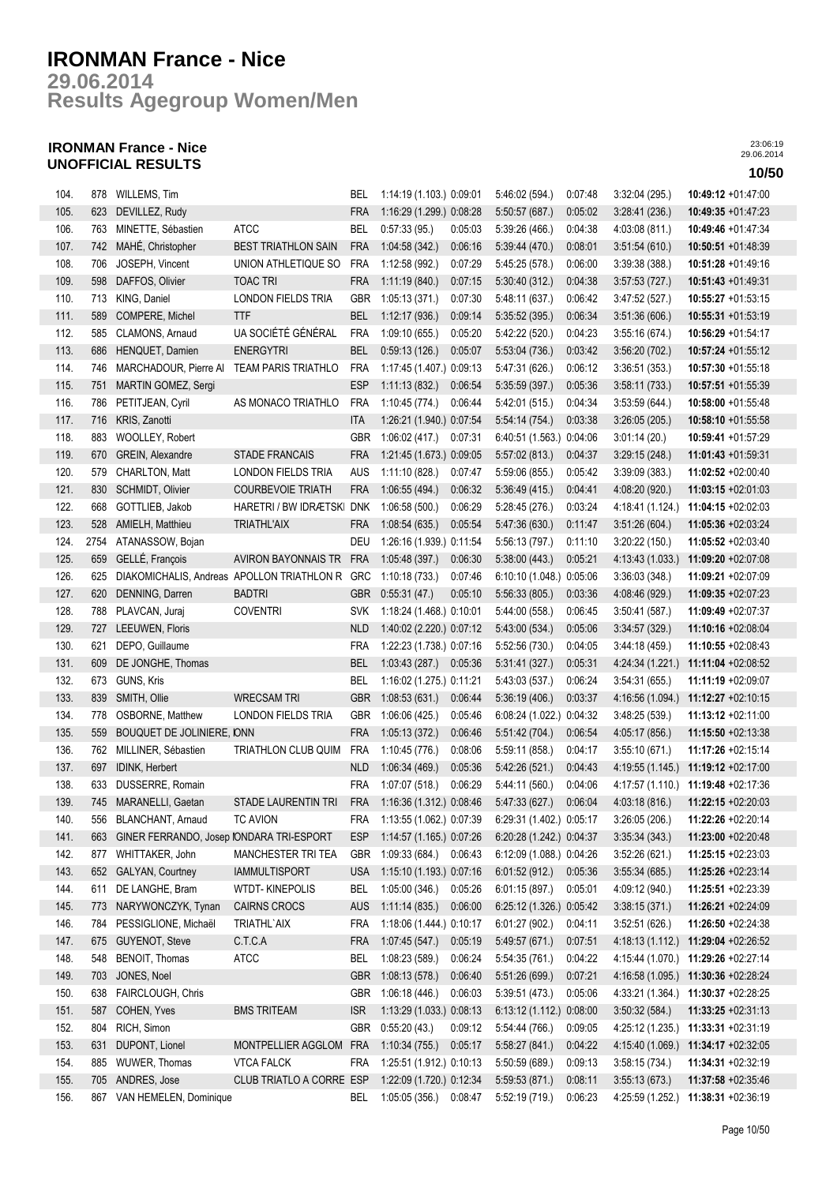**Results Agegroup Women/Men 29.06.2014**

## **IRONMAN France - Nice UNOFFICIAL RESULTS 10/50**

| 104. | 878  | WILLEMS, Tim                                      |                                                | BEL.       | 1:14:19 (1.103.) 0:09:01                 |         | 5:46:02(594.)                   | 0:07:48 | 3:32:04(295)                    | $10:49:12 +01:47:00$                |
|------|------|---------------------------------------------------|------------------------------------------------|------------|------------------------------------------|---------|---------------------------------|---------|---------------------------------|-------------------------------------|
| 105. | 623  | DEVILLEZ, Rudy                                    |                                                | <b>FRA</b> | 1:16:29 (1.299.) 0:08:28                 |         | 5:50:57 (687.)                  | 0:05:02 | 3:28:41(236.)                   | $10:49:35 +01:47:23$                |
| 106. | 763  | MINETTE, Sébastien                                | ATCC                                           | <b>BEL</b> | 0:57:33(95)                              | 0:05:03 | 5:39:26(466)                    | 0:04:38 | 4:03:08 (811.)                  | 10:49:46 +01:47:34                  |
| 107. | 742  | MAHÉ, Christopher                                 | <b>BEST TRIATHLON SAIN</b>                     | <b>FRA</b> | 1:04:58 (342.)                           | 0:06:16 | 5:39:44 (470.)                  | 0:08:01 | 3.51.54(610)                    | 10:50:51 +01:48:39                  |
| 108. | 706  | JOSEPH, Vincent                                   | UNION ATHLETIQUE SO                            | FRA        | 1:12:58 (992.)                           | 0:07:29 | 5:45:25(578.)                   | 0:06:00 | 3:39:38(388)                    | 10:51:28 +01:49:16                  |
| 109. | 598  | DAFFOS, Olivier                                   | <b>TOAC TRI</b>                                | FRA        | 1:11:19(840)                             | 0:07:15 | 5:30:40(312)                    | 0:04:38 | 3.57:53(727)                    | 10:51:43 +01:49:31                  |
| 110. | 713  | KING, Daniel                                      | LONDON FIELDS TRIA                             | <b>GBR</b> | 1:05:13 (371.)                           | 0:07:30 | 5:48:11 (637.)                  | 0:06:42 | 3.47:52(527.)                   | 10:55:27 +01:53:15                  |
| 111. | 589  | COMPERE, Michel                                   | <b>TTF</b>                                     | <b>BEL</b> | 1:12:17(936.)                            | 0.09:14 | 5:35:52(395.)                   | 0:06:34 | 3:51:36(606)                    | 10:55:31 +01:53:19                  |
| 112. | 585  | CLAMONS, Arnaud                                   | UA SOCIÉTÉ GÉNÉRAL                             | <b>FRA</b> | 1:09:10 (655.)                           | 0:05:20 | 5:42:22 (520.)                  | 0:04:23 | 3:55:16(674)                    | 10:56:29 +01:54:17                  |
| 113. | 686  | HENQUET, Damien                                   | <b>ENERGYTRI</b>                               | <b>BEL</b> | 0:59:13(126.)                            | 0:05:07 | 5.53:04(736.)                   | 0:03:42 | 3:56:20(702.)                   | 10:57:24 +01:55:12                  |
| 114. | 746  | MARCHADOUR, Pierre AI TEAM PARIS TRIATHLO         |                                                | <b>FRA</b> | 1:17:45 (1.407.) 0:09:13                 |         | 5:47:31 (626.)                  | 0:06:12 | 3:36:51(353)                    | 10:57:30 +01:55:18                  |
| 115. | 751  | MARTIN GOMEZ, Sergi                               |                                                | <b>ESP</b> | 1:11:13(832)                             | 0:06:54 | 5:35:59(397.)                   | 0:05:36 | 3.58:11(733)                    | 10:57:51 +01:55:39                  |
| 116. | 786  | PETITJEAN, Cyril                                  | AS MONACO TRIATHLO                             | <b>FRA</b> | 1:10:45(774.)                            | 0:06:44 | 5.42:01(515)                    | 0:04:34 | 3:53:59(644)                    | $10:58:00 +01:55:48$                |
| 117. | 716  | KRIS, Zanotti                                     |                                                | ita        | 1:26:21 (1.940.) 0:07:54                 |         | 5.54:14(754.)                   | 0:03:38 | 3:26:05(205)                    | $10:58:10 + 01:55:58$               |
| 118. | 883  | WOOLLEY, Robert                                   |                                                | GBR        | 1:06:02(417.)                            | 0.07:31 | 6:40:51 (1.563.) 0:04:06        |         | 3:01:14(20)                     | 10:59:41 +01:57:29                  |
| 119. | 670  | GREIN, Alexandre                                  | <b>STADE FRANCAIS</b>                          | <b>FRA</b> | 1:21:45 (1.673.) 0:09:05                 |         | 5:57:02(813.)                   | 0:04:37 | 3:29:15(248)                    | 11:01:43 +01:59:31                  |
| 120. | 579  | CHARLTON, Matt                                    | LONDON FIELDS TRIA                             | <b>AUS</b> | 1:11:10(828.)                            | 0:07:47 | 5:59:06 (855.)                  | 0:05:42 | 3:39:09(383)                    | 11:02:52 +02:00:40                  |
| 121. | 830  | SCHMIDT, Olivier                                  | <b>COURBEVOIE TRIATH</b>                       | <b>FRA</b> | 1:06:55(494.)                            | 0:06:32 | 5:36:49(415)                    | 0:04:41 | 4:08:20 (920.)                  | 11:03:15 +02:01:03                  |
| 122. | 668  | GOTTLIEB, Jakob                                   | HARETRI / BW IDRÆTSKI DNK                      |            | 1:06:58(500.)                            | 0:06:29 | 5:28:45(276.)                   | 0:03:24 | 4:18:41 (1.124.)                | 11:04:15 +02:02:03                  |
| 123. | 528  | AMIELH, Matthieu                                  | <b>TRIATHL'AIX</b>                             | <b>FRA</b> |                                          | 0:05:54 |                                 | 0:11:47 |                                 | 11:05:36 +02:03:24                  |
| 124. | 2754 | ATANASSOW, Bojan                                  |                                                | DEU        | 1:08:54(635)<br>1:26:16 (1.939.) 0:11:54 |         | 5:47:36 (630.)<br>5:56:13(797.) | 0:11:10 | 3:51:26(604.)<br>3:20:22 (150.) | 11:05:52 +02:03:40                  |
| 125. | 659  | GELLÉ, François                                   | AVIRON BAYONNAIS TR                            | <b>FRA</b> | 1:05:48 (397.)                           | 0:06:30 | 5:38:00(443)                    | 0:05:21 | 4:13:43 (1.033.)                | 11:09:20 +02:07:08                  |
|      |      |                                                   |                                                |            |                                          | 0:07:46 |                                 |         |                                 | 11:09:21 +02:07:09                  |
| 126. | 625  | DENNING, Darren                                   | DIAKOMICHALIS, Andreas APOLLON TRIATHLON R GRC |            | 1:10:18(733)<br>0:55:31(47.)             |         | 6:10:10 (1.048.) 0:05:06        |         | 3:36:03(348)                    |                                     |
| 127. | 620  |                                                   | <b>BADTRI</b>                                  | <b>GBR</b> |                                          | 0:05:10 | 5:56:33(805.)                   | 0:03:36 | 4:08:46 (929.)                  | 11:09:35 +02:07:23                  |
| 128. |      | 788 PLAVCAN, Juraj                                | <b>COVENTRI</b>                                | <b>SVK</b> | 1:18:24 (1.468.) 0:10:01                 |         | 5:44:00 (558.)                  | 0:06:45 | 3:50:41(587)                    | 11:09:49 +02:07:37                  |
| 129. | 727  | LEEUWEN, Floris                                   |                                                | <b>NLD</b> | 1:40:02 (2.220.) 0:07:12                 |         | 5:43:00 (534.)                  | 0:05:06 | 3.34:57(329)                    | 11:10:16 +02:08:04                  |
| 130. | 621  | DEPO, Guillaume                                   |                                                | <b>FRA</b> | 1:22:23 (1.738.) 0:07:16                 |         | 5:52:56 (730.)                  | 0:04:05 | 3:44:18(459)                    | $11:10:55 + 02:08:43$               |
| 131. | 609  | DE JONGHE, Thomas                                 |                                                | <b>BEL</b> | 1:03:43 (287.) 0:05:36                   |         | 5.31:41(327)                    | 0:05:31 | 4:24:34 (1.221.)                | 11:11:04 +02:08:52                  |
| 132. | 673  | GUNS, Kris                                        |                                                | <b>BEL</b> | 1:16:02 (1.275.) 0:11:21                 |         | 5:43:03 (537.)                  | 0:06:24 | 3:54:31(655)                    | 11:11:19 +02:09:07                  |
| 133. | 839  | SMITH, Ollie                                      | <b>WRECSAM TRI</b>                             | <b>GBR</b> | 1:08:53(631)                             | 0:06:44 | 5:36:19(406.)                   | 0:03:37 | 4:16:56 (1.094.)                | 11:12:27 +02:10:15                  |
| 134. | 778  | OSBORNE, Matthew                                  | LONDON FIELDS TRIA                             | GBR        | 1:06:06(425.)                            | 0:05:46 | 6:08:24 (1.022.) 0:04:32        |         | 3:48:25(539)                    | 11:13:12 +02:11:00                  |
| 135. | 559  | BOUQUET DE JOLINIERE, IONN<br>MILLINER, Sébastien |                                                | <b>FRA</b> | 1:05:13(372.)                            | 0.06:46 | 5:51:42(704.)                   | 0:06:54 | 4:05:17 (856.)                  | 11:15:50 +02:13:38                  |
| 136. | 762  |                                                   | <b>TRIATHLON CLUB QUIM</b>                     | <b>FRA</b> | 1:10:45(776.)                            | 0:08:06 | 5:59:11 (858.)                  | 0:04:17 | 3:55:10 (671.)                  | 11:17:26 +02:15:14                  |
| 137. | 697  | IDINK, Herbert                                    |                                                | <b>NLD</b> | 1:06:34(469)                             | 0:05:36 | 5.42:26(521)                    | 0:04:43 | 4:19:55 (1.145.)                | 11:19:12 +02:17:00                  |
| 138. | 633  | DUSSERRE, Romain                                  |                                                | <b>FRA</b> | 1:07:07(518.)                            | 0:06:29 | 5:44:11 (560.)                  | 0:04:06 | 4:17:57 (1.110.)                | 11:19:48 +02:17:36                  |
| 139. |      | 745 MARANELLI, Gaetan                             | STADE LAURENTIN TRI                            |            | FRA 1:16:36 (1.312.) 0:08:46             |         | 5.47:33(627)                    | 0:06:04 | 4:03:18 (816.)                  | 11:22:15 +02:20:03                  |
| 140. |      | 556 BLANCHANT, Arnaud                             | <b>TC AVION</b>                                | FRA        | 1:13:55 (1.062.) 0:07:39                 |         | 6:29:31 (1.402.) 0:05:17        |         | 3:26:05(206.)                   | 11:22:26 +02:20:14                  |
| 141. |      | 663 GINER FERRANDO, Josep IONDARA TRI-ESPORT      |                                                | <b>ESP</b> | 1:14:57 (1.165.) 0:07:26                 |         | 6:20:28 (1.242.) 0:04:37        |         | 3.35.34(343)                    | 11:23:00 +02:20:48                  |
| 142. |      | 877 WHITTAKER, John                               | MANCHESTER TRI TEA                             | <b>GBR</b> | 1:09:33 (684.) 0:06:43                   |         | 6:12:09 (1.088.) 0:04:26        |         | 3:52:26(621)                    | 11:25:15 +02:23:03                  |
| 143. |      | 652 GALYAN, Courtney                              | <b>IAMMULTISPORT</b>                           | USA        | 1:15:10 (1.193.) 0:07:16                 |         | 6:01:52(912)                    | 0:05:36 | 3:55:34(685)                    | 11:25:26 +02:23:14                  |
| 144. | 611  | DE LANGHE, Bram                                   | WTDT-KINEPOLIS                                 | BEL        | 1:05:00 (346.)                           | 0:05:26 | 6:01:15(897.)                   | 0:05:01 | 4:09:12 (940.)                  | 11:25:51 +02:23:39                  |
| 145. | 773  | NARYWONCZYK, Tynan                                | CAIRNS CROCS                                   | AUS        | 1:11:14(835)                             | 0:06:00 | 6:25:12 (1.326.) 0:05:42        |         | 3:38:15(371)                    | 11:26:21 +02:24:09                  |
| 146. | 784  | PESSIGLIONE, Michaël                              | TRIATHL'AIX                                    | <b>FRA</b> | 1:18:06 (1.444.) 0:10:17                 |         | 6.01:27(902.)                   | 0:04:11 | 3:52:51(626)                    | 11:26:50 +02:24:38                  |
| 147. | 675  | <b>GUYENOT, Steve</b>                             | C.T.C.A                                        | FRA        | 1.07.45(547)                             | 0:05:19 | 5:49:57 (671.)                  | 0:07:51 | 4:18:13(1.112.)                 | 11:29:04 +02:26:52                  |
| 148. | 548  | BENOIT, Thomas                                    | <b>ATCC</b>                                    | BEL        | 1:08:23 (589.)                           | 0:06:24 | 5:54:35(761)                    | 0:04:22 |                                 | 4:15:44 (1.070.) 11:29:26 +02:27:14 |
| 149. | 703  | JONES, Noel                                       |                                                | <b>GBR</b> | 1:08:13(578.)                            | 0:06:40 | 5.51:26(699)                    | 0:07:21 |                                 | 4:16:58 (1.095.) 11:30:36 +02:28:24 |
| 150. | 638  | FAIRCLOUGH, Chris                                 |                                                | GBR        | 1:06:18 (446.)                           | 0:06:03 | 5:39:51(473)                    | 0:05:06 | 4 33:21 (1.364.)                | 11:30:37 +02:28:25                  |
| 151. | 587  | COHEN, Yves                                       | <b>BMS TRITEAM</b>                             | <b>ISR</b> | 1:13:29 (1.033.) 0:08:13                 |         | 6:13:12 (1.112.) 0:08:00        |         | 3.50.32(584)                    | $11:33:25 +02:31:13$                |
| 152. | 804  | RICH, Simon                                       |                                                | GBR        | 0:55:20(43)                              | 0:09:12 | 5:54:44 (766.)                  | 0:09:05 | 4:25:12 (1.235.)                | 11:33:31 +02:31:19                  |
| 153. | 631  | DUPONT, Lionel                                    | MONTPELLIER AGGLOM FRA                         |            | 1:10:34(755)                             | 0:05:17 | 5:58:27(841)                    | 0:04:22 | 4:15:40 (1.069.)                | 11:34:17 +02:32:05                  |
| 154. | 885  | WUWER, Thomas                                     | <b>VTCA FALCK</b>                              | FRA        | 1:25:51 (1.912.) 0:10:13                 |         | 5:50:59(689)                    | 0:09:13 | 3:58:15(734)                    | 11:34:31 +02:32:19                  |
| 155. | 705  | ANDRES, Jose                                      | CLUB TRIATLO A CORRE ESP                       |            | 1:22:09 (1.720.) 0:12:34                 |         | 5:59:53(871)                    | 0:08:11 | 3.55:13(673)                    | 11:37:58 +02:35:46                  |
| 156. |      | 867 VAN HEMELEN, Dominique                        |                                                | <b>BEL</b> | 1:05:05 (356.) 0:08:47                   |         | 5:52:19(719)                    | 0:06:23 | 4:25:59 (1.252.)                | 11:38:31 +02:36:19                  |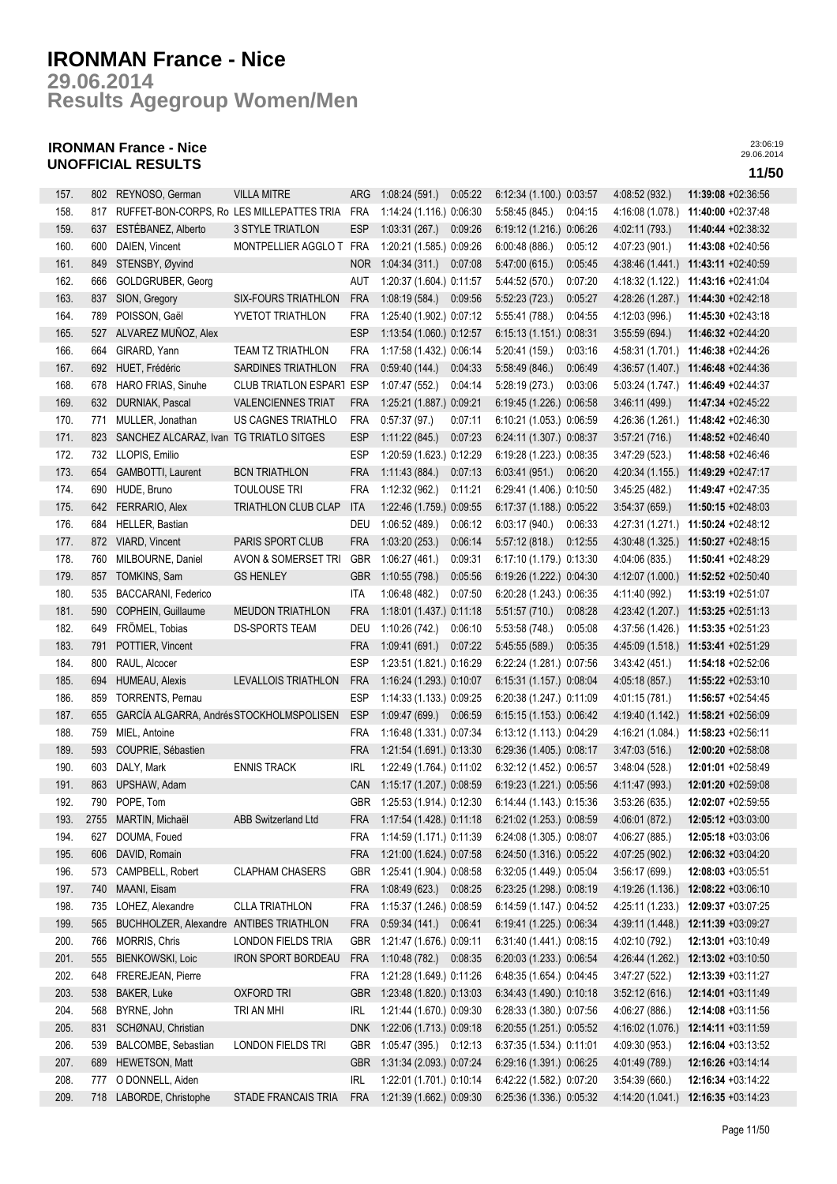**Results Agegroup Women/Men 29.06.2014**

## **IRONMAN France - Nice UNOFFICIAL RESULTS 11/50**

| 157. |      | 802 REYNOSO, German                         | <b>VILLA MITRE</b>          | ARG        | 1:08:24(591)                 | 0:05:22 | 6:12:34 (1.100.) 0:03:57                             |         | 4:08:52 (932.)   | 11:39:08 +02:36:56   |
|------|------|---------------------------------------------|-----------------------------|------------|------------------------------|---------|------------------------------------------------------|---------|------------------|----------------------|
| 158. | 817  | RUFFET-BON-CORPS, Ro LES MILLEPATTES TRIA   |                             | FRA        | 1:14:24 (1.116.) 0:06:30     |         | 5:58:45 (845.)                                       | 0:04:15 | 4:16:08 (1.078.) | 11:40:00 +02:37:48   |
| 159. | 637  | ESTÉBANEZ, Alberto                          | <b>3 STYLE TRIATLON</b>     | <b>ESP</b> | 1:03:31(267)                 | 0:09:26 | 6:19:12 (1.216.) 0:06:26                             |         | 4:02:11 (793.)   | 11:40:44 +02:38:32   |
| 160. | 600  | DAIEN, Vincent                              | MONTPELLIER AGGLO T         | FRA        | 1:20:21 (1.585.) 0:09:26     |         | 6:00:48(886.)                                        | 0:05:12 | 4:07:23 (901.)   | 11:43:08 +02:40:56   |
| 161. | 849  | STENSBY, Øyvind                             |                             | NOR        | 1:04:34(311)                 | 0.07:08 | 5.47:00(615)                                         | 0:05:45 | 4:38:46(1.441)   | 11:43:11 +02:40:59   |
| 162. | 666  | GOLDGRUBER, Georg                           |                             | AUT        | 1:20:37 (1.604.) 0:11:57     |         | 5:44:52 (570.)                                       | 0:07:20 | 4:18:32 (1.122.) | 11:43:16 +02:41:04   |
| 163. | 837  | SION, Gregory                               | <b>SIX-FOURS TRIATHLON</b>  | <b>FRA</b> | 1:08:19(584)                 | 0:09:56 | 5.52:23(723)                                         | 0:05:27 | 4:28:26 (1.287.) | 11:44:30 +02:42:18   |
| 164. | 789  | POISSON, Gaël                               | YVETOT TRIATHLON            | <b>FRA</b> | 1:25:40 (1.902.) 0:07:12     |         | 5:55:41 (788.)                                       | 0:04:55 | 4:12:03 (996.)   | 11:45:30 +02:43:18   |
| 165. | 527  | ALVAREZ MUÑOZ, Alex                         |                             | <b>ESP</b> | 1:13:54 (1.060.) 0:12:57     |         | 6:15:13 (1.151.) 0:08:31                             |         | 3:55:59(694.)    | 11:46:32 +02:44:20   |
| 166. | 664  | GIRARD, Yann                                | TEAM TZ TRIATHLON           | <b>FRA</b> | 1:17:58 (1.432.) 0:06:14     |         | 5:20:41 (159.)                                       | 0:03:16 | 4:58:31 (1.701.) | 11:46:38 +02:44:26   |
| 167. | 692  | HUET, Frédéric                              | SARDINES TRIATHLON          | <b>FRA</b> | 0.59.40(144.)                | 0:04:33 | 5:58:49 (846.)                                       | 0:06:49 | 4:36:57 (1.407.) | 11:46:48 +02:44:36   |
| 168. | 678  | HARO FRIAS, Sinuhe                          | <b>CLUB TRIATLON ESPART</b> | <b>ESP</b> | 1:07:47 (552.)               | 0:04:14 | 5:28:19 (273.)                                       | 0:03:06 | 5:03:24 (1.747.) | 11:46:49 +02:44:37   |
| 169. | 632  | DURNIAK, Pascal                             | <b>VALENCIENNES TRIAT</b>   | <b>FRA</b> |                              |         |                                                      |         |                  | 11:47:34 +02:45:22   |
|      |      |                                             |                             |            | 1:25:21 (1.887.) 0:09:21     |         | 6:19:45 (1.226.) 0:06:58                             |         | 3.46:11(499)     |                      |
| 170. | 771  | MULLER, Jonathan                            | US CAGNES TRIATHLO          | <b>FRA</b> | 0:57:37(97.)                 | 0:07:11 | 6:10:21 (1.053.) 0:06:59                             |         | 4:26:36 (1.261.) | 11:48:42 +02:46:30   |
| 171. |      | 823 SANCHEZ ALCARAZ, Ivan TG TRIATLO SITGES |                             | <b>ESP</b> | 1:11:22(845.)                | 0:07:23 | 6:24:11 (1.307.) 0:08:37                             |         | 3:57:21(716)     | 11:48:52 +02:46:40   |
| 172. |      | 732 LLOPIS, Emilio                          |                             | <b>ESP</b> | 1:20:59 (1.623.) 0:12:29     |         | 6:19:28 (1.223.) 0:08:35                             |         | 3:47:29 (523.)   | 11:48:58 +02:46:46   |
| 173. | 654  | GAMBOTTI, Laurent                           | <b>BCN TRIATHLON</b>        | <b>FRA</b> | 1:11:43(884)                 | 0:07:13 | 6.03:41(951)                                         | 0:06:20 | 4:20:34 (1.155.) | 11:49:29 +02:47:17   |
| 174. | 690  | HUDE, Bruno                                 | <b>TOULOUSE TRI</b>         | <b>FRA</b> | 1:12:32 (962.)               | 0:11:21 | 6:29:41 (1.406.) 0:10:50                             |         | 3:45:25(482)     | 11:49:47 +02:47:35   |
| 175. | 642  | FERRARIO, Alex                              | TRIATHLON CLUB CLAP         | <b>ITA</b> | 1:22:46 (1.759.) 0:09:55     |         | 6:17:37 (1.188.) 0:05:22                             |         | 3:54:37(659)     | 11:50:15 +02:48:03   |
| 176. | 684  | HELLER, Bastian                             |                             | DEU        | 1:06:52 (489.)               | 0:06:12 | 6:03:17 (940.)                                       | 0:06:33 | 4:27:31 (1.271.) | 11:50:24 +02:48:12   |
| 177. | 872  | VIARD, Vincent                              | PARIS SPORT CLUB            | <b>FRA</b> | 1:03:20(253)                 | 0:06:14 | 5:57:12(818.)                                        | 0:12:55 | 4:30:48 (1.325.) | 11:50:27 +02:48:15   |
| 178. | 760  | MILBOURNE, Daniel                           | AVON & SOMERSET TRI         | <b>GBR</b> | 1:06:27 (461.)               | 0.09:31 | 6:17:10 (1.179.) 0:13:30                             |         | 4:04:06 (835.)   | 11:50:41 +02:48:29   |
| 179. | 857  | TOMKINS, Sam                                | <b>GS HENLEY</b>            | <b>GBR</b> | 1:10:55(798.)                | 0:05:56 | 6:19:26 (1.222.) 0:04:30                             |         | 4:12:07 (1.000.) | 11:52:52 +02:50:40   |
| 180. | 535  | BACCARANI, Federico                         |                             | ITA        | 1:06:48(482.)                | 0:07:50 | 6:20:28 (1.243.) 0:06:35                             |         | 4:11:40 (992.)   | 11:53:19 +02:51:07   |
| 181. | 590  | COPHEIN, Guillaume                          | <b>MEUDON TRIATHLON</b>     | <b>FRA</b> | 1:18:01 (1.437.) 0:11:18     |         | 5:51:57(710.)                                        | 0:08:28 | 4:23:42 (1.207.) | 11:53:25 +02:51:13   |
| 182. | 649  | FRÖMEL, Tobias                              | DS-SPORTS TEAM              | DEU        | 1:10:26 (742.)               | 0:06:10 | 5:53:58 (748.)                                       | 0:05:08 | 4:37:56 (1.426.) | 11:53:35 +02:51:23   |
| 183. | 791  | POTTIER, Vincent                            |                             | <b>FRA</b> | 1:09:41(691.)                | 0:07:22 | 5:45:55 (589.)                                       | 0:05:35 | 4:45:09 (1.518.) | 11:53:41 +02:51:29   |
| 184. | 800  | RAUL, Alcocer                               |                             | <b>ESP</b> | 1:23:51 (1.821.) 0:16:29     |         | 6:22:24 (1.281.) 0:07:56                             |         | 3:43:42(451)     | 11:54:18 +02:52:06   |
| 185. | 694  | HUMEAU, Alexis                              | LEVALLOIS TRIATHLON         | <b>FRA</b> | 1:16:24 (1.293.) 0:10:07     |         | 6:15:31 (1.157.) 0:08:04                             |         | 4:05:18 (857.)   | 11:55:22 +02:53:10   |
| 186. | 859  | <b>TORRENTS, Pernau</b>                     |                             | <b>ESP</b> | 1:14:33 (1.133.) 0:09:25     |         | 6:20:38 (1.247.) 0:11:09                             |         | 4:01:15 (781.)   | 11:56:57 +02:54:45   |
| 187. | 655  | GARCÍA ALGARRA, Andrés STOCKHOLMSPOLISEN    |                             | <b>ESP</b> | 1:09:47 (699.) 0:06:59       |         | 6:15:15 (1.153.) 0:06:42                             |         | 4:19:40 (1.142.) | 11:58:21 +02:56:09   |
| 188. | 759  | MIEL, Antoine                               |                             | <b>FRA</b> | 1:16:48 (1.331.) 0:07:34     |         | 6:13:12 (1.113.) 0:04:29                             |         | 4:16:21 (1.084.) | 11:58:23 +02:56:11   |
| 189. | 593  | COUPRIE, Sébastien                          |                             | <b>FRA</b> | 1:21:54 (1.691.) 0:13:30     |         | 6:29:36 (1.405.) 0:08:17                             |         | 3.47:03(516)     | 12:00:20 +02:58:08   |
| 190. | 603  | DALY, Mark                                  | <b>ENNIS TRACK</b>          | <b>IRL</b> | 1:22:49 (1.764.) 0:11:02     |         | 6:32:12 (1.452.) 0:06:57                             |         | 3:48:04(528.)    | 12:01:01 +02:58:49   |
| 191. | 863  | UPSHAW, Adam                                |                             | CAN        | 1:15:17 (1.207.) 0:08:59     |         | 6:19:23 (1.221.) 0:05:56                             |         | 4:11:47 (993.)   | 12:01:20 +02:59:08   |
| 192. |      | 790 POPE, Tom                               |                             |            | GBR 1:25:53 (1.914.) 0:12:30 |         | 6:14:44 (1.143.) 0:15:36                             |         | 3:53:26(635)     | 12:02:07 +02:59:55   |
| 193. | 2755 | MARTIN, Michaël                             | <b>ABB Switzerland Ltd</b>  | FRA        | 1:17:54 (1.428.) 0:11:18     |         | 6:21:02 (1.253.) 0:08:59                             |         | 4:06:01 (872.)   | 12:05:12 +03:03:00   |
| 194. | 627  | DOUMA, Foued                                |                             | FRA        | 1:14:59 (1.171.) 0:11:39     |         | 6:24:08 (1.305.) 0:08:07                             |         | 4:06:27 (885.)   | 12:05:18 +03:03:06   |
| 195. | 606  | DAVID, Romain                               |                             | <b>FRA</b> | 1:21:00 (1.624.) 0:07:58     |         | 6:24:50 (1.316.) 0:05:22                             |         | 4:07:25 (902.)   | 12:06:32 +03:04:20   |
| 196. | 573  | CAMPBELL, Robert                            | <b>CLAPHAM CHASERS</b>      | GBR        | 1:25:41 (1.904.) 0:08:58     |         | 6:32:05 (1.449.) 0:05:04                             |         | 3:56:17(699.)    | 12:08:03 +03:05:51   |
| 197. | 740  | MAANI, Eisam                                |                             | <b>FRA</b> | 1:08:49 (623.) 0:08:25       |         | 6:23:25 (1.298.) 0:08:19                             |         | 4:19:26 (1.136.) | 12:08:22 +03:06:10   |
| 198. | 735  | LOHEZ, Alexandre                            | <b>CLLA TRIATHLON</b>       | <b>FRA</b> | 1:15:37 (1.246.) 0:08:59     |         | 6:14:59 (1.147.) 0:04:52                             |         | 4:25:11 (1.233.) | 12:09:37 +03:07:25   |
| 199. | 565  | BUCHHOLZER, Alexandre ANTIBES TRIATHLON     |                             | <b>FRA</b> | 0.59.34(141)                 | 0:06:41 | 6:19:41 (1.225.) 0:06:34                             |         | 4:39:11 (1.448.) | 12:11:39 +03:09:27   |
|      |      | MORRIS, Chris                               | <b>LONDON FIELDS TRIA</b>   | <b>GBR</b> |                              |         |                                                      |         |                  |                      |
| 200. | 766  |                                             |                             |            | 1:21:47 (1.676.) 0:09:11     | 0:08:35 | 6:31:40 (1.441.) 0:08:15                             |         | 4:02:10 (792.)   | 12:13:01 +03:10:49   |
| 201. | 555  | <b>BIENKOWSKI, Loic</b>                     | <b>IRON SPORT BORDEAU</b>   | <b>FRA</b> | 1:10:48 (782.)               |         | 6:20:03 (1.233.) 0:06:54<br>6:48:35 (1.654.) 0:04:45 |         | 4:26:44 (1.262.) | 12:13:02 +03:10:50   |
| 202. | 648  | <b>FREREJEAN, Pierre</b>                    |                             | <b>FRA</b> | 1:21:28 (1.649.) 0:11:26     |         |                                                      |         | 3:47:27(522)     | $12:13:39 +03:11:27$ |
| 203. | 538  | <b>BAKER, Luke</b>                          | <b>OXFORD TRI</b>           | <b>GBR</b> | 1:23:48 (1.820.) 0:13:03     |         | 6:34:43 (1.490.) 0:10:18                             |         | 3:52:12(616)     | 12:14:01 +03:11:49   |
| 204. | 568  | BYRNE, John                                 | TRI AN MHI                  | <b>IRL</b> | 1:21:44 (1.670.) 0:09:30     |         | 6:28:33 (1.380.) 0:07:56                             |         | 4:06:27 (886.)   | 12:14:08 +03:11:56   |
| 205. | 831  | SCHØNAU, Christian                          |                             | <b>DNK</b> | 1:22:06 (1.713.) 0:09:18     |         | 6:20:55 (1.251.) 0:05:52                             |         | 4:16:02 (1.076.) | 12:14:11 +03:11:59   |
| 206. | 539  | BALCOMBE, Sebastian                         | LONDON FIELDS TRI           | <b>GBR</b> | 1:05:47 (395.) 0:12:13       |         | 6:37:35 (1.534.) 0:11:01                             |         | 4:09:30 (953.)   | 12:16:04 +03:13:52   |
| 207. | 689  | HEWETSON, Matt                              |                             | <b>GBR</b> | 1:31:34 (2.093.) 0:07:24     |         | 6:29:16 (1.391.) 0:06:25                             |         | 4:01:49 (789.)   | 12:16:26 +03:14:14   |
| 208. | 777  | O DONNELL, Aiden                            |                             | <b>IRL</b> | 1:22:01 (1.701.) 0:10:14     |         | 6:42:22 (1.582.) 0:07:20                             |         | 3:54:39(660)     | 12:16:34 +03:14:22   |
| 209. |      | 718 LABORDE, Christophe                     | STADE FRANCAIS TRIA         | <b>FRA</b> | 1:21:39 (1.662.) 0:09:30     |         | 6:25:36 (1.336.) 0:05:32                             |         | 4:14:20 (1.041.) | 12:16:35 +03:14:23   |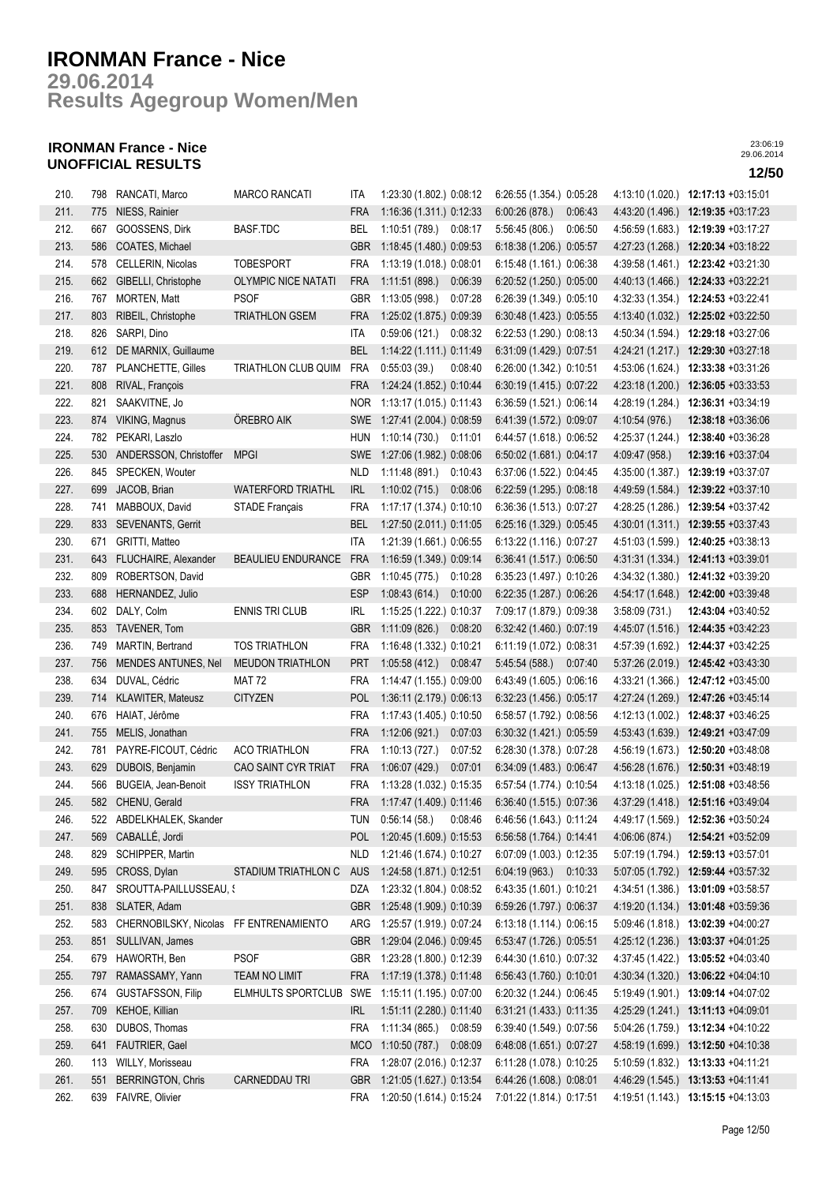## **Results Agegroup Women/Men 29.06.2014**

## **IRONMAN France - Nice UNOFFICIAL RESULTS 12/50**

| 210. |     | 798 RANCATI, Marco                     | <b>MARCO RANCATI</b>       | ITA        | 1:23:30 (1.802.) 0:08:12 |         | 6:26:55 (1.354.) 0:05:28 |         | 4:13:10 (1.020.) | 12:17:13 +03:15:01                  |
|------|-----|----------------------------------------|----------------------------|------------|--------------------------|---------|--------------------------|---------|------------------|-------------------------------------|
| 211. | 775 | NIESS, Rainier                         |                            | <b>FRA</b> | 1:16:36 (1.311.) 0:12:33 |         | 6:00:26(878.)            | 0:06:43 | 4:43:20 (1.496.) | 12:19:35 +03:17:23                  |
| 212. | 667 | GOOSSENS, Dirk                         | <b>BASF.TDC</b>            | BEL        | 1:10:51 (789.)           | 0:08:17 | 5:56:45 (806.)           | 0:06:50 | 4:56:59(1.683)   | $12:19:39 +03:17:27$                |
| 213. | 586 | COATES, Michael                        |                            | <b>GBR</b> | 1:18:45 (1.480.) 0:09:53 |         | 6:18:38 (1.206.) 0:05:57 |         | 4:27:23 (1.268.) | 12:20:34 +03:18:22                  |
| 214. | 578 | CELLERIN, Nicolas                      | <b>TOBESPORT</b>           | <b>FRA</b> | 1:13:19 (1.018.) 0.08:01 |         | 6:15:48 (1.161.) 0:06:38 |         |                  | 4:39:58 (1.461.) 12:23:42 +03:21:30 |
| 215. | 662 | GIBELLI, Christophe                    | <b>OLYMPIC NICE NATATI</b> | <b>FRA</b> | 1:11:51(898.)            | 0:06:39 | 6:20:52 (1.250.) 0:05:00 |         |                  | 4:40:13 (1.466.) 12:24:33 +03:22:21 |
| 216. | 767 | MORTEN, Matt                           | PSOF                       | GBR        | 1:13:05(998.)            | 0:07:28 | 6:26:39 (1.349.) 0:05:10 |         | 4:32:33(1.354)   | 12:24:53 +03:22:41                  |
| 217. | 803 | RIBEIL, Christophe                     | <b>TRIATHLON GSEM</b>      | <b>FRA</b> | 1:25:02 (1.875.) 0:09:39 |         | 6:30:48 (1.423.) 0:05:55 |         | 4:13:40 (1.032.) | 12:25:02 +03:22:50                  |
| 218. | 826 | SARPI, Dino                            |                            | ITA        | 0:59:06(121.)            | 0:08:32 | 6:22:53 (1.290.) 0:08:13 |         | 4:50:34 (1.594.) | 12:29:18 +03:27:06                  |
| 219. | 612 | DE MARNIX, Guillaume                   |                            | <b>BEL</b> | 1:14:22 (1.111.) 0:11:49 |         | 6:31:09 (1.429.) 0:07:51 |         | 4:24:21 (1.217.) | 12:29:30 +03:27:18                  |
| 220. | 787 | PLANCHETTE, Gilles                     | TRIATHLON CLUB QUIM        | <b>FRA</b> | 0:55:03(39)              | 0:08:40 | 6:26:00 (1.342.) 0:10:51 |         | 4:53:06 (1.624.) | 12:33:38 +03:31:26                  |
| 221. | 808 | RIVAL, François                        |                            | <b>FRA</b> | 1:24:24 (1.852.) 0:10:44 |         | 6:30:19 (1.415.) 0:07:22 |         | 4:23:18 (1.200.) | 12:36:05 +03:33:53                  |
| 222. | 821 | SAAKVITNE, Jo                          |                            | NOR.       | 1:13:17 (1.015.) 0:11:43 |         | 6:36:59 (1.521.) 0:06:14 |         | 4:28:19 (1.284.) | 12:36:31 +03:34:19                  |
| 223. |     | 874 VIKING, Magnus                     | OREBRO AIK                 | <b>SWE</b> | 1:27:41 (2.004) 0:08:59  |         | 6:41:39 (1.572.) 0:09:07 |         | 4:10:54 (976.)   | 12:38:18 +03:36:06                  |
| 224. | 782 | PEKARI, Laszlo                         |                            | <b>HUN</b> | 1:10:14 (730.)           | 0:11:01 | 6:44:57 (1.618.) 0:06:52 |         | 4:25:37 (1.244.) | 12:38:40 +03:36:28                  |
| 225. |     | 530 ANDERSSON, Christoffer             | <b>MPGI</b>                | <b>SWE</b> | 1:27:06 (1.982.) 0:08:06 |         | 6:50:02 (1.681.) 0:04:17 |         | 4:09:47 (958.)   | 12:39:16 +03:37:04                  |
| 226. | 845 | SPECKEN, Wouter                        |                            | <b>NLD</b> | 1:11:48 (891.)           | 0:10:43 | 6:37:06 (1.522.) 0:04:45 |         | 4:35:00 (1.387.) | 12:39:19 +03:37:07                  |
| 227. | 699 | JACOB, Brian                           | <b>WATERFORD TRIATHL</b>   | <b>IRL</b> | 1:10:02(715.)            | 0:08:06 | 6:22:59 (1.295.) 0:08:18 |         | 4:49:59 (1.584.) | 12:39:22 +03:37:10                  |
| 228. | 741 | MABBOUX, David                         | <b>STADE Français</b>      | <b>FRA</b> | 1:17:17 (1.374.) 0:10:10 |         | 6:36:36 (1.513.) 0:07:27 |         | 4:28:25 (1.286.) | 12:39:54 +03:37:42                  |
| 229. | 833 | <b>SEVENANTS, Gerrit</b>               |                            | <b>BEL</b> | 1:27:50 (2.011.) 0:11:05 |         | 6:25:16 (1.329.) 0:05:45 |         | 4:30:01 (1.311.) | 12:39:55 +03:37:43                  |
| 230. | 671 | GRITTI, Matteo                         |                            | ITA        | 1:21:39 (1.661.) 0:06:55 |         | 6:13:22 (1.116.) 0:07:27 |         | 4:51:03 (1.599.) | 12:40:25 +03:38:13                  |
| 231. | 643 | FLUCHAIRE, Alexander                   | <b>BEAULIEU ENDURANCE</b>  | <b>FRA</b> | 1:16:59 (1.349.) 0:09:14 |         | 6:36:41 (1.517.) 0:06:50 |         | 4:31:31 (1.334.) | 12:41:13 +03:39:01                  |
| 232. | 809 | ROBERTSON, David                       |                            | <b>GBR</b> | 1:10:45 (775.)           | 0:10:28 | 6:35:23 (1.497.) 0:10:26 |         | 4:34:32 (1.380.) | $12:41:32 +03:39:20$                |
| 233. | 688 | HERNANDEZ, Julio                       |                            | <b>ESP</b> | 1:08:43(614.)            | 0:10:00 | 6:22:35 (1.287.) 0:06:26 |         | 4:54:17 (1.648.) | 12:42:00 +03:39:48                  |
| 234. | 602 | DALY, Colm                             | <b>ENNIS TRI CLUB</b>      | <b>IRL</b> | 1:15:25 (1.222.) 0:10:37 |         | 7:09:17 (1.879.) 0:09:38 |         | 3:58:09(731)     | 12:43:04 +03:40:52                  |
| 235. | 853 | TAVENER, Tom                           |                            | <b>GBR</b> | 1:11:09(826.)            | 0:08:20 | 6:32:42 (1.460.) 0:07:19 |         | 4:45:07 (1.516.) | 12:44:35 +03:42:23                  |
| 236. | 749 | MARTIN, Bertrand                       | <b>TOS TRIATHLON</b>       | <b>FRA</b> | 1:16:48 (1.332.) 0:10:21 |         | 6:11:19 (1.072.) 0:08:31 |         | 4:57:39 (1.692.) | 12:44:37 +03:42:25                  |
| 237. | 756 | <b>MENDES ANTUNES, Nel</b>             | <b>MEUDON TRIATHLON</b>    | <b>PRT</b> | 1:05:58(412.)            | 0:08:47 | 5:45:54 (588.)           | 0:07:40 |                  | 5:37:26 (2.019.) 12:45:42 +03:43:30 |
| 238. | 634 | DUVAL, Cédric                          | <b>MAT 72</b>              | <b>FRA</b> | 1:14:47 (1.155.) 0:09:00 |         | 6:43:49 (1.605.) 0:06:16 |         | 4:33:21 (1.366.) | 12:47:12 +03:45:00                  |
| 239. | 714 | KLAWITER, Mateusz                      | <b>CITYZEN</b>             | <b>POL</b> | 1:36:11 (2.179.) 0:06:13 |         | 6:32:23 (1.456.) 0:05:17 |         |                  | 4:27:24 (1.269.) 12:47:26 +03:45:14 |
| 240. |     | 676 HAIAT, Jérôme                      |                            | <b>FRA</b> | 1:17:43 (1.405.) 0:10:50 |         | 6:58:57 (1.792.) 0:08:56 |         |                  |                                     |
| 241. |     | MELIS, Jonathan                        |                            | <b>FRA</b> | 1:12:06(921.)            | 0.07:03 | 6:30:32 (1.421.) 0:05:59 |         |                  | 4:12:13 (1.002.) 12:48:37 +03:46:25 |
| 242. | 755 |                                        | <b>ACO TRIATHLON</b>       |            |                          |         |                          |         |                  | 4:53:43 (1.639.) 12:49:21 +03:47:09 |
|      | 781 | PAYRE-FICOUT, Cédric                   |                            | <b>FRA</b> | 1:10:13 (727.)           | 0:07:52 | 6:28:30 (1.378.) 0:07:28 |         | 4:56:19 (1.673.) | 12:50:20 +03:48:08                  |
| 243. | 629 | DUBOIS, Benjamin                       | CAO SAINT CYR TRIAT        | <b>FRA</b> | 1:06:07(429.)            | 0:07:01 | 6:34:09 (1.483.) 0:06:47 |         |                  | 4:56:28 (1.676.) 12:50:31 +03:48:19 |
| 244. | 566 | BUGEIA, Jean-Benoit                    | <b>ISSY TRIATHLON</b>      | <b>FRA</b> | 1:13:28 (1.032.) 0:15:35 |         | 6:57:54 (1.774.) 0:10:54 |         | 4:13:18 (1.025.) | 12:51:08 +03:48:56                  |
| 245. | 582 | CHENU, Gerald                          |                            | <b>FRA</b> | 1:17:47 (1.409.) 0:11:46 |         | 6:36:40 (1.515.) 0:07:36 |         |                  | 4:37:29 (1.418.) 12:51:16 +03:49:04 |
| 246. | 522 | ABDELKHALEK, Skander                   |                            | tun        | 0:56:14(58)              | 0:08:46 | 6:46:56 (1.643.) 0:11:24 |         | 4:49:17 (1.569.) | 12:52:36 +03:50:24                  |
| 247. | 569 | CABALLÉ, Jordi                         |                            | <b>POL</b> | 1:20:45 (1.609.) 0:15:53 |         | 6:56:58 (1.764.) 0:14:41 |         | 4:06:06 (874.)   | 12:54:21 +03:52:09                  |
| 248. | 829 | SCHIPPER, Martin                       |                            | <b>NLD</b> | 1:21:46 (1.674.) 0:10:27 |         | 6:07:09 (1.003.) 0:12:35 |         | 5:07:19 (1.794.) | 12:59:13 +03:57:01                  |
| 249. | 595 | CROSS, Dylan                           | STADIUM TRIATHLON C        | <b>AUS</b> | 1:24:58 (1.871.) 0:12:51 |         | 6:04:19 (963.)           | 0:10:33 | 5:07:05 (1.792.) | 12:59:44 +03:57:32                  |
| 250. | 847 | SROUTTA-PAILLUSSEAU, {                 |                            | DZA        | 1:23:32 (1.804.) 0:08:52 |         | 6:43:35 (1.601.) 0:10:21 |         | 4:34:51 (1.386.) | 13:01:09 +03:58:57                  |
| 251. | 838 | SLATER, Adam                           |                            | <b>GBR</b> | 1:25:48 (1.909.) 0:10:39 |         | 6:59:26 (1.797.) 0:06:37 |         | 4:19:20 (1.134.) | 13:01:48 +03:59:36                  |
| 252. | 583 | CHERNOBILSKY, Nicolas FF ENTRENAMIENTO |                            | ARG        | 1:25:57 (1.919.) 0:07:24 |         | 6:13:18 (1.114.) 0:06:15 |         | 5:09:46 (1.818.) | 13:02:39 +04:00:27                  |
| 253. | 851 | SULLIVAN, James                        |                            | <b>GBR</b> | 1:29:04 (2.046.) 0:09:45 |         | 6:53:47 (1.726.) 0:05:51 |         | 4:25:12 (1.236.) | 13:03:37 +04:01:25                  |
| 254. | 679 | HAWORTH, Ben                           | <b>PSOF</b>                | GBR        | 1:23:28 (1.800.) 0:12:39 |         | 6:44:30 (1.610.) 0:07:32 |         | 4:37:45 (1.422.) | 13:05:52 +04:03:40                  |
| 255. | 797 | RAMASSAMY, Yann                        | <b>TEAM NO LIMIT</b>       | <b>FRA</b> | 1:17:19 (1.378.) 0:11:48 |         | 6:56:43 (1.760.) 0:10:01 |         |                  | 4:30:34 (1.320.) 13:06:22 +04:04:10 |
| 256. | 674 | <b>GUSTAFSSON, Filip</b>               | ELMHULTS SPORTCLUB         | SWE        | 1:15:11 (1.195.) 0:07:00 |         | 6:20:32 (1.244.) 0:06:45 |         |                  | 5:19:49 (1.901.) 13:09:14 +04:07:02 |
| 257. | 709 | KEHOE, Killian                         |                            | <b>IRL</b> | 1:51:11 (2.280.) 0:11:40 |         | 6:31:21 (1.433.) 0:11:35 |         |                  | 4:25:29 (1.241.) 13:11:13 +04:09:01 |
| 258. | 630 | DUBOS, Thomas                          |                            | <b>FRA</b> | 1:11:34 (865.)           | 0:08:59 | 6:39:40 (1.549.) 0:07:56 |         |                  | 5:04:26 (1.759.) 13:12:34 +04:10:22 |
| 259. | 641 | FAUTRIER, Gael                         |                            | <b>MCO</b> | 1:10:50 (787.) 0:08:09   |         | 6:48:08 (1.651.) 0:07:27 |         | 4:58:19 (1.699.) | 13:12:50 +04:10:38                  |
| 260. | 113 | WILLY, Morisseau                       |                            | <b>FRA</b> | 1:28:07 (2.016.) 0:12:37 |         | 6:11:28 (1.078.) 0:10:25 |         |                  | 5:10:59 (1.832.) 13:13:33 +04:11:21 |
| 261. | 551 | <b>BERRINGTON, Chris</b>               | CARNEDDAU TRI              | <b>GBR</b> | 1:21:05 (1.627.) 0:13:54 |         | 6:44:26 (1.608.) 0:08:01 |         | 4:46:29 (1.545.) | 13:13:53 +04:11:41                  |
| 262. | 639 | FAIVRE, Olivier                        |                            | <b>FRA</b> | 1:20:50 (1.614.) 0:15:24 |         | 7:01:22 (1.814.) 0:17:51 |         |                  | 4:19:51 (1.143.) 13:15:15 +04:13:03 |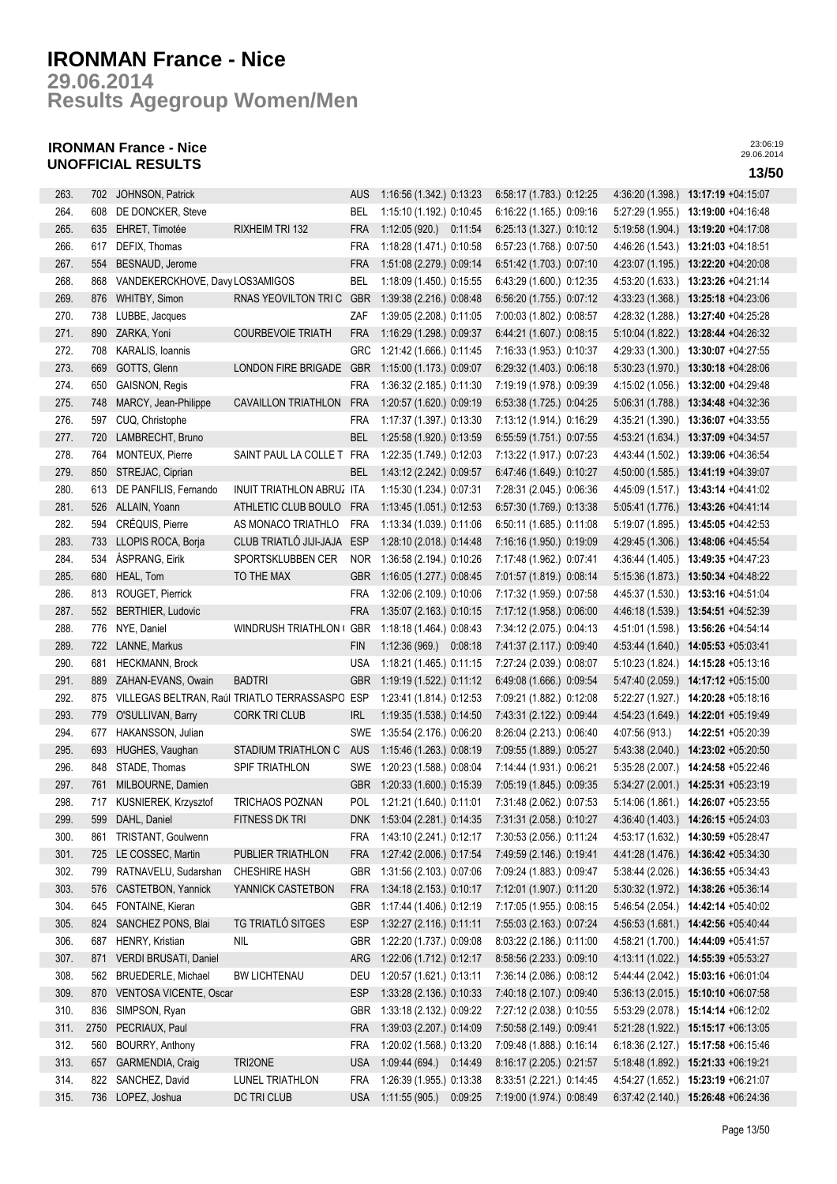**Results Agegroup Women/Men 29.06.2014**

## **IRONMAN France - Nice UNOFFICIAL RESULTS 13/50**

| 263. | 702  | JOHNSON, Patrick                |                                                    | <b>AUS</b> | 1:16:56 (1.342.) 0:13:23     |         | 6:58:17 (1.783.) 0:12:25 | 4:36:20 (1.398.) | 13:17:19 +04:15:07                  |
|------|------|---------------------------------|----------------------------------------------------|------------|------------------------------|---------|--------------------------|------------------|-------------------------------------|
| 264. | 608  | DE DONCKER, Steve               |                                                    | BEL        | 1:15:10 (1.192.) 0:10:45     |         | 6:16:22 (1.165.) 0:09:16 | 5:27:29 (1.955.) | 13:19:00 +04:16:48                  |
| 265. | 635  | EHRET, Timotée                  | RIXHEIM TRI 132                                    | <b>FRA</b> | 1:12:05 (920.) 0:11:54       |         | 6:25:13 (1.327.) 0:10:12 | 5:19:58 (1.904.) | 13:19:20 +04:17:08                  |
| 266. | 617  | DEFIX, Thomas                   |                                                    | <b>FRA</b> | 1:18:28 (1.471.) 0:10:58     |         | 6:57:23 (1.768.) 0:07:50 | 4:46:26 (1.543.) | 13:21:03 +04:18:51                  |
| 267. | 554  | BESNAUD, Jerome                 |                                                    | <b>FRA</b> | 1:51:08 (2.279.) 0:09:14     |         | 6:51:42 (1.703.) 0:07:10 |                  | 4:23:07 (1.195.) 13:22:20 +04:20:08 |
| 268. | 868  | VANDEKERCKHOVE, Davy LOS3AMIGOS |                                                    | BEL        | 1:18:09 (1.450.) 0:15:55     |         | 6:43:29 (1.600.) 0:12:35 | 4:53:20 (1.633.) | 13:23:26 +04:21:14                  |
| 269. | 876  | WHITBY, Simon                   | RNAS YEOVILTON TRIC                                | <b>GBR</b> | 1:39:38 (2.216.) 0:08:48     |         | 6:56:20 (1.755.) 0:07:12 | 4:33:23(1.368)   | 13:25:18 +04:23:06                  |
| 270. | 738  | LUBBE, Jacques                  |                                                    | ZAF        | 1:39:05 (2.208.) 0:11:05     |         | 7:00:03 (1.802.) 0:08:57 | 4:28:32 (1.288.) | 13:27:40 +04:25:28                  |
| 271. | 890  | ZARKA, Yoni                     | <b>COURBEVOIE TRIATH</b>                           | <b>FRA</b> | 1:16:29 (1.298.) 0:09:37     |         | 6:44:21 (1.607.) 0:08:15 | 5:10:04 (1.822.) | 13:28:44 +04:26:32                  |
| 272. | 708  | KARALIS, Ioannis                |                                                    | <b>GRC</b> | 1:21:42 (1.666.) 0:11:45     |         | 7:16:33 (1.953.) 0:10:37 | 4:29:33 (1.300.) | 13:30:07 +04:27:55                  |
|      |      |                                 |                                                    |            | 1:15:00 (1.173.) 0:09:07     |         | 6.29.32 (1.403.) 0.06:18 |                  |                                     |
| 273. | 669  | GOTTS, Glenn                    | LONDON FIRE BRIGADE                                | <b>GBR</b> |                              |         |                          | 5:30:23(1.970.)  | 13:30:18 +04:28:06                  |
| 274. | 650  | <b>GAISNON, Regis</b>           |                                                    | <b>FRA</b> | 1:36:32 (2.185.) 0:11:30     |         | 7:19:19 (1.978.) 0:09:39 | 4:15:02 (1.056.) | 13:32:00 +04:29:48                  |
| 275. | 748  | MARCY, Jean-Philippe            | <b>CAVAILLON TRIATHLON</b>                         | <b>FRA</b> | 1:20:57 (1.620.) 0:09:19     |         | 6:53:38 (1.725.) 0:04:25 |                  | 5:06:31 (1.788.) 13:34:48 +04:32:36 |
| 276. | 597  | CUQ, Christophe                 |                                                    | <b>FRA</b> | 1:17:37 (1.397.) 0:13:30     |         | 7:13:12 (1.914.) 0:16:29 |                  | 4:35:21 (1.390.) 13:36:07 +04:33:55 |
| 277. | 720  | LAMBRECHT, Bruno                |                                                    | <b>BEL</b> | 1:25:58 (1.920.) 0:13:59     |         | 6:55:59 (1.751.) 0:07:55 |                  | 4:53:21 (1.634.) 13:37:09 +04:34:57 |
| 278. | 764  | MONTEUX, Pierre                 | SAINT PAUL LA COLLE T FRA                          |            | 1:22:35 (1.749.) 0:12:03     |         | 7:13:22 (1.917.) 0:07:23 | 4:43:44 (1.502.) | 13:39:06 +04:36:54                  |
| 279. | 850  | STREJAC, Ciprian                |                                                    | <b>BEL</b> | 1:43:12 (2.242.) 0:09:57     |         | 6:47:46 (1.649.) 0:10:27 | 4:50:00 (1.585.) | 13:41:19 +04:39:07                  |
| 280. | 613  | DE PANFILIS, Fernando           | INUIT TRIATHLON ABRUZ ITA                          |            | 1:15:30 (1.234.) 0:07:31     |         | 7:28:31 (2.045.) 0:06:36 | 4:45:09 (1.517.) | 13:43:14 +04:41:02                  |
| 281. | 526  | ALLAIN, Yoann                   | ATHLETIC CLUB BOULO                                | <b>FRA</b> | 1:13:45 (1.051.) 0:12:53     |         | 6:57:30 (1.769.) 0:13:38 | 5:05:41 (1.776.) | 13:43:26 +04:41:14                  |
| 282. | 594  | CRÉQUIS, Pierre                 | AS MONACO TRIATHLO                                 | <b>FRA</b> | 1:13:34 (1.039.) 0:11:06     |         | 6:50:11 (1.685.) 0:11:08 | 5:19:07 (1.895.) | 13:45:05 +04:42:53                  |
| 283. | 733  | LLOPIS ROCA, Borja              | CLUB TRIATLÓ JIJI-JAJA                             | <b>ESP</b> | 1:28:10 (2.018.) 0:14:48     |         | 7:16:16 (1.950.) 0:19:09 | 4:29:45 (1.306.) | 13:48:06 +04:45:54                  |
| 284. | 534  | ÅSPRANG, Eirik                  | SPORTSKLUBBEN CER                                  | <b>NOR</b> | 1:36:58 (2.194.) 0:10:26     |         | 7:17:48 (1.962.) 0:07:41 | 4:36:44 (1.405.) | 13:49:35 +04:47:23                  |
| 285. | 680  | HEAL, Tom                       | TO THE MAX                                         | <b>GBR</b> | 1:16:05 (1.277.) 0:08:45     |         | 7:01:57 (1.819.) 0:08:14 |                  | 5:15:36 (1.873.) 13:50:34 +04:48:22 |
| 286. | 813  | ROUGET, Pierrick                |                                                    | <b>FRA</b> | 1:32:06 (2.109.) 0:10:06     |         | 7:17:32 (1.959.) 0:07:58 | 4:45:37 (1.530.) | 13:53:16 +04:51:04                  |
| 287. | 552  | <b>BERTHIER, Ludovic</b>        |                                                    | <b>FRA</b> | 1:35:07 (2.163.) 0:10:15     |         | 7:17:12 (1.958.) 0:06:00 | 4:46:18 (1.539.) | 13:54:51 +04:52:39                  |
| 288. | 776  | NYE, Daniel                     | WINDRUSH TRIATHLON (                               | GBR        | 1:18:18 (1.464.) 0:08:43     |         | 7:34:12 (2.075.) 0:04:13 | 4:51:01 (1.598.) | 13:56:26 +04:54:14                  |
| 289. | 722  | LANNE, Markus                   |                                                    | <b>FIN</b> | 1:12:36 (969.) 0:08:18       |         | 7:41:37 (2.117.) 0:09:40 | 4:53:44 (1.640.) | 14:05:53 +05:03:41                  |
| 290. | 681  | <b>HECKMANN, Brock</b>          |                                                    | <b>USA</b> | 1:18:21 (1.465.) 0:11:15     |         | 7:27:24 (2.039.) 0:08:07 | 5:10:23 (1.824.) | 14:15:28 +05:13:16                  |
| 291. | 889  | ZAHAN-EVANS, Owain              | <b>BADTRI</b>                                      | <b>GBR</b> | 1:19:19 (1.522.) 0:11:12     |         | 6:49:08 (1.666.) 0:09:54 |                  | 5:47:40 (2.059.) 14:17:12 +05:15:00 |
| 292. |      |                                 | 875 VILLEGAS BELTRAN, Raúl TRIATLO TERRASSASPO ESP |            | 1:23:41 (1.814.) 0:12:53     |         | 7:09:21 (1.882.) 0:12:08 |                  | 5:22:27 (1.927.) 14:20:28 +05:18:16 |
| 293. |      | 779 O'SULLIVAN, Barry           | <b>CORK TRI CLUB</b>                               | <b>IRL</b> | 1:19:35 (1.538.) 0:14:50     |         | 7:43:31 (2.122.) 0:09:44 |                  | 4:54:23 (1.649.) 14:22:01 +05:19:49 |
| 294. | 677  | HAKANSSON, Julian               |                                                    | SWE        | 1:35:54 (2.176.) 0:06:20     |         | 8:26:04 (2.213.) 0:06:40 | 4:07:56 (913.)   | 14:22:51 +05:20:39                  |
| 295. | 693  | HUGHES, Vaughan                 | STADIUM TRIATHLON C                                | AUS        | 1:15:46 (1.263.) 0:08:19     |         | 7:09:55 (1.889.) 0:05:27 | 5.43.38(2.040.)  | 14:23:02 +05:20:50                  |
| 296. | 848  | STADE, Thomas                   | SPIF TRIATHLON                                     | SWE        | 1:20:23 (1.588.) 0:08:04     |         | 7:14:44 (1.931.) 0:06:21 |                  | 5:35:28 (2.007.) 14:24:58 +05:22:46 |
| 297. | 761  | MILBOURNE, Damien               |                                                    | <b>GBR</b> | 1:20:33 (1.600.) 0:15:39     |         | 7:05:19 (1.845.) 0:09:35 |                  | 5:34:27 (2.001.) 14:25:31 +05:23:19 |
| 298. |      | 717 KUSNIEREK, Krzysztof        | <b>TRICHAOS POZNAN</b>                             | POL        | 1:21:21 (1.640.) 0:11:01     |         | 7:31:48 (2.062.) 0:07:53 |                  | 5:14:06 (1.861.) 14:26:07 +05:23:55 |
|      |      |                                 |                                                    |            |                              |         |                          |                  |                                     |
| 299. | 599  | DAHL, Daniel                    | FITNESS DK TRI                                     |            | DNK 1:53:04 (2.281.) 0:14:35 |         | 7:31:31 (2.058.) 0:10:27 |                  | 4:36:40 (1.403.) 14:26:15 +05:24:03 |
| 300. | 861  | TRISTANT, Goulwenn              |                                                    | FRA        | 1:43:10 (2.241.) 0:12:17     |         | 7:30:53 (2.056.) 0:11:24 | 4:53:17 (1.632.) | 14:30:59 +05:28:47                  |
| 301. | 725  | LE COSSEC, Martin               | PUBLIER TRIATHLON                                  | <b>FRA</b> | 1:27:42 (2.006.) 0:17:54     |         | 7:49:59 (2.146.) 0:19:41 |                  | 4:41:28 (1.476.) 14:36:42 +05:34:30 |
| 302. | 799  | RATNAVELU, Sudarshan            | <b>CHESHIRE HASH</b>                               | GBR        | 1:31:56 (2.103.) 0:07:06     |         | 7:09:24 (1.883.) 0:09:47 | 5:38:44 (2.026.) | 14:36:55 +05:34:43                  |
| 303. | 576  | CASTETBON, Yannick              | YANNICK CASTETBON                                  | <b>FRA</b> | 1:34:18 (2.153.) 0:10:17     |         | 7:12:01 (1.907.) 0:11:20 | 5:30:32(1.972)   | 14:38:26 +05:36:14                  |
| 304. | 645  | FONTAINE, Kieran                |                                                    | GBR        | 1:17:44 (1.406.) 0:12:19     |         | 7:17:05 (1.955.) 0:08:15 | 5:46:54 (2.054.) | 14:42:14 +05:40:02                  |
| 305. | 824  | SANCHEZ PONS, Blai              | TG TRIATLÓ SITGES                                  | <b>ESP</b> | 1:32:27 (2.116.) 0:11:11     |         | 7:55:03 (2.163.) 0:07:24 | 4:56:53 (1.681.) | 14:42:56 +05:40:44                  |
| 306. | 687  | HENRY, Kristian                 | <b>NIL</b>                                         | <b>GBR</b> | 1:22:20 (1.737.) 0:09:08     |         | 8:03:22 (2.186.) 0:11:00 | 4:58:21 (1.700.) | 14:44:09 +05:41:57                  |
| 307. | 871  | VERDI BRUSATI, Daniel           |                                                    | ARG        | 1:22:06 (1.712.) 0:12:17     |         | 8:58:56 (2.233.) 0:09:10 | 4:13:11 (1.022.) | 14:55:39 +05:53:27                  |
| 308. | 562  | <b>BRUEDERLE, Michael</b>       | <b>BW LICHTENAU</b>                                | DEU        | 1:20:57 (1.621.) 0:13:11     |         | 7:36:14 (2.086.) 0:08:12 |                  | 5:44:44 (2.042.) 15:03:16 +06:01:04 |
| 309. | 870  | VENTOSA VICENTE, Oscar          |                                                    | <b>ESP</b> | 1:33:28 (2.136.) 0:10:33     |         | 7:40:18 (2.107.) 0:09:40 |                  | 5:36:13 (2.015.) 15:10:10 +06:07:58 |
| 310. | 836  | SIMPSON, Ryan                   |                                                    | GBR        | 1:33:18 (2.132.) 0:09:22     |         | 7:27:12 (2.038.) 0:10:55 |                  | 5:53:29 (2.078.) 15:14:14 +06:12:02 |
| 311. | 2750 | PECRIAUX, Paul                  |                                                    | FRA        | 1:39:03 (2.207.) 0:14:09     |         | 7:50:58 (2.149.) 0:09:41 |                  | 5:21:28 (1.922.) 15:15:17 +06:13:05 |
| 312. | 560  | BOURRY, Anthony                 |                                                    | <b>FRA</b> | 1:20:02 (1.568.) 0:13:20     |         | 7:09:48 (1.888.) 0:16:14 |                  | 6:18:36 (2.127.) 15:17:58 +06:15:46 |
| 313. | 657  | GARMENDIA, Craig                | TRI2ONE                                            | <b>USA</b> | 1:09:44 (694.) 0:14:49       |         | 8:16:17 (2.205.) 0:21:57 |                  | 5:18:48 (1.892.) 15:21:33 +06:19:21 |
| 314. | 822  | SANCHEZ, David                  | LUNEL TRIATHLON                                    | <b>FRA</b> | 1:26:39 (1.955.) 0:13:38     |         | 8:33:51 (2.221.) 0:14:45 | 4:54:27 (1.652.) | 15:23:19 +06:21:07                  |
| 315. |      | 736 LOPEZ, Joshua               | DC TRI CLUB                                        | <b>USA</b> | 1:11:55(905.)                | 0:09:25 | 7:19:00 (1.974.) 0:08:49 |                  | 6:37:42 (2.140.) 15:26:48 +06:24:36 |
|      |      |                                 |                                                    |            |                              |         |                          |                  |                                     |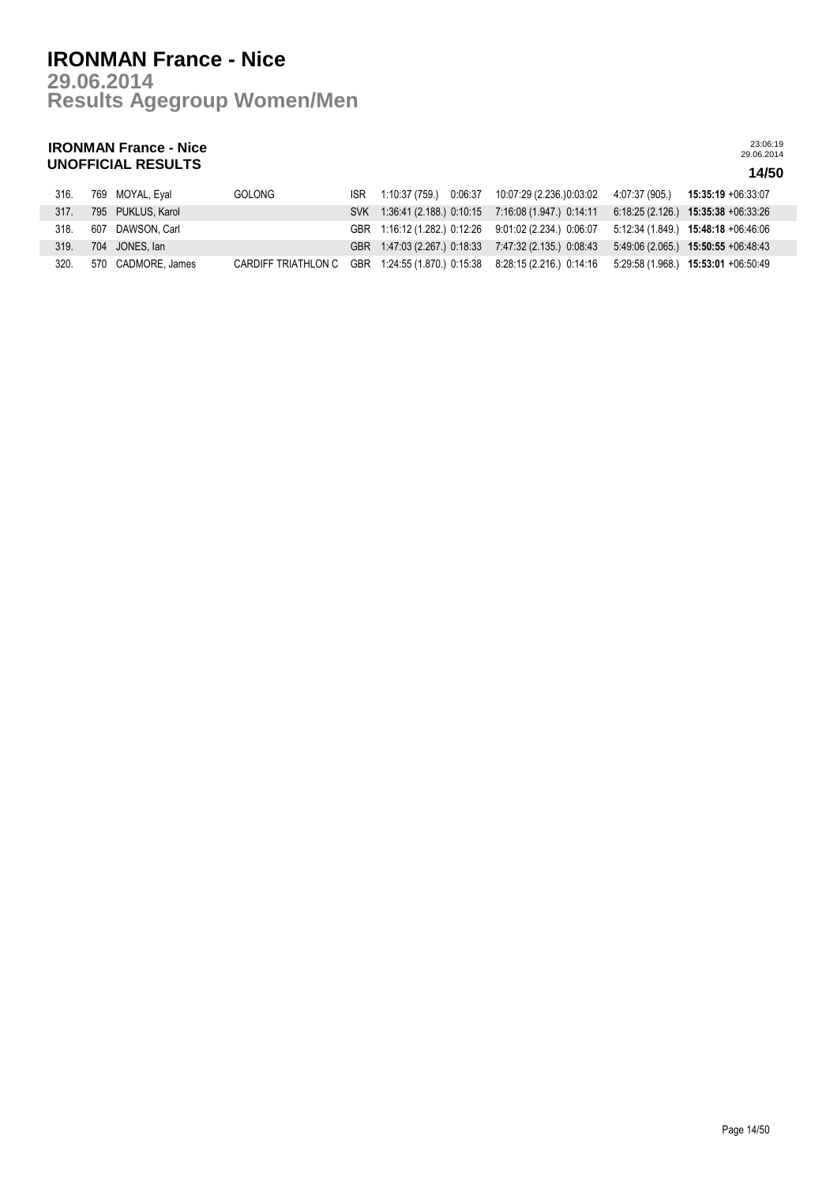**Results Agegroup Women/Men 29.06.2014**

## **IRONMAN France - Nice UNOFFICIAL RESULTS 14/50**

| 316. | 769 MOYAL, Eyal    | <b>GOLONG</b>       |  | ISR 1:10:37 (759.) 0:06:37 10:07:29 (2.236.)0:03:02                                       |                                     |
|------|--------------------|---------------------|--|-------------------------------------------------------------------------------------------|-------------------------------------|
| 317. | 795 PUKLUS, Karol  |                     |  | SVK 1:36:41 (2.188.) 0:10:15 7:16:08 (1.947.) 0:14:11 6:18:25 (2.126.) 15:35:38 +06:33:26 |                                     |
| 318. | 607 DAWSON, Carl   |                     |  | GBR 1:16:12 (1.282.) 0:12:26 9:01:02 (2.234.) 0:06:07 5:12:34 (1.849.) 15:48:18 +06:46:06 |                                     |
| 319. | 704 JONES, Ian     |                     |  | GBR 1:47:03 (2.267.) 0:18:33 7:47:32 (2.135.) 0:08:43                                     | $5.49.06(2.065)$ 15:50:55 +06:48:43 |
| 320. | 570 CADMORE, James | CARDIFF TRIATHLON C |  | GBR 1:24:55 (1.870.) 0:15:38 8:28:15 (2.216.) 0:14:16 5:29:58 (1.968.) 15:53:01 +06:50:49 |                                     |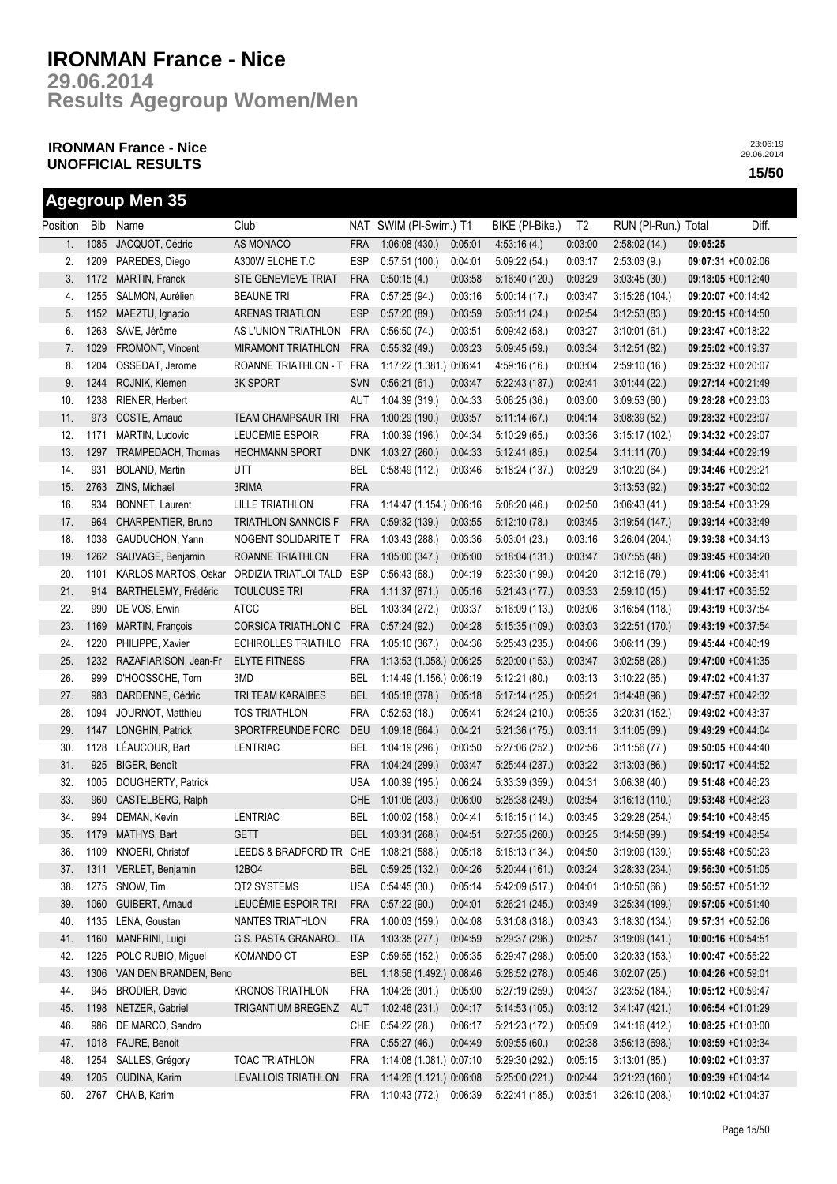**Results Agegroup Women/Men 29.06.2014**

## **IRONMAN France - Nice UNOFFICIAL RESULTS 15/50**

|          |      | <b>Agegroup Men 35</b> |                            |            |                          |         |                 |                |                     |                      |       |
|----------|------|------------------------|----------------------------|------------|--------------------------|---------|-----------------|----------------|---------------------|----------------------|-------|
| Position | Bib  | Name                   | Club                       |            | NAT SWIM (PI-Swim.) T1   |         | BIKE (PI-Bike.) | T <sub>2</sub> | RUN (PI-Run.) Total |                      | Diff. |
| 1.       | 1085 | JACQUOT, Cédric        | AS MONACO                  | <b>FRA</b> | 1:06:08(430.)            | 0:05:01 | 4:53:16(4.)     | 0:03:00        | 2:58:02(14.)        | 09:05:25             |       |
| 2.       | 1209 | PAREDES, Diego         | A300W ELCHE T.C            | <b>ESP</b> | 0:57:51(100.)            | 0.04:01 | 5:09:22(54.)    | 0:03:17        | 2:53:03(9.)         | 09:07:31 +00:02:06   |       |
| 3.       | 1172 | MARTIN, Franck         | STE GENEVIEVE TRIAT        | <b>FRA</b> | 0:50:15(4.)              | 0:03:58 | 5:16:40(120.)   | 0:03:29        | 3:03:45(30)         | 09:18:05 +00:12:40   |       |
| 4.       | 1255 | SALMON, Aurélien       | <b>BEAUNE TRI</b>          | <b>FRA</b> | 0:57:25(94.)             | 0:03:16 | 5:00:14(17.)    | 0:03:47        | 3:15:26(104.)       | 09:20:07 +00:14:42   |       |
| 5.       | 1152 | MAEZTU, Ignacio        | ARENAS TRIATLON            | <b>ESP</b> | 0:57:20(89.)             | 0:03:59 | 5:03:11(24.)    | 0:02:54        | 3:12:53(83)         | 09:20:15 +00:14:50   |       |
| 6.       | 1263 | SAVE, Jérôme           | AS L'UNION TRIATHLON       | <b>FRA</b> | 0:56:50(74.)             | 0:03:51 | 5.09:42(58.)    | 0:03:27        | 3:10:01(61)         | 09:23:47 +00:18:22   |       |
| 7.       | 1029 | FROMONT, Vincent       | <b>MIRAMONT TRIATHLON</b>  | <b>FRA</b> | 0:55:32(49.)             | 0:03:23 | 5:09:45(59)     | 0:03:34        | 3:12:51(82)         | 09:25:02 +00:19:37   |       |
| 8.       | 1204 | OSSEDAT, Jerome        | ROANNE TRIATHLON - T FRA   |            | 1:17:22 (1.381.) 0:06:41 |         | 4:59:16(16)     | 0:03:04        | 2:59:10(16.)        | 09:25:32 +00:20:07   |       |
| 9.       | 1244 | ROJNIK, Klemen         | <b>3K SPORT</b>            | <b>SVN</b> | 0:56:21(61)              | 0:03:47 | 5:22:43(187.)   | 0:02:41        | 3.01:44(22)         | 09:27:14 +00:21:49   |       |
| 10.      | 1238 | RIENER, Herbert        |                            | AUT        | 1:04:39(319)             | 0:04:33 | 5:06:25(36.)    | 0:03:00        | 3:09:53(60.)        | 09:28:28 +00:23:03   |       |
| 11.      | 973  | COSTE, Arnaud          | <b>TEAM CHAMPSAUR TRI</b>  | <b>FRA</b> | 1:00:29(190.)            | 0:03:57 | 5:11:14(67)     | 0:04:14        | 3.08:39(52)         | 09:28:32 +00:23:07   |       |
| 12.      | 1171 | MARTIN, Ludovic        | LEUCEMIE ESPOIR            | <b>FRA</b> | 1:00:39(196.)            | 0:04:34 | 5:10:29(65)     | 0:03:36        | 3:15:17(102.)       | 09:34:32 +00:29:07   |       |
| 13.      | 1297 | TRAMPEDACH, Thomas     | <b>HECHMANN SPORT</b>      | <b>DNK</b> | 1:03:27(260.)            | 0:04:33 | 5:12:41(85)     | 0:02:54        | 3:11:11(70.)        | 09:34:44 +00:29:19   |       |
| 14.      | 931  | BOLAND, Martin         | UTT                        | <b>BEL</b> | 0:58:49(112.)            | 0:03:46 | 5:18:24 (137.)  | 0:03:29        | 3:10:20(64.)        | 09:34:46 +00:29:21   |       |
| 15.      | 2763 | ZINS, Michael          | 3RIMA                      | <b>FRA</b> |                          |         |                 |                | 3:13:53(92)         | 09:35:27 +00:30:02   |       |
| 16.      | 934  | BONNET, Laurent        | <b>LILLE TRIATHLON</b>     | <b>FRA</b> | 1:14:47 (1.154.) 0:06:16 |         | 5:08:20(46.)    | 0:02:50        | 3:06:43(41)         | 09:38:54 +00:33:29   |       |
| 17.      | 964  | CHARPENTIER, Bruno     | <b>TRIATHLON SANNOIS F</b> | <b>FRA</b> | 0:59:32(139)             | 0:03:55 | 5:12:10(78.)    | 0:03:45        | 3:19:54(147.)       | 09:39:14 +00:33:49   |       |
| 18.      | 1038 | GAUDUCHON, Yann        | NOGENT SOLIDARITE T        | <b>FRA</b> | 1:03:43 (288.)           | 0:03:36 | 5:03:01(23.)    | 0:03:16        | 3:26:04(204.)       | 09:39:38 +00:34:13   |       |
| 19.      | 1262 | SAUVAGE, Benjamin      | ROANNE TRIATHLON           | <b>FRA</b> | 1:05:00(347.)            | 0:05:00 | 5:18:04(131.)   | 0:03:47        | 3:07:55(48.)        | 09:39:45 +00:34:20   |       |
| 20.      | 1101 | KARLOS MARTOS, Oskar   | ORDIZIA TRIATLOI TALD      | <b>ESP</b> | 0:56:43(68)              | 0.04:19 |                 | 0:04:20        |                     | 09:41:06 +00:35:41   |       |
|          |      | BARTHELEMY, Frédéric   |                            |            | 1:11:37(871)             | 0:05:16 | 5:23:30 (199.)  |                | 3:12:16(79)         |                      |       |
| 21.      | 914  |                        | <b>TOULOUSE TRI</b>        | <b>FRA</b> |                          |         | 5:21:43(177.)   | 0:03:33        | 2:59:10(15.)        | 09:41:17 +00:35:52   |       |
| 22.      | 990  | DE VOS, Erwin          | <b>ATCC</b>                | <b>BEL</b> | 1:03:34 (272.)           | 0:03:37 | 5:16:09(113.)   | 0:03:06        | 3:16:54(118.)       | 09:43:19 +00:37:54   |       |
| 23.      | 1169 | MARTIN, François       | <b>CORSICA TRIATHLON C</b> | <b>FRA</b> | 0:57:24(92.)             | 0:04:28 | 5:15:35(109.)   | 0:03:03        | 3:22:51(170.)       | 09:43:19 +00:37:54   |       |
| 24.      | 1220 | PHILIPPE, Xavier       | ECHIROLLES TRIATHLO        | <b>FRA</b> | 1:05:10 (367.)           | 0:04:36 | 5:25:43(235)    | 0:04:06        | 3:06:11(39)         | 09:45:44 +00:40:19   |       |
| 25.      | 1232 | RAZAFIARISON, Jean-Fr  | <b>ELYTE FITNESS</b>       | FRA        | 1:13:53 (1.058.) 0:06:25 |         | 5:20:00 (153.)  | 0:03:47        | 3:02:58(28.)        | 09:47:00 +00:41:35   |       |
| 26.      | 999  | D'HOOSSCHE, Tom        | 3MD                        | <b>BEL</b> | 1:14:49 (1.156.) 0:06:19 |         | 5:12:21(80.)    | 0:03:13        | 3:10:22(65)         | 09:47:02 +00:41:37   |       |
| 27.      | 983  | DARDENNE, Cédric       | TRI TEAM KARAIBES          | <b>BEL</b> | 1:05:18(378.)            | 0:05:18 | 5:17:14(125.)   | 0:05:21        | 3.14.48(96)         | 09:47:57 +00:42:32   |       |
| 28.      | 1094 | JOURNOT, Matthieu      | <b>TOS TRIATHLON</b>       | <b>FRA</b> | 0:52:53(18.)             | 0:05:41 | 5:24:24(210.)   | 0:05:35        | 3:20:31(152)        | 09:49:02 +00:43:37   |       |
| 29.      | 1147 | LONGHIN, Patrick       | SPORTFREUNDE FORC          | <b>DEU</b> | 1:09:18(664.)            | 0.04:21 | 5:21:36 (175.)  | 0:03:11        | 3:11:05(69)         | 09:49:29 +00:44:04   |       |
| 30.      | 1128 | LÉAUCOUR, Bart         | LENTRIAC                   | BEL        | 1:04:19(296.)            | 0:03:50 | 5:27:06 (252.)  | 0:02:56        | 3:11:56(77)         | 09:50:05 +00:44:40   |       |
| 31.      | 925  | BIGER, Benoît          |                            | <b>FRA</b> | 1:04:24(299.)            | 0:03:47 | 5:25:44(237.)   | 0:03:22        | 3:13:03(86)         | 09:50:17 +00:44:52   |       |
| 32.      | 1005 | DOUGHERTY, Patrick     |                            | <b>USA</b> | 1:00:39 (195.)           | 0:06:24 | 5:33:39 (359.)  | 0:04:31        | 3:06:38(40.)        | 09:51:48 +00:46:23   |       |
| 33.      | 960  | CASTELBERG, Ralph      |                            |            | CHE 1:01:06 (203.)       | 0:06:00 | 5:26:38 (249.)  | 0:03:54        | 3:16:13(110.)       | 09:53:48 +00:48:23   |       |
| 34.      |      | 994 DEMAN, Kevin       | LENTRIAC                   | <b>BEL</b> | 1:00:02 (158.) 0:04:41   |         | 5:16:15(114.)   | 0:03:45        | 3:29:28 (254.)      | 09:54:10 +00:48:45   |       |
| 35.      |      | 1179 MATHYS, Bart      | <b>GETT</b>                | <b>BEL</b> | 1:03:31 (268.)           | 0:04:51 | 5:27:35(260.)   | 0:03:25        | 3:14:58(99)         | 09:54:19 +00:48:54   |       |
| 36.      |      | 1109 KNOERI, Christof  | LEEDS & BRADFORD TR CHE    |            | 1:08:21 (588.)           | 0:05:18 | 5:18:13(134.)   | 0:04:50        | 3:19:09(139.)       | 09:55:48 +00:50:23   |       |
| 37.      | 1311 | VERLET, Benjamin       | 12BO4                      | <b>BEL</b> | 0.59.25(132.)            | 0:04:26 | 5:20:44(161.)   | 0:03:24        | 3:28:33(234.)       | 09:56:30 +00:51:05   |       |
| 38.      |      | 1275 SNOW, Tim         | QT2 SYSTEMS                | <b>USA</b> | 0:54:45(30.)             | 0.05:14 | 5:42:09(517)    | 0:04:01        | 3:10:50(66)         | 09:56:57 +00:51:32   |       |
| 39.      | 1060 | GUIBERT, Arnaud        | LEUCÉMIE ESPOIR TRI        | <b>FRA</b> | 0:57:22(90.)             | 0:04:01 | 5:26:21(245.)   | 0:03:49        | 3:25:34(199.)       | 09:57:05 +00:51:40   |       |
| 40.      | 1135 | LENA, Goustan          | NANTES TRIATHLON           | <b>FRA</b> | 1:00:03 (159.)           | 0:04:08 | 5:31:08(318.)   | 0:03:43        | 3:18:30(134.)       | 09:57:31 +00:52:06   |       |
| 41.      | 1160 | MANFRINI, Luigi        | G.S. PASTA GRANAROL        | ITA        | 1:03:35(277.)            | 0:04:59 | 5:29:37 (296.)  | 0:02:57        | 3:19:09(141.)       | 10:00:16 +00:54:51   |       |
| 42.      | 1225 | POLO RUBIO, Miguel     | KOMANDO CT                 | ESP        | 0:59:55(152.)            | 0:05:35 | 5:29:47 (298.)  | 0:05:00        | 3:20:33(153)        | 10:00:47 +00:55:22   |       |
| 43.      | 1306 | VAN DEN BRANDEN, Beno  |                            | <b>BEL</b> | 1:18:56 (1.492.) 0:08:46 |         | 5:28:52(278.)   | 0:05:46        | 3:02:07(25.)        | 10:04:26 +00:59:01   |       |
| 44.      | 945  | BRODIER, David         | <b>KRONOS TRIATHLON</b>    | FRA        | 1:04:26(301.)            | 0:05:00 | 5:27:19 (259.)  | 0:04:37        | 3:23:52(184.)       | 10:05:12 +00:59:47   |       |
| 45.      | 1198 | NETZER, Gabriel        | TRIGANTIUM BREGENZ         | <b>AUT</b> | 1:02:46(231.)            | 0:04:17 | 5:14:53(105.)   | 0:03:12        | 3.41.47(421)        | 10:06:54 +01:01:29   |       |
| 46.      | 986  | DE MARCO, Sandro       |                            | <b>CHE</b> | 0:54:22(28.)             | 0.06:17 | 5:21:23(172.)   | 0:05:09        | 3:41:16(412)        | $10:08:25 +01:03:00$ |       |
| 47.      | 1018 | FAURE, Benoit          |                            | <b>FRA</b> | 0:55:27(46.)             | 0.04:49 | 5:09:55(60.)    | 0:02:38        | 3:56:13(698)        | 10:08:59 +01:03:34   |       |
| 48.      | 1254 | SALLES, Grégory        | <b>TOAC TRIATHLON</b>      | <b>FRA</b> | 1:14:08 (1.081.) 0:07:10 |         | 5:29:30 (292.)  | 0:05:15        | 3:13:01(85)         | 10:09:02 +01:03:37   |       |
| 49.      | 1205 | OUDINA, Karim          | LEVALLOIS TRIATHLON        | <b>FRA</b> | 1:14:26 (1.121.) 0:06:08 |         | 5:25:00(221.)   | 0:02:44        | 3:21:23(160.)       | 10:09:39 +01:04:14   |       |
| 50.      | 2767 | CHAIB, Karim           |                            | FRA        | 1:10:43 (772.)           | 0:06:39 | 5:22:41 (185.)  | 0:03:51        | 3:26:10(208.)       | 10:10:02 +01:04:37   |       |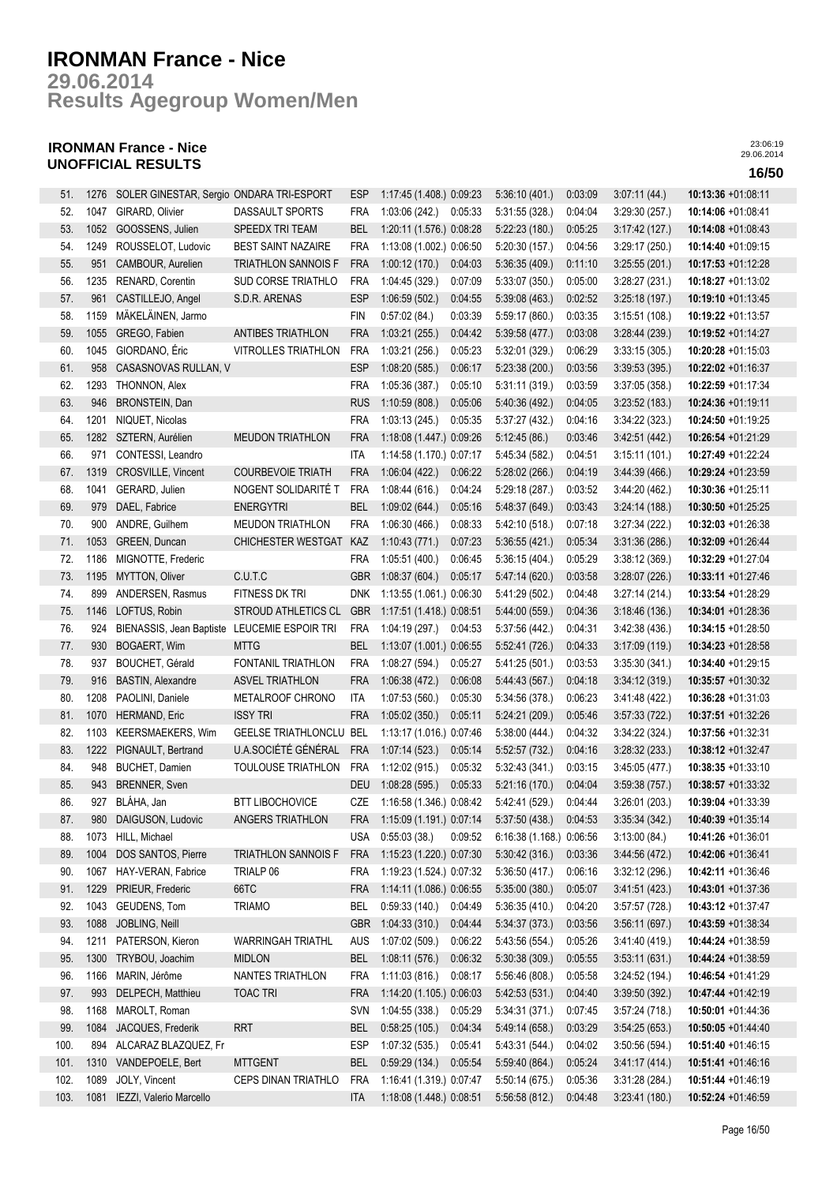**Results Agegroup Women/Men 29.06.2014**

## **IRONMAN France - Nice UNOFFICIAL RESULTS 16/50**

| 51.  | 1276 | SOLER GINESTAR, Sergio ONDARA TRI-ESPORT |                                | ESP        | 1:17:45 (1.408.) 0:09:23 |         | 5:36:10 (401.)           | 0:03:09 | 3.07:11(44)    | 10:13:36 +01:08:11    |
|------|------|------------------------------------------|--------------------------------|------------|--------------------------|---------|--------------------------|---------|----------------|-----------------------|
| 52.  | 1047 | GIRARD, Olivier                          | DASSAULT SPORTS                | <b>FRA</b> | 1:03:06 (242.)           | 0:05:33 | 5:31:55 (328.)           | 0:04:04 | 3:29:30(257.)  | 10:14:06 +01:08:41    |
| 53.  | 1052 | GOOSSENS, Julien                         | SPEEDX TRI TEAM                | <b>BEL</b> | 1:20:11 (1.576.) 0:08:28 |         | 5:22:23(180.)            | 0:05:25 | 3:17:42(127)   | 10:14:08 +01:08:43    |
| 54.  | 1249 | ROUSSELOT, Ludovic                       | <b>BEST SAINT NAZAIRE</b>      | <b>FRA</b> | 1:13:08 (1.002.) 0:06:50 |         | 5:20:30 (157.)           | 0:04:56 | 3:29:17(250.)  | 10:14:40 +01:09:15    |
| 55.  | 951  | CAMBOUR, Aurelien                        | <b>TRIATHLON SANNOIS F</b>     | <b>FRA</b> | 1:00:12(170.)            | 0:04:03 | 5:36:35(409.)            | 0:11:10 | 3:25:55(201.)  | 10:17:53 +01:12:28    |
| 56.  | 1235 | RENARD, Corentin                         | SUD CORSE TRIATHLO             | <b>FRA</b> | 1:04:45 (329.)           | 0:07:09 | 5:33:07(350.)            | 0:05:00 | 3:28:27 (231.) | 10:18:27 +01:13:02    |
| 57.  | 961  | CASTILLEJO, Angel                        | S.D.R. ARENAS                  | <b>ESP</b> | 1:06:59(502.)            | 0:04:55 | 5:39:08 (463.)           | 0:02:52 | 3:25:18(197.)  | 10:19:10 +01:13:45    |
| 58.  | 1159 | MÄKELÄINEN, Jarmo                        |                                | FIN        | 0:57:02(84.)             | 0:03:39 | 5:59:17 (860.)           | 0:03:35 | 3:15:51(108.)  | 10:19:22 +01:13:57    |
| 59.  | 1055 | GREGO, Fabien                            | ANTIBES TRIATHLON              | <b>FRA</b> | 1:03:21(255.)            | 0.04:42 | 5:39:58 (477.)           | 0:03:08 | 3:28:44(239.)  | 10:19:52 +01:14:27    |
| 60.  | 1045 | GIORDANO, Éric                           | VITROLLES TRIATHLON            | <b>FRA</b> | 1:03:21 (256.)           | 0:05:23 | 5:32:01 (329.)           | 0:06:29 | 3:33:15(305.)  | 10:20:28 +01:15:03    |
| 61.  | 958  | CASASNOVAS RULLAN, V                     |                                | <b>ESP</b> | 1:08:20(585.)            | 0:06:17 | 5:23:38(200.)            | 0:03:56 | 3:39:53(395.)  | 10:22:02 +01:16:37    |
| 62.  | 1293 | THONNON, Alex                            |                                | <b>FRA</b> | 1:05:36 (387.)           | 0:05:10 | 5:31:11(319)             | 0:03:59 | 3:37:05(358.)  | 10:22:59 +01:17:34    |
| 63.  | 946  | BRONSTEIN, Dan                           |                                | <b>RUS</b> | 1:10:59(808.)            | 0:05:06 | 5:40:36 (492.)           | 0:04:05 | 3:23:52(183)   | 10:24:36 +01:19:11    |
| 64.  | 1201 | NIQUET, Nicolas                          |                                | <b>FRA</b> | 1:03:13(245)             | 0:05:35 | 5:37:27(432.)            | 0:04:16 | 3:34:22(323.)  | 10:24:50 +01:19:25    |
| 65.  | 1282 | SZTERN, Aurélien                         | <b>MEUDON TRIATHLON</b>        | <b>FRA</b> | 1:18:08 (1.447.) 0:09:26 |         | 5:12:45(86.)             | 0:03:46 | 3.42:51(442.)  | 10:26:54 +01:21:29    |
| 66.  | 971  | CONTESSI, Leandro                        |                                | <b>ITA</b> | 1:14:58 (1.170.) 0:07:17 |         | 5:45:34 (582.)           | 0:04:51 | 3:15:11(101.)  | 10:27:49 +01:22:24    |
| 67.  | 1319 | CROSVILLE, Vincent                       | <b>COURBEVOIE TRIATH</b>       | <b>FRA</b> | 1:06:04(422.)            | 0:06:22 | 5:28:02 (266.)           | 0:04:19 | 3.44.39(466)   | 10:29:24 +01:23:59    |
| 68.  | 1041 | GERARD, Julien                           | NOGENT SOLIDARITÉ T            | <b>FRA</b> | 1:08:44(616.)            | 0:04:24 | 5:29:18(287)             | 0:03:52 | 3:44:20(462)   | $10:30:36 +01:25:11$  |
| 69.  | 979  | DAEL, Fabrice                            | <b>ENERGYTRI</b>               | <b>BEL</b> | 1:09:02(644.)            | 0:05:16 | 5:48:37 (649.)           | 0:03:43 | 3:24:14(188.)  | 10:30:50 +01:25:25    |
| 70.  | 900  | ANDRE, Guilhem                           | <b>MEUDON TRIATHLON</b>        | <b>FRA</b> | 1:06:30(466.)            | 0:08:33 | 5:42:10 (518.)           | 0:07:18 | 3:27:34(222)   | 10:32:03 +01:26:38    |
| 71.  | 1053 | GREEN, Duncan                            | CHICHESTER WESTGAT             | KAZ        | 1:10:43(771)             | 0:07:23 | 5:36:55(421.)            | 0:05:34 | 3:31:36(286.)  | 10:32:09 +01:26:44    |
| 72.  | 1186 | MIGNOTTE, Frederic                       |                                | <b>FRA</b> | 1:05:51 (400.)           | 0:06:45 | 5:36:15(404.)            | 0:05:29 | 3:38:12(369)   | 10:32:29 +01:27:04    |
| 73.  | 1195 | MYTTON, Oliver                           | C.U.T.C                        | <b>GBR</b> | 1:08:37(604.)            | 0:05:17 | 5:47:14 (620.)           | 0:03:58 | 3:28:07 (226.) | 10:33:11 +01:27:46    |
| 74.  | 899  | ANDERSEN, Rasmus                         | FITNESS DK TRI                 | <b>DNK</b> | 1:13:55 (1.061.) 0:06:30 |         | 5:41:29 (502.)           | 0.04:48 | 3:27:14(214)   | 10:33:54 +01:28:29    |
| 75.  | 1146 | LOFTUS, Robin                            | <b>STROUD ATHLETICS CL</b>     | <b>GBR</b> | 1:17:51 (1.418.) 0:08:51 |         | 5:44:00 (559.)           | 0:04:36 | 3:18:46(136.)  | 10:34:01 +01:28:36    |
| 76.  | 924  | BIENASSIS, Jean Baptiste                 | LEUCEMIE ESPOIR TRI            | <b>FRA</b> | 1:04:19 (297.)           | 0:04:53 | 5:37:56 (442.)           | 0:04:31 | 3.42.38(436)   | 10:34:15 +01:28:50    |
| 77.  | 930  | BOGAERT, Wim                             | <b>MTTG</b>                    | <b>BEL</b> | 1:13:07 (1.001.) 0:06:55 |         | 5:52:41 (726.)           | 0:04:33 | 3:17:09(119.)  | 10:34:23 +01:28:58    |
| 78.  | 937  | BOUCHET, Gérald                          | FONTANIL TRIATHLON             | <b>FRA</b> | 1:08:27 (594.)           | 0:05:27 | 5:41:25 (501.)           | 0:03:53 | 3:35:30(341)   | 10:34:40 +01:29:15    |
| 79.  | 916  | <b>BASTIN, Alexandre</b>                 | ASVEL TRIATHLON                | <b>FRA</b> | 1:06:38(472.)            | 0:06:08 | 5.44.43(567)             | 0:04:18 | 3:34:12(319)   | 10:35:57 +01:30:32    |
| 80.  | 1208 | PAOLINI, Daniele                         | METALROOF CHRONO               | <b>ITA</b> | 1:07:53(560.)            | 0:05:30 | 5:34:56 (378.)           | 0:06:23 | 3.41.48(422)   | 10:36:28 +01:31:03    |
| 81.  | 1070 | HERMAND, Eric                            | <b>ISSY TRI</b>                | <b>FRA</b> | 1:05:02(350.)            | 0:05:11 | 5:24:21(209.)            | 0:05:46 | 3:57:33(722)   | 10:37:51 +01:32:26    |
| 82.  | 1103 | <b>KEERSMAEKERS, Wim</b>                 | <b>GEELSE TRIATHLONCLU BEL</b> |            | 1:13:17 (1.016.) 0:07:46 |         | 5:38:00(444.)            | 0:04:32 | 3:34:22(324.)  | 10:37:56 +01:32:31    |
| 83.  | 1222 | PIGNAULT, Bertrand                       | U.A.SOCIÉTÉ GÉNÉRAL            | <b>FRA</b> | 1:07:14(523)             | 0:05:14 | 5:52:57 (732.)           | 0:04:16 | 3:28:32(233)   | 10:38:12 +01:32:47    |
| 84.  | 948  | BUCHET, Damien                           | TOULOUSE TRIATHLON             | <b>FRA</b> | 1:12:02 (915.)           | 0:05:32 | 5:32:43 (341.)           | 0:03:15 | 3:45:05(477.)  | 10:38:35 +01:33:10    |
| 85.  | 943  | <b>BRENNER, Sven</b>                     |                                | <b>DEU</b> | 1:08:28 (595.)           | 0:05:33 | 5:21:16 (170.)           | 0:04:04 | 3.59.38(757)   | 10:38:57 +01:33:32    |
| 86.  | 927  | BLÁHA, Jan                               | <b>BTT LIBOCHOVICE</b>         | CZE        | 1:16:58 (1.346.) 0:08:42 |         | 5:42:41 (529.)           | 0.04.44 | 3:26:01(203.)  | 10:39:04 +01:33:39    |
| 87.  | 980  | DAIGUSON, Ludovic                        | ANGERS TRIATHLON               | FRA        | 1:15:09 (1.191.) 0:07:14 |         | 5:37:50 (438.)           | 0:04:53 | 3:35:34(342)   | 10:40:39 +01:35:14    |
| 88.  | 1073 | HILL, Michael                            |                                | <b>USA</b> | 0:55:03(38.)             | 0:09:52 | 6:16:38 (1.168.) 0:06:56 |         | 3:13:00(84)    | 10:41:26 +01:36:01    |
| 89.  | 1004 | DOS SANTOS, Pierre                       | <b>TRIATHLON SANNOIS F</b>     | <b>FRA</b> | 1:15:23 (1.220.) 0:07:30 |         | 5:30:42(316.)            | 0:03:36 | 3:44:56(472)   | 10:42:06 +01:36:41    |
| 90.  | 1067 | HAY-VERAN, Fabrice                       | TRIALP 06                      | FRA        | 1:19:23 (1.524.) 0:07:32 |         | 5:36:50(417.)            | 0:06:16 | 3:32:12(296.)  | 10:42:11 +01:36:46    |
| 91.  | 1229 | PRIEUR, Frederic                         | 66TC                           | <b>FRA</b> | 1:14:11 (1.086.) 0:06:55 |         | 5:35:00 (380.)           | 0:05:07 | 3.41:51(423)   | 10:43:01 +01:37:36    |
| 92.  | 1043 | GEUDENS, Tom                             | <b>TRIAMO</b>                  | <b>BEL</b> | 0:59:33(140.)            | 0:04:49 | 5:36:35 (410.)           | 0:04:20 | 3:57:57(728)   | 10:43:12 +01:37:47    |
| 93.  | 1088 | JOBLING, Neill                           |                                | <b>GBR</b> | 1:04:33(310.)            | 0:04:44 | 5:34:37(373)             | 0:03:56 | 3:56:11(697)   | 10:43:59 +01:38:34    |
| 94.  | 1211 | PATERSON, Kieron                         | <b>WARRINGAH TRIATHL</b>       | AUS        | 1:07:02 (509.)           | 0:06:22 | 5:43:56 (554.)           | 0:05:26 | 3:41:40(419)   | 10:44:24 +01:38:59    |
| 95.  | 1300 | TRYBOU, Joachim                          | <b>MIDLON</b>                  | <b>BEL</b> | 1:08:11(576.)            | 0:06:32 | 5:30:38(309)             | 0:05:55 | 3:53:11(631)   | 10:44:24 +01:38:59    |
| 96.  | 1166 | MARIN, Jérôme                            | NANTES TRIATHLON               | <b>FRA</b> | 1:11:03 (816.)           | 0:08:17 | 5:56:46 (808.)           | 0:05:58 | 3:24:52(194.)  | $10:46:54 +01:41:29$  |
| 97.  | 993  | DELPECH, Matthieu                        | <b>TOAC TRI</b>                | <b>FRA</b> | 1:14:20 (1.105.) 0:06:03 |         | 5.42:53(531)             | 0:04:40 | 3:39:50(392.)  | 10:47:44 +01:42:19    |
| 98.  | 1168 | MAROLT, Roman                            |                                | SVN        | 1:04:55 (338.)           | 0:05:29 | 5:34:31(371)             | 0:07:45 | 3:57:24(718.)  | 10:50:01 +01:44:36    |
| 99.  | 1084 | JACQUES, Frederik                        | <b>RRT</b>                     | <b>BEL</b> | 0:58:25(105.)            | 0:04:34 | 5:49:14 (658.)           | 0:03:29 | 3:54:25(653)   | 10:50:05 +01:44:40    |
| 100. | 894  | ALCARAZ BLAZQUEZ, Fr                     |                                | <b>ESP</b> | 1:07:32 (535.)           | 0:05:41 | 5:43:31 (544.)           | 0:04:02 | 3:50:56(594.)  | 10:51:40 +01:46:15    |
| 101. | 1310 | VANDEPOELE, Bert                         | <b>MTTGENT</b>                 | <b>BEL</b> | 0.59.29(134.)            | 0:05:54 | 5.59.40(864.)            | 0:05:24 | 3.41:17(414)   | $10:51:41 + 01:46:16$ |
| 102. | 1089 | JOLY, Vincent                            | CEPS DINAN TRIATHLO            | <b>FRA</b> | 1:16:41 (1.319.) 0:07:47 |         | 5:50:14(675)             | 0:05:36 | 3.31:28(284)   | 10:51:44 +01:46:19    |
| 103. | 1081 | IEZZI, Valerio Marcello                  |                                | ITA        | 1:18:08 (1.448.) 0:08:51 |         | 5:56:58(812)             | 0.04.48 | 3:23:41(180.)  | 10:52:24 +01:46:59    |
|      |      |                                          |                                |            |                          |         |                          |         |                |                       |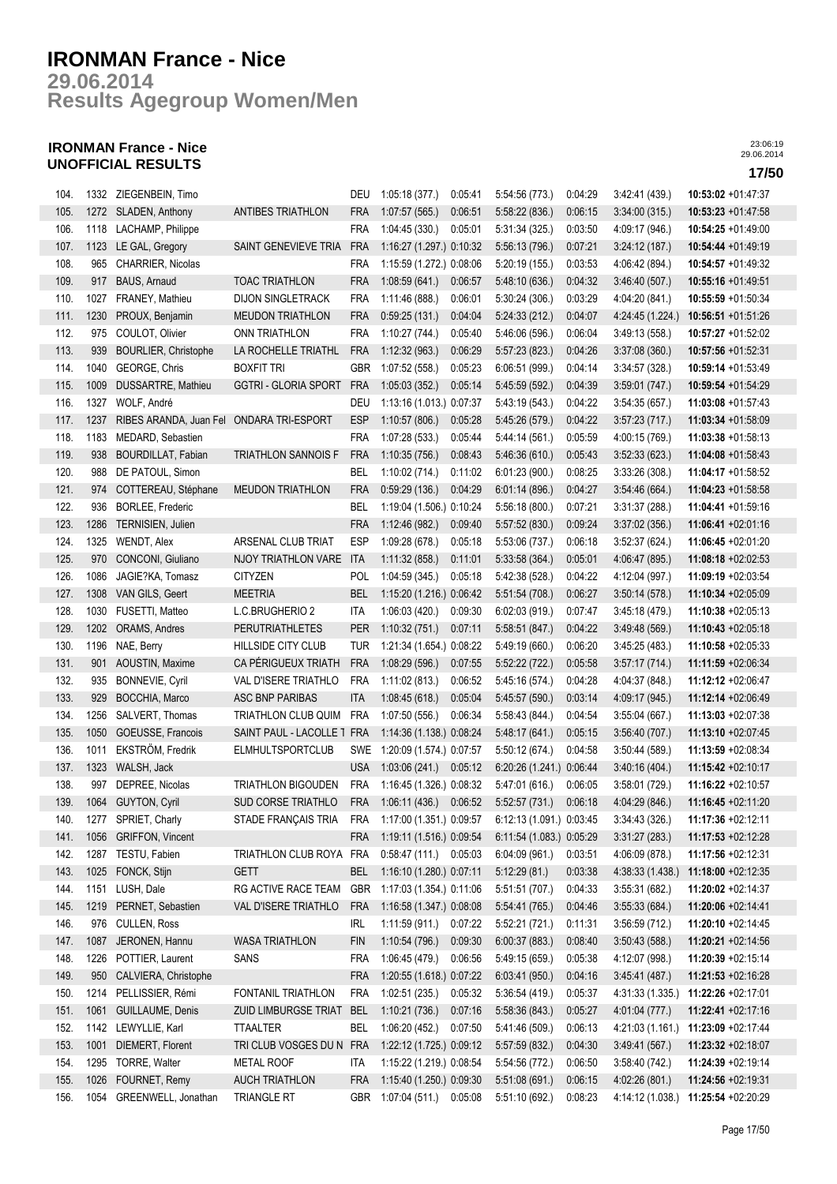**Results Agegroup Women/Men 29.06.2014**

## **IRONMAN France - Nice UNOFFICIAL RESULTS 17/50**

| 104. |      | 1332 ZIEGENBEIN, Timo                    |                             | DEU               | 1:05:18 (377.)               | 0.05:41 | 5:54:56 (773.)                                                       | 0:04:29 | 3.42.41(439)     | $10:53:02 +01:47:37$                |
|------|------|------------------------------------------|-----------------------------|-------------------|------------------------------|---------|----------------------------------------------------------------------|---------|------------------|-------------------------------------|
| 105. |      | 1272 SLADEN, Anthony                     | <b>ANTIBES TRIATHLON</b>    | FRA               | 1:07:57(565)                 | 0:06:51 | 5:58:22(836.)                                                        | 0:06:15 | 3:34:00(315)     | 10:53:23 +01:47:58                  |
| 106. |      | 1118 LACHAMP, Philippe                   |                             | <b>FRA</b>        | 1:04:45 (330.)               | 0:05:01 | 5:31:34 (325.)                                                       | 0:03:50 | 4:09:17 (946.)   | $10:54:25 +01:49:00$                |
| 107. | 1123 | LE GAL, Gregory                          | SAINT GENEVIEVE TRIA        | <b>FRA</b>        | 1:16:27 (1.297.) 0:10:32     |         | 5:56:13(796.)                                                        | 0:07:21 | 3.24:12(187)     | 10:54:44 +01:49:19                  |
| 108. | 965  | CHARRIER, Nicolas                        |                             | <b>FRA</b>        | 1:15:59 (1.272.) 0:08:06     |         | 5:20:19 (155.)                                                       | 0:03:53 | 4:06:42 (894.)   | 10:54:57 +01:49:32                  |
| 109. |      | 917 BAUS, Arnaud                         | <b>TOAC TRIATHLON</b>       | <b>FRA</b>        | 1:08:59(641)                 | 0:06:57 | 5.48:10(636)                                                         | 0:04:32 | 3:46:40(507)     | $10:55:16 + 01:49:51$               |
| 110. | 1027 | FRANEY, Mathieu                          | <b>DIJON SINGLETRACK</b>    | <b>FRA</b>        | 1:11:46 (888.)               | 0:06:01 | 5:30:24(306.)                                                        | 0:03:29 | 4:04:20 (841.)   | 10:55:59 +01:50:34                  |
| 111. | 1230 | PROUX, Benjamin                          | <b>MEUDON TRIATHLON</b>     | <b>FRA</b>        | 0:59:25(131.)                | 0.04:04 | 5:24:33(212)                                                         | 0:04:07 | 4:24:45 (1.224.) | $10:56:51 + 01:51:26$               |
| 112. | 975  | COULOT, Olivier                          | <b>ONN TRIATHLON</b>        | <b>FRA</b>        | 1:10:27(744.)                | 0:05:40 | 5:46:06 (596.)                                                       | 0:06:04 | 3:49:13(558)     | 10:57:27 +01:52:02                  |
| 113. | 939  | <b>BOURLIER, Christophe</b>              | LA ROCHELLE TRIATHL         | <b>FRA</b>        | 1:12:32(963)                 | 0:06:29 | 5.57:23(823)                                                         | 0:04:26 | 3.37:08(360)     | 10:57:56 +01:52:31                  |
| 114. | 1040 | GEORGE, Chris                            | <b>BOXFIT TRI</b>           | GBR               | 1:07:52 (558.)               | 0:05:23 | 6.06:51(999.)                                                        | 0:04:14 | 3:34:57(328)     | 10:59:14 +01:53:49                  |
| 115. | 1009 | DUSSARTRE, Mathieu                       | <b>GGTRI - GLORIA SPORT</b> | <b>FRA</b>        | 1:05:03(352.)                | 0:05:14 | 5.45.59(592.)                                                        | 0:04:39 | 3:59:01(747)     | 10:59:54 +01:54:29                  |
| 116. | 1327 | WOLF, André                              |                             | DEU               | 1:13:16 (1.013.) 0:07:37     |         | 5:43:19 (543.)                                                       | 0:04:22 | 3:54:35(657.)    | 11:03:08 +01:57:43                  |
| 117. | 1237 | RIBES ARANDA, Juan Fel ONDARA TRI-ESPORT |                             | <b>ESP</b>        | 1:10:57(806.)                | 0:05:28 | 5:45:26 (579.)                                                       | 0:04:22 | 3.57:23(717)     | 11:03:34 +01:58:09                  |
| 118. | 1183 |                                          |                             | <b>FRA</b>        | 1:07:28 (533.)               | 0:05:44 |                                                                      | 0:05:59 |                  |                                     |
|      |      | MEDARD, Sebastien                        |                             |                   |                              |         | 5.44:14(561)                                                         |         | 4:00:15 (769.)   | $11:03:38 +01:58:13$                |
| 119. | 938  | <b>BOURDILLAT, Fabian</b>                | <b>TRIATHLON SANNOIS F</b>  | <b>FRA</b>        | 1:10:35(756.)                | 0:08:43 | 5.46.36(610)                                                         | 0:05:43 | 3:52:33(623)     | 11:04:08 +01:58:43                  |
| 120. | 988  | DE PATOUL, Simon                         |                             | BEL               | 1:10:02 (714.)               | 0:11:02 | 6:01:23 (900.)                                                       | 0:08:25 | 3:33:26(308.)    | 11:04:17 +01:58:52                  |
| 121. | 974  | COTTEREAU, Stéphane                      | <b>MEUDON TRIATHLON</b>     | <b>FRA</b>        | 0:59:29(136.)                | 0.04.29 | 6:01:14(896)                                                         | 0:04:27 | 3.54.46(664)     | 11:04:23 +01:58:58                  |
| 122. |      | 936 BORLEE, Frederic                     |                             | BEL               | 1:19:04 (1.506.) 0:10:24     |         | 5:56:18(800.)                                                        | 0:07:21 | 3:31:37(288)     | 11:04:41 +01:59:16                  |
| 123. | 1286 | TERNISIEN, Julien                        |                             | <b>FRA</b>        | 1:12:46 (982.)               | 0:09:40 | 5:57:52 (830.)                                                       | 0:09:24 | 3:37:02(356.)    | 11:06:41 +02:01:16                  |
| 124. | 1325 | WENDT, Alex                              | ARSENAL CLUB TRIAT          | <b>ESP</b>        | 1:09:28(678.)                | 0:05:18 | 5:53:06 (737.)                                                       | 0:06:18 | 3:52:37 (624.)   | 11:06:45 +02:01:20                  |
| 125. | 970  | CONCONI, Giuliano                        | NJOY TRIATHLON VARE         | <b>ITA</b>        | 1:11:32(858.)                | 0:11:01 | 5.33.58(364)                                                         | 0:05:01 | 4:06:47 (895.)   | 11:08:18 +02:02:53                  |
| 126. | 1086 | JAGIE?KA, Tomasz                         | <b>CITYZEN</b>              | <b>POL</b>        | 1:04:59 (345.)               | 0:05:18 | 5.42:38(528)                                                         | 0:04:22 | 4:12:04 (997.)   | 11:09:19 +02:03:54                  |
| 127. | 1308 | VAN GILS, Geert                          | <b>MEETRIA</b>              | <b>BEL</b>        | 1:15:20 (1.216.) 0:06:42     |         | 5.51:54(708.)                                                        | 0:06:27 | 3:50:14(578)     | 11:10:34 +02:05:09                  |
| 128. | 1030 | FUSETTI, Matteo                          | L.C.BRUGHERIO 2             | ITA               | 1:06:03(420.)                | 0:09:30 | 6.02:03(919)                                                         | 0.07:47 | 3:45:18(479)     | 11:10:38 +02:05:13                  |
| 129. | 1202 | ORAMS, Andres                            | <b>PERUTRIATHLETES</b>      | <b>PER</b>        | 1:10:32 (751.)               | 0.07:11 | 5.58:51(847)                                                         | 0:04:22 | 3.49.48(569)     | 11:10:43 +02:05:18                  |
| 130. | 1196 | NAE, Berry                               | HILLSIDE CITY CLUB          | <b>TUR</b>        | 1:21:34 (1.654.) 0:08:22     |         | 5.49:19(660)                                                         | 0:06:20 | 3:45:25(483)     | 11:10:58 +02:05:33                  |
| 131. | 901  | AOUSTIN, Maxime                          | CA PÉRIGUEUX TRIATH         | <b>FRA</b>        | 1:08:29(596.)                | 0:07:55 | 5.52:22(722.)                                                        | 0:05:58 | 3.57:17(714)     | 11:11:59 +02:06:34                  |
| 132. | 935  | <b>BONNEVIE, Cyril</b>                   | VAL D'ISERE TRIATHLO        | <b>FRA</b>        | 1:11:02(813.)                | 0:06:52 | 5:45:16 (574.)                                                       | 0:04:28 | 4:04:37 (848.)   | 11:12:12 +02:06:47                  |
| 133. | 929  | BOCCHIA, Marco                           | ASC BNP PARIBAS             | <b>ITA</b>        | 1:08:45(618)                 | 0:05:04 | 5:45:57 (590.)                                                       | 0:03:14 | 4:09:17 (945.)   | 11:12:14 +02:06:49                  |
| 134. | 1256 | SALVERT, Thomas                          | TRIATHLON CLUB QUIM         | <b>FRA</b>        | 1:07:50 (556.)               | 0:06:34 | 5:58:43 (844.)                                                       | 0:04:54 | 3:55:04(667)     | 11:13:03 +02:07:38                  |
| 135. | 1050 | GOEUSSE, Francois                        | SAINT PAUL - LACOLLE 1 FRA  |                   | 1:14:36 (1.138.) 0:08:24     |         | 5.48:17(641)                                                         | 0:05:15 | 3.56.40(707.)    | 11:13:10 +02:07:45                  |
| 136. | 1011 | EKSTRÖM, Fredrik                         | <b>ELMHULTSPORTCLUB</b>     |                   | SWE 1:20:09 (1.574.) 0:07:57 |         | 5:50:12(674.)                                                        | 0.04.58 | 3:50:44(589)     | 11:13:59 +02:08:34                  |
| 137. |      | 1323 WALSH, Jack                         |                             | <b>USA</b>        | 1:03:06 (241.) 0:05:12       |         | 6:20:26 (1.241.) 0:06:44                                             |         | 3.40:16(404.)    | 11:15:42 +02:10:17                  |
| 138. | 997  | DEPREE, Nicolas                          | TRIATHLON BIGOUDEN          | FRA               | 1:16:45 (1.326.) 0:08:32     |         | 5:47:01(616.)                                                        | 0:06:05 | 3:58:01(729)     | 11:16:22 +02:10:57                  |
| 139. |      | 1064 GUYTON, Cyril                       | SUD CORSE TRIATHLO          |                   | FRA 1:06:11 (436.) 0:06:52   |         | 5:52:57 (731.)                                                       | 0:06:18 | 4:04:29 (846.)   | 11:16:45 +02:11:20                  |
| 140. |      | 1277 SPRIET, Charly                      | STADE FRANÇAIS TRIA         |                   |                              |         | FRA 1:17:00 (1.351.) 0:09:57 6:12:13 (1.091.) 0:03:45 3:34:43 (326.) |         |                  | 11:17:36 +02:12:11                  |
| 141. | 1056 | <b>GRIFFON, Vincent</b>                  |                             | <b>FRA</b>        | 1:19:11 (1.516.) 0:09:54     |         | 6:11:54 (1.083.) 0:05:29                                             |         | 3:31:27(283)     | 11:17:53 +02:12:28                  |
| 142. | 1287 | TESTU, Fabien                            | TRIATHLON CLUB ROYA FRA     |                   | $0.58.47(111)$ $0.05.03$     |         | 6:04:09(961)                                                         | 0:03:51 | 4:06:09 (878.)   | 11:17:56 +02:12:31                  |
| 143. | 1025 | FONCK, Stijn                             | <b>GETT</b>                 | <b>BEL</b>        | 1:16:10 (1.280.) 0:07:11     |         | 5:12:29(81)                                                          | 0:03:38 | 4:38:33 (1.438.) | 11:18:00 +02:12:35                  |
| 144. |      | 1151 LUSH, Dale                          | RG ACTIVE RACE TEAM         | <b>GBR</b>        | 1:17:03 (1.354.) 0:11:06     |         | 5.51:51(707.)                                                        | 0:04:33 | 3:55:31(682)     | 11:20:02 +02:14:37                  |
| 145. | 1219 | PERNET, Sebastien                        | VAL D'ISERE TRIATHLO        | <b>FRA</b>        | 1:16:58 (1.347.) 0:08:08     |         | 5:54:41 (765.)                                                       | 0:04:46 | 3:55:33(684.)    | 11:20:06 +02:14:41                  |
| 146. | 976  | CULLEN, Ross                             |                             | IRL               | 1:11:59 (911.)               | 0:07:22 | 5.52:21(721)                                                         | 0:11:31 | 3:56:59(712.)    | 11:20:10 +02:14:45                  |
| 147. | 1087 | JERONEN, Hannu                           | <b>WASA TRIATHLON</b>       | <b>FIN</b>        | 1:10:54(796.)                | 0:09:30 | 6.00:37(883)                                                         | 0:08:40 | 3:50:43(588)     | 11:20:21 +02:14:56                  |
| 148. |      | POTTIER, Laurent                         | SANS                        |                   |                              |         |                                                                      |         |                  | 11:20:39 +02:15:14                  |
|      | 1226 |                                          |                             | FRA<br><b>FRA</b> | 1:06:45 (479.)               | 0:06:56 | 5.49:15(659)                                                         | 0:05:38 | 4:12:07 (998.)   |                                     |
| 149. | 950  | CALVIERA, Christophe                     |                             |                   | 1:20:55 (1.618.) 0:07:22     |         | 6:03:41(950.)                                                        | 0:04:16 | 3.45.41(487.)    | 11:21:53 +02:16:28                  |
| 150. | 1214 | PELLISSIER, Rémi                         | FONTANIL TRIATHLON          | <b>FRA</b>        | 1:02:51(235.)                | 0:05:32 | 5:36:54(419.)                                                        | 0:05:37 | 4 31 33 (1.335.) | 11:22:26 +02:17:01                  |
| 151. | 1061 | GUILLAUME, Denis                         | ZUID LIMBURGSE TRIAT        | <b>BEL</b>        | 1:10:21(736.)                | 0:07:16 | 5:58:36(843)                                                         | 0:05:27 | 4:01:04 (777.)   | 11:22:41 +02:17:16                  |
| 152. | 1142 | LEWYLLIE, Karl                           | <b>TTAALTER</b>             | BEL               | 1:06:20 (452.)               | 0:07:50 | 5:41:46 (509.)                                                       | 0:06:13 | 4:21:03 (1.161.) | 11:23:09 +02:17:44                  |
| 153. | 1001 | DIEMERT, Florent                         | TRI CLUB VOSGES DU N FRA    |                   | 1:22:12 (1.725.) 0:09:12     |         | 5:57:59 (832.)                                                       | 0:04:30 | 3.49.41(567)     | 11:23:32 +02:18:07                  |
| 154. |      | 1295 TORRE, Walter                       | <b>METAL ROOF</b>           | ITA               | 1:15:22 (1.219.) 0:08:54     |         | 5:54:56 (772.)                                                       | 0:06:50 | 3:58:40(742)     | 11:24:39 +02:19:14                  |
| 155. | 1026 | FOURNET, Remy                            | <b>AUCH TRIATHLON</b>       | <b>FRA</b>        | 1:15:40 (1.250.) 0:09:30     |         | 5:51:08(691)                                                         | 0:06:15 | 4:02:26 (801.)   | 11:24:56 +02:19:31                  |
| 156. |      | 1054 GREENWELL, Jonathan                 | <b>TRIANGLE RT</b>          |                   | GBR 1:07:04 (511.) 0:05:08   |         | 5:51:10 (692.)                                                       | 0:08:23 |                  | 4:14:12 (1.038.) 11:25:54 +02:20:29 |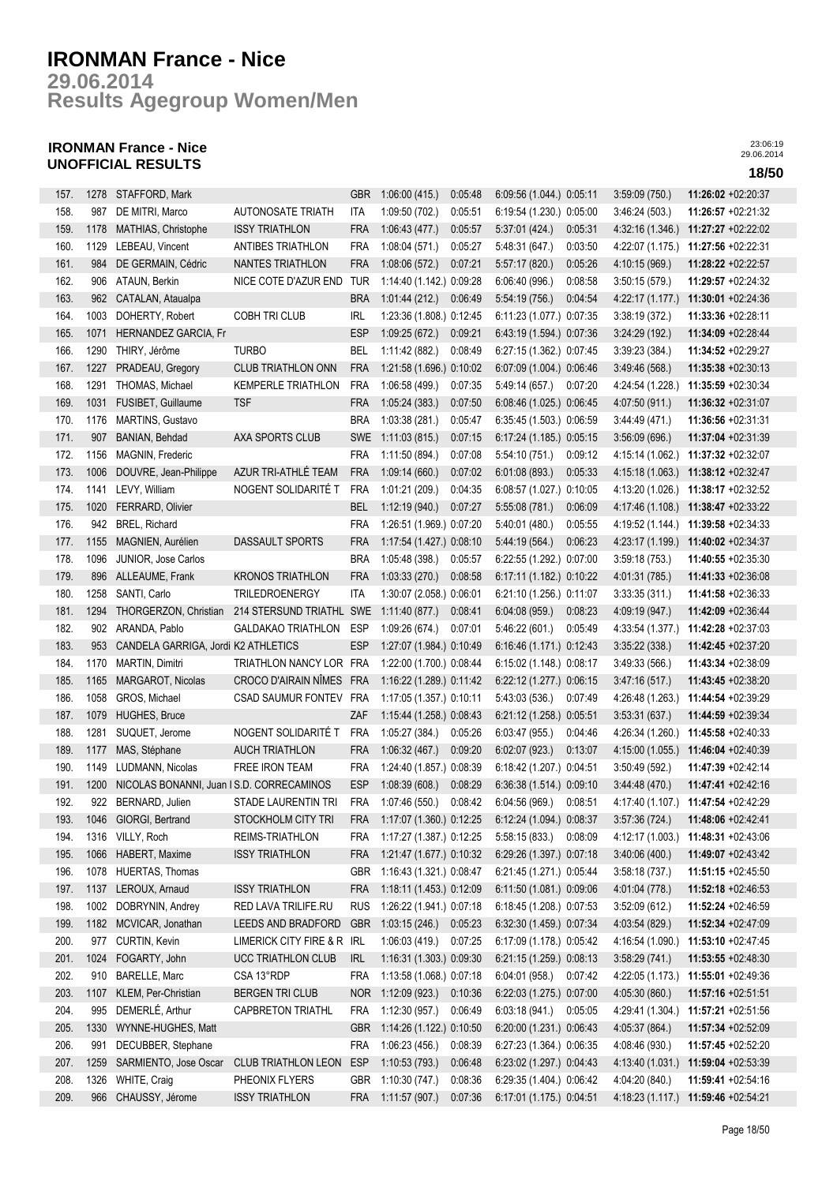**Results Agegroup Women/Men 29.06.2014**

## **IRONMAN France - Nice UNOFFICIAL RESULTS 18/50**

| 157. | 1278 | STAFFORD, Mark                           |                            | <b>GBR</b> | 1:06:00(415.)            | 0:05:48 | 6:09:56 (1.044.) 0:05:11  |         | 3:59:09(750.)    | $11:26:02 +02:20:37$                |
|------|------|------------------------------------------|----------------------------|------------|--------------------------|---------|---------------------------|---------|------------------|-------------------------------------|
| 158. | 987  | DE MITRI, Marco                          | <b>AUTONOSATE TRIATH</b>   | ITA        | 1:09:50(702.)            | 0:05:51 | 6:19:54 (1.230.) 0:05:00  |         | 3:46:24(503)     | 11:26:57 +02:21:32                  |
| 159. | 1178 | MATHIAS, Christophe                      | <b>ISSY TRIATHLON</b>      | <b>FRA</b> | 1:06:43(477.)            | 0:05:57 | 5:37:01(424)              | 0:05:31 | 4 32 16 (1.346.) | 11:27:27 +02:22:02                  |
| 160. | 1129 | LEBEAU, Vincent                          | <b>ANTIBES TRIATHLON</b>   | <b>FRA</b> | 1:08:04(571.)            | 0:05:27 | 5:48:31 (647.)            | 0:03:50 | 4:22:07 (1.175.) | 11:27:56 +02:22:31                  |
| 161. | 984  | DE GERMAIN, Cédric                       | NANTES TRIATHLON           | <b>FRA</b> | 1:08:06(572.)            | 0.07:21 | 5:57:17 (820.)            | 0:05:26 | 4:10:15 (969.)   | 11:28:22 +02:22:57                  |
| 162. | 906  | ATAUN, Berkin                            | NICE COTE D'AZUR END       | <b>TUR</b> | 1:14:40 (1.142.) 0:09:28 |         | 6:06:40 (996.)            | 0:08:58 | 3:50:15(579.)    | 11:29:57 +02:24:32                  |
| 163. | 962  | CATALAN, Ataualpa                        |                            | <b>BRA</b> | 1:01:44(212)             | 0:06:49 | 5:54:19 (756.)            | 0:04:54 | 4:22:17 (1.177.) | 11:30:01 +02:24:36                  |
| 164. | 1003 | DOHERTY, Robert                          | COBH TRI CLUB              | <b>IRL</b> | 1:23:36 (1.808.) 0:12:45 |         | $6:11:23(1.077.)$ 0:07:35 |         | 3:38:19 (372.)   | 11:33:36 +02:28:11                  |
| 165. | 1071 | HERNANDEZ GARCIA, Fr                     |                            | <b>ESP</b> | 1:09:25(672.)            | 0.09:21 | 6:43:19 (1.594.) 0:07:36  |         | 3:24:29(192)     | 11:34:09 +02:28:44                  |
| 166. | 1290 | THIRY, Jérôme                            | <b>TURBO</b>               | <b>BEL</b> | 1:11:42(882.)            | 0:08:49 | 6:27:15 (1.362.) 0:07:45  |         | 3:39:23(384.)    | 11:34:52 +02:29:27                  |
| 167. | 1227 | PRADEAU, Gregory                         | <b>CLUB TRIATHLON ONN</b>  | <b>FRA</b> | 1:21:58 (1.696.) 0:10:02 |         | 6:07:09 (1.004.) 0:06:46  |         | 3.49.46(568)     | 11:35:38 +02:30:13                  |
| 168. | 1291 | THOMAS, Michael                          | <b>KEMPERLE TRIATHLON</b>  | <b>FRA</b> | 1:06:58(499.)            | 0:07:35 | 5:49:14 (657.)            | 0.07:20 | 4:24:54 (1.228.) | 11:35:59 +02:30:34                  |
| 169. | 1031 | FUSIBET, Guillaume                       | <b>TSF</b>                 | <b>FRA</b> | 1:05:24(383.)            | 0:07:50 | 6:08:46 (1.025.) 0:06:45  |         | 4:07:50 (911.)   | 11:36:32 +02:31:07                  |
| 170. | 1176 | <b>MARTINS, Gustavo</b>                  |                            | <b>BRA</b> | 1:03:38(281)             | 0:05:47 | 6:35:45 (1.503.) 0:06:59  |         | 3.44.49(471)     | 11:36:56 +02:31:31                  |
| 171. | 907  | BANIAN, Behdad                           | AXA SPORTS CLUB            | <b>SWE</b> | 1:11:03(815)             | 0:07:15 | 6:17:24 (1.185.) 0:05:15  |         | 3:56:09 (696.)   | 11:37:04 +02:31:39                  |
| 172. | 1156 | MAGNIN, Frederic                         |                            | <b>FRA</b> | 1:11:50 (894.)           | 0:07:08 | 5:54:10(751)              | 0:09:12 | 4:15:14 (1.062.) | 11:37:32 +02:32:07                  |
| 173. | 1006 | DOUVRE, Jean-Philippe                    | AZUR TRI-ATHLÉ TEAM        | <b>FRA</b> | 1:09:14(660.)            | 0:07:02 | 6:01:08(893.)             | 0:05:33 | 4:15:18 (1.063.) | 11:38:12 +02:32:47                  |
| 174. | 1141 | LEVY, William                            | NOGENT SOLIDARITÉ T        | <b>FRA</b> | 1:01:21 (209.)           | 0:04:35 | 6:08:57 (1.027.) 0:10:05  |         | 4:13:20 (1.026.) | 11:38:17 +02:32:52                  |
| 175. | 1020 | FERRARD, Olivier                         |                            | <b>BEL</b> | 1:12:19(940.)            | 0:07:27 | 5:55:08(781.)             | 0:06:09 |                  | 4:17:46 (1.108.) 11:38:47 +02:33:22 |
| 176. | 942  | BREL, Richard                            |                            | <b>FRA</b> | 1:26:51 (1.969.) 0:07:20 |         | 5:40:01 (480.)            | 0:05:55 | 4:19:52 (1.144.) | 11:39:58 +02:34:33                  |
| 177. | 1155 | MAGNIEN, Aurélien                        | DASSAULT SPORTS            | <b>FRA</b> | 1:17:54 (1.427.) 0:08:10 |         | 5:44:19 (564.)            | 0:06:23 | 4:23:17 (1.199.) | 11:40:02 +02:34:37                  |
| 178. | 1096 | JUNIOR, Jose Carlos                      |                            | <b>BRA</b> | 1:05:48(398.)            | 0:05:57 | 6:22:55 (1.292.) 0:07:00  |         | 3:59:18(753)     | 11:40:55 +02:35:30                  |
| 179. | 896  | ALLEAUME, Frank                          | <b>KRONOS TRIATHLON</b>    | <b>FRA</b> | 1:03:33(270.)            | 0:08:58 | 6:17:11 (1.182.) 0:10:22  |         | 4:01:31 (785.)   | 11:41:33 +02:36:08                  |
| 180. | 1258 | SANTI, Carlo                             | TRILEDROENERGY             | <b>ITA</b> | 1:30:07 (2.058.) 0:06:01 |         | 6:21:10 (1.256.) 0:11:07  |         | 3:33:35(311)     | 11:41:58 +02:36:33                  |
| 181. | 1294 | THORGERZON, Christian                    | 214 STERSUND TRIATHL SWE   |            | 1:11:40(877.)            | 0:08:41 | 6:04:08(959)              | 0:08:23 | 4:09:19 (947.)   | 11:42:09 +02:36:44                  |
| 182. | 902  | ARANDA, Pablo                            | <b>GALDAKAO TRIATHLON</b>  | ESP        | 1:09:26(674.)            | 0.07:01 | 5:46:22(601.)             | 0:05:49 | 4:33:54 (1.377.) | 11:42:28 +02:37:03                  |
| 183. | 953  | CANDELA GARRIGA, Jordi K2 ATHLETICS      |                            | <b>ESP</b> | 1:27:07 (1.984.) 0:10:49 |         | 6:16:46 (1.171.) 0:12:43  |         | 3:35:22(338.)    | 11:42:45 +02:37:20                  |
| 184. | 1170 | MARTIN, Dimitri                          | TRIATHLON NANCY LOR FRA    |            | 1:22:00 (1.700.) 0:08:44 |         | 6:15:02 (1.148.) 0:08:17  |         | 3.49.33(566)     | 11:43:34 +02:38:09                  |
| 185. | 1165 | MARGAROT, Nicolas                        | CROCO D'AIRAIN NÎMES       | <b>FRA</b> | 1:16:22 (1.289.) 0:11:42 |         | 6:22:12 (1.277.) 0:06:15  |         | 3.47:16(517)     | 11:43:45 +02:38:20                  |
| 186. | 1058 | GROS, Michael                            | CSAD SAUMUR FONTEV FRA     |            | 1:17:05 (1.357.) 0:10:11 |         | 5:43:03(536)              | 0.07.49 | 4:26:48 (1.263.) | 11:44:54 +02:39:29                  |
| 187. | 1079 | <b>HUGHES, Bruce</b>                     |                            | ZAF        | 1:15:44 (1.258.) 0:08:43 |         | 6.21:12 (1.258.) 0:05:51  |         | 3:53:31(637)     | 11:44:59 +02:39:34                  |
| 188. | 1281 | SUQUET, Jerome                           | NOGENT SOLIDARITÉ T        | <b>FRA</b> | 1:05:27 (384.)           | 0:05:26 | 6:03:47(955.)             | 0:04:46 | 4:26:34 (1.260.) | 11:45:58 +02:40:33                  |
| 189. | 1177 | MAS, Stéphane                            | <b>AUCH TRIATHLON</b>      | <b>FRA</b> | 1:06:32(467.)            | 0.09:20 | 6:02:07(923.)             | 0:13:07 | 4:15:00 (1.055.) | 11:46:04 +02:40:39                  |
| 190. | 1149 | LUDMANN, Nicolas                         | FREE IRON TEAM             | <b>FRA</b> | 1:24:40 (1.857.) 0:08:39 |         | 6:18:42 (1.207.) 0:04:51  |         | 3:50.49(592)     | 11:47:39 +02:42:14                  |
| 191. | 1200 | NICOLAS BONANNI, Juan IS.D. CORRECAMINOS |                            | <b>ESP</b> | 1:08:39(608.)            | 0:08:29 | 6:36:38 (1.514.) 0:09:10  |         | 3.44.48(470.)    | 11:47:41 +02:42:16                  |
| 192. |      | 922 BERNARD, Julien                      | STADE LAURENTIN TRI        | <b>FRA</b> | 1:07:46(550.)            | 0:08:42 | 6:04:56(969.)             | 0:08:51 | 4:17:40 (1.107.) | 11:47:54 +02:42:29                  |
| 193. | 1046 | GIORGI, Bertrand                         | STOCKHOLM CITY TRI         | <b>FRA</b> | 1:17:07 (1.360.) 0:12:25 |         | 6:12:24 (1.094.) 0:08:37  |         | 3:57:36 (724.)   | 11:48:06 +02:42:41                  |
| 194. | 1316 | VILLY, Roch                              | REIMS-TRIATHLON            | FRA        | 1:17:27 (1.387.) 0:12:25 |         | 5:58:15(833.)             | 0:08:09 | 4:12:17 (1.003.) | 11:48:31 +02:43:06                  |
| 195. | 1066 | HABERT, Maxime                           | <b>ISSY TRIATHLON</b>      | <b>FRA</b> | 1:21:47 (1.677.) 0:10:32 |         | 6:29:26 (1.397.) 0:07:18  |         | 3.40:06(400.)    | 11:49:07 +02:43:42                  |
| 196. | 1078 | HUERTAS, Thomas                          |                            | <b>GBR</b> | 1:16:43 (1.321.) 0:08:47 |         | 6:21:45 (1.271.) 0:05:44  |         | 3:58:18(737.)    | 11:51:15 +02:45:50                  |
| 197. | 1137 | LEROUX, Arnaud                           | <b>ISSY TRIATHLON</b>      | <b>FRA</b> | 1:18:11 (1.453.) 0:12:09 |         | 6:11:50 (1.081.) 0:09:06  |         | 4:01:04 (778.)   | 11:52:18 +02:46:53                  |
| 198. | 1002 | DOBRYNIN, Andrey                         | RED LAVA TRILIFE.RU        | <b>RUS</b> | 1:26:22 (1.941.) 0:07:18 |         | 6:18:45 (1.208.) 0:07:53  |         | 3:52:09(612)     | 11:52:24 +02:46:59                  |
| 199. | 1182 | MCVICAR, Jonathan                        | LEEDS AND BRADFORD         | <b>GBR</b> | 1:03:15 (246.)           | 0:05:23 | 6:32:30 (1.459.) 0:07:34  |         | 4:03:54 (829.)   | 11:52:34 +02:47:09                  |
| 200. | 977  | CURTIN, Kevin                            | LIMERICK CITY FIRE & R IRL |            | 1:06:03(419)             | 0:07:25 | 6:17:09 (1.178.) 0:05:42  |         | 4:16:54 (1.090.) | $11:53:10 + 02:47:45$               |
| 201. | 1024 | FOGARTY, John                            | UCC TRIATHLON CLUB         | <b>IRL</b> | 1:16:31 (1.303.) 0:09:30 |         | 6:21:15 (1.259.) 0:08:13  |         | 3:58:29(741)     | 11:53:55 +02:48:30                  |
| 202. |      | 910 BARELLE, Marc                        | CSA 13°RDP                 | <b>FRA</b> | 1:13:58 (1.068.) 0:07:18 |         | 6:04:01(958)              | 0:07:42 | 4:22:05 (1.173.) | 11:55:01 +02:49:36                  |
| 203. | 1107 | KLEM, Per-Christian                      | BERGEN TRI CLUB            | NOR.       | 1:12:09 (923.)           | 0:10:36 | 6:22:03 (1.275.) 0:07:00  |         | 4:05:30 (860.)   | 11:57:16 +02:51:51                  |
| 204. | 995  | DEMERLÉ, Arthur                          | <b>CAPBRETON TRIATHL</b>   | <b>FRA</b> | 1:12:30 (957.)           | 0:06:49 | 6:03:18(941)              | 0:05:05 | 4:29:41 (1.304.) | 11:57:21 +02:51:56                  |
| 205. | 1330 | WYNNE-HUGHES, Matt                       |                            | <b>GBR</b> | 1:14:26 (1.122.) 0:10:50 |         | 6:20:00 (1.231.) 0:06:43  |         | 4:05:37 (864.)   | 11:57:34 +02:52:09                  |
| 206. | 991  | DECUBBER, Stephane                       |                            | <b>FRA</b> | 1:06:23(456.)            | 0:08:39 | 6:27:23 (1.364.) 0:06:35  |         | 4:08:46 (930.)   | 11:57:45 +02:52:20                  |
| 207. | 1259 | SARMIENTO, Jose Oscar                    | <b>CLUB TRIATHLON LEON</b> | <b>ESP</b> | 1:10:53(793)             | 0:06:48 | 6:23:02 (1.297.) 0:04:43  |         | 4:13:40 (1.031.) | 11:59:04 +02:53:39                  |
| 208. | 1326 | WHITE, Craig                             | PHEONIX FLYERS             | GBR        | 1:10:30 (747.)           | 0:08:36 | 6:29:35 (1.404.) 0:06:42  |         | 4:04:20 (840.)   | 11:59:41 +02:54:16                  |
| 209. | 966  | CHAUSSY, Jérome                          |                            | <b>FRA</b> | 1:11:57(907.)            | 0:07:36 | 6:17:01 (1.175.) 0:04:51  |         | 4:18:23 (1.117.) | 11:59:46 +02:54:21                  |
|      |      |                                          | <b>ISSY TRIATHLON</b>      |            |                          |         |                           |         |                  |                                     |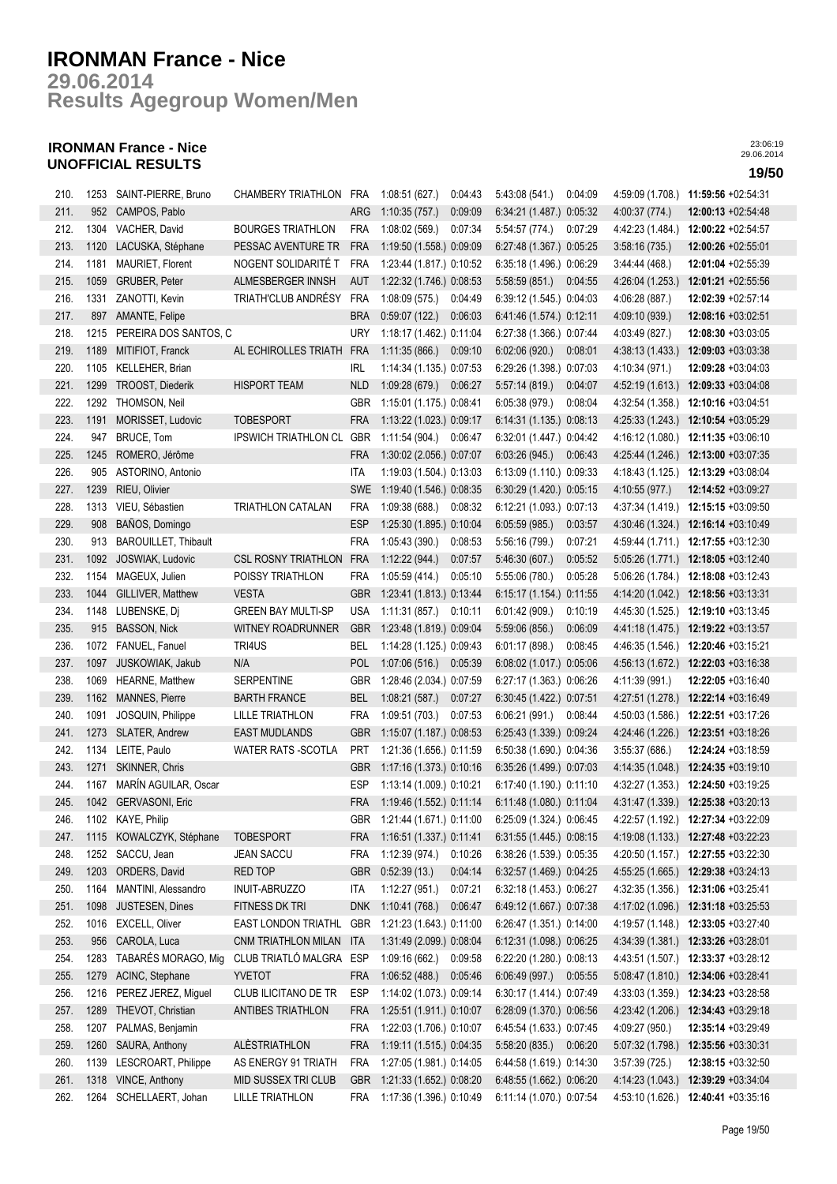**Results Agegroup Women/Men 29.06.2014**

## **IRONMAN France - Nice UNOFFICIAL RESULTS 19/50**

| 210. |      | 1253 SAINT-PIERRE, Bruno    | CHAMBERY TRIATHLON FRA 1:08:51 (627.) |            |                              | 0:04:43 | 5:43:08 (541.)           | 0.04.09 |                  | 4:59:09 (1.708.) 11:59:56 +02:54:31                                                       |
|------|------|-----------------------------|---------------------------------------|------------|------------------------------|---------|--------------------------|---------|------------------|-------------------------------------------------------------------------------------------|
| 211. |      | 952 CAMPOS, Pablo           |                                       | <b>ARG</b> | 1:10:35 (757.)               | 0:09:09 | 6:34:21 (1.487.) 0:05:32 |         | 4:00:37 (774.)   | 12:00:13 +02:54:48                                                                        |
| 212. |      | 1304 VACHER, David          | <b>BOURGES TRIATHLON</b>              | FRA        | 1:08:02 (569.)               | 0:07:34 | 5:54:57 (774.)           | 0:07:29 | 4:42:23 (1.484.) | 12:00:22 +02:54:57                                                                        |
| 213. | 1120 | LACUSKA, Stéphane           | PESSAC AVENTURE TR                    | <b>FRA</b> | 1:19:50 (1.558.) 0:09:09     |         | 6:27:48 (1.367.) 0:05:25 |         | 3:58:16(735)     | 12:00:26 +02:55:01                                                                        |
| 214. | 1181 | MAURIET, Florent            | NOGENT SOLIDARITÉ T                   | FRA        | 1:23:44 (1.817.) 0:10:52     |         | 6:35:18 (1.496.) 0:06:29 |         | 3.44.44(468)     | 12:01:04 +02:55:39                                                                        |
| 215. | 1059 | GRUBER, Peter               | ALMESBERGER INNSH                     | aut        | 1:22:32 (1.746.) 0:08:53     |         | 5.58.59(851)             | 0:04:55 | 4:26:04 (1.253.) | 12:01:21 +02:55:56                                                                        |
| 216. | 1331 | ZANOTTI, Kevin              | TRIATH'CLUB ANDRÉSY                   | FRA        | 1:08:09 (575.)               | 0:04:49 | 6:39:12 (1.545.) 0:04:03 |         | 4:06:28 (887.)   | 12:02:39 +02:57:14                                                                        |
| 217. |      | 897 AMANTE, Felipe          |                                       | <b>BRA</b> | 0.59.07(122.)                | 0:06:03 | 6.41.46 (1.574.) 0:12:11 |         | 4:09:10 (939.)   | 12:08:16 +03:02:51                                                                        |
| 218. |      | 1215 PEREIRA DOS SANTOS, C  |                                       | <b>URY</b> | 1:18:17 (1.462.) 0:11:04     |         | 6:27:38 (1.366.) 0:07:44 |         | 4:03:49 (827.)   | 12:08:30 +03:03:05                                                                        |
| 219. | 1189 | MITIFIOT, Franck            | AL ECHIROLLES TRIATH                  | <b>FRA</b> | 1:11:35 (866.) 0:09:10       |         | 6:02:06(920.)            | 0:08:01 | 4 38 13 (1.433.) | $12:09:03 +03:03:38$                                                                      |
| 220. | 1105 | KELLEHER, Brian             |                                       | IRL        | 1:14:34 (1.135.) 0:07:53     |         | 6:29:26 (1.398.) 0:07:03 |         | 4:10:34 (971.)   | $12:09:28 +03:04:03$                                                                      |
| 221. | 1299 | TROOST, Diederik            | <b>HISPORT TEAM</b>                   | <b>NLD</b> | 1:09:28 (679.) 0:06:27       |         | 5:57:14(819)             | 0:04:07 | 4:52:19 (1.613.) | 12:09:33 +03:04:08                                                                        |
| 222. | 1292 | THOMSON, Neil               |                                       | <b>GBR</b> | 1:15:01 (1.175.) 0:08:41     |         | 6:05:38(979)             | 0:08:04 | 4:32:54 (1.358.) | 12:10:16 +03:04:51                                                                        |
| 223. | 1191 | MORISSET, Ludovic           | <b>TOBESPORT</b>                      | <b>FRA</b> | 1:13:22 (1.023.) 0:09:17     |         | 6:14:31 (1.135.) 0:08:13 |         |                  | 4:25:33 (1.243.) 12:10:54 +03:05:29                                                       |
| 224. | 947  | BRUCE, Tom                  | <b>IPSWICH TRIATHLON CL</b>           | GBR        | $1:11:54(904.)$ 0.06:47      |         | 6:32:01 (1.447.) 0:04:42 |         |                  | 4:16:12 (1.080.) 12:11:35 +03:06:10                                                       |
| 225. | 1245 | ROMERO, Jérôme              |                                       | <b>FRA</b> | 1:30:02 (2.056.) 0:07:07     |         | 6:03:26(945)             | 0:06:43 |                  | 4:25:44 (1.246.) 12:13:00 +03:07:35                                                       |
| 226. | 905  | ASTORINO, Antonio           |                                       | ITA        | 1:19:03 (1.504.) 0:13:03     |         | 6:13:09 (1.110.) 0:09:33 |         |                  | 4:18:43 (1.125.) 12:13:29 +03:08:04                                                       |
| 227. | 1239 | RIEU, Olivier               |                                       |            | SWE 1:19:40 (1.546.) 0:08:35 |         | 6:30:29 (1.420.) 0:05:15 |         | 4:10:55 (977.)   | 12:14:52 +03:09:27                                                                        |
| 228. |      | 1313 VIEU, Sébastien        | TRIATHLON CATALAN                     | <b>FRA</b> | 1:09:38 (688.) 0:08:32       |         | 6:12:21 (1.093.) 0:07:13 |         |                  | 4:37:34 (1.419.) 12:15:15 +03:09:50                                                       |
| 229. | 908  | BAÑOS, Domingo              |                                       | <b>ESP</b> | 1:25:30 (1.895.) 0:10:04     |         | 6:05:59(985)             | 0:03:57 |                  | 4:30:46 (1.324.) 12:16:14 +03:10:49                                                       |
| 230. | 913  | <b>BAROUILLET, Thibault</b> |                                       | <b>FRA</b> | 1:05:43 (390.)               | 0:08:53 | 5:56:16 (799.)           | 0:07:21 |                  | 4:59:44 (1.711.) 12:17:55 +03:12:30                                                       |
| 231. | 1092 | JOSWIAK, Ludovic            | <b>CSL ROSNY TRIATHLON</b>            | FRA        | 1:12:22(944.)                | 0:07:57 | 5.46.30(607.)            | 0:05:52 |                  | $5:05:26(1.771)$ 12:18:05 +03:12:40                                                       |
| 232. | 1154 | MAGEUX, Julien              | POISSY TRIATHLON                      | FRA        | 1:05:59 (414.)               | 0:05:10 | 5:55:06 (780.)           | 0:05:28 |                  | $5:06:26(1.784.)$ 12:18:08 +03:12:43                                                      |
| 233. | 1044 | GILLIVER, Matthew           | <b>VESTA</b>                          | <b>GBR</b> | 1:23:41 (1.813.) 0:13:44     |         | 6:15:17 (1.154.) 0:11:55 |         |                  | 4:14:20 (1.042.) 12:18:56 +03:13:31                                                       |
| 234. |      | 1148 LUBENSKE, Dj           | <b>GREEN BAY MULTI-SP</b>             | <b>USA</b> | 1:11:31 (857.) 0:10:11       |         | 6:01:42(909.)            | 0:10:19 |                  | 4:45:30 (1.525.) 12:19:10 +03:13:45                                                       |
| 235. |      | 915 BASSON, Nick            | WITNEY ROADRUNNER                     | <b>GBR</b> | 1:23:48 (1.819.) 0:09:04     |         | 5.59.06(856)             | 0:06:09 |                  | 4:41:18 (1.475.) 12:19:22 +03:13:57                                                       |
| 236. |      | 1072 FANUEL, Fanuel         | TRI4US                                | BEL        | 1:14:28 (1.125.) 0:09:43     |         | 6:01:17(898.)            | 0:08:45 | 4:46:35 (1.546.) | 12:20:46 +03:15:21                                                                        |
| 237. | 1097 | JUSKOWIAK, Jakub            | N/A                                   | POL        | 1:07:06 (516.) 0:05:39       |         | 6:08:02 (1.017.) 0:05:06 |         | 4:56:13 (1.672.) | 12:22:03 +03:16:38                                                                        |
| 238. | 1069 | <b>HEARNE, Matthew</b>      | <b>SERPENTINE</b>                     | GBR        | 1:28:46 (2.034.) 0:07:59     |         | 6:27:17 (1.363.) 0:06:26 |         | 4:11:39 (991.)   | 12:22:05 +03:16:40                                                                        |
| 239. | 1162 | MANNES, Pierre              | <b>BARTH FRANCE</b>                   | <b>BEL</b> | 1:08:21(587)                 | 0:07:27 | 6:30:45 (1.422.) 0:07:51 |         | 4:27:51 (1.278.) | 12:22:14 +03:16:49                                                                        |
| 240. | 1091 | JOSQUIN, Philippe           | <b>LILLE TRIATHLON</b>                | <b>FRA</b> | 1:09:51 (703.)               | 0:07:53 | 6:06:21(991)             | 0:08:44 | 4:50:03 (1.586.) | 12:22:51 +03:17:26                                                                        |
| 241. |      | 1273 SLATER, Andrew         | <b>EAST MUDLANDS</b>                  | <b>GBR</b> | 1:15:07 (1.187.) 0:08:53     |         | 6:25:43 (1.339.) 0:09:24 |         |                  | 4:24:46 (1.226.) 12:23:51 +03:18:26                                                       |
| 242. |      | 1134 LEITE, Paulo           | <b>WATER RATS -SCOTLA</b>             | <b>PRT</b> | 1:21:36 (1.656.) 0:11:59     |         | 6:50:38 (1.690.) 0:04:36 |         | 3:55:37(686)     | 12:24:24 +03:18:59                                                                        |
| 243. | 1271 | SKINNER, Chris              |                                       | <b>GBR</b> | 1:17:16 (1.373.) 0:10:16     |         | 6:35:26 (1.499.) 0:07:03 |         |                  | 4:14:35 (1.048.) 12:24:35 +03:19:10                                                       |
| 244. |      | 1167 MARÍN AGUILAR, Oscar   |                                       | ESP        | 1:13:14 (1.009.) 0:10:21     |         | 6:17:40 (1.190.) 0:11:10 |         |                  | 4:32:27 (1.353.) 12:24:50 +03:19:25                                                       |
| 245. |      | 1042 GERVASONI, Eric        |                                       |            | FRA 1:19:46 (1.552.) 0:11:14 |         | 6:11:48 (1.080.) 0:11:04 |         |                  | 4:31:47 (1.339.) 12:25:38 +03:20:13                                                       |
| 246. |      | 1102 KAYE, Philip           |                                       |            |                              |         |                          |         |                  | GBR 1:21:44 (1.671.) 0:11:00 6:25:09 (1.324.) 0:06:45 4:22:57 (1.192.) 12:27:34 +03:22:09 |
| 247. |      | 1115 KOWALCZYK, Stéphane    | <b>TOBESPORT</b>                      | FRA        | 1:16:51 (1.337.) 0:11:41     |         | 6:31:55 (1.445.) 0:08:15 |         |                  | 4:19:08 (1.133.) 12:27:48 +03:22:23                                                       |
| 248. |      | 1252 SACCU, Jean            | <b>JEAN SACCU</b>                     | <b>FRA</b> | 1:12:39 (974.)               | 0:10:26 | 6:38:26 (1.539.) 0:05:35 |         |                  | 4:20:50 (1.157.) 12:27:55 +03:22:30                                                       |
| 249. | 1203 | ORDERS, David               | RED TOP                               | <b>GBR</b> | 0:52:39(13)                  | 0:04:14 | 6:32:57 (1.469.) 0:04:25 |         |                  | 4:55:25 (1.665.) 12:29:38 +03:24:13                                                       |
| 250. | 1164 | MANTINI, Alessandro         | <b>INUIT-ABRUZZO</b>                  | ITA        | 1:12:27(951.)                | 0:07:21 | 6:32:18 (1.453.) 0:06:27 |         |                  | 4:32:35 (1.356.) 12:31:06 +03:25:41                                                       |
| 251. | 1098 | JUSTESEN, Dines             | FITNESS DK TRI                        | <b>DNK</b> | 1:10:41 (768.)               | 0:06:47 | 6:49:12 (1.667.) 0:07:38 |         | 4:17:02 (1.096.) | 12:31:18 +03:25:53                                                                        |
| 252. | 1016 | EXCELL, Oliver              | EAST LONDON TRIATHL                   | <b>GBR</b> | 1:21:23 (1.643.) 0:11:00     |         | 6:26:47 (1.351.) 0:14:00 |         | 4:19:57 (1.148.) | 12:33:05 +03:27:40                                                                        |
| 253. | 956  | CAROLA, Luca                | CNM TRIATHLON MILAN                   | ITA        | 1:31:49 (2.099.) 0:08:04     |         | 6:12:31 (1.098.) 0:06:25 |         |                  | 4:34:39 (1.381.) 12:33:26 +03:28:01                                                       |
| 254. | 1283 | TABARÉS MORAGO, Mig         | CLUB TRIATLÓ MALGRA                   | ESP        | 1:09:16(662.)                | 0:09:58 | 6:22:20 (1.280.) 0:08:13 |         | 4:43:51 (1.507.) | 12:33:37 +03:28:12                                                                        |
| 255. | 1279 | ACINC, Stephane             | YVETOT                                | <b>FRA</b> | 1:06:52(488.)                | 0:05:46 | 6:06:49(997.)            | 0:05:55 | 5.08:47(1.810.)  | 12:34:06 +03:28:41                                                                        |
| 256. | 1216 | PEREZ JEREZ, Miguel         | CLUB ILICITANO DE TR                  | <b>ESP</b> | 1:14:02 (1.073.) 0:09:14     |         | 6:30:17 (1.414.) 0:07:49 |         | 4:33:03 (1.359.) | 12:34:23 +03:28:58                                                                        |
| 257. | 1289 | THEVOT, Christian           | ANTIBES TRIATHLON                     | <b>FRA</b> | 1:25:51 (1.911.) 0:10:07     |         | 6:28:09 (1.370.) 0:06:56 |         | 4:23:42 (1.206.) | 12:34:43 +03:29:18                                                                        |
| 258. | 1207 | PALMAS, Benjamin            |                                       | <b>FRA</b> | 1:22:03 (1.706.) 0:10:07     |         | 6:45:54 (1.633.) 0:07:45 |         | 4:09:27 (950.)   | 12:35:14 +03:29:49                                                                        |
| 259. | 1260 | SAURA, Anthony              | ALÈSTRIATHLON                         | <b>FRA</b> | 1:19:11 (1.515.) 0:04:35     |         | 5:58:20(835)             | 0:06:20 | 5:07:32 (1.798.) | 12:35:56 +03:30:31                                                                        |
| 260. |      | 1139 LESCROART, Philippe    | AS ENERGY 91 TRIATH                   | <b>FRA</b> | 1:27:05 (1.981.) 0:14:05     |         | 6:44:58 (1.619.) 0:14:30 |         | 3.57:39(725)     | 12:38:15 +03:32:50                                                                        |
| 261. |      | 1318 VINCE, Anthony         | MID SUSSEX TRI CLUB                   | <b>GBR</b> | 1:21:33 (1.652.) 0:08:20     |         | 6:48:55 (1.662.) 0:06:20 |         |                  | 4:14:23 (1.043.) 12:39:29 +03:34:04                                                       |
| 262. |      | 1264 SCHELLAERT, Johan      | <b>LILLE TRIATHLON</b>                |            | FRA 1:17:36 (1.396.) 0:10:49 |         | 6:11:14 (1.070.) 0:07:54 |         |                  | 4:53:10 (1.626.) 12:40:41 +03:35:16                                                       |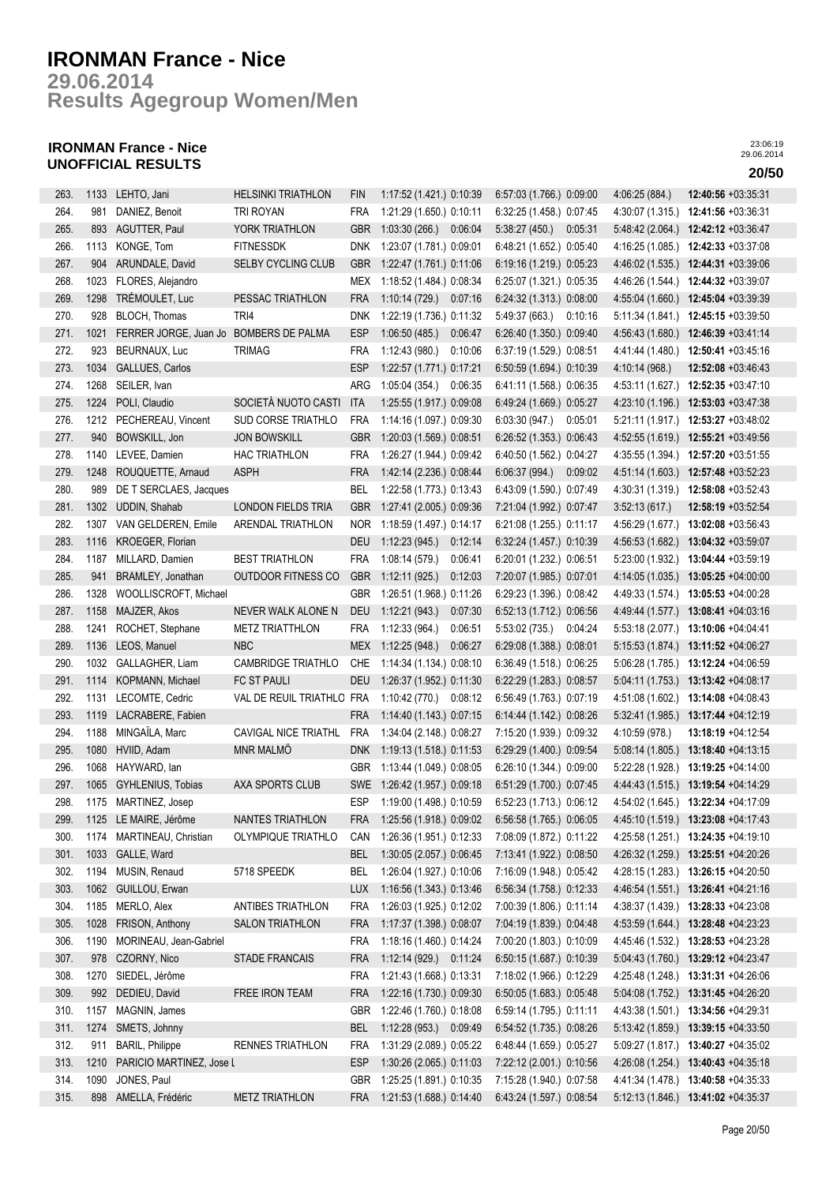**Results Agegroup Women/Men 29.06.2014**

## **IRONMAN France - Nice UNOFFICIAL RESULTS 20/50**

| 263. | 1133 | LEHTO, Jani                            | <b>HELSINKI TRIATHLON</b>   | <b>FIN</b> | 1:17:52 (1.421.) 0:10:39 |         | 6:57:03 (1.766.) 0:09:00 |         | 4:06:25 (884.)   | 12:40:56 +03:35:31                   |
|------|------|----------------------------------------|-----------------------------|------------|--------------------------|---------|--------------------------|---------|------------------|--------------------------------------|
| 264. | 981  | DANIEZ, Benoit                         | TRI ROYAN                   | <b>FRA</b> | 1:21:29 (1.650.) 0:10:11 |         | 6:32:25 (1.458.) 0:07:45 |         | 4:30:07 (1.315.) | 12:41:56 +03:36:31                   |
|      |      |                                        |                             |            |                          |         |                          |         |                  |                                      |
| 265. | 893  | AGUTTER, Paul                          | YORK TRIATHLON              | <b>GBR</b> | 1:03:30(266.)            | 0:06:04 | 5:38:27(450.)            | 0:05:31 | 5.48.42(2.064.)  | 12:42:12 +03:36:47                   |
| 266. | 1113 | KONGE, Tom                             | <b>FITNESSDK</b>            | DNK.       | 1:23:07 (1.781.) 0:09:01 |         | 6:48:21 (1.652.) 0:05:40 |         | 4:16:25 (1.085.) | 12:42:33 +03:37:08                   |
| 267. | 904  | ARUNDALE, David                        | <b>SELBY CYCLING CLUB</b>   | <b>GBR</b> | 1:22:47 (1.761.) 0:11:06 |         | 6:19:16 (1.219.) 0:05:23 |         | 4:46:02 (1.535.) | 12:44:31 +03:39:06                   |
| 268. | 1023 | FLORES, Alejandro                      |                             | <b>MEX</b> | 1:18:52 (1.484.) 0:08:34 |         | 6:25:07 (1.321.) 0:05:35 |         | 4:46:26 (1.544.) | 12:44:32 +03:39:07                   |
| 269. | 1298 | TRÉMOULET, Luc                         | PESSAC TRIATHLON            | <b>FRA</b> | 1:10:14 (729.)           | 0:07:16 | 6:24:32 (1.313.) 0:08:00 |         | 4:55:04 (1.660.) | 12:45:04 +03:39:39                   |
| 270. | 928  | BLOCH, Thomas                          | TRI4                        | <b>DNK</b> | 1:22:19 (1.736.) 0:11:32 |         | 5:49:37 (663.)           | 0:10:16 | 5:11:34 (1.841.) | 12:45:15 +03:39:50                   |
| 271. | 1021 | FERRER JORGE, Juan Jo BOMBERS DE PALMA |                             | <b>ESP</b> | 1:06:50(485.)            | 0:06:47 | 6:26:40 (1.350.) 0:09:40 |         | 4:56:43 (1.680.) | 12:46:39 +03:41:14                   |
| 272. | 923  | BEURNAUX, Luc                          | <b>TRIMAG</b>               | <b>FRA</b> | 1:12:43(980.)            | 0:10:06 | 6:37:19 (1.529.) 0:08:51 |         | 4:41:44 (1.480.) | 12:50:41 +03:45:16                   |
| 273. | 1034 | GALLUES, Carlos                        |                             | <b>ESP</b> | 1:22:57 (1.771.) 0:17:21 |         | 6:50:59 (1.694.) 0:10:39 |         | 4:10:14 (968.)   | 12:52:08 +03:46:43                   |
| 274. | 1268 | SEILER, Ivan                           |                             | ARG        | 1:05:04(354.)            | 0:06:35 | 6:41:11 (1.568.) 0:06:35 |         | 4:53:11 (1.627.) | 12:52:35 +03:47:10                   |
| 275. | 1224 | POLI, Claudio                          | SOCIETÀ NUOTO CASTI         | <b>ITA</b> | 1:25:55 (1.917.) 0:09:08 |         | 6:49:24 (1.669.) 0:05:27 |         | 4:23:10 (1.196.) | 12:53:03 +03:47:38                   |
| 276. | 1212 | PECHEREAU, Vincent                     | SUD CORSE TRIATHLO          | <b>FRA</b> | 1:14:16 (1.097.) 0:09:30 |         | 6:03:30 (947.)           | 0:05:01 | 5:21:11 (1.917.) | 12:53:27 +03:48:02                   |
| 277. | 940  | BOWSKILL, Jon                          | <b>JON BOWSKILL</b>         | <b>GBR</b> | 1:20:03 (1.569.) 0:08:51 |         | 6:26:52 (1.353.) 0:06:43 |         | 4:52:55 (1.619.) | 12:55:21 +03:49:56                   |
| 278. | 1140 | LEVEE, Damien                          | <b>HAC TRIATHLON</b>        | <b>FRA</b> | 1:26:27 (1.944.) 0:09:42 |         | 6:40:50 (1.562.) 0:04:27 |         | 4:35:55 (1.394.) | 12:57:20 +03:51:55                   |
| 279. | 1248 | ROUQUETTE, Arnaud                      | <b>ASPH</b>                 | <b>FRA</b> | 1:42:14 (2.236.) 0:08:44 |         | 6.06:37(994.)            | 0:09:02 | 4:51:14 (1.603.) | 12:57:48 +03:52:23                   |
| 280. | 989  | DE T SERCLAES, Jacques                 |                             | <b>BEL</b> | 1:22:58 (1.773.) 0:13:43 |         | 6:43:09 (1.590.) 0:07:49 |         | 4:30:31 (1.319.) | 12:58:08 +03:52:43                   |
| 281. | 1302 | UDDIN, Shahab                          | <b>LONDON FIELDS TRIA</b>   | <b>GBR</b> | 1:27:41 (2.005.) 0:09:36 |         | 7:21:04 (1.992.) 0:07:47 |         | 3:52:13(617)     | 12:58:19 +03:52:54                   |
|      |      | VAN GELDEREN, Emile                    | <b>ARENDAL TRIATHLON</b>    |            | 1:18:59 (1.497.) 0:14:17 |         | 6:21:08 (1.255.) 0:11:17 |         |                  |                                      |
| 282. | 1307 |                                        |                             | <b>NOR</b> |                          |         |                          |         | 4:56:29 (1.677.) | 13:02:08 +03:56:43                   |
| 283. | 1116 | KROEGER, Florian                       |                             | <b>DEU</b> | 1:12:23(945)             | 0:12:14 | 6:32:24 (1.457.) 0:10:39 |         | 4:56:53 (1.682.) | 13:04:32 +03:59:07                   |
| 284. | 1187 | MILLARD, Damien                        | <b>BEST TRIATHLON</b>       | <b>FRA</b> | 1:08:14(579.)            | 0.06:41 | 6:20:01 (1.232.) 0:06:51 |         | 5:23:00 (1.932.) | 13:04:44 +03:59:19                   |
| 285. | 941  | BRAMLEY, Jonathan                      | <b>OUTDOOR FITNESS CO</b>   | <b>GBR</b> | 1:12:11(925)             | 0:12:03 | 7:20:07 (1.985.) 0:07:01 |         | 4:14:05 (1.035.) | 13:05:25 +04:00:00                   |
| 286. | 1328 | WOOLLISCROFT, Michael                  |                             | <b>GBR</b> | 1:26:51 (1.968.) 0:11:26 |         | 6:29:23 (1.396.) 0:08:42 |         | 4:49:33 (1.574.) | 13:05:53 +04:00:28                   |
| 287. | 1158 | MAJZER, Akos                           | NEVER WALK ALONE N          | <b>DEU</b> | 1:12:21(943.)            | 0:07:30 | 6:52:13 (1.712.) 0:06:56 |         | 4:49:44 (1.577.) | 13:08:41 +04:03:16                   |
| 288. | 1241 | ROCHET, Stephane                       | <b>METZ TRIATTHLON</b>      | <b>FRA</b> | 1:12:33 (964.)           | 0:06:51 | 5:53:02(735)             | 0:04:24 | 5:53:18 (2.077.) | 13:10:06 +04:04:41                   |
| 289. | 1136 | LEOS, Manuel                           | <b>NBC</b>                  | MEX        | 1:12:25(948.)            | 0:06:27 | 6:29:08 (1.388.) 0:08:01 |         |                  | 5:15:53 (1.874.) 13:11:52 +04:06:27  |
| 290. | 1032 | GALLAGHER, Liam                        | <b>CAMBRIDGE TRIATHLO</b>   | CHE        | 1:14:34 (1.134.) 0:08:10 |         | 6:36:49 (1.518.) 0:06:25 |         |                  | 5:06:28 (1.785.) 13:12:24 +04:06:59  |
| 291. | 1114 | KOPMANN, Michael                       | FC ST PAULI                 | <b>DEU</b> | 1:26:37 (1.952.) 0:11:30 |         | 6:22:29 (1.283.) 0:08:57 |         |                  | 5:04:11 (1.753.) 13:13:42 +04:08:17  |
| 292. | 1131 | LECOMTE, Cedric                        | VAL DE REUIL TRIATHLO FRA   |            | 1:10:42 (770.)           | 0:08:12 | 6:56:49 (1.763.) 0:07:19 |         | 4:51:08 (1.602.) | 13:14:08 +04:08:43                   |
| 293. | 1119 | LACRABERE, Fabien                      |                             | <b>FRA</b> | 1:14:40 (1.143.) 0:07:15 |         | 6:14:44 (1.142.) 0:08:26 |         | 5:32:41 (1.985.) | 13:17:44 +04:12:19                   |
| 294. | 1188 | MINGAÏLA, Marc                         | <b>CAVIGAL NICE TRIATHL</b> | <b>FRA</b> | 1:34:04 (2.148.) 0:08:27 |         | 7:15:20 (1.939.) 0:09:32 |         | 4:10:59 (978.)   | 13:18:19 +04:12:54                   |
| 295. | 1080 | HVIID, Adam                            | <b>MNR MALMÖ</b>            | <b>DNK</b> | 1:19:13 (1.518.) 0:11:53 |         | 6:29:29 (1.400.) 0:09:54 |         | 5:08:14(1.805.)  | 13:18:40 +04:13:15                   |
| 296. | 1068 | HAYWARD, lan                           |                             | GBR        | 1:13:44 (1.049.) 0:08:05 |         | 6:26:10 (1.344.) 0:09:00 |         | 5:22:28 (1.928.) | 13:19:25 +04:14:00                   |
| 297. | 1065 | GYHLENIUS, Tobias                      | AXA SPORTS CLUB             | <b>SWE</b> | 1:26:42 (1.957.) 0:09:18 |         | 6:51:29 (1.700.) 0:07:45 |         |                  | 4:44:43 (1.515.) 13:19:54 +04:14:29  |
| 298. |      | 1175 MARTINEZ, Josep                   |                             | ESP        | 1:19:00 (1.498.) 0:10:59 |         | 6:52:23 (1.713.) 0:06:12 |         |                  | 4:54:02 (1.645.) 13:22:34 +04:17:09  |
| 299. |      | 1125 LE MAIRE, Jérôme                  | NANTES TRIATHLON            | FRA        | 1:25:56 (1.918.) 0:09:02 |         | 6:56:58 (1.765.) 0:06:05 |         |                  | 4:45:10 (1.519.) 13:23:08 +04:17:43  |
| 300. | 1174 | MARTINEAU, Christian                   | OLYMPIQUE TRIATHLO          | CAN        | 1:26:36 (1.951.) 0:12:33 |         | 7:08:09 (1.872.) 0:11:22 |         | 4:25:58 (1.251.) | 13:24:35 +04:19:10                   |
| 301. | 1033 | GALLE, Ward                            |                             | BEL        | 1:30:05 (2.057.) 0:06:45 |         | 7:13:41 (1.922.) 0:08:50 |         | 4:26:32 (1.259.) | 13:25:51 +04:20:26                   |
| 302. | 1194 | MUSIN, Renaud                          | 5718 SPEEDK                 | BEL        | 1:26:04 (1.927.) 0:10:06 |         | 7:16:09 (1.948.) 0:05:42 |         | 4:28:15 (1.283.) | 13:26:15 +04:20:50                   |
| 303. | 1062 | GUILLOU, Erwan                         |                             | <b>LUX</b> | 1:16:56 (1.343.) 0:13:46 |         | 6:56:34 (1.758.) 0:12:33 |         | 4:46:54 (1.551.) | 13:26:41 +04:21:16                   |
| 304. | 1185 | MERLO, Alex                            | <b>ANTIBES TRIATHLON</b>    | <b>FRA</b> | 1:26:03 (1.925.) 0:12:02 |         | 7:00:39 (1.806.) 0:11:14 |         | 4:38:37 (1.439.) | $13:28:33 + 04:23:08$                |
| 305. | 1028 | FRISON, Anthony                        | <b>SALON TRIATHLON</b>      | <b>FRA</b> | 1:17:37 (1.398.) 0:08:07 |         | 7:04:19 (1.839.) 0:04:48 |         | 4:53:59 (1.644.) | 13:28:48 +04:23:23                   |
|      |      |                                        |                             |            |                          |         |                          |         |                  |                                      |
| 306. | 1190 | MORINEAU, Jean-Gabriel                 |                             | <b>FRA</b> | 1:18:16 (1.460.) 0:14:24 |         | 7:00:20 (1.803.) 0:10:09 |         |                  | 4:45:46 (1.532.) 13:28:53 +04:23:28  |
| 307. | 978  | CZORNY, Nico                           | STADE FRANCAIS              | <b>FRA</b> | 1:12:14 (929.) 0:11:24   |         | 6:50:15 (1.687.) 0:10:39 |         |                  | 5:04:43 (1.760.) 13:29:12 +04:23:47  |
| 308. | 1270 | SIEDEL, Jérôme                         |                             | <b>FRA</b> | 1:21:43 (1.668.) 0:13:31 |         | 7:18:02 (1.966.) 0:12:29 |         |                  | 4:25:48 (1.248.) 13:31:31 +04:26:06  |
| 309. | 992  | DEDIEU, David                          | FREE IRON TEAM              | <b>FRA</b> | 1:22:16 (1.730.) 0:09:30 |         | 6:50:05 (1.683.) 0:05:48 |         | 5:04:08 (1.752.) | 13:31:45 +04:26:20                   |
| 310. | 1157 | MAGNIN, James                          |                             | GBR        | 1:22:46 (1.760.) 0:18:08 |         | 6:59:14 (1.795.) 0:11:11 |         |                  | 4:43:38 (1.501.) 13:34:56 +04:29:31  |
| 311. | 1274 | SMETS, Johnny                          |                             | <b>BEL</b> | 1:12:28 (953.) 0:09:49   |         | 6:54:52 (1.735.) 0:08:26 |         |                  | $5:13:42(1.859.)$ 13:39:15 +04:33:50 |
| 312. | 911  | <b>BARIL, Philippe</b>                 | RENNES TRIATHLON            | <b>FRA</b> | 1:31:29 (2.089.) 0:05:22 |         | 6:48:44 (1.659.) 0:05:27 |         |                  | 5:09:27 (1.817.) 13:40:27 +04:35:02  |
| 313. | 1210 | PARICIO MARTINEZ, Jose L               |                             | <b>ESP</b> | 1:30:26 (2.065.) 0:11:03 |         | 7:22:12 (2.001.) 0:10:56 |         | 4:26:08(1.254)   | $13:40:43 + 04:35:18$                |
| 314. | 1090 | JONES, Paul                            |                             | <b>GBR</b> | 1:25:25 (1.891.) 0:10:35 |         | 7:15:28 (1.940.) 0:07:58 |         |                  | 4:41:34 (1.478.) 13:40:58 +04:35:33  |
| 315. |      | 898 AMELLA, Frédéric                   | <b>METZ TRIATHLON</b>       | FRA        | 1:21:53 (1.688.) 0:14:40 |         | 6:43:24 (1.597.) 0:08:54 |         |                  | $5:12:13(1.846.)$ 13:41:02 +04:35:37 |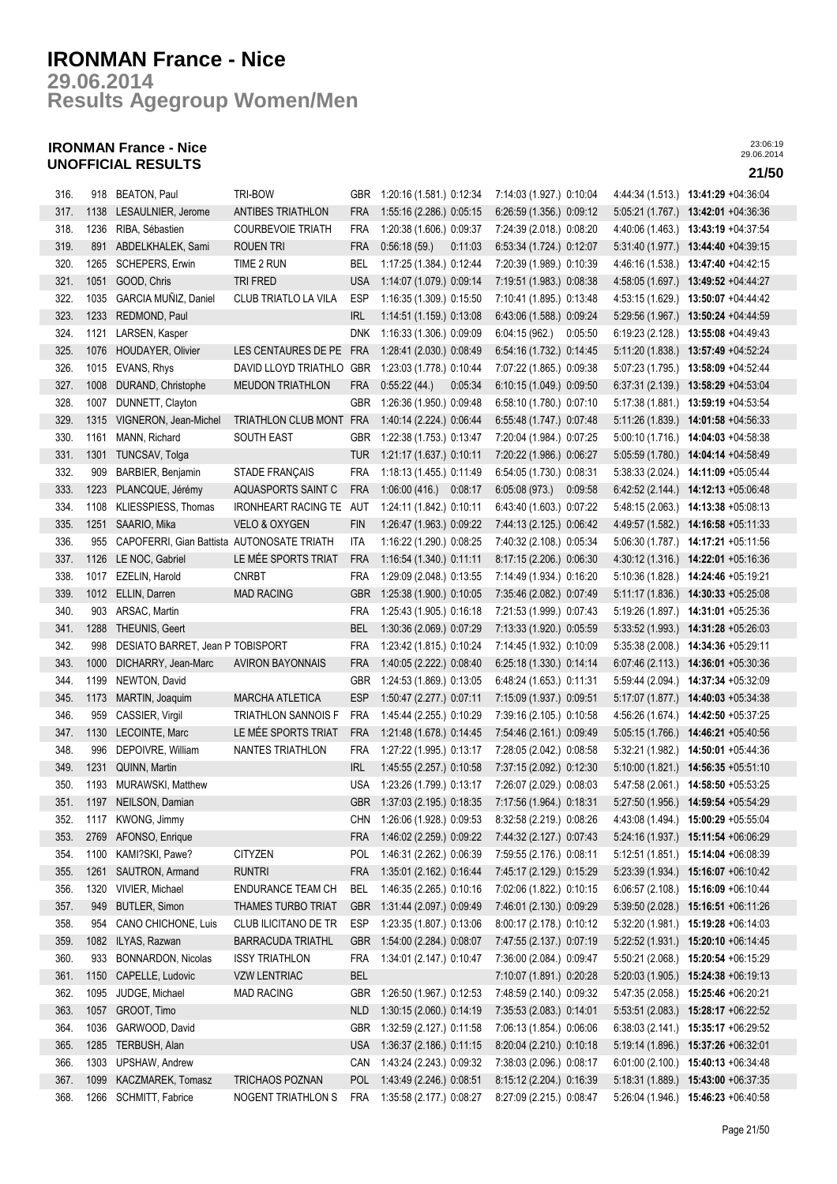**Results Agegroup Women/Men 29.06.2014**

## **IRONMAN France - Nice UNOFFICIAL RESULTS 21/50**

| 316. |      | 918 BEATON, Paul                           | TRI-BOW                  | <b>GBR</b> | 1:20:16 (1.581 ) 0:12:34     | 7:14:03 (1.927.) 0:10:04 |                  | 4:44:34 (1.513.) 13:41:29 +04:36:04  |
|------|------|--------------------------------------------|--------------------------|------------|------------------------------|--------------------------|------------------|--------------------------------------|
| 317. | 1138 | LESAULNIER, Jerome                         | <b>ANTIBES TRIATHLON</b> | FRA        | 1:55:16 (2.286.) 0:05:15     | 6:26:59 (1.356.) 0:09:12 |                  | 5:05:21 (1.767.) 13:42:01 +04:36:36  |
| 318. | 1236 | RIBA, Sébastien                            | <b>COURBEVOIE TRIATH</b> | FRA        | 1:20:38 (1.606.) 0:09:37     | 7:24:39 (2.018.) 0:08:20 |                  | 4:40:06 (1.463.) 13:43:19 +04:37:54  |
| 319. |      | 891 ABDELKHALEK, Sami                      | <b>ROUEN TRI</b>         | <b>FRA</b> | 0:56:18(59)<br>0:11:03       | 6:53:34 (1.724.) 0:12:07 |                  | 5:31:40 (1.977.) 13:44:40 +04:39:15  |
| 320. | 1265 | <b>SCHEPERS, Erwin</b>                     | TIME 2 RUN               | BEL        | 1:17:25 (1.384.) 0:12:44     | 7:20:39 (1.989.) 0:10:39 | 4:46:16 (1.538.) | 13:47:40 +04:42:15                   |
| 321. | 1051 | GOOD, Chris                                | TRI FRED                 | <b>USA</b> | 1:14:07 (1.079.) 0:09:14     | 7:19:51 (1.983.) 0:08:38 | 4:58:05 (1.697.) | 13:49:52 +04:44:27                   |
| 322. | 1035 | GARCIA MUÑIZ, Daniel                       | CLUB TRIATLO LA VILA     | <b>ESP</b> | 1:16:35 (1.309.) 0:15:50     | 7:10:41 (1.895.) 0:13:48 | 4:53:15 (1.629.) | 13:50:07 +04:44:42                   |
| 323. | 1233 | REDMOND, Paul                              |                          | IRL        | 1:14:51 (1.159.) 0:13:08     | 6:43:06 (1.588.) 0:09:24 |                  | 5:29:56 (1.967.) 13:50:24 +04:44:59  |
| 324. |      | 1121 LARSEN, Kasper                        |                          | <b>DNK</b> | 1:16:33 (1.306.) 0:09:09     | 6:04:15(962)<br>0:05:50  |                  | 6:19:23 (2.128.) 13:55:08 +04:49:43  |
| 325. |      | 1076 HOUDAYER, Olivier                     | LES CENTAURES DE PE      | FRA        | 1:28:41 (2.030.) 0:08:49     | 6.54.16 (1.732.) 0.14.45 |                  | 5:11:20 (1.838.) 13:57:49 +04:52:24  |
| 326. | 1015 | EVANS, Rhys                                | DAVID LLOYD TRIATHLO     | GBR        | 1:23:03 (1.778.) 0:10:44     | 7:07:22 (1.865.) 0:09:38 | 5:07:23 (1.795.) | 13:58:09 +04:52:44                   |
| 327. | 1008 | DURAND, Christophe                         | <b>MEUDON TRIATHLON</b>  | <b>FRA</b> | 0:55:22(44.)<br>0:05:34      | 6:10:15 (1.049.) 0:09:50 | 6:37:31(2.139)   | 13:58:29 +04:53:04                   |
|      |      |                                            |                          |            |                              |                          |                  |                                      |
| 328. | 1007 | DUNNETT, Clayton                           |                          | <b>GBR</b> | 1:26:36 (1.950.) 0.09:48     | 6:58:10 (1.780.) 0:07:10 | 5:17:38(1.881)   | 13:59:19 +04:53:54                   |
| 329. | 1315 | VIGNERON, Jean-Michel                      | TRIATHLON CLUB MONT FRA  |            | 1:40:14 (2.224.) 0:06:44     | 6:55:48 (1.747.) 0:07:48 |                  | 5:11:26 (1.839.) 14:01:58 +04:56:33  |
| 330. | 1161 | MANN, Richard                              | SOUTH EAST               | GBR        | 1:22:38 (1.753.) 0:13:47     | 7:20:04 (1.984.) 0:07:25 |                  | $5:00:10(1.716)$ 14:04:03 +04:58:38  |
| 331. |      | 1301 TUNCSAV, Tolga                        |                          | <b>TUR</b> | 1:21:17 (1.637.) 0:10:11     | 7:20:22 (1.986.) 0:06:27 |                  | 5:05:59 (1.780.) 14:04:14 +04:58:49  |
| 332. | 909  | BARBIER, Benjamin                          | <b>STADE FRANÇAIS</b>    | <b>FRA</b> | 1:18:13 (1.455.) 0:11:49     | 6:54:05 (1.730.) 0:08:31 |                  | 5:38:33 (2.024.) 14:11:09 +05:05:44  |
| 333. |      | 1223 PLANCQUE, Jérémy                      | AQUASPORTS SAINT C       | <b>FRA</b> | 1:06:00 (416.) 0:08:17       | 6.05.08(973)<br>0:09:58  |                  | $6:42:52(2.144.)$ 14:12:13 +05:06:48 |
| 334. | 1108 | KLIESSPIESS, Thomas                        | IRONHEART RACING TE AUT  |            | 1:24:11 (1.842.) 0:10:11     | 6:43:40 (1.603.) 0:07:22 |                  | 5:48:15 (2.063.) 14:13:38 +05:08:13  |
| 335. |      | 1251 SAARIO, Mika                          | VELO & OXYGEN            | <b>FIN</b> | 1:26:47 (1.963.) 0:09:22     | 7:44:13 (2.125.) 0:06:42 |                  | 4:49:57 (1.582.) 14:16:58 +05:11:33  |
| 336. | 955  | CAPOFERRI, Gian Battista AUTONOSATE TRIATH |                          | <b>ITA</b> | 1:16:22 (1.290.) 0:08:25     | 7:40:32 (2.108.) 0:05:34 | 5:06:30(1.787.)  | 14:17:21 +05:11:56                   |
| 337. |      | 1126 LE NOC, Gabriel                       | LE MÉE SPORTS TRIAT      | <b>FRA</b> | 1:16:54 (1.340.) 0:11:11     | 8:17:15 (2.206.) 0:06:30 |                  | 4:30:12 (1.316.) 14:22:01 +05:16:36  |
| 338. |      | 1017 EZELIN, Harold                        | <b>CNRBT</b>             | <b>FRA</b> | 1:29:09 (2.048.) 0:13:55     | 7:14:49 (1.934.) 0:16:20 |                  | 5:10:36 (1.828.) 14:24:46 +05:19:21  |
| 339. |      | 1012 ELLIN, Darren                         | <b>MAD RACING</b>        | GBR        | 1:25:38 (1.900.) 0:10:05     | 7:35:46 (2.082.) 0:07:49 |                  | 5:11:17 (1.836.) 14:30:33 +05:25:08  |
| 340. | 903  | ARSAC, Martin                              |                          | <b>FRA</b> | 1:25:43 (1.905.) 0:16:18     | 7:21:53 (1.999.) 0:07:43 |                  | 5:19:26 (1.897.) 14:31:01 +05:25:36  |
| 341. | 1288 | THEUNIS, Geert                             |                          | BEL        | 1:30:36 (2.069.) 0:07:29     | 7:13:33 (1.920.) 0:05:59 |                  | 5:33:52 (1.993.) 14:31:28 +05:26:03  |
| 342. | 998  | DESIATO BARRET, Jean P TOBISPORT           |                          | <b>FRA</b> | 1:23:42 (1.815.) 0:10:24     | 7:14:45 (1.932.) 0:10:09 | 5:35:38 (2.008.) | 14:34:36 +05:29:11                   |
| 343. | 1000 | DICHARRY, Jean-Marc                        | <b>AVIRON BAYONNAIS</b>  | <b>FRA</b> | 1:40:05 (2.222.) 0:08:40     | 6:25:18 (1.330.) 0:14:14 |                  | 6:07:46 (2.113.) 14:36:01 +05:30:36  |
| 344. | 1199 | NEWTON, David                              |                          | <b>GBR</b> | 1:24:53 (1.869.) 0:13:05     | 6:48:24 (1.653.) 0:11:31 | 5:59:44 (2.094.) | 14:37:34 +05:32:09                   |
| 345. | 1173 | MARTIN, Joaquim                            | <b>MARCHA ATLETICA</b>   | <b>ESP</b> | 1:50:47 (2.277.) 0:07:11     | 7:15:09 (1.937.) 0:09:51 | 5:17:07(1.877.)  | 14:40:03 +05:34:38                   |
| 346. | 959  | CASSIER, Virgil                            | TRIATHLON SANNOIS F      | <b>FRA</b> | 1:45:44 (2.255.) 0:10:29     | 7:39:16 (2.105.) 0:10:58 |                  | 4:56:26 (1.674.) 14:42:50 +05:37:25  |
| 347. | 1130 | LECOINTE, Marc                             | LE MÉE SPORTS TRIAT      | <b>FRA</b> | 1:21:48 (1.678.) 0:14:45     | 7:54:46 (2.161.) 0:09:49 |                  | 5:05:15 (1.766.) 14:46:21 +05:40:56  |
| 348. | 996  | DEPOIVRE, William                          | NANTES TRIATHLON         | <b>FRA</b> | 1:27:22 (1.995.) 0:13:17     | 7:28:05 (2.042.) 0:08:58 |                  | 5:32:21 (1.982.) 14:50:01 +05:44:36  |
| 349. | 1231 | QUINN, Martin                              |                          | <b>IRL</b> | 1:45:55 (2.257.) 0:10:58     | 7:37:15 (2.092.) 0:12:30 |                  | 5:10:00 (1.821.) 14:56:35 +05:51:10  |
| 350. |      | 1193 MURAWSKI, Matthew                     |                          | <b>USA</b> | 1:23:26 (1.799.) 0:13:17     | 7:26:07 (2.029.) 0:08:03 |                  | 5:47:58 (2.061.) 14:58:50 +05:53:25  |
| 351. |      | 1197 NEILSON, Damian                       |                          |            | GBR 1:37:03 (2.195.) 0:18:35 | 7:17:56 (1.964.) 0:18:31 |                  | 5:27:50 (1.956.) 14:59:54 +05:54:29  |
| 352. |      | 1117 KWONG, Jimmy                          |                          |            | CHN 1:26:06 (1.928.) 0:09:53 | 8:32:58 (2.219.) 0:08:26 |                  | 4:43:08 (1.494.) 15:00:29 +05:55:04  |
| 353. |      | 2769 AFONSO, Enrique                       |                          | <b>FRA</b> | 1:46:02 (2.259.) 0:09:22     | 7:44:32 (2.127.) 0:07:43 | 5:24:16(1.937.)  | 15:11:54 +06:06:29                   |
| 354. | 1100 | KAMI?SKI, Pawe?                            | <b>CITYZEN</b>           | <b>POL</b> | 1:46:31 (2.262.) 0:06:39     | 7:59:55 (2.176.) 0:08:11 | 5:12:51 (1.851.) | 15:14:04 +06:08:39                   |
| 355. | 1261 | SAUTRON, Armand                            | <b>RUNTRI</b>            | <b>FRA</b> | 1:35:01 (2.162.) 0:16:44     | 7:45:17 (2.129.) 0:15:29 |                  | $5:23:39(1.934.)$ 15:16:07 +06:10:42 |
| 356. | 1320 | VIVIER, Michael                            | ENDURANCE TEAM CH        | <b>BEL</b> | 1:46:35 (2.265.) 0:10:16     | 7:02:06 (1.822.) 0:10:15 |                  | 6:06:57 (2.108.) 15:16:09 +06:10:44  |
|      |      |                                            |                          |            |                              |                          |                  |                                      |
| 357. | 949  | <b>BUTLER, Simon</b>                       | THAMES TURBO TRIAT       | <b>GBR</b> | 1:31:44 (2.097.) 0:09:49     | 7:46:01 (2.130.) 0:09:29 |                  | 5:39:50 (2.028.) 15:16:51 +06:11:26  |
| 358. | 954  | CANO CHICHONE, Luis                        | CLUB ILICITANO DE TR     | ESP        | 1:23:35 (1.807.) 0:13:06     | 8:00:17 (2.178.) 0:10:12 | 5:32:20(1.981)   | 15:19:28 +06:14:03                   |
| 359. | 1082 | ILYAS, Razwan                              | <b>BARRACUDA TRIATHL</b> | <b>GBR</b> | 1:54:00 (2.284.) 0:08:07     | 7:47:55 (2.137.) 0:07:19 | 5:22:52(1.931)   | 15:20:10 +06:14:45                   |
| 360. | 933  | BONNARDON, Nicolas                         | <b>ISSY TRIATHLON</b>    | FRA        | 1:34:01 (2.147.) 0:10:47     | 7:36:00 (2.084.) 0:09:47 | 5:50:21 (2.068.) | 15:20:54 +06:15:29                   |
| 361. | 1150 | CAPELLE, Ludovic                           | <b>VZW LENTRIAC</b>      | <b>BEL</b> |                              | 7:10:07 (1.891.) 0:20:28 | 5:20:03 (1.905.) | 15:24:38 +06:19:13                   |
| 362. | 1095 | JUDGE, Michael                             | <b>MAD RACING</b>        | <b>GBR</b> | 1:26:50 (1.967.) 0:12:53     | 7:48:59 (2.140.) 0:09:32 | 5:47:35 (2.058.) | 15:25:46 +06:20:21                   |
| 363. | 1057 | GROOT, Timo                                |                          | <b>NLD</b> | 1:30:15 (2.060.) 0:14:19     | 7:35:53 (2.083.) 0:14:01 |                  | 5:53:51 (2.083.) 15:28:17 +06:22:52  |
| 364. | 1036 | GARWOOD, David                             |                          | <b>GBR</b> | 1:32:59 (2.127.) 0:11:58     | 7:06:13 (1.854.) 0:06:06 |                  | 6:38:03 (2.141.) 15:35:17 +06:29:52  |
| 365. | 1285 | TERBUSH, Alan                              |                          | <b>USA</b> | 1:36:37 (2.186.) 0:11:15     | 8:20:04 (2.210.) 0:10:18 |                  | 5:19:14 (1.896.) 15:37:26 +06:32:01  |
| 366. | 1303 | <b>UPSHAW, Andrew</b>                      |                          | CAN        | 1:43:24 (2.243.) 0:09:32     | 7:38:03 (2.096.) 0:08:17 |                  | 6:01:00 (2.100.) 15:40:13 +06:34:48  |
| 367. | 1099 | KACZMAREK, Tomasz                          | TRICHAOS POZNAN          | <b>POL</b> | 1:43:49 (2.246.) 0:08:51     | 8:15:12 (2.204.) 0:16:39 |                  | 5:18:31 (1.889.) 15:43:00 +06:37:35  |
| 368. | 1266 | SCHMITT, Fabrice                           | NOGENT TRIATHLON S       | FRA        | 1:35:58 (2.177.) 0:08:27     | 8:27:09 (2.215.) 0:08:47 |                  | 5:26:04 (1.946.) 15:46:23 +06:40:58  |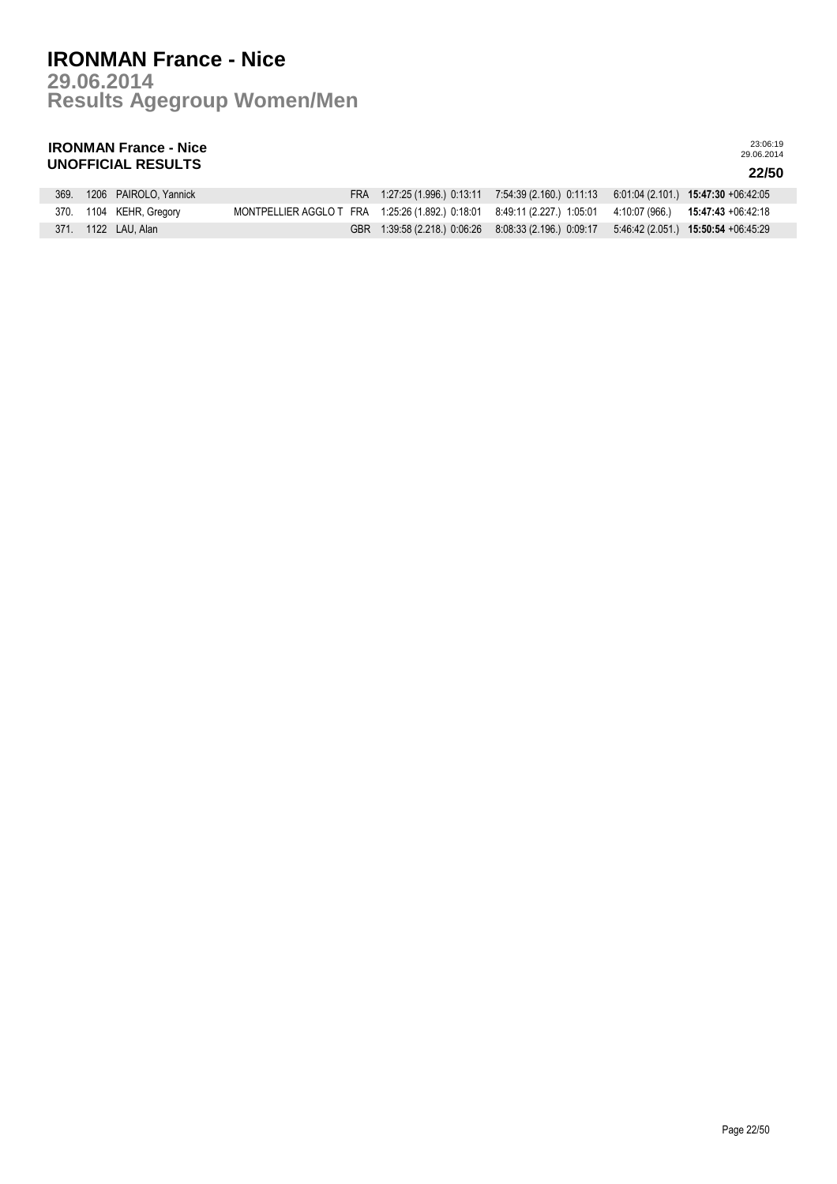**Results Agegroup Women/Men 29.06.2014**

## **IRONMAN France - Nice UNOFFICIAL RESULTS 22/50**

|  | 369. 1206 PAIROLO, Yannick |  | FRA 1:27:25 (1.996) 0:13:11 7:54:39 (2.160) 0:11:13 6:01:04 (2.101) 15:47:30 +06:42:05                      |  |
|--|----------------------------|--|-------------------------------------------------------------------------------------------------------------|--|
|  | 370. 1104 KEHR, Gregory    |  | MONTPELLIER AGGLO T FRA 1:25:26 (1.892.) 0:18:01 8:49:11 (2.227.) 1:05:01 4:10:07 (966.) 15:47:43 +06:42:18 |  |
|  | 371. 1122 LAU Alan         |  | GBR 1:39:58 (2.218) 0:06:26 8:08:33 (2.196) 0:09:17 5:46:42 (2.051) 15:50:54 +06:45:29                      |  |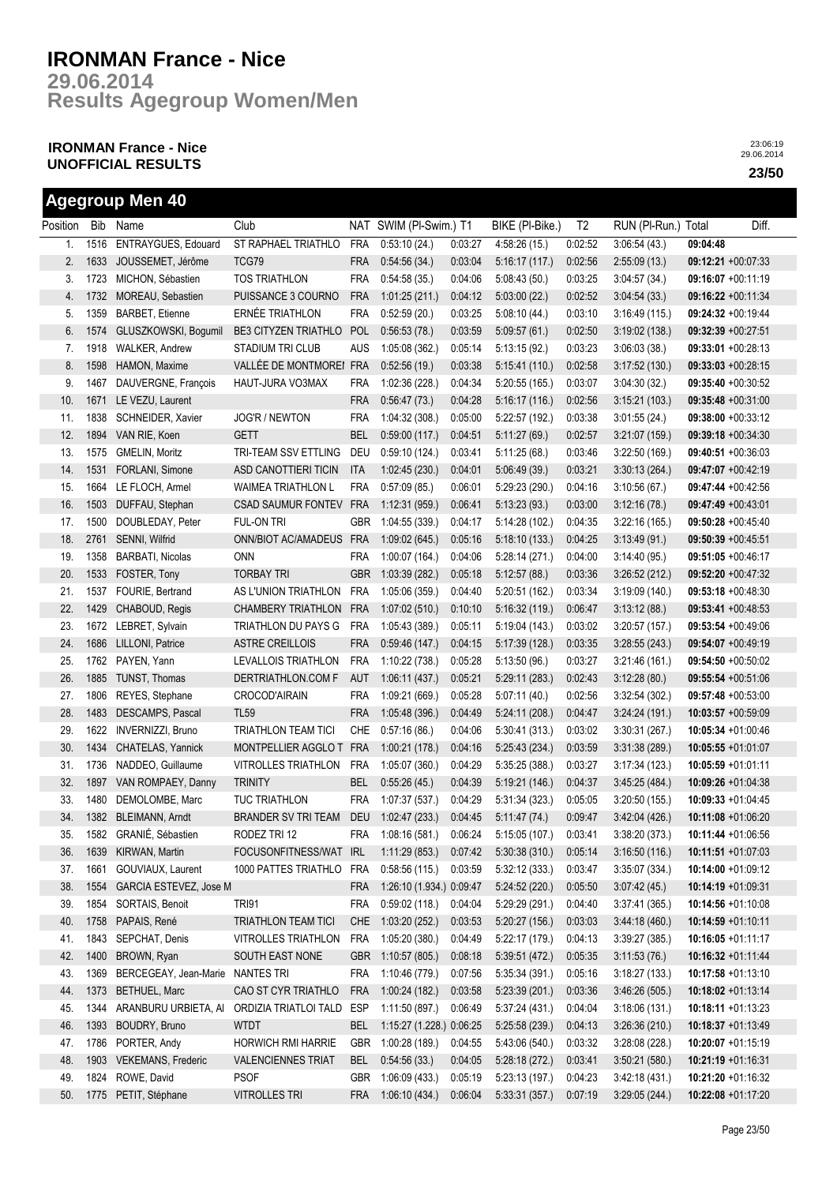**Results Agegroup Women/Men 29.06.2014**

## **IRONMAN France - Nice UNOFFICIAL RESULTS 23/50**

**Agegroup Men 40**

|          |      | Agegroup Men 40           |                             |            |                          |         |                 |                |                     |          |                       |
|----------|------|---------------------------|-----------------------------|------------|--------------------------|---------|-----------------|----------------|---------------------|----------|-----------------------|
| Position |      | Bib Name                  | Club                        |            | NAT SWIM (PI-Swim.) T1   |         | BIKE (PI-Bike.) | T <sub>2</sub> | RUN (PI-Run.) Total |          | Diff.                 |
| 1.       | 1516 | ENTRAYGUES, Edouard       | ST RAPHAEL TRIATHLO         | <b>FRA</b> | 0:53:10(24)              | 0:03:27 | 4:58:26(15)     | 0:02:52        | 3:06:54(43)         | 09:04:48 |                       |
| 2.       | 1633 | JOUSSEMET, Jérôme         | TCG79                       | <b>FRA</b> | 0:54:56(34.)             | 0:03:04 | 5:16:17(117)    | 0:02:56        | 2:55:09(13.)        |          | 09:12:21 +00:07:33    |
| 3.       | 1723 | MICHON, Sébastien         | <b>TOS TRIATHLON</b>        | <b>FRA</b> | 0.54.58(35)              | 0.04:06 | 5:08:43(50)     | 0:03:25        | 3.04:57(34)         |          | 09:16:07 +00:11:19    |
| 4.       | 1732 | MOREAU, Sebastien         | PUISSANCE 3 COURNO          | <b>FRA</b> | 1:01:25(211)             | 0:04:12 | 5:03:00(22.)    | 0:02:52        | 3.04:54(33)         |          | $09:16:22 +00:11:34$  |
| 5.       | 1359 | <b>BARBET, Etienne</b>    | ERNÉE TRIATHLON             | <b>FRA</b> | 0:52:59(20.)             | 0:03:25 | 5.08:10(44)     | 0:03:10        | 3:16:49(115.)       |          | 09:24:32 +00:19:44    |
| 6.       | 1574 | GLUSZKOWSKI, Bogumil      | <b>BE3 CITYZEN TRIATHLO</b> | <b>POL</b> | 0:56:53(78.)             | 0:03:59 | 5:09:57(61)     | 0:02:50        | 3:19:02(138)        |          | $09:32:39 +00:27:51$  |
| 7.       | 1918 | <b>WALKER, Andrew</b>     | STADIUM TRI CLUB            | <b>AUS</b> | 1:05:08 (362.)           | 0:05:14 | 5:13:15(92)     | 0:03:23        | 3.06:03(38)         |          | 09:33:01 +00:28:13    |
| 8.       | 1598 | HAMON, Maxime             | VALLÉE DE MONTMOREI FRA     |            | 0.52.56(19.)             | 0:03:38 | 5:15:41(110.)   | 0:02:58        | 3.17:52(130.)       |          | 09:33:03 +00:28:15    |
| 9.       | 1467 | DAUVERGNE, François       | HAUT-JURA VO3MAX            | <b>FRA</b> | 1:02:36 (228.)           | 0:04:34 | 5:20:55(165)    | 0:03:07        | 3.04:30(32)         |          | 09:35:40 +00:30:52    |
| 10.      | 1671 | LE VEZU, Laurent          |                             | <b>FRA</b> | 0:56:47(73.)             | 0:04:28 | 5:16:17(116.)   | 0:02:56        | 3:15:21(103)        |          | 09:35:48 +00:31:00    |
| 11.      | 1838 | SCHNEIDER, Xavier         | JOG'R / NEWTON              | <b>FRA</b> | 1:04:32 (308.)           | 0:05:00 | 5:22:57 (192.)  | 0:03:38        | 3.01:55(24.)        |          | $09:38:00 +00:33:12$  |
| 12.      | 1894 | VAN RIE, Koen             | <b>GETT</b>                 | <b>BEL</b> | 0:59:00(117.)            | 0.04.51 | 5:11:27(69)     | 0:02:57        | 3:21:07(159)        |          | 09:39:18 +00:34:30    |
| 13.      | 1575 | GMELIN, Moritz            | TRI-TEAM SSV ETTLING        | DEU        | 0:59:10(124.)            | 0.03:41 | 5:11:25(68)     | 0:03:46        | 3:22:50(169)        |          | 09:40:51 +00:36:03    |
| 14.      | 1531 | FORLANI, Simone           | ASD CANOTTIERI TICIN        | ITA        | 1:02:45(230.)            | 0.04:01 | 5:06:49(39)     | 0:03:21        | 3.30:13(264)        |          | $09:47:07 +00:42:19$  |
| 15.      | 1664 | LE FLOCH, Armel           | <b>WAIMEA TRIATHLON L</b>   | <b>FRA</b> | 0:57:09(85)              | 0.06:01 | 5:29:23(290.)   | 0:04:16        | 3:10:56(67)         |          | 09:47:44 +00:42:56    |
| 16.      | 1503 | DUFFAU, Stephan           | <b>CSAD SAUMUR FONTEV</b>   | <b>FRA</b> | 1:12:31(959.)            | 0:06:41 | 5:13:23(93)     | 0:03:00        | 3:12:16(78)         |          | 09:47:49 +00:43:01    |
| 17.      | 1500 | DOUBLEDAY, Peter          | Ful-on tri                  | <b>GBR</b> | 1:04:55 (339.)           | 0:04:17 | 5:14:28(102)    | 0:04:35        | 3:22:16(165)        |          | 09:50:28 +00:45:40    |
| 18.      | 2761 | SENNI, Wilfrid            | ONN/BIOT AC/AMADEUS         | <b>FRA</b> | 1:09:02 (645.)           | 0:05:16 | 5:18:10(133)    | 0:04:25        | 3:13:49(91)         |          | 09:50:39 +00:45:51    |
| 19.      | 1358 | BARBATI, Nicolas          | <b>ONN</b>                  | <b>FRA</b> | 1:00:07(164.)            | 0.04:06 | 5:28:14(271)    | 0:04:00        | 3:14:40(95)         |          | 09:51:05 +00:46:17    |
| 20.      | 1533 | FOSTER, Tony              | <b>TORBAY TRI</b>           | <b>GBR</b> | 1:03:39 (282.)           | 0:05:18 | 5:12:57(88.)    | 0:03:36        | 3:26:52(212)        |          | 09:52:20 +00:47:32    |
| 21.      | 1537 | FOURIE, Bertrand          | AS L'UNION TRIATHLON        | <b>FRA</b> | 1:05:06(359.)            | 0.04:40 | 5:20:51(162)    | 0:03:34        | 3:19:09(140.)       |          | 09:53:18 +00:48:30    |
| 22.      | 1429 | CHABOUD, Regis            | <b>CHAMBERY TRIATHLON</b>   | <b>FRA</b> | 1:07:02(510.)            | 0:10:10 | 5:16:32(119.)   | 0:06:47        | 3:13:12(88)         |          | 09:53:41 +00:48:53    |
| 23.      | 1672 | LEBRET, Sylvain           | TRIATHLON DU PAYS G         | <b>FRA</b> | 1:05:43 (389.)           | 0.05:11 | 5:19:04(143)    | 0:03:02        | 3:20:57(157.)       |          | 09:53:54 +00:49:06    |
| 24.      | 1686 | LILLONI, Patrice          | <b>ASTRE CREILLOIS</b>      | <b>FRA</b> | 0.59.46(147.)            | 0:04:15 | 5:17:39(128)    | 0:03:35        | 3:28:55(243)        |          | 09:54:07 +00:49:19    |
| 25.      | 1762 | PAYEN, Yann               | LEVALLOIS TRIATHLON         | <b>FRA</b> | 1:10:22 (738.)           | 0:05:28 | 5:13:50(96.)    | 0:03:27        | 3.21.46(161)        |          | 09:54:50 +00:50:02    |
| 26.      | 1885 | TUNST, Thomas             | DERTRIATHLON.COM F          | <b>AUT</b> | 1:06:11(437.)            | 0:05:21 | 5:29:11(283)    | 0:02:43        | 3:12:28(80.)        |          | 09:55:54 +00:51:06    |
| 27.      | 1806 | REYES, Stephane           | CROCOD'AIRAIN               | <b>FRA</b> | 1:09:21 (669.)           | 0:05:28 | 5:07:11(40.)    | 0:02:56        | 3:32:54(302.)       |          | 09:57:48 +00:53:00    |
| 28.      | 1483 | DESCAMPS, Pascal          | <b>TL59</b>                 | <b>FRA</b> | 1:05:48 (396.)           | 0.04:49 | 5:24:11(208)    | 0:04:47        | 3:24:24(191.)       |          | 10:03:57 +00:59:09    |
| 29.      | 1622 | INVERNIZZI, Bruno         | <b>TRIATHLON TEAM TICI</b>  | CHE        | 0:57:16(86.)             | 0.04:06 | 5:30:41(313)    | 0:03:02        | 3:30:31(267)        |          | 10:05:34 +01:00:46    |
| 30.      | 1434 | CHATELAS, Yannick         | MONTPELLIER AGGLO T         | <b>FRA</b> | 1:00:21(178.)            | 0:04:16 | 5:25:43(234)    | 0:03:59        | 3:31:38(289)        |          | 10:05:55 +01:01:07    |
| 31.      | 1736 | NADDEO, Guillaume         | <b>VITROLLES TRIATHLON</b>  | <b>FRA</b> | 1:05:07 (360.)           | 0:04:29 | 5:35:25(388.)   | 0:03:27        | 3:17:34(123)        |          | 10:05:59 +01:01:11    |
| 32.      | 1897 | VAN ROMPAEY, Danny        | <b>TRINITY</b>              | <b>BEL</b> | 0:55:26(45.)             | 0.04.39 | 5:19:21(146.)   | 0:04:37        | 3.45:25(484)        |          | 10:09:26 +01:04:38    |
| 33.      | 1480 | DEMOLOMBE, Marc           | <b>TUC TRIATHLON</b>        | FRA        | 1:07:37 (537.)           | 0.04:29 | 5:31:34(323)    | 0:05:05        | 3:20:50(155)        |          | 10:09:33 +01:04:45    |
| 34.      |      | 1382 BLEIMANN, Arndt      | BRANDER SV TRI TEAM         | <b>DEU</b> | 1:02:47(233.)            | 0:04:45 | 5:11:47(74)     | 0.09.47        | 3.42:04(426.)       |          | 10:11:08 +01:06:20    |
| 35.      | 1582 | GRANIÉ, Sébastien         | RODEZ TRI 12                | <b>FRA</b> | 1:08:16 (581.)           | 0:06:24 | 5:15:05 (107.)  | 0:03:41        | 3:38:20 (373.)      |          | 10:11:44 +01:06:56    |
| 36.      | 1639 | KIRWAN, Martin            | FOCUSONFITNESS/WAT          | <b>IRL</b> | 1:11:29(853.)            | 0:07:42 | 5:30:38(310)    | 0:05:14        | 3:16:50(116.)       |          | $10:11:51 + 01:07:03$ |
| 37.      | 1661 | GOUVIAUX, Laurent         | 1000 PATTES TRIATHLO        | <b>FRA</b> | 0:58:56(115.)            | 0:03:59 | 5:32:12(333)    | 0:03:47        | 3:35:07(334)        |          | 10:14:00 +01:09:12    |
| 38.      | 1554 | GARCIA ESTEVEZ, Jose M    |                             | FRA        | 1:26:10 (1.934.) 0:09:47 |         | 5:24:52(220.)   | 0:05:50        | 3.07:42(45)         |          | $10:14:19 + 01:09:31$ |
| 39.      | 1854 | SORTAIS, Benoit           | <b>TRI91</b>                | FRA        | 0:59:02(118.)            | 0:04:04 | 5:29:29 (291.)  | 0:04:40        | 3:37:41(365)        |          | 10:14:56 +01:10:08    |
| 40.      | 1758 | PAPAIS, René              | <b>TRIATHLON TEAM TICI</b>  | <b>CHE</b> | 1:03:20(252.)            | 0:03:53 | 5:20:27(156.)   | 0:03:03        | 3.44:18(460)        |          | $10:14:59 + 01:10:11$ |
| 41.      | 1843 | SEPCHAT, Denis            | <b>VITROLLES TRIATHLON</b>  | <b>FRA</b> | 1:05:20 (380.)           | 0:04:49 | 5:22:17 (179.)  | 0:04:13        | 3:39:27(385)        |          | $10:16:05 +01:11:17$  |
| 42.      | 1400 | BROWN, Ryan               | SOUTH EAST NONE             | <b>GBR</b> | 1:10:57(805.)            | 0:08:18 | 5:39:51 (472.)  | 0:05:35        | 3:11:53(76)         |          | 10:16:32 +01:11:44    |
| 43.      | 1369 | BERCEGEAY, Jean-Marie     | NANTES TRI                  | <b>FRA</b> | 1:10:46 (779.)           | 0:07:56 | 5:35:34 (391.)  | 0:05:16        | 3:18:27(133.)       |          | 10:17:58 +01:13:10    |
| 44.      | 1373 | BETHUEL, Marc             | CAO ST CYR TRIATHLO         | <b>FRA</b> | 1:00:24(182.)            | 0:03:58 | 5:23:39(201.)   | 0:03:36        | 3.46:26(505.)       |          | 10:18:02 +01:13:14    |
| 45.      | 1344 | ARANBURU URBIETA, AI      | ORDIZIA TRIATLOI TALD       | <b>ESP</b> | 1:11:50 (897.)           | 0:06:49 | 5:37:24(431)    | 0:04:04        | 3:18:06(131.)       |          | $10:18:11 + 01:13:23$ |
| 46.      | 1393 | BOUDRY, Bruno             | WTDT                        | <b>BEL</b> | 1:15:27 (1.228.) 0:06:25 |         | 5:25:58(239.)   | 0:04:13        | 3:26:36(210.)       |          | $10:18:37 +01:13:49$  |
| 47.      | 1786 | PORTER, Andy              | HORWICH RMI HARRIE          | GBR        | 1:00:28 (189.)           | 0:04:55 | 5:43:06 (540.)  | 0:03:32        | 3:28:08(228)        |          | $10:20:07 +01:15:19$  |
| 48.      | 1903 | <b>VEKEMANS, Frederic</b> | <b>VALENCIENNES TRIAT</b>   | <b>BEL</b> | 0:54:56(33)              | 0:04:05 | 5:28:18(272)    | 0:03:41        | 3:50:21(580.)       |          | $10:21:19 + 01:16:31$ |
| 49.      | 1824 | ROWE, David               | <b>PSOF</b>                 | <b>GBR</b> | 1:06:09(433)             | 0:05:19 | 5:23:13(197.)   | 0:04:23        | 3.42:18(431)        |          | 10:21:20 +01:16:32    |
| 50.      |      | 1775 PETIT, Stéphane      | <b>VITROLLES TRI</b>        | <b>FRA</b> | 1:06:10(434.)            | 0:06:04 | 5:33:31(357.)   | 0:07:19        | 3:29:05(244.)       |          | 10:22:08 +01:17:20    |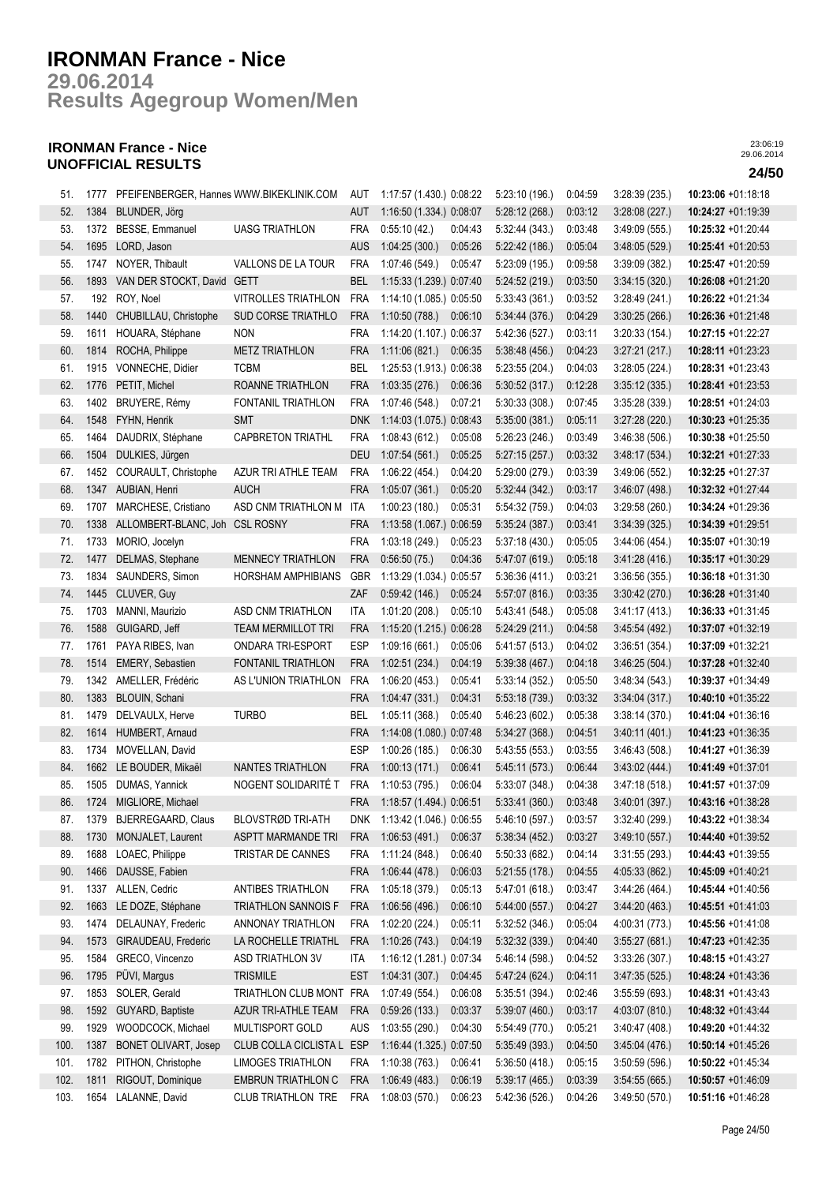**Results Agegroup Women/Men 29.06.2014**

## **IRONMAN France - Nice UNOFFICIAL RESULTS 24/50**

| 51.  | 1777 | PFEIFENBERGER, Hannes WWW.BIKEKLINIK.COM |                            | AUT        | 1:17:57 (1.430.) 0:08:22     |         | 5:23:10(196.)  | 0:04:59 | 3:28:39(235.)  | 10:23:06 +01:18:18    |
|------|------|------------------------------------------|----------------------------|------------|------------------------------|---------|----------------|---------|----------------|-----------------------|
| 52.  | 1384 | BLUNDER, Jörg                            |                            | aut        | 1:16:50 (1.334.) 0:08:07     |         | 5:28:12(268.)  | 0:03:12 | 3:28:08(227.)  | 10:24:27 +01:19:39    |
| 53.  | 1372 | BESSE, Emmanuel                          | <b>UASG TRIATHLON</b>      | <b>FRA</b> | 0:55:10(42.)                 | 0:04:43 | 5:32:44(343)   | 0:03:48 | 3:49:09(555.)  | 10:25:32 +01:20:44    |
| 54.  | 1695 | LORD, Jason                              |                            | <b>AUS</b> | 1:04:25(300.)                | 0:05:26 | 5:22:42(186.)  | 0:05:04 | 3.48:05(529)   | 10:25:41 +01:20:53    |
| 55.  | 1747 | NOYER, Thibault                          | VALLONS DE LA TOUR         | <b>FRA</b> | 1:07:46 (549.)               | 0:05:47 | 5:23:09 (195.) | 0:09:58 | 3:39:09(382)   | $10:25:47 +01:20:59$  |
| 56.  | 1893 | VAN DER STOCKT, David GETT               |                            | <b>BEL</b> | 1:15:33 (1.239.) 0:07:40     |         | 5:24:52 (219.) | 0:03:50 | 3:34:15(320)   | 10:26:08 +01:21:20    |
| 57.  | 192  | ROY, Noel                                | <b>VITROLLES TRIATHLON</b> | <b>FRA</b> | 1:14:10 (1.085.) 0:05:50     |         | 5:33:43(361)   | 0:03:52 | 3:28:49(241)   | 10:26:22 +01:21:34    |
| 58.  | 1440 | CHUBILLAU, Christophe                    | <b>SUD CORSE TRIATHLO</b>  | <b>FRA</b> | 1:10:50(788.)                | 0.06:10 | 5:34:44 (376.) | 0:04:29 | 3:30:25(266)   | 10:26:36 +01:21:48    |
| 59.  | 1611 | HOUARA, Stéphane                         | <b>NON</b>                 | <b>FRA</b> | 1:14:20 (1.107.) 0:06:37     |         | 5:42:36 (527.) | 0:03:11 | 3:20:33(154)   | 10:27:15 +01:22:27    |
| 60.  | 1814 | ROCHA, Philippe                          | <b>METZ TRIATHLON</b>      | <b>FRA</b> | 1:11:06(821)                 | 0:06:35 | 5:38:48(456)   | 0:04:23 | 3:27:21(217.)  | 10:28:11 +01:23:23    |
| 61.  | 1915 | VONNECHE, Didier                         | <b>TCBM</b>                | <b>BEL</b> | 1:25:53 (1.913.) 0:06:38     |         | 5:23:55(204.)  | 0:04:03 | 3:28:05(224.)  | 10:28:31 +01:23:43    |
| 62.  | 1776 | PETIT, Michel                            | ROANNE TRIATHLON           | <b>FRA</b> | 1:03:35(276.)                | 0:06:36 | 5:30:52(317.)  | 0:12:28 | 3:35:12(335)   | 10:28:41 +01:23:53    |
| 63.  | 1402 | BRUYERE, Rémy                            | FONTANIL TRIATHLON         | <b>FRA</b> | 1:07:46 (548.)               | 0.07:21 | 5:30:33(308)   | 0:07:45 | 3:35:28(339)   | 10:28:51 +01:24:03    |
| 64.  | 1548 | FYHN, Henrik                             | <b>SMT</b>                 | <b>DNK</b> | 1:14:03 (1.075.) 0:08:43     |         | 5:35:00(381.)  | 0:05:11 | 3:27:28(220.)  | 10:30:23 +01:25:35    |
| 65.  | 1464 | DAUDRIX, Stéphane                        | <b>CAPBRETON TRIATHL</b>   | <b>FRA</b> | 1:08:43 (612.)               | 0:05:08 | 5:26:23(246.)  | 0:03:49 | 3:46:38(506.)  | 10:30:38 +01:25:50    |
| 66.  | 1504 | DULKIES, Jürgen                          |                            | <b>DEU</b> | 1:07:54 (561.)               | 0:05:25 | 5:27:15(257.)  | 0:03:32 | 3:48:17(534)   | 10:32:21 +01:27:33    |
| 67.  | 1452 | COURAULT, Christophe                     | AZUR TRI ATHLE TEAM        | <b>FRA</b> | 1:06:22 (454.)               | 0:04:20 | 5:29:00 (279.) | 0:03:39 | 3:49:06(552)   | 10:32:25 +01:27:37    |
| 68.  | 1347 | AUBIAN, Henri                            | <b>AUCH</b>                | <b>FRA</b> | 1:05:07(361)                 | 0:05:20 | 5:32:44(342.)  | 0:03:17 | 3.46:07(498.)  | 10:32:32 +01:27:44    |
| 69.  | 1707 | MARCHESE, Cristiano                      | ASD CNM TRIATHLON M        | ITA        | 1:00:23(180.)                | 0:05:31 | 5:54:32 (759.) | 0:04:03 | 3:29:58(260.)  | 10:34:24 +01:29:36    |
| 70.  | 1338 | ALLOMBERT-BLANC, Joh CSL ROSNY           |                            | <b>FRA</b> | 1:13:58 (1.067.) 0:06:59     |         | 5:35:24 (387.) | 0:03:41 | 3:34:39(325)   | 10:34:39 +01:29:51    |
| 71.  | 1733 | MORIO, Jocelyn                           |                            | <b>FRA</b> | 1:03:18 (249.)               | 0:05:23 | 5:37:18(430)   | 0:05:05 | 3.44.06(454)   | $10:35:07 +01:30:19$  |
| 72.  | 1477 | DELMAS, Stephane                         | MENNECY TRIATHLON          | <b>FRA</b> | 0:56:50(75.)                 | 0:04:36 | 5.47.07(619)   | 0:05:18 | 3.41:28(416.)  | $10:35:17 + 01:30:29$ |
| 73.  | 1834 | SAUNDERS, Simon                          | HORSHAM AMPHIBIANS         | <b>GBR</b> | 1:13:29 (1.034.) 0:05:57     |         | 5:36:36(411)   | 0:03:21 | 3:36:56(355)   | $10:36:18 + 01:31:30$ |
| 74.  | 1445 | CLUVER, Guy                              |                            | ZAF        | 0.59.42(146.)                | 0:05:24 | 5:57:07(816.)  | 0:03:35 | 3.30.42(270.)  | 10:36:28 +01:31:40    |
| 75.  | 1703 | MANNI, Maurizio                          | ASD CNM TRIATHLON          | ITA        | 1:01:20(208.)                | 0:05:10 | 5:43:41 (548.) | 0:05:08 | 3:41:17(413)   | 10:36:33 +01:31:45    |
| 76.  | 1588 | GUIGARD, Jeff                            | <b>TEAM MERMILLOT TRI</b>  | <b>FRA</b> | 1:15:20 (1.215.) 0:06:28     |         | 5:24:29(211)   | 0:04:58 | 3:45:54(492)   | $10:37:07 +01:32:19$  |
| 77.  | 1761 | PAYA RIBES, Ivan                         | ONDARA TRI-ESPORT          | <b>ESP</b> | 1:09:16(661)                 | 0:05:06 | 5.41:57(513)   | 0:04:02 | 3:36:51(354.)  | 10:37:09 +01:32:21    |
| 78.  | 1514 | EMERY, Sebastien                         | FONTANIL TRIATHLON         | <b>FRA</b> | 1:02:51(234.)                | 0.04:19 | 5:39:38(467.)  | 0:04:18 | 3.46.25(504.)  | 10:37:28 +01:32:40    |
| 79.  | 1342 | AMELLER, Frédéric                        | AS L'UNION TRIATHLON       | <b>FRA</b> | 1:06:20(453.)                | 0:05:41 | 5:33:14(352)   | 0:05:50 | 3:48:34(543)   | 10:39:37 +01:34:49    |
| 80.  | 1383 | BLOUIN, Schani                           |                            | <b>FRA</b> | 1:04:47(331)                 | 0.04:31 | 5:53:18(739.)  | 0:03:32 | 3:34:04(317.)  | 10:40:10 +01:35:22    |
| 81.  | 1479 | DELVAULX, Herve                          | <b>TURBO</b>               | <b>BEL</b> | 1:05:11 (368.)               | 0:05:40 | 5:46:23 (602.) | 0:05:38 | 3:38:14(370)   | 10:41:04 +01:36:16    |
| 82.  | 1614 | HUMBERT, Arnaud                          |                            | <b>FRA</b> | 1:14:08 (1.080.) 0:07:48     |         | 5:34:27(368)   | 0:04:51 | 3.40:11(401)   | 10:41:23 +01:36:35    |
| 83.  | 1734 | MOVELLAN, David                          |                            | <b>ESP</b> | 1:00:26(185.)                | 0:06:30 | 5:43:55(553)   | 0:03:55 | 3.46.43(508)   | 10:41:27 +01:36:39    |
| 84.  |      | 1662 LE BOUDER, Mikaël                   | NANTES TRIATHLON           | <b>FRA</b> | 1:00:13(171.)                | 0:06:41 | 5.45:11(573)   | 0:06:44 | 3.43.02(444)   | 10:41:49 +01:37:01    |
| 85.  | 1505 | DUMAS, Yannick                           | NOGENT SOLIDARITÉ T        | <b>FRA</b> | 1:10:53 (795.)               | 0:06:04 | 5:33:07 (348.) | 0:04:38 | 3.47:18(518)   | 10:41:57 +01:37:09    |
| 86.  |      | 1724 MIGLIORE, Michael                   |                            |            | FRA 1:18:57 (1.494.) 0:06:51 |         | 5:33:41(360.)  | 0:03:48 | 3.40:01(397.)  | 10:43:16 +01:38:28    |
| 87.  |      | 1379 BJERREGAARD, Claus                  | BLOVSTRØD TRI-ATH          | <b>DNK</b> | 1:13:42 (1.046.) 0:06:55     |         | 5:46:10 (597.) | 0:03:57 | 3:32:40 (299.) | 10:43:22 +01:38:34    |
| 88.  | 1730 | MONJALET, Laurent                        | ASPTT MARMANDE TRI         | <b>FRA</b> | 1:06:53(491)                 | 0.06:37 | 5:38:34(452)   | 0:03:27 | 3.49:10(557)   | $10:44:40 + 01:39:52$ |
| 89.  | 1688 | LOAEC, Philippe                          | TRISTAR DE CANNES          | FRA        | 1:11:24 (848.)               | 0:06:40 | 5:50:33(682)   | 0:04:14 | 3:31:55(293)   | 10:44:43 +01:39:55    |
| 90.  | 1466 | DAUSSE, Fabien                           |                            | <b>FRA</b> | 1:06:44(478.)                | 0:06:03 | 5:21:55(178.)  | 0:04:55 | 4:05:33(862)   | 10:45:09 +01:40:21    |
| 91.  | 1337 | ALLEN, Cedric                            | ANTIBES TRIATHLON          | <b>FRA</b> | 1:05:18 (379.)               | 0:05:13 | 5.47.01(618.)  | 0:03:47 | 3.44.26(464.)  | 10:45:44 +01:40:56    |
| 92.  | 1663 | LE DOZE, Stéphane                        | TRIATHLON SANNOIS F        | <b>FRA</b> | 1:06:56(496.)                | 0:06:10 | 5.44:00(557.)  | 0:04:27 | 3.44:20(463)   | $10:45:51 + 01:41:03$ |
| 93.  | 1474 | DELAUNAY, Frederic                       | ANNONAY TRIATHLON          | <b>FRA</b> | 1:02:20 (224.)               | 0:05:11 | 5:32:52(346.)  | 0:05:04 | 4:00:31 (773.) | 10:45:56 +01:41:08    |
| 94.  | 1573 | GIRAUDEAU, Frederic                      | LA ROCHELLE TRIATHL        | <b>FRA</b> | 1:10:26(743)                 | 0:04:19 | 5:32:32(339)   | 0:04:40 | 3:55:27(681)   | 10:47:23 +01:42:35    |
| 95.  | 1584 | GRECO, Vincenzo                          | ASD TRIATHLON 3V           | ITA        | 1:16:12 (1.281.) 0:07:34     |         | 5.46:14(598.)  | 0:04:52 | 3:33:26(307.)  | 10:48:15 +01:43:27    |
| 96.  | 1795 | PÜVI, Margus                             | TRISMILE                   | <b>EST</b> | 1:04:31(307)                 | 0:04:45 | 5.47:24(624)   | 0:04:11 | 3.47:35(525)   | 10:48:24 +01:43:36    |
| 97.  | 1853 | SOLER, Gerald                            | TRIATHLON CLUB MONT        | FRA        | 1:07:49 (554.)               | 0:06:08 | 5:35:51 (394.) | 0:02:46 | 3:55:59(693.)  | $10:48:31 + 01:43:43$ |
| 98.  | 1592 | GUYARD, Baptiste                         | AZUR TRI-ATHLE TEAM        | <b>FRA</b> | 0.59.26(133.)                | 0:03:37 | 5:39:07(460.)  | 0:03:17 | 4:03:07 (810.) | 10:48:32 +01:43:44    |
| 99.  | 1929 | WOODCOCK, Michael                        | MULTISPORT GOLD            | <b>AUS</b> | 1:03:55 (290.)               | 0:04:30 | 5:54:49 (770.) | 0:05:21 | 3:40:47(408.)  | $10:49:20 +01:44:32$  |
| 100. | 1387 | <b>BONET OLIVART, Josep</b>              | CLUB COLLA CICLISTA L ESP  |            | 1:16:44 (1.325.) 0:07:50     |         | 5:35:49(393)   | 0:04:50 | 3.45.04(476.)  | 10:50:14 +01:45:26    |
| 101. | 1782 | PITHON, Christophe                       | LIMOGES TRIATHLON          | <b>FRA</b> | 1:10:38(763)                 | 0:06:41 | 5:36:50(418.)  | 0:05:15 | 3:50:59(596.)  | 10:50:22 +01:45:34    |
| 102. | 1811 | RIGOUT, Dominique                        | <b>EMBRUN TRIATHLON C</b>  | <b>FRA</b> | 1.06.49(483)                 | 0:06:19 | 5:39:17 (465.) | 0:03:39 | 3:54:55(665)   | 10:50:57 +01:46:09    |
| 103. |      | 1654 LALANNE, David                      | CLUB TRIATHLON TRE         | FRA        | 1:08:03(570.)                | 0:06:23 | 5:42:36 (526.) | 0:04:26 | 3:49:50 (570.) | 10:51:16 +01:46:28    |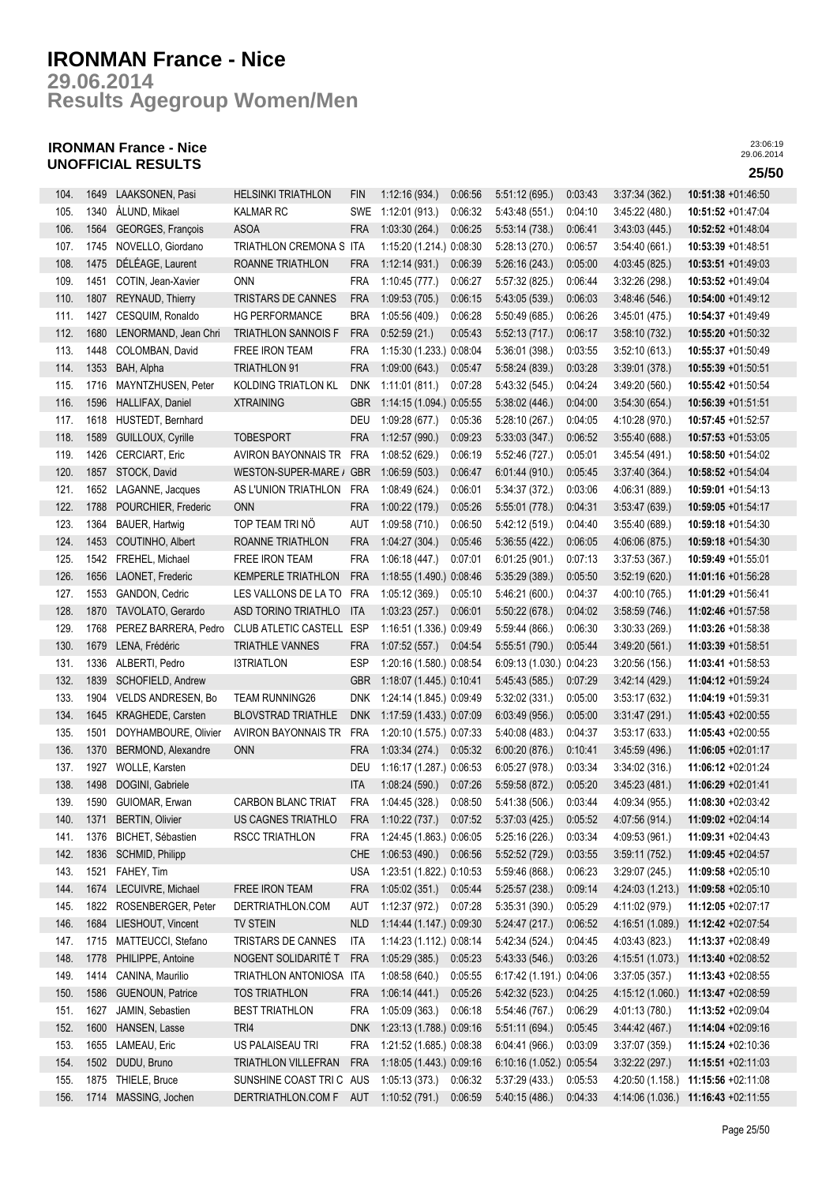**Results Agegroup Women/Men 29.06.2014**

## **IRONMAN France - Nice UNOFFICIAL RESULTS 25/50**

| 104. | 1649 | LAAKSONEN, Pasi         | <b>HELSINKI TRIATHLON</b>                     | <b>FIN</b> | 1:12:16(934.)            | 0:06:56 | 5:51:12(695.)            | 0:03:43 | 3:37:34(362)     | 10:51:38 +01:46:50    |
|------|------|-------------------------|-----------------------------------------------|------------|--------------------------|---------|--------------------------|---------|------------------|-----------------------|
| 105. | 1340 | ÅLUND, Mikael           | <b>KALMAR RC</b>                              | <b>SWE</b> | 1:12:01(913.)            | 0:06:32 | 5:43:48 (551.)           | 0:04:10 | 3:45:22 (480.)   | 10:51:52 +01:47:04    |
| 106. | 1564 | GEORGES, François       | <b>ASOA</b>                                   | <b>FRA</b> | 1:03:30(264.)            | 0:06:25 | 5:53:14(738.)            | 0:06:41 | 3.43.03(445.)    | 10:52:52 +01:48:04    |
| 107. | 1745 | NOVELLO, Giordano       | TRIATHLON CREMONA S ITA                       |            | 1:15:20 (1.214.) 0:08:30 |         | 5:28:13 (270.)           | 0:06:57 | 3:54:40 (661.)   | 10:53:39 +01:48:51    |
| 108. | 1475 | DÉLÉAGE, Laurent        | ROANNE TRIATHLON                              | <b>FRA</b> | 1:12:14(931)             | 0:06:39 | 5:26:16(243.)            | 0:05:00 | 4:03:45 (825.)   | 10:53:51 +01:49:03    |
| 109. | 1451 | COTIN, Jean-Xavier      | <b>ONN</b>                                    | <b>FRA</b> | 1:10:45 (777.)           | 0.06:27 | 5:57:32 (825.)           | 0:06:44 | 3:32:26(298.)    | 10:53:52 +01:49:04    |
| 110. | 1807 | REYNAUD, Thierry        | TRISTARS DE CANNES                            | <b>FRA</b> | 1:09:53(705.)            | 0:06:15 | 5:43:05 (539.)           | 0:06:03 | 3.48.46(546)     | 10:54:00 +01:49:12    |
| 111. | 1427 | CESQUIM, Ronaldo        | <b>HG PERFORMANCE</b>                         | <b>BRA</b> | 1:05:56(409.)            | 0:06:28 | 5:50:49(685)             | 0:06:26 | 3:45:01 (475.)   | 10:54:37 +01:49:49    |
| 112. | 1680 | LENORMAND, Jean Chri    | <b>TRIATHLON SANNOIS F</b>                    | <b>FRA</b> | 0.52:59(21.)             | 0:05:43 | 5:52:13(717.)            | 0:06:17 | 3:58:10(732)     | 10:55:20 +01:50:32    |
| 113. | 1448 | COLOMBAN, David         | FREE IRON TEAM                                | <b>FRA</b> | 1:15:30 (1.233.) 0:08:04 |         | 5:36:01 (398.)           | 0:03:55 | 3:52:10(613)     | 10:55:37 +01:50:49    |
| 114. | 1353 | BAH, Alpha              | <b>TRIATHLON 91</b>                           | <b>FRA</b> | 1:09:00(643.)            | 0:05:47 | 5:58:24 (839.)           | 0:03:28 | 3:39:01(378)     | 10:55:39 +01:50:51    |
| 115. | 1716 | MAYNTZHUSEN, Peter      | KOLDING TRIATLON KL                           | <b>DNK</b> | 1:11:01(811)             | 0:07:28 | 5:43:32(545)             | 0:04:24 | 3:49:20 (560.)   | 10:55:42 +01:50:54    |
| 116. | 1596 | HALLIFAX, Daniel        | <b>XTRAINING</b>                              | GBR        | 1:14:15 (1.094.) 0:05:55 |         | 5:38:02(446.)            | 0:04:00 | 3:54:30(654)     | 10:56:39 +01:51:51    |
| 117. | 1618 | HUSTEDT, Bernhard       |                                               | DEU        | 1:09:28(677.)            | 0:05:36 | 5:28:10(267.)            | 0:04:05 | 4:10:28 (970.)   | 10:57:45 +01:52:57    |
| 118. | 1589 | GUILLOUX, Cyrille       | <b>TOBESPORT</b>                              | <b>FRA</b> | 1:12:57(990.)            | 0:09:23 | 5:33:03(347.)            | 0:06:52 | 3:55:40(688.)    | 10:57:53 +01:53:05    |
| 119. | 1426 | CERCIART, Eric          | AVIRON BAYONNAIS TR                           | <b>FRA</b> | 1:08:52 (629.)           | 0:06:19 | 5:52:46 (727.)           | 0:05:01 | 3:45:54(491.)    | 10:58:50 +01:54:02    |
| 120. | 1857 | STOCK, David            | WESTON-SUPER-MARE /                           | <b>GBR</b> | 1:06:59(503.)            | 0:06:47 | 6:01:44(910.)            | 0:05:45 | 3:37:40(364.)    | 10:58:52 +01:54:04    |
| 121. | 1652 | LAGANNE, Jacques        | AS L'UNION TRIATHLON                          | <b>FRA</b> | 1:08:49(624.)            | 0:06:01 | 5:34:37 (372.)           | 0:03:06 | 4:06:31 (889.)   | 10:59:01 +01:54:13    |
| 122. | 1788 | POURCHIER, Frederic     | <b>ONN</b>                                    | <b>FRA</b> | 1:00:22(179.)            | 0:05:26 | 5:55:01 (778.)           | 0:04:31 | 3:53:47(639)     | 10:59:05 +01:54:17    |
| 123. | 1364 | BAUER, Hartwig          | TOP TEAM TRI NÖ                               | <b>AUT</b> | 1:09:58(710.)            | 0:06:50 | 5:42:12 (519.)           | 0:04:40 | 3:55:40(689)     | 10:59:18 +01:54:30    |
| 124. | 1453 | COUTINHO, Albert        | <b>ROANNE TRIATHLON</b>                       | <b>FRA</b> | 1:04:27(304.)            | 0:05:46 | 5:36:55(422.)            | 0:06:05 | 4:06:06 (875.)   | $10:59:18 + 01:54:30$ |
| 125. | 1542 | FREHEL, Michael         | <b>FREE IRON TEAM</b>                         | <b>FRA</b> | 1:06:18(447.)            | 0.07:01 | 6:01:25(901.)            | 0:07:13 | 3:37:53(367)     | $10:59:49 +01:55:01$  |
| 126. | 1656 | LAONET, Frederic        | <b>KEMPERLE TRIATHLON</b>                     | <b>FRA</b> | 1:18:55 (1.490.) 0:08:46 |         | 5:35:29(389)             | 0:05:50 | 3:52:19(620)     | 11:01:16 +01:56:28    |
| 127. | 1553 | GANDON, Cedric          | LES VALLONS DE LA TO                          | FRA        | 1:05:12(369)             | 0:05:10 | 5:46:21(600.)            | 0:04:37 | 4:00:10 (765.)   | 11:01:29 +01:56:41    |
| 128. | 1870 | TAVOLATO, Gerardo       | ASD TORINO TRIATHLO                           | <b>ITA</b> | 1:03:23(257.)            | 0:06:01 | 5:50:22(678.)            | 0:04:02 | 3:58:59(746.)    | 11:02:46 +01:57:58    |
| 129. | 1768 |                         | PEREZ BARRERA, Pedro CLUB ATLETIC CASTELL ESP |            | 1:16:51 (1.336.) 0:09:49 |         | 5:59:44(866)             | 0:06:30 | 3:30:33(269)     | 11:03:26 +01:58:38    |
| 130. | 1679 | LENA, Frédéric          | TRIATHLE VANNES                               | <b>FRA</b> | 1:07:52(557.)            | 0:04:54 | 5:55:51 (790.)           | 0:05:44 | 3.49:20(561)     | 11:03:39 +01:58:51    |
| 131. | 1336 | ALBERTI, Pedro          | <b>I3TRIATLON</b>                             | <b>ESP</b> | 1:20:16 (1.580.) 0:08:54 |         | 6:09:13 (1.030.) 0:04:23 |         | 3:20:56(156.)    | 11:03:41 +01:58:53    |
| 132. | 1839 | SCHOFIELD, Andrew       |                                               | <b>GBR</b> | 1:18:07 (1.445.) 0:10:41 |         | 5:45:43 (585.)           | 0:07:29 | 3.42.14(429)     | 11:04:12 +01:59:24    |
| 133. | 1904 | VELDS ANDRESEN, Bo      | <b>TEAM RUNNING26</b>                         | <b>DNK</b> | 1:24:14 (1.845.) 0:09:49 |         | 5:32:02(331)             | 0:05:00 | 3:53:17(632)     | 11:04:19 +01:59:31    |
| 134. | 1645 | KRAGHEDE, Carsten       | <b>BLOVSTRAD TRIATHLE</b>                     | <b>DNK</b> | 1:17:59 (1.433.) 0:07:09 |         | 6:03:49(956.)            | 0:05:00 | 3.31.47(291)     | 11:05:43 +02:00:55    |
| 135. | 1501 | DOYHAMBOURE, Olivier    | AVIRON BAYONNAIS TR                           | <b>FRA</b> | 1:20:10 (1.575.) 0:07:33 |         | 5:40:08 (483.)           | 0:04:37 | 3:53:17(633)     | 11:05:43 +02:00:55    |
| 136. | 1370 | BERMOND, Alexandre      | <b>ONN</b>                                    | <b>FRA</b> | 1:03:34(274.)            | 0:05:32 | 6.00:20(876.)            | 0:10:41 | 3.45.59(496.)    | 11:06:05 +02:01:17    |
| 137. | 1927 | WOLLE, Karsten          |                                               | DEU        | 1:16:17 (1.287.) 0:06:53 |         | 6:05:27 (978.)           | 0:03:34 | 3:34:02(316.)    | 11:06:12 +02:01:24    |
| 138. | 1498 | DOGINI, Gabriele        |                                               | <b>ITA</b> | 1:08:24(590.)            | 0:07:26 | 5:59:58 (872.)           | 0:05:20 | 3.45:23(481)     | 11:06:29 +02:01:41    |
| 139. | 1590 | GUIOMAR, Erwan          | <b>CARBON BLANC TRIAT</b>                     | <b>FRA</b> | 1:04:45(328.)            | 0:08:50 | 5:41:38 (506.)           | 0:03:44 | 4:09:34 (955.)   | 11:08:30 +02:03:42    |
| 140. |      | 1371 BERTIN, Olivier    | US CAGNES TRIATHLO                            | <b>FRA</b> | 1:10:22 (737.) 0:07:52   |         | 5:37:03(425)             | 0:05:52 | 4:07:56 (914.)   | 11:09:02 +02:04:14    |
| 141. | 1376 | BICHET, Sébastien       | RSCC TRIATHLON                                | FRA        | 1:24:45 (1.863.) 0:06:05 |         | 5:25:16 (226.)           | 0:03:34 | 4:09:53 (961.)   | 11:09:31 +02:04:43    |
| 142. | 1836 | SCHMID, Philipp         |                                               | <b>CHE</b> | 1:06:53 (490.)           | 0:06:56 | 5:52:52 (729.)           | 0:03:55 | 3:59:11(752)     | 11:09:45 +02:04:57    |
| 143. |      | 1521 FAHEY, Tim         |                                               | <b>USA</b> | 1:23:51 (1.822.) 0:10:53 |         | 5:59:46 (868.)           | 0:06:23 | 3:29:07(245.)    | 11:09:58 +02:05:10    |
| 144. | 1674 | LECUIVRE, Michael       | FREE IRON TEAM                                | <b>FRA</b> | 1:05:02 (351.)           | 0:05:44 | 5:25:57(238.)            | 0:09:14 | 4:24:03 (1.213.) | 11:09:58 +02:05:10    |
| 145. | 1822 | ROSENBERGER, Peter      | DERTRIATHLON.COM                              | aut        | 1:12:37 (972.)           | 0:07:28 | 5:35:31(390.)            | 0:05:29 | 4:11:02 (979.)   | 11:12:05 +02:07:17    |
| 146. | 1684 | LIESHOUT, Vincent       | TV STEIN                                      | <b>NLD</b> | 1:14:44 (1.147.) 0:09:30 |         | 5:24:47(217.)            | 0:06:52 | 4:16:51 (1.089.) | 11:12:42 +02:07:54    |
| 147. | 1715 | MATTEUCCI, Stefano      | TRISTARS DE CANNES                            | ITA        | 1:14:23 (1.112.) 0:08:14 |         | 5:42:34 (524.)           | 0:04:45 | 4:03:43 (823.)   | 11:13:37 +02:08:49    |
| 148. | 1778 | PHILIPPE, Antoine       | NOGENT SOLIDARITÉ T                           | <b>FRA</b> | 1:05:29(385)             | 0:05:23 | 5.43.33(546)             | 0:03:26 | 4:15:51 (1.073.) | 11:13:40 +02:08:52    |
| 149. | 1414 | CANINA, Maurilio        | TRIATHLON ANTONIOSA ITA                       |            | 1:08:58(640.)            | 0:05:55 | 6:17:42 (1.191.) 0:04:06 |         | 3:37:05(357)     | 11:13:43 +02:08:55    |
| 150. | 1586 | <b>GUENOUN, Patrice</b> | <b>TOS TRIATHLON</b>                          | FRA        | 1:06:14(441)             | 0:05:26 | 5.42:32(523)             | 0:04:25 | 4:15:12(1.060.)  | 11:13:47 +02:08:59    |
| 151. | 1627 | JAMIN, Sebastien        | <b>BEST TRIATHLON</b>                         | FRA        | 1:05:09(363)             | 0:06:18 | 5.54:46 (767.)           | 0:06:29 | 4:01:13 (780.)   | 11:13:52 +02:09:04    |
| 152. | 1600 | HANSEN, Lasse           | TRI4                                          | <b>DNK</b> | 1:23:13 (1.788.) 0:09:16 |         | 5.51:11(694.)            | 0:05:45 | 3.44.42(467)     | 11:14:04 +02:09:16    |
| 153. | 1655 | LAMEAU, Eric            | US PALAISEAU TRI                              | FRA        | 1:21:52 (1.685.) 0:08:38 |         | 6.04:41(966)             | 0:03:09 | 3:37:07(359)     | 11:15:24 +02:10:36    |
| 154. | 1502 | DUDU, Bruno             | <b>TRIATHLON VILLEFRAN</b>                    | <b>FRA</b> | 1:18:05 (1.443.) 0:09:16 |         | 6:10:16 (1.052.) 0:05:54 |         | 3.32:22(297)     | 11:15:51 +02:11:03    |
| 155. | 1875 | THIELE, Bruce           | SUNSHINE COAST TRI C AUS                      |            | 1:05:13(373)             | 0:06:32 | 5:37:29 (433.)           | 0:05:53 | 4:20:50 (1.158.) | 11:15:56 +02:11:08    |
| 156. | 1714 | MASSING, Jochen         | DERTRIATHLON.COM F                            | AUT        | 1:10:52 (791.)           | 0:06:59 | 5:40:15 (486.)           | 0:04:33 | 4:14:06 (1.036.) | 11:16:43 +02:11:55    |
|      |      |                         |                                               |            |                          |         |                          |         |                  |                       |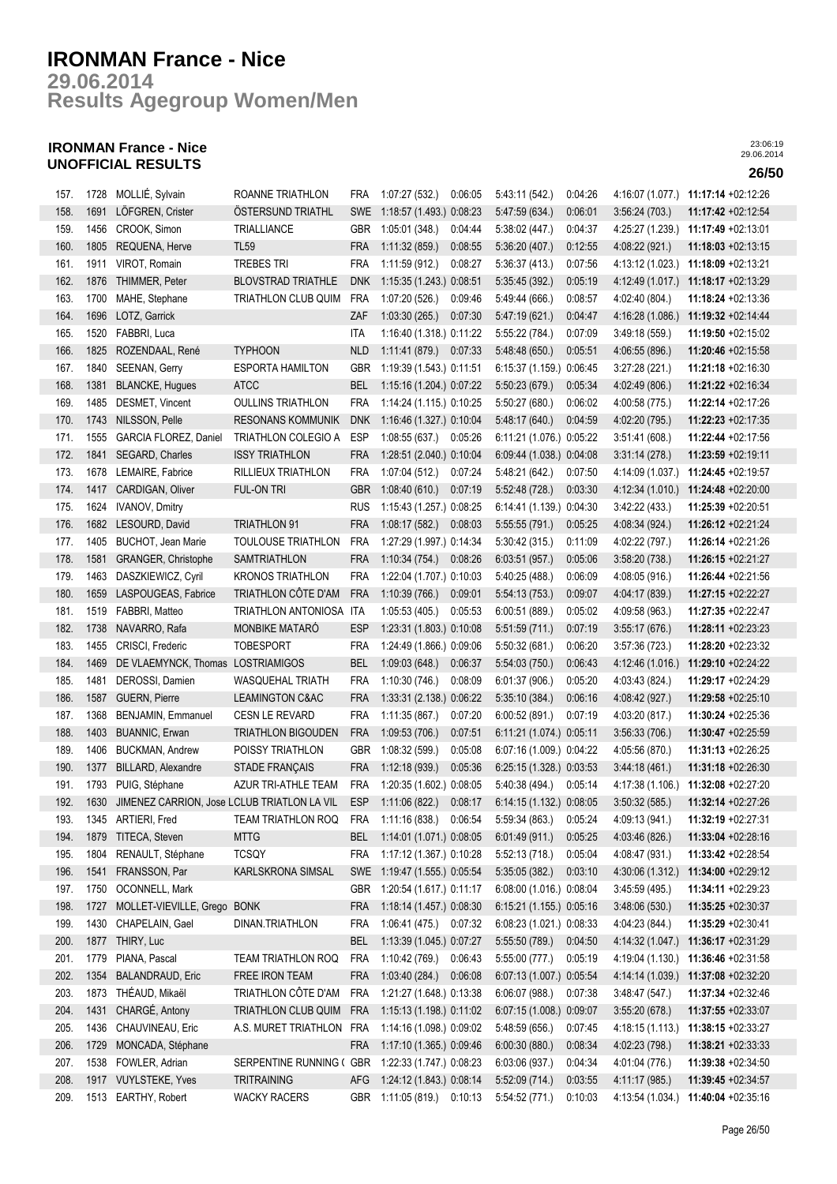**Results Agegroup Women/Men 29.06.2014**

## **IRONMAN France - Nice UNOFFICIAL RESULTS 26/50**

| 157. | 1728 | MOLLIÉ, Sylvain                             | ROANNE TRIATHLON           | <b>FRA</b> | 1:07:27 (532.)             | 0:06:05 | 5:43:11 (542.)           | 0:04:26 | 4:16:07 (1.077.) | 11:17:14 +02:12:26                  |
|------|------|---------------------------------------------|----------------------------|------------|----------------------------|---------|--------------------------|---------|------------------|-------------------------------------|
| 158. | 1691 | LÖFGREN, Crister                            | <b>OSTERSUND TRIATHL</b>   | <b>SWE</b> | 1:18:57 (1.493.) 0:08:23   |         | 5:47:59 (634.)           | 0:06:01 | 3:56:24(703.)    | 11:17:42 +02:12:54                  |
| 159. | 1456 | CROOK, Simon                                | TRIALLIANCE                | GBR        | 1:05:01(348.)              | 0:04:44 | 5:38:02 (447.)           | 0:04:37 | 4:25:27 (1.239.) | 11:17:49 +02:13:01                  |
| 160. | 1805 | REQUENA, Herve                              | <b>TL59</b>                | <b>FRA</b> | 1:11:32(859.)              | 0:08:55 | 5:36:20 (407.)           | 0:12:55 | 4:08:22 (921.)   | 11:18:03 +02:13:15                  |
| 161. | 1911 | VIROT, Romain                               | <b>TREBES TRI</b>          | <b>FRA</b> | 1:11:59 (912.)             | 0:08:27 | 5:36:37(413)             | 0:07:56 | 4:13:12 (1.023.) | 11:18:09 +02:13:21                  |
| 162. | 1876 | THIMMER, Peter                              | <b>BLOVSTRAD TRIATHLE</b>  | <b>DNK</b> | 1:15:35 (1.243.) 0:08:51   |         | 5:35:45(392)             | 0:05:19 | 4:12:49 (1.017.) | 11:18:17 +02:13:29                  |
| 163. | 1700 | MAHE, Stephane                              | TRIATHLON CLUB QUIM        | <b>FRA</b> | 1:07:20 (526.)             | 0:09:46 | 5:49:44 (666.)           | 0:08:57 | 4:02:40 (804.)   | 11:18:24 +02:13:36                  |
| 164. | 1696 | LOTZ, Garrick                               |                            | ZAF        | 1:03:30(265.)              | 0:07:30 | 5.47:19(621)             | 0:04:47 | 4:16:28 (1.086.) | 11:19:32 +02:14:44                  |
| 165. | 1520 | FABBRI, Luca                                |                            | ITA        | 1:16:40 (1.318.) 0:11:22   |         | 5:55:22 (784.)           | 0:07:09 | 3:49:18 (559.)   | 11:19:50 +02:15:02                  |
| 166. | 1825 | ROZENDAAL, René                             | <b>TYPHOON</b>             | <b>NLD</b> | 1:11:41 (879.)             | 0:07:33 | 5:48:48 (650.)           | 0:05:51 | 4:06:55(896.)    | 11:20:46 +02:15:58                  |
| 167. | 1840 | SEENAN, Gerry                               | <b>ESPORTA HAMILTON</b>    | <b>GBR</b> | 1:19:39 (1.543.) 0:11:51   |         | 6:15:37 (1.159.) 0:06:45 |         | 3:27:28(221)     | 11:21:18 +02:16:30                  |
| 168. | 1381 | <b>BLANCKE, Hugues</b>                      | <b>ATCC</b>                | <b>BEL</b> | 1:15:16 (1.204.) 0:07:22   |         | 5:50:23(679)             | 0:05:34 | 4:02:49 (806.)   | 11:21:22 +02:16:34                  |
| 169. | 1485 | DESMET, Vincent                             | <b>OULLINS TRIATHLON</b>   | <b>FRA</b> | 1:14:24 (1.115.) 0:10:25   |         | 5:50:27 (680.)           | 0:06:02 | 4:00:58 (775.)   | 11:22:14 +02:17:26                  |
| 170. | 1743 | NILSSON, Pelle                              | <b>RESONANS KOMMUNIK</b>   | <b>DNK</b> | 1:16:46 (1.327.) 0:10:04   |         | 5:48:17 (640.)           | 0:04:59 | 4:02:20 (795.)   | 11:22:23 +02:17:35                  |
| 171. | 1555 | GARCIA FLOREZ, Daniel                       | TRIATHLON COLEGIO A        | <b>ESP</b> | 1:08:55(637.)              | 0:05:26 | 6:11:21 (1.076.) 0:05:22 |         | 3:51:41(608.)    | 11:22:44 +02:17:56                  |
| 172. | 1841 | SEGARD, Charles                             | <b>ISSY TRIATHLON</b>      | <b>FRA</b> | 1:28:51 (2.040.) 0:10:04   |         | 6:09:44 (1.038.) 0:04:08 |         | 3:31:14(278.)    | 11:23:59 +02:19:11                  |
| 173. | 1678 | LEMAIRE, Fabrice                            | RILLIEUX TRIATHLON         | <b>FRA</b> | 1:07:04 (512.)             | 0:07:24 | 5:48:21 (642.)           | 0:07:50 | 4:14:09 (1.037.) | 11:24:45 +02:19:57                  |
| 174. | 1417 | CARDIGAN, Oliver                            | FUL-ON TRI                 | <b>GBR</b> | 1:08:40(610.)              | 0:07:19 | 5:52:48 (728.)           | 0:03:30 | 4:12:34 (1.010.) | 11:24:48 +02:20:00                  |
| 175. | 1624 | <b>IVANOV, Dmitry</b>                       |                            | <b>RUS</b> | 1:15:43 (1.257.) 0:08:25   |         | 6:14:41 (1.139.) 0:04:30 |         | 3.42:22(433)     | 11:25:39 +02:20:51                  |
| 176. | 1682 | LESOURD, David                              | <b>TRIATHLON 91</b>        | <b>FRA</b> | 1:08:17(582)               | 0:08:03 | 5:55:55 (791.)           | 0:05:25 | 4:08:34 (924.)   | 11:26:12 +02:21:24                  |
| 177. | 1405 | BUCHOT, Jean Marie                          | <b>TOULOUSE TRIATHLON</b>  | <b>FRA</b> | 1:27:29 (1.997.) 0:14:34   |         | 5:30:42 (315.)           | 0:11:09 | 4:02:22 (797.)   | 11:26:14 +02:21:26                  |
| 178. | 1581 | GRANGER, Christophe                         | <b>SAMTRIATHLON</b>        | <b>FRA</b> | 1:10:34(754)               | 0:08:26 | 6.03:51(957)             | 0:05:06 | 3:58:20(738.)    | 11:26:15 +02:21:27                  |
| 179. | 1463 | DASZKIEWICZ, Cyril                          | <b>KRONOS TRIATHLON</b>    | <b>FRA</b> | 1:22:04 (1.707.) 0:10:03   |         | 5:40:25 (488.)           | 0:06:09 | 4.08:05(916.)    | 11:26:44 +02:21:56                  |
| 180. | 1659 | LASPOUGEAS, Fabrice                         | TRIATHLON CÔTE D'AM        | <b>FRA</b> | 1:10:39(766.)              | 0.09:01 | 5:54:13(753)             | 0:09:07 | 4:04:17 (839.)   | 11:27:15 +02:22:27                  |
| 181. | 1519 | FABBRI, Matteo                              | TRIATHLON ANTONIOSA        | ITA        | 1:05:53(405.)              | 0:05:53 | 6:00:51 (889.)           | 0:05:02 | 4:09:58 (963.)   | 11:27:35 +02:22:47                  |
| 182. | 1738 | NAVARRO, Rafa                               | MONBIKE MATARÓ             | <b>ESP</b> | 1:23:31 (1.803.) 0:10:08   |         | 5:51:59(711.)            | 0:07:19 | 3:55:17(676.)    | 11:28:11 +02:23:23                  |
| 183. | 1455 | CRISCI, Frederic                            | <b>TOBESPORT</b>           | <b>FRA</b> | 1:24:49 (1.866.) 0:09:06   |         | 5:50:32 (681.)           | 0:06:20 | 3:57:36(723)     | 11:28:20 +02:23:32                  |
| 184. | 1469 | DE VLAEMYNCK, Thomas LOSTRIAMIGOS           |                            | <b>BEL</b> | 1:09:03(648.)              | 0:06:37 | 5:54:03(750.)            | 0:06:43 | 4:12:46 (1.016.) | 11:29:10 +02:24:22                  |
| 185. | 1481 | DEROSSI, Damien                             | <b>WASQUEHAL TRIATH</b>    | <b>FRA</b> | 1:10:30(746.)              | 0:08:09 | 6:01:37(906)             | 0:05:20 | 4:03:43 (824.)   | 11:29:17 +02:24:29                  |
| 186. | 1587 | GUERN, Pierre                               | <b>LEAMINGTON C&amp;AC</b> | <b>FRA</b> | 1:33:31 (2.138.) 0:06:22   |         | 5:35:10(384)             | 0:06:16 | 4:08:42 (927.)   | 11:29:58 +02:25:10                  |
| 187. | 1368 | <b>BENJAMIN, Emmanuel</b>                   | <b>CESN LE REVARD</b>      | <b>FRA</b> | 1:11:35 (867.)             | 0:07:20 | 6:00:52(891.)            | 0:07:19 | 4:03:20 (817.)   | 11:30:24 +02:25:36                  |
| 188. | 1403 | <b>BUANNIC, Erwan</b>                       | <b>TRIATHLON BIGOUDEN</b>  | <b>FRA</b> | 1:09:53(706.)              | 0.07:51 | 6:11:21 (1.074.) 0:05:11 |         | 3:56:33(706.)    | 11:30:47 +02:25:59                  |
| 189. | 1406 | <b>BUCKMAN, Andrew</b>                      | POISSY TRIATHLON           | <b>GBR</b> | 1:08:32 (599.)             | 0:05:08 | 6:07:16 (1.009.) 0:04:22 |         | 4:05:56 (870.)   | 11:31:13 +02:26:25                  |
| 190. | 1377 | BILLARD, Alexandre                          | <b>STADE FRANÇAIS</b>      | <b>FRA</b> | 1:12:18 (939.)             | 0:05:36 | 6:25:15 (1.328.) 0:03:53 |         | 3.44:18(461)     | 11:31:18 +02:26:30                  |
| 191. | 1793 | PUIG, Stéphane                              | AZUR TRI-ATHLE TEAM        | <b>FRA</b> | 1:20:35 (1.602.) 0:08:05   |         | 5:40:38 (494.)           | 0:05:14 | 4:17:38 (1.106.) | 11:32:08 +02:27:20                  |
| 192. | 1630 | JIMENEZ CARRION, Jose LCLUB TRIATLON LA VIL |                            | <b>ESP</b> | 1:11:06(822.)              | 0:08:17 | 6:14:15 (1.132.) 0:08:05 |         | 3:50:32(585.)    | 11:32:14 +02:27:26                  |
| 193. |      | 1345 ARTIERI, Fred                          | TEAM TRIATHLON ROQ         | FRA        | 1:11:16 (838.) 0:06:54     |         | 5:59:34 (863.)           | 0:05:24 | 4:09:13 (941.)   | 11:32:19 +02:27:31                  |
| 194. | 1879 | TITECA, Steven                              | <b>MTTG</b>                | BEL        | 1:14:01 (1.071.) 0:08:05   |         | 6.01:49(911)             | 0:05:25 | 4.03:46 (826.)   | 11:33:04 +02:28:16                  |
| 195. | 1804 | RENAULT, Stéphane                           | <b>TCSQY</b>               | FRA        | 1:17:12 (1.367.) 0:10:28   |         | 5:52:13(718.)            | 0:05:04 | 4:08:47 (931.)   | 11:33:42 +02:28:54                  |
| 196. | 1541 | FRANSSON, Par                               | KARLSKRONA SIMSAL          | <b>SWE</b> | 1:19:47 (1.555.) 0:05:54   |         | 5:35:05 (382.)           | 0:03:10 | 4:30:06 (1.312.) | 11:34:00 +02:29:12                  |
| 197. | 1750 | OCONNELL, Mark                              |                            | GBR        | 1:20:54 (1.617.) 0:11:17   |         | 6:08:00 (1.016.) 0:08:04 |         | 3:45:59 (495.)   | 11:34:11 +02:29:23                  |
| 198. | 1727 | MOLLET-VIEVILLE, Grego BONK                 |                            | <b>FRA</b> | 1:18:14 (1.457.) 0:08:30   |         | 6:15:21 (1.155.) 0:05:16 |         | 3.48.06(530.)    | 11:35:25 +02:30:37                  |
| 199. | 1430 | CHAPELAIN, Gael                             | DINAN.TRIATHLON            | <b>FRA</b> | 1:06:41 (475.) 0:07:32     |         | 6:08:23 (1.021.) 0:08:33 |         | 4:04:23 (844.)   | 11:35:29 +02:30:41                  |
| 200. | 1877 | THIRY, Luc                                  |                            | <b>BEL</b> | 1:13:39 (1.045.) 0:07:27   |         | 5:55:50 (789.)           | 0:04:50 | 4:14:32 (1.047.) | 11:36:17 +02:31:29                  |
| 201. | 1779 | PIANA, Pascal                               | <b>TEAM TRIATHLON ROQ</b>  | <b>FRA</b> | 1:10:42 (769.) 0:06:43     |         | 5:55:00 (777.)           | 0:05:19 |                  | 4:19:04 (1.130.) 11:36:46 +02:31:58 |
| 202. | 1354 | <b>BALANDRAUD, Eric</b>                     | FREE IRON TEAM             | <b>FRA</b> | 1:03:40 (284.) 0:06:08     |         | 6:07:13 (1.007.) 0:05:54 |         |                  | 4:14:14 (1.039.) 11:37:08 +02:32:20 |
| 203. | 1873 | THÉAUD, Mikaël                              | TRIATHLON CÔTE D'AM        | FRA        | 1:21:27 (1.648.) 0:13:38   |         | 6:06:07(988.)            | 0:07:38 | 3:48:47(547)     | 11:37:34 +02:32:46                  |
| 204. | 1431 | CHARGÉ, Antony                              | TRIATHLON CLUB QUIM        | <b>FRA</b> | 1:15:13 (1.198.) 0:11:02   |         | 6:07:15 (1.008.) 0:09:07 |         | 3:55:20(678.)    | 11:37:55 +02:33:07                  |
| 205. | 1436 | CHAUVINEAU, Eric                            | A.S. MURET TRIATHLON       | FRA        | 1:14:16 (1.098.) 0:09:02   |         | 5:48:59 (656.)           | 0:07:45 | 4:18:15 (1.113.) | 11:38:15 +02:33:27                  |
| 206. | 1729 | MONCADA, Stéphane                           |                            | <b>FRA</b> | 1:17:10 (1.365.) 0:09:46   |         | 6:00:30(880.)            | 0:08:34 | 4.02.23 (798.)   | 11:38:21 +02:33:33                  |
| 207. | 1538 | FOWLER, Adrian                              | SERPENTINE RUNNING (GBR    |            | 1:22:33 (1.747.) 0:08:23   |         | 6.03.06(937)             | 0:04:34 | 4.01:04 (776.)   | 11:39:38 +02:34:50                  |
| 208. |      | 1917 VUYLSTEKE, Yves                        | TRITRAINING                | AFG        | 1:24:12 (1.843.) 0:08:14   |         | 5:52:09(714.)            | 0:03:55 | 4:11:17 (985.)   | 11:39:45 +02:34:57                  |
| 209. |      | 1513 EARTHY, Robert                         | <b>WACKY RACERS</b>        |            | GBR 1:11:05 (819.) 0:10:13 |         | 5:54:52 (771.)           | 0:10:03 |                  | 4:13:54 (1.034.) 11:40:04 +02:35:16 |
|      |      |                                             |                            |            |                            |         |                          |         |                  |                                     |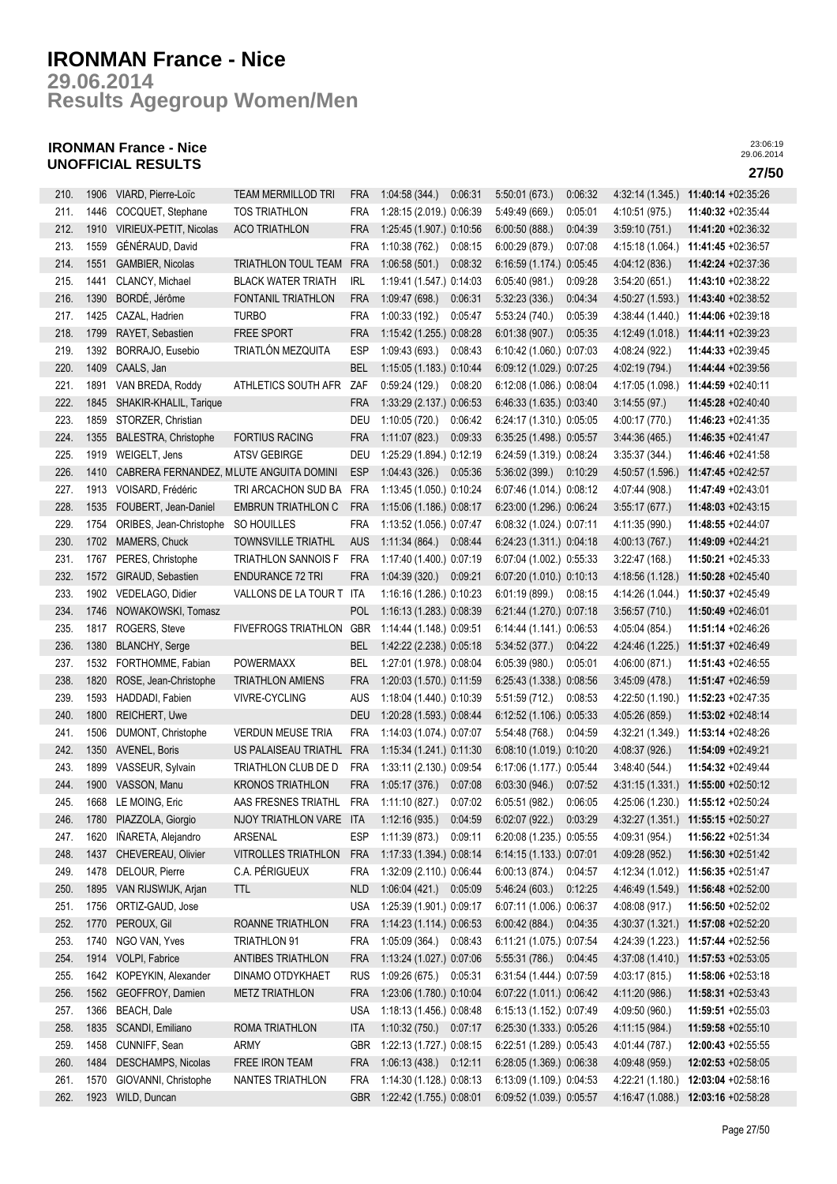**Results Agegroup Women/Men 29.06.2014**

## **IRONMAN France - Nice UNOFFICIAL RESULTS 27/50**

| 210. | 1906 | VIARD, Pierre-Loïc                      | <b>TEAM MERMILLOD TRI</b>             | <b>FRA</b> | 1:04:58(344)             | 0:06:31            | 5:50:01 (673.)           | 0:06:32 | 4:32:14 (1.345.) | 11:40:14 +02:35:26                  |
|------|------|-----------------------------------------|---------------------------------------|------------|--------------------------|--------------------|--------------------------|---------|------------------|-------------------------------------|
| 211. | 1446 | COCQUET, Stephane                       | <b>TOS TRIATHLON</b>                  | <b>FRA</b> | 1:28:15 (2.019.) 0:06:39 |                    | 5:49:49 (669.)           | 0:05:01 | 4:10:51 (975.)   | 11:40:32 +02:35:44                  |
| 212. | 1910 | VIRIEUX-PETIT, Nicolas                  | <b>ACO TRIATHLON</b>                  | <b>FRA</b> | 1:25:45 (1.907.) 0:10:56 |                    | 6:00:50 (888.)           | 0:04:39 | 3:59:10(751)     | 11:41:20 +02:36:32                  |
| 213. | 1559 | GÉNÉRAUD, David                         |                                       | <b>FRA</b> | 1:10:38(762)             | 0:08:15            | 6:00:29(879.)            | 0:07:08 | 4:15:18 (1.064.) | 11:41:45 +02:36:57                  |
| 214. | 1551 | GAMBIER, Nicolas                        | <b>TRIATHLON TOUL TEAM</b>            | <b>FRA</b> | 1:06:58(501)             | 0:08:32            | 6:16:59 (1.174.) 0:05:45 |         | 4:04:12 (836.)   | 11:42:24 +02:37:36                  |
| 215. | 1441 | CLANCY, Michael                         | <b>BLACK WATER TRIATH</b>             | <b>IRL</b> | 1:19:41 (1.547.) 0:14:03 |                    | 6:05:40(981.)            | 0:09:28 | 3:54:20(651)     | 11:43:10 +02:38:22                  |
| 216. | 1390 | BORDÉ, Jérôme                           | FONTANIL TRIATHLON                    | <b>FRA</b> | 1:09:47(698.)            | 0:06:31            | 5:32:23 (336.)           | 0:04:34 | 4:50:27 (1.593.) | 11:43:40 +02:38:52                  |
| 217. | 1425 | CAZAL, Hadrien                          | <b>TURBO</b>                          | <b>FRA</b> | 1:00:33 (192.)           | 0:05:47            | 5:53:24 (740.)           | 0:05:39 | 4:38:44 (1.440.) | 11:44:06 +02:39:18                  |
| 218. | 1799 | RAYET, Sebastien                        | <b>FREE SPORT</b>                     | <b>FRA</b> | 1:15:42 (1.255.) 0:08:28 |                    | 6:01:38(907.)            | 0:05:35 | 4:12:49 (1.018.) | 11:44:11 +02:39:23                  |
| 219. | 1392 | BORRAJO, Eusebio                        | TRIATLÓN MEZQUITA                     | <b>ESP</b> | 1:09:43(693)             | 0:08:43            | 6:10:42 (1.060.) 0:07:03 |         | 4:08:24 (922.)   | 11:44:33 +02:39:45                  |
|      |      |                                         |                                       |            |                          |                    | 6:09:12 (1.029.) 0:07:25 |         |                  |                                     |
| 220. | 1409 | CAALS, Jan                              |                                       | <b>BEL</b> | 1:15:05 (1.183.) 0:10:44 |                    |                          |         | 4:02:19 (794.)   | 11:44:44 +02:39:56                  |
| 221. | 1891 | VAN BREDA, Roddy                        | ATHLETICS SOUTH AFR                   | ZAF        | 0:59:24(129.)            | 0:08:20            | 6:12:08 (1.086.) 0:08:04 |         | 4:17:05 (1.098.) | 11:44:59 +02:40:11                  |
| 222. | 1845 | SHAKIR-KHALIL, Tarique                  |                                       | <b>FRA</b> | 1:33:29 (2.137.) 0:06:53 |                    | 6:46:33 (1.635.) 0:03:40 |         | 3:14:55(97)      | 11:45:28 +02:40:40                  |
| 223. | 1859 | STORZER, Christian                      |                                       | DEU        | 1:10:05(720.)            | 0:06:42            | 6:24:17 (1.310.) 0:05:05 |         | 4:00:17 (770.)   | 11:46:23 +02:41:35                  |
| 224. | 1355 | <b>BALESTRA, Christophe</b>             | <b>FORTIUS RACING</b>                 | <b>FRA</b> | 1:11:07(823.)            | 0:09:33            | 6:35:25 (1.498.) 0:05:57 |         | 3.44.36(465)     | 11:46:35 +02:41:47                  |
| 225. | 1919 | WEIGELT, Jens                           | <b>ATSV GEBIRGE</b>                   | DEU        | 1:25:29 (1.894.) 0:12:19 |                    | 6:24:59 (1.319.) 0:08:24 |         | 3:35:37(344.)    | 11:46:46 +02:41:58                  |
| 226. | 1410 | CABRERA FERNANDEZ, MLUTE ANGUITA DOMINI |                                       | <b>ESP</b> | 1:04:43(326.)            | 0:05:36            | 5:36:02 (399.)           | 0:10:29 | 4:50:57 (1.596.) | 11:47:45 +02:42:57                  |
| 227. | 1913 | VOISARD, Frédéric                       | TRI ARCACHON SUD BA                   | <b>FRA</b> | 1:13:45 (1.050.) 0:10:24 |                    | 6:07:46 (1.014.) 0:08:12 |         | 4:07:44 (908.)   | 11:47:49 +02:43:01                  |
| 228. | 1535 | FOUBERT, Jean-Daniel                    | <b>EMBRUN TRIATHLON C</b>             | <b>FRA</b> | 1:15:06 (1.186.) 0:08:17 |                    | 6:23:00 (1.296.) 0:06:24 |         | 3:55:17(677.)    | 11:48:03 +02:43:15                  |
| 229. | 1754 | ORIBES, Jean-Christophe                 | SO HOUILLES                           | <b>FRA</b> | 1:13:52 (1.056.) 0:07:47 |                    | 6:08:32 (1.024.) 0:07:11 |         | 4:11:35 (990.)   | 11:48:55 +02:44:07                  |
| 230. | 1702 | MAMERS, Chuck                           | <b>TOWNSVILLE TRIATHL</b>             | <b>AUS</b> | 1:11:34 (864.) 0:08:44   |                    | 6:24:23 (1.311.) 0:04:18 |         | 4:00:13 (767.)   | 11:49:09 +02:44:21                  |
| 231. | 1767 | PERES, Christophe                       | <b>TRIATHLON SANNOIS F</b>            | <b>FRA</b> | 1:17:40 (1.400.) 0:07:19 |                    | 6:07:04 (1.002.) 0:55:33 |         | 3.22.47(168.)    | 11:50:21 +02:45:33                  |
| 232. | 1572 | GIRAUD, Sebastien                       | <b>ENDURANCE 72 TRI</b>               | <b>FRA</b> | 1:04:39(320.)            | 0.09:21            | 6:07:20 (1.010.) 0:10:13 |         | 4:18:56 (1.128.) | 11:50:28 +02:45:40                  |
| 233. | 1902 | VEDELAGO, Didier                        | VALLONS DE LA TOUR T                  | ITA        | 1:16:16 (1.286.) 0:10:23 |                    | 6:01:19(899.)            | 0:08:15 | 4:14:26 (1.044.) | 11:50:37 +02:45:49                  |
| 234. | 1746 | NOWAKOWSKI, Tomasz                      |                                       | <b>POL</b> | 1:16:13 (1.283.) 0:08:39 |                    | 6:21:44 (1.270.) 0:07:18 |         | 3:56:57(710.)    | 11:50:49 +02:46:01                  |
| 235. | 1817 | ROGERS, Steve                           | <b>FIVEFROGS TRIATHLON</b>            | GBR        | 1:14:44 (1.148.) 0:09:51 |                    | 6:14:44 (1.141.) 0:06:53 |         | 4:05:04 (854.)   | 11:51:14 +02:46:26                  |
| 236. | 1380 | <b>BLANCHY, Serge</b>                   |                                       | <b>BEL</b> | 1:42:22 (2.238.) 0:05:18 |                    | 5:34:52(377.)            | 0:04:22 | 4:24:46 (1.225.) | 11:51:37 +02:46:49                  |
| 237. | 1532 | FORTHOMME, Fabian                       | <b>POWERMAXX</b>                      | <b>BEL</b> | 1:27:01 (1.978.) 0:08:04 |                    | 6:05:39(980.)            | 0:05:01 | 4:06:00 (871.)   | 11:51:43 +02:46:55                  |
| 238. | 1820 | ROSE, Jean-Christophe                   | <b>TRIATHLON AMIENS</b>               | <b>FRA</b> | 1:20:03 (1.570.) 0:11:59 |                    | 6:25:43 (1.338.) 0:08:56 |         | 3.45.09(478.)    | 11:51:47 +02:46:59                  |
| 239. | 1593 | HADDADI, Fabien                         | <b>VIVRE-CYCLING</b>                  | <b>AUS</b> | 1:18:04 (1.440.) 0:10:39 |                    | 5:51:59(712.)            | 0:08:53 | 4:22:50 (1.190.) | 11:52:23 +02:47:35                  |
| 240. | 1800 | REICHERT, Uwe                           |                                       | <b>DEU</b> | 1:20:28 (1.593.) 0:08:44 |                    | 6:12:52 (1.106.) 0:05:33 |         | 4:05:26 (859.)   | 11:53:02 +02:48:14                  |
| 241. | 1506 | DUMONT, Christophe                      | <b>VERDUN MEUSE TRIA</b>              | <b>FRA</b> | 1:14:03 (1.074.) 0:07:07 |                    | 5:54:48 (768.)           | 0:04:59 | 4:32:21 (1.349.) | 11:53:14 +02:48:26                  |
| 242. | 1350 | AVENEL, Boris                           | US PALAISEAU TRIATHL                  | <b>FRA</b> | 1:15:34 (1.241.) 0:11:30 |                    | 6:08:10 (1.019.) 0:10:20 |         | 4:08:37 (926.)   | 11:54:09 +02:49:21                  |
| 243. | 1899 | VASSEUR, Sylvain                        | TRIATHLON CLUB DE D                   | <b>FRA</b> | 1:33:11 (2.130.) 0:09:54 |                    | 6:17:06 (1.177.) 0:05:44 |         | 3:48:40 (544.)   | 11:54:32 +02:49:44                  |
| 244. | 1900 | VASSON, Manu                            | <b>KRONOS TRIATHLON</b>               | <b>FRA</b> | 1:05:17(376.)            | 0:07:08            | 6:03:30(946.)            | 0:07:52 | 4:31:15 (1.331.) | 11:55:00 +02:50:12                  |
| 245. |      | 1668 LE MOING, Eric                     | AAS FRESNES TRIATHL                   | FRA        | 1:11:10 (827.)           | 0:07:02            | 6:05:51(982.)            | 0:06:05 |                  | 4:25:06 (1.230.) 11:55:12 +02:50:24 |
|      |      | 1780 PIAZZOLA, Giorgio                  | NJOY TRIATHLON VARE ITA               |            |                          |                    |                          |         | 4:32:27 (1.351.) |                                     |
| 246. |      |                                         |                                       |            | 1:12:16(935)             | 0:04:59<br>0:09:11 | 6:02:07(922.)            | 0:03:29 |                  | 11:55:15 +02:50:27                  |
| 247. | 1620 | IÑARETA, Alejandro                      | ARSENAL<br><b>VITROLLES TRIATHLON</b> | ESP        | 1:11:39(873)             |                    | 6:20:08 (1.235.) 0:05:55 |         | 4:09:31 (954.)   | 11:56:22 +02:51:34                  |
| 248. | 1437 | CHEVEREAU, Olivier                      |                                       | <b>FRA</b> | 1:17:33 (1.394.) 0:08:14 |                    | 6:14:15 (1.133.) 0:07:01 |         | 4:09:28 (952.)   | 11:56:30 +02:51:42                  |
| 249. | 1478 | DELOUR, Pierre                          | C.A. PÉRIGUEUX                        | FRA        | 1:32:09 (2.110.) 0:06:44 |                    | 6:00:13(874)             | 0:04:57 | 4:12:34 (1.012.) | 11:56:35 +02:51:47                  |
| 250. | 1895 | VAN RIJSWIJK, Arjan                     | <b>TTL</b>                            | <b>NLD</b> | 1:06:04(421)             | 0:05:09            | 5.46:24(603)             | 0:12:25 | 4:46:49 (1.549.) | 11:56:48 +02:52:00                  |
| 251. | 1756 | ORTIZ-GAUD, Jose                        |                                       | <b>USA</b> | 1:25:39 (1.901.) 0:09:17 |                    | 6:07:11 (1.006.) 0:06:37 |         | 4:08:08 (917.)   | 11:56:50 +02:52:02                  |
| 252. | 1770 | PEROUX, Gil                             | ROANNE TRIATHLON                      | <b>FRA</b> | 1:14:23 (1.114.) 0:06:53 |                    | 6:00:42(884.)            | 0:04:35 | 4:30:37 (1.321.) | 11:57:08 +02:52:20                  |
| 253. | 1740 | NGO VAN, Yves                           | <b>TRIATHLON 91</b>                   | <b>FRA</b> | 1:05:09 (364.) 0:08:43   |                    | 6:11:21 (1.075.) 0:07:54 |         | 4:24:39 (1.223.) | 11:57:44 +02:52:56                  |
| 254. | 1914 | VOLPI, Fabrice                          | <b>ANTIBES TRIATHLON</b>              | <b>FRA</b> | 1:13:24 (1.027.) 0:07:06 |                    | 5.55.31(786.)            | 0:04:45 | 4:37:08 (1.410.) | 11:57:53 +02:53:05                  |
| 255. | 1642 | KOPEYKIN, Alexander                     | DINAMO OTDYKHAET                      | <b>RUS</b> | 1:09:26 (675.) 0:05:31   |                    | 6:31:54 (1.444.) 0:07:59 |         | 4:03:17 (815.)   | 11:58:06 +02:53:18                  |
| 256. | 1562 | GEOFFROY, Damien                        | <b>METZ TRIATHLON</b>                 | FRA        | 1:23:06 (1.780.) 0:10:04 |                    | 6:07:22 (1.011.) 0:06:42 |         | 4:11:20 (986.)   | 11:58:31 +02:53:43                  |
| 257. | 1366 | BEACH, Dale                             |                                       | <b>USA</b> | 1:18:13 (1.456.) 0:08:48 |                    | 6:15:13 (1.152.) 0:07:49 |         | 4:09:50 (960.)   | 11:59:51 +02:55:03                  |
| 258. | 1835 | SCANDI, Emiliano                        | ROMA TRIATHLON                        | <b>ITA</b> | 1:10:32 (750.) 0:07:17   |                    | 6:25:30 (1.333.) 0:05:26 |         | 4:11:15 (984.)   | 11:59:58 +02:55:10                  |
| 259. | 1458 | CUNNIFF, Sean                           | ARMY                                  | <b>GBR</b> | 1:22:13 (1.727.) 0:08:15 |                    | 6:22:51 (1.289.) 0:05:43 |         | 4:01:44 (787.)   | 12:00:43 +02:55:55                  |
| 260. | 1484 | DESCHAMPS, Nicolas                      | FREE IRON TEAM                        | <b>FRA</b> | 1:06:13 (438.) 0:12:11   |                    | 6:28:05 (1.369.) 0:06:38 |         | 4:09:48 (959.)   | 12:02:53 +02:58:05                  |
| 261. | 1570 | GIOVANNI, Christophe                    | NANTES TRIATHLON                      | FRA        | 1:14:30 (1.128.) 0:08:13 |                    | 6:13:09 (1.109.) 0:04:53 |         | 4:22:21 (1.180.) | 12:03:04 +02:58:16                  |
| 262. | 1923 | WILD, Duncan                            |                                       | <b>GBR</b> | 1:22:42 (1.755.) 0:08:01 |                    | 6:09:52 (1.039.) 0:05:57 |         | 4:16:47 (1.088.) | 12:03:16 +02:58:28                  |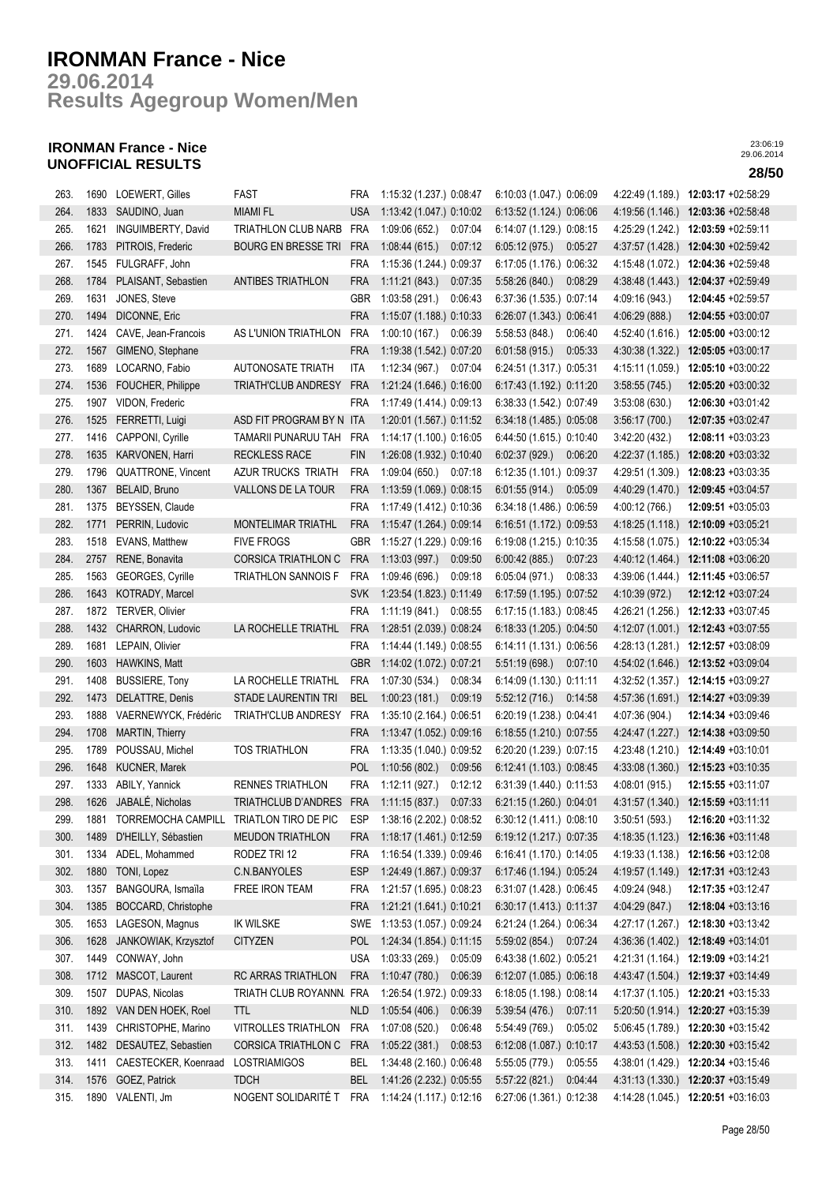**Results Agegroup Women/Men 29.06.2014**

## **IRONMAN France - Nice UNOFFICIAL RESULTS 28/50**

| 263. | 1690 | <b>LOEWERT, Gilles</b>  | <b>FAST</b>                | <b>FRA</b> | 1:15:32 (1.237.) 0:08:47  | 6:10:03 (1.047.) 0:06:09   | 4:22:49 (1.189.) | 12:03:17 +02:58:29                  |
|------|------|-------------------------|----------------------------|------------|---------------------------|----------------------------|------------------|-------------------------------------|
| 264. | 1833 | SAUDINO, Juan           | <b>MIAMI FL</b>            | <b>USA</b> | 1:13:42 (1.047.) 0:10:02  | 6:13:52 (1.124.) 0:06:06   | 4:19:56 (1.146.) | 12:03:36 +02:58:48                  |
| 265. | 1621 | INGUIMBERTY, David      | TRIATHLON CLUB NARB        | <b>FRA</b> | 1:09:06(652.)<br>0:07:04  | 6:14:07 (1.129.) 0:08:15   | 4:25:29 (1.242.) | 12:03:59 +02:59:11                  |
| 266. | 1783 | PITROIS, Frederic       | <b>BOURG EN BRESSE TRI</b> | <b>FRA</b> | 1:08:44(615)<br>0:07:12   | 6:05:12(975)<br>0:05:27    | 4.37:57 (1.428.) | 12:04:30 +02:59:42                  |
| 267. | 1545 | FULGRAFF, John          |                            | FRA        | 1:15:36 (1.244.) 0:09:37  | 6:17:05 (1.176.) 0:06:32   | 4:15:48 (1.072.) | 12:04:36 +02:59:48                  |
| 268. | 1784 | PLAISANT, Sebastien     | <b>ANTIBES TRIATHLON</b>   | <b>FRA</b> | 1:11:21(843)<br>0:07:35   | 5:58:26 (840.)<br>0:08:29  | 4:38:48 (1.443.) | 12:04:37 +02:59:49                  |
| 269. | 1631 | JONES, Steve            |                            | GBR        | 1:03:58 (291.)<br>0:06:43 | 6:37:36 (1.535.) 0:07:14   | 4:09:16 (943.)   | 12:04:45 +02:59:57                  |
| 270. | 1494 | DICONNE, Eric           |                            | <b>FRA</b> | 1:15:07 (1.188.) 0:10:33  | 6:26:07 (1.343.) 0:06:41   | 4:06:29 (888.)   | 12:04:55 +03:00:07                  |
| 271. | 1424 | CAVE, Jean-Francois     | AS L'UNION TRIATHLON       | FRA        | 1:00:10(167.)<br>0:06:39  | 5:58:53(848.)<br>0:06:40   | 4:52:40 (1.616.) | 12:05:00 +03:00:12                  |
| 272. | 1567 | GIMENO, Stephane        |                            | <b>FRA</b> | 1:19:38 (1.542.) 0:07:20  | 6:01:58(915)<br>0:05:33    | 4:30:38 (1.322.) | 12:05:05 +03:00:17                  |
| 273. | 1689 | LOCARNO, Fabio          | <b>AUTONOSATE TRIATH</b>   | <b>ITA</b> | 1:12:34(967)<br>0:07:04   | 6:24:51 (1.317.) 0:05:31   | 4:15:11 (1.059.) | 12:05:10 +03:00:22                  |
| 274. | 1536 | FOUCHER, Philippe       | <b>TRIATH'CLUB ANDRESY</b> | <b>FRA</b> | 1:21:24 (1.646.) 0:16:00  | 6:17:43 (1.192.) 0:11:20   | 3:58:55(745.)    | 12:05:20 +03:00:32                  |
| 275. |      | 1907 VIDON, Frederic    |                            | FRA        | 1:17:49 (1.414.) 0:09:13  | 6:38:33 (1.542.) 0:07:49   | 3:53:08(630.)    | 12:06:30 +03:01:42                  |
| 276. | 1525 | FERRETTI, Luigi         | ASD FIT PROGRAM BY N ITA   |            | 1:20:01 (1.567.) 0:11:52  | 6:34:18 (1.485.) 0:05:08   | 3:56:17(700.)    | 12:07:35 +03:02:47                  |
| 277. |      | 1416 CAPPONI, Cyrille   | TAMARII PUNARUU TAH        | FRA        | 1:14:17 (1.100.) 0:16:05  | 6:44:50 (1.615.) 0:10:40   | 3:42:20 (432.)   | 12:08:11 +03:03:23                  |
| 278. | 1635 | KARVONEN, Harri         | <b>RECKLESS RACE</b>       | <b>FIN</b> | 1:26:08 (1.932.) 0:10:40  | 6:02:37(929.)<br>0:06:20   | 4:22:37 (1.185.) | 12:08:20 +03:03:32                  |
| 279. | 1796 | QUATTRONE, Vincent      | AZUR TRUCKS TRIATH         | <b>FRA</b> | 1:09:04 (650.) 0:07:18    | 6:12:35 (1.101.) 0:09:37   | 4:29:51 (1.309.) | 12:08:23 +03:03:35                  |
| 280. | 1367 | BELAID, Bruno           | VALLONS DE LA TOUR         | <b>FRA</b> | 1:13:59 (1.069.) 0:08:15  | 6:01:55(914.)<br>0:05:09   | 4:40:29 (1.470.) | 12:09:45 +03:04:57                  |
| 281. | 1375 | BEYSSEN, Claude         |                            | <b>FRA</b> | 1:17:49 (1.412.) 0:10:36  | 6:34:18 (1.486.) 0:06:59   | 4:00:12 (766.)   | 12:09:51 +03:05:03                  |
| 282. | 1771 | PERRIN, Ludovic         | MONTELIMAR TRIATHL         | <b>FRA</b> | 1:15:47 (1.264.) 0:09:14  | 6:16:51 (1.172.) 0:09:53   | 4:18:25(1.118.)  | 12:10:09 +03:05:21                  |
| 283. | 1518 | <b>EVANS, Matthew</b>   | <b>FIVE FROGS</b>          | GBR        | 1:15:27 (1.229.) 0:09:16  | 6:19:08 (1.215.) 0:10:35   | 4:15:58 (1.075.) | 12:10:22 +03:05:34                  |
| 284. | 2757 | RENE, Bonavita          | <b>CORSICA TRIATHLON C</b> | <b>FRA</b> | 1:13:03(997.)<br>0:09:50  | 6.00:42(885)<br>0:07:23    | 4:40:12 (1.464.) | 12:11:08 +03:06:20                  |
| 285. | 1563 | GEORGES, Cyrille        | TRIATHLON SANNOIS F        | <b>FRA</b> | 1:09:46 (696.)<br>0:09:18 | 6:05:04(971)<br>0:08:33    | 4:39:06 (1.444.) | 12:11:45 +03:06:57                  |
| 286. | 1643 | KOTRADY, Marcel         |                            | <b>SVK</b> | 1:23:54 (1.823.) 0:11:49  | 6:17:59 (1.195.) 0:07:52   | 4:10:39 (972.)   | 12:12:12 +03:07:24                  |
| 287. | 1872 | TERVER, Olivier         |                            | <b>FRA</b> | 1:11:19(841)<br>0:08:55   | 6:17:15 (1.183.) 0:08:45   | 4:26:21 (1.256.) | 12:12:33 +03:07:45                  |
| 288. | 1432 | CHARRON, Ludovic        | LA ROCHELLE TRIATHL        | <b>FRA</b> | 1:28:51 (2.039.) 0:08:24  | 6:18:33 (1.205.) 0:04:50   | 4:12:07 (1.001.) | 12:12:43 +03:07:55                  |
| 289. | 1681 | LEPAIN, Olivier         |                            | <b>FRA</b> | 1:14:44 (1.149.) 0:08:55  | 6:14:11 (1.131.) 0:06:56   | 4:28:13 (1.281.) | 12:12:57 +03:08:09                  |
| 290. | 1603 | HAWKINS, Matt           |                            | <b>GBR</b> | 1:14:02 (1.072.) 0.07:21  | 5:51:19(698)<br>0:07:10    | 4:54:02 (1.646.) | 12:13:52 +03:09:04                  |
| 291. | 1408 | <b>BUSSIERE, Tony</b>   | LA ROCHELLE TRIATHL        | <b>FRA</b> | 1:07:30 (534.)<br>0:08:34 | $6:14:09(1.130)$ $0:11:11$ | 4:32:52 (1.357.) | 12:14:15 +03:09:27                  |
| 292. | 1473 | DELATTRE, Denis         | STADE LAURENTIN TRI        | <b>BEL</b> | 1:00:23(181.)<br>0:09:19  | 5:52:12(716.)<br>0:14:58   |                  | 4:57:36 (1.691.) 12:14:27 +03:09:39 |
| 293. | 1888 | VAERNEWYCK, Frédéric    | <b>TRIATH'CLUB ANDRESY</b> | FRA        | 1:35:10 (2.164.) 0:06:51  | 6:20:19 (1.238.) 0:04:41   | 4:07:36 (904.)   | 12:14:34 +03:09:46                  |
| 294. | 1708 | <b>MARTIN, Thierry</b>  |                            | <b>FRA</b> | 1:13:47 (1.052.) 0:09:16  | 6:18:55 (1.210.) 0:07:55   |                  | 4:24:47 (1.227.) 12:14:38 +03:09:50 |
| 295. | 1789 | POUSSAU, Michel         | <b>TOS TRIATHLON</b>       | <b>FRA</b> | 1:13:35 (1.040.) 0:09:52  | 6:20:20 (1.239.) 0:07:15   |                  | 4:23:48 (1.210.) 12:14:49 +03:10:01 |
| 296. | 1648 | KUCNER, Marek           |                            | <b>POL</b> | 1:10:56(802.)<br>0:09:56  | 6:12:41 (1.103.) 0:08:45   |                  | 4:33:08 (1.360.) 12:15:23 +03:10:35 |
| 297. | 1333 | ABILY, Yannick          | <b>RENNES TRIATHLON</b>    | <b>FRA</b> | 1:12:11(927.)<br>0:12:12  | 6:31:39 (1.440.) 0:11:53   | 4:08:01 (915.)   | 12:15:55 +03:11:07                  |
| 298. |      | 1626 JABALÉ, Nicholas   | TRIATHCLUB D'ANDRES FRA    |            | 1:11:15(837)<br>0:07:33   | 6:21:15 (1.260.) 0:04:01   |                  | 4:31:57 (1.340.) 12:15:59 +03:11:11 |
| 299. | 1881 | TORREMOCHA CAMPILL      | TRIATLON TIRO DE PIC       | ESP        | 1:38:16(2.202)0.08:52     | $6:30:12(1.411)$ $0:08:10$ | 3:50:51(593)     | $12:16:20 +03:11:32$                |
| 300. | 1489 | D'HEILLY, Sébastien     | <b>MEUDON TRIATHLON</b>    | FRA        | 1:18:17 (1.461.) 0:12:59  | 6:19:12 (1.217.) 0:07:35   | 4:18:35(1.123)   | 12:16:36 +03:11:48                  |
| 301. | 1334 | ADEL, Mohammed          | RODEZ TRI 12               | FRA        | 1:16:54 (1.339.) 0:09:46  | 6:16:41 (1.170.) 0:14:05   | 4:19:33 (1.138.) | 12:16:56 +03:12:08                  |
| 302. | 1880 | TONI, Lopez             | C.N.BANYOLES               | <b>ESP</b> | 1:24:49 (1.867.) 0:09:37  | 6:17:46 (1.194.) 0:05:24   | 4:19:57 (1.149.) | 12:17:31 +03:12:43                  |
| 303. | 1357 | BANGOURA, Ismaïla       | FREE IRON TEAM             | FRA        | 1:21:57 (1.695.) 0:08:23  | 6:31:07 (1.428.) 0:06:45   | 4:09:24 (948.)   | 12:17:35 +03:12:47                  |
| 304. | 1385 | BOCCARD, Christophe     |                            | <b>FRA</b> | 1:21:21 (1.641.) 0:10:21  | 6:30:17 (1.413.) 0:11:37   | 4:04:29 (847.)   | 12:18:04 +03:13:16                  |
| 305. | 1653 | LAGESON, Magnus         | <b>IK WILSKE</b>           | SWE        | 1:13:53 (1.057.) 0:09:24  | 6:21:24 (1.264.) 0:06:34   | 4.27:17 (1.267.) | 12:18:30 +03:13:42                  |
| 306. | 1628 | JANKOWIAK, Krzysztof    | <b>CITYZEN</b>             | <b>POL</b> | 1:24:34 (1.854.) 0:11:15  | 5:59:02(854.)<br>0:07:24   | 4:36:36 (1.402.) | 12:18:49 +03:14:01                  |
| 307. | 1449 | CONWAY, John            |                            | <b>USA</b> | 1:03:33(269)<br>0:05:09   | 6:43:38 (1.602.) 0:05:21   | 4:21:31 (1.164.) | 12:19:09 +03:14:21                  |
| 308. | 1712 | MASCOT, Laurent         | RC ARRAS TRIATHLON         | <b>FRA</b> | 1:10:47(780.)<br>0:06:39  | 6:12:07 (1.085.) 0:06:18   | 4:43:47 (1.504.) | 12:19:37 +03:14:49                  |
| 309. | 1507 | DUPAS, Nicolas          | TRIATH CLUB ROYANNN        | FRA        | 1:26:54 (1.972.) 0.09:33  | 6:18:05 (1.198.) 0:08:14   |                  | 4:17:37 (1.105.) 12:20:21 +03:15:33 |
| 310. |      | 1892 VAN DEN HOEK, Roel | <b>TTL</b>                 | <b>NLD</b> | 1:05:54 (406.)<br>0:06:39 | 5:39:54(476)<br>0:07:11    |                  | 5:20:50 (1.914.) 12:20:27 +03:15:39 |
| 311. | 1439 | CHRISTOPHE, Marino      | VITROLLES TRIATHLON        | FRA        | 1:07:08 (520.)<br>0:06:48 | 5:54:49 (769.)<br>0:05:02  |                  | 5:06:45 (1.789.) 12:20:30 +03:15:42 |
| 312. | 1482 | DESAUTEZ, Sebastien     | CORSICA TRIATHLON C        | <b>FRA</b> | 1:05:22(381.)<br>0:08:53  | 6:12:08 (1.087.) 0:10:17   |                  | 4:43:53 (1.508.) 12:20:30 +03:15:42 |
| 313. | 1411 | CAESTECKER, Koenraad    | LOSTRIAMIGOS               | BEL        | 1:34:48 (2.160.) 0:06:48  | 5:55:05 (779.)<br>0:05:55  | 4:38:01 (1.429.) | 12:20:34 +03:15:46                  |
| 314. | 1576 | GOEZ, Patrick           | <b>TDCH</b>                | <b>BEL</b> | 1:41:26 (2.232.) 0:05:55  | 5:57:22(821.)<br>0:04:44   | 4:31:13(1.330.)  | 12:20:37 +03:15:49                  |
| 315. |      | 1890 VALENTI, Jm        | NOGENT SOLIDARITÉ T        | FRA        | 1:14:24 (1.117.) 0:12:16  | 6:27:06 (1.361.) 0:12:38   |                  | 4:14:28 (1.045.) 12:20:51 +03:16:03 |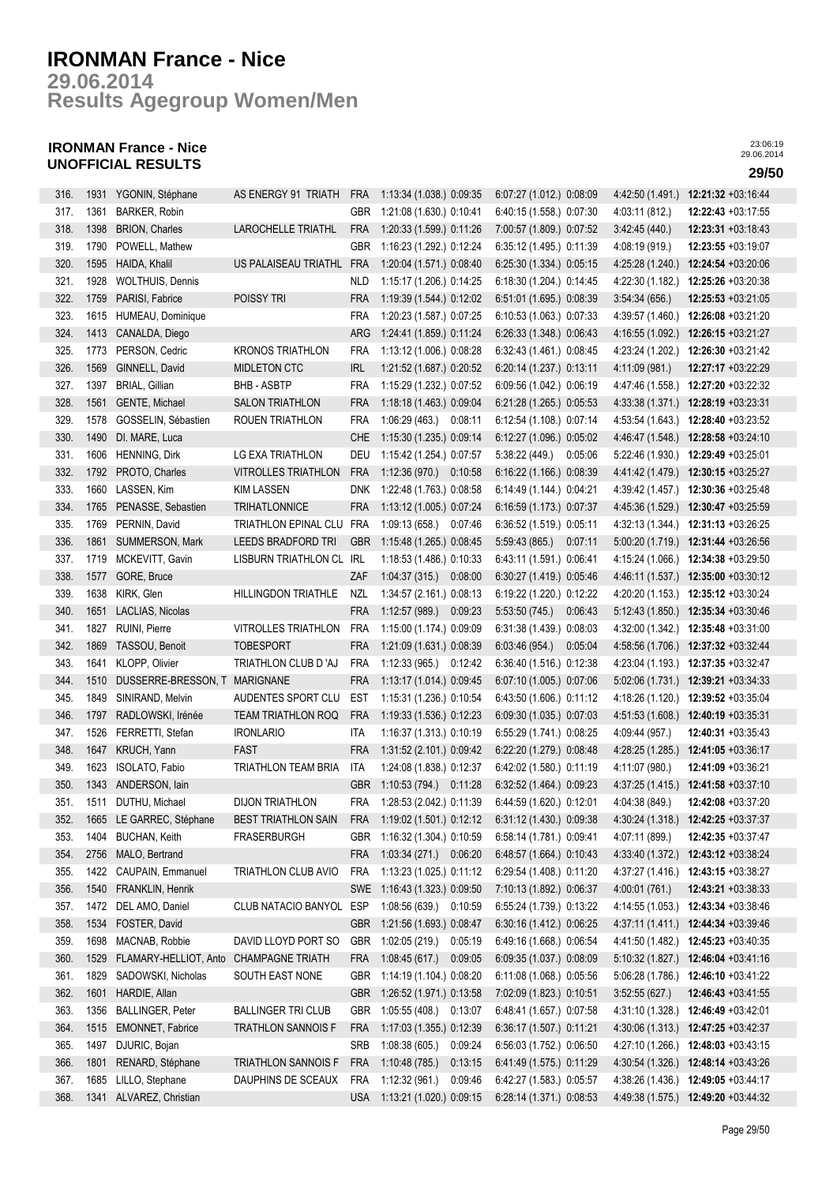**Results Agegroup Women/Men 29.06.2014**

## **IRONMAN France - Nice UNOFFICIAL RESULTS 29/50**

| 316. | 1931 | YGONIN, Stéphane                       | AS ENERGY 91 TRIATH        | <b>FRA</b> | 1:13:34 (1.038.) 0:09:35  | 6:07:27 (1.012.) 0:08:09  | 4:42:50 (1.491.) | 12:21:32 +03:16:44                  |
|------|------|----------------------------------------|----------------------------|------------|---------------------------|---------------------------|------------------|-------------------------------------|
| 317. | 1361 | <b>BARKER, Robin</b>                   |                            | GBR        | 1:21:08 (1.630.) 0:10:41  | 6:40:15 (1.558.) 0:07:30  | 4:03:11 (812.)   | 12:22:43 +03:17:55                  |
| 318. | 1398 | <b>BRION, Charles</b>                  | <b>LAROCHELLE TRIATHL</b>  | <b>FRA</b> | 1:20:33 (1.599.) 0:11:26  | 7:00:57 (1.809.) 0:07:52  | 3:42:45 (440.)   | 12:23:31 +03:18:43                  |
| 319. | 1790 | POWELL, Mathew                         |                            | GBR        | 1:16:23 (1.292.) 0:12:24  | 6:35:12 (1.495.) 0:11:39  | 4:08:19 (919.)   | 12:23:55 +03:19:07                  |
| 320. | 1595 | HAIDA, Khalil                          | US PALAISEAU TRIATHL       | <b>FRA</b> | 1:20:04 (1.571.) 0:08:40  | 6:25:30 (1.334.) 0:05:15  | 4:25:28 (1.240.) | 12:24:54 +03:20:06                  |
| 321. | 1928 | <b>WOLTHUIS, Dennis</b>                |                            | <b>NLD</b> | 1:15:17 (1.206.) 0:14:25  | 6:18:30 (1.204.) 0:14:45  | 4:22:30 (1.182.) | 12:25:26 +03:20:38                  |
| 322. | 1759 | PARISI, Fabrice                        | POISSY TRI                 | <b>FRA</b> | 1:19:39 (1.544.) 0:12:02  | 6:51:01 (1.695.) 0:08:39  | 3:54:34(656)     | 12:25:53 +03:21:05                  |
| 323. | 1615 | HUMEAU, Dominique                      |                            | <b>FRA</b> | 1:20:23 (1.587.) 0:07:25  | 6:10:53 (1.063.) 0:07:33  | 4:39:57 (1.460.) | 12:26:08 +03:21:20                  |
| 324. | 1413 | CANALDA, Diego                         |                            | ARG        | 1:24:41 (1.859.) 0:11:24  | 6:26:33 (1.348.) 0:06:43  | 4:16:55 (1.092.) | 12:26:15 +03:21:27                  |
| 325. | 1773 | PERSON, Cedric                         | <b>KRONOS TRIATHLON</b>    | <b>FRA</b> | 1:13:12 (1.006.) 0:08:28  | 6:32:43 (1.461.) 0:08:45  | 4:23:24 (1.202.) | 12:26:30 +03:21:42                  |
| 326. | 1569 | GINNELL, David                         | MIDLETON CTC               | <b>IRL</b> | 1:21:52 (1.687.) 0:20:52  | 6:20:14 (1.237.) 0:13:11  | 4:11:09 (981.)   | 12:27:17 +03:22:29                  |
| 327. | 1397 | <b>BRIAL, Gillian</b>                  | <b>BHB-ASBTP</b>           | <b>FRA</b> | 1:15:29 (1.232.) 0:07:52  | 6:09:56 (1.042.) 0:06:19  | 4:47:46 (1.558.) | 12:27:20 +03:22:32                  |
| 328. | 1561 | GENTE, Michael                         | <b>SALON TRIATHLON</b>     | <b>FRA</b> | 1:18:18 (1.463.) 0:09:04  | 6:21:28 (1.265.) 0:05:53  |                  |                                     |
|      |      |                                        |                            |            |                           |                           |                  | 4:33:38 (1.371.) 12:28:19 +03:23:31 |
| 329. | 1578 | GOSSELIN, Sébastien                    | ROUEN TRIATHLON            | <b>FRA</b> | 1:06:29 (463.) 0:08:11    | 6:12:54 (1.108.) 0:07:14  | 4:53:54 (1.643.) | 12:28:40 +03:23:52                  |
| 330. | 1490 | DI. MARE, Luca                         |                            | <b>CHE</b> | 1:15:30 (1.235.) 0:09:14  | 6:12:27 (1.096.) 0:05:02  |                  | 4:46:47 (1.548.) 12:28:58 +03:24:10 |
| 331. | 1606 | <b>HENNING, Dirk</b>                   | LG EXA TRIATHLON           | DEU        | 1:15:42 (1.254.) 0:07:57  | 5:38:22 (449.)<br>0:05:06 | 5:22:46 (1.930.) | 12:29:49 +03:25:01                  |
| 332. | 1792 | PROTO, Charles                         | <b>VITROLLES TRIATHLON</b> | <b>FRA</b> | 1:12:36 (970.)<br>0:10:58 | 6:16:22 (1.166.) 0:08:39  | 4:41:42 (1.479.) | 12:30:15 +03:25:27                  |
| 333. | 1660 | LASSEN, Kim                            | <b>KIM LASSEN</b>          | <b>DNK</b> | 1:22:48 (1.763.) 0:08:58  | 6:14:49 (1.144.) 0:04:21  | 4:39:42 (1.457.) | 12:30:36 +03:25:48                  |
| 334. | 1765 | PENASSE, Sebastien                     | <b>TRIHATLONNICE</b>       | <b>FRA</b> | 1:13:12 (1.005.) 0:07:24  | 6:16:59 (1.173.) 0:07:37  | 4:45:36 (1.529.) | 12:30:47 +03:25:59                  |
| 335. | 1769 | PERNIN, David                          | TRIATHLON EPINAL CLU       | FRA        | 1:09:13 (658.)<br>0:07:46 | 6:36:52 (1.519.) 0:05:11  | 4:32:13 (1.344.) | 12:31:13 +03:26:25                  |
| 336. | 1861 | SUMMERSON, Mark                        | <b>LEEDS BRADFORD TRI</b>  | <b>GBR</b> | 1:15:48 (1.265.) 0:08:45  | 5.59.43(865)<br>0:07:11   |                  | 5:00:20 (1.719.) 12:31:44 +03:26:56 |
| 337. |      | 1719 MCKEVITT, Gavin                   | LISBURN TRIATHLON CL IRL   |            | 1:18:53 (1.486.) 0:10:33  | 6:43:11 (1.591.) 0:06:41  |                  | 4:15:24 (1.066.) 12:34:38 +03:29:50 |
| 338. | 1577 | GORE, Bruce                            |                            | ZAF        | 1:04:37(315)<br>0:08:00   | 6:30:27 (1.419.) 0:05:46  |                  | 4:46:11 (1.537.) 12:35:00 +03:30:12 |
| 339. | 1638 | KIRK, Glen                             | HILLINGDON TRIATHLE        | NZL        | 1:34:57 (2.161.) 0:08:13  | 6:19:22 (1.220.) 0:12:22  | 4:20:20 (1.153.) | 12:35:12 +03:30:24                  |
| 340. | 1651 | LACLIAS, Nicolas                       |                            | <b>FRA</b> | 1:12:57 (989.)<br>0:09:23 | 5:53:50 (745.)<br>0:06:43 | 5:12:43(1.850.)  | 12:35:34 +03:30:46                  |
| 341. | 1827 | RUINI, Pierre                          | <b>VITROLLES TRIATHLON</b> | <b>FRA</b> | 1:15:00 (1.174.) 0:09:09  | 6:31:38 (1.439.) 0:08:03  | 4:32:00 (1.342.) | 12:35:48 +03:31:00                  |
| 342. | 1869 | TASSOU, Benoit                         | <b>TOBESPORT</b>           | <b>FRA</b> | 1:21:09 (1.631.) 0:08:39  | 6.03:46(954)<br>0:05:04   | 4:58:56 (1.706.) | 12:37:32 +03:32:44                  |
| 343. | 1641 | KLOPP, Olivier                         | TRIATHLON CLUB D'AJ        | <b>FRA</b> | 1:12:33 (965.) 0:12:42    | 6:36:40 (1.516.) 0:12:38  |                  | 4:23:04 (1.193.) 12:37:35 +03:32:47 |
| 344. | 1510 | DUSSERRE-BRESSON, T MARIGNANE          |                            | <b>FRA</b> | 1:13:17 (1.014.) 0:09:45  | 6:07:10 (1.005.) 0:07:06  |                  | 5:02:06 (1.731.) 12:39:21 +03:34:33 |
| 345. | 1849 | SINIRAND, Melvin                       | AUDENTES SPORT CLU         | <b>EST</b> | 1:15:31 (1.236.) 0:10:54  | 6:43:50 (1.606.) 0:11:12  |                  | 4:18:26 (1.120.) 12:39:52 +03:35:04 |
| 346. | 1797 | RADLOWSKI, Irénée                      | <b>TEAM TRIATHLON ROQ</b>  | <b>FRA</b> | 1:19:33 (1.536.) 0:12:23  | 6:09:30 (1.035.) 0:07:03  |                  | 4:51:53 (1.608.) 12:40:19 +03:35:31 |
| 347. | 1526 | FERRETTI, Stefan                       | <b>IRONLARIO</b>           | ITA        | 1:16:37 (1.313.) 0:10:19  | 6:55:29 (1.741.) 0:08:25  | 4:09:44 (957.)   | 12:40:31 +03:35:43                  |
| 348. | 1647 | KRUCH, Yann                            | <b>FAST</b>                | <b>FRA</b> | 1:31:52 (2.101.) 0:09:42  | 6:22:20 (1.279.) 0:08:48  | 4:28:25 (1.285.) | 12:41:05 +03:36:17                  |
| 349. | 1623 | ISOLATO, Fabio                         | TRIATHLON TEAM BRIA        | ITA        | 1:24:08 (1.838.) 0:12:37  | 6:42:02 (1.580.) 0:11:19  | 4:11:07 (980.)   | 12:41:09 +03:36:21                  |
| 350  | 1343 | ANDERSON, lain                         |                            | <b>GBR</b> | 1:10:53 (794.) 0:11:28    | 6:32:52 (1.464.) 0:09:23  | 4:37:25 (1.415.) | 12:41:58 +03:37:10                  |
| 351. | 1511 | DUTHU, Michael                         | <b>DIJON TRIATHLON</b>     | <b>FRA</b> | 1:28:53 (2.042.) 0:11:39  | 6:44:59 (1.620.) 0:12:01  | 4:04:38 (849.)   | 12:42:08 +03:37:20                  |
| 352. |      | 1665 LE GARREC, Stéphane               | <b>BEST TRIATHLON SAIN</b> | <b>FRA</b> | 1:19:02 (1.501.) 0:12:12  | 6:31:12 (1.430.) 0:09:38  |                  | 4:30:24 (1.318.) 12:42:25 +03:37:37 |
| 353. | 1404 | <b>BUCHAN, Keith</b>                   | <b>FRASERBURGH</b>         | GBR        | 1:16:32 (1.304.) 0:10:59  | 6:58:14 (1.781.) 0:09:41  | 4.07:11 (899.)   | 12:42:35 +03:37:47                  |
| 354. | 2756 | MALO, Bertrand                         |                            | <b>FRA</b> | 1:03:34 (271.) 0:06:20    | 6:48:57 (1.664.) 0:10:43  | 4:33:40 (1.372.) | 12:43:12 +03:38:24                  |
| 355. | 1422 | CAUPAIN, Emmanuel                      | TRIATHLON CLUB AVIO        | <b>FRA</b> | 1:13:23 (1.025.) 0:11:12  | 6:29:54 (1.408.) 0:11:20  | 4:37:27(1.416.)  | 12:43:15 +03:38:27                  |
| 356. | 1540 | FRANKLIN, Henrik                       |                            | SWE        | 1:16:43 (1.323.) 0:09:50  | 7:10:13 (1.892.) 0:06:37  | 4:00:01(761)     | 12:43:21 +03:38:33                  |
| 357. | 1472 | DEL AMO, Daniel                        | CLUB NATACIO BANYOL        | ESP        | 1:08:56(639.)<br>0:10:59  | 6:55:24 (1.739.) 0:13:22  | 4:14:55 (1.053.) | 12:43:34 +03:38:46                  |
| 358. | 1534 | FOSTER, David                          |                            | <b>GBR</b> | 1:21:56 (1.693.) 0:08:47  | 6:30:16 (1.412.) 0:06:25  | 4:37:11 (1.411.) | 12:44:34 +03:39:46                  |
| 359. | 1698 | MACNAB, Robbie                         | DAVID LLOYD PORT SO        | GBR        | 1:02:05 (219.)<br>0:05:19 | 6:49:16 (1.668.) 0:06:54  | 4:41:50 (1.482.) | 12:45:23 +03:40:35                  |
| 360. | 1529 | FLAMARY-HELLIOT, Anto CHAMPAGNE TRIATH |                            | <b>FRA</b> | 1:08:45(617.)<br>0:09:05  | 6:09:35 (1.037.) 0:08:09  | 5:10:32(1.827.)  | 12:46:04 +03:41:16                  |
| 361. | 1829 | SADOWSKI, Nicholas                     | SOUTH EAST NONE            | <b>GBR</b> | 1:14:19 (1.104.) 0:08:20  | 6:11:08 (1.068.) 0:05:56  | 5:06:28 (1.786.) | 12:46:10 +03:41:22                  |
| 362. | 1601 | HARDIE, Allan                          |                            | <b>GBR</b> | 1:26:52 (1.971.) 0:13:58  | 7:02:09 (1.823.) 0:10:51  | 3:52:55(627)     | 12:46:43 +03:41:55                  |
|      | 1356 |                                        |                            |            |                           |                           |                  |                                     |
| 363. |      | <b>BALLINGER, Peter</b>                | <b>BALLINGER TRI CLUB</b>  | <b>GBR</b> | 1:05:55 (408.)<br>0:13:07 | 6:48:41 (1.657.) 0:07:58  | 4:31:10 (1.328.) | 12:46:49 +03:42:01                  |
| 364. | 1515 | EMONNET, Fabrice                       | <b>TRATHLON SANNOIS F</b>  | <b>FRA</b> | 1:17:03 (1.355.) 0:12:39  | 6:36:17 (1.507.) 0:11:21  |                  | 4:30:06 (1.313.) 12:47:25 +03:42:37 |
| 365. | 1497 | DJURIC, Bojan                          |                            | <b>SRB</b> | 1:08:38 (605.)<br>0:09:24 | 6:56:03 (1.752.) 0:06:50  | 4:27:10 (1.266.) | 12:48:03 +03:43:15                  |
| 366. | 1801 | RENARD, Stéphane                       | TRIATHLON SANNOIS F        | <b>FRA</b> | 1:10:48 (785.)<br>0:13:15 | 6:41:49 (1.575.) 0:11:29  | 4:30:54 (1.326.) | 12:48:14 +03:43:26                  |
| 367. | 1685 | LILLO, Stephane                        | DAUPHINS DE SCEAUX         | <b>FRA</b> | 1:12:32 (961.)<br>0:09:46 | 6:42:27 (1.583.) 0:05:57  | 4:38:26 (1.436.) | 12:49:05 +03:44:17                  |
| 368. |      | 1341 ALVAREZ, Christian                |                            | <b>USA</b> | 1:13:21 (1.020.) 0:09:15  | 6:28:14 (1.371.) 0:08:53  |                  | 4:49:38 (1.575.) 12:49:20 +03:44:32 |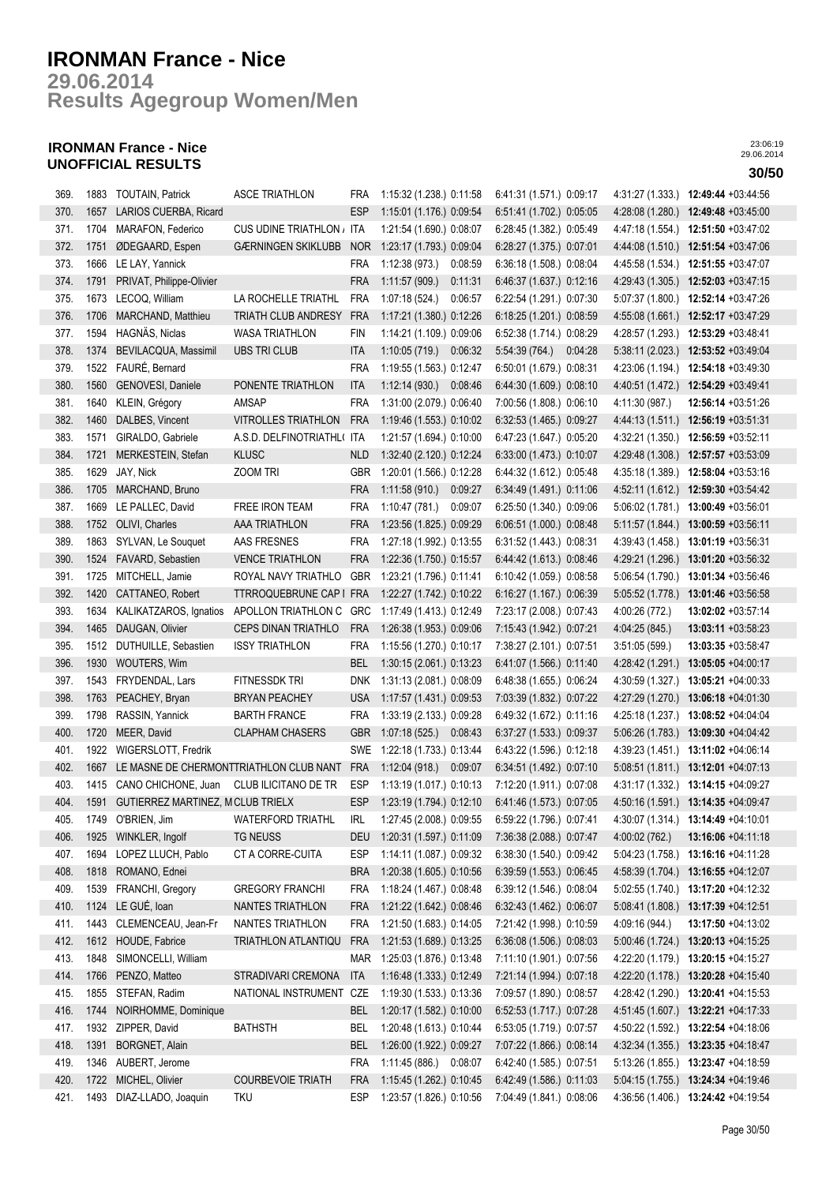**Results Agegroup Women/Men 29.06.2014**

## **IRONMAN France - Nice UNOFFICIAL RESULTS 30/50**

| 369. |      | 1883 TOUTAIN, Patrick                   | <b>ASCE TRIATHLON</b>      | <b>FRA</b> | 1:15:32 (1.238.) 0:11:58     |         | 6:41:31 (1.571.) 0:09:17 |         | 4:31:27 (1.333.) | 12:49:44 +03:44:56                  |
|------|------|-----------------------------------------|----------------------------|------------|------------------------------|---------|--------------------------|---------|------------------|-------------------------------------|
| 370. | 1657 | LARIOS CUERBA, Ricard                   |                            | <b>ESP</b> | 1:15:01 (1.176.) 0:09:54     |         | 6:51:41 (1.702.) 0:05:05 |         | 4:28:08 (1.280.) | 12:49:48 +03:45:00                  |
| 371. | 1704 | MARAFON, Federico                       | CUS UDINE TRIATHLON / ITA  |            | 1:21:54 (1.690.) 0:08:07     |         | 6:28:45 (1.382.) 0:05:49 |         | 4:47:18 (1.554.) | 12:51:50 +03:47:02                  |
| 372. | 1751 | ØDEGAARD, Espen                         | <b>GÆRNINGEN SKIKLUBB</b>  | <b>NOR</b> | 1:23:17 (1.793.) 0:09:04     |         | 6:28:27 (1.375.) 0:07:01 |         | 4:44:08 (1.510.) | 12:51:54 +03:47:06                  |
| 373. | 1666 | LE LAY, Yannick                         |                            | <b>FRA</b> | 1:12:38 (973.)               | 0:08:59 | 6:36:18 (1.508.) 0:08:04 |         | 4:45:58 (1.534.) | 12:51:55 +03:47:07                  |
| 374. | 1791 | PRIVAT, Philippe-Olivier                |                            | <b>FRA</b> | 1:11:57(909.)                | 0:11:31 | 6:46:37 (1.637.) 0:12:16 |         | 4:29:43 (1.305.) | 12:52:03 +03:47:15                  |
| 375. | 1673 | LECOQ, William                          | LA ROCHELLE TRIATHL        | <b>FRA</b> | 1:07:18(524.)                | 0:06:57 | 6:22:54 (1.291.) 0:07:30 |         | 5:07:37 (1.800.) | 12:52:14 +03:47:26                  |
| 376. | 1706 | MARCHAND, Matthieu                      | TRIATH CLUB ANDRESY        | <b>FRA</b> | 1:17:21 (1.380.) 0:12:26     |         | 6:18:25 (1.201.) 0:08:59 |         | 4:55:08(1.661.)  | 12:52:17 +03:47:29                  |
| 377. | 1594 | HAGNÄS, Niclas                          | <b>WASA TRIATHLON</b>      | FIN        | 1:14:21 (1.109.) 0:09:06     |         | 6:52:38 (1.714.) 0:08:29 |         | 4:28:57 (1.293.) | 12:53:29 +03:48:41                  |
| 378. | 1374 | BEVILACQUA, Massimil                    | <b>UBS TRI CLUB</b>        | <b>ITA</b> | 1:10:05(719.)                | 0:06:32 | 5:54:39 (764.)           | 0:04:28 | 5:38:11(2.023)   | 12:53:52 +03:49:04                  |
| 379. | 1522 | FAURÉ, Bernard                          |                            | <b>FRA</b> | 1:19:55 (1.563.) 0:12:47     |         | 6:50:01 (1.679.) 0:08:31 |         | 4:23:06 (1.194.) | 12:54:18 +03:49:30                  |
| 380. | 1560 | GENOVESI, Daniele                       | PONENTE TRIATHLON          | <b>ITA</b> | 1:12:14(930.)                | 0:08:46 | 6:44:30 (1.609.) 0:08:10 |         | 4:40:51 (1.472.) | 12:54:29 +03:49:41                  |
| 381. | 1640 | KLEIN, Grégory                          | AMSAP                      | <b>FRA</b> | 1:31:00 (2.079.) 0:06:40     |         | 7:00:56 (1.808.) 0:06:10 |         | 4:11:30 (987.)   | 12:56:14 +03:51:26                  |
| 382. | 1460 | DALBES, Vincent                         | VITROLLES TRIATHLON        | <b>FRA</b> | 1:19:46 (1.553.) 0:10:02     |         | 6:32:53 (1.465.) 0:09:27 |         |                  | 4:44:13 (1.511.) 12:56:19 +03:51:31 |
| 383. | 1571 | GIRALDO, Gabriele                       | A.S.D. DELFINOTRIATHL( ITA |            | 1:21:57 (1.694.) 0:10:00     |         | 6:47:23 (1.647.) 0:05:20 |         |                  | 4:32:21 (1.350.) 12:56:59 +03:52:11 |
| 384. | 1721 | MERKESTEIN, Stefan                      | <b>KLUSC</b>               | <b>NLD</b> | 1:32:40 (2.120.) 0:12:24     |         | 6:33:00 (1.473.) 0:10:07 |         |                  | 4:29:48 (1.308.) 12:57:57 +03:53:09 |
| 385. | 1629 | JAY, Nick                               | ZOOM TRI                   | GBR        | 1:20:01 (1.566.) 0:12:28     |         | 6:44:32 (1.612.) 0:05:48 |         | 4:35:18 (1.389.) | 12:58:04 +03:53:16                  |
| 386. | 1705 | MARCHAND, Bruno                         |                            | <b>FRA</b> | 1:11:58(910.)                | 0:09:27 | 6:34:49 (1.491.) 0:11:06 |         | 4:52:11 (1.612.) | 12:59:30 +03:54:42                  |
| 387. | 1669 | LE PALLEC, David                        | FREE IRON TEAM             | <b>FRA</b> | 1:10:47(781.)                | 0:09:07 | 6:25:50 (1.340.) 0:09:06 |         | 5:06:02 (1.781.) | 13:00:49 +03:56:01                  |
| 388. | 1752 | OLIVI, Charles                          | AAA TRIATHLON              | <b>FRA</b> | 1:23:56 (1.825.) 0:09:29     |         | 6:06:51 (1.000.) 0:08:48 |         | 5:11:57 (1.844.) | 13:00:59 +03:56:11                  |
| 389. | 1863 | SYLVAN, Le Souquet                      | AAS FRESNES                | <b>FRA</b> | 1:27:18 (1.992.) 0:13:55     |         | 6:31:52 (1.443.) 0:08:31 |         | 4:39:43 (1.458.) | 13:01:19 +03:56:31                  |
| 390. | 1524 | FAVARD, Sebastien                       | <b>VENCE TRIATHLON</b>     | <b>FRA</b> | 1:22:36 (1.750.) 0:15:57     |         | 6:44:42 (1.613.) 0:08:46 |         | 4:29:21 (1.296.) | 13:01:20 +03:56:32                  |
| 391. | 1725 | MITCHELL, Jamie                         | ROYAL NAVY TRIATHLO        | GBR        | 1:23:21 (1.796.) 0:11:41     |         | 6:10:42 (1.059.) 0:08:58 |         | 5:06:54 (1.790.) | 13:01:34 +03:56:46                  |
| 392. | 1420 | CATTANEO, Robert                        | <b>TTRROQUEBRUNE CAP I</b> | <b>FRA</b> | 1:22:27 (1.742.) 0:10:22     |         | 6:16:27 (1.167.) 0:06:39 |         | 5:05:52 (1.778.) | 13:01:46 +03:56:58                  |
| 393. | 1634 | KALIKATZAROS, Ignatios                  | APOLLON TRIATHLON C        | <b>GRC</b> | 1:17:49 (1.413.) 0:12:49     |         | 7:23:17 (2.008.) 0:07:43 |         | 4:00:26 (772.)   | 13:02:02 +03:57:14                  |
| 394. | 1465 | DAUGAN, Olivier                         | CEPS DINAN TRIATHLO        | <b>FRA</b> | 1:26:38 (1.953.) 0:09:06     |         | 7:15:43 (1.942.) 0:07:21 |         | 4:04:25 (845.)   | 13:03:11 +03:58:23                  |
| 395. | 1512 | DUTHUILLE, Sebastien                    | <b>ISSY TRIATHLON</b>      | <b>FRA</b> | 1:15:56 (1.270.) 0:10:17     |         | 7:38:27 (2.101.) 0:07:51 |         | 3:51:05(599.)    | 13:03:35 +03:58:47                  |
| 396. | 1930 | WOUTERS, Wim                            |                            | <b>BEL</b> | 1:30:15 (2.061.) 0:13:23     |         | 6:41:07 (1.566.) 0:11:40 |         | 4:28:42 (1.291.) | 13:05:05 +04:00:17                  |
| 397. | 1543 | FRYDENDAL, Lars                         | FITNESSDK TRI              | <b>DNK</b> | 1:31:13 (2.081.) 0:08:09     |         | 6:48:38 (1.655.) 0:06:24 |         | 4:30:59 (1.327.) | 13:05:21 +04:00:33                  |
| 398. | 1763 | PEACHEY, Bryan                          | <b>BRYAN PEACHEY</b>       | <b>USA</b> | 1:17:57 (1.431.) 0:09:53     |         | 7:03:39 (1.832.) 0:07:22 |         |                  | 4:27:29 (1.270.) 13:06:18 +04:01:30 |
| 399. | 1798 | RASSIN, Yannick                         | <b>BARTH FRANCE</b>        | <b>FRA</b> | 1:33:19 (2.133.) 0:09:28     |         | 6:49:32 (1.672.) 0:11:16 |         |                  | 4:25:18 (1.237.) 13:08:52 +04:04:04 |
| 400. | 1720 | MEER, David                             | <b>CLAPHAM CHASERS</b>     | <b>GBR</b> | 1:07:18 (525.) 0:08:43       |         | 6:37:27 (1.533.) 0:09:37 |         |                  | 5:06:26 (1.783.) 13:09:30 +04:04:42 |
| 401. | 1922 | WIGERSLOTT, Fredrik                     |                            |            | SWE 1:22:18 (1.733.) 0:13:44 |         | 6:43:22 (1.596.) 0:12:18 |         |                  | 4:39:23 (1.451.) 13:11:02 +04:06:14 |
| 402. | 1667 | LE MASNE DE CHERMONTTRIATHLON CLUB NANT |                            | <b>FRA</b> | 1:12:04 (918.) 0:09:07       |         | 6:34:51 (1.492.) 0:07:10 |         |                  | 5:08:51 (1.811.) 13:12:01 +04:07:13 |
| 403. | 1415 | CANO CHICHONE, Juan                     | CLUB ILICITANO DE TR       | <b>ESP</b> | 1:13:19 (1.017.) 0:10:13     |         | 7:12:20 (1.911.) 0:07:08 |         |                  | 4:31:17 (1.332.) 13:14:15 +04:09:27 |
| 404. | 1591 | GUTIERREZ MARTINEZ, MCLUB TRIELX        |                            | <b>ESP</b> | 1:23:19 (1.794.) 0:12:10     |         | 6:41:46 (1.573.) 0:07:05 |         |                  | 4:50:16 (1.591.) 13:14:35 +04:09:47 |
| 405. |      | 1749 O'BRIEN, Jim                       | WATERFORD TRIATHL          | IRL        | 1:27:45 (2.008.) 0:09:55     |         | 6:59:22 (1.796.) 0:07:41 |         |                  | 4:30:07 (1.314.) 13:14:49 +04:10:01 |
| 406. | 1925 | WINKLER, Ingolf                         | TG NEUSS                   | DEU        | 1:20:31 (1.597.) 0:11:09     |         | 7:36:38 (2.088.) 0:07:47 |         | 4:00:02 (762.)   | 13:16:06 +04:11:18                  |
| 407. | 1694 | LOPEZ LLUCH, Pablo                      | CT A CORRE-CUITA           | <b>ESP</b> | 1:14:11 (1.087.) 0:09:32     |         | 6:38:30 (1.540.) 0:09:42 |         | 5:04:23 (1.758.) | 13:16:16 +04:11:28                  |
| 408. | 1818 | ROMANO, Ednei                           |                            | <b>BRA</b> | 1:20:38 (1.605.) 0:10:56     |         | 6:39:59 (1.553.) 0:06:45 |         | 4:58:39 (1.704.) | 13:16:55 +04:12:07                  |
| 409. | 1539 | FRANCHI, Gregory                        | GREGORY FRANCHI            | FRA        | 1:18:24 (1.467.) 0:08:48     |         | 6:39:12 (1.546.) 0:08:04 |         | 5:02:55 (1.740.) | 13:17:20 +04:12:32                  |
| 410. | 1124 | LE GUÉ, loan                            | NANTES TRIATHLON           | <b>FRA</b> | 1:21:22 (1.642.) 0:08:46     |         | 6:32:43 (1.462.) 0:06:07 |         | 5.08.41(1.808.)  | $13:17:39 +04:12:51$                |
| 411. | 1443 | CLEMENCEAU, Jean-Fr                     | NANTES TRIATHLON           | <b>FRA</b> | 1:21:50 (1.683.) 0:14:05     |         | 7:21:42 (1.998.) 0:10:59 |         | 4:09:16 (944.)   | 13:17:50 +04:13:02                  |
| 412. | 1612 | HOUDE, Fabrice                          | TRIATHLON ATLANTIQU        | <b>FRA</b> | 1:21:53 (1.689.) 0:13:25     |         | 6:36:08 (1.506.) 0:08:03 |         | 5:00:46 (1.724.) | 13:20:13 +04:15:25                  |
| 413. | 1848 | SIMONCELLI, William                     |                            | <b>MAR</b> | 1:25:03 (1.876.) 0:13:48     |         | 7:11:10 (1.901.) 0:07:56 |         | 4:22:20 (1.179.) | 13:20:15 +04:15:27                  |
| 414. | 1766 | PENZO, Matteo                           | STRADIVARI CREMONA         | <b>ITA</b> | 1:16:48 (1.333.) 0:12:49     |         | 7:21:14 (1.994.) 0:07:18 |         |                  | 4:22:20 (1.178.) 13:20:28 +04:15:40 |
| 415. | 1855 | STEFAN, Radim                           | NATIONAL INSTRUMENT        | CZE        | 1:19:30 (1.533.) 0:13:36     |         | 7:09:57 (1.890.) 0:08:57 |         | 4:28:42 (1.290.) | 13:20:41 +04:15:53                  |
| 416. | 1744 | NOIRHOMME, Dominique                    |                            | <b>BEL</b> | 1:20:17 (1.582.) 0:10:00     |         | 6:52:53 (1.717.) 0:07:28 |         |                  | 4:51:45 (1.607.) 13:22:21 +04:17:33 |
| 417. |      | 1932 ZIPPER, David                      | <b>BATHSTH</b>             | BEL        | 1:20:48 (1.613.) 0:10:44     |         | 6:53:05 (1.719.) 0:07:57 |         |                  | 4:50:22 (1.592.) 13:22:54 +04:18:06 |
| 418. | 1391 | BORGNET, Alain                          |                            | <b>BEL</b> | 1:26:00 (1.922.) 0:09:27     |         | 7:07:22 (1.866.) 0:08:14 |         |                  | 4:32:34 (1.355.) 13:23:35 +04:18:47 |
| 419. |      | 1346 AUBERT, Jerome                     |                            | <b>FRA</b> | 1:11:45 (886.) 0:08:07       |         | 6:42:40 (1.585.) 0:07:51 |         | 5:13:26 (1.855.) | 13:23:47 +04:18:59                  |
| 420. | 1722 | MICHEL, Olivier                         | <b>COURBEVOIE TRIATH</b>   | <b>FRA</b> | 1:15:45 (1.262.) 0:10:45     |         | 6:42:49 (1.586.) 0:11:03 |         | 5:04:15(1.755)   | 13:24:34 +04:19:46                  |
| 421. |      | 1493 DIAZ-LLADO, Joaquin                | <b>TKU</b>                 | <b>ESP</b> | 1:23:57 (1.826.) 0:10:56     |         | 7:04:49 (1.841.) 0:08:06 |         |                  | 4:36:56 (1.406.) 13:24:42 +04:19:54 |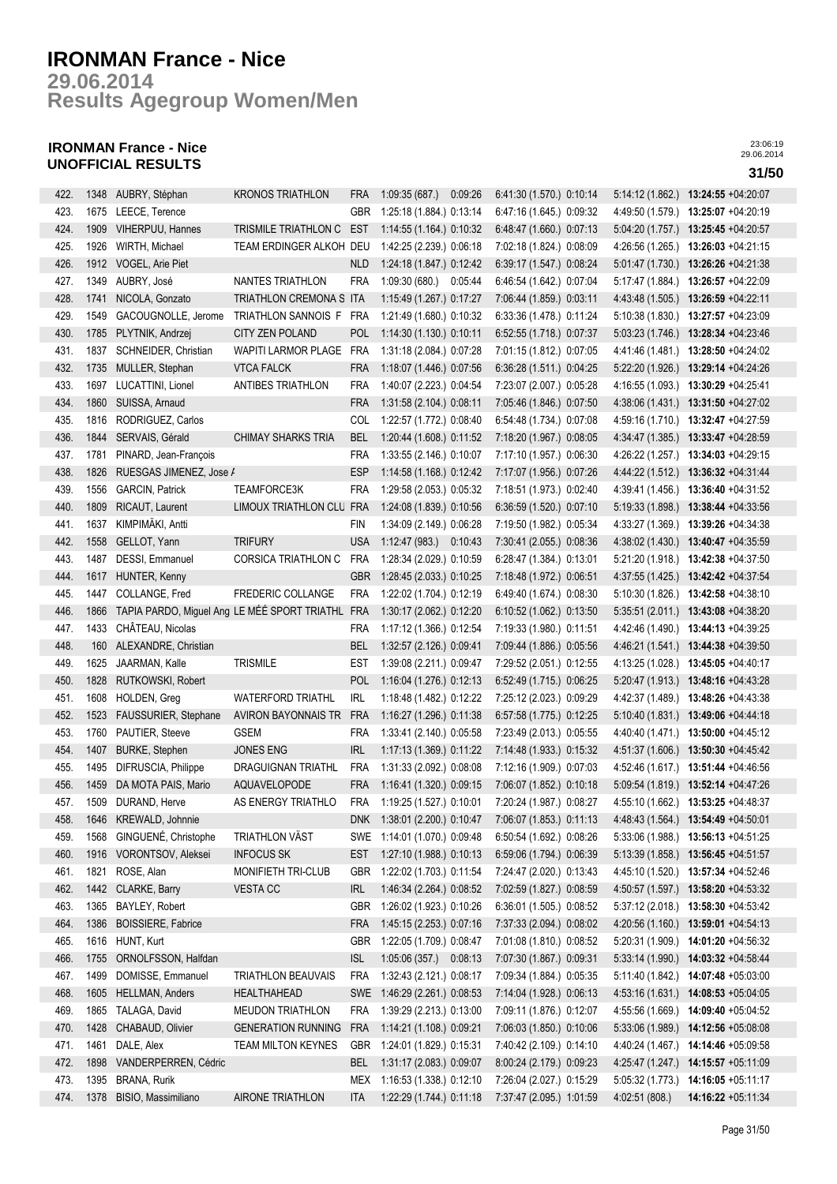**Results Agegroup Women/Men 29.06.2014**

## **IRONMAN France - Nice UNOFFICIAL RESULTS 31/50**

| 422. | 1348 | AUBRY, Stéphan          | <b>KRONOS TRIATHLON</b>                      | FRA        | 1:09:35(687)                 | 0:09:26 | 6:41:30 (1.570.) 0:10:14 | 5:14:12 (1.862.) | 13:24:55 +04:20:07                   |
|------|------|-------------------------|----------------------------------------------|------------|------------------------------|---------|--------------------------|------------------|--------------------------------------|
| 423. | 1675 | LEECE, Terence          |                                              | GBR        | 1:25:18 (1.884.) 0:13:14     |         | 6:47:16 (1.645.) 0:09:32 | 4:49:50 (1.579.) | 13:25:07 +04:20:19                   |
| 424. | 1909 | VIHERPUU, Hannes        | TRISMILE TRIATHLON C EST                     |            | 1:14:55 (1.164.) 0:10:32     |         | 6:48:47 (1.660.) 0:07:13 | 5.04:20(1.757.)  | 13:25:45 +04:20:57                   |
| 425. | 1926 | WIRTH, Michael          | TEAM ERDINGER ALKOH DEU                      |            | 1:42:25 (2.239.) 0:06:18     |         | 7:02:18 (1.824.) 0:08:09 | 4:26:56 (1.265.) | 13:26:03 +04:21:15                   |
| 426. | 1912 | VOGEL, Arie Piet        |                                              | <b>NLD</b> | 1:24:18 (1.847.) 0:12:42     |         | 6:39:17 (1.547.) 0:08:24 | 5.01.47(1.730.)  | 13:26:26 +04:21:38                   |
| 427. | 1349 | AUBRY, José             | NANTES TRIATHLON                             | <b>FRA</b> | 1:09:30 (680.) 0:05:44       |         | 6:46:54 (1.642.) 0:07:04 | 5:17:47 (1.884.) | 13:26:57 +04:22:09                   |
| 428. | 1741 | NICOLA, Gonzato         | TRIATHLON CREMONA S ITA                      |            | 1:15:49 (1.267.) 0:17:27     |         | 7:06:44 (1.859.) 0:03:11 |                  | 4:43:48 (1.505.) 13:26:59 +04:22:11  |
| 429. | 1549 | GACOUGNOLLE, Jerome     | TRIATHLON SANNOIS F FRA                      |            | 1:21:49 (1.680.) 0:10:32     |         | 6:33:36 (1.478.) 0:11:24 | 5:10:38(1.830.)  | 13:27:57 +04:23:09                   |
| 430. | 1785 | PLYTNIK, Andrzej        | CITY ZEN POLAND                              | <b>POL</b> | 1:14:30 (1.130.) 0:10:11     |         | 6:52:55 (1.718.) 0:07:37 | 5.03:23(1.746.)  | 13:28:34 +04:23:46                   |
| 431. | 1837 | SCHNEIDER, Christian    | <b>WAPITI LARMOR PLAGE</b>                   | <b>FRA</b> | 1:31:18 (2.084.) 0:07:28     |         | 7:01:15 (1.812.) 0:07:05 | 4:41:46 (1.481.) | 13:28:50 +04:24:02                   |
|      |      |                         |                                              |            |                              |         |                          |                  |                                      |
| 432. | 1735 | MULLER, Stephan         | <b>VTCA FALCK</b>                            | <b>FRA</b> | 1:18:07 (1.446.) 0:07:56     |         | 6:36:28 (1.511.) 0:04:25 | 5:22:20(1.926.)  | 13:29:14 +04:24:26                   |
| 433. | 1697 | LUCATTINI, Lionel       | ANTIBES TRIATHLON                            | <b>FRA</b> | 1:40:07 (2.223.) 0:04:54     |         | 7:23:07 (2.007.) 0:05:28 | 4:16:55 (1.093.) | 13:30:29 +04:25:41                   |
| 434. | 1860 | SUISSA, Arnaud          |                                              | <b>FRA</b> | 1:31:58 (2.104.) 0:08:11     |         | 7:05:46 (1.846.) 0:07:50 |                  | 4:38:06 (1.431.) 13:31:50 +04:27:02  |
| 435. | 1816 | RODRIGUEZ, Carlos       |                                              | COL        | 1:22:57 (1.772.) 0:08:40     |         | 6:54:48 (1.734.) 0:07:08 |                  | 4:59:16 (1.710.) 13:32:47 +04:27:59  |
| 436. | 1844 | SERVAIS, Gérald         | <b>CHIMAY SHARKS TRIA</b>                    | <b>BEL</b> | 1:20:44 (1.608.) 0:11:52     |         | 7:18:20 (1.967.) 0:08:05 |                  | 4:34:47 (1.385.) 13:33:47 +04:28:59  |
| 437. | 1781 | PINARD, Jean-François   |                                              | <b>FRA</b> | 1:33:55 (2.146.) 0:10:07     |         | 7:17:10 (1.957.) 0:06:30 |                  | 4:26:22 (1.257.) 13:34:03 +04:29:15  |
| 438. | 1826 | RUESGAS JIMENEZ, Jose / |                                              | <b>ESP</b> | 1:14:58 (1.168.) 0:12:42     |         | 7:17:07 (1.956.) 0:07:26 | 4:44:22 (1.512.) | 13:36:32 +04:31:44                   |
| 439. | 1556 | <b>GARCIN, Patrick</b>  | TEAMFORCE3K                                  | <b>FRA</b> | 1:29:58 (2.053.) 0:05:32     |         | 7:18:51 (1.973.) 0:02:40 | 4:39:41 (1.456.) | 13:36:40 +04:31:52                   |
| 440. | 1809 | RICAUT, Laurent         | LIMOUX TRIATHLON CLU FRA                     |            | 1:24:08 (1.839.) 0:10:56     |         | 6:36:59 (1.520.) 0:07:10 | 5:19:33 (1.898.) | 13:38:44 +04:33:56                   |
| 441. | 1637 | KIMPIMÄKI, Antti        |                                              | FIN        | 1:34:09 (2.149.) 0:06:28     |         | 7:19:50 (1.982.) 0:05:34 | 4:33:27 (1.369.) | 13:39:26 +04:34:38                   |
| 442. | 1558 | GELLOT, Yann            | <b>TRIFURY</b>                               | <b>USA</b> | 1:12:47 (983.) 0:10:43       |         | 7:30:41 (2.055.) 0:08:36 | 4:38:02 (1.430.) | 13:40:47 +04:35:59                   |
| 443. | 1487 | DESSI, Emmanuel         | CORSICA TRIATHLON C                          | <b>FRA</b> | 1:28:34 (2.029.) 0:10:59     |         | 6:28:47 (1.384.) 0:13:01 |                  | 5:21:20 (1.918.) 13:42:38 +04:37:50  |
| 444. | 1617 | HUNTER, Kenny           |                                              | GBR        | 1:28:45 (2.033.) 0:10:25     |         | 7:18:48 (1.972.) 0:06:51 |                  | 4:37:55 (1.425.) 13:42:42 +04:37:54  |
| 445. | 1447 | COLLANGE, Fred          | <b>FREDERIC COLLANGE</b>                     | <b>FRA</b> | 1:22:02 (1.704.) 0:12:19     |         | 6:49:40 (1.674.) 0:08:30 | 5:10:30(1.826.)  | 13:42:58 +04:38:10                   |
| 446. | 1866 |                         | TAPIA PARDO, Miguel Ang LE MÉÉ SPORT TRIATHL | <b>FRA</b> | 1:30:17 (2.062.) 0:12:20     |         | 6:10:52 (1.062.) 0:13:50 |                  | 5:35:51 (2.011.) 13:43:08 +04:38:20  |
| 447. | 1433 | CHÂTEAU, Nicolas        |                                              | FRA        | 1:17:12 (1.366.) 0:12:54     |         | 7:19:33 (1.980.) 0:11:51 | 4:42:46 (1.490.) | 13:44:13 +04:39:25                   |
| 448. | 160  | ALEXANDRE, Christian    |                                              | <b>BEL</b> | 1:32:57 (2.126.) 0:09:41     |         | 7:09:44 (1.886.) 0:05:56 | 4:46:21 (1.541.) | 13:44:38 +04:39:50                   |
| 449. | 1625 | JAARMAN, Kalle          | <b>TRISMILE</b>                              | <b>EST</b> | 1:39:08 (2.211.) 0:09:47     |         | 7:29:52 (2.051.) 0:12:55 | 4:13:25 (1.028.) | 13:45:05 +04:40:17                   |
| 450. | 1828 | RUTKOWSKI, Robert       |                                              | <b>POL</b> | 1:16:04 (1.276.) 0:12:13     |         | 6:52:49 (1.715.) 0:06:25 |                  | 5:20:47 (1.913.) 13:48:16 +04:43:28  |
| 451. | 1608 | HOLDEN, Greg            | <b>WATERFORD TRIATHL</b>                     | <b>IRL</b> | 1:18:48 (1.482.) 0:12:22     |         | 7:25:12 (2.023.) 0:09:29 |                  | 4:42:37 (1.489.) 13:48:26 +04:43:38  |
| 452. | 1523 | FAUSSURIER, Stephane    | <b>AVIRON BAYONNAIS TR</b>                   | <b>FRA</b> | 1:16:27 (1.296.) 0:11:38     |         | 6:57:58 (1.775.) 0:12:25 |                  | $5:10:40(1.831.)$ 13:49:06 +04:44:18 |
| 453. | 1760 | PAUTIER, Steeve         | <b>GSEM</b>                                  | <b>FRA</b> | 1:33:41 (2.140.) 0:05:58     |         | 7:23:49 (2.013.) 0:05:55 |                  | 4:40:40 (1.471.) 13:50:00 +04:45:12  |
| 454. | 1407 | <b>BURKE, Stephen</b>   | <b>JONES ENG</b>                             | <b>IRL</b> | 1:17:13 (1.369.) 0:11:22     |         | 7:14:48 (1.933.) 0:15:32 |                  | 4:51:37 (1.606.) 13:50:30 +04:45:42  |
| 455. | 1495 | DIFRUSCIA, Philippe     | DRAGUIGNAN TRIATHL                           | <b>FRA</b> | 1:31:33 (2.092.) 0:08:08     |         | 7:12:16 (1.909.) 0:07:03 |                  | 4:52:46 (1.617.) 13:51:44 +04:46:56  |
|      |      |                         |                                              |            |                              |         |                          |                  |                                      |
| 456. | 1459 | DA MOTA PAIS, Mario     | AQUAVELOPODE                                 | <b>FRA</b> | 1:16:41 (1.320.) 0:09:15     |         | 7:06:07 (1.852.) 0:10:18 |                  | 5:09:54 (1.819.) 13:52:14 +04:47:26  |
| 457. | 1509 | DURAND, Herve           | AS ENERGY TRIATHLO                           | <b>FRA</b> | 1:19:25 (1.527.) 0:10:01     |         | 7:20:24 (1.987.) 0:08:27 |                  | 4:55:10 (1.662.) 13:53:25 +04:48:37  |
| 458. | 1646 | KREWALD, Johnnie        |                                              | DNK.       | 1:38:01 (2.200.) 0:10:47     |         | 7:06:07 (1.853.) 0:11:13 |                  | 4:48:43 (1.564.) 13:54:49 +04:50:01  |
| 459. | 1568 | GINGUENÉ, Christophe    | <b>TRIATHLON VÄST</b>                        |            | SWE 1:14:01 (1.070.) 0:09:48 |         | 6:50:54 (1.692.) 0:08:26 | 5:33:06 (1.988.) | 13:56:13 +04:51:25                   |
| 460. | 1916 | VORONTSOV, Aleksei      | <b>INFOCUS SK</b>                            | EST        | 1:27:10 (1.988.) 0:10:13     |         | 6:59:06 (1.794.) 0:06:39 | 5:13:39 (1.858.) | 13:56:45 +04:51:57                   |
| 461. | 1821 | ROSE, Alan              | MONIFIETH TRI-CLUB                           | GBR        | 1:22:02 (1.703.) 0:11:54     |         | 7:24:47 (2.020.) 0:13:43 |                  | 4:45:10 (1.520.) 13:57:34 +04:52:46  |
| 462. | 1442 | CLARKE, Barry           | <b>VESTACC</b>                               | IRL        | 1:46:34 (2.264.) 0:08:52     |         | 7:02:59 (1.827.) 0:08:59 | 4:50:57 (1.597.) | 13:58:20 +04:53:32                   |
| 463. | 1365 | BAYLEY, Robert          |                                              | GBR        | 1:26:02 (1.923.) 0:10:26     |         | 6:36:01 (1.505.) 0:08:52 | 5:37:12(2.018.)  | 13:58:30 +04:53:42                   |
| 464. | 1386 | BOISSIERE, Fabrice      |                                              | FRA        | 1:45:15 (2.253.) 0:07:16     |         | 7:37:33 (2.094.) 0:08:02 | 4:20:56 (1.160.) | 13:59:01 +04:54:13                   |
| 465. | 1616 | HUNT, Kurt              |                                              | <b>GBR</b> | 1:22:05 (1.709.) 0:08:47     |         | 7:01:08 (1.810.) 0:08:52 | 5:20:31 (1.909.) | 14:01:20 +04:56:32                   |
| 466. | 1755 | ORNOLFSSON, Halfdan     |                                              | <b>ISL</b> | 1:05:06 (357.) 0:08:13       |         | 7:07:30 (1.867.) 0:09:31 | 5:33:14(1.990.)  | 14:03:32 +04:58:44                   |
| 467. | 1499 | DOMISSE, Emmanuel       | <b>TRIATHLON BEAUVAIS</b>                    | <b>FRA</b> | 1:32:43 (2.121.) 0:08:17     |         | 7:09:34 (1.884.) 0:05:35 | 5:11:40 (1.842.) | 14:07:48 +05:03:00                   |
| 468. | 1605 | HELLMAN, Anders         | HEALTHAHEAD                                  | <b>SWE</b> | 1:46:29 (2.261.) 0:08:53     |         | 7:14:04 (1.928.) 0:06:13 |                  | 4:53:16 (1.631.) 14:08:53 +05:04:05  |
| 469. | 1865 | TALAGA, David           | <b>MEUDON TRIATHLON</b>                      | FRA        | 1:39:29 (2.213.) 0:13:00     |         | 7:09:11 (1.876.) 0:12:07 |                  | 4:55:56 (1.669.) 14:09:40 +05:04:52  |
| 470. | 1428 | CHABAUD, Olivier        | <b>GENERATION RUNNING</b>                    | <b>FRA</b> | 1:14:21 (1.108.) 0:09:21     |         | 7:06:03 (1.850.) 0:10:06 |                  | 5:33:06 (1.989.) 14:12:56 +05:08:08  |
| 471. | 1461 | DALE, Alex              | TEAM MILTON KEYNES                           | <b>GBR</b> | 1:24:01 (1.829.) 0:15:31     |         | 7:40:42 (2.109.) 0:14:10 | 4:40:24 (1.467.) | 14:14:46 +05:09:58                   |
| 472. | 1898 | VANDERPERREN, Cédric    |                                              | BEL        | 1:31:17 (2.083.) 0:09:07     |         | 8:00:24 (2.179.) 0:09:23 | 4:25:47 (1.247.) | 14:15:57 +05:11:09                   |
| 473. | 1395 | BRANA, Rurik            |                                              | MEX        | 1:16:53 (1.338.) 0:12:10     |         | 7:26:04 (2.027.) 0:15:29 | 5:05:32(1.773)   | 14:16:05 +05:11:17                   |
| 474. | 1378 | BISIO, Massimiliano     | AIRONE TRIATHLON                             | ITA        | 1:22:29 (1.744.) 0:11:18     |         | 7:37:47 (2.095.) 1:01:59 | 4:02:51 (808.)   | 14:16:22 +05:11:34                   |
|      |      |                         |                                              |            |                              |         |                          |                  |                                      |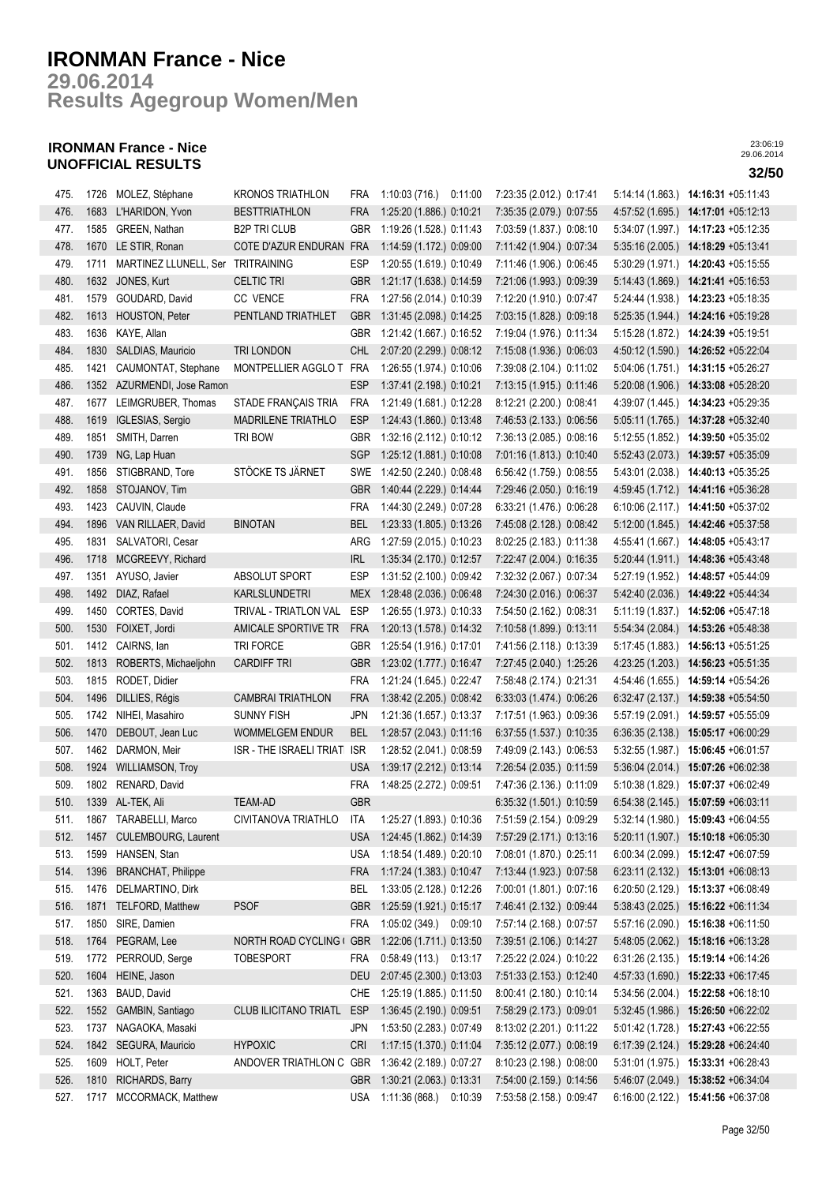**Results Agegroup Women/Men 29.06.2014**

## **IRONMAN France - Nice UNOFFICIAL RESULTS 32/50**

| 475. | 1726 | MOLEZ, Stéphane                   | <b>KRONOS TRIATHLON</b>  | <b>FRA</b> | 1:10:03 (716.) 0:11:00   | 7:23:35 (2.012.) 0:17:41 | 5:14:14(1.863)   | 14:16:31 +05:11:43                          |
|------|------|-----------------------------------|--------------------------|------------|--------------------------|--------------------------|------------------|---------------------------------------------|
| 476. | 1683 | L'HARIDON, Yvon                   | <b>BESTTRIATHLON</b>     | <b>FRA</b> | 1:25:20 (1.886.) 0:10:21 | 7:35:35 (2.079.) 0:07:55 | 4:57:52 (1.695.) | 14:17:01 +05:12:13                          |
| 477. | 1585 | GREEN, Nathan                     | <b>B2P TRI CLUB</b>      | GBR        | 1:19:26 (1.528.) 0:11:43 | 7:03:59 (1.837.) 0:08:10 |                  | 5:34:07 (1.997.) 14:17:23 +05:12:35         |
| 478. | 1670 | LE STIR, Ronan                    | COTE D'AZUR ENDURAN FRA  |            | 1:14:59 (1.172.) 0:09:00 | 7:11:42 (1.904.) 0:07:34 | 5:35:16(2.005.)  | 14:18:29 +05:13:41                          |
| 479. | 1711 | MARTINEZ LLUNELL, Ser TRITRAINING |                          | ESP        | 1:20:55 (1.619.) 0:10:49 | 7:11:46 (1.906.) 0:06:45 |                  | 5:30:29 (1.971.) 14:20:43 +05:15:55         |
| 480. | 1632 | JONES, Kurt                       | <b>CELTIC TRI</b>        | <b>GBR</b> | 1:21:17 (1.638.) 0:14:59 | 7:21:06 (1.993.) 0:09:39 |                  | 5:14:43 (1.869.) 14:21:41 +05:16:53         |
| 481. | 1579 | GOUDARD, David                    | CC VENCE                 | FRA        | 1:27:56 (2.014.) 0:10:39 | 7:12:20 (1.910.) 0:07:47 | 5:24:44 (1.938.) | 14:23:23 +05:18:35                          |
| 482. | 1613 | HOUSTON, Peter                    | PENTLAND TRIATHLET       | <b>GBR</b> | 1:31:45 (2.098.) 0:14:25 | 7:03:15 (1.828.) 0:09:18 | 5:25:35(1.944.)  | 14:24:16 +05:19:28                          |
| 483. | 1636 | KAYE, Allan                       |                          | <b>GBR</b> | 1:21:42 (1.667.) 0:16:52 | 7:19:04 (1.976.) 0:11:34 | 5:15:28 (1.872.) | 14:24:39 +05:19:51                          |
| 484. | 1830 | SALDIAS, Mauricio                 | TRI LONDON               | CHL        | 2:07:20 (2.299.) 0:08:12 | 7:15:08 (1.936.) 0:06:03 |                  | 4:50:12 (1.590.) 14:26:52 +05:22:04         |
| 485. | 1421 | CAUMONTAT, Stephane               | MONTPELLIER AGGLO T      | FRA        | 1:26:55 (1.974.) 0:10:06 | 7:39:08 (2.104.) 0:11:02 |                  | 5:04:06 (1.751.) 14:31:15 +05:26:27         |
| 486. | 1352 | AZURMENDI, Jose Ramon             |                          | <b>ESP</b> | 1:37:41 (2.198.) 0:10:21 | 7:13:15 (1.915.) 0:11:46 |                  | 5:20:08 (1.906.) 14:33:08 +05:28:20         |
| 487. | 1677 | LEIMGRUBER, Thomas                | STADE FRANÇAIS TRIA      | <b>FRA</b> | 1:21:49 (1.681.) 0:12:28 | 8:12:21 (2.200.) 0:08:41 |                  |                                             |
|      |      |                                   |                          |            |                          |                          |                  | 4:39:07 (1.445.) 14:34:23 +05:29:35         |
| 488. | 1619 | IGLESIAS, Sergio                  | MADRILENE TRIATHLO       | <b>ESP</b> | 1:24:43 (1.860.) 0:13:48 | 7:46:53 (2.133.) 0:06:56 |                  | 5:05:11 (1.765.) 14:37:28 +05:32:40         |
| 489. | 1851 | SMITH, Darren                     | TRI BOW                  | GBR        | 1:32:16 (2.112.) 0:10:12 | 7:36:13 (2.085.) 0:08:16 |                  | 5:12:55 (1.852.) 14:39:50 +05:35:02         |
| 490. | 1739 | NG, Lap Huan                      |                          | SGP        | 1:25:12 (1.881.) 0:10:08 | 7:01:16 (1.813.) 0:10:40 | 5:52:43(2.073)   | 14:39:57 +05:35:09                          |
| 491. | 1856 | STIGBRAND, Tore                   | STÖCKE TS JÄRNET         | SWE        | 1:42:50 (2.240.) 0:08:48 | 6:56:42 (1.759.) 0:08:55 | 5:43:01 (2.038.) | 14:40:13 +05:35:25                          |
| 492. | 1858 | STOJANOV, Tim                     |                          | <b>GBR</b> | 1:40:44 (2.229.) 0:14:44 | 7:29:46 (2.050.) 0:16:19 | 4:59:45(1.712.)  | 14:41:16 +05:36:28                          |
| 493. | 1423 | CAUVIN, Claude                    |                          | <b>FRA</b> | 1:44:30 (2.249.) 0:07:28 | 6:33:21 (1.476.) 0:06:28 |                  | 6:10:06 (2.117.) 14:41:50 +05:37:02         |
| 494. | 1896 | VAN RILLAER, David                | <b>BINOTAN</b>           | BEL        | 1:23:33 (1.805.) 0:13:26 | 7:45:08 (2.128.) 0:08:42 | 5:12:00(1.845.)  | 14:42:46 +05:37:58                          |
| 495. | 1831 | SALVATORI, Cesar                  |                          | ARG        | 1:27:59 (2.015.) 0:10:23 | 8:02:25 (2.183.) 0:11:38 | 4:55:41 (1.667.) | 14:48:05 +05:43:17                          |
| 496. | 1718 | MCGREEVY, Richard                 |                          | <b>IRL</b> | 1:35:34 (2.170.) 0:12:57 | 7:22:47 (2.004.) 0:16:35 |                  | $5:20:44(1.911.)$ <b>14:48:36</b> +05:43:48 |
| 497. | 1351 | AYUSO, Javier                     | ABSOLUT SPORT            | <b>ESP</b> | 1:31:52 (2.100.) 0:09:42 | 7:32:32 (2.067.) 0:07:34 | 5:27:19 (1.952.) | 14:48:57 +05:44:09                          |
| 498. | 1492 | DIAZ, Rafael                      | KARLSLUNDETRI            | MEX        | 1:28:48 (2.036.) 0:06:48 | 7:24:30 (2.016.) 0:06:37 | 5:42:40 (2.036.) | 14:49:22 +05:44:34                          |
| 499. | 1450 | CORTES, David                     | TRIVAL - TRIATLON VAL    | <b>ESP</b> | 1:26:55 (1.973.) 0:10:33 | 7:54:50 (2.162.) 0:08:31 | 5:11:19(1.837.)  | 14:52:06 +05:47:18                          |
| 500. | 1530 | FOIXET, Jordi                     | AMICALE SPORTIVE TR      | <b>FRA</b> | 1:20:13 (1.578.) 0:14:32 | 7:10:58 (1.899.) 0:13:11 | 5.54.34(2.084.)  | 14:53:26 +05:48:38                          |
| 501. | 1412 | CAIRNS, lan                       | TRI FORCE                | <b>GBR</b> | 1:25:54 (1.916.) 0:17:01 | 7:41:56 (2.118.) 0:13:39 | 5:17:45 (1.883.) | 14:56:13 +05:51:25                          |
| 502. | 1813 | ROBERTS, Michaeljohn              | <b>CARDIFF TRI</b>       | <b>GBR</b> | 1:23:02 (1.777.) 0:16:47 | 7:27:45 (2.040.) 1:25:26 | 4:23:25(1.203.)  | 14:56:23 +05:51:35                          |
| 503. | 1815 | RODET, Didier                     |                          | <b>FRA</b> | 1:21:24 (1.645.) 0:22:47 | 7:58:48 (2.174.) 0:21:31 |                  | 4:54:46 (1.655.) 14:59:14 +05:54:26         |
| 504. | 1496 | DILLIES, Régis                    | <b>CAMBRAI TRIATHLON</b> | <b>FRA</b> | 1:38:42 (2.205.) 0:08:42 | 6:33:03 (1.474.) 0:06:26 |                  | 6:32:47 (2.137.) 14:59:38 +05:54:50         |
| 505. | 1742 | NIHEI, Masahiro                   | <b>SUNNY FISH</b>        | <b>JPN</b> | 1:21:36 (1.657.) 0:13:37 | 7:17:51 (1.963.) 0:09:36 |                  | 5:57:19 (2.091.) 14:59:57 +05:55:09         |
| 506. | 1470 | DEBOUT, Jean Luc                  | <b>WOMMELGEM ENDUR</b>   | <b>BEL</b> | 1:28:57 (2.043.) 0:11:16 | 6:37:55 (1.537.) 0:10:35 |                  | 6:36:35 (2.138.) 15:05:17 +06:00:29         |
| 507. | 1462 | DARMON, Meir                      | ISR - THE ISRAELI TRIAT  | <b>ISR</b> | 1:28:52 (2.041.) 0:08:59 | 7:49:09 (2.143.) 0:06:53 | 5:32:55(1.987.)  | 15:06:45 +06:01:57                          |
| 508. | 1924 | <b>WILLIAMSON, Troy</b>           |                          | <b>USA</b> | 1:39:17 (2.212.) 0:13:14 | 7:26:54 (2.035.) 0:11:59 |                  | 5:36:04 (2.014.) 15:07:26 +06:02:38         |
| 509. | 1802 | RENARD, David                     |                          | <b>FRA</b> | 1:48:25 (2.272.) 0:09:51 | 7:47:36 (2.136.) 0:11:09 | 5:10:38 (1.829.) | 15:07:37 +06:02:49                          |
| 510. |      | 1339 AL-TEK, Ali                  | <b>TEAM-AD</b>           | <b>GBR</b> |                          | 6:35:32 (1.501.) 0:10:59 |                  | 6:54:38 (2.145.) 15:07:59 +06:03:11         |
| 511. |      | 1867 TARABELLI, Marco             | CIVITANOVA TRIATHLO      | ITA        | 1:25:27 (1.893.) 0:10:36 | 7:51:59 (2.154.) 0:09:29 |                  | 5:32:14 (1.980.) 15:09:43 +06:04:55         |
| 512. | 1457 | CULEMBOURG, Laurent               |                          | <b>USA</b> | 1:24:45 (1.862.) 0:14:39 | 7:57:29 (2.171.) 0:13:16 | 5:20:11(1.907.)  | 15:10:18 +06:05:30                          |
| 513. | 1599 | HANSEN, Stan                      |                          | <b>USA</b> | 1:18:54 (1.489.) 0:20:10 | 7:08:01 (1.870.) 0:25:11 | 6:00:34 (2.099.) | 15:12:47 +06:07:59                          |
| 514. | 1396 | <b>BRANCHAT, Philippe</b>         |                          | FRA        | 1:17:24 (1.383.) 0:10:47 | 7:13:44 (1.923.) 0:07:58 |                  | 6:23:11 (2.132.) 15:13:01 +06:08:13         |
| 515. | 1476 | DELMARTINO, Dirk                  |                          | <b>BEL</b> | 1:33:05 (2.128.) 0:12:26 | 7:00:01 (1.801.) 0:07:16 | 6:20:50(2.129.)  | 15:13:37 +06:08:49                          |
| 516. | 1871 | TELFORD, Matthew                  | <b>PSOF</b>              | <b>GBR</b> | 1:25:59 (1.921.) 0:15:17 | 7:46:41 (2.132.) 0:09:44 | 5:38:43(2.025.)  | 15:16:22 +06:11:34                          |
| 517. | 1850 | SIRE, Damien                      |                          | <b>FRA</b> | 1:05:02 (349.) 0:09:10   | 7:57:14 (2.168.) 0:07:57 | 5:57:16 (2.090.) | 15:16:38 +06:11:50                          |
| 518. | 1764 | PEGRAM, Lee                       | NORTH ROAD CYCLING GBR   |            | 1:22:06 (1.711.) 0:13:50 | 7:39:51 (2.106.) 0:14:27 | 5.48.05(2.062.)  | 15:18:16 +06:13:28                          |
| 519. | 1772 | PERROUD, Serge                    | <b>TOBESPORT</b>         | <b>FRA</b> | 0:58:49 (113.) 0:13:17   | 7:25:22 (2.024.) 0:10:22 | 6:31:26 (2.135.) | 15:19:14 +06:14:26                          |
| 520. | 1604 | HEINE, Jason                      |                          | <b>DEU</b> | 2:07:45 (2.300.) 0:13:03 | 7:51:33 (2.153.) 0:12:40 |                  | 4:57:33 (1.690.) 15:22:33 +06:17:45         |
| 521. | 1363 | BAUD, David                       |                          | <b>CHE</b> | 1:25:19 (1.885.) 0:11:50 | 8:00:41 (2.180.) 0:10:14 |                  | 5:34:56 (2.004.) 15:22:58 +06:18:10         |
| 522. | 1552 | GAMBIN, Santiago                  | CLUB ILICITANO TRIATL    | ESP        | 1:36:45 (2.190.) 0:09:51 | 7:58:29 (2.173.) 0:09:01 |                  | 5:32:45 (1.986.) 15:26:50 +06:22:02         |
| 523. | 1737 | NAGAOKA, Masaki                   |                          | JPN        | 1:53:50 (2.283.) 0:07:49 | 8:13:02 (2.201.) 0:11:22 |                  | 5:01:42 (1.728.) 15:27:43 +06:22:55         |
| 524. | 1842 | SEGURA, Mauricio                  | <b>HYPOXIC</b>           | <b>CRI</b> | 1:17:15 (1.370.) 0:11:04 | 7:35:12 (2.077.) 0:08:19 |                  | 6:17:39 (2.124.) 15:29:28 +06:24:40         |
|      | 1609 |                                   | ANDOVER TRIATHLON C GBR  |            |                          |                          |                  |                                             |
| 525. |      | HOLT, Peter                       |                          |            | 1:36:42 (2.189.) 0:07:27 | 8:10:23 (2.198.) 0:08:00 |                  | 5:31:01 (1.975.) 15:33:31 +06:28:43         |
| 526. | 1810 | RICHARDS, Barry                   |                          | <b>GBR</b> | 1:30:21 (2.063.) 0:13:31 | 7:54:00 (2.159.) 0:14:56 | 5:46:07 (2.049.) | 15:38:52 +06:34:04                          |
| 527. |      | 1717 MCCORMACK, Matthew           |                          | <b>USA</b> | 1:11:36 (868.) 0:10:39   | 7:53:58 (2.158.) 0:09:47 |                  | 6:16:00 (2.122.) 15:41:56 +06:37:08         |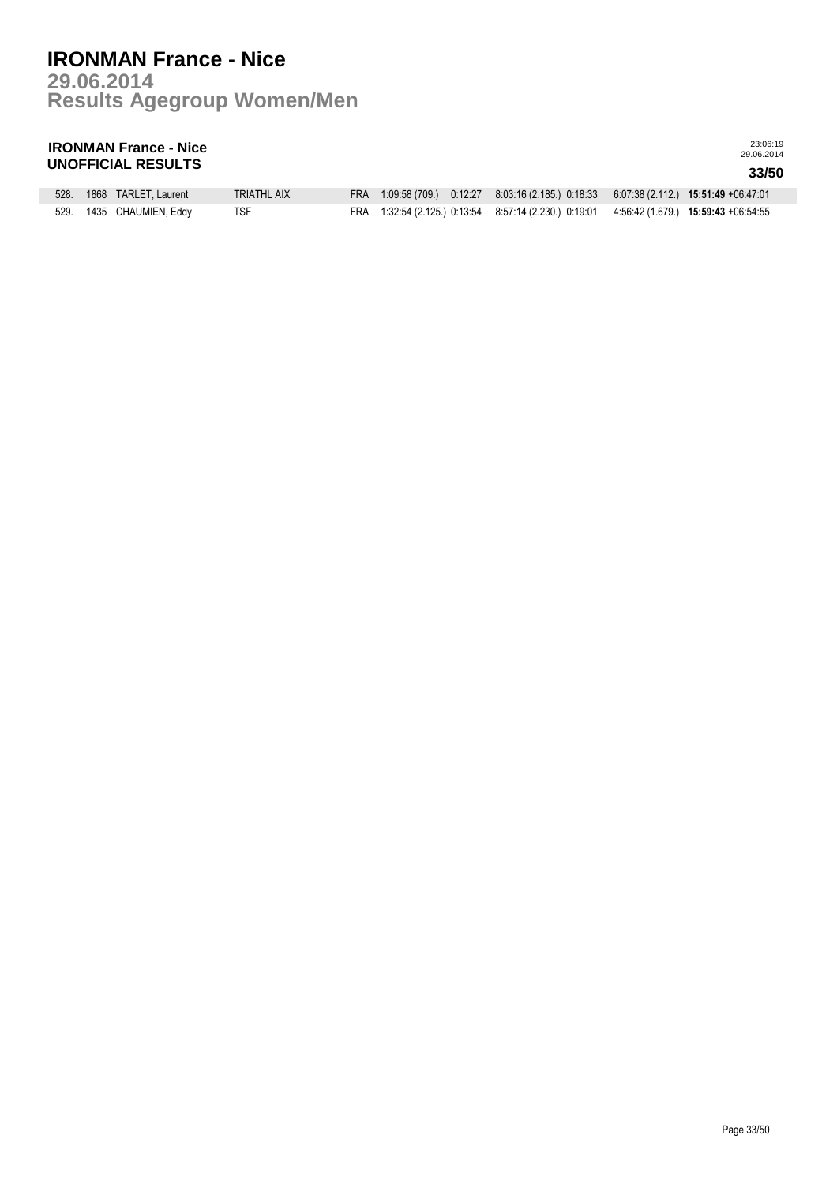**Results Agegroup Women/Men 29.06.2014**

## **IRONMAN France - Nice UNOFFICIAL RESULTS 33/50**

| 528. | 1868 TARLET, Laurent     | <b>TRIATHL AIX</b> |  | FRA 1:09:58 (709.) 0:12:27 8:03:16 (2.185.) 0:18:33 6:07:38 (2.112.) 15:51:49 +06:47:01  |  |
|------|--------------------------|--------------------|--|------------------------------------------------------------------------------------------|--|
|      | 529. 1435 CHAUMIEN, Eddy | <b>TSF</b>         |  | FRA 1:32:54 (2.125) 0:13:54 8:57:14 (2.230.) 0:19:01 4:56:42 (1.679.) 15:59:43 +06:54:55 |  |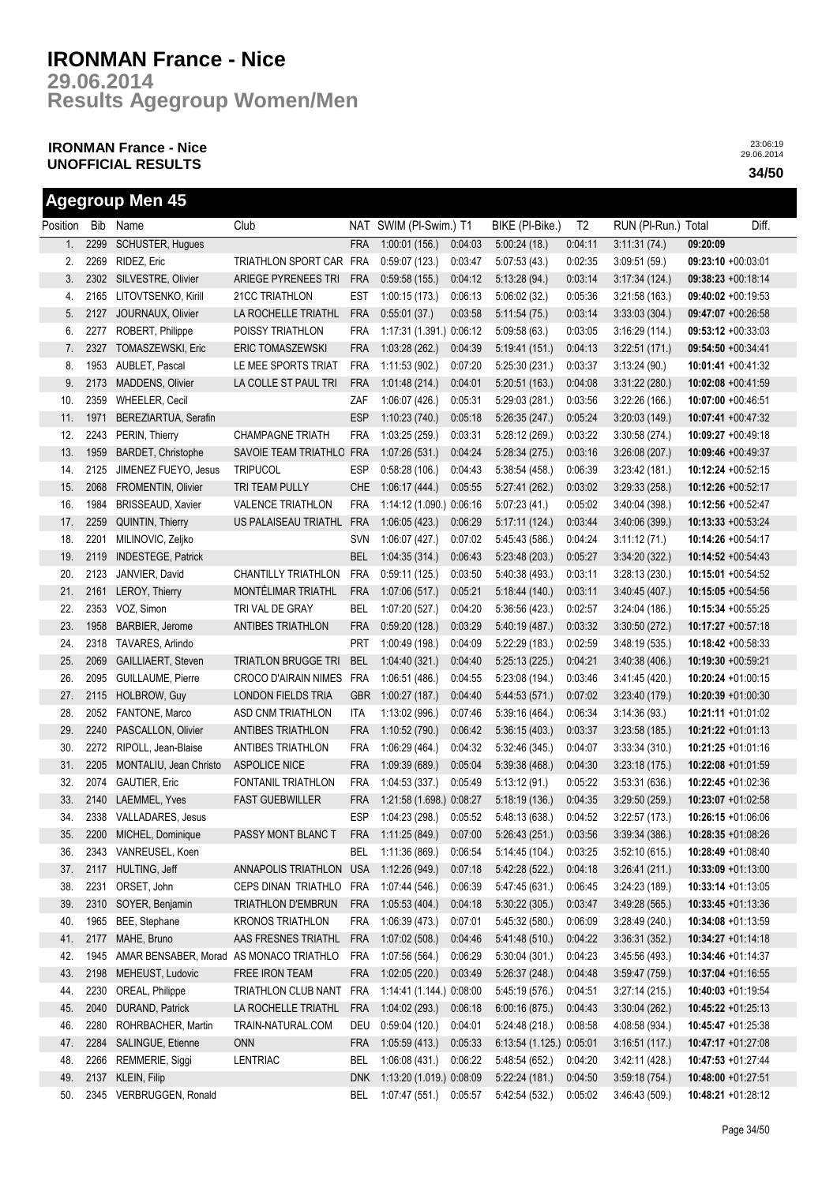**Results Agegroup Women/Men 29.06.2014**

## **IRONMAN France - Nice UNOFFICIAL RESULTS 34/50**

**Agegroup Men 45**

|          |      | Agegroup men 45                         |                             |            |                          |         |                                                  |                |                     |          |                       |
|----------|------|-----------------------------------------|-----------------------------|------------|--------------------------|---------|--------------------------------------------------|----------------|---------------------|----------|-----------------------|
| Position |      | Bib Name                                | Club                        |            | NAT SWIM (PI-Swim.) T1   |         | BIKE (PI-Bike.)                                  | T <sub>2</sub> | RUN (PI-Run.) Total |          | Diff.                 |
| 1.       | 2299 | SCHUSTER, Hugues                        |                             | <b>FRA</b> | 1:00:01(156.)            | 0:04:03 | 5:00:24(18.)                                     | 0.04:11        | 3:11:31(74)         | 09:20:09 |                       |
| 2.       | 2269 | RIDEZ, Eric                             | TRIATHLON SPORT CAR FRA     |            | 0:59:07(123.)            | 0:03:47 | 5:07:53(43)                                      | 0:02:35        | 3:09:51(59)         |          | 09:23:10 +00:03:01    |
| 3.       | 2302 | SILVESTRE, Olivier                      | ARIEGE PYRENEES TRI         | <b>FRA</b> | 0.59.58(155.)            | 0:04:12 | 5:13:28(94)                                      | 0:03:14        | 3:17:34(124)        |          | 09:38:23 +00:18:14    |
| 4.       | 2165 | LITOVTSENKO, Kirill                     | 21CC TRIATHLON              | <b>EST</b> | 1:00:15(173.)            | 0:06:13 | 5:06:02(32)                                      | 0:05:36        | 3:21:58(163)        |          | $09:40:02 +00:19:53$  |
| 5.       | 2127 | JOURNAUX, Olivier                       | LA ROCHELLE TRIATHL         | <b>FRA</b> | 0:55:01(37.)             | 0:03:58 | 5:11:54(75)                                      | 0:03:14        | 3.33.03(304)        |          | 09:47:07 +00:26:58    |
| 6.       | 2277 | ROBERT, Philippe                        | POISSY TRIATHLON            | <b>FRA</b> | 1:17:31 (1.391.) 0:06:12 |         | 5.09:58(63)                                      | 0:03:05        | 3:16:29(114.)       |          | 09:53:12 +00:33:03    |
| 7.       | 2327 | TOMASZEWSKI, Eric                       | <b>ERIC TOMASZEWSKI</b>     | <b>FRA</b> | 1:03:28(262)             | 0.04.39 | 5:19:41(151)                                     | 0:04:13        | 3.22:51(171)        |          | 09:54:50 +00:34:41    |
| 8.       | 1953 | AUBLET, Pascal                          | LE MEE SPORTS TRIAT         | FRA        | 1:11:53 (902.)           | 0:07:20 | 5:25:30(231)                                     | 0:03:37        | 3:13:24(90.)        |          | 10:01:41 +00:41:32    |
| 9.       | 2173 | MADDENS, Olivier                        | LA COLLE ST PAUL TRI        | <b>FRA</b> | 1:01:48(214.)            | 0.04:01 | 5:20:51(163)                                     | 0:04:08        | 3:31:22 (280.)      |          | 10:02:08 +00:41:59    |
| 10.      | 2359 | WHEELER, Cecil                          |                             | ZAF        | 1:06:07(426.)            | 0:05:31 | 5:29:03(281.)                                    | 0:03:56        | 3:22:26(166.)       |          | 10:07:00 +00:46:51    |
| 11.      | 1971 | BEREZIARTUA, Serafin                    |                             | <b>ESP</b> | 1:10:23(740.)            | 0:05:18 | 5:26:35(247.)                                    | 0:05:24        | 3:20:03(149.)       |          | 10:07:41 +00:47:32    |
| 12.      | 2243 | PERIN, Thierry                          | <b>CHAMPAGNE TRIATH</b>     | <b>FRA</b> | 1:03:25 (259.)           | 0.03:31 | 5:28:12(269)                                     | 0:03:22        | 3:30:58 (274.)      |          | $10:09:27 +00:49:18$  |
| 13.      | 1959 | BARDET, Christophe                      | SAVOIE TEAM TRIATHLO FRA    |            | 1:07:26(531.)            | 0.04.24 | 5:28:34(275.)                                    | 0:03:16        | 3:26:08(207.)       |          | 10:09:46 +00:49:37    |
| 14.      | 2125 | JIMENEZ FUEYO, Jesus                    | <b>TRIPUCOL</b>             | <b>ESP</b> | 0.58.28(106.)            | 0:04:43 | 5:38:54(458)                                     | 0:06:39        | 3:23:42(181.)       |          | 10:12:24 +00:52:15    |
| 15.      | 2068 | FROMENTIN, Olivier                      | TRI TEAM PULLY              | <b>CHE</b> | 1:06:17 (444.)           | 0:05:55 | 5.27:41(262)                                     | 0:03:02        | 3:29:33(258.)       |          | 10:12:26 +00:52:17    |
| 16.      | 1984 | <b>BRISSEAUD, Xavier</b>                | <b>VALENCE TRIATHLON</b>    | <b>FRA</b> | 1:14:12 (1.090.) 0:06:16 |         | 5.07:23(41)                                      | 0:05:02        | 3.40:04(398)        |          | 10:12:56 +00:52:47    |
| 17.      | 2259 | QUINTIN, Thierry                        | US PALAISEAU TRIATHL        | <b>FRA</b> | 1:06:05(423.)            | 0:06:29 | 5:17:11(124)                                     | 0:03:44        | 3.40:06(399)        |          | 10:13:33 +00:53:24    |
| 18.      | 2201 | MILINOVIC, Zeljko                       |                             | SVN        | 1:06:07 (427.)           | 0:07:02 | 5:45:43 (586.)                                   | 0:04:24        | 3:11:12(71.)        |          | 10:14:26 +00:54:17    |
| 19.      | 2119 | <b>INDESTEGE, Patrick</b>               |                             | <b>BEL</b> | 1:04:35(314.)            | 0:06:43 | 5:23:48(203)                                     | 0:05:27        | 3:34:20(322)        |          | 10:14:52 +00:54:43    |
| 20.      | 2123 | JANVIER, David                          | CHANTILLY TRIATHLON         | <b>FRA</b> | 0:59:11(125)             | 0:03:50 | 5:40:38 (493.)                                   | 0:03:11        | 3:28:13(230)        |          | $10:15:01 + 00:54:52$ |
| 21.      | 2161 | LEROY, Thierry                          | MONTÉLIMAR TRIATHL          | <b>FRA</b> | 1:07:06(517.)            | 0:05:21 | 5:18:44(140)                                     | 0:03:11        | 3:40:45 (407.)      |          | 10:15:05 +00:54:56    |
| 22.      | 2353 | VOZ, Simon                              | TRI VAL DE GRAY             | BEL        | 1:07:20(527.)            | 0:04:20 | 5:36:56(423)                                     | 0:02:57        | 3.24:04(186.)       |          | 10:15:34 +00:55:25    |
| 23.      | 1958 | BARBIER, Jerome                         | <b>ANTIBES TRIATHLON</b>    | <b>FRA</b> | 0.59:20(128.)            | 0:03:29 | 5:40:19 (487.)                                   | 0:03:32        | 3:30:50(272.)       |          | 10:17:27 +00:57:18    |
| 24.      | 2318 | TAVARES, Arlindo                        |                             | <b>PRT</b> | 1:00:49 (198.)           | 0:04:09 | 5:22:29(183)                                     | 0:02:59        | 3:48:19(535)        |          | $10:18:42 +00:58:33$  |
| 25.      | 2069 | GAILLIAERT, Steven                      | <b>TRIATLON BRUGGE TRI</b>  | <b>BEL</b> | 1:04:40(321)             | 0.04:40 | 5:25:13(225)                                     | 0:04:21        | 3.40.38(406.)       |          | 10:19:30 +00:59:21    |
| 26.      | 2095 | GUILLAUME, Pierre                       | <b>CROCO D'AIRAIN NIMES</b> | <b>FRA</b> | 1:06:51(486.)            | 0:04:55 | 5:23:08 (194.)                                   | 0:03:46        | 3.41.45(420.)       |          | 10:20:24 +01:00:15    |
| 27.      | 2115 | HOLBROW, Guy                            | LONDON FIELDS TRIA          | <b>GBR</b> | 1:00:27(187.)            | 0:04:40 | 5:44:53(571.)                                    | 0:07:02        | 3:23:40(179)        |          | 10:20:39 +01:00:30    |
| 28.      | 2052 | FANTONE, Marco                          | ASD CNM TRIATHLON           | ITA        | 1:13:02(996.)            | 0:07:46 | 5:39:16 (464.)                                   | 0:06:34        | 3:14:36(93)         |          | 10:21:11 +01:01:02    |
| 29.      | 2240 | PASCALLON, Olivier                      | ANTIBES TRIATHLON           | <b>FRA</b> | 1:10:52(790.)            | 0:06:42 | 5:36:15(403)                                     | 0:03:37        | 3:23:58(185)        |          | 10:21:22 +01:01:13    |
| 30.      | 2272 | RIPOLL, Jean-Blaise                     | ANTIBES TRIATHLON           | FRA        | 1:06:29 (464.)           | 0:04:32 | 5:32:46 (345.)                                   | 0:04:07        | 3:33:34(310.)       |          | 10:21:25 +01:01:16    |
| 31.      | 2205 | MONTALIU, Jean Christo                  | <b>ASPOLICE NICE</b>        | <b>FRA</b> | 1:09:39(689)             | 0:05:04 | 5:39:38(468)                                     | 0:04:30        | 3:23:18(175.)       |          | 10:22:08 +01:01:59    |
| 32.      | 2074 | <b>GAUTIER, Eric</b>                    | FONTANIL TRIATHLON          | <b>FRA</b> | 1:04:53 (337.)           | 0:05:49 | 5:13:12(91)                                      | 0:05:22        | 3:53:31(636)        |          | 10:22:45 +01:02:36    |
| 33.      | 2140 | <b>LAEMMEL, Yves</b>                    | <b>FAST GUEBWILLER</b>      | <b>FRA</b> | 1:21:58 (1.698.) 0:08:27 |         | 5:18:19(136)                                     | 0:04:35        | 3:29:50(259.)       |          | 10:23:07 +01:02:58    |
| 34.      |      | 2338 VALLADARES, Jesus                  |                             | <b>ESP</b> | 1:04:23 (298.) 0:05:52   |         | 5:48:13(638)                                     | 0:04:52        | 3:22:57(173.)       |          | 10:26:15 +01:06:06    |
| 35.      |      | 2200 MICHEL, Dominique                  | PASSY MONT BLANC T          | <b>FRA</b> |                          |         | 1:11:25 (849.)  0:07:00  5:26:43 (251.)  0:03:56 |                | 3:39:34(386.)       |          | 10:28:35 +01:08:26    |
| 36.      |      | 2343 VANREUSEL, Koen                    |                             | <b>BEL</b> | 1:11:36(869)             | 0:06:54 | 5:14:45(104.)                                    | 0:03:25        | 3:52:10(615)        |          | 10:28:49 +01:08:40    |
| 37.      | 2117 | HULTING, Jeff                           | ANNAPOLIS TRIATHLON         | <b>USA</b> | 1:12:26 (949.)           | 0:07:18 | 5:42:28 (522.)                                   | 0:04:18        | 3:26:41(211)        |          | 10:33:09 +01:13:00    |
| 38.      | 2231 | ORSET, John                             | CEPS DINAN TRIATHLO         | <b>FRA</b> | 1:07:44 (546.)           | 0:06:39 | 5:47:45 (631.)                                   | 0:06:45        | 3.24.23(189)        |          | $10:33:14 + 01:13:05$ |
| 39.      | 2310 | SOYER, Benjamin                         | <b>TRIATHLON D'EMBRUN</b>   | <b>FRA</b> | 1:05:53(404.)            | 0:04:18 | 5:30:22(305)                                     | 0:03:47        | 3.49.28(565)        |          | $10:33:45 +01:13:36$  |
| 40.      | 1965 | BEE, Stephane                           | <b>KRONOS TRIATHLON</b>     | FRA        | 1:06:39 (473.)           | 0:07:01 | 5:45:32 (580.)                                   | 0:06:09        | 3.28.49(240.)       |          | $10:34:08 +01:13:59$  |
| 41.      | 2177 | MAHE, Bruno                             | AAS FRESNES TRIATHL         | <b>FRA</b> | 1:07:02(508.)            | 0:04:46 | 5.41:48(510)                                     | 0:04:22        | 3:36:31(352)        |          | $10:34:27 +01:14:18$  |
| 42.      | 1945 | AMAR BENSABER, Morad AS MONACO TRIATHLO |                             | FRA        | 1:07:56 (564.)           | 0:06:29 | 5:30:04(301)                                     | 0:04:23        | 3.45.56(493)        |          | 10:34:46 +01:14:37    |
| 43.      | 2198 | MEHEUST, Ludovic                        | FREE IRON TEAM              | <b>FRA</b> | 1:02:05(220.)            | 0:03:49 | 5:26:37(248.)                                    | 0:04:48        | 3.59.47(759)        |          | 10:37:04 +01:16:55    |
| 44.      | 2230 | OREAL, Philippe                         | TRIATHLON CLUB NANT         | <b>FRA</b> | 1:14:41 (1.144.) 0:08:00 |         | 5:45:19 (576.)                                   | 0:04:51        | 3:27:14(215)        |          | 10:40:03 +01:19:54    |
| 45.      | 2040 | DURAND, Patrick                         | LA ROCHELLE TRIATHL         | <b>FRA</b> | 1:04:02(293.)            | 0:06:18 | 6:00:16(875.)                                    | 0:04:43        | 3:30:04(262)        |          | 10:45:22 +01:25:13    |
| 46.      | 2280 | ROHRBACHER, Martin                      | TRAIN-NATURAL.COM           | DEU        | 0:59:04(120.)            | 0.04:01 | 5:24:48(218)                                     | 0:08:58        | 4:08:58 (934.)      |          | 10:45:47 +01:25:38    |
| 47.      | 2284 | SALINGUE, Etienne                       | <b>ONN</b>                  | <b>FRA</b> | 1:05:59(413.)            | 0:05:33 | 6:13:54 (1.125.) 0:05:01                         |                | 3:16:51(117.)       |          | 10:47:17 +01:27:08    |
| 48.      | 2266 | REMMERIE, Siggi                         | LENTRIAC                    | <b>BEL</b> | 1:06:08(431.)            | 0:06:22 | 5:48:54 (652.)                                   | 0:04:20        | 3.42:11(428)        |          | 10:47:53 +01:27:44    |
| 49.      | 2137 | KLEIN, Filip                            |                             | <b>DNK</b> | 1:13:20 (1.019.) 0:08:09 |         | 5:22:24(181.)                                    | 0:04:50        | 3:59:18(754.)       |          | 10:48:00 +01:27:51    |
| 50.      |      | 2345 VERBRUGGEN, Ronald                 |                             | BEL        | 1:07:47 (551.)           | 0:05:57 | 5:42:54 (532.)                                   | 0:05:02        | 3.46:43(509)        |          | 10:48:21 +01:28:12    |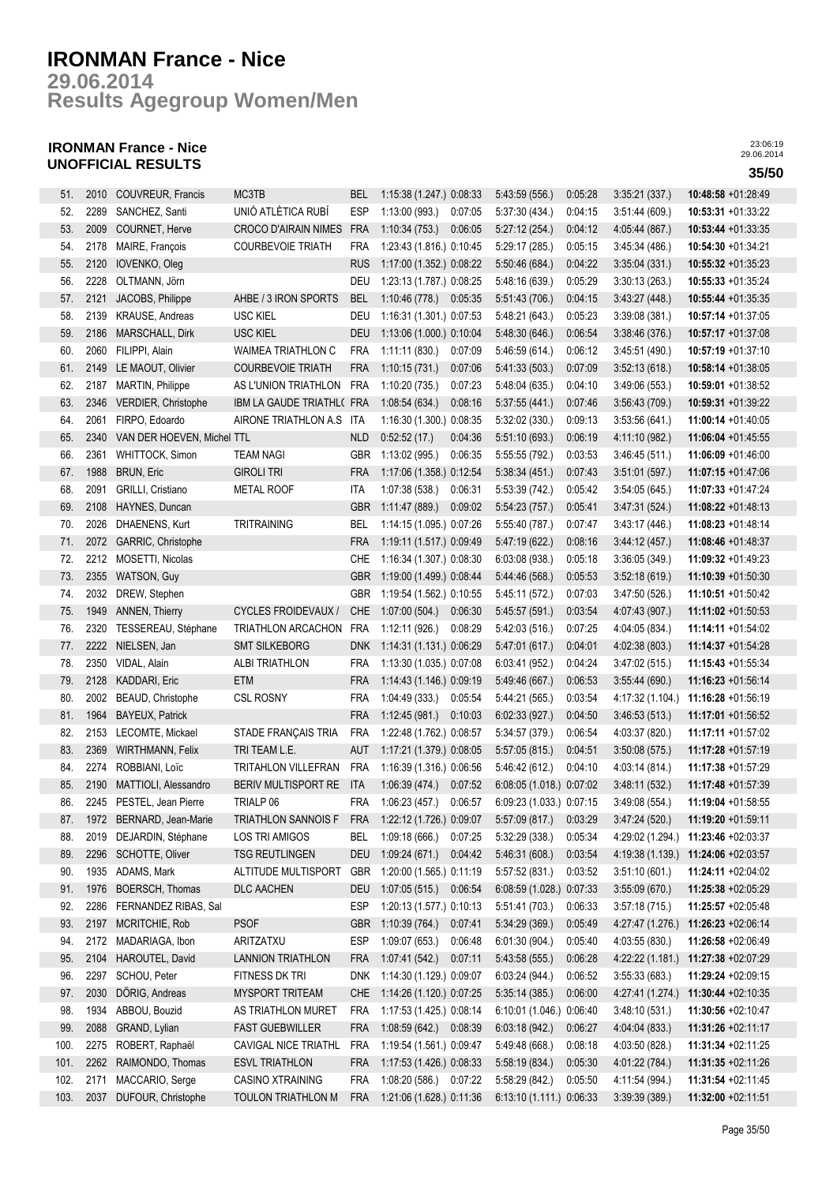**Results Agegroup Women/Men 29.06.2014**

## **IRONMAN France - Nice UNOFFICIAL RESULTS 35/50**

| 51.  | 2010 | COUVREUR, Francis          | MC3TB                       | BEL        | 1:15:38 (1.247.) 0:08:33     |         | 5:43:59 (556.)           | 0:05:28 | 3:35:21(337)     | 10:48:58 +01:28:49    |
|------|------|----------------------------|-----------------------------|------------|------------------------------|---------|--------------------------|---------|------------------|-----------------------|
| 52.  | 2289 | SANCHEZ, Santi             | UNIÓ ATLÈTICA RUBÍ          | <b>ESP</b> | 1:13:00(993.)                | 0:07:05 | 5:37:30 (434.)           | 0:04:15 | 3:51:44(609)     | 10:53:31 +01:33:22    |
| 53.  | 2009 | COURNET, Herve             | <b>CROCO D'AIRAIN NIMES</b> | <b>FRA</b> | 1:10:34(753)                 | 0:06:05 | 5:27:12(254.)            | 0:04:12 | 4.05:44 (867.)   | 10:53:44 +01:33:35    |
| 54.  | 2178 | MAIRE, François            | <b>COURBEVOIE TRIATH</b>    | <b>FRA</b> | 1:23:43 (1.816.) 0:10:45     |         | 5:29:17 (285.)           | 0:05:15 | 3:45:34 (486.)   | 10:54:30 +01:34:21    |
| 55.  | 2120 |                            |                             | <b>RUS</b> |                              |         | 5:50:46 (684.)           | 0:04:22 |                  | 10:55:32 +01:35:23    |
|      |      | IOVENKO, Oleg              |                             |            | 1:17:00 (1.352.) 0:08:22     |         |                          |         | 3:35.04(331)     |                       |
| 56.  | 2228 | OLTMANN, Jörn              |                             | DEU        | 1:23:13 (1.787.) 0:08:25     |         | 5:48:16 (639.)           | 0:05:29 | 3:30:13(263)     | 10:55:33 +01:35:24    |
| 57.  | 2121 | JACOBS, Philippe           | AHBE / 3 IRON SPORTS        | <b>BEL</b> | 1:10:46(778.)                | 0:05:35 | 5:51:43(706.)            | 0:04:15 | 3.43:27(448.)    | 10:55:44 +01:35:35    |
| 58.  | 2139 | KRAUSE, Andreas            | <b>USC KIEL</b>             | DEU        | 1:16:31 (1.301.) 0:07:53     |         | 5:48:21 (643.)           | 0:05:23 | 3:39:08(381)     | $10:57:14 + 01:37:05$ |
| 59.  | 2186 | MARSCHALL, Dirk            | <b>USC KIEL</b>             | <b>DEU</b> | 1:13:06 (1.000.) 0:10:04     |         | 5:48:30 (646.)           | 0:06:54 | 3:38:46(376)     | 10:57:17 +01:37:08    |
| 60.  | 2060 | FILIPPI, Alain             | <b>WAIMEA TRIATHLON C</b>   | <b>FRA</b> | 1:11:11(830.)                | 0:07:09 | 5:46:59 (614.)           | 0:06:12 | 3:45:51(490.)    | 10:57:19 +01:37:10    |
| 61.  | 2149 | LE MAOUT, Olivier          | <b>COURBEVOIE TRIATH</b>    | <b>FRA</b> | 1:10:15(731)                 | 0:07:06 | 5.41:33(503)             | 0:07:09 | 3:52:13(618)     | 10:58:14 +01:38:05    |
| 62.  | 2187 | MARTIN, Philippe           | AS L'UNION TRIATHLON        | FRA        | 1:10:20(735.)                | 0:07:23 | 5.48.04(635)             | 0:04:10 | 3:49:06 (553.)   | 10:59:01 +01:38:52    |
| 63.  | 2346 | VERDIER, Christophe        | IBM LA GAUDE TRIATHL( FRA   |            | 1:08:54(634.)                | 0:08:16 | 5:37:55(441.)            | 0:07:46 | 3:56:43(709.)    | 10:59:31 +01:39:22    |
| 64.  | 2061 | FIRPO, Edoardo             | AIRONE TRIATHLON A.S        | ITA        | 1:16:30 (1.300.) 0:08:35     |         | 5:32:02 (330.)           | 0:09:13 | 3:53:56(641)     | 11:00:14 +01:40:05    |
| 65.  | 2340 | VAN DER HOEVEN, Michel TTL |                             | <b>NLD</b> | 0:52:52(17.)                 | 0:04:36 | 5:51:10 (693.)           | 0:06:19 | 4:11:10 (982.)   | 11:06:04 +01:45:55    |
| 66.  | 2361 | WHITTOCK, Simon            | <b>TEAM NAGI</b>            | <b>GBR</b> | 1:13:02 (995.)               | 0:06:35 | 5:55:55(792.)            | 0:03:53 | 3.46:45(511)     | $11:06:09 +01:46:00$  |
| 67.  | 1988 | <b>BRUN, Eric</b>          | <b>GIROLI TRI</b>           | <b>FRA</b> | 1:17:06 (1.358.) 0:12:54     |         | 5:38:34(451)             | 0:07:43 | 3.51:01(597.)    | 11:07:15 +01:47:06    |
| 68.  | 2091 | GRILLI, Cristiano          | METAL ROOF                  | ITA        | 1:07:38(538.)                | 0:06:31 | 5:53:39(742)             | 0:05:42 | 3:54:05(645)     | 11:07:33 +01:47:24    |
| 69.  | 2108 | HAYNES, Duncan             |                             | <b>GBR</b> | 1:11:47(889)                 | 0:09:02 | 5:54:23(757.)            | 0:05:41 | 3.47:31(524)     | 11:08:22 +01:48:13    |
| 70.  | 2026 | DHAENENS, Kurt             | <b>TRITRAINING</b>          | BEL        | 1:14:15 (1.095.) 0:07:26     |         | 5:55:40 (787.)           | 0.07:47 | 3.43:17(446.)    | 11:08:23 +01:48:14    |
| 71.  | 2072 | GARRIC, Christophe         |                             | <b>FRA</b> | 1:19:11 (1.517.) 0:09:49     |         | 5:47:19 (622.)           | 0:08:16 | 3.44:12(457.)    | 11:08:46 +01:48:37    |
| 72.  | 2212 | MOSETTI, Nicolas           |                             | CHE        | 1:16:34 (1.307.) 0:08:30     |         | 6:03:08(938.)            | 0:05:18 | 3:36:05(349)     | 11:09:32 +01:49:23    |
| 73.  | 2355 | WATSON, Guy                |                             | <b>GBR</b> | 1:19:00 (1.499.) 0:08:44     |         | 5:44:46 (568.)           | 0:05:53 | 3:52:18 (619.)   | 11:10:39 +01:50:30    |
| 74.  | 2032 | DREW, Stephen              |                             | GBR        | 1:19:54 (1.562.) 0:10:55     |         | 5:45:11 (572.)           | 0:07:03 | 3.47:50(526.)    | 11:10:51 +01:50:42    |
| 75.  | 1949 | <b>ANNEN, Thierry</b>      | <b>CYCLES FROIDEVAUX /</b>  | <b>CHE</b> | 1:07:00(504.)                | 0:06:30 | 5:45:57 (591.)           | 0:03:54 | 4:07:43 (907.)   | 11:11:02 +01:50:53    |
| 76.  | 2320 | TESSEREAU, Stéphane        | TRIATHLON ARCACHON          | <b>FRA</b> | 1:12:11 (926.)               | 0.08:29 | 5:42:03(516)             | 0:07:25 | 4:04:05 (834.)   | 11:14:11 +01:54:02    |
| 77.  | 2222 | NIELSEN, Jan               | <b>SMT SILKEBORG</b>        | DNK        | 1:14:31 (1.131.) 0:06:29     |         | 5:47:01 (617.)           | 0:04:01 | 4:02:38(803)     | 11:14:37 +01:54:28    |
| 78.  | 2350 | VIDAL, Alain               | ALBI TRIATHLON              | <b>FRA</b> | 1:13:30 (1.035.) 0:07:08     |         | 6:03:41(952)             | 0:04:24 |                  | 11:15:43 +01:55:34    |
|      | 2128 |                            |                             |            |                              |         |                          |         | 3:47:02(515)     |                       |
| 79.  |      | KADDARI, Eric              | ETM                         | <b>FRA</b> | 1:14:43 (1.146.) 0:09:19     |         | 5:49:46 (667.)           | 0:06:53 | 3:55:44(690.)    | 11:16:23 +01:56:14    |
| 80.  | 2002 | BEAUD, Christophe          | <b>CSL ROSNY</b>            | <b>FRA</b> | 1:04:49 (333.)               | 0:05:54 | 5:44:21 (565.)           | 0:03:54 | 4:17:32 (1.104.) | 11:16:28 +01:56:19    |
| 81.  | 1964 | <b>BAYEUX, Patrick</b>     |                             | <b>FRA</b> | 1:12:45(981)                 | 0:10:03 | 6:02:33(927.)            | 0:04:50 | 3.46:53(513)     | 11:17:01 +01:56:52    |
| 82.  | 2153 | LECOMTE, Mickael           | STADE FRANÇAIS TRIA         | <b>FRA</b> | 1:22:48 (1.762.) 0:08:57     |         | 5:34:57 (379.)           | 0:06:54 | 4:03:37 (820.)   | 11:17:11 +01:57:02    |
| 83.  | 2369 | <b>WIRTHMANN, Felix</b>    | TRI TEAM L.E.               | AUT        | 1:17:21 (1.379.) 0:08:05     |         | 5:57:05(815)             | 0:04:51 | 3.50:08(575)     | 11:17:28 +01:57:19    |
| 84.  | 2274 | ROBBIANI, Loïc             | TRITAHLON VILLEFRAN         | <b>FRA</b> | 1:16:39 (1.316.) 0:06:56     |         | 5.46:42(612)             | 0:04:10 | 4.03:14 (814.)   | 11:17:38 +01:57:29    |
| 85.  | 2190 | MATTIOLI, Alessandro       | BERIV MULTISPORT RE         | <b>ITA</b> | 1:06:39(474.)                | 0:07:52 | 6:08:05 (1.018.) 0:07:02 |         | 3.48:11(532)     | 11:17:48 +01:57:39    |
| 86.  |      | 2245 PESTEL, Jean Pierre   | TRIALP 06                   | <b>FRA</b> | 1:06:23(457.)                | 0:06:57 | 6:09:23 (1.033.) 0:07:15 |         | 3:49:08(554)     | 11:19:04 +01:58:55    |
| 87.  | 1972 | BERNARD, Jean-Marie        | TRIATHLON SANNOIS F         | <b>FRA</b> | 1:22:12 (1.726.) 0:09:07     |         | 5:57:09 (817.)           | 0:03:29 | 3.47:24(520.)    | 11:19:20 +01:59:11    |
| 88.  | 2019 | DEJARDIN, Stéphane         | LOS TRI AMIGOS              | BEL        | 1:09:18(666.)                | 0:07:25 | 5:32:29(338.)            | 0:05:34 | 4:29:02 (1.294.) | 11:23:46 +02:03:37    |
| 89.  | 2296 | SCHOTTE, Oliver            | <b>TSG REUTLINGEN</b>       | <b>DEU</b> | 1:09:24(671)                 | 0:04:42 | 5:46:31 (608.)           | 0:03:54 | 4:19:38 (1.139.) | 11:24:06 +02:03:57    |
| 90.  | 1935 | ADAMS, Mark                | ALTITUDE MULTISPORT         | <b>GBR</b> | 1:20:00 (1.565.) 0:11:19     |         | 5:57:52 (831.)           | 0:03:52 | 3:51:10(601)     | 11:24:11 +02:04:02    |
| 91.  | 1976 | BOERSCH, Thomas            | <b>DLC AACHEN</b>           | <b>DEU</b> | 1:07:05(515.)                | 0:06:54 | 6:08:59 (1.028.) 0:07:33 |         | 3:55:09(670.)    | 11:25:38 +02:05:29    |
| 92.  | 2286 | FERNANDEZ RIBAS, Sal       |                             | <b>ESP</b> | 1:20:13 (1.577.) 0:10:13     |         | 5:51:41 (703.)           | 0:06:33 | 3:57:18(715)     | 11:25:57 +02:05:48    |
| 93.  | 2197 | MCRITCHIE, Rob             | <b>PSOF</b>                 | <b>GBR</b> | 1:10:39 (764.)               | 0:07:41 | 5:34:29(369)             | 0:05:49 | 4:27:47 (1.276.) | 11:26:23 +02:06:14    |
| 94.  | 2172 | MADARIAGA, Ibon            | ARITZATXU                   | <b>ESP</b> | 1:09:07 (653.)               | 0:06:48 | 6:01:30(904.)            | 0.05:40 | 4:03:55 (830.)   | 11:26:58 +02:06:49    |
| 95.  | 2104 | HAROUTEL, David            | <b>LANNION TRIATHLON</b>    | <b>FRA</b> | 1:07:41 (542.)               | 0:07:11 | 5.43.58(555)             | 0:06:28 | 4:22:22 (1.181.) | 11:27:38 +02:07:29    |
| 96.  | 2297 | SCHOU, Peter               | FITNESS DK TRI              |            | DNK 1:14:30 (1.129.) 0:09:07 |         | 6:03:24(944.)            | 0:06:52 | 3:55:33(683)     | 11:29:24 +02:09:15    |
| 97.  | 2030 | DÖRIG, Andreas             | MYSPORT TRITEAM             | CHE        | 1:14:26 (1.120.) 0:07:25     |         | 5:35:14(385)             | 0:06:00 | 4:27:41 (1.274.) | 11:30:44 +02:10:35    |
| 98.  | 1934 | ABBOU, Bouzid              | AS TRIATHLON MURET          | <b>FRA</b> | 1:17:53 (1.425.) 0:08:14     |         | 6:10:01 (1.046.) 0:06:40 |         | 3:48:10(531)     | 11:30:56 +02:10:47    |
| 99.  | 2088 | GRAND, Lylian              | <b>FAST GUEBWILLER</b>      | <b>FRA</b> | 1:08:59 (642.) 0:08:39       |         | 6:03:18(942)             | 0:06:27 | 4.04.04 (833.)   | 11:31:26 +02:11:17    |
| 100. | 2275 | ROBERT, Raphaël            | CAVIGAL NICE TRIATHL        | <b>FRA</b> | 1:19:54 (1.561.) 0:09:47     |         | 5.49.48(668)             | 0:08:18 | 4:03:50 (828.)   | 11:31:34 +02:11:25    |
| 101. | 2262 | RAIMONDO, Thomas           | <b>ESVL TRIATHLON</b>       | <b>FRA</b> | 1:17:53 (1.426.) 0:08:33     |         | 5:58:19(834)             | 0:05:30 | 4.01:22 (784.)   | 11:31:35 +02:11:26    |
| 102. | 2171 | MACCARIO, Serge            | CASINO XTRAINING            | FRA        | 1:08:20 (586.) 0:07:22       |         | 5:58:29 (842.)           | 0:05:50 | 4:11:54 (994.)   | 11:31:54 +02:11:45    |
|      |      |                            |                             |            |                              |         |                          |         |                  |                       |
| 103. | 2037 | DUFOUR, Christophe         | TOULON TRIATHLON M          | <b>FRA</b> | 1:21:06 (1.628.) 0:11:36     |         | 6:13:10 (1.111.) 0:06:33 |         | 3:39:39(389)     | 11:32:00 +02:11:51    |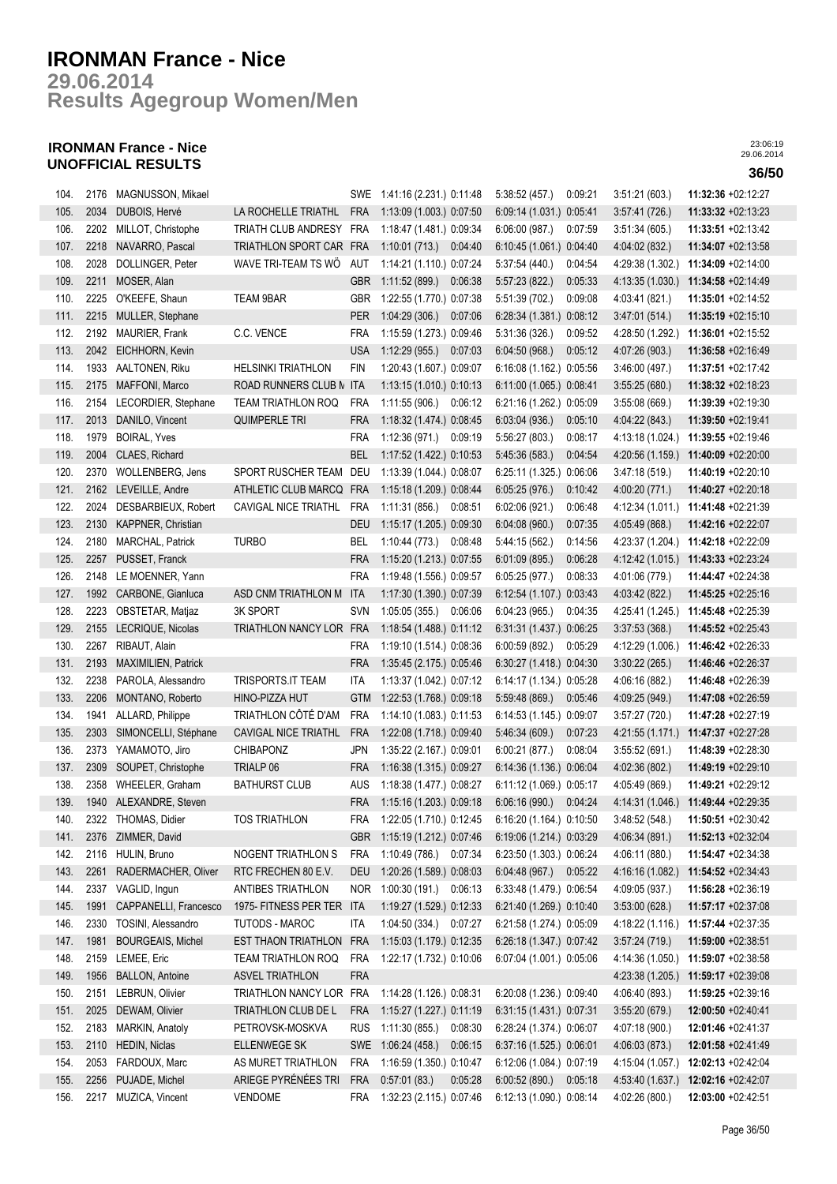**Results Agegroup Women/Men 29.06.2014**

## **IRONMAN France - Nice UNOFFICIAL RESULTS 36/50**

| 104. | 2176 | MAGNUSSON, Mikael        |                           |            | SWE 1:41:16 (2.231.) 0:11:48  | 5:38:52(457.)<br>0:09:21  | 3:51:21(603.)    | 11:32:36 +02:12:27 |
|------|------|--------------------------|---------------------------|------------|-------------------------------|---------------------------|------------------|--------------------|
| 105. | 2034 | DUBOIS, Hervé            | LA ROCHELLE TRIATHL       | <b>FRA</b> | 1:13:09 (1.003.) 0:07:50      | 6:09:14 (1.031.) 0:05:41  | 3.57:41(726.)    | 11:33:32 +02:13:23 |
| 106. | 2202 | MILLOT, Christophe       | TRIATH CLUB ANDRESY FRA   |            | 1:18:47 (1.481.) 0:09:34      | 6:06:00(987.)<br>0:07:59  | 3:51:34(605)     | 11:33:51 +02:13:42 |
| 107. | 2218 | NAVARRO, Pascal          | TRIATHLON SPORT CAR FRA   |            | 1:10:01 (713.) 0:04:40        | 6:10:45 (1.061.) 0:04:40  | 4:04:02 (832.)   | 11:34:07 +02:13:58 |
| 108. | 2028 | DOLLINGER, Peter         | WAVE TRI-TEAM TS WO       | AUT        | 1:14:21 (1.110.) 0:07:24      | 5:37:54 (440.)<br>0:04:54 | 4:29:38 (1.302.) | 11:34:09 +02:14:00 |
| 109. | 2211 | MOSER, Alan              |                           | <b>GBR</b> | 1:11:52 (899.)<br>0:06:38     | 5:57:23(822)<br>0:05:33   | 4:13:35 (1.030.) | 11:34:58 +02:14:49 |
| 110. | 2225 | O'KEEFE, Shaun           | <b>TEAM 9BAR</b>          | GBR        | 1:22:55 (1.770.) 0:07:38      | 5:51:39 (702.)<br>0:09:08 | 4:03:41 (821.)   | 11:35:01 +02:14:52 |
| 111. | 2215 | MULLER, Stephane         |                           | <b>PER</b> | 1:04:29(306.)<br>0:07:06      | 6:28:34 (1.381.) 0:08:12  | 3.47.01(514.)    | 11:35:19 +02:15:10 |
| 112. | 2192 | MAURIER, Frank           | C.C. VENCE                | <b>FRA</b> | 1:15:59 (1.273.) 0:09:46      | 5:31:36 (326.)<br>0:09:52 | 4:28:50 (1.292.) | 11:36:01 +02:15:52 |
| 113. | 2042 | EICHHORN, Kevin          |                           | <b>USA</b> | 1:12:29(955)<br>0:07:03       | 6:04:50(968.)<br>0:05:12  | 4:07:26 (903.)   | 11:36:58 +02:16:49 |
| 114. | 1933 | AALTONEN, Riku           | <b>HELSINKI TRIATHLON</b> | <b>FIN</b> | 1:20:43 (1.607.) 0:09:07      | 6:16:08 (1.162.) 0:05:56  | 3:46:00 (497.)   | 11:37:51 +02:17:42 |
| 115. | 2175 | MAFFONI, Marco           | ROAD RUNNERS CLUB N ITA   |            | 1:13:15 (1.010.) 0:10:13      | 6:11:00 (1.065.) 0:08:41  | 3:55:25(680.)    | 11:38:32 +02:18:23 |
| 116. | 2154 | LECORDIER, Stephane      | <b>TEAM TRIATHLON ROQ</b> | FRA        | 1:11:55 (906.) 0:06:12        | 6:21:16 (1.262.) 0:05:09  | 3:55.08(669.)    | 11:39:39 +02:19:30 |
| 117. | 2013 | DANILO, Vincent          | <b>QUIMPERLE TRI</b>      | <b>FRA</b> | 1:18:32 (1.474.) 0:08:45      | 6:03:04(936.)<br>0:05:10  | 4:04:22 (843.)   | 11:39:50 +02:19:41 |
| 118. | 1979 | <b>BOIRAL, Yves</b>      |                           | <b>FRA</b> | 1:12:36 (971.) 0:09:19        | 5:56:27 (803.)<br>0:08:17 | 4:13:18 (1.024.) | 11:39:55 +02:19:46 |
| 119. | 2004 | CLAES, Richard           |                           | <b>BEL</b> | 1:17:52 (1.422.) 0:10:53      | 5:45:36(583)<br>0:04:54   | 4:20:56 (1.159.) | 11:40:09 +02:20:00 |
| 120. | 2370 | WOLLENBERG, Jens         | SPORT RUSCHER TEAM        | DEU        | 1:13:39 (1.044.) 0:08:07      | 6:25:11 (1.325.) 0:06:06  | 3.47:18(519)     | 11:40:19 +02:20:10 |
| 121. | 2162 | LEVEILLE, Andre          | ATHLETIC CLUB MARCQ FRA   |            | 1:15:18 (1.209.) 0:08:44      | 6:05:25(976.)<br>0:10:42  | 4:00:20 (771.)   | 11:40:27 +02:20:18 |
| 122. | 2024 | DESBARBIEUX, Robert      | CAVIGAL NICE TRIATHL      | <b>FRA</b> | 1:11:31(856.)<br>0:08:51      | 0:06:48<br>6.02:06(921)   | 4:12:34 (1.011.) | 11:41:48 +02:21:39 |
| 123. | 2130 | KAPPNER, Christian       |                           | DEU        | 1:15:17 (1.205.) 0:09:30      | 6:04:08(960.)<br>0:07:35  | 4:05:49 (868.)   | 11:42:16 +02:22:07 |
| 124. | 2180 | MARCHAL, Patrick         | <b>TURBO</b>              | BEL        | 1:10:44 (773.) 0:08:48        | 5:44:15 (562.)<br>0:14:56 | 4:23:37 (1.204.) | 11:42:18 +02:22:09 |
| 125. | 2257 | PUSSET, Franck           |                           | <b>FRA</b> | 1:15:20 (1.213.) 0:07:55      | 0:06:28<br>6.01:09(895)   | 4:12:42 (1.015.) | 11:43:33 +02:23:24 |
| 126. | 2148 | LE MOENNER, Yann         |                           | <b>FRA</b> | 1:19:48 (1.556.) 0:09:57      | 0:08:33<br>6.05:25(977.)  | 4:01:06 (779.)   | 11:44:47 +02:24:38 |
| 127. | 1992 | CARBONE, Gianluca        | ASD CNM TRIATHLON M       | <b>ITA</b> | 1:17:30 (1.390.) 0:07:39      | 6:12:54 (1.107.) 0:03:43  | 4:03:42 (822.)   | 11:45:25 +02:25:16 |
| 128. | 2223 | OBSTETAR, Matjaz         | <b>3K SPORT</b>           | <b>SVN</b> | 1:05:05(355)<br>0:06:06       | 6:04:23(965)<br>0:04:35   | 4:25:41 (1.245.) | 11:45:48 +02:25:39 |
| 129. | 2155 | LECRIQUE, Nicolas        | TRIATHLON NANCY LOR FRA   |            | 1:18:54 (1.488.) 0:11:12      | 6:31:31 (1.437.) 0:06:25  | 3:37:53(368)     | 11:45:52 +02:25:43 |
| 130. | 2267 | RIBAUT, Alain            |                           | <b>FRA</b> | 1:19:10 (1.514.) 0:08:36      | 6:00:59 (892.)<br>0:05:29 | 4:12:29 (1.006.) | 11:46:42 +02:26:33 |
| 131. | 2193 | MAXIMILIEN, Patrick      |                           | <b>FRA</b> | 1:35:45 (2.175.) 0:05:46      | 6:30:27 (1.418.) 0:04:30  | 3:30:22(265.)    | 11:46:46 +02:26:37 |
| 132. | 2238 | PAROLA, Alessandro       | TRISPORTS.IT TEAM         | <b>ITA</b> | 1:13:37 (1.042.) 0:07:12      | 6:14:17 (1.134.) 0:05:28  | 4:06:16 (882.)   | 11:46:48 +02:26:39 |
| 133. | 2206 | MONTANO, Roberto         | HINO-PIZZA HUT            | <b>GTM</b> | 1:22:53 (1.768.) 0:09:18      | 5.59.48(869)<br>0:05:46   | 4:09:25 (949.)   | 11:47:08 +02:26:59 |
| 134. | 1941 | ALLARD, Philippe         | TRIATHLON CÔTÉ D'AM       | <b>FRA</b> | 1:14:10 (1.083.) 0:11:53      | 6:14:53 (1.145.) 0:09:07  | 3:57:27(720.)    | 11:47:28 +02:27:19 |
| 135. | 2303 | SIMONCELLI, Stéphane     | CAVIGAL NICE TRIATHL      | <b>FRA</b> | 1:22:08 (1.718.) 0:09:40      | 5:46:34(609.)<br>0.07.23  | 4:21:55 (1.171.) | 11:47:37 +02:27:28 |
| 136. | 2373 | YAMAMOTO, Jiro           | CHIBAPONZ                 | JPN        | 1:35:22 (2.167.) 0:09:01      | 6:00:21(877.)<br>0:08:04  | 3:55:52(691.)    | 11:48:39 +02:28:30 |
| 137. | 2309 | SOUPET, Christophe       | TRIALP 06                 | <b>FRA</b> | 1:16:38 (1.315.) 0:09:27      | 6:14:36 (1.136.) 0:06:04  | 4:02:36 (802.)   | 11:49:19 +02:29:10 |
| 138. | 2358 | WHEELER, Graham          | <b>BATHURST CLUB</b>      | AUS        | 1:18:38 (1.477.) 0:08:27      | 6:11:12 (1.069.) 0:05:17  | 4:05:49 (869.)   | 11:49:21 +02:29:12 |
| 139. | 1940 | ALEXANDRE, Steven        |                           | <b>FRA</b> | 1:15:16 (1.203.) 0:09:18      | 6.06:16(990.)<br>0:04:24  | 4:14:31 (1.046.) | 11:49:44 +02:29:35 |
| 140. |      | 2322 THOMAS, Didier      | TOS TRIATHLON             | FRA        | 1:22:05 (1.710 ) 0:12:45      | 6:16:20 (1.164.) 0:10:50  | 3.48.52(548.)    | 11:50:51 +02:30:42 |
| 141. | 2376 | ZIMMER, David            |                           | <b>GBR</b> | 1:15:19 (1.212.) 0:07:46      | 6:19:06 (1.214.) 0:03:29  | 4:06:34 (891.)   | 11:52:13 +02:32:04 |
| 142. | 2116 | HULIN, Bruno             | NOGENT TRIATHLON S        | <b>FRA</b> | 1:10:49 (786.) 0:07:34        | 6:23:50 (1.303.) 0:06:24  | 4:06:11 (880.)   | 11:54:47 +02:34:38 |
| 143. | 2261 | RADERMACHER, Oliver      | RTC FRECHEN 80 E.V.       | DEU        | 1:20:26 (1.589.) 0:08:03      | 6.04.48(967)<br>0:05:22   | 4:16:16 (1.082.) | 11:54:52 +02:34:43 |
| 144. | 2337 | VAGLID, Ingun            | ANTIBES TRIATHLON         | <b>NOR</b> | 1:00:30 (191.)<br>0:06:13     | 6:33:48 (1.479.) 0:06:54  | 4:09:05 (937.)   | 11:56:28 +02:36:19 |
| 145. | 1991 | CAPPANELLI, Francesco    | 1975- FITNESS PER TER ITA |            | 1:19:27 (1.529.) 0:12:33      | 6:21:40 (1.269.) 0:10:40  | 3:53:00(628)     | 11:57:17 +02:37:08 |
| 146. | 2330 | TOSINI, Alessandro       | TUTODS - MAROC            | <b>ITA</b> | 1:04:50 (334.)<br>0:07:27     | 6:21:58 (1.274.) 0:05:09  | 4:18:22 (1.116.) | 11:57:44 +02:37:35 |
| 147. | 1981 | <b>BOURGEAIS, Michel</b> | EST THAON TRIATHLON       | <b>FRA</b> | 1:15:03 (1.179.) 0:12:35      | 6:26:18 (1.347.) 0:07:42  | 3:57:24(719.)    | 11:59:00 +02:38:51 |
| 148. | 2159 | LEMEE, Eric              | <b>TEAM TRIATHLON ROQ</b> | <b>FRA</b> | 1:22:17 (1.732.) 0:10:06      | 6:07:04 (1.001.) 0:05:06  | 4:14:36 (1.050.) | 11:59:07 +02:38:58 |
| 149. | 1956 | <b>BALLON, Antoine</b>   | <b>ASVEL TRIATHLON</b>    | <b>FRA</b> |                               |                           | 4:23:38 (1.205.) | 11:59:17 +02:39:08 |
| 150. | 2151 | LEBRUN, Olivier          | TRIATHLON NANCY LOR FRA   |            | 1:14:28 (1.126.) 0:08:31      | 6:20:08 (1.236.) 0:09:40  | 4:06:40 (893.)   | 11:59:25 +02:39:16 |
| 151. |      | 2025 DEWAM, Olivier      | TRIATHLON CLUB DE L       | <b>FRA</b> | 1:15:27 (1.227.) 0:11:19      | 6:31:15 (1.431.) 0:07:31  | 3:55:20(679)     | 12:00:50 +02:40:41 |
| 152. | 2183 | MARKIN, Anatoly          | PETROVSK-MOSKVA           | <b>RUS</b> | 1:11:30 (855.)<br>0:08:30     | 6:28:24 (1.374.) 0:06:07  | 4:07:18 (900.)   | 12:01:46 +02:41:37 |
| 153. | 2110 | <b>HEDIN, Niclas</b>     | <b>ELLENWEGE SK</b>       |            | SWE 1:06:24 (458.)<br>0:06:15 | 6:37:16 (1.525.) 0:06:01  | 4:06:03 (873.)   | 12:01:58 +02:41:49 |
| 154. | 2053 | FARDOUX, Marc            | AS MURET TRIATHLON        | <b>FRA</b> | 1:16:59 (1.350.) 0:10:47      | 6:12:06 (1.084.) 0:07:19  | 4:15:04 (1.057.) | 12:02:13 +02:42:04 |
| 155. | 2256 | PUJADE, Michel           | ARIEGE PYRÉNÉES TRI       | <b>FRA</b> | 0:57:01(83)<br>0:05:28        | 6:00:52(890.)<br>0:05:18  | 4 53 40 (1.637.) | 12:02:16 +02:42:07 |
| 156. |      | 2217 MUZICA, Vincent     | <b>VENDOME</b>            | <b>FRA</b> | 1:32:23 (2.115.) 0:07:46      | 6:12:13 (1.090.) 0:08:14  | 4:02:26 (800.)   | 12:03:00 +02:42:51 |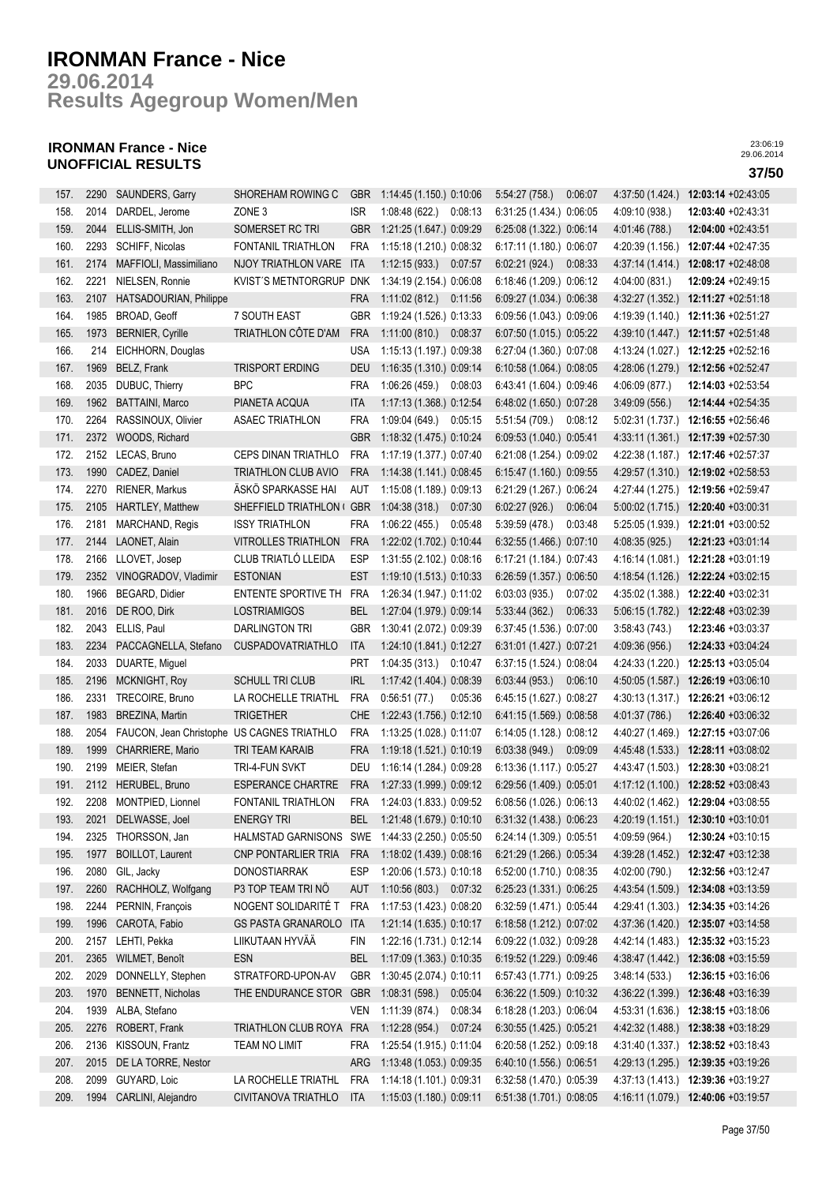**Results Agegroup Women/Men 29.06.2014**

## **IRONMAN France - Nice UNOFFICIAL RESULTS 37/50**

| 157. | 2290 | SAUNDERS, Garry                            | SHOREHAM ROWING C         | <b>GBR</b> | 1:14:45 (1.150.) 0:10:06  | 5.54:27(758.)            | 0:06:07 | 4:37:50 (1.424.) | 12:03:14 +02:43:05                  |
|------|------|--------------------------------------------|---------------------------|------------|---------------------------|--------------------------|---------|------------------|-------------------------------------|
| 158. | 2014 | DARDEL, Jerome                             | ZONE 3                    | <b>ISR</b> | 1:08:48(622)<br>0:08:13   | 6:31:25 (1.434.) 0:06:05 |         | 4:09:10 (938.)   | 12:03:40 +02:43:31                  |
| 159. | 2044 | ELLIS-SMITH, Jon                           | SOMERSET RC TRI           | <b>GBR</b> | 1:21:25 (1.647.) 0:09:29  | 6:25:08 (1.322.) 0:06:14 |         | 4:01:46 (788.)   | 12:04:00 +02:43:51                  |
| 160. | 2293 | SCHIFF, Nicolas                            | FONTANIL TRIATHLON        | <b>FRA</b> | 1:15:18 (1.210.) 0:08:32  | 6:17:11 (1.180.) 0:06:07 |         | 4:20:39 (1.156.) | 12:07:44 +02:47:35                  |
| 161. | 2174 | MAFFIOLI, Massimiliano                     | NJOY TRIATHLON VARE       | <b>ITA</b> | 1:12:15(933.)<br>0.07:57  | 6:02:21(924)             | 0:08:33 | 4:37:14 (1.414.) | 12:08:17 +02:48:08                  |
| 162. | 2221 | NIELSEN, Ronnie                            | KVIST'S METNTORGRUP       | <b>DNK</b> | 1:34:19 (2.154.) 0:06:08  | 6:18:46 (1.209.) 0:06:12 |         | 4:04:00 (831.)   | 12:09:24 +02:49:15                  |
| 163. | 2107 | HATSADOURIAN, Philippe                     |                           | <b>FRA</b> | 1:11:02(812)<br>0:11:56   | 6:09:27 (1.034.) 0:06:38 |         | 4:32:27 (1.352.) | 12:11:27 +02:51:18                  |
| 164. | 1985 | BROAD, Geoff                               | 7 SOUTH EAST              | <b>GBR</b> | 1:19:24 (1.526.) 0:13:33  | 6:09:56 (1.043.) 0:09:06 |         | 4:19:39 (1.140.) | 12:11:36 +02:51:27                  |
| 165. | 1973 | <b>BERNIER, Cyrille</b>                    | TRIATHLON CÔTE D'AM       | <b>FRA</b> | 1:11:00(810.)<br>0:08:37  | 6:07:50 (1.015.) 0:05:22 |         | 4:39:10 (1.447.) | 12:11:57 +02:51:48                  |
| 166. | 214  | EICHHORN, Douglas                          |                           | <b>USA</b> | 1:15:13 (1.197.) 0:09:38  | 6:27:04 (1.360.) 0:07:08 |         | 4:13:24 (1.027.) | 12:12:25 +02:52:16                  |
| 167. | 1969 | BELZ, Frank                                | <b>TRISPORT ERDING</b>    | <b>DEU</b> | 1:16:35 (1.310.) 0:09:14  | 6:10:58 (1.064.) 0:08:05 |         | 4:28:06 (1.279.) | 12:12:56 +02:52:47                  |
| 168. | 2035 | DUBUC, Thierry                             | <b>BPC</b>                | <b>FRA</b> | 1:06:26 (459.)<br>0:08:03 | 6:43:41 (1.604.) 0:09:46 |         | 4:06:09 (877.)   | 12:14:03 +02:53:54                  |
| 169. | 1962 | <b>BATTAINI, Marco</b>                     | PIANETA ACQUA             | <b>ITA</b> | 1:17:13 (1.368.) 0:12:54  | 6:48:02 (1.650.) 0:07:28 |         | 3:49:09(556)     | 12:14:44 +02:54:35                  |
| 170. | 2264 | RASSINOUX, Olivier                         | <b>ASAEC TRIATHLON</b>    | <b>FRA</b> | 1:09:04 (649.)<br>0:05:15 | 5:51:54 (709.)           | 0:08:12 | 5:02:31 (1.737.) | 12:16:55 +02:56:46                  |
| 171. | 2372 | WOODS, Richard                             |                           | <b>GBR</b> | 1:18:32 (1.475.) 0:10:24  | 6:09:53 (1.040.) 0:05:41 |         | 4:33:11(1.361)   | 12:17:39 +02:57:30                  |
| 172. | 2152 | LECAS, Bruno                               | CEPS DINAN TRIATHLO       | <b>FRA</b> | 1:17:19 (1.377.) 0:07:40  | 6:21:08 (1.254.) 0:09:02 |         | 4:22:38 (1.187.) | 12:17:46 +02:57:37                  |
| 173. | 1990 | CADEZ, Daniel                              | TRIATHLON CLUB AVIO       | <b>FRA</b> | 1:14:38 (1.141.) 0:08:45  | 6:15:47 (1.160.) 0:09:55 |         | 4:29:57 (1.310.) | 12:19:02 +02:58:53                  |
| 174. | 2270 | RIENER, Markus                             | ÄSKÖ SPARKASSE HAI        | AUT        | 1:15:08 (1.189.) 0:09:13  | 6:21:29 (1.267.) 0:06:24 |         | 4:27:44 (1.275.) | 12:19:56 +02:59:47                  |
| 175. | 2105 | HARTLEY, Matthew                           | SHEFFIELD TRIATHLON (     | <b>GBR</b> | 1:04:38(318)<br>0:07:30   | 6:02:27(926.)            | 0:06:04 | 5:00:02(1.715.)  | 12:20:40 +03:00:31                  |
| 176. | 2181 | MARCHAND, Regis                            | <b>ISSY TRIATHLON</b>     | <b>FRA</b> | 1:06:22(455)<br>0:05:48   | 5:39:59 (478.)           | 0:03:48 | 5:25:05 (1.939.) | 12:21:01 +03:00:52                  |
| 177. | 2144 | LAONET, Alain                              | VITROLLES TRIATHLON       | <b>FRA</b> | 1:22:02 (1.702.) 0:10:44  | 6:32:55 (1.466.) 0:07:10 |         | 4:08:35 (925.)   | 12:21:23 +03:01:14                  |
| 178. | 2166 | LLOVET, Josep                              | CLUB TRIATLÓ LLEIDA       | <b>ESP</b> | 1:31:55 (2.102.) 0:08:16  | 6:17:21 (1.184.) 0:07:43 |         | 4:16:14 (1.081.) | $12:21:28 +03:01:19$                |
| 179. | 2352 | VINOGRADOV, Vladimir                       | <b>ESTONIAN</b>           | <b>EST</b> | 1:19:10 (1.513.) 0:10:33  | 6:26:59 (1.357.) 0:06:50 |         | 4:18:54 (1.126.) | 12:22:24 +03:02:15                  |
| 180. | 1966 | BEGARD, Didier                             | ENTENTE SPORTIVE TH       | <b>FRA</b> | 1:26:34 (1.947.) 0:11:02  | 6:03:03(935.)            | 0:07:02 | 4:35:02 (1.388.) | 12:22:40 +03:02:31                  |
| 181. | 2016 | DE ROO, Dirk                               | <b>LOSTRIAMIGOS</b>       | <b>BEL</b> | 1:27:04 (1.979.) 0:09:14  | 5:33:44(362)             | 0:06:33 | 5:06:15 (1.782.) | 12:22:48 +03:02:39                  |
| 182. | 2043 | ELLIS, Paul                                | <b>DARLINGTON TRI</b>     | GBR        | 1:30:41 (2.072.) 0:09:39  | 6:37:45 (1.536.) 0:07:00 |         | 3:58:43(743)     | 12:23:46 +03:03:37                  |
| 183. | 2234 | PACCAGNELLA, Stefano                       | <b>CUSPADOVATRIATHLO</b>  | <b>ITA</b> | 1:24:10 (1.841.) 0:12:27  | 6:31:01 (1.427.) 0:07:21 |         | 4:09:36 (956.)   | 12:24:33 +03:04:24                  |
| 184. | 2033 | DUARTE, Miguel                             |                           | <b>PRT</b> | 1:04:35 (313.) 0:10:47    | 6:37:15 (1.524.) 0:08:04 |         | 4:24:33 (1.220.) | 12:25:13 +03:05:04                  |
| 185. | 2196 | MCKNIGHT, Roy                              | <b>SCHULL TRI CLUB</b>    | <b>IRL</b> | 1:17:42 (1.404.) 0:08:39  | 6.03:44(953)             | 0:06:10 |                  | 4:50:05 (1.587.) 12:26:19 +03:06:10 |
| 186. | 2331 | TRECOIRE, Bruno                            | LA ROCHELLE TRIATHL       | <b>FRA</b> | 0:56:51(77.)<br>0:05:36   | 6:45:15 (1.627.) 0:08:27 |         | 4:30:13 (1.317.) | 12:26:21 +03:06:12                  |
| 187. | 1983 | BREZINA, Martin                            | <b>TRIGETHER</b>          | <b>CHE</b> | 1:22:43 (1.756.) 0:12:10  | 6:41:15 (1.569.) 0:08:58 |         | 4:01:37 (786.)   | 12:26:40 +03:06:32                  |
| 188. | 2054 | FAUCON, Jean Christophe US CAGNES TRIATHLO |                           | <b>FRA</b> | 1:13:25 (1.028.) 0:11:07  | 6:14:05 (1.128.) 0:08:12 |         | 4:40:27 (1.469.) | 12:27:15 +03:07:06                  |
| 189. | 1999 | CHARRIERE, Mario                           | <b>TRI TEAM KARAIB</b>    | <b>FRA</b> | 1:19:18 (1.521.) 0:10:19  | 6:03:38(949)             | 0:09:09 | 4:45:48 (1.533.) | 12:28:11 +03:08:02                  |
| 190. | 2199 | MEIER, Stefan                              | TRI-4-FUN SVKT            | DEU        | 1:16:14 (1.284.) 0:09:28  | 6:13:36 (1.117.) 0:05:27 |         | 4:43:47 (1.503.) | 12:28:30 +03:08:21                  |
| 191. | 2112 | HERUBEL, Bruno                             | <b>ESPERANCE CHARTRE</b>  | <b>FRA</b> | 1:27:33 (1.999.) 0:09:12  | 6:29:56 (1.409.) 0:05:01 |         | 4:17:12 (1.100.) | 12:28:52 +03:08:43                  |
| 192. |      | 2208 MONTPIED, Lionnel                     | FONTANIL TRIATHLON        | FRA        | 1:24:03 (1.833.) 0:09:52  | 6:08:56 (1.026.) 0:06:13 |         |                  | 4:40:02 (1.462.) 12:29:04 +03:08:55 |
| 193. | 2021 | DELWASSE, Joel                             | <b>ENERGY TRI</b>         | BEL        | 1:21:48 (1.679.) 0:10:10  | 6:31:32 (1.438.) 0:06:23 |         | 4:20:19(1.151.)  | 12:30:10 +03:10:01                  |
| 194. | 2325 | THORSSON, Jan                              | HALMSTAD GARNISONS        | SWE        | 1:44:33 (2.250.) 0:05:50  | 6:24:14 (1.309.) 0:05:51 |         | 4:09:59 (964.)   | 12:30:24 +03:10:15                  |
| 195. | 1977 | <b>BOILLOT, Laurent</b>                    | CNP PONTARLIER TRIA       | <b>FRA</b> | 1:18:02 (1.439.) 0:08:16  | 6:21:29 (1.266.) 0:05:34 |         | 4:39:28 (1.452.) | 12:32:47 +03:12:38                  |
| 196. | 2080 | GIL, Jacky                                 | DONOSTIARRAK              | <b>ESP</b> | 1:20:06 (1.573.) 0:10:18  | 6:52:00 (1.710.) 0:08:35 |         | 4:02:00 (790.)   | 12:32:56 +03:12:47                  |
| 197. | 2260 | RACHHOLZ, Wolfgang                         | P3 TOP TEAM TRI NÖ        | aut        | 1:10:56 (803.) 0:07:32    | 6:25:23 (1.331.) 0:06:25 |         | 4:43:54 (1.509.) | 12:34:08 +03:13:59                  |
| 198. | 2244 | PERNIN, François                           | NOGENT SOLIDARITÉ T       | <b>FRA</b> | 1:17:53 (1.423.) 0:08:20  | 6:32:59 (1.471.) 0:05:44 |         | 4:29:41 (1.303.) | 12:34:35 +03:14:26                  |
| 199. | 1996 | CAROTA, Fabio                              | <b>GS PASTA GRANAROLO</b> | <b>ITA</b> | 1:21:14 (1.635.) 0:10:17  | 6:18:58 (1.212.) 0:07:02 |         | 4:37:36 (1.420.) | 12:35:07 +03:14:58                  |
| 200. | 2157 | LEHTI, Pekka                               | LIIKUTAAN HYVÄÄ           | <b>FIN</b> | 1:22:16 (1.731.) 0:12:14  | 6:09:22 (1.032.) 0:09:28 |         | 4:42:14 (1.483.) | $12:35:32 +03:15:23$                |
| 201. | 2365 | WILMET, Benoît                             | <b>ESN</b>                | <b>BEL</b> | 1:17:09 (1.363.) 0:10:35  | 6:19:52 (1.229.) 0:09:46 |         | 4:38:47 (1.442.) | 12:36:08 +03:15:59                  |
| 202. | 2029 | DONNELLY, Stephen                          | STRATFORD-UPON-AV         | GBR        | 1:30:45 (2.074.) 0:10:11  | 6:57:43 (1.771.) 0:09:25 |         | 3:48:14(533)     | 12:36:15 +03:16:06                  |
| 203. | 1970 | BENNETT, Nicholas                          | THE ENDURANCE STOR        | <b>GBR</b> | 1:08:31 (598.) 0:05:04    | 6:36:22 (1.509.) 0:10:32 |         |                  | 4:36:22 (1.399.) 12:36:48 +03:16:39 |
| 204. | 1939 | ALBA, Stefano                              |                           | VEN        | 1:11:39 (874.)<br>0:08:34 | 6:18:28 (1.203.) 0:06:04 |         | 4:53:31 (1.636.) | 12:38:15 +03:18:06                  |
| 205. | 2276 | ROBERT, Frank                              | TRIATHLON CLUB ROYA FRA   |            | 1:12:28(954)<br>0.07:24   | 6:30:55 (1.425.) 0:05:21 |         | 4:42:32 (1.488.) | 12:38:38 +03:18:29                  |
| 206. | 2136 | KISSOUN, Frantz                            | TEAM NO LIMIT             | <b>FRA</b> | 1:25:54 (1.915.) 0:11:04  | 6:20:58 (1.252.) 0:09:18 |         | 4:31:40 (1.337.) | 12:38:52 +03:18:43                  |
| 207. | 2015 | DE LA TORRE, Nestor                        |                           | ARG        | 1:13:48 (1.053.) 0:09:35  | 6:40:10 (1.556.) 0:06:51 |         | 4:29:13 (1.295.) | 12:39:35 +03:19:26                  |
| 208. | 2099 |                                            | LA ROCHELLE TRIATHL       | <b>FRA</b> |                           | 6:32:58 (1.470.) 0:05:39 |         |                  |                                     |
|      |      | GUYARD, Loic                               |                           |            | 1:14:18 (1.101.) 0:09:31  |                          |         |                  | 4:37:13 (1.413.) 12:39:36 +03:19:27 |
| 209. | 1994 | CARLINI, Alejandro                         | CIVITANOVA TRIATHLO       | ITA        | 1:15:03 (1.180.) 0:09:11  | 6:51:38 (1.701.) 0:08:05 |         |                  | 4:16:11 (1.079.) 12:40:06 +03:19:57 |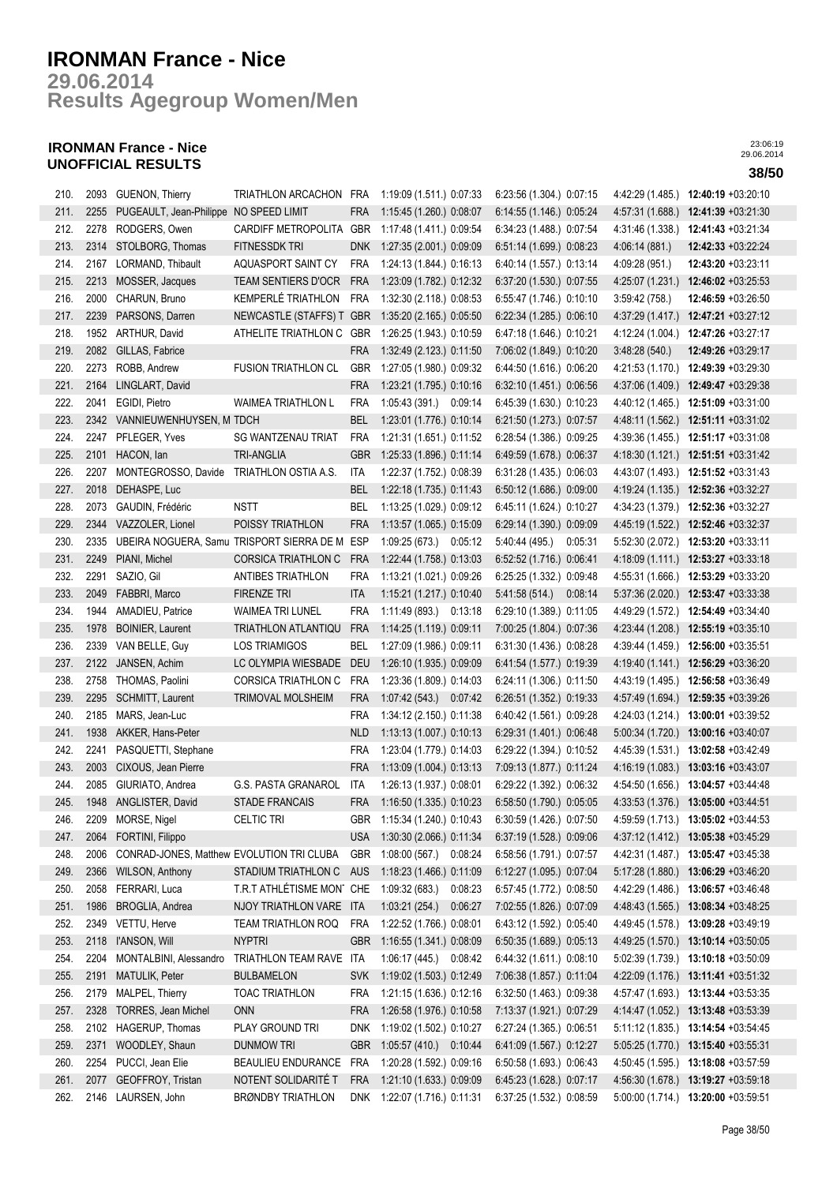**Results Agegroup Women/Men 29.06.2014**

## **IRONMAN France - Nice UNOFFICIAL RESULTS 38/50**

| 210. | 2093 | GUENON, Thierry                           | TRIATHLON ARCACHON FRA     |            | 1:19:09 (1.511.) 0:07:33                             | 6:23:56 (1.304.) 0:07:15                             | 4:42:29 (1.485.) | $12:40:19 + 03:20:10$               |
|------|------|-------------------------------------------|----------------------------|------------|------------------------------------------------------|------------------------------------------------------|------------------|-------------------------------------|
| 211. | 2255 | PUGEAULT, Jean-Philippe NO SPEED LIMIT    |                            | <b>FRA</b> | 1:15:45 (1.260.) 0:08:07                             | 6:14:55 (1.146.) 0:05:24                             | 4:57:31 (1.688.) | 12:41:39 +03:21:30                  |
| 212. | 2278 | RODGERS, Owen                             | CARDIFF METROPOLITA        | GBR        | 1:17:48 (1.411.) 0:09:54                             | 6:34:23 (1.488.) 0:07:54                             | 4:31:46 (1.338.) | 12:41:43 +03:21:34                  |
| 213. | 2314 | STOLBORG, Thomas                          | <b>FITNESSDK TRI</b>       | <b>DNK</b> | 1:27:35 (2.001.) 0:09:09                             | 6:51:14 (1.699.) 0:08:23                             | 4:06:14(881)     | 12:42:33 +03:22:24                  |
| 214. | 2167 | LORMAND, Thibault                         | AQUASPORT SAINT CY         | <b>FRA</b> | 1:24:13 (1.844.) 0:16:13                             | 6:40:14 (1.557.) 0:13:14                             | 4:09:28 (951.)   | 12:43:20 +03:23:11                  |
| 215. | 2213 | MOSSER, Jacques                           | <b>TEAM SENTIERS D'OCR</b> | <b>FRA</b> | 1:23:09 (1.782.) 0:12:32                             | 6:37:20 (1.530.) 0:07:55                             | 4:25:07 (1.231.) | 12:46:02 +03:25:53                  |
| 216. | 2000 | CHARUN, Bruno                             | KEMPERLÉ TRIATHLON         | <b>FRA</b> | 1:32:30 (2.118.) 0:08:53                             | 6:55:47 (1.746.) 0:10:10                             | 3:59:42(758.)    | 12:46:59 +03:26:50                  |
| 217. | 2239 | PARSONS, Darren                           | NEWCASTLE (STAFFS) T       | <b>GBR</b> | 1:35:20 (2.165.) 0:05:50                             | 6:22:34 (1.285.) 0:06:10                             | 4:37:29 (1.417.) | 12:47:21 +03:27:12                  |
| 218. | 1952 | <b>ARTHUR, David</b>                      | ATHELITE TRIATHLON C       | GBR        | 1:26:25 (1.943.) 0:10:59                             | 6:47:18 (1.646.) 0:10:21                             | 4:12:24 (1.004.) | 12:47:26 +03:27:17                  |
| 219. | 2082 | GILLAS, Fabrice                           |                            | <b>FRA</b> | 1:32:49 (2.123.) 0:11:50                             | 7:06:02 (1.849.) 0:10:20                             | 3:48:28(540.)    | 12:49:26 +03:29:17                  |
| 220. | 2273 | ROBB, Andrew                              | <b>FUSION TRIATHLON CL</b> | GBR        | 1:27:05 (1.980.) 0:09:32                             | 6:44:50 (1.616.) 0:06:20                             | 4:21:53 (1.170.) | 12:49:39 +03:29:30                  |
| 221. | 2164 | LINGLART, David                           |                            | <b>FRA</b> | 1:23:21 (1.795.) 0:10:16                             | 6:32:10 (1.451.) 0:06:56                             |                  | 4:37:06 (1.409.) 12:49:47 +03:29:38 |
| 222. | 2041 | EGIDI, Pietro                             | <b>WAIMEA TRIATHLON L</b>  | <b>FRA</b> | 1:05:43 (391.) 0:09:14                               | 6:45:39 (1.630.) 0:10:23                             | 4:40:12 (1.465.) | 12:51:09 +03:31:00                  |
| 223. |      | 2342 VANNIEUWENHUYSEN, M TDCH             |                            | <b>BEL</b> | 1:23:01 (1.776.) 0:10:14                             | 6:21:50 (1.273.) 0:07:57                             | 4:48:11 (1.562.) | 12:51:11 +03:31:02                  |
| 224. | 2247 | PFLEGER, Yves                             | <b>SG WANTZENAU TRIAT</b>  | <b>FRA</b> | 1:21:31 (1.651.) 0:11:52                             | 6:28:54 (1.386.) 0:09:25                             | 4:39:36 (1.455.) | 12:51:17 +03:31:08                  |
| 225. | 2101 | HACON, lan                                | <b>TRI-ANGLIA</b>          | <b>GBR</b> | 1:25:33 (1.896.) 0:11:14                             | 6:49:59 (1.678.) 0:06:37                             | 4:18:30(1.121.)  | 12:51:51 +03:31:42                  |
| 226. | 2207 | MONTEGROSSO, Davide TRIATHLON OSTIA A.S.  |                            | <b>ITA</b> |                                                      |                                                      |                  | 12:51:52 +03:31:43                  |
| 227. | 2018 | DEHASPE, Luc                              |                            | <b>BEL</b> | 1:22:37 (1.752.) 0:08:39<br>1:22:18 (1.735.) 0:11:43 | 6:31:28 (1.435.) 0:06:03                             | 4:43:07 (1.493.) | 12:52:36 +03:32:27                  |
| 228. | 2073 | GAUDIN, Frédéric                          | <b>NSTT</b>                | BEL        | 1:13:25 (1.029.) 0:09:12                             | 6:50:12 (1.686.) 0:09:00<br>6:45:11 (1.624.) 0:10:27 | 4:19:24 (1.135.) | 12:52:36 +03:32:27                  |
| 229. | 2344 | VAZZOLER, Lionel                          | POISSY TRIATHLON           | <b>FRA</b> |                                                      | 6:29:14 (1.390.) 0:09:09                             | 4:34:23 (1.379.) | 12:52:46 +03:32:37                  |
|      |      | UBEIRA NOGUERA, Samu TRISPORT SIERRA DE M |                            |            | 1:13:57 (1.065.) 0:15:09                             |                                                      | 4:45:19 (1.522.) | 12:53:20 +03:33:11                  |
| 230. | 2335 |                                           |                            | ESP        | 1:09:25 (673.) 0:05:12                               | 5:40:44 (495.)<br>0:05:31                            | 5:52:30 (2.072.) |                                     |
| 231. | 2249 | PIANI, Michel                             | <b>CORSICA TRIATHLON C</b> | <b>FRA</b> | 1:22:44 (1.758.) 0:13:03                             | 6:52:52 (1.716.) 0:06:41                             |                  | 4:18:09 (1.111.) 12:53:27 +03:33:18 |
| 232. | 2291 | SAZIO, Gil                                | ANTIBES TRIATHLON          | <b>FRA</b> | 1:13:21 (1.021.) 0:09:26                             | 6:25:25 (1.332.) 0:09:48                             | 4:55:31(1.666)   | 12:53:29 +03:33:20                  |
| 233. | 2049 | FABBRI, Marco                             | <b>FIRENZE TRI</b>         | <b>ITA</b> | 1:15:21 (1.217.) 0:10:40                             | 5.41.58(514)<br>0:08:14                              | 5:37:36 (2.020.) | 12:53:47 +03:33:38                  |
| 234. | 1944 | AMADIEU, Patrice                          | <b>WAIMEA TRI LUNEL</b>    | <b>FRA</b> | 1:11:49 (893.)<br>0:13:18                            | 6:29:10 (1.389.) 0:11:05                             | 4:49:29 (1.572.) | 12:54:49 +03:34:40                  |
| 235. | 1978 | <b>BOINIER, Laurent</b>                   | TRIATHLON ATLANTIQU        | <b>FRA</b> | 1:14:25 (1.119.) 0:09:11                             | 7:00:25 (1.804.) 0:07:36                             | 4:23:44 (1.208.) | 12:55:19 +03:35:10                  |
| 236. | 2339 | VAN BELLE, Guy                            | <b>LOS TRIAMIGOS</b>       | <b>BEL</b> | 1:27:09 (1.986.) 0:09:11                             | 6:31:30 (1.436.) 0:08:28                             | 4:39:44 (1.459.) | 12:56:00 +03:35:51                  |
| 237. | 2122 | JANSEN, Achim                             | LC OLYMPIA WIESBADE        | <b>DEU</b> | 1:26:10 (1.935.) 0:09:09                             | 6:41:54 (1.577.) 0:19:39                             | 4:19:40 (1.141.) | 12:56:29 +03:36:20                  |
| 238. |      | 2758 THOMAS, Paolini                      | <b>CORSICA TRIATHLON C</b> | <b>FRA</b> | 1:23:36 (1.809.) 0:14:03                             | 6:24:11 (1.306.) 0:11:50                             |                  | 4:43:19 (1.495.) 12:56:58 +03:36:49 |
| 239. | 2295 | SCHMITT, Laurent                          | TRIMOVAL MOLSHEIM          | <b>FRA</b> | 1:07:42 (543.) 0:07:42                               | 6:26:51 (1.352.) 0:19:33                             |                  | 4:57:49 (1.694.) 12:59:35 +03:39:26 |
| 240. | 2185 | MARS, Jean-Luc                            |                            | FRA        | 1:34:12 (2.150.) 0:11:38                             | 6:40:42 (1.561.) 0:09:28                             |                  | 4:24:03 (1.214.) 13:00:01 +03:39:52 |
| 241. | 1938 | AKKER, Hans-Peter                         |                            | <b>NLD</b> | 1:13:13 (1.007.) 0:10:13                             | 6:29:31 (1.401.) 0:06:48                             | 5:00:34 (1.720.) | 13:00:16 +03:40:07                  |
| 242. | 2241 | PASQUETTI, Stephane                       |                            | <b>FRA</b> | 1:23:04 (1.779.) 0:14:03                             | 6:29:22 (1.394.) 0:10:52                             | 4:45:39 (1.531.) | 13:02:58 +03:42:49                  |
| 243. | 2003 | CIXOUS, Jean Pierre                       |                            | <b>FRA</b> | 1:13:09 (1.004.) 0:13:13                             | 7:09:13 (1.877.) 0:11:24                             | 4:16:19 (1.083.) | 13:03:16 +03:43:07                  |
| 244. | 2085 | GIURIATO, Andrea                          | <b>G.S. PASTA GRANAROL</b> | ITA        | 1:26:13 (1.937.) 0:08:01                             | 6:29:22 (1.392.) 0:06:32                             | 4:54:50 (1.656.) | 13:04:57 +03:44:48                  |
| 245. |      | 1948 ANGLISTER, David                     | <b>STADE FRANCAIS</b>      | <b>FRA</b> | 1:16:50 (1.335.) 0:10:23                             | 6:58:50 (1.790.) 0:05:05                             |                  | 4:33:53 (1.376.) 13:05:00 +03:44:51 |
| 246. |      | 2209 MORSE, Nigel                         | <b>CELTIC TRI</b>          |            | GBR 1:15:34 (1.240.) 0:10:43                         | 6:30:59 (1.426.) 0:07:50                             |                  | 4:59:59 (1.713.) 13:05:02 +03:44:53 |
| 247. | 2064 | FORTINI, Filippo                          |                            | USA        | 1:30:30 (2.066.) 0:11:34                             | 6:37:19 (1.528.) 0:09:06                             |                  | 4:37:12 (1.412.) 13:05:38 +03:45:29 |
| 248. | 2006 | CONRAD-JONES, Matthew EVOLUTION TRI CLUBA |                            | <b>GBR</b> | 1:08:00 (567.)<br>0:08:24                            | 6:58:56 (1.791.) 0:07:57                             | 4:42:31 (1.487.) | 13:05:47 +03:45:38                  |
| 249. | 2366 | <b>WILSON, Anthony</b>                    | STADIUM TRIATHLON C        | AUS        | 1:18:23 (1.466.) 0:11:09                             | 6:12:27 (1.095.) 0:07:04                             | 5:17:28(1.880.)  | 13:06:29 +03:46:20                  |
| 250. | 2058 | FERRARI, Luca                             | T.R.T ATHLÉTISME MON'      | CHE        | 1:09:32(683)<br>0:08:23                              | 6:57:45 (1.772.) 0:08:50                             | 4:42:29 (1.486.) | 13:06:57 +03:46:48                  |
| 251. | 1986 | BROGLIA, Andrea                           | NJOY TRIATHLON VARE        | <b>ITA</b> | 1:03:21(254.)<br>0:06:27                             | 7:02:55 (1.826.) 0:07:09                             | 4:48:43 (1.565.) | 13:08:34 +03:48:25                  |
| 252. | 2349 | VETTU, Herve                              | TEAM TRIATHLON ROQ         | <b>FRA</b> | 1:22:52 (1.766.) 0:08:01                             | 6:43:12 (1.592.) 0:05:40                             | 4:49:45 (1.578.) | 13:09:28 +03:49:19                  |
| 253. | 2118 | l'ANSON, Will                             | <b>NYPTRI</b>              | <b>GBR</b> | 1:16:55 (1.341.) 0:08:09                             | 6:50:35 (1.689.) 0:05:13                             |                  | 4:49:25 (1.570.) 13:10:14 +03:50:05 |
| 254. | 2204 | MONTALBINI, Alessandro                    | TRIATHLON TEAM RAVE ITA    |            | 1:06:17 (445.) 0:08:42                               | 6:44:32 (1.611.) 0:08:10                             |                  | 5:02:39 (1.739.) 13:10:18 +03:50:09 |
| 255. | 2191 | MATULIK, Peter                            | <b>BULBAMELON</b>          | <b>SVK</b> | 1:19:02 (1.503.) 0:12:49                             | 7:06:38 (1.857.) 0:11:04                             |                  | 4:22:09 (1.176.) 13:11:41 +03:51:32 |
| 256. |      | 2179 MALPEL, Thierry                      | TOAC TRIATHLON             | <b>FRA</b> | 1:21:15 (1.636.) 0:12:16                             | 6:32:50 (1.463.) 0:09:38                             |                  | 4:57:47 (1.693.) 13:13:44 +03:53:35 |
| 257. | 2328 | TORRES, Jean Michel                       | <b>ONN</b>                 | <b>FRA</b> | 1:26:58 (1.976.) 0:10:58                             | 7:13:37 (1.921.) 0:07:29                             |                  | 4:14:47 (1.052.) 13:13:48 +03:53:39 |
| 258. |      | 2102 HAGERUP, Thomas                      | PLAY GROUND TRI            | <b>DNK</b> | 1:19:02 (1.502.) 0:10:27                             | 6:27:24 (1.365.) 0:06:51                             |                  | 5:11:12 (1.835.) 13:14:54 +03:54:45 |
| 259. | 2371 | WOODLEY, Shaun                            | <b>DUNMOW TRI</b>          | <b>GBR</b> | 1:05:57 (410.) 0:10:44                               | 6:41:09 (1.567.) 0:12:27                             |                  | 5:05:25 (1.770.) 13:15:40 +03:55:31 |
| 260. | 2254 | PUCCI, Jean Elie                          | BEAULIEU ENDURANCE         | <b>FRA</b> | 1:20:28 (1.592.) 0:09:16                             | 6:50:58 (1.693.) 0:06:43                             |                  | 4:50:45 (1.595.) 13:18:08 +03:57:59 |
| 261. | 2077 | GEOFFROY, Tristan                         | NOTENT SOLIDARITÉ T        | <b>FRA</b> | 1:21:10 (1.633.) 0:09:09                             | 6:45:23 (1.628.) 0:07:17                             |                  | 4:56:30 (1.678.) 13:19:27 +03:59:18 |
| 262. |      | 2146 LAURSEN, John                        | <b>BRØNDBY TRIATHLON</b>   |            | DNK 1:22:07 (1.716.) 0:11:31                         | 6:37:25 (1.532.) 0:08:59                             |                  | 5:00:00 (1.714.) 13:20:00 +03:59:51 |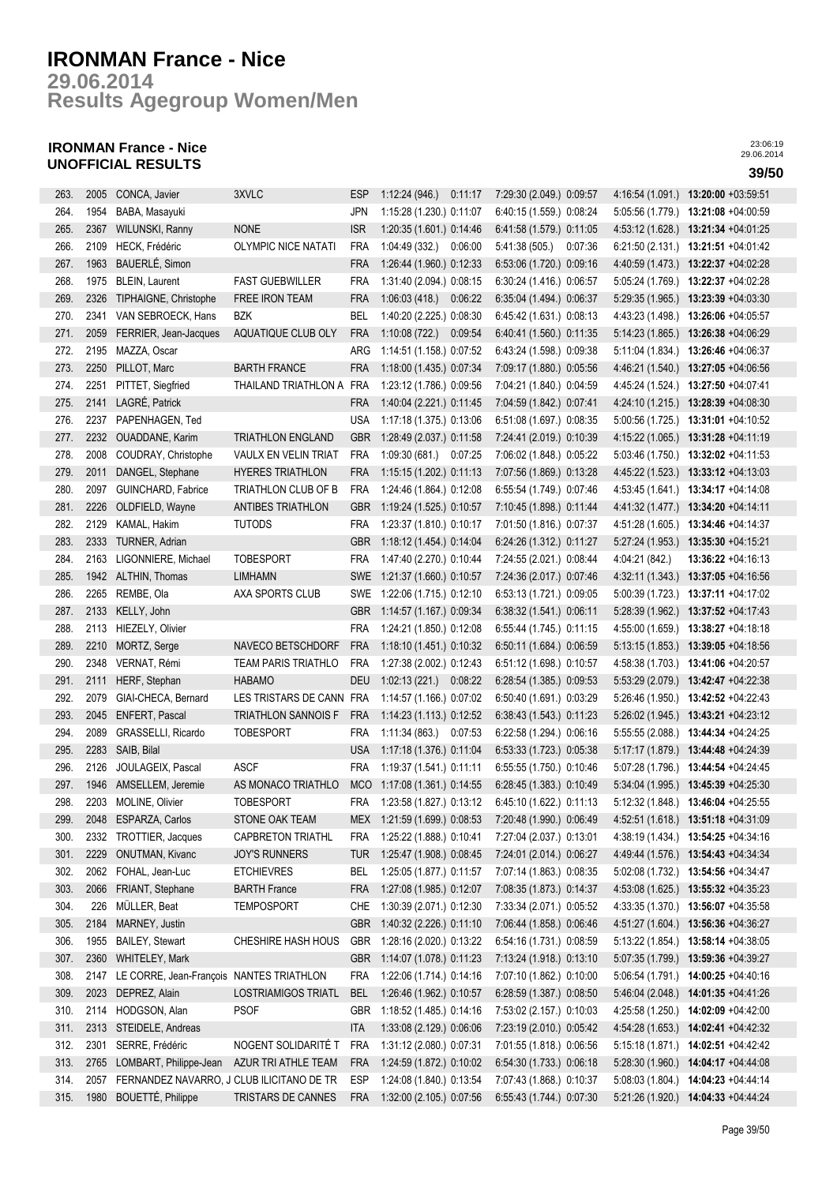**Results Agegroup Women/Men 29.06.2014**

## **IRONMAN France - Nice UNOFFICIAL RESULTS 39/50**

| 263. | 2005 | CONCA, Javier                             | 3XVLC                      | <b>ESP</b> | 1:12:24(946)                 | 0:11:17 | 7:29:30 (2.049.) 0:09:57 |         | 4:16:54 (1.091.) | 13:20:00 +03:59:51                  |
|------|------|-------------------------------------------|----------------------------|------------|------------------------------|---------|--------------------------|---------|------------------|-------------------------------------|
| 264. | 1954 | BABA, Masayuki                            |                            | <b>JPN</b> | 1:15:28 (1.230.) 0:11:07     |         | 6:40:15 (1.559.) 0:08:24 |         | 5:05:56 (1.779.) | 13:21:08 +04:00:59                  |
| 265. | 2367 | WILUNSKI, Ranny                           | <b>NONE</b>                | <b>ISR</b> | 1:20:35 (1.601.) 0:14:46     |         | 6:41:58 (1.579.) 0:11:05 |         | 4:53:12(1.628)   | 13:21:34 +04:01:25                  |
| 266. | 2109 | HECK, Frédéric                            | <b>OLYMPIC NICE NATATI</b> | <b>FRA</b> | 1:04:49(332)                 | 0:06:00 | 5:41:38 (505.)           | 0:07:36 |                  | 6:21:50 (2.131.) 13:21:51 +04:01:42 |
| 267. | 1963 | BAUERLÉ, Simon                            |                            | <b>FRA</b> | 1:26:44 (1.960.) 0:12:33     |         | 6:53:06 (1.720.) 0:09:16 |         |                  | 4:40:59 (1.473.) 13:22:37 +04:02:28 |
| 268. | 1975 | <b>BLEIN, Laurent</b>                     | <b>FAST GUEBWILLER</b>     | <b>FRA</b> | 1:31:40 (2.094.) 0:08:15     |         | 6:30:24 (1.416.) 0:06:57 |         |                  | 5:05:24 (1.769.) 13:22:37 +04:02:28 |
| 269. | 2326 | TIPHAIGNE, Christophe                     | FREE IRON TEAM             | <b>FRA</b> | 1:06:03 (418.) 0:06:22       |         | 6:35:04 (1.494.) 0:06:37 |         |                  | 5:29:35 (1.965.) 13:23:39 +04:03:30 |
| 270. | 2341 | VAN SEBROECK, Hans                        | <b>BZK</b>                 | BEL        | 1:40:20 (2.225.) 0:08:30     |         | 6:45:42 (1.631.) 0:08:13 |         | 4:43:23 (1.498.) | 13:26:06 +04:05:57                  |
| 271. | 2059 | FERRIER, Jean-Jacques                     | AQUATIQUE CLUB OLY         | <b>FRA</b> | 1:10:08(722.)                | 0:09:54 | 6:40:41 (1.560.) 0:11:35 |         | 5:14:23 (1.865.) | 13:26:38 +04:06:29                  |
| 272. | 2195 | MAZZA, Oscar                              |                            | ARG        | 1:14:51 (1.158.) 0:07:52     |         | 6:43:24 (1.598.) 0:09:38 |         | 5:11:04 (1.834.) | 13:26:46 +04:06:37                  |
| 273. | 2250 | PILLOT, Marc                              | <b>BARTH FRANCE</b>        | <b>FRA</b> | 1:18:00 (1.435.) 0:07:34     |         | 7:09:17 (1.880.) 0:05:56 |         | 4:46:21 (1.540.) | 13:27:05 +04:06:56                  |
| 274. | 2251 | PITTET, Siegfried                         | THAILAND TRIATHLON A       | FRA        | 1:23:12 (1.786.) 0:09:56     |         | 7:04:21 (1.840.) 0:04:59 |         |                  | 4:45:24 (1.524.) 13:27:50 +04:07:41 |
| 275. | 2141 | LAGRÉ, Patrick                            |                            | <b>FRA</b> | 1:40:04 (2.221.) 0:11:45     |         | 7:04:59 (1.842.) 0:07:41 |         |                  | 4:24:10 (1.215.) 13:28:39 +04:08:30 |
| 276. |      | 2237 PAPENHAGEN, Ted                      |                            | <b>USA</b> | 1:17:18 (1.375.) 0:13:06     |         | 6:51:08 (1.697.) 0:08:35 |         |                  | 5:00:56 (1.725.) 13:31:01 +04:10:52 |
|      |      |                                           |                            |            |                              |         |                          |         |                  |                                     |
| 277. | 2232 | <b>OUADDANE, Karim</b>                    | <b>TRIATHLON ENGLAND</b>   | <b>GBR</b> | 1:28:49 (2.037.) 0:11:58     |         | 7:24:41 (2.019.) 0:10:39 |         |                  | 4:15:22 (1.065.) 13:31:28 +04:11:19 |
| 278. | 2008 | COUDRAY, Christophe                       | VAULX EN VELIN TRIAT       | <b>FRA</b> | 1:09:30 (681.) 0:07:25       |         | 7:06:02 (1.848.) 0:05:22 |         |                  | 5:03:46 (1.750.) 13:32:02 +04:11:53 |
| 279. | 2011 | DANGEL, Stephane                          | <b>HYERES TRIATHLON</b>    | <b>FRA</b> | 1:15:15 (1.202.) 0:11:13     |         | 7:07:56 (1.869.) 0:13:28 |         | 4:45:22 (1.523.) | 13:33:12 +04:13:03                  |
| 280. | 2097 | GUINCHARD, Fabrice                        | TRIATHLON CLUB OF B        | <b>FRA</b> | 1:24:46 (1.864.) 0:12:08     |         | 6:55:54 (1.749.) 0:07:46 |         | 4:53:45 (1.641.) | 13:34:17 +04:14:08                  |
| 281. | 2226 | OLDFIELD, Wayne                           | ANTIBES TRIATHLON          | <b>GBR</b> | 1:19:24 (1.525.) 0:10:57     |         | 7:10:45 (1.898.) 0:11:44 |         | 4:41:32 (1.477.) | 13:34:20 +04:14:11                  |
| 282. | 2129 | KAMAL, Hakim                              | <b>TUTODS</b>              | <b>FRA</b> | 1:23:37 (1.810.) 0:10:17     |         | 7:01:50 (1.816.) 0:07:37 |         | 4:51:28 (1.605.) | 13:34:46 +04:14:37                  |
| 283. | 2333 | TURNER, Adrian                            |                            | GBR        | 1:18:12 (1.454.) 0:14:04     |         | 6:24:26 (1.312.) 0:11:27 |         | 5:27:24 (1.953.) | 13:35:30 +04:15:21                  |
| 284. | 2163 | LIGONNIERE, Michael                       | <b>TOBESPORT</b>           | <b>FRA</b> | 1:47:40 (2.270.) 0:10:44     |         | 7:24:55 (2.021.) 0:08:44 |         | 4:04:21 (842.)   | 13:36:22 +04:16:13                  |
| 285. | 1942 | ALTHIN, Thomas                            | <b>LIMHAMN</b>             | <b>SWE</b> | 1:21:37 (1.660.) 0:10:57     |         | 7:24:36 (2.017.) 0:07:46 |         | 4:32:11(1.343)   | 13:37:05 +04:16:56                  |
| 286. | 2265 | REMBE, Ola                                | AXA SPORTS CLUB            | SWE        | 1:22:06 (1.715.) 0:12:10     |         | 6:53:13 (1.721.) 0:09:05 |         | 5:00:39(1.723.)  | 13:37:11 +04:17:02                  |
| 287. | 2133 | KELLY, John                               |                            | <b>GBR</b> | 1:14:57 (1.167.) 0:09:34     |         | 6:38:32 (1.541.) 0:06:11 |         | 5:28:39 (1.962.) | 13:37:52 +04:17:43                  |
| 288. | 2113 | HIEZELY, Olivier                          |                            | <b>FRA</b> | 1:24:21 (1.850.) 0:12:08     |         | 6:55:44 (1.745.) 0:11:15 |         | 4:55:00 (1.659.) | 13:38:27 +04:18:18                  |
| 289. | 2210 | MORTZ, Serge                              | NAVECO BETSCHDORF          | <b>FRA</b> | 1:18:10 (1.451.) 0:10:32     |         | 6:50:11 (1.684.) 0:06:59 |         | 5:13:15(1.853.)  | 13:39:05 +04:18:56                  |
| 290. | 2348 | VERNAT, Rémi                              | TEAM PARIS TRIATHLO        | <b>FRA</b> | 1:27:38 (2.002.) 0:12:43     |         | 6:51:12 (1.698.) 0:10:57 |         | 4:58:38 (1.703.) | 13:41:06 +04:20:57                  |
| 291. | 2111 | HERF, Stephan                             | <b>HABAMO</b>              | <b>DEU</b> | $1:02:13(221)$ $0:08:22$     |         | 6:28:54 (1.385.) 0:09:53 |         |                  | 5:53:29 (2.079.) 13:42:47 +04:22:38 |
| 292. | 2079 | GIAI-CHECA, Bernard                       | LES TRISTARS DE CANN FRA   |            | 1:14:57 (1.166.) 0:07:02     |         | 6:50:40 (1.691.) 0:03:29 |         |                  | 5:26:46 (1.950.) 13:42:52 +04:22:43 |
| 293. | 2045 | ENFERT, Pascal                            | TRIATHLON SANNOIS F        | <b>FRA</b> | 1:14:23 (1.113.) 0:12:52     |         | 6:38:43 (1.543.) 0:11:23 |         |                  | 5:26:02 (1.945.) 13:43:21 +04:23:12 |
| 294. | 2089 | GRASSELLI, Ricardo                        | <b>TOBESPORT</b>           | <b>FRA</b> | $1:11:34(863)$ 0.07:53       |         | 6:22:58 (1.294.) 0:06:16 |         |                  | 5:55:55 (2.088.) 13:44:34 +04:24:25 |
| 295. | 2283 | SAIB, Bilal                               |                            | <b>USA</b> | 1:17:18 (1.376.) 0:11:04     |         | 6:53:33 (1.723.) 0:05:38 |         |                  | 5:17:17 (1.879.) 13:44:48 +04:24:39 |
| 296. | 2126 | JOULAGEIX, Pascal                         | <b>ASCF</b>                | <b>FRA</b> | 1:19:37 (1.541.) 0:11:11     |         | 6:55:55 (1.750.) 0:10:46 |         |                  | 5:07:28 (1.796.) 13:44:54 +04:24:45 |
| 297. | 1946 | AMSELLEM, Jeremie                         | AS MONACO TRIATHLO         | <b>MCO</b> | 1:17:08 (1.361.) 0:14:55     |         | 6:28:45 (1.383.) 0:10:49 |         | 5:34:04 (1.995.) | 13:45:39 +04:25:30                  |
| 298. |      | 2203 MOLINE, Olivier                      | <b>TOBESPORT</b>           | <b>FRA</b> | 1:23:58 (1.827.) 0:13:12     |         | 6:45:10 (1.622.) 0:11:13 |         |                  | 5:12:32 (1.848.) 13:46:04 +04:25:55 |
| 299. | 2048 | ESPARZA, Carlos                           | STONE OAK TEAM             |            | MEX 1:21:59 (1.699.) 0:08:53 |         | 7:20:48 (1.990.) 0:06:49 |         |                  | 4:52:51 (1.618.) 13:51:18 +04:31:09 |
| 300. | 2332 | TROTTIER, Jacques                         | <b>CAPBRETON TRIATHL</b>   | <b>FRA</b> | 1:25:22 (1.888.) 0:10:41     |         | 7:27:04 (2.037.) 0:13:01 |         | 4:38:19 (1.434.) | 13:54:25 +04:34:16                  |
| 301. | 2229 | <b>ONUTMAN, Kivanc</b>                    | <b>JOY'S RUNNERS</b>       | TUR        | 1:25:47 (1.908.) 0:08:45     |         | 7:24:01 (2.014.) 0:06:27 |         |                  | 4:49:44 (1.576.) 13:54:43 +04:34:34 |
| 302. | 2062 | FOHAL, Jean-Luc                           | <b>ETCHIEVRES</b>          | BEL        | 1:25:05 (1.877.) 0:11:57     |         | 7:07:14 (1.863.) 0:08:35 |         | 5:02:08 (1.732.) | 13:54:56 +04:34:47                  |
| 303. | 2066 | FRIANT, Stephane                          | <b>BARTH France</b>        | FRA        | 1:27:08 (1.985.) 0:12:07     |         | 7:08:35 (1.873.) 0:14:37 |         | 4:53:08(1.625.)  | 13:55:32 +04:35:23                  |
| 304. | 226  | MÜLLER, Beat                              | <b>TEMPOSPORT</b>          | CHE        | 1:30:39 (2.071.) 0:12:30     |         | 7:33:34 (2.071.) 0:05:52 |         | 4 33 35 (1.370.) | 13:56:07 +04:35:58                  |
| 305. | 2184 | MARNEY, Justin                            |                            | <b>GBR</b> | 1:40:32 (2.226.) 0:11:10     |         | 7:06:44 (1.858.) 0:06:46 |         | 4:51:27 (1.604.) | 13:56:36 +04:36:27                  |
| 306. | 1955 | <b>BAILEY, Stewart</b>                    | CHESHIRE HASH HOUS         | <b>GBR</b> | 1:28:16 (2.020.) 0:13:22     |         | 6:54:16 (1.731.) 0:08:59 |         | 5:13:22 (1.854.) | 13:58:14 +04:38:05                  |
| 307. | 2360 | WHITELEY, Mark                            |                            | <b>GBR</b> | 1:14:07 (1.078.) 0:11:23     |         | 7:13:24 (1.918.) 0:13:10 |         | 5:07:35 (1.799.) | 13:59:36 +04:39:27                  |
| 308. | 2147 | LE CORRE, Jean-François NANTES TRIATHLON  |                            | <b>FRA</b> | 1:22:06 (1.714.) 0:14:16     |         | 7:07:10 (1.862.) 0:10:00 |         | 5:06:54 (1.791.) | $14:00:25 +04:40:16$                |
| 309. | 2023 | DEPREZ, Alain                             | <b>LOSTRIAMIGOS TRIATL</b> | <b>BEL</b> | 1:26:46 (1.962.) 0:10:57     |         | 6:28:59 (1.387.) 0:08:50 |         | 5:46:04 (2.048.) | 14:01:35 +04:41:26                  |
| 310. | 2114 | HODGSON, Alan                             | <b>PSOF</b>                | GBR        | 1:18:52 (1.485.) 0:14:16     |         | 7:53:02 (2.157.) 0:10:03 |         |                  | 4:25:58 (1.250.) 14:02:09 +04:42:00 |
| 311. |      | 2313 STEIDELE, Andreas                    |                            | <b>ITA</b> | 1:33:08 (2.129.) 0:06:06     |         | 7:23:19 (2.010.) 0:05:42 |         |                  | 4:54:28 (1.653.) 14:02:41 +04:42:32 |
| 312. | 2301 | SERRE, Frédéric                           | NOGENT SOLIDARITÉ T        | FRA        | 1:31:12 (2.080.) 0:07:31     |         | 7:01:55 (1.818.) 0:06:56 |         |                  | 5:15:18 (1.871.) 14:02:51 +04:42:42 |
| 313. | 2765 | LOMBART, Philippe-Jean                    | AZUR TRI ATHLE TEAM        | <b>FRA</b> | 1:24:59 (1.872.) 0:10:02     |         | 6:54:30 (1.733.) 0:06:18 |         | 5:28:30(1.960.)  | 14:04:17 +04:44:08                  |
| 314. | 2057 | FERNANDEZ NAVARRO, J CLUB ILICITANO DE TR |                            | <b>ESP</b> | 1:24:08 (1.840.) 0:13:54     |         | 7:07:43 (1.868.) 0:10:37 |         | 5:08:03(1.804.)  | 14:04:23 +04:44:14                  |
| 315. | 1980 | BOUETTÉ, Philippe                         | TRISTARS DE CANNES         | <b>FRA</b> | 1:32:00 (2.105.) 0:07:56     |         | 6:55:43 (1.744.) 0:07:30 |         |                  | 5:21:26 (1.920.) 14:04:33 +04:44:24 |
|      |      |                                           |                            |            |                              |         |                          |         |                  |                                     |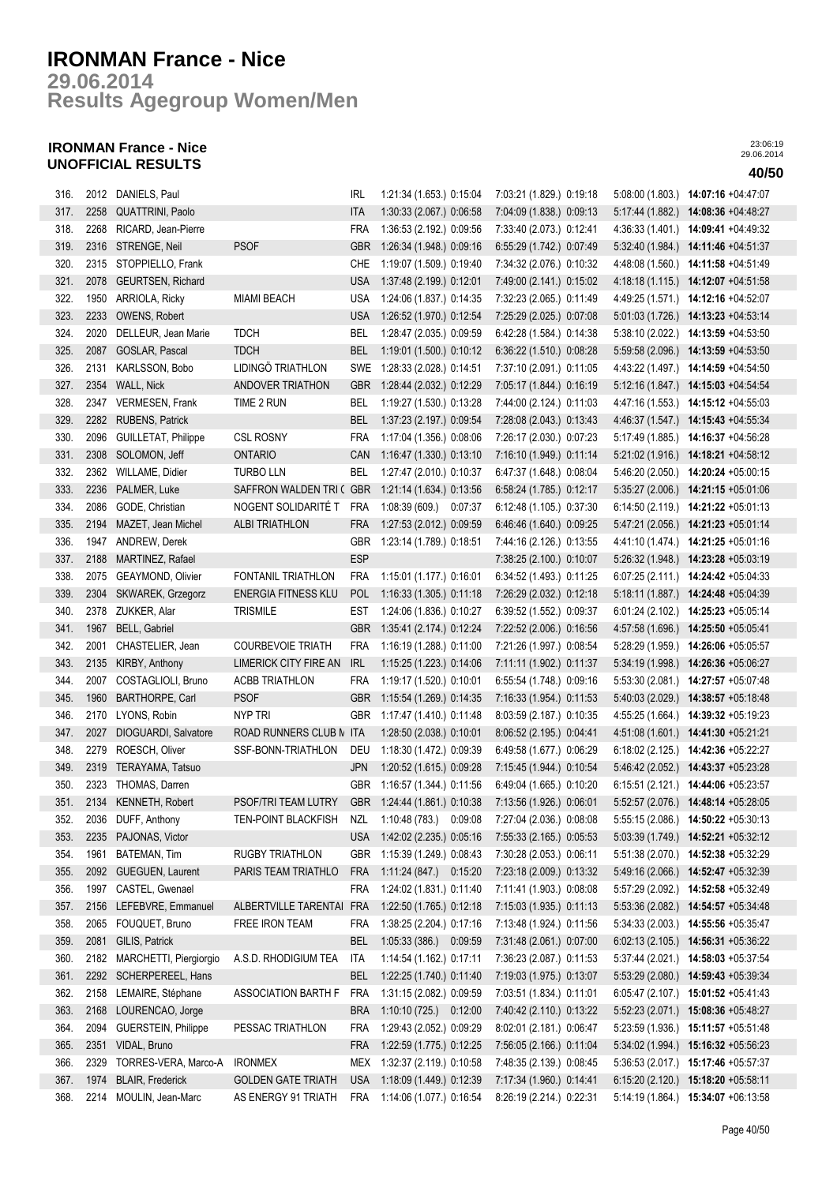**Results Agegroup Women/Men 29.06.2014**

## **IRONMAN France - Nice UNOFFICIAL RESULTS 40/50**

| 316. |      | 2012 DANIELS, Paul          |                              | IRL        | 1:21:34 (1.653.) 0:15:04     | 7:03:21 (1.829.) 0:19:18 |                  | 5:08:00 (1.803.) 14:07:16 +04:47:07  |
|------|------|-----------------------------|------------------------------|------------|------------------------------|--------------------------|------------------|--------------------------------------|
| 317. | 2258 | QUATTRINI, Paolo            |                              | <b>ITA</b> | 1:30:33 (2.067.) 0:06:58     | 7:04:09 (1.838.) 0:09:13 | 5:17:44 (1.882.) | 14:08:36 +04:48:27                   |
| 318. | 2268 | RICARD, Jean-Pierre         |                              | <b>FRA</b> | 1:36:53 (2.192.) 0:09:56     | 7:33:40 (2.073.) 0:12:41 | 4:36:33 (1.401.) | $14:09:41 + 04:49:32$                |
| 319. |      | 2316 STRENGE, Neil          | <b>PSOF</b>                  | <b>GBR</b> | 1:26:34 (1.948.) 0:09:16     | 6:55:29 (1.742.) 0:07:49 |                  | 5:32:40 (1.984.) 14:11:46 +04:51:37  |
| 320. |      | 2315 STOPPIELLO, Frank      |                              | CHE        | 1:19:07 (1.509.) 0:19:40     | 7:34:32 (2.076.) 0:10:32 | 4:48:08 (1.560.) | 14:11:58 +04:51:49                   |
| 321. | 2078 | GEURTSEN, Richard           |                              | <b>USA</b> | 1:37:48 (2.199.) 0:12:01     | 7:49:00 (2.141.) 0:15:02 | 4:18:18(1.115)   | 14:12:07 +04:51:58                   |
| 322. | 1950 | ARRIOLA, Ricky              | <b>MIAMI BEACH</b>           | <b>USA</b> | 1:24:06 (1.837.) 0:14:35     | 7:32:23 (2.065.) 0:11:49 | 4:49:25 (1.571.) | 14:12:16 +04:52:07                   |
| 323. | 2233 | OWENS, Robert               |                              | <b>USA</b> | 1:26:52 (1.970.) 0:12:54     | 7:25:29 (2.025.) 0:07:08 |                  | 5:01:03 (1.726.) 14:13:23 +04:53:14  |
| 324. | 2020 | DELLEUR, Jean Marie         | <b>TDCH</b>                  | <b>BEL</b> | 1:28:47 (2.035.) 0:09:59     | 6:42:28 (1.584.) 0:14:38 |                  | 5:38:10 (2.022.) 14:13:59 +04:53:50  |
| 325. | 2087 | GOSLAR, Pascal              | <b>TDCH</b>                  | <b>BEL</b> | 1:19:01 (1.500.) 0:10:12     | 6:36:22 (1.510.) 0:08:28 |                  | 5:59:58 (2.096.) 14:13:59 +04:53:50  |
| 326. | 2131 | KARLSSON, Bobo              | LIDINGÖ TRIATHLON            |            | SWE 1:28:33 (2.028.) 0:14:51 | 7:37:10 (2.091.) 0:11:05 |                  | 4:43:22 (1.497.) 14:14:59 +04:54:50  |
| 327. | 2354 | WALL, Nick                  | ANDOVER TRIATHON             | <b>GBR</b> | 1:28:44 (2.032.) 0:12:29     | 7:05:17 (1.844.) 0:16:19 |                  | 5:12:16 (1.847.) 14:15:03 +04:54:54  |
| 328. | 2347 | VERMESEN, Frank             | TIME 2 RUN                   | BEL        | 1:19:27 (1.530.) 0:13:28     | 7:44:00 (2.124.) 0:11:03 | 4:47:16 (1.553.) | 14:15:12 +04:55:03                   |
| 329. | 2282 | <b>RUBENS, Patrick</b>      |                              | <b>BEL</b> | 1:37:23 (2.197.) 0:09:54     | 7:28:08 (2.043.) 0:13:43 | 4:46:37 (1.547.) | 14:15:43 +04:55:34                   |
| 330. | 2096 | <b>GUILLETAT, Philippe</b>  | <b>CSL ROSNY</b>             | <b>FRA</b> | 1:17:04 (1.356.) 0:08:06     | 7:26:17 (2.030.) 0:07:23 | 5:17:49 (1.885.) | 14:16:37 +04:56:28                   |
| 331. | 2308 | SOLOMON, Jeff               | ONTARIO                      | CAN        | 1:16:47 (1.330.) 0:13:10     | 7:16:10 (1.949.) 0:11:14 |                  | 5:21:02 (1.916.) 14:18:21 +04:58:12  |
| 332. | 2362 | WILLAME, Didier             | <b>TURBO LLN</b>             | BEL        | 1:27:47 (2.010.) 0:10:37     | 6:47:37 (1.648.) 0:08:04 |                  | 5:46:20 (2.050.) 14:20:24 +05:00:15  |
| 333. | 2236 | PALMER, Luke                | SAFFRON WALDEN TRI ( GBR     |            | 1:21:14 (1.634.) 0:13:56     | 6:58:24 (1.785.) 0:12:17 |                  | 5:35:27 (2.006.) 14:21:15 +05:01:06  |
| 334. | 2086 | GODE, Christian             | NOGENT SOLIDARITÉ T          | <b>FRA</b> | 1:08:39 (609.) 0:07:37       | 6:12:48 (1.105.) 0:37:30 |                  | 6:14:50 (2.119.) 14:21:22 +05:01:13  |
| 335. | 2194 | MAZET, Jean Michel          | <b>ALBI TRIATHLON</b>        | FRA        | 1:27:53 (2.012.) 0:09:59     | 6:46:46 (1.640.) 0:09:25 |                  | 5:47:21 (2.056.) 14:21:23 +05:01:14  |
| 336. | 1947 | ANDREW, Derek               |                              | <b>GBR</b> | 1:23:14 (1.789.) 0:18:51     | 7:44:16 (2.126.) 0:13:55 | 4:41:10 (1.474.) | 14:21:25 +05:01:16                   |
| 337. | 2188 | MARTINEZ, Rafael            |                              | <b>ESP</b> |                              | 7:38:25 (2.100.) 0:10:07 |                  | 5:26:32 (1.948.) 14:23:28 +05:03:19  |
| 338. | 2075 | GEAYMOND, Olivier           | <b>FONTANIL TRIATHLON</b>    | <b>FRA</b> | 1:15:01 (1.177.) 0:16:01     | 6:34:52 (1.493.) 0:11:25 | 6:07:25(2.111.)  | 14:24:42 +05:04:33                   |
| 339. | 2304 | SKWAREK, Grzegorz           | ENERGIA FITNESS KLU          | <b>POL</b> | 1:16:33 (1.305.) 0:11:18     | 7:26:29 (2.032.) 0:12:18 |                  | 5:18:11 (1.887.) 14:24:48 +05:04:39  |
| 340. | 2378 | ZUKKER, Alar                | <b>TRISMILE</b>              | <b>EST</b> | 1:24:06 (1.836.) 0:10:27     | 6:39:52 (1.552.) 0:09:37 | 6:01:24(2.102.)  | 14:25:23 +05:05:14                   |
| 341. | 1967 | BELL, Gabriel               |                              | <b>GBR</b> | 1:35:41 (2.174.) 0:12:24     | 7:22:52 (2.006.) 0:16:56 |                  | 4:57:58 (1.696.) 14:25:50 +05:05:41  |
| 342. | 2001 | CHASTELIER, Jean            | <b>COURBEVOIE TRIATH</b>     | <b>FRA</b> | 1:16:19 (1.288.) 0:11:00     | 7:21:26 (1.997.) 0:08:54 |                  | 5:28:29 (1.959.) 14:26:06 +05:05:57  |
| 343. | 2135 | KIRBY, Anthony              | <b>LIMERICK CITY FIRE AN</b> | IRL        | 1:15:25 (1.223.) 0:14:06     | 7:11:11 (1.902.) 0:11:37 |                  | 5:34:19 (1.998.) 14:26:36 +05:06:27  |
| 344. | 2007 | COSTAGLIOLI, Bruno          | <b>ACBB TRIATHLON</b>        | <b>FRA</b> | 1:19:17 (1.520.) 0:10:01     | 6:55:54 (1.748.) 0:09:16 |                  | 5:53:30 (2.081.) 14:27:57 +05:07:48  |
| 345. | 1960 | BARTHORPE, Carl             | <b>PSOF</b>                  | <b>GBR</b> | 1:15:54 (1.269.) 0:14:35     | 7:16:33 (1.954.) 0:11:53 | 5:40:03(2.029.)  | 14:38:57 +05:18:48                   |
| 346. |      | 2170 LYONS, Robin           | <b>NYP TRI</b>               | <b>GBR</b> | 1:17:47 (1.410.) 0:11:48     | 8:03:59 (2.187.) 0:10:35 |                  | 4:55:25 (1.664.) 14:39:32 +05:19:23  |
| 347. | 2027 | DIOGUARDI, Salvatore        | ROAD RUNNERS CLUB N ITA      |            | 1:28:50 (2.038.) 0:10:01     | 8:06:52 (2.195.) 0:04:41 |                  | 4:51:08 (1.601.) 14:41:30 +05:21:21  |
| 348. | 2279 | ROESCH, Oliver              | SSF-BONN-TRIATHLON           | DEU        | 1:18:30 (1.472.) 0:09:39     | 6:49:58 (1.677.) 0:06:29 |                  | 6:18:02 (2.125.) 14:42:36 +05:22:27  |
| 349. | 2319 | TERAYAMA, Tatsuo            |                              | <b>JPN</b> | 1:20:52 (1.615.) 0:09:28     | 7:15:45 (1.944.) 0:10:54 | 5:46:42 (2.052.) | 14:43:37 +05:23:28                   |
| 350. | 2323 | THOMAS, Darren              |                              | GBR        | 1:16:57 (1.344.) 0:11:56     | 6:49:04 (1.665.) 0:10:20 |                  | 6:15:51 (2.121.) 14:44:06 +05:23:57  |
| 351. |      | 2134 KENNETH, Robert        | PSOF/TRI TEAM LUTRY          | <b>GBR</b> | 1:24:44 (1.861.) 0:10:38     | 7:13:56 (1.926.) 0:06:01 |                  | 5:52:57 (2.076.) 14:48:14 +05:28:05  |
| 352. |      | 2036 DUFF, Anthony          | <b>TEN-POINT BLACKFISH</b>   | NZL        | 1:10:48 (783.)<br>0:09:08    | 7:27:04 (2.036.) 0:08:08 |                  | 5:55:15 (2.086.) 14:50:22 +05:30:13  |
| 353. | 2235 | PAJONAS, Victor             |                              | <b>USA</b> | 1:42:02 (2.235.) 0:05:16     | 7:55:33 (2.165.) 0:05:53 |                  | $5:03:39(1.749.)$ 14:52:21 +05:32:12 |
| 354. | 1961 | BATEMAN, Tim                | <b>RUGBY TRIATHLON</b>       | <b>GBR</b> | 1:15:39 (1.249.) 0:08:43     | 7:30:28 (2.053.) 0:06:11 | 5:51:38 (2.070.) | 14:52:38 +05:32:29                   |
| 355. | 2092 | GUEGUEN, Laurent            | PARIS TEAM TRIATHLO          | <b>FRA</b> | 1:11:24 (847.) 0:15:20       | 7:23:18 (2.009.) 0:13:32 | 5:49:16 (2.066.) | 14:52:47 +05:32:39                   |
| 356. | 1997 | CASTEL, Gwenael             |                              | <b>FRA</b> | 1:24:02 (1.831.) 0:11:40     | 7:11:41 (1.903.) 0:08:08 | 5:57:29 (2.092.) | 14:52:58 +05:32:49                   |
| 357. | 2156 | LEFEBVRE, Emmanuel          | ALBERTVILLE TARENTAI FRA     |            | 1:22:50 (1.765.) 0:12:18     | 7:15:03 (1.935.) 0:11:13 |                  | 5:53:36 (2.082.) 14:54:57 +05:34:48  |
| 358. | 2065 | FOUQUET, Bruno              | FREE IRON TEAM               | <b>FRA</b> | 1:38:25 (2.204.) 0:17:16     | 7:13:48 (1.924.) 0:11:56 |                  | 5:34:33 (2.003.) 14:55:56 +05:35:47  |
| 359. | 2081 | GILIS, Patrick              |                              | <b>BEL</b> | 1:05:33 (386.) 0:09:59       | 7:31:48 (2.061.) 0:07:00 |                  | 6:02:13 (2.105.) 14:56:31 +05:36:22  |
| 360. |      | 2182 MARCHETTI, Piergiorgio | A.S.D. RHODIGIUM TEA         | ITA        | 1:14:54 (1.162.) 0:17:11     | 7:36:23 (2.087.) 0:11:53 |                  | 5:37:44 (2.021.) 14:58:03 +05:37:54  |
| 361. |      | 2292 SCHERPEREEL, Hans      |                              | <b>BEL</b> | 1:22:25 (1.740.) 0:11:40     | 7:19:03 (1.975.) 0:13:07 |                  | 5:53:29 (2.080.) 14:59:43 +05:39:34  |
| 362. |      | 2158 LEMAIRE, Stéphane      | ASSOCIATION BARTH F          | <b>FRA</b> | 1:31:15 (2.082.) 0:09:59     | 7:03:51 (1.834.) 0:11:01 |                  | 6:05:47 (2.107.) 15:01:52 +05:41:43  |
| 363. | 2168 | LOURENCAO, Jorge            |                              | <b>BRA</b> | 1:10:10 (725.) 0:12:00       | 7:40:42 (2.110.) 0:13:22 |                  | 5:52:23 (2.071.) 15:08:36 +05:48:27  |
| 364. | 2094 | GUERSTEIN, Philippe         | PESSAC TRIATHLON             | <b>FRA</b> | 1:29:43 (2.052.) 0:09:29     | 8:02:01 (2.181.) 0:06:47 | 5:23:59 (1.936.) | 15:11:57 +05:51:48                   |
| 365. | 2351 | VIDAL, Bruno                |                              | <b>FRA</b> | 1:22:59 (1.775.) 0:12:25     | 7:56:05 (2.166.) 0:11:04 | 5:34:02 (1.994.) | 15:16:32 +05:56:23                   |
| 366. | 2329 | TORRES-VERA, Marco-A        | <b>IRONMEX</b>               | MEX        | 1:32:37 (2.119.) 0:10:58     | 7:48:35 (2.139.) 0:08:45 |                  | 5:36:53 (2.017.) 15:17:46 +05:57:37  |
| 367. | 1974 | <b>BLAIR, Frederick</b>     | <b>GOLDEN GATE TRIATH</b>    | <b>USA</b> | 1:18:09 (1.449.) 0:12:39     | 7:17:34 (1.960.) 0:14:41 |                  | $6:15:20(2.120.)$ 15:18:20 +05:58:11 |
| 368. | 2214 | MOULIN, Jean-Marc           | AS ENERGY 91 TRIATH          | <b>FRA</b> | 1:14:06 (1.077.) 0:16:54     | 8:26:19 (2.214.) 0:22:31 |                  | 5:14:19 (1.864.) 15:34:07 +06:13:58  |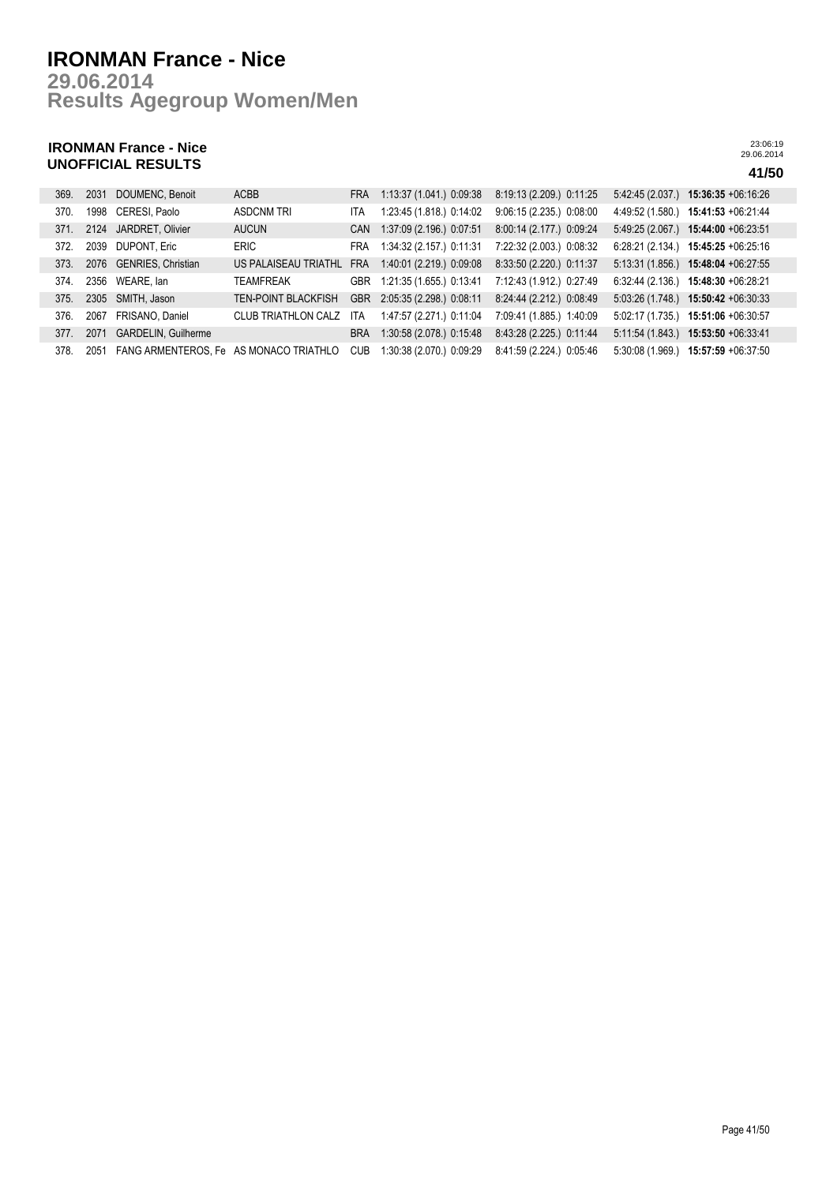**Results Agegroup Women/Men 29.06.2014**

## **IRONMAN France - Nice UNOFFICIAL RESULTS 41/50**

| 369. | 2031 | DOUMENC, Benoit                        | <b>ACBB</b>                | <b>FRA</b> | 1:13:37 (1.041.) 0:09:38 | 8:19:13 (2.209.) 0:11:25 |                  | $5.42.45(2.037)$ 15:36:35 +06:16:26   |
|------|------|----------------------------------------|----------------------------|------------|--------------------------|--------------------------|------------------|---------------------------------------|
| 370. | 1998 | CERESI, Paolo                          | <b>ASDCNM TRI</b>          | <b>ITA</b> | 1:23:45 (1.818.) 0:14:02 | 9:06:15 (2.235.) 0:08:00 | 4:49:52 (1.580.) | 15:41:53 +06:21:44                    |
| 371. | 2124 | JARDRET, Olivier                       | <b>AUCUN</b>               | <b>CAN</b> | 1:37:09 (2.196.) 0:07:51 | 8:00:14 (2.177.) 0:09:24 |                  | 5:49:25 (2.067.) 15:44:00 +06:23:51   |
| 372. | 2039 | <b>DUPONT, Eric</b>                    | <b>ERIC</b>                | <b>FRA</b> | 1:34:32 (2.157.) 0:11:31 | 7:22:32 (2.003.) 0:08:32 |                  | $6:28:21(2.134)$ 15:45:25 +06:25:16   |
| 373. |      | 2076 GENRIES, Christian                | US PALAISEAU TRIATHL       | <b>FRA</b> | 1:40:01 (2.219.) 0:09:08 | 8:33:50 (2.220.) 0:11:37 |                  | 5:13:31 (1.856.) 15:48:04 +06:27:55   |
| 374. | 2356 | WEARE, lan                             | TEAMFREAK                  | <b>GBR</b> | 1:21:35 (1.655.) 0:13:41 | 7:12:43 (1.912.) 0:27:49 |                  | $6:32:44$ (2.136.) 15:48:30 +06:28:21 |
| 375. | 2305 | SMITH, Jason                           | <b>TEN-POINT BLACKFISH</b> | <b>GBR</b> | 2:05:35 (2.298.) 0:08:11 | 8:24:44 (2.212.) 0:08:49 |                  | $5.03.26(1.748.)$ 15:50:42 +06:30:33  |
| 376. | 2067 | FRISANO, Daniel                        | <b>CLUB TRIATHLON CALZ</b> | <b>ITA</b> | 1:47:57 (2.271.) 0:11:04 | 7:09:41 (1.885.) 1:40:09 | 5:02:17 (1.735.) | 15:51:06 +06:30:57                    |
| 377. | 2071 | <b>GARDELIN, Guilherme</b>             |                            | <b>BRA</b> | 1:30:58 (2.078.) 0:15:48 | 8:43:28 (2.225.) 0:11:44 | 5:11:54(1.843)   | 15:53:50 +06:33:41                    |
| 378. | 2051 | FANG ARMENTEROS, Fe AS MONACO TRIATHLO |                            | <b>CUB</b> | 1:30:38 (2.070.) 0:09:29 | 8:41:59 (2.224.) 0:05:46 | 5:30:08(1.969)   | 15:57:59 +06:37:50                    |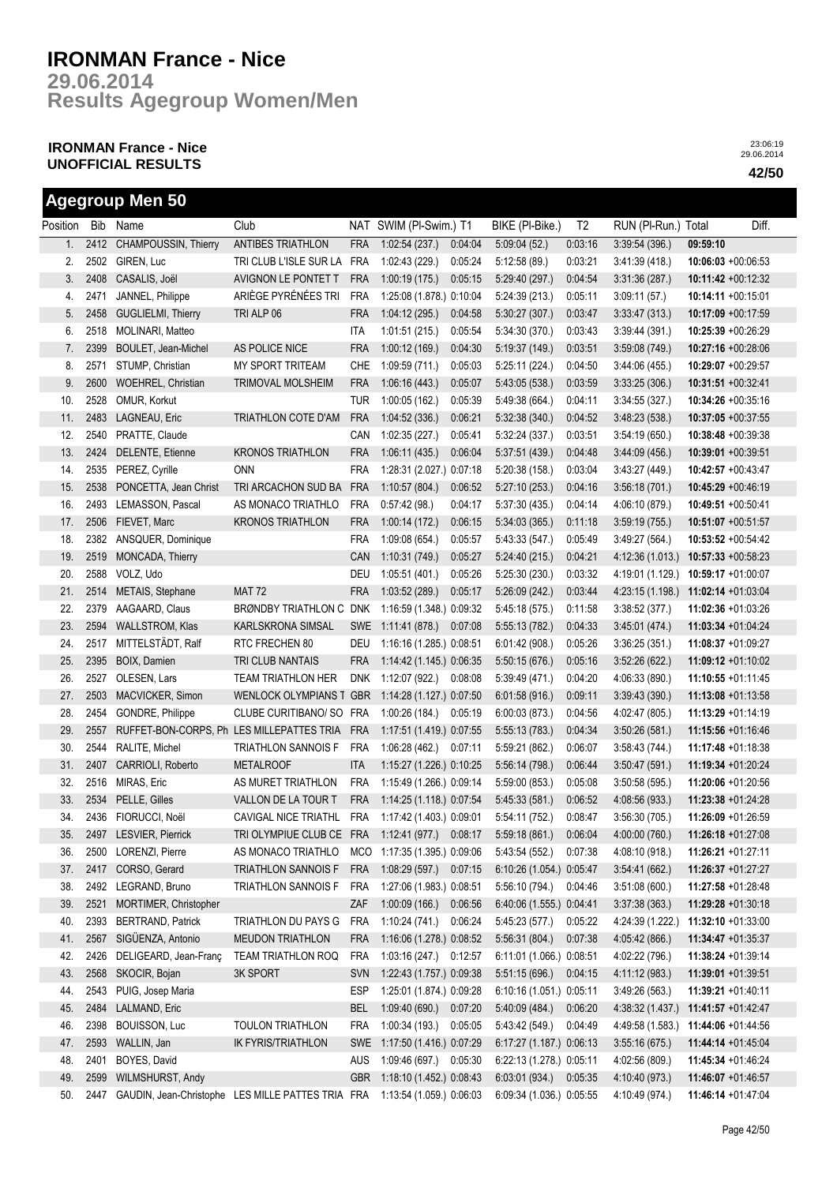**Results Agegroup Women/Men 29.06.2014**

## **IRONMAN France - Nice UNOFFICIAL RESULTS 42/50**

**Agegroup Men 50**

|          |      | Agegroup men ou                                   |                                                   |            |                          |         |                          |                |                     |          |                       |
|----------|------|---------------------------------------------------|---------------------------------------------------|------------|--------------------------|---------|--------------------------|----------------|---------------------|----------|-----------------------|
| Position |      | Bib Name                                          | Club                                              |            | NAT SWIM (PI-Swim.) T1   |         | BIKE (PI-Bike.)          | T <sub>2</sub> | RUN (PI-Run.) Total |          | Diff.                 |
| 1.       | 2412 | <b>CHAMPOUSSIN, Thierry</b>                       | <b>ANTIBES TRIATHLON</b>                          | <b>FRA</b> | 1:02:54(237.)            | 0:04:04 | 5:09:04(52)              | 0:03:16        | 3:39:54(396.)       | 09:59:10 |                       |
| 2.       | 2502 | GIREN, Luc                                        | TRI CLUB L'ISLE SUR LA                            | <b>FRA</b> | 1:02:43 (229.)           | 0:05:24 | 5:12:58(89)              | 0:03:21        | 3:41:39(418)        |          | 10:06:03 +00:06:53    |
| 3.       | 2408 | CASALIS, Joël                                     | AVIGNON LE PONTET T                               | <b>FRA</b> | 1:00:19(175.)            | 0:05:15 | 5:29:40(297.)            | 0:04:54        | 3.31:36(287)        |          | $10:11:42 +00:12:32$  |
| 4.       | 2471 | JANNEL, Philippe                                  | ARIÈGE PYRÉNÉES TRI                               | <b>FRA</b> | 1:25:08 (1.878.) 0:10:04 |         | 5:24:39(213)             | 0:05:11        | 3.09:11(57)         |          | 10:14:11 +00:15:01    |
| 5.       | 2458 | GUGLIELMI, Thierry                                | TRI ALP 06                                        | <b>FRA</b> | 1:04:12(295.)            | 0:04:58 | 5:30:27(307.)            | 0:03:47        | 3.33.47(313)        |          | 10:17:09 +00:17:59    |
| 6.       | 2518 | MOLINARI, Matteo                                  |                                                   | ITA        | 1:01:51(215.)            | 0:05:54 | 5:34:30 (370.)           | 0:03:43        | 3.39.44(391)        |          | 10:25:39 +00:26:29    |
| 7.       | 2399 | BOULET, Jean-Michel                               | AS POLICE NICE                                    | <b>FRA</b> | 1:00:12(169.)            | 0.04:30 | 5:19:37 (149.)           | 0:03:51        | 3:59:08(749)        |          | 10:27:16 +00:28:06    |
| 8.       | 2571 | STUMP, Christian                                  | MY SPORT TRITEAM                                  | <b>CHE</b> | 1:09:59(711)             | 0:05:03 | 5:25:11(224.)            | 0:04:50        | 3.44:06(455)        |          | 10:29:07 +00:29:57    |
| 9.       | 2600 | WOEHREL, Christian                                | TRIMOVAL MOLSHEIM                                 | <b>FRA</b> | 1:06:16(443)             | 0:05:07 | 5:43:05(538)             | 0:03:59        | 3:33:25(306.)       |          | 10:31:51 +00:32:41    |
| 10.      | 2528 | OMUR, Korkut                                      |                                                   | <b>TUR</b> | 1:00:05(162.)            | 0:05:39 | 5:49:38 (664.)           | 0:04:11        | 3:34:55(327)        |          | 10:34:26 +00:35:16    |
| 11.      | 2483 | LAGNEAU, Eric                                     | TRIATHLON COTE D'AM                               | <b>FRA</b> | 1:04:52(336.)            | 0.06:21 | 5.32.38(340)             | 0:04:52        | 3.48.23(538)        |          | 10:37:05 +00:37:55    |
| 12.      | 2540 | PRATTE, Claude                                    |                                                   | CAN        | 1:02:35(227.)            | 0:05:41 | 5:32:24(337.)            | 0:03:51        | 3:54:19(650)        |          | $10:38:48 +00:39:38$  |
| 13.      | 2424 | DELENTE, Etienne                                  | <b>KRONOS TRIATHLON</b>                           | <b>FRA</b> | 1:06:11(435)             | 0:06:04 | 5:37:51(439)             | 0:04:48        | 3.44.09(456.)       |          | $10:39:01 +00:39:51$  |
| 14.      | 2535 | PEREZ, Cyrille                                    | <b>ONN</b>                                        | <b>FRA</b> | 1:28:31 (2.027.) 0:07:18 |         | 5:20:38(158)             | 0:03:04        | 3.43.27(449)        |          | $10:42:57 +00:43:47$  |
| 15.      | 2538 | PONCETTA, Jean Christ                             | TRI ARCACHON SUD BA                               | <b>FRA</b> | 1:10.57(804.)            | 0:06:52 | 5:27:10(253)             | 0:04:16        | 3.56:18(701)        |          | 10:45:29 +00:46:19    |
| 16.      | 2493 | LEMASSON, Pascal                                  | AS MONACO TRIATHLO                                | <b>FRA</b> | 0:57:42(98.)             | 0:04:17 | 5:37:30(435)             | 0:04:14        | 4:06:10 (879.)      |          | 10:49:51 +00:50:41    |
| 17.      | 2506 | FIEVET, Marc                                      | <b>KRONOS TRIATHLON</b>                           | <b>FRA</b> | 1:00:14(172.)            | 0:06:15 | 5:34:03(365)             | 0:11:18        | 3:59:19(755)        |          | 10:51:07 +00:51:57    |
| 18.      | 2382 | ANSQUER, Dominique                                |                                                   | <b>FRA</b> | 1:09:08 (654.)           | 0:05:57 | 5:43:33(547)             | 0:05:49        | 3.49:27(564)        |          | 10:53:52 +00:54:42    |
| 19.      | 2519 | MONCADA, Thierry                                  |                                                   | CAN        | 1:10:31(749)             | 0:05:27 | 5:24:40(215)             | 0:04:21        | 4:12:36 (1.013.)    |          | $10:57:33 +00:58:23$  |
| 20.      | 2588 | VOLZ, Udo                                         |                                                   | DEU        | 1:05:51 (401.)           | 0:05:26 | 5:25:30(230.)            | 0:03:32        | 4:19:01 (1.129.)    |          | $10:59:17 + 01:00:07$ |
| 21.      | 2514 | METAIS, Stephane                                  | <b>MAT 72</b>                                     | <b>FRA</b> | 1:03:52(289.)            | 0:05:17 | 5:26:09(242)             | 0:03:44        | 4:23:15 (1.198.)    |          | 11:02:14 +01:03:04    |
| 22.      | 2379 | AAGAARD, Claus                                    | BRØNDBY TRIATHLON C                               | <b>DNK</b> | 1:16:59 (1.348.) 0:09:32 |         | 5:45:18 (575.)           | 0:11:58        | 3:38:52(377.)       |          | 11:02:36 +01:03:26    |
| 23.      | 2594 | WALLSTROM, Klas                                   | KARLSKRONA SIMSAL                                 | <b>SWE</b> | 1:11:41 (878.)           | 0:07:08 | 5:55:13(782)             | 0:04:33        | 3.45:01(474.)       |          | $11:03:34 +01:04:24$  |
| 24.      | 2517 | MITTELSTÄDT, Ralf                                 | RTC FRECHEN 80                                    | DEU        | 1:16:16 (1.285.) 0:08:51 |         | 6:01:42(908.)            | 0:05:26        | 3:36:25(351)        |          | $11:08:37 +01:09:27$  |
| 25.      | 2395 | BOIX, Damien                                      | TRI CLUB NANTAIS                                  | <b>FRA</b> | 1:14:42 (1.145.) 0:06:35 |         | 5:50:15(676)             | 0:05:16        | 3.52.26(622)        |          | 11:09:12 +01:10:02    |
| 26.      | 2527 | OLESEN, Lars                                      | <b>TEAM TRIATHLON HER</b>                         | <b>DNK</b> | 1:12:07 (922.)           | 0:08:08 | 5:39:49 (471.)           | 0:04:20        | 4:06:33 (890.)      |          | 11:10:55 +01:11:45    |
| 27.      | 2503 | MACVICKER, Simon                                  | <b>WENLOCK OLYMPIANS T</b>                        | <b>GBR</b> | 1:14:28 (1.127.) 0:07:50 |         | 6:01:58(916.)            | 0:09:11        | 3:39:43(390)        |          | 11:13:08 +01:13:58    |
| 28.      | 2454 | GONDRE, Philippe                                  | CLUBE CURITIBANO/ SO                              | <b>FRA</b> | 1:00:26 (184.)           | 0:05:19 | 6:00:03(873)             | 0:04:56        | 4:02:47 (805.)      |          | 11:13:29 +01:14:19    |
| 29.      | 2557 | RUFFET-BON-CORPS, Ph LES MILLEPATTES TRIA         |                                                   | <b>FRA</b> | 1:17:51 (1.419.) 0:07:55 |         | 5:55:13(783.)            | 0:04:34        | 3:50:26(581)        |          | 11:15:56 +01:16:46    |
| 30.      | 2544 | RALITE, Michel                                    | TRIATHLON SANNOIS F                               | <b>FRA</b> | 1:06:28 (462.) 0:07:11   |         | 5:59:21 (862.)           | 0:06:07        | 3:58:43(744)        |          | 11:17:48 +01:18:38    |
| 31.      | 2407 | CARRIOLI, Roberto                                 | <b>METALROOF</b>                                  | <b>ITA</b> | 1:15:27 (1.226.) 0:10:25 |         | 5:56:14 (798.)           | 0:06:44        | 3.50.47(591)        |          | 11:19:34 +01:20:24    |
| 32.      | 2516 | MIRAS, Eric                                       | AS MURET TRIATHLON                                | <b>FRA</b> | 1:15:49 (1.266.) 0:09:14 |         | 5:59:00(853)             | 0:05:08        | 3:50:58(595)        |          | 11:20:06 +01:20:56    |
| 33.      | 2534 | PELLE, Gilles                                     | VALLON DE LA TOUR T                               | <b>FRA</b> | 1:14:25 (1.118.) 0:07:54 |         | 5:45:33(581)             | 0:06:52        | 4:08:56 (933.)      |          | 11:23:38 +01:24:28    |
| 34.      |      | 2436 FIORUCCI, Noël                               | CAVIGAL NICE TRIATHL FRA 1:17:42 (1.403.) 0:09:01 |            |                          |         | 5:54:11 (752.)           | 0:08:47        | 3:56:30(705)        |          | 11:26:09 +01:26:59    |
| 35.      |      | 2497 LESVIER, Pierrick                            | TRI OLYMPIUE CLUB CE FRA                          |            | 1:12:41 (977.) 0:08:17   |         | 5:59:18(861)             | 0:06:04        | 4:00:00 (760.)      |          | 11:26:18 +01:27:08    |
| 36.      | 2500 | LORENZI, Pierre                                   | AS MONACO TRIATHLO                                | <b>MCO</b> | 1:17:35 (1.395.) 0:09:06 |         | 5:43:54 (552.)           | 0:07:38        | 4:08:10 (918.)      |          | 11:26:21 +01:27:11    |
| 37.      | 2417 | CORSO, Gerard                                     | <b>TRIATHLON SANNOIS F</b>                        | <b>FRA</b> | 1:08:29(597.)            | 0:07:15 | 6:10:26 (1.054.) 0:05:47 |                | 3:54:41(662)        |          | 11:26:37 +01:27:27    |
| 38.      | 2492 | LEGRAND, Bruno                                    | TRIATHLON SANNOIS F                               | <b>FRA</b> | 1:27:06 (1.983.) 0:08:51 |         | 5:56:10 (794.)           | 0:04:46        | 3.51:08(600.)       |          | 11:27:58 +01:28:48    |
| 39.      | 2521 | MORTIMER, Christopher                             |                                                   | ZAF        | 1:00:09(166.)            | 0:06:56 | 6:40:06 (1.555.) 0:04:41 |                | 3.37:38(363)        |          | 11:29:28 +01:30:18    |
| 40.      | 2393 | <b>BERTRAND, Patrick</b>                          | TRIATHLON DU PAYS G                               | <b>FRA</b> | 1:10:24(741.)            | 0:06:24 | 5:45:23(577.)            | 0:05:22        | 4:24:39 (1.222.)    |          | $11:32:10 +01:33:00$  |
| 41.      | 2567 | SIGÜENZA, Antonio                                 | MEUDON TRIATHLON                                  | FRA        | 1:16:06 (1.278.) 0:08:52 |         | 5.56.31(804.)            | 0:07:38        | 4:05:42 (866.)      |          | $11:34:47 + 01:35:37$ |
| 42.      | 2426 | DELIGEARD, Jean-Franç                             | TEAM TRIATHLON ROQ                                | <b>FRA</b> | 1:03:16(247.)            | 0:12:57 | 6:11:01 (1.066.) 0:08:51 |                | 4:02:22 (796.)      |          | 11:38:24 +01:39:14    |
| 43.      | 2568 | SKOCIR, Bojan                                     | 3K SPORT                                          | <b>SVN</b> | 1:22:43 (1.757.) 0:09:38 |         | 5:51:15(696.)            | 0:04:15        | 4:11:12 (983.)      |          | 11:39:01 +01:39:51    |
| 44.      | 2543 | PUIG, Josep Maria                                 |                                                   | <b>ESP</b> | 1:25:01 (1.874.) 0:09:28 |         | 6:10:16 (1.051.) 0:05:11 |                | 3:49:26 (563.)      |          | 11:39:21 +01:40:11    |
| 45.      | 2484 | LALMAND, Eric                                     |                                                   | <b>BEL</b> | 1:09:40(690.)            | 0:07:20 | 5:40:09(484.)            | 0:06:20        | 4:38:32 (1.437.)    |          | 11:41:57 +01:42:47    |
| 46.      | 2398 | <b>BOUISSON, Luc</b>                              | TOULON TRIATHLON                                  | <b>FRA</b> | 1:00:34(193)             | 0:05:05 | 5:43:42 (549.)           | 0:04:49        | 4:49:58 (1.583.)    |          | 11:44:06 +01:44:56    |
| 47.      | 2593 | WALLIN, Jan                                       | IK FYRIS/TRIATHLON                                | <b>SWE</b> | 1:17:50 (1.416.) 0:07:29 |         | 6:17:27 (1.187.) 0:06:13 |                | 3:55:16(675)        |          | 11:44:14 +01:45:04    |
| 48.      | 2401 | BOYES, David                                      |                                                   | AUS        | 1:09:46 (697.)           | 0:05:30 | 6:22:13 (1.278.) 0:05:11 |                | 4:02:56 (809.)      |          | 11:45:34 +01:46:24    |
| 49.      | 2599 | WILMSHURST, Andy                                  |                                                   | <b>GBR</b> | 1:18:10 (1.452.) 0:08:43 |         | 6.03.01(934.)            | 0:05:35        | 4:10:40 (973.)      |          | 11:46:07 +01:46:57    |
| 50.      | 2447 | GAUDIN, Jean-Christophe LES MILLE PATTES TRIA FRA |                                                   |            | 1:13:54 (1.059.) 0:06:03 |         | 6:09:34 (1.036.) 0:05:55 |                | 4:10:49 (974.)      |          | 11:46:14 +01:47:04    |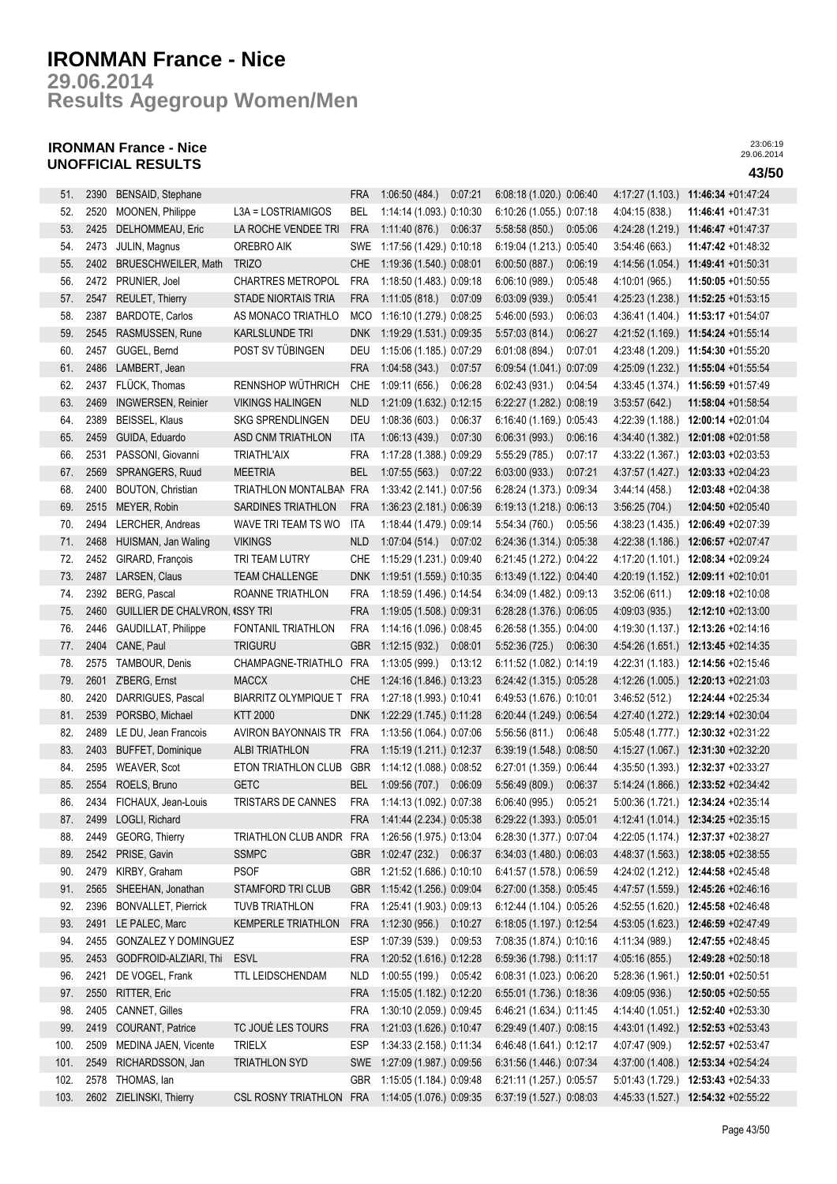**Results Agegroup Women/Men 29.06.2014**

## **IRONMAN France - Nice UNOFFICIAL RESULTS 43/50**

| 51.          | 2390 | BENSAID, Stephane              |                             | <b>FRA</b> | 1:06:50(484.)            | 0.07:21 | 6:08:18 (1.020.) 0:06:40 |         | 4:17:27 (1.103.) | 11:46:34 +01:47:24                  |
|--------------|------|--------------------------------|-----------------------------|------------|--------------------------|---------|--------------------------|---------|------------------|-------------------------------------|
| 52.          | 2520 | MOONEN, Philippe               | L3A = LOSTRIAMIGOS          | BEL        | 1:14:14 (1.093.) 0:10:30 |         | 6:10:26 (1.055.) 0:07:18 |         | 4:04:15 (838.)   | 11:46:41 +01:47:31                  |
| 53.          | 2425 | DELHOMMEAU, Eric               | LA ROCHE VENDEE TRI         | <b>FRA</b> | 1:11:40(876.)            | 0:06:37 | 5:58:58 (850.)           | 0:05:06 | 4:24:28 (1.219.) | 11:46:47 +01:47:37                  |
| 54.          | 2473 | JULIN, Magnus                  | OREBRO AIK                  | SWE        | 1:17:56 (1.429.) 0:10:18 |         | 6:19:04 (1.213.) 0:05:40 |         | 3:54:46 (663.)   | $11:47:42 +01:48:32$                |
| 55.          | 2402 | <b>BRUESCHWEILER, Math</b>     | <b>TRIZO</b>                | <b>CHE</b> | 1:19:36 (1.540.) 0:08:01 |         | 6:00:50(887.)            | 0:06:19 | 4:14:56 (1.054.) | 11:49:41 +01:50:31                  |
| 56.          | 2472 | PRUNIER, Joel                  | <b>CHARTRES METROPOL</b>    | FRA        | 1:18:50 (1.483.) 0:09:18 |         | 6:06:10(989)             | 0:05:48 | 4:10:01 (965.)   | 11:50:05 +01:50:55                  |
| 57.          | 2547 | REULET, Thierry                | <b>STADE NIORTAIS TRIA</b>  | <b>FRA</b> | 1:11:05 (818.) 0:07:09   |         | 6:03:09(939)             | 0:05:41 | 4:25:23 (1.238.) | 11:52:25 +01:53:15                  |
| 58.          | 2387 | <b>BARDOTE, Carlos</b>         | AS MONACO TRIATHLO          | <b>MCO</b> | 1:16:10 (1.279.) 0:08:25 |         | 5:46:00 (593.)           | 0:06:03 | 4:36:41 (1.404.) | 11:53:17 +01:54:07                  |
| 59.          | 2545 | RASMUSSEN, Rune                | KARLSLUNDE TRI              | <b>DNK</b> | 1:19:29 (1.531.) 0:09:35 |         | 5:57:03(814.)            | 0:06:27 | 4:21:52 (1.169.) | 11:54:24 +01:55:14                  |
| 60.          | 2457 | GUGEL, Bernd                   | POST SV TÜBINGEN            | DEU        | 1:15:06 (1.185.) 0:07:29 |         | 6:01:08(894.)            | 0:07:01 | 4:23:48 (1.209.) | 11:54:30 +01:55:20                  |
| 61.          | 2486 | LAMBERT, Jean                  |                             | <b>FRA</b> | 1:04:58(343)             | 0:07:57 | 6:09:54 (1.041.) 0:07:09 |         | 4:25:09 (1.232.) | 11:55:04 +01:55:54                  |
| 62.          | 2437 | FLÜCK, Thomas                  | RENNSHOP WÜTHRICH           | <b>CHE</b> | 1:09:11(656.)            | 0:06:28 | 6:02:43 (931.)           | 0:04:54 | 4:33:45 (1.374.) | 11:56:59 +01:57:49                  |
| 63.          | 2469 | <b>INGWERSEN, Reinier</b>      | <b>VIKINGS HALINGEN</b>     | <b>NLD</b> | 1:21:09 (1.632.) 0:12:15 |         | 6:22:27 (1.282.) 0:08:19 |         | 3:53:57(642)     | 11:58:04 +01:58:54                  |
| 64.          | 2389 | BEISSEL, Klaus                 | <b>SKG SPRENDLINGEN</b>     | DEU        | 1:08:36(603)             | 0:06:37 | 6:16:40 (1.169.) 0:05:43 |         | 4:22:39 (1.188.) | 12:00:14 +02:01:04                  |
| 65.          | 2459 | GUIDA, Eduardo                 | ASD CNM TRIATHLON           | ITA        | 1:06:13(439)             | 0:07:30 | 6:06:31(993)             | 0:06:16 | 4:34:40 (1.382.) | 12:01:08 +02:01:58                  |
| 66.          | 2531 | PASSONI, Giovanni              | <b>TRIATHL'AIX</b>          | <b>FRA</b> | 1:17:28 (1.388.) 0:09:29 |         | 5:55:29(785)             | 0:07:17 | 4:33:22 (1.367.) | $12:03:03 +02:03:53$                |
| 67.          | 2569 | SPRANGERS, Ruud                | <b>MEETRIA</b>              | <b>BEL</b> | 1:07:55(563)             | 0:07:22 | 6:03:00(933.)            | 0:07:21 | 4:37:57 (1.427.) | 12:03:33 +02:04:23                  |
| 68.          | 2400 | <b>BOUTON, Christian</b>       | TRIATHLON MONTALBAN         | FRA        | 1:33:42 (2.141.) 0:07:56 |         | 6:28:24 (1.373.) 0:09:34 |         | 3.44:14(458.)    | 12:03:48 +02:04:38                  |
| 69.          | 2515 | MEYER, Robin                   | SARDINES TRIATHLON          | <b>FRA</b> | 1:36:23 (2.181.) 0:06:39 |         | 6:19:13 (1.218.) 0:06:13 |         | 3:56:25(704.)    | 12:04:50 +02:05:40                  |
| 70.          | 2494 | LERCHER, Andreas               | WAVE TRI TEAM TS WO         | ITA        | 1:18:44 (1.479.) 0:09:14 |         | 5:54:34(760.)            | 0:05:56 | 4:38:23 (1.435.) | 12:06:49 +02:07:39                  |
| 71.          | 2468 | HUISMAN, Jan Waling            | <b>VIKINGS</b>              | <b>NLD</b> | 1:07:04 (514.) 0:07:02   |         | 6.24:36 (1.314.) 0.05:38 |         | 4:22:38 (1.186.) | 12:06:57 +02:07:47                  |
| 72.          | 2452 | GIRARD, François               | TRI TEAM LUTRY              | <b>CHE</b> | 1:15:29 (1.231.) 0:09:40 |         | 6:21:45 (1.272.) 0:04:22 |         | 4:17:20 (1.101.) | 12:08:34 +02:09:24                  |
| 73.          | 2487 | LARSEN, Claus                  | <b>TEAM CHALLENGE</b>       | <b>DNK</b> | 1:19:51 (1.559.) 0:10:35 |         | 6:13:49 (1.122.) 0:04:40 |         | 4:20:19 (1.152.) | 12:09:11 +02:10:01                  |
| 74.          | 2392 | BERG, Pascal                   | ROANNE TRIATHLON            | <b>FRA</b> | 1:18:59 (1.496.) 0:14:54 |         | 6:34:09 (1.482.) 0:09:13 |         | 3:52:06(611)     | 12:09:18 +02:10:08                  |
| 75.          | 2460 | GUILLIER DE CHALVRON, ISSY TRI |                             | <b>FRA</b> | 1:19:05 (1.508.) 0:09:31 |         | 6:28:28 (1.376.) 0:06:05 |         | 4:09:03 (935.)   | 12:12:10 +02:13:00                  |
| 76.          | 2446 | GAUDILLAT, Philippe            | FONTANIL TRIATHLON          | <b>FRA</b> | 1:14:16 (1.096.) 0:08:45 |         | 6:26:58 (1.355.) 0:04:00 |         | 4:19:30 (1.137.) | 12:13:26 +02:14:16                  |
| 77.          | 2404 | CANE, Paul                     | <b>TRIGURU</b>              | <b>GBR</b> | 1:12:15(932)             | 0:08:01 | 5:52:36 (725.)           | 0:06:30 | 4:54:26 (1.651.) | 12:13:45 +02:14:35                  |
| 78.          | 2575 | TAMBOUR, Denis                 | CHAMPAGNE-TRIATHLO          | <b>FRA</b> | 1:13:05 (999.)           | 0:13:12 | 6:11:52 (1.082.) 0:14:19 |         | 4:22:31 (1.183.) | 12:14:56 +02:15:46                  |
| 79.          | 2601 | Z'BERG, Ernst                  | <b>MACCX</b>                | CHE        | 1:24:16 (1.846.) 0:13:23 |         | 6:24:42 (1.315.) 0:05:28 |         | 4:12:26 (1.005.) | 12:20:13 +02:21:03                  |
| 80.          | 2420 | DARRIGUES, Pascal              | <b>BIARRITZ OLYMPIQUE T</b> | FRA        | 1:27:18 (1.993.) 0:10:41 |         | 6:49:53 (1.676.) 0:10:01 |         | 3:46:52 (512.)   | 12:24:44 +02:25:34                  |
| 81.          | 2539 | PORSBO, Michael                | <b>KTT 2000</b>             | <b>DNK</b> | 1:22:29 (1.745.) 0:11:28 |         | 6:20:44 (1.249.) 0:06:54 |         | 4:27:40 (1.272.) | 12:29:14 +02:30:04                  |
| 82.          | 2489 | LE DU, Jean Francois           | AVIRON BAYONNAIS TR         | <b>FRA</b> | 1:13:56 (1.064.) 0:07:06 |         | 5:56:56(811)             | 0:06:48 | 5:05:48 (1.777.) | 12:30:32 +02:31:22                  |
| 83.          | 2403 | <b>BUFFET, Dominique</b>       | <b>ALBI TRIATHLON</b>       | FRA        | 1:15:19 (1.211.) 0:12:37 |         | 6:39:19 (1.548.) 0:08:50 |         | 4:15:27 (1.067.) | 12:31:30 +02:32:20                  |
| 84.          | 2595 | <b>WEAVER, Scot</b>            | ETON TRIATHLON CLUB         | GBR        | 1:14:12 (1.088.) 0:08:52 |         | 6:27:01 (1.359.) 0:06:44 |         | 4:35:50 (1.393.) | 12:32:37 +02:33:27                  |
| 85.          | 2554 | ROELS, Bruno                   | <b>GETC</b>                 | BEL        | 1:09:56(707.)            | 0:06:09 | 5:56:49 (809.)           | 0:06:37 | 5:14:24 (1.866.) | 12:33:52 +02:34:42                  |
| 86.          | 2434 | FICHAUX, Jean-Louis            | <b>TRISTARS DE CANNES</b>   | <b>FRA</b> | 1:14:13 (1.092.) 0:07:38 |         | 6:06:40(995.)            | 0:05:21 | 5:00:36 (1.721.) | 12:34:24 +02:35:14                  |
| 87.          |      | 2499 LOGLI, Richard            |                             | FRA        | 1:41:44 (2.234.) 0:05:38 |         | 6:29:22 (1.393.) 0:05:01 |         |                  | 4:12:41 (1.014.) 12:34:25 +02:35:15 |
| 88.          | 2449 | GEORG, Thierry                 | TRIATHLON CLUB ANDR FRA     |            | 1:26:56 (1.975.) 0:13:04 |         | 6:28:30 (1.377.) 0:07:04 |         |                  | 4:22:05 (1.174.) 12:37:37 +02:38:27 |
| 89.          | 2542 | PRISE, Gavin                   | <b>SSMPC</b>                | <b>GBR</b> | 1:02:47 (232.) 0:06:37   |         | 6:34:03 (1.480.) 0:06:03 |         |                  | 4:48:37 (1.563.) 12:38:05 +02:38:55 |
| 90.          | 2479 | KIRBY, Graham                  | <b>PSOF</b>                 | GBR 1      | 1:21:52 (1.686.) 0:10:10 |         | 6:41:57 (1.578.) 0:06:59 |         |                  | 4:24:02 (1.212.) 12:44:58 +02:45:48 |
| 91.          | 2565 | SHEEHAN, Jonathan              | <b>STAMFORD TRI CLUB</b>    | <b>GBR</b> | 1:15:42 (1.256.) 0:09:04 |         | 6:27:00 (1.358.) 0:05:45 |         |                  | 4:47:57 (1.559.) 12:45:26 +02:46:16 |
| 92.          | 2396 | <b>BONVALLET, Pierrick</b>     | <b>TUVB TRIATHLON</b>       | <b>FRA</b> | 1:25:41 (1.903.) 0.09:13 |         | 6:12:44 (1.104.) 0:05:26 |         |                  | 4:52:55 (1.620.) 12:45:58 +02:46:48 |
| 93.          | 2491 | LE PALEC, Marc                 | <b>KEMPERLE TRIATHLON</b>   | <b>FRA</b> | 1:12:30 (956.) 0:10:27   |         | 6:18:05 (1.197.) 0:12:54 |         | 4:53:05 (1.623.) | 12:46:59 +02:47:49                  |
| 94.          | 2455 | <b>GONZALEZ Y DOMINGUEZ</b>    |                             | <b>ESP</b> | 1:07:39 (539.) 0:09:53   |         | 7:08:35 (1.874.) 0:10:16 |         | 4:11:34 (989.)   | 12:47:55 +02:48:45                  |
| 95.          | 2453 | GODFROID-ALZIARI, Thi ESVL     |                             | <b>FRA</b> | 1:20:52 (1.616.) 0:12:28 |         | 6:59:36 (1.798.) 0:11:17 |         | 4:05:16 (855.)   | 12:49:28 +02:50:18                  |
| 96.          | 2421 | DE VOGEL, Frank                | TTL LEIDSCHENDAM            | NLD        | 1:00:55 (199.) 0:05:42   |         | 6:08:31 (1.023.) 0:06:20 |         | 5:28:36 (1.961.) | 12:50:01 +02:50:51                  |
| 97.          | 2550 | RITTER, Eric                   |                             | FRA        | 1:15:05 (1.182.) 0:12:20 |         | 6:55:01 (1.736.) 0:18:36 |         | 4:09:05 (936.)   | 12:50:05 +02:50:55                  |
| 98.          | 2405 | CANNET, Gilles                 |                             | <b>FRA</b> | 1:30:10 (2.059.) 0:09:45 |         | 6:46:21 (1.634.) 0:11:45 |         | 4:14:40 (1.051.) | 12:52:40 +02:53:30                  |
| 99.          | 2419 | <b>COURANT, Patrice</b>        | TC JOUÉ LES TOURS           | FRA        | 1:21:03 (1.626.) 0:10:47 |         | 6:29:49 (1.407.) 0:08:15 |         | 4.43.01 (1.492.) | 12:52:53 +02:53:43                  |
| 100.         | 2509 | MEDINA JAEN, Vicente           | <b>TRIELX</b>               | ESP        | 1:34:33 (2.158.) 0:11:34 |         | 6:46:48 (1.641.) 0:12:17 |         | 4:07:47 (909.)   | 12:52:57 +02:53:47                  |
| 101.         | 2549 | RICHARDSSON, Jan               | <b>TRIATHLON SYD</b>        | SWE        | 1:27:09 (1.987.) 0:09:56 |         | 6:31:56 (1.446.) 0:07:34 |         | 4:37:00 (1.408.) | 12:53:34 +02:54:24                  |
|              | 2578 | THOMAS, lan                    |                             | <b>GBR</b> | 1:15:05 (1.184.) 0:09:48 |         |                          |         |                  | 12:53:43 +02:54:33                  |
| 102.<br>103. | 2602 |                                | CSL ROSNY TRIATHLON FRA     |            |                          |         | 6:21:11 (1.257.) 0:05:57 |         | 5:01:43 (1.729.) | 12:54:32 +02:55:22                  |
|              |      | ZIELINSKI, Thierry             |                             |            | 1:14:05 (1.076.) 0:09:35 |         | 6:37:19 (1.527.) 0:08:03 |         | 4:45:33 (1.527.) |                                     |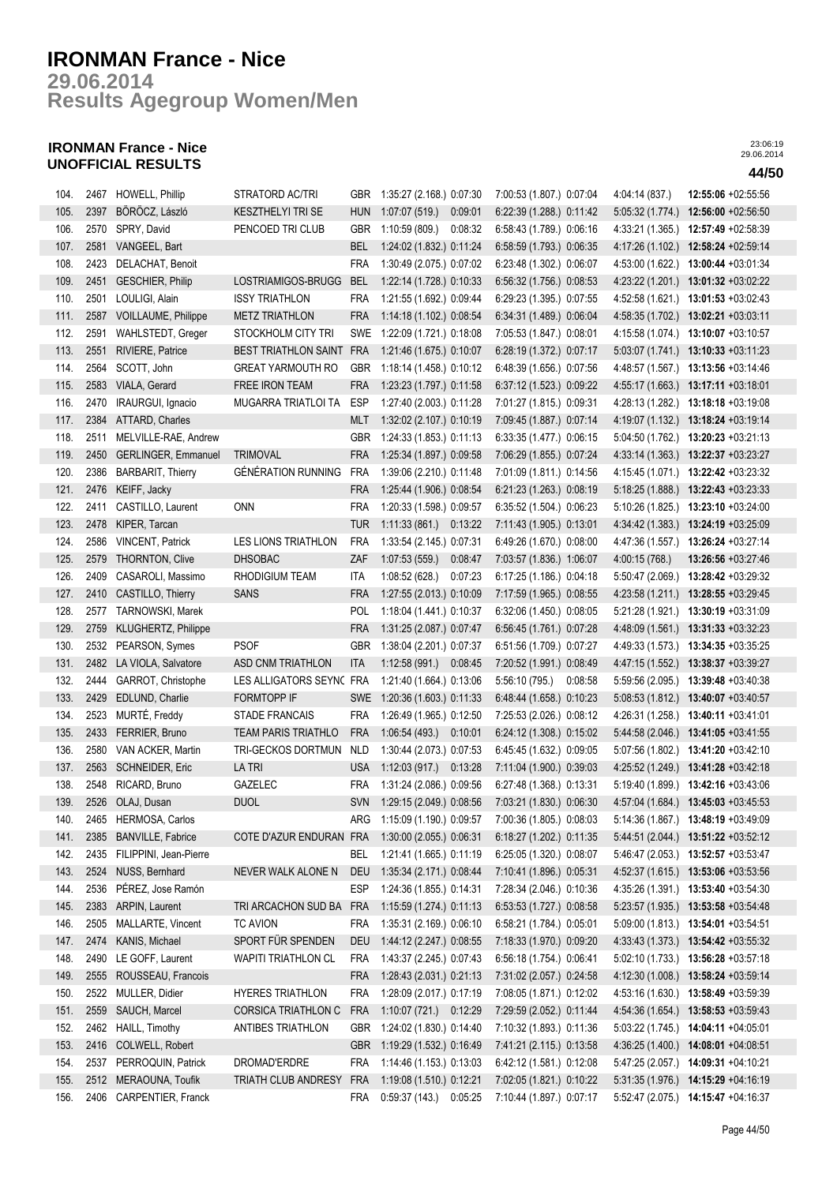## **Results Agegroup Women/Men 29.06.2014**

## **IRONMAN France - Nice UNOFFICIAL RESULTS 44/50**

| 104. |      | 2467 HOWELL, Phillip        | STRATORD AC/TRI             |            | GBR 1:35:27 (2.168.) 0:07:30 |         | 7:00:53 (1.807.) 0:07:04 |         | 4:04:14 (837.)   | 12:55:06 +02:55:56                                                                        |
|------|------|-----------------------------|-----------------------------|------------|------------------------------|---------|--------------------------|---------|------------------|-------------------------------------------------------------------------------------------|
| 105. | 2397 | BÖRÖCZ, László              | <b>KESZTHELYI TRI SE</b>    | <b>HUN</b> | 1:07:07 (519.) 0:09:01       |         | 6:22:39 (1.288.) 0:11:42 |         | 5:05:32 (1.774.) | 12:56:00 +02:56:50                                                                        |
| 106. |      | 2570 SPRY, David            | PENCOED TRI CLUB            | GBR        | 1:10:59 (809.)               | 0:08:32 | 6:58:43 (1.789.) 0:06:16 |         |                  | 4:33:21 (1.365.) 12:57:49 +02:58:39                                                       |
| 107. | 2581 | VANGEEL, Bart               |                             | BEL        | 1:24:02 (1.832.) 0:11:24     |         | 6:58:59 (1.793.) 0:06:35 |         | 4:17:26 (1.102.) | 12:58:24 +02:59:14                                                                        |
| 108. | 2423 | DELACHAT, Benoit            |                             | <b>FRA</b> | 1:30:49 (2.075.) 0:07:02     |         | 6:23:48 (1.302.) 0:06:07 |         | 4:53:00 (1.622.) | 13:00:44 +03:01:34                                                                        |
| 109. | 2451 | <b>GESCHIER, Philip</b>     | LOSTRIAMIGOS-BRUGG          | <b>BEL</b> | 1:22:14 (1.728.) 0:10:33     |         | 6:56:32 (1.756.) 0:08:53 |         |                  | 4:23:22 (1.201.) 13:01:32 +03:02:22                                                       |
| 110. | 2501 | LOULIGI, Alain              | <b>ISSY TRIATHLON</b>       | <b>FRA</b> | 1:21:55 (1.692.) 0:09:44     |         | 6:29:23 (1.395.) 0:07:55 |         |                  | 4:52:58 (1.621.) 13:01:53 +03:02:43                                                       |
| 111. | 2587 | VOILLAUME, Philippe         | <b>METZ TRIATHLON</b>       | <b>FRA</b> | 1:14:18 (1.102.) 0:08:54     |         | 6:34:31 (1.489.) 0:06:04 |         |                  | 4:58:35 (1.702.) 13:02:21 +03:03:11                                                       |
| 112. | 2591 | WAHLSTEDT, Greger           | STOCKHOLM CITY TRI          | <b>SWE</b> | 1:22:09 (1.721.) 0:18:08     |         | 7:05:53 (1.847.) 0:08:01 |         |                  | 4:15:58 (1.074.) 13:10:07 +03:10:57                                                       |
| 113. | 2551 | RIVIERE, Patrice            | <b>BEST TRIATHLON SAINT</b> | <b>FRA</b> | 1:21:46 (1.675.) 0:10:07     |         | 6:28:19 (1.372.) 0:07:17 |         |                  | 5:03:07 (1.741.) 13:10:33 +03:11:23                                                       |
| 114. | 2564 | SCOTT, John                 | <b>GREAT YARMOUTH RO</b>    | <b>GBR</b> | 1:18:14 (1.458.) 0:10:12     |         | 6:48:39 (1.656.) 0:07:56 |         | 4:48:57 (1.567.) | 13:13:56 +03:14:46                                                                        |
| 115. | 2583 | VIALA, Gerard               | FREE IRON TEAM              | <b>FRA</b> | 1:23:23 (1.797.) 0:11:58     |         | 6:37:12 (1.523.) 0:09:22 |         | 4:55:17 (1.663.) | 13:17:11 +03:18:01                                                                        |
| 116. | 2470 | IRAURGUI, Ignacio           | MUGARRA TRIATLOI TA         | ESP        | 1:27:40 (2.003.) 0:11:28     |         | 7:01:27 (1.815.) 0:09:31 |         | 4:28:13 (1.282.) | 13:18:18 +03:19:08                                                                        |
| 117. |      | 2384 ATTARD, Charles        |                             | <b>MLT</b> | 1:32:02 (2.107.) 0:10:19     |         | 7:09:45 (1.887.) 0:07:14 |         |                  | 4:19:07 (1.132.) 13:18:24 +03:19:14                                                       |
| 118. | 2511 | MELVILLE-RAE, Andrew        |                             | GBR        | 1:24:33 (1.853.) 0:11:13     |         | 6:33:35 (1.477.) 0:06:15 |         | 5:04:50 (1.762.) | 13:20:23 +03:21:13                                                                        |
| 119. | 2450 | <b>GERLINGER, Emmanuel</b>  | <b>TRIMOVAL</b>             | <b>FRA</b> | 1:25:34 (1.897.) 0:09:58     |         | 7:06:29 (1.855.) 0:07:24 |         |                  | 4:33:14 (1.363.) 13:22:37 +03:23:27                                                       |
| 120. | 2386 | <b>BARBARIT, Thierry</b>    | GÉNÉRATION RUNNING          | FRA        | 1:39:06 (2.210.) 0:11:48     |         | 7:01:09 (1.811.) 0:14:56 |         |                  | 4:15:45 (1.071.) 13:22:42 +03:23:32                                                       |
| 121. | 2476 | KEIFF, Jacky                |                             | <b>FRA</b> | 1:25:44 (1.906.) 0:08:54     |         | 6.21.23 (1.263.) 0.08:19 |         |                  | 5:18:25 (1.888.) 13:22:43 +03:23:33                                                       |
| 122. | 2411 | CASTILLO, Laurent           | <b>ONN</b>                  | <b>FRA</b> | 1:20:33 (1.598.) 0:09:57     |         | 6:35:52 (1.504.) 0:06:23 |         |                  | 5:10:26 (1.825.) 13:23:10 +03:24:00                                                       |
| 123. | 2478 | KIPER, Tarcan               |                             | <b>TUR</b> | $1:11:33(861)$ 0:13:22       |         | 7:11:43 (1.905.) 0:13:01 |         | 4:34:42 (1.383.) | 13:24:19 +03:25:09                                                                        |
| 124. | 2586 | <b>VINCENT, Patrick</b>     | LES LIONS TRIATHLON         | <b>FRA</b> | 1:33:54 (2.145.) 0:07:31     |         | 6:49:26 (1.670.) 0:08:00 |         | 4:47:36 (1.557.) | 13:26:24 +03:27:14                                                                        |
| 125. | 2579 | <b>THORNTON, Clive</b>      | <b>DHSOBAC</b>              | ZAF        | 1:07:53(559)                 | 0:08:47 | 7:03:57 (1.836.) 1:06:07 |         | 4:00:15 (768.)   | 13:26:56 +03:27:46                                                                        |
| 126. | 2409 | CASAROLI, Massimo           | RHODIGIUM TEAM              | ITA        | 1:08:52 (628.)               | 0:07:23 | 6:17:25 (1.186.) 0:04:18 |         | 5:50:47 (2.069.) | 13:28:42 +03:29:32                                                                        |
| 127. | 2410 | CASTILLO, Thierry           | <b>SANS</b>                 | <b>FRA</b> | 1:27:55 (2.013.) 0:10:09     |         | 7:17:59 (1.965.) 0:08:55 |         |                  | 4:23:58 (1.211.) 13:28:55 +03:29:45                                                       |
| 128. | 2577 | TARNOWSKI, Marek            |                             | <b>POL</b> | 1:18:04 (1.441.) 0:10:37     |         | 6:32:06 (1.450.) 0:08:05 |         |                  | 5:21:28 (1.921.) 13:30:19 +03:31:09                                                       |
| 129. | 2759 | <b>KLUGHERTZ, Philippe</b>  |                             | <b>FRA</b> | 1:31:25 (2.087.) 0:07:47     |         | 6:56:45 (1.761.) 0:07:28 |         |                  | 4:48:09 (1.561.) 13:31:33 +03:32:23                                                       |
| 130. | 2532 | PEARSON, Symes              | <b>PSOF</b>                 | <b>GBR</b> | 1:38:04 (2.201.) 0:07:37     |         | 6:51:56 (1.709.) 0:07:27 |         | 4:49:33 (1.573.) | 13:34:35 +03:35:25                                                                        |
| 131. | 2482 | LA VIOLA, Salvatore         | ASD CNM TRIATHLON           | ITA        | 1:12:58 (991.) 0:08:45       |         | 7:20:52 (1.991.) 0:08:49 |         | 4:47:15 (1.552.) | 13:38:37 +03:39:27                                                                        |
| 132. | 2444 | GARROT, Christophe          | LES ALLIGATORS SEYN( FRA    |            | 1:21:40 (1.664.) 0:13:06     |         | 5:56:10 (795.)           | 0:08:58 | 5:59:56 (2.095.) | 13:39:48 +03:40:38                                                                        |
| 133. | 2429 | EDLUND, Charlie             | FORMTOPP IF                 | SWE        | 1:20:36 (1.603.) 0:11:33     |         | 6:48:44 (1.658.) 0:10:23 |         | 5:08:53(1.812.)  | 13:40:07 +03:40:57                                                                        |
| 134. | 2523 | MURTÉ, Freddy               | <b>STADE FRANCAIS</b>       | <b>FRA</b> | 1:26:49 (1.965.) 0:12:50     |         | 7:25:53 (2.026.) 0:08:12 |         | 4:26:31 (1.258.) | 13:40:11 +03:41:01                                                                        |
| 135. | 2433 | FERRIER, Bruno              | <b>TEAM PARIS TRIATHLO</b>  | <b>FRA</b> | 1:06:54 (493.) 0:10:01       |         | 6:24:12 (1.308.) 0:15:02 |         |                  | 5:44:58 (2.046.) 13:41:05 +03:41:55                                                       |
| 136. | 2580 | VAN ACKER, Martin           | TRI-GECKOS DORTMUN          | <b>NLD</b> | 1:30:44 (2.073.) 0:07:53     |         | 6:45:45 (1.632.) 0:09:05 |         |                  | 5:07:56 (1.802.) 13:41:20 +03:42:10                                                       |
| 137. | 2563 | <b>SCHNEIDER, Eric</b>      | <b>LATRI</b>                | <b>USA</b> | 1:12:03 (917.) 0:13:28       |         | 7:11:04 (1.900.) 0:39:03 |         |                  | 4:25:52 (1.249.) 13:41:28 +03:42:18                                                       |
| 138. |      | 2548 RICARD, Bruno          | GAZELEC                     | FRA        | 1:31:24 (2.086.) 0:09:56     |         | 6:27:48 (1.368.) 0:13:31 |         |                  | 5:19:40 (1.899.) 13:42:16 +03:43:06                                                       |
| 139. |      | 2526 OLAJ, Dusan            | <b>DUOL</b>                 |            | SVN 1:29:15 (2.049.) 0:08:56 |         | 7:03:21 (1.830.) 0:06:30 |         |                  | 4:57:04 (1.684.) 13:45:03 +03:45:53                                                       |
| 140. |      | 2465 HERMOSA, Carlos        |                             |            |                              |         |                          |         |                  | ARG 1:15:09 (1.190.) 0:09:57 7:00:36 (1.805.) 0:08:03 5:14:36 (1.867.) 13:48:19 +03:49:09 |
| 141. | 2385 | <b>BANVILLE, Fabrice</b>    | COTE D'AZUR ENDURAN FRA     |            | 1:30:00 (2.055.) 0:06:31     |         | 6:18:27 (1.202.) 0:11:35 |         |                  | $5:44:51(2.044.)$ 13:51:22 +03:52:12                                                      |
| 142. |      | 2435 FILIPPINI, Jean-Pierre |                             | <b>BEL</b> | 1:21:41 (1.665.) 0:11:19     |         | 6:25:05 (1.320.) 0:08:07 |         |                  | 5:46:47 (2.053.) 13:52:57 +03:53:47                                                       |
| 143. | 2524 | NUSS, Bernhard              | NEVER WALK ALONE N          | <b>DEU</b> | 1:35:34 (2.171.) 0:08:44     |         | 7:10:41 (1.896.) 0:05:31 |         |                  | 4:52:37 (1.615.) 13:53:06 +03:53:56                                                       |
| 144. | 2536 | PÉREZ, Jose Ramón           |                             | <b>ESP</b> | 1:24:36 (1.855.) 0:14:31     |         | 7:28:34 (2.046.) 0:10:36 |         |                  | $4:35:26(1.391.)$ 13:53:40 +03:54:30                                                      |
| 145. | 2383 | ARPIN, Laurent              | TRI ARCACHON SUD BA         | <b>FRA</b> | 1:15:59 (1.274.) 0:11:13     |         | 6:53:53 (1.727.) 0:08:58 |         | 5:23:57 (1.935.) | 13:53:58 +03:54:48                                                                        |
| 146. | 2505 | MALLARTE, Vincent           | <b>TC AVION</b>             | <b>FRA</b> | 1:35:31 (2.169.) 0:06:10     |         | 6:58:21 (1.784.) 0:05:01 |         |                  | 5:09:00 (1.813.) 13:54:01 +03:54:51                                                       |
| 147. | 2474 | KANIS, Michael              | SPORT FÜR SPENDEN           | <b>DEU</b> | 1:44:12 (2.247.) 0:08:55     |         | 7:18:33 (1.970.) 0:09:20 |         |                  | 4:33:43 (1.373.) 13:54:42 +03:55:32                                                       |
| 148. | 2490 | LE GOFF, Laurent            | <b>WAPITI TRIATHLON CL</b>  | <b>FRA</b> | 1:43:37 (2.245.) 0:07:43     |         | 6.56.18 (1.754.) 0.06:41 |         | 5.02:10(1.733)   | 13:56:28 +03:57:18                                                                        |
| 149. | 2555 | ROUSSEAU, Francois          |                             | <b>FRA</b> | 1:28:43 (2.031.) 0:21:13     |         | 7:31:02 (2.057.) 0:24:58 |         | 4:12:30 (1.008.) | 13:58:24 +03:59:14                                                                        |
| 150. | 2522 | MULLER, Didier              | HYERES TRIATHLON            | <b>FRA</b> | 1:28:09 (2.017.) 0:17:19     |         | 7:08:05 (1.871.) 0:12:02 |         | 4:53:16 (1.630.) | 13:58:49 +03:59:39                                                                        |
| 151. | 2559 | SAUCH, Marcel               | CORSICA TRIATHLON C         | <b>FRA</b> | 1:10:07 (721.) 0:12:29       |         | 7:29:59 (2.052.) 0:11:44 |         | 4:54:36(1.654)   | 13:58:53 +03:59:43                                                                        |
| 152. | 2462 | HAILL, Timothy              | ANTIBES TRIATHLON           | <b>GBR</b> | 1:24:02 (1.830.) 0:14:40     |         | 7:10:32 (1.893.) 0:11:36 |         |                  | 5:03:22 (1.745.) 14:04:11 +04:05:01                                                       |
| 153. | 2416 | COLWELL, Robert             |                             | <b>GBR</b> | 1:19:29 (1.532.) 0:16:49     |         | 7:41:21 (2.115.) 0:13:58 |         |                  | 4:36:25 (1.400.) 14:08:01 +04:08:51                                                       |
| 154. | 2537 | PERROQUIN, Patrick          | DROMAD'ERDRE                | <b>FRA</b> | 1:14:46 (1.153.) 0:13:03     |         | 6:42:12 (1.581.) 0:12:08 |         |                  | 5:47:25 (2.057.) 14:09:31 +04:10:21                                                       |
| 155. |      | 2512 MERAOUNA, Toufik       | TRIATH CLUB ANDRESY         | <b>FRA</b> | 1:19:08 (1.510.) 0:12:21     |         | 7:02:05 (1.821.) 0:10:22 |         |                  | 5:31:35 (1.976.) 14:15:29 +04:16:19                                                       |
| 156. |      | 2406 CARPENTIER, Franck     |                             | <b>FRA</b> | 0:59:37 (143.) 0:05:25       |         | 7:10:44 (1.897.) 0:07:17 |         |                  | 5:52:47 (2.075.) 14:15:47 +04:16:37                                                       |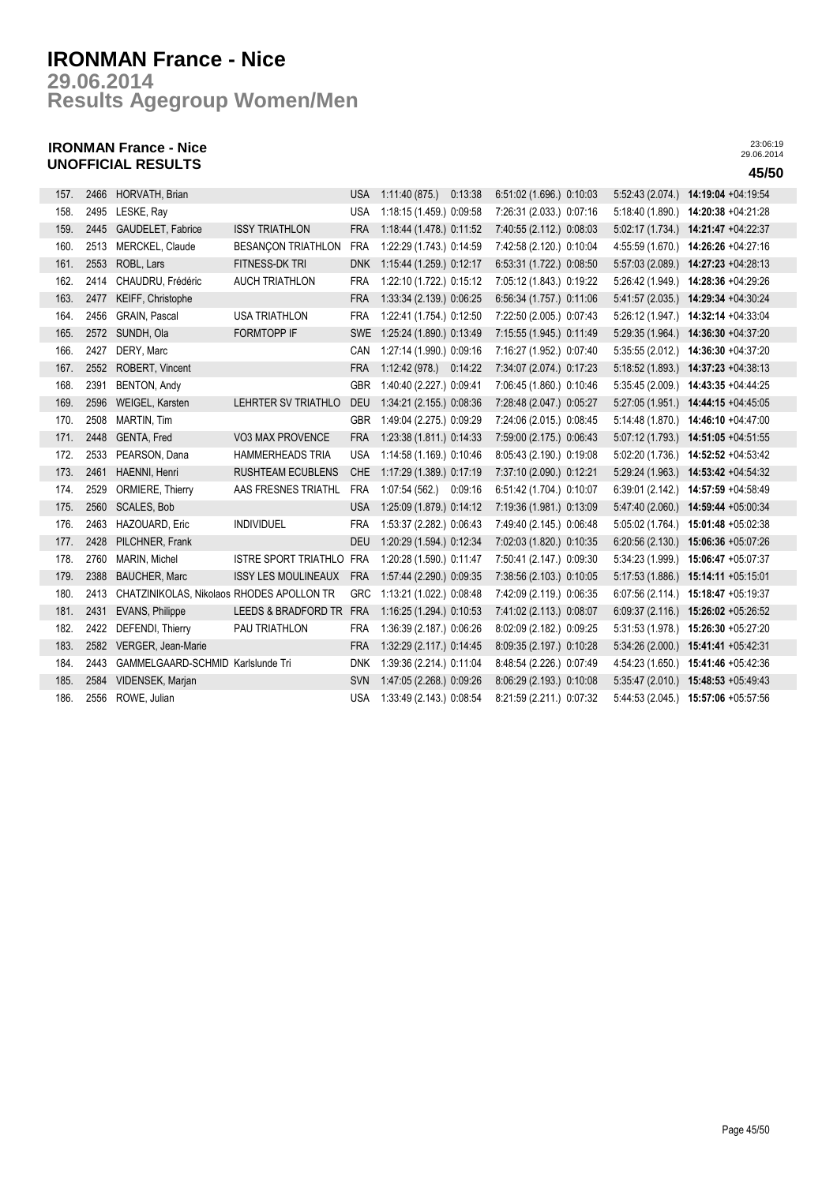**Results Agegroup Women/Men 29.06.2014**

## **IRONMAN France - Nice UNOFFICIAL RESULTS 45/50**

| 157. | 2466 | HORVATH, Brian                            |                             | <b>USA</b> | 1:11:40 (875.) 0:13:38   |         | 6:51:02 (1.696.) 0:10:03 | 5.52.43(2.074.)  | 14:19:04 +04:19:54 |
|------|------|-------------------------------------------|-----------------------------|------------|--------------------------|---------|--------------------------|------------------|--------------------|
| 158. | 2495 | LESKE, Ray                                |                             | <b>USA</b> | 1:18:15 (1.459.) 0:09:58 |         | 7:26:31 (2.033.) 0:07:16 | 5:18:40 (1.890.) | 14:20:38 +04:21:28 |
| 159. | 2445 | GAUDELET, Fabrice                         | <b>ISSY TRIATHLON</b>       | <b>FRA</b> | 1:18:44 (1.478.) 0:11:52 |         | 7:40:55 (2.112.) 0:08:03 | 5:02:17(1.734.)  | 14:21:47 +04:22:37 |
| 160. | 2513 | <b>MERCKEL, Claude</b>                    | <b>BESANCON TRIATHLON</b>   | <b>FRA</b> | 1:22:29 (1.743.) 0:14:59 |         | 7:42:58 (2.120.) 0:10:04 | 4:55:59 (1.670.) | 14:26:26 +04:27:16 |
| 161. | 2553 | ROBL, Lars                                | FITNESS-DK TRI              | <b>DNK</b> | 1:15:44 (1.259.) 0:12:17 |         | 6:53:31 (1.722.) 0:08:50 | 5:57:03 (2.089.) | 14:27:23 +04:28:13 |
| 162. | 2414 | CHAUDRU, Frédéric                         | <b>AUCH TRIATHLON</b>       | <b>FRA</b> | 1:22:10 (1.722.) 0:15:12 |         | 7:05:12 (1.843.) 0:19:22 | 5:26:42 (1.949.) | 14:28:36 +04:29:26 |
| 163. | 2477 | KEIFF, Christophe                         |                             | <b>FRA</b> | 1:33:34 (2.139.) 0:06:25 |         | 6:56:34 (1.757.) 0:11:06 | 5:41:57 (2.035.) | 14:29:34 +04:30:24 |
| 164. | 2456 | <b>GRAIN, Pascal</b>                      | <b>USA TRIATHLON</b>        | <b>FRA</b> | 1:22:41 (1.754.) 0:12:50 |         | 7:22:50 (2.005.) 0:07:43 | 5:26:12 (1.947.) | 14:32:14 +04:33:04 |
| 165. | 2572 | SUNDH, Ola                                | <b>FORMTOPP IF</b>          | <b>SWE</b> | 1:25:24 (1.890.) 0:13:49 |         | 7:15:55 (1.945.) 0:11:49 | 5:29:35 (1.964.) | 14:36:30 +04:37:20 |
| 166. | 2427 | DERY, Marc                                |                             | CAN        | 1:27:14 (1.990.) 0:09:16 |         | 7:16:27 (1.952.) 0:07:40 | 5:35:55(2.012.)  | 14:36:30 +04:37:20 |
| 167. | 2552 | ROBERT, Vincent                           |                             | <b>FRA</b> | 1:12:42 (978.) 0:14:22   |         | 7:34:07 (2.074.) 0:17:23 | 5:18:52 (1.893.) | 14:37:23 +04:38:13 |
| 168. | 2391 | BENTON, Andy                              |                             | <b>GBR</b> | 1:40:40 (2.227.) 0:09:41 |         | 7:06:45 (1.860.) 0:10:46 | 5:35:45(2.009.)  | 14:43:35 +04:44:25 |
| 169. | 2596 | WEIGEL, Karsten                           | LEHRTER SV TRIATHLO         | <b>DEU</b> | 1:34:21 (2.155.) 0:08:36 |         | 7:28:48 (2.047.) 0:05:27 | 5:27:05 (1.951.) | 14:44:15 +04:45:05 |
| 170. | 2508 | <b>MARTIN, Tim</b>                        |                             | <b>GBR</b> | 1:49:04 (2.275.) 0:09:29 |         | 7:24:06 (2.015.) 0:08:45 | 5:14:48 (1.870.) | 14:46:10 +04:47:00 |
| 171. | 2448 | GENTA, Fred                               | VO3 MAX PROVENCE            | <b>FRA</b> | 1:23:38 (1.811.) 0:14:33 |         | 7:59:00 (2.175.) 0:06:43 | 5:07:12 (1.793.) | 14:51:05 +04:51:55 |
| 172. | 2533 | PEARSON, Dana                             | <b>HAMMERHEADS TRIA</b>     | <b>USA</b> | 1:14:58 (1.169.) 0:10:46 |         | 8:05:43 (2.190.) 0:19:08 | 5:02:20 (1.736.) | 14:52:52 +04:53:42 |
| 173. | 2461 | HAENNI, Henri                             | <b>RUSHTEAM ECUBLENS</b>    | <b>CHE</b> | 1:17:29 (1.389.) 0:17:19 |         | 7:37:10 (2.090.) 0:12:21 | 5:29:24 (1.963.) | 14:53:42 +04:54:32 |
| 174. | 2529 | ORMIERE, Thierry                          | AAS FRESNES TRIATHL         | <b>FRA</b> | 1:07:54(562)             | 0:09:16 | 6:51:42 (1.704.) 0:10:07 | 6:39:01 (2.142.) | 14:57:59 +04:58:49 |
| 175. | 2560 | <b>SCALES, Bob</b>                        |                             | <b>USA</b> | 1:25:09 (1.879.) 0:14:12 |         | 7:19:36 (1.981.) 0:13:09 | 5:47:40 (2.060.) | 14:59:44 +05:00:34 |
| 176. | 2463 | HAZOUARD, Eric                            | <b>INDIVIDUEL</b>           | <b>FRA</b> | 1:53:37 (2.282.) 0:06:43 |         | 7:49:40 (2.145.) 0:06:48 | 5:05:02 (1.764.) | 15:01:48 +05:02:38 |
| 177. | 2428 | PILCHNER, Frank                           |                             | <b>DEU</b> | 1:20:29 (1.594.) 0:12:34 |         | 7:02:03 (1.820.) 0:10:35 | 6:20:56(2.130.)  | 15:06:36 +05:07:26 |
| 178. | 2760 | <b>MARIN, Michel</b>                      | <b>ISTRE SPORT TRIATHLO</b> | <b>FRA</b> | 1:20:28 (1.590.) 0:11:47 |         | 7:50:41 (2.147.) 0:09:30 | 5:34:23 (1.999.) | 15:06:47 +05:07:37 |
| 179. | 2388 | <b>BAUCHER, Marc</b>                      | <b>ISSY LES MOULINEAUX</b>  | <b>FRA</b> | 1:57:44 (2.290.) 0:09:35 |         | 7:38:56 (2.103.) 0:10:05 | 5:17:53 (1.886.) | 15:14:11 +05:15:01 |
| 180. | 2413 | CHATZINIKOLAS, Nikolaos RHODES APOLLON TR |                             | <b>GRC</b> | 1:13:21 (1.022.) 0:08:48 |         | 7:42:09 (2.119.) 0:06:35 | 6:07:56 (2.114.) | 15:18:47 +05:19:37 |
| 181. | 2431 | <b>EVANS, Philippe</b>                    | LEEDS & BRADFORD TR         | <b>FRA</b> | 1:16:25 (1.294.) 0:10:53 |         | 7:41:02 (2.113.) 0:08:07 | 6.09:37(2.116.)  | 15:26:02 +05:26:52 |
| 182. | 2422 | DEFENDI, Thierry                          | PAU TRIATHLON               | <b>FRA</b> | 1:36:39 (2.187.) 0:06:26 |         | 8:02:09 (2.182.) 0:09:25 | 5:31:53 (1.978.) | 15:26:30 +05:27:20 |
| 183. | 2582 | VERGER, Jean-Marie                        |                             | <b>FRA</b> | 1:32:29 (2.117.) 0:14:45 |         | 8:09:35 (2.197.) 0:10:28 | 5:34:26(2.000.)  | 15:41:41 +05:42:31 |
| 184. | 2443 | GAMMELGAARD-SCHMID Karlslunde Tri         |                             | <b>DNK</b> | 1:39:36 (2.214.) 0:11:04 |         | 8:48:54 (2.226.) 0:07:49 | 4:54:23 (1.650.) | 15:41:46 +05:42:36 |
| 185. | 2584 | VIDENSEK, Marjan                          |                             | <b>SVN</b> | 1:47:05 (2.268.) 0:09:26 |         | 8.06.29 (2.193.) 0.10.08 | 5:35:47(2.010.)  | 15:48:53 +05:49:43 |
| 186. | 2556 | ROWE, Julian                              |                             | <b>USA</b> | 1:33:49 (2.143.) 0:08:54 |         | 8:21:59 (2.211.) 0:07:32 | 5:44:53 (2.045.) | 15:57:06 +05:57:56 |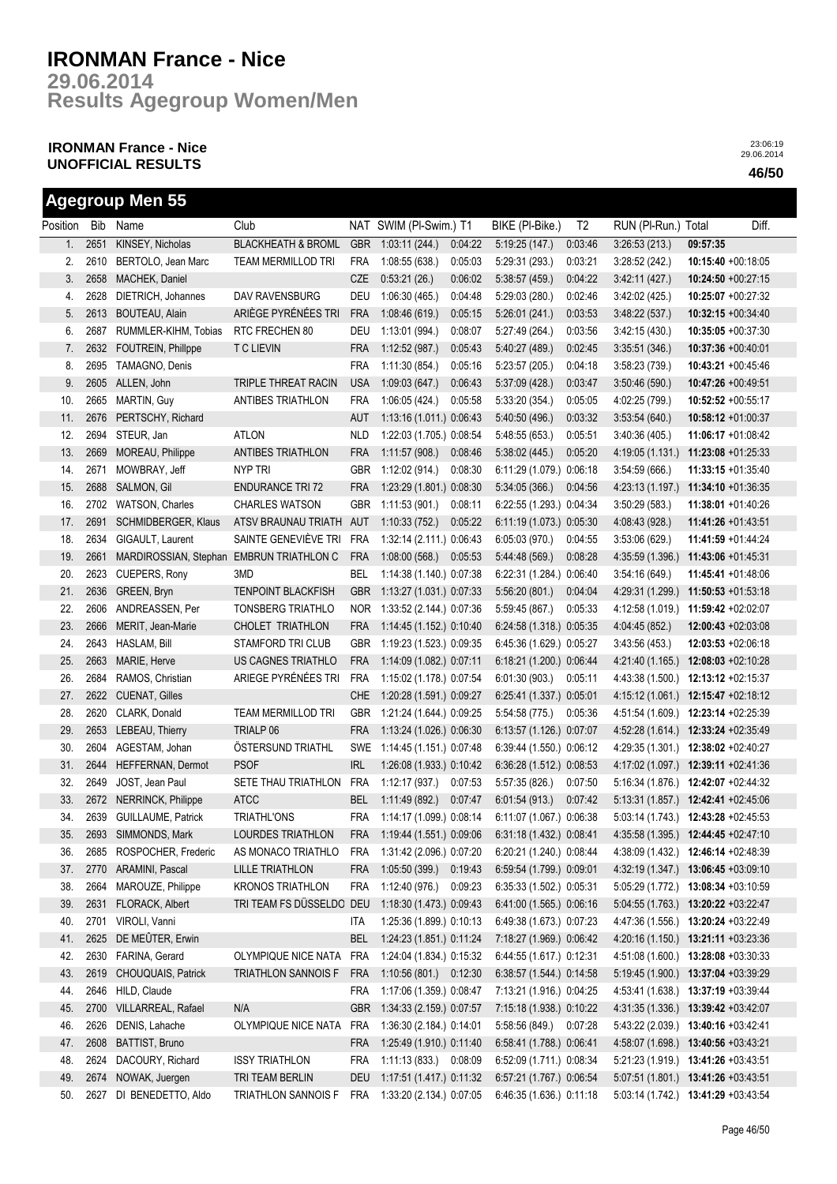**Results Agegroup Women/Men 29.06.2014**

## **IRONMAN France - Nice UNOFFICIAL RESULTS 46/50**

|          |      | <b>Agegroup Men 55</b>                   |                               |            |                          |         |                          |                |                     |                                     |
|----------|------|------------------------------------------|-------------------------------|------------|--------------------------|---------|--------------------------|----------------|---------------------|-------------------------------------|
| Position | Bib  | Name                                     | Club                          |            | NAT SWIM (PI-Swim.) T1   |         | BIKE (PI-Bike.)          | T <sub>2</sub> | RUN (PI-Run.) Total | Diff.                               |
| 1.       | 2651 | KINSEY, Nicholas                         | <b>BLACKHEATH &amp; BROML</b> | <b>GBR</b> | 1:03:11(244.)            | 0:04:22 | 5:19:25(147.)            | 0:03:46        | 3:26:53(213)        | 09:57:35                            |
| 2.       | 2610 | BERTOLO, Jean Marc                       | <b>TEAM MERMILLOD TRI</b>     | <b>FRA</b> | 1:08:55(638.)            | 0:05:03 | 5:29:31 (293.)           | 0:03:21        | 3:28:52 (242.)      | 10:15:40 +00:18:05                  |
| 3.       | 2658 | MACHEK, Daniel                           |                               | CZE        | 0.53:21(26.)             | 0:06:02 | 5:38:57 (459.)           | 0:04:22        | 3:42:11(427.)       | 10:24:50 +00:27:15                  |
| 4.       | 2628 | DIETRICH, Johannes                       | DAV RAVENSBURG                | DEU        | 1:06:30(465.)            | 0.04:48 | 5:29:03(280.)            | 0:02:46        | 3.42:02(425)        | 10:25:07 +00:27:32                  |
| 5.       | 2613 | BOUTEAU, Alain                           | ARIÈGE PYRÉNÉES TRI           | <b>FRA</b> | 1:08:46(619.)            | 0:05:15 | 5:26:01(241)             | 0:03:53        | 3:48:22(537)        | 10:32:15 +00:34:40                  |
| 6.       | 2687 | RUMMLER-KIHM, Tobias                     | RTC FRECHEN 80                | DEU        | 1:13:01(994.)            | 0:08:07 | 5:27:49(264.)            | 0:03:56        | 3.42:15(430.)       | $10:35:05 +00:37:30$                |
| 7.       | 2632 | FOUTREIN, Phillppe                       | <b>T C LIEVIN</b>             | <b>FRA</b> | 1:12:52(987.)            | 0:05:43 | 5:40:27 (489.)           | 0:02:45        | 3:35:51 (346.)      | 10:37:36 +00:40:01                  |
| 8.       | 2695 | TAMAGNO, Denis                           |                               | <b>FRA</b> | 1:11:30(854.)            | 0:05:16 | 5:23:57 (205.)           | 0:04:18        | 3:58:23 (739.)      | 10:43:21 +00:45:46                  |
| 9.       | 2605 | ALLEN, John                              | TRIPLE THREAT RACIN           | <b>USA</b> | 1:09:03(647.)            | 0:06:43 | 5:37:09 (428.)           | 0:03:47        | 3:50:46(590.)       | 10:47:26 +00:49:51                  |
| 10.      | 2665 | MARTIN, Guy                              | ANTIBES TRIATHLON             | <b>FRA</b> | 1:06:05(424.)            | 0:05:58 | 5:33:20 (354.)           | 0:05:05        | 4:02:25 (799.)      | 10:52:52 +00:55:17                  |
| 11.      | 2676 | PERTSCHY, Richard                        |                               | <b>AUT</b> | 1:13:16 (1.011.) 0:06:43 |         | 5:40:50 (496.)           | 0:03:32        | 3:53:54(640.)       | 10:58:12 +01:00:37                  |
| 12.      | 2694 | STEUR, Jan                               | <b>ATLON</b>                  | <b>NLD</b> | 1:22:03 (1.705.) 0:08:54 |         | 5:48:55(653)             | 0:05:51        | 3:40:36(405.)       | 11:06:17 +01:08:42                  |
| 13.      | 2669 | MOREAU, Philippe                         | <b>ANTIBES TRIATHLON</b>      | <b>FRA</b> | 1:11:57 (908.)           | 0:08:46 | 5:38:02(445.)            | 0:05:20        | 4:19:05 (1.131.)    | $11:23:08 +01:25:33$                |
| 14.      | 2671 | MOWBRAY, Jeff                            | NYP TRI                       | <b>GBR</b> | 1:12:02 (914.)           | 0:08:30 | 6:11:29 (1.079.) 0:06:18 |                | 3:54:59 (666.)      | 11:33:15 +01:35:40                  |
| 15.      | 2688 | <b>SALMON, Gil</b>                       | <b>ENDURANCE TRI 72</b>       | <b>FRA</b> | 1:23:29 (1.801.) 0:08:30 |         | 5:34:05 (366.)           | 0:04:56        | 4:23:13 (1.197.)    | 11:34:10 +01:36:35                  |
| 16.      | 2702 | WATSON, Charles                          | <b>CHARLES WATSON</b>         | <b>GBR</b> | 1:11:53 (901.)           | 0:08:11 | 6:22:55 (1.293.) 0:04:34 |                | 3:50:29(583)        | 11:38:01 +01:40:26                  |
| 17.      | 2691 | SCHMIDBERGER, Klaus                      | ATSV BRAUNAU TRIATH           | AUT        | 1:10:33(752.)            | 0:05:22 | 6:11:19 (1.073.) 0:05:30 |                | 4:08:43 (928.)      | 11:41:26 +01:43:51                  |
| 18.      | 2634 | GIGAULT, Laurent                         | SAINTE GENEVIÈVE TRI          | <b>FRA</b> | 1:32:14 (2.111.) 0:06:43 |         | 6:05:03(970.)            | 0:04:55        | 3:53:06(629)        | 11:41:59 +01:44:24                  |
| 19.      | 2661 | MARDIROSSIAN, Stephan EMBRUN TRIATHLON C |                               | <b>FRA</b> | 1:08:00(568.)            | 0.05:53 | 5:44:48 (569.)           | 0:08:28        | 4:35:59 (1.396.)    | $11:43:06 +01:45:31$                |
| 20.      | 2623 | CUEPERS, Rony                            | 3MD                           | BEL        | 1:14:38 (1.140.) 0:07:38 |         | 6:22:31 (1.284.) 0:06:40 |                | 3:54:16(649)        | 11:45:41 +01:48:06                  |
| 21.      | 2636 | GREEN, Bryn                              | <b>TENPOINT BLACKFISH</b>     | <b>GBR</b> | 1:13:27 (1.031.) 0:07:33 |         | 5:56:20 (801.)           | 0:04:04        | 4:29:31 (1.299.)    | $11:50:53 +01:53:18$                |
| 22.      | 2606 | ANDREASSEN, Per                          | <b>TONSBERG TRIATHLO</b>      | <b>NOR</b> | 1:33:52 (2.144.) 0:07:36 |         | 5:59:45(867.)            | 0:05:33        | 4:12:58 (1.019.)    | 11:59:42 +02:02:07                  |
| 23.      | 2666 | MERIT, Jean-Marie                        | CHOLET TRIATHLON              | <b>FRA</b> | 1:14:45 (1.152.) 0:10:40 |         | 6:24:58 (1.318.) 0:05:35 |                | 4:04:45 (852.)      | $12:00:43 +02:03:08$                |
| 24.      | 2643 | HASLAM, Bill                             | <b>STAMFORD TRI CLUB</b>      | GBR        | 1:19:23 (1.523.) 0:09:35 |         | 6:45:36 (1.629.) 0:05:27 |                | 3:43:56(453)        | 12:03:53 +02:06:18                  |
| 25.      | 2663 | MARIE, Herve                             | US CAGNES TRIATHLO            | <b>FRA</b> | 1:14:09 (1.082.) 0:07:11 |         | 6:18:21 (1.200.) 0:06:44 |                | 4:21:40 (1.165.)    | 12:08:03 +02:10:28                  |
| 26.      | 2684 | RAMOS, Christian                         | ARIEGE PYRÉNÉES TRI           | <b>FRA</b> | 1:15:02 (1.178.) 0:07:54 |         | 6:01:30(903)             | 0:05:11        | 4:43:38 (1.500.)    | 12:13:12 +02:15:37                  |
| 27.      | 2622 | <b>CUENAT, Gilles</b>                    |                               | <b>CHE</b> | 1:20:28 (1.591.) 0:09:27 |         | 6:25:41 (1.337.) 0:05:01 |                | 4:15:12(1.061.)     | 12:15:47 +02:18:12                  |
| 28.      | 2620 | CLARK, Donald                            | <b>TEAM MERMILLOD TRI</b>     | GBR        | 1:21:24 (1.644.) 0:09:25 |         | 5:54:58 (775.)           | 0:05:36        | 4:51:54 (1.609.)    | 12:23:14 +02:25:39                  |
| 29.      | 2653 | LEBEAU, Thierry                          | TRIALP 06                     | <b>FRA</b> | 1:13:24 (1.026.) 0:06:30 |         | 6:13:57 (1.126.) 0:07:07 |                |                     | 4:52:28 (1.614.) 12:33:24 +02:35:49 |
| 30.      | 2604 | AGESTAM, Johan                           | ÖSTERSUND TRIATHL             | SWE        | 1:14:45 (1.151.) 0:07:48 |         | 6:39:44 (1.550.) 0:06:12 |                |                     | 4:29:35 (1.301.) 12:38:02 +02:40:27 |
| 31.      | 2644 | HEFFERNAN, Dermot                        | <b>PSOF</b>                   | <b>IRL</b> | 1:26:08 (1.933.) 0:10:42 |         | 6:36:28 (1.512.) 0:08:53 |                |                     | 4:17:02 (1.097.) 12:39:11 +02:41:36 |
| 32.      | 2649 | JOST, Jean Paul                          | SETE THAU TRIATHLON           | <b>FRA</b> | 1:12:17(937)             | 0:07:53 | 5:57:35(826.)            | 0:07:50        |                     | 5:16:34 (1.876.) 12:42:07 +02:44:32 |
| 33.      |      | 2672 NERRINCK, Philippe                  | <b>ATCC</b>                   | BEL        | 1:11:49(892.)            | 0:07:47 | 6:01:54(913.)            | 0.07.42        |                     | 5:13:31 (1.857.) 12:42:41 +02:45:06 |
| 34.      | 2639 | <b>GUILLAUME, Patrick</b>                | TRIATHL'ONS                   | FRA        | 1:14:17 (1.099.) 0:08:14 |         | 6:11:07 (1.067.) 0:06:38 |                |                     | 5:03:14 (1.743.) 12:43:28 +02:45:53 |
| 35.      | 2693 | SIMMONDS, Mark                           | LOURDES TRIATHLON             | <b>FRA</b> | 1:19:44 (1.551.) 0:09:06 |         | 6:31:18 (1.432.) 0:08:41 |                | 4:35:58 (1.395.)    | 12:44:45 +02:47:10                  |
| 36.      | 2685 | ROSPOCHER, Frederic                      | AS MONACO TRIATHLO            | FRA        | 1:31:42 (2.096.) 0:07:20 |         | 6:20:21 (1.240.) 0:08:44 |                | 4:38:09 (1.432.)    | 12:46:14 +02:48:39                  |
| 37.      | 2770 | ARAMINI, Pascal                          | <b>LILLE TRIATHLON</b>        | <b>FRA</b> | 1:05:50 (399.) 0:19:43   |         | 6:59:54 (1.799.) 0:09:01 |                |                     | 4:32:19 (1.347.) 13:06:45 +03:09:10 |
| 38.      | 2664 | MAROUZE, Philippe                        | <b>KRONOS TRIATHLON</b>       | FRA        | 1:12:40 (976.) 0:09:23   |         | 6:35:33 (1.502.) 0:05:31 |                |                     | 5:05:29 (1.772.) 13:08:34 +03:10:59 |
| 39.      | 2631 | FLORACK, Albert                          | TRI TEAM FS DÜSSELDO DEU      |            | 1:18:30 (1.473.) 0:09:43 |         | 6:41:00 (1.565.) 0:06:16 |                | 5:04:55 (1.763.)    | 13:20:22 +03:22:47                  |
| 40.      | 2701 | VIROLI, Vanni                            |                               | ITA        | 1:25:36 (1.899.) 0:10:13 |         | 6:49:38 (1.673.) 0:07:23 |                | 4:47:36 (1.556.)    | 13:20:24 +03:22:49                  |
| 41.      | 2625 | DE MEÛTER, Erwin                         |                               | <b>BEL</b> | 1:24:23 (1.851.) 0:11:24 |         | 7:18:27 (1.969.) 0:06:42 |                | 4:20:16 (1.150.)    | 13:21:11 +03:23:36                  |
| 42.      | 2630 | FARINA, Gerard                           | OLYMPIQUE NICE NATA           | <b>FRA</b> | 1:24:04 (1.834.) 0:15:32 |         | 6:44:55 (1.617.) 0:12:31 |                | 4:51:08 (1.600.)    | 13:28:08 +03:30:33                  |
| 43.      | 2619 | CHOUQUAIS, Patrick                       | TRIATHLON SANNOIS F           | <b>FRA</b> | 1:10:56 (801.) 0:12:30   |         | 6:38:57 (1.544.) 0:14:58 |                | 5:19:45 (1.900.)    | 13:37:04 +03:39:29                  |
| 44.      | 2646 | HILD, Claude                             |                               | <b>FRA</b> | 1:17:06 (1.359.) 0:08:47 |         | 7:13:21 (1.916.) 0:04:25 |                |                     | 4:53:41 (1.638.) 13:37:19 +03:39:44 |
| 45.      | 2700 | VILLARREAL, Rafael                       | N/A                           | <b>GBR</b> | 1:34:33 (2.159.) 0:07:57 |         | 7:15:18 (1.938.) 0:10:22 |                |                     | 4:31:35 (1.336.) 13:39:42 +03:42:07 |
| 46.      | 2626 | DENIS, Lahache                           | OLYMPIQUE NICE NATA           | <b>FRA</b> | 1:36:30 (2.184.) 0:14:01 |         | 5:58:56 (849.) 0:07:28   |                |                     | 5:43:22 (2.039.) 13:40:16 +03:42:41 |
| 47.      | 2608 | BATTIST, Bruno                           |                               | <b>FRA</b> | 1:25:49 (1.910.) 0:11:40 |         | 6.58:41 (1.788.) 0:06:41 |                |                     | 4:58:07 (1.698.) 13:40:56 +03:43:21 |
| 48.      | 2624 | DACOURY, Richard                         | <b>ISSY TRIATHLON</b>         | <b>FRA</b> | 1:11:13 (833.) 0:08:09   |         | 6:52:09 (1.711.) 0:08:34 |                |                     | 5:21:23 (1.919.) 13:41:26 +03:43:51 |
| 49.      | 2674 | NOWAK, Juergen                           | TRI TEAM BERLIN               | <b>DEU</b> | 1:17:51 (1.417.) 0:11:32 |         | 6:57:21 (1.767.) 0:06:54 |                |                     | 5:07:51 (1.801.) 13:41:26 +03:43:51 |
| 50.      | 2627 | DI BENEDETTO, Aldo                       | TRIATHLON SANNOIS F           | FRA        | 1:33:20 (2.134.) 0:07:05 |         | 6:46:35 (1.636.) 0:11:18 |                |                     | 5:03:14 (1.742.) 13:41:29 +03:43:54 |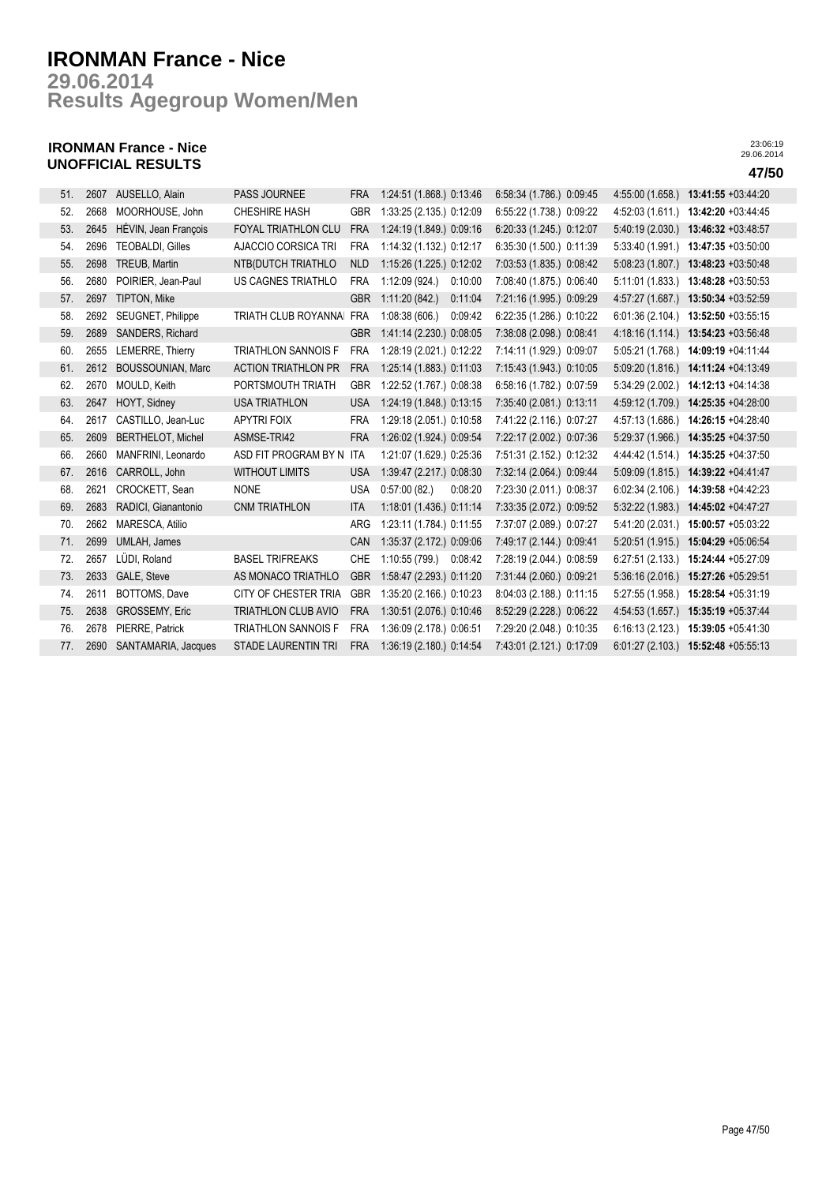**Results Agegroup Women/Men 29.06.2014**

## **IRONMAN France - Nice UNOFFICIAL RESULTS 47/50**

| 51. | 2607 | AUSELLO, Alain           | <b>PASS JOURNEE</b>        | <b>FRA</b> | 1:24:51 (1.868.) 0:13:46  | 6:58:34 (1.786.) 0:09:45 | 4:55:00 (1.658.) | 13:41:55 +03:44:20 |
|-----|------|--------------------------|----------------------------|------------|---------------------------|--------------------------|------------------|--------------------|
| 52. | 2668 | MOORHOUSE, John          | <b>CHESHIRE HASH</b>       | <b>GBR</b> | 1:33:25 (2.135.) 0:12:09  | 6:55:22 (1.738.) 0:09:22 | 4:52:03(1.611)   | 13:42:20 +03:44:45 |
| 53. | 2645 | HÉVIN, Jean François     | <b>FOYAL TRIATHLON CLU</b> | <b>FRA</b> | 1:24:19 (1.849.) 0:09:16  | 6.20:33 (1.245.) 0:12:07 | 5:40:19 (2.030.) | 13:46:32 +03:48:57 |
| 54. | 2696 | <b>TEOBALDI, Gilles</b>  | AJACCIO CORSICA TRI        | <b>FRA</b> | 1:14:32 (1.132.) 0:12:17  | 6:35:30 (1.500.) 0:11:39 | 5:33:40 (1.991.) | 13:47:35 +03:50:00 |
| 55. | 2698 | TREUB, Martin            | NTB(DUTCH TRIATHLO         | <b>NLD</b> | 1:15:26 (1.225.) 0:12:02  | 7:03:53 (1.835.) 0:08:42 | 5:08:23(1.807.)  | 13:48:23 +03:50:48 |
| 56. | 2680 | POIRIER, Jean-Paul       | US CAGNES TRIATHLO         | <b>FRA</b> | 1:12:09 (924.)<br>0:10:00 | 7:08:40 (1.875.) 0:06:40 | 5:11:01 (1.833.) | 13:48:28 +03:50:53 |
| 57. | 2697 | TIPTON, Mike             |                            | <b>GBR</b> | 1:11:20(842)<br>0:11:04   | 7:21:16 (1.995.) 0:09:29 | 4:57:27 (1.687.) | 13:50:34 +03:52:59 |
| 58. | 2692 | SEUGNET, Philippe        | TRIATH CLUB ROYANNA        | <b>FRA</b> | 1:08:38(606.)<br>0:09:42  | 6:22:35 (1.286.) 0:10:22 | 6:01:36(2.104.)  | 13:52:50 +03:55:15 |
| 59. | 2689 | SANDERS, Richard         |                            | <b>GBR</b> | 1:41:14 (2.230.) 0:08:05  | 7:38:08 (2.098.) 0:08:41 | 4:18:16 (1.114.) | 13:54:23 +03:56:48 |
| 60. | 2655 | LEMERRE, Thierry         | <b>TRIATHLON SANNOIS F</b> | <b>FRA</b> | 1:28:19 (2.021.) 0:12:22  | 7:14:11 (1.929.) 0:09:07 | 5:05:21 (1.768.) | 14:09:19 +04:11:44 |
| 61. | 2612 | <b>BOUSSOUNIAN, Marc</b> | <b>ACTION TRIATHLON PR</b> | <b>FRA</b> | 1:25:14 (1.883.) 0:11:03  | 7:15:43 (1.943.) 0:10:05 | 5:09:20 (1.816.) | 14:11:24 +04:13:49 |
| 62. | 2670 | MOULD, Keith             | PORTSMOUTH TRIATH          | <b>GBR</b> | 1:22:52 (1.767.) 0:08:38  | 6:58:16 (1.782.) 0:07:59 | 5:34:29 (2.002.) | 14:12:13 +04:14:38 |
| 63. | 2647 | HOYT, Sidney             | <b>USA TRIATHLON</b>       | <b>USA</b> | 1:24:19 (1.848.) 0:13:15  | 7:35:40 (2.081.) 0:13:11 | 4:59:12 (1.709.) | 14:25:35 +04:28:00 |
| 64. | 2617 | CASTILLO, Jean-Luc       | <b>APYTRI FOIX</b>         | <b>FRA</b> | 1:29:18 (2.051.) 0:10:58  | 7:41:22 (2.116.) 0:07:27 | 4:57:13 (1.686.) | 14:26:15 +04:28:40 |
| 65. | 2609 | <b>BERTHELOT, Michel</b> | ASMSE-TRI42                | <b>FRA</b> | 1:26:02 (1.924.) 0:09:54  | 7:22:17 (2.002.) 0:07:36 | 5:29:37 (1.966.) | 14:35:25 +04:37:50 |
| 66. | 2660 | MANFRINI, Leonardo       | ASD FIT PROGRAM BY N       | <b>ITA</b> | 1:21:07 (1.629.) 0:25:36  | 7:51:31 (2.152.) 0:12:32 | 4:44:42 (1.514.) | 14:35:25 +04:37:50 |
| 67. | 2616 | CARROLL, John            | <b>WITHOUT LIMITS</b>      | <b>USA</b> | 1:39:47 (2.217.) 0:08:30  | 7:32:14 (2.064.) 0:09:44 | 5:09:09 (1.815.) | 14:39:22 +04:41:47 |
| 68. | 2621 | CROCKETT, Sean           | <b>NONE</b>                | <b>USA</b> | 0:57:00(82)<br>0:08:20    | 7:23:30 (2.011.) 0:08:37 | 6:02:34(2.106.)  | 14:39:58 +04:42:23 |
| 69. | 2683 | RADICI, Gianantonio      | <b>CNM TRIATHLON</b>       | <b>ITA</b> | 1:18:01 (1.436.) 0:11:14  | 7:33:35 (2.072.) 0:09:52 | 5:32:22 (1.983.) | 14:45:02 +04:47:27 |
| 70. | 2662 | MARESCA, Atilio          |                            | <b>ARG</b> | 1:23:11 (1.784.) 0:11:55  | 7:37:07 (2.089.) 0:07:27 | 5:41:20 (2.031.) | 15:00:57 +05:03:22 |
| 71. | 2699 | UMLAH, James             |                            | CAN        | 1:35:37 (2.172.) 0:09:06  | 7:49:17 (2.144.) 0:09:41 | 5:20:51 (1.915.) | 15:04:29 +05:06:54 |
| 72. | 2657 | LÜDI, Roland             | <b>BASEL TRIFREAKS</b>     | <b>CHE</b> | 1:10:55 (799.)<br>0:08:42 | 7:28:19 (2.044.) 0:08:59 | 6:27:51(2.133.)  | 15:24:44 +05:27:09 |
| 73. | 2633 | GALE, Steve              | AS MONACO TRIATHLO         | <b>GBR</b> | 1:58:47 (2.293.) 0:11:20  | 7:31:44 (2.060.) 0:09:21 | 5:36:16(2.016.)  | 15:27:26 +05:29:51 |
| 74. | 2611 | BOTTOMS, Dave            | CITY OF CHESTER TRIA       | <b>GBR</b> | 1:35:20 (2.166.) 0:10:23  | 8:04:03 (2.188.) 0:11:15 | 5:27:55 (1.958.) | 15:28:54 +05:31:19 |
| 75. | 2638 | GROSSEMY, Eric           | <b>TRIATHLON CLUB AVIO</b> | <b>FRA</b> | 1:30:51 (2.076.) 0:10:46  | 8:52:29 (2.228.) 0:06:22 | 4:54:53 (1.657.) | 15:35:19 +05:37:44 |
| 76. | 2678 | PIERRE. Patrick          | <b>TRIATHLON SANNOIS F</b> | <b>FRA</b> | 1:36:09 (2.178.) 0:06:51  | 7:29:20 (2.048.) 0:10:35 | 6:16:13(2.123.)  | 15:39:05 +05:41:30 |
| 77. | 2690 | SANTAMARIA, Jacques      | <b>STADE LAURENTIN TRI</b> | <b>FRA</b> | 1:36:19 (2.180.) 0:14:54  | 7:43:01 (2.121.) 0:17:09 | 6:01:27(2.103.)  | 15:52:48 +05:55:13 |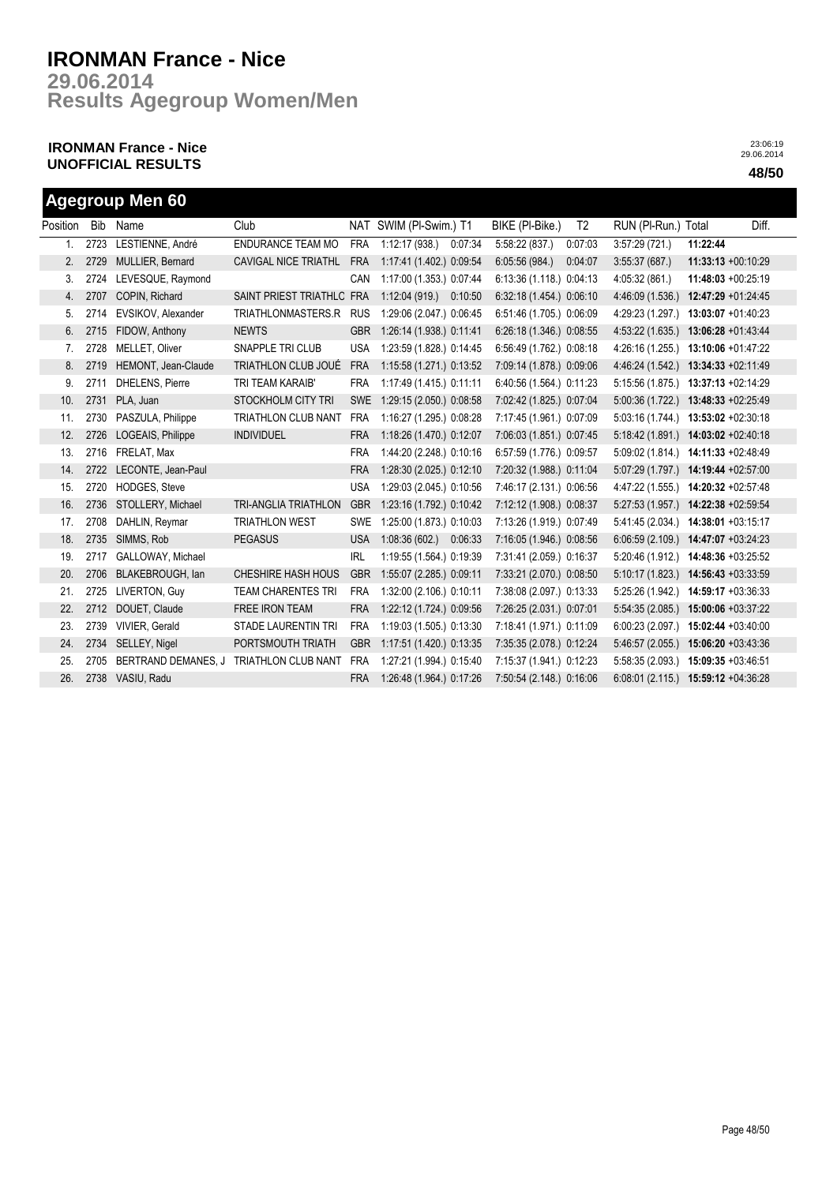**Results Agegroup Women/Men 29.06.2014**

## **IRONMAN France - Nice UNOFFICIAL RESULTS 48/50**

|          | <b>Agegroup Men 60</b> |                        |                             |            |                          |                          |                |                                      |                    |       |  |  |  |
|----------|------------------------|------------------------|-----------------------------|------------|--------------------------|--------------------------|----------------|--------------------------------------|--------------------|-------|--|--|--|
| Position | Bib                    | Name                   | Club                        |            | NAT SWIM (PI-Swim.) T1   | BIKE (PI-Bike.)          | T <sub>2</sub> | RUN (PI-Run.) Total                  |                    | Diff. |  |  |  |
| 1.       | 2723                   | LESTIENNE, André       | ENDURANCE TEAM MO           | <b>FRA</b> | 1:12:17(938.)<br>0:07:34 | 5:58:22 (837.)           | 0:07:03        | 3:57:29(721)                         | 11:22:44           |       |  |  |  |
| 2.       | 2729                   | MULLIER, Bernard       | CAVIGAL NICE TRIATHL        | <b>FRA</b> | 1:17:41 (1.402.) 0:09:54 | 6:05:56 (984.)           | 0:04:07        | 3:55:37(687)                         | 11:33:13 +00:10:29 |       |  |  |  |
| 3.       | 2724                   | LEVESQUE, Raymond      |                             | CAN        | 1:17:00 (1.353.) 0:07:44 | 6:13:36 (1.118.) 0:04:13 |                | 4:05:32 (861.)                       | 11:48:03 +00:25:19 |       |  |  |  |
| 4.       | 2707                   | COPIN, Richard         | SAINT PRIEST TRIATHLC FRA   |            | 1:12:04(919)<br>0:10:50  | 6:32:18 (1.454.) 0:06:10 |                | 4:46:09 (1.536.)                     | 12:47:29 +01:24:45 |       |  |  |  |
| 5.       | 2714                   | EVSIKOV, Alexander     | TRIATHLONMASTERS.R          | <b>RUS</b> | 1:29:06 (2.047.) 0:06:45 | 6:51:46 (1.705.) 0:06:09 |                | 4:29:23 (1.297.)                     | 13:03:07 +01:40:23 |       |  |  |  |
| 6.       | 2715                   | FIDOW, Anthony         | <b>NEWTS</b>                | <b>GBR</b> | 1:26:14 (1.938.) 0:11:41 | 6:26:18 (1.346.) 0:08:55 |                | 4:53:22 (1.635.)                     | 13:06:28 +01:43:44 |       |  |  |  |
| 7.       | 2728                   | MELLET, Oliver         | SNAPPLE TRI CLUB            | <b>USA</b> | 1:23:59 (1.828.) 0:14:45 | 6:56:49 (1.762.) 0:08:18 |                | 4:26:16 (1.255.)                     | 13:10:06 +01:47:22 |       |  |  |  |
| 8.       | 2719                   | HEMONT, Jean-Claude    | TRIATHLON CLUB JOUÉ         | <b>FRA</b> | 1:15:58 (1.271.) 0:13:52 | 7:09:14 (1.878.) 0:09:06 |                | 4:46:24 (1.542.)                     | 13:34:33 +02:11:49 |       |  |  |  |
| 9.       | 2711                   | <b>DHELENS, Pierre</b> | TRI TEAM KARAIB'            | <b>FRA</b> | 1:17:49 (1.415.) 0:11:11 | 6:40:56 (1.564.) 0:11:23 |                | 5:15:56 (1.875.)                     | 13:37:13 +02:14:29 |       |  |  |  |
| 10.      | 2731                   | PLA, Juan              | STOCKHOLM CITY TRI          | <b>SWE</b> | 1:29:15 (2.050.) 0:08:58 | 7:02:42 (1.825.) 0:07:04 |                | 5:00:36 (1.722.)                     | 13:48:33 +02:25:49 |       |  |  |  |
| 11.      | 2730                   | PASZULA, Philippe      | TRIATHLON CLUB NANT         | <b>FRA</b> | 1:16:27 (1.295.) 0:08:28 | 7:17:45 (1.961.) 0:07:09 |                | 5:03:16 (1.744.)                     | 13:53:02 +02:30:18 |       |  |  |  |
| 12.      | 2726                   | LOGEAIS, Philippe      | <b>INDIVIDUEL</b>           | <b>FRA</b> | 1:18:26 (1.470.) 0:12:07 | 7:06:03 (1.851.) 0:07:45 |                | 5:18:42(1.891)                       | 14:03:02 +02:40:18 |       |  |  |  |
| 13.      | 2716                   | FRELAT, Max            |                             | <b>FRA</b> | 1:44:20 (2.248.) 0:10:16 | 6:57:59 (1.776.) 0:09:57 |                | 5:09:02 (1.814.)                     | 14:11:33 +02:48:49 |       |  |  |  |
| 14.      | 2722                   | LECONTE, Jean-Paul     |                             | <b>FRA</b> | 1:28:30 (2.025.) 0:12:10 | 7:20:32 (1.988.) 0:11:04 |                | 5:07:29 (1.797.)                     | 14:19:44 +02:57:00 |       |  |  |  |
| 15.      | 2720                   | <b>HODGES, Steve</b>   |                             | <b>USA</b> | 1:29:03 (2.045.) 0:10:56 | 7:46:17 (2.131.) 0:06:56 |                | 4:47:22 (1.555.)                     | 14:20:32 +02:57:48 |       |  |  |  |
| 16.      | 2736                   | STOLLERY, Michael      | <b>TRI-ANGLIA TRIATHLON</b> | <b>GBR</b> | 1:23:16 (1.792.) 0:10:42 | 7:12:12 (1.908.) 0:08:37 |                | 5:27:53(1.957.)                      | 14:22:38 +02:59:54 |       |  |  |  |
| 17.      | 2708                   | DAHLIN, Reymar         | <b>TRIATHLON WEST</b>       | <b>SWE</b> | 1:25:00 (1.873.) 0:10:03 | 7:13:26 (1.919.) 0:07:49 |                | 5:41:45 (2.034.)                     | 14:38:01 +03:15:17 |       |  |  |  |
| 18.      | 2735                   | SIMMS, Rob             | <b>PEGASUS</b>              | <b>USA</b> | 1:08:36(602.)<br>0:06:33 | 7:16:05 (1.946.) 0:08:56 |                | $6:06:59(2.109.)$ 14:47:07 +03:24:23 |                    |       |  |  |  |
| 19.      | 2717                   | GALLOWAY, Michael      |                             | <b>IRL</b> | 1:19:55 (1.564.) 0:19:39 | 7:31:41 (2.059.) 0:16:37 |                | 5:20:46 (1.912.)                     | 14:48:36 +03:25:52 |       |  |  |  |
| 20.      | 2706                   | BLAKEBROUGH, lan       | CHESHIRE HASH HOUS          | <b>GBR</b> | 1:55:07 (2.285.) 0:09:11 | 7:33:21 (2.070.) 0:08:50 |                | 5:10:17(1.823)                       | 14:56:43 +03:33:59 |       |  |  |  |
| 21.      | 2725                   | LIVERTON, Guy          | <b>TEAM CHARENTES TRI</b>   | <b>FRA</b> | 1:32:00 (2.106.) 0:10:11 | 7:38:08 (2.097.) 0:13:33 |                | 5:25:26 (1.942.)                     | 14:59:17 +03:36:33 |       |  |  |  |
| 22.      | 2712                   | DOUET, Claude          | <b>FREE IRON TEAM</b>       | <b>FRA</b> | 1:22:12 (1.724.) 0:09:56 | 7:26:25 (2.031.) 0:07:01 |                | 5:54:35(2.085.)                      | 15:00:06 +03:37:22 |       |  |  |  |
| 23.      | 2739                   | VIVIER, Gerald         | <b>STADE LAURENTIN TRI</b>  | <b>FRA</b> | 1:19:03 (1.505.) 0:13:30 | 7:18:41 (1.971.) 0:11:09 |                | 6:00:23(2.097.)                      | 15:02:44 +03:40:00 |       |  |  |  |
| 24.      | 2734                   | SELLEY, Nigel          | PORTSMOUTH TRIATH           | <b>GBR</b> | 1:17:51 (1.420.) 0:13:35 | 7:35:35 (2.078.) 0:12:24 |                | 5:46:57 (2.055.)                     | 15:06:20 +03:43:36 |       |  |  |  |
| 25.      | 2705                   | BERTRAND DEMANES, J    | <b>TRIATHLON CLUB NANT</b>  | <b>FRA</b> | 1:27:21 (1.994.) 0:15:40 | 7:15:37 (1.941.) 0:12:23 |                | 5:58:35 (2.093.)                     | 15:09:35 +03:46:51 |       |  |  |  |
| 26.      | 2738                   | VASIU, Radu            |                             | <b>FRA</b> | 1:26:48 (1.964.) 0:17:26 | 7:50:54 (2.148.) 0:16:06 |                | 6:08:01 (2.115.) 15:59:12 +04:36:28  |                    |       |  |  |  |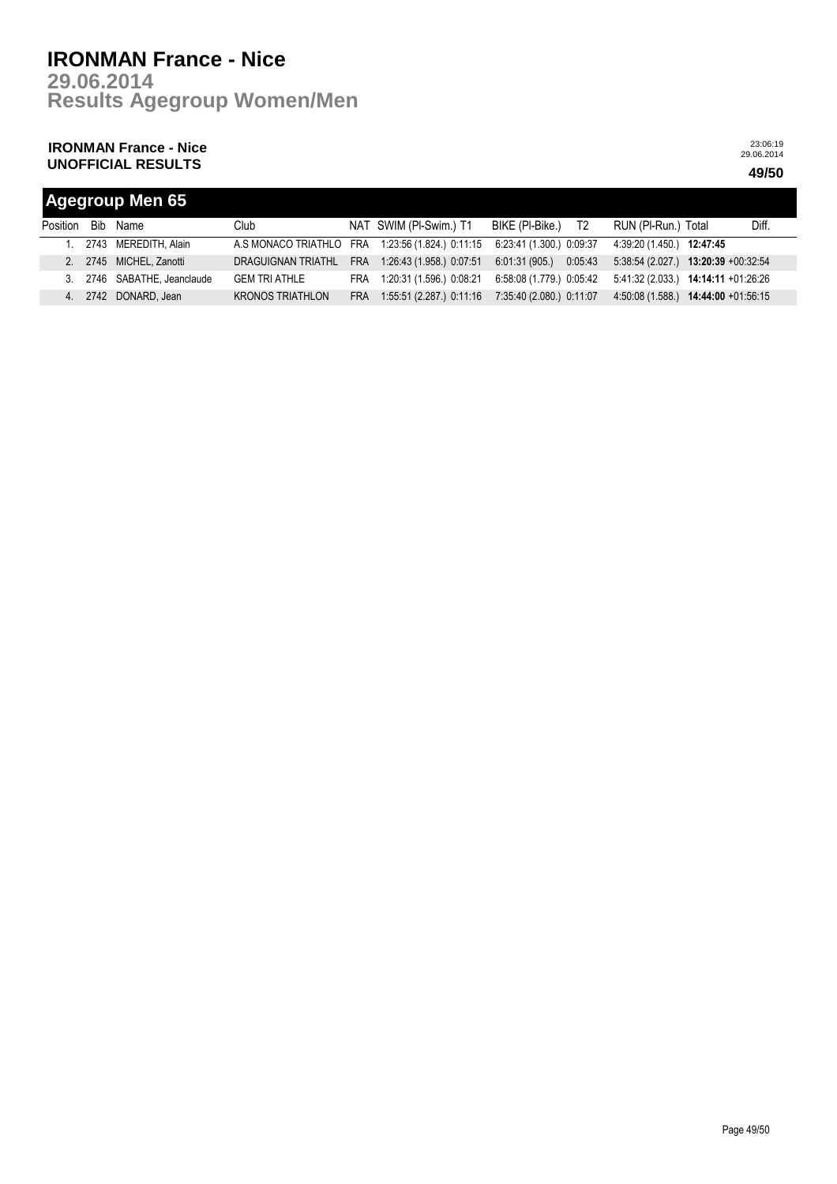**Results Agegroup Women/Men 29.06.2014**

## **IRONMAN France - Nice UNOFFICIAL RESULTS 49/50**

| <b>Agegroup Men 65</b> |  |                          |                                                  |            |                              |                          |                                            |       |  |  |
|------------------------|--|--------------------------|--------------------------------------------------|------------|------------------------------|--------------------------|--------------------------------------------|-------|--|--|
| Position               |  | Bib Name                 | Club                                             |            | NAT SWIM (PI-Swim.) T1       | BIKE (PI-Bike.) T2       | RUN (PI-Run.) Total                        | Diff. |  |  |
|                        |  | 2743 MEREDITH, Alain     | A.S MONACO TRIATHLO FRA 1:23:56 (1.824.) 0:11:15 |            |                              | 6:23:41 (1.300.) 0:09:37 | 4:39:20 (1.450.) 12:47:45                  |       |  |  |
|                        |  | 2. 2745 MICHEL Zanotti   | DRAGUIGNAN TRIATHL                               |            | FRA 1:26:43 (1.958.) 0:07:51 | 6.01:31(905)<br>0:05:43  | $5:38:54(2.027)$ 13:20:39 +00:32:54        |       |  |  |
| $\mathcal{E}$          |  | 2746 SABATHE, Jeanclaude | <b>GEM TRI ATHLE</b>                             |            | FRA 1:20:31 (1.596.) 0:08:21 | 6:58:08 (1.779.) 0:05:42 | $5:41:32(2.033)$ <b>14:14:11</b> +01:26:26 |       |  |  |
|                        |  | 2742 DONARD, Jean        | <b>KRONOS TRIATHLON</b>                          | <b>FRA</b> | 1:55:51 (2.287.) 0:11:16     | 7:35:40 (2.080.) 0:11:07 | $4:50:08(1.588)$ $14:44:00 +01:56:15$      |       |  |  |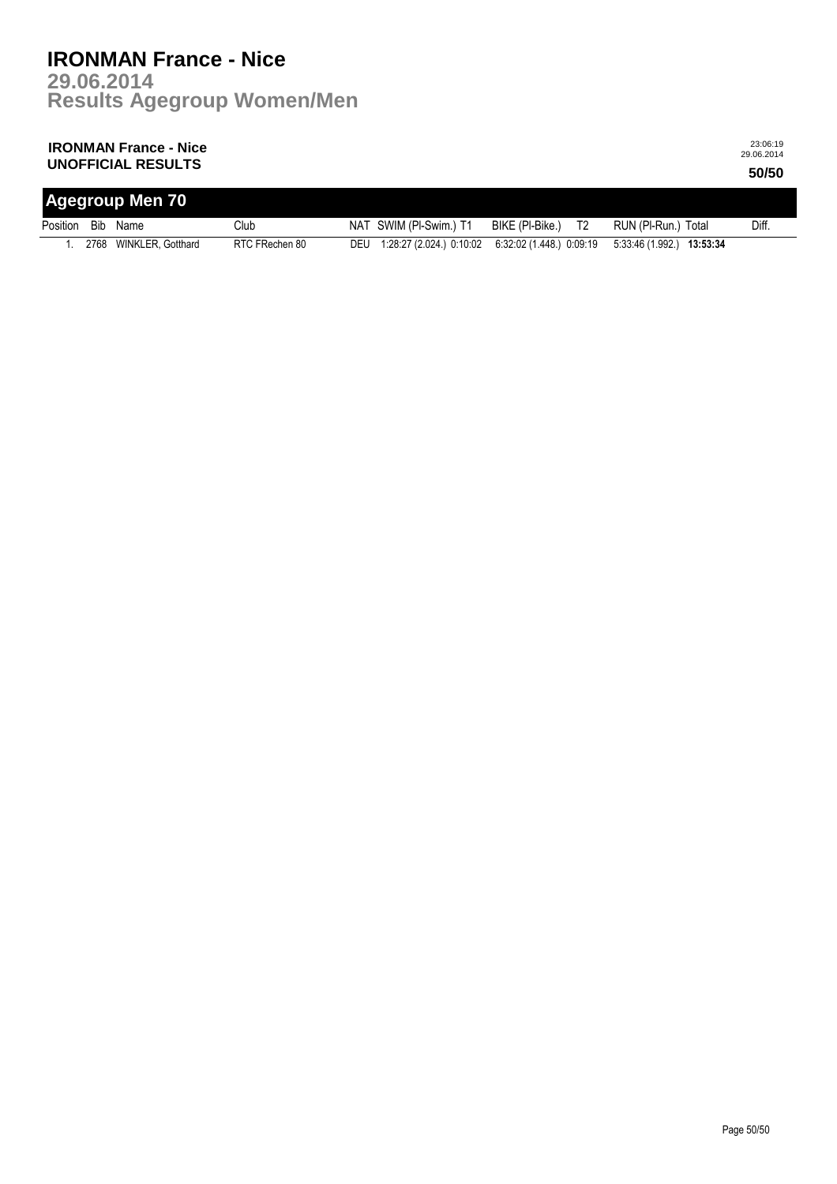#### **IRONMAN France - Nice UNOFFICIAL RESULTS 50/50**

| <b>Agegroup Men 70</b> |  |                        |                |  |                              |                                   |                           |       |  |  |
|------------------------|--|------------------------|----------------|--|------------------------------|-----------------------------------|---------------------------|-------|--|--|
| Position               |  | Bib Name               | Club           |  | NAT SWIM (PI-Swim.) T1       | T <sub>2</sub><br>BIKE (PI-Bike.) | RUN (PI-Run.) Total       | Diff. |  |  |
|                        |  | 2768 WINKLER, Gotthard | RTC FRechen 80 |  | DEU 1:28:27 (2.024.) 0:10:02 | 6:32:02 (1.448.) 0:09:19          | 5:33:46 (1.992.) 13:53:34 |       |  |  |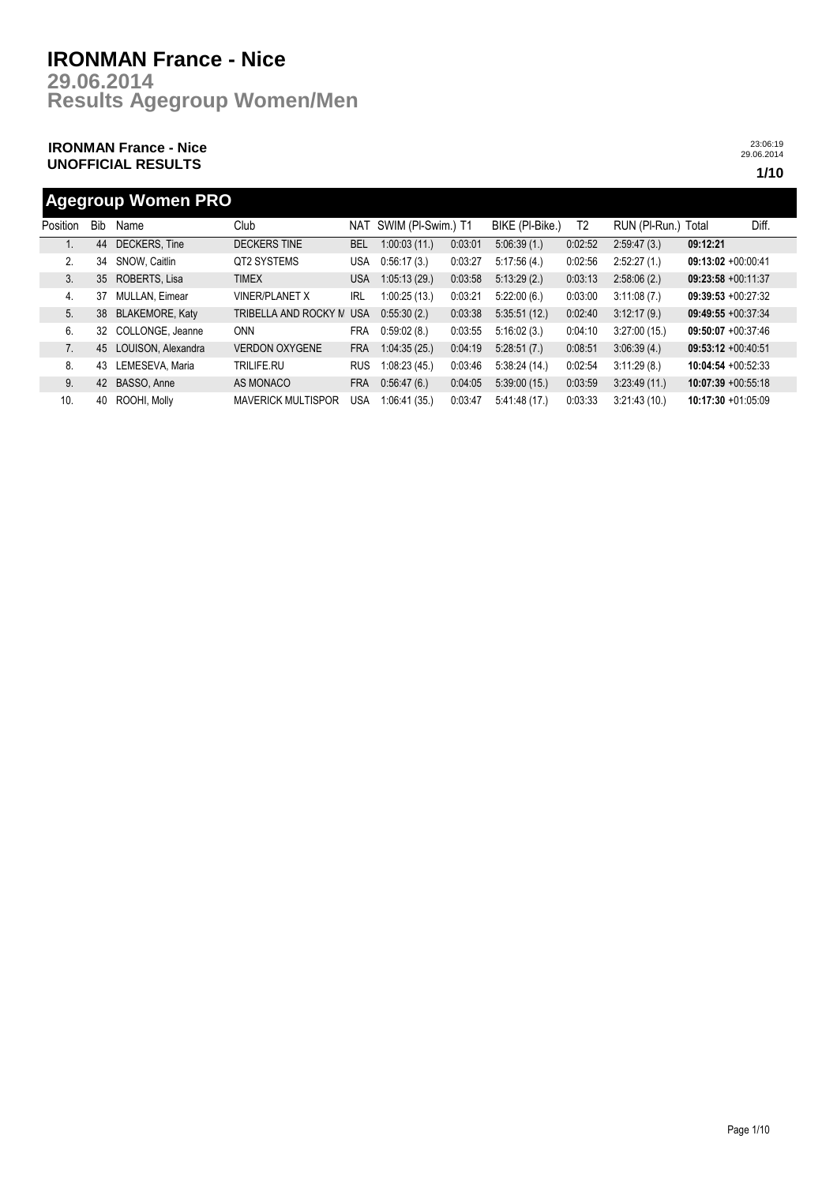**Results Agegroup Women/Men 29.06.2014**

## **IRONMAN France - Nice UNOFFICIAL RESULTS 1/10**

23:06:19 29.06.2014

## **Agegroup Women PRO**

| Position | <b>Bib</b>      | Name                   | Club                      | NAT        | SWIM (PI-Swim.) T1 |         | BIKE (PI-Bike.) | T2      | RUN (PI-Run.) Total |                       | Diff. |
|----------|-----------------|------------------------|---------------------------|------------|--------------------|---------|-----------------|---------|---------------------|-----------------------|-------|
|          | 44              | DECKERS, Tine          | <b>DECKERS TINE</b>       | <b>BEL</b> | 1:00:03(11)        | 0:03:01 | 5:06:39(1)      | 0:02:52 | 2:59:47(3)          | 09:12:21              |       |
| 2.       | 34              | SNOW. Caitlin          | QT2 SYSTEMS               | USA        | 0:56:17(3)         | 0.03:27 | 5:17:56(4)      | 0:02:56 | 2:52:27(1)          | $09:13:02 +00:00:41$  |       |
| 3.       | 35 <sub>2</sub> | ROBERTS, Lisa          | <b>TIMEX</b>              | USA        | 1:05:13(29)        | 0:03:58 | 5:13:29(2)      | 0:03:13 | 2:58:06(2)          | $09:23:58 +00:11:37$  |       |
| 4.       | 37              | <b>MULLAN, Eimear</b>  | <b>VINER/PLANET X</b>     | <b>IRL</b> | 1:00:25(13.)       | 0:03:21 | 5:22:00(6.)     | 0:03:00 | 3:11:08(7)          | $09:39:53 +00:27:32$  |       |
| 5.       | 38              | <b>BLAKEMORE, Katy</b> | TRIBELLA AND ROCKY N      | <b>USA</b> | 0:55:30(2)         | 0:03:38 | 5:35:51(12)     | 0:02:40 | 3:12:17(9)          | $09:49:55 + 00:37:34$ |       |
| 6.       | 32              | COLLONGE, Jeanne       | <b>ONN</b>                | FRA        | 0:59:02(8.)        | 0:03:55 | 5:16:02(3)      | 0:04:10 | 3:27:00(15)         | $09:50:07 +00:37:46$  |       |
| 7.       | 45              | LOUISON, Alexandra     | <b>VERDON OXYGENE</b>     | <b>FRA</b> | 1:04:35(25)        | 0.04:19 | 5:28:51(7)      | 0:08:51 | 3:06:39(4)          | $09:53:12 +00:40:51$  |       |
| 8.       | 43              | LEMESEVA, Maria        | TRILIFE.RU                | <b>RUS</b> | 1:08:23(45.)       | 0:03:46 | 5:38:24(14)     | 0:02:54 | 3:11:29(8)          | $10:04:54 +00:52:33$  |       |
| 9.       | 42              | BASSO, Anne            | AS MONACO                 | <b>FRA</b> | 0.56.47(6.)        | 0.04:05 | 5:39:00(15)     | 0:03:59 | 3:23:49(11)         | $10:07:39 +00:55:18$  |       |
| 10.      | 40              | ROOHI, Molly           | <b>MAVERICK MULTISPOR</b> | USA        | 1:06:41(35)        | 0:03:47 | 5.41.48(17)     | 0:03:33 | 3:21:43(10.)        | 10:17:30 +01:05:09    |       |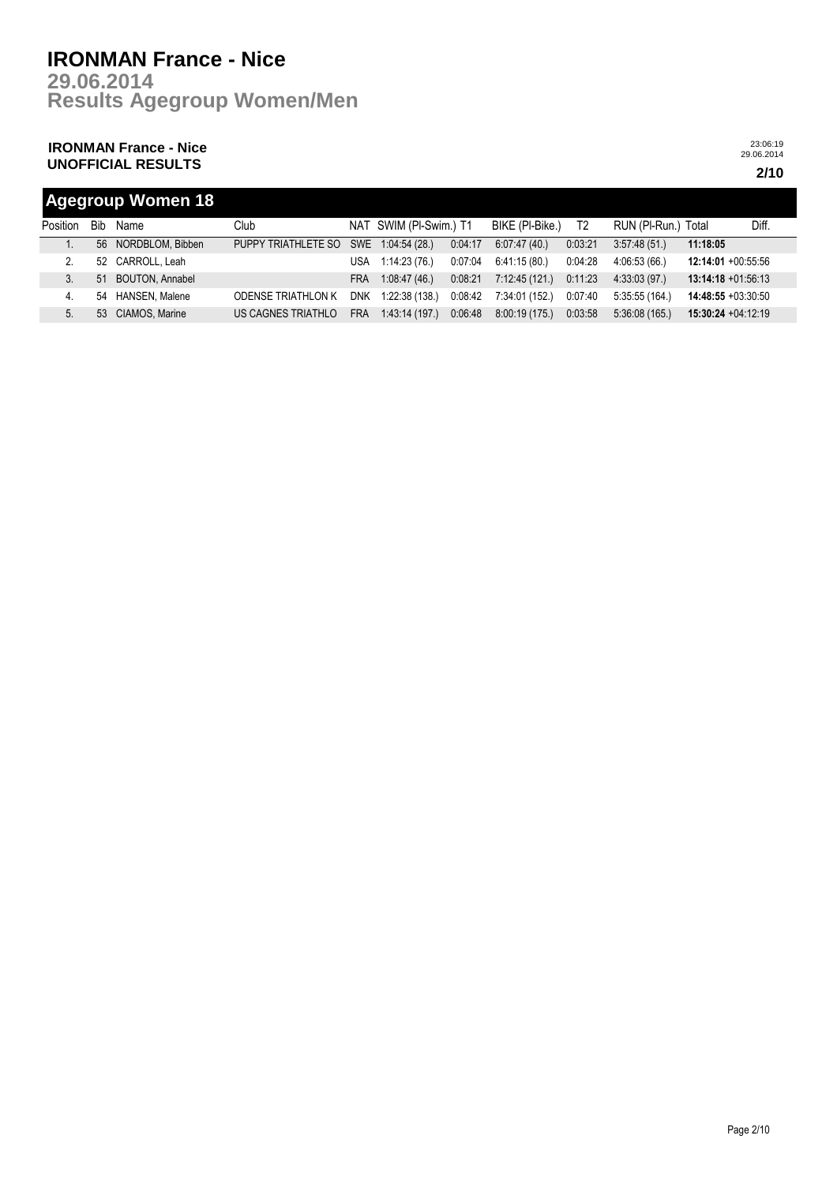**Results Agegroup Women/Men 29.06.2014**

## **IRONMAN France - Nice UNOFFICIAL RESULTS 2/10**

23:06:19 29.06.2014

## **Agegroup Women 18**

| Position | Bib | Name                | Club                                  |            | NAT SWIM (PI-Swim.) T1 |         | BIKE (PI-Bike.) | T <sub>2</sub> | RUN (PI-Run.) Total |                       | Diff. |
|----------|-----|---------------------|---------------------------------------|------------|------------------------|---------|-----------------|----------------|---------------------|-----------------------|-------|
|          |     | 56 NORDBLOM, Bibben | PUPPY TRIATHLETE SO SWE 1:04:54 (28.) |            |                        | 0:04:17 | 6:07:47(40)     | 0:03:21        | 3:57:48(51)         | 11:18:05              |       |
|          |     | 52 CARROLL, Leah    |                                       | USA        | 1:14:23 (76.)          | 0:07:04 | 6:41:15 (80.)   | 0:04:28        | 4:06:53 (66.)       | 12:14:01 +00:55:56    |       |
|          |     | 51 BOUTON, Annabel  |                                       | <b>FRA</b> | 1:08:47(46)            | 0:08:21 | 7:12:45 (121.)  | 0:11:23        | 4:33:03 (97.)       | $13:14:18 + 01:56:13$ |       |
| 4.       | 54  | HANSEN, Malene      | <b>ODENSE TRIATHLON K</b>             |            | DNK 1:22:38 (138.)     | 0:08:42 | 7:34:01 (152.)  | 0:07:40        | 5:35:55 (164.)      | 14:48:55 +03:30:50    |       |
| 5.       |     | 53 CIAMOS, Marine   | US CAGNES TRIATHLO                    | <b>FRA</b> | 1:43:14 (197.)         | 0:06:48 | 8:00:19(175)    | 0:03:58        | 5:36:08(165)        | $15:30:24 +04:12:19$  |       |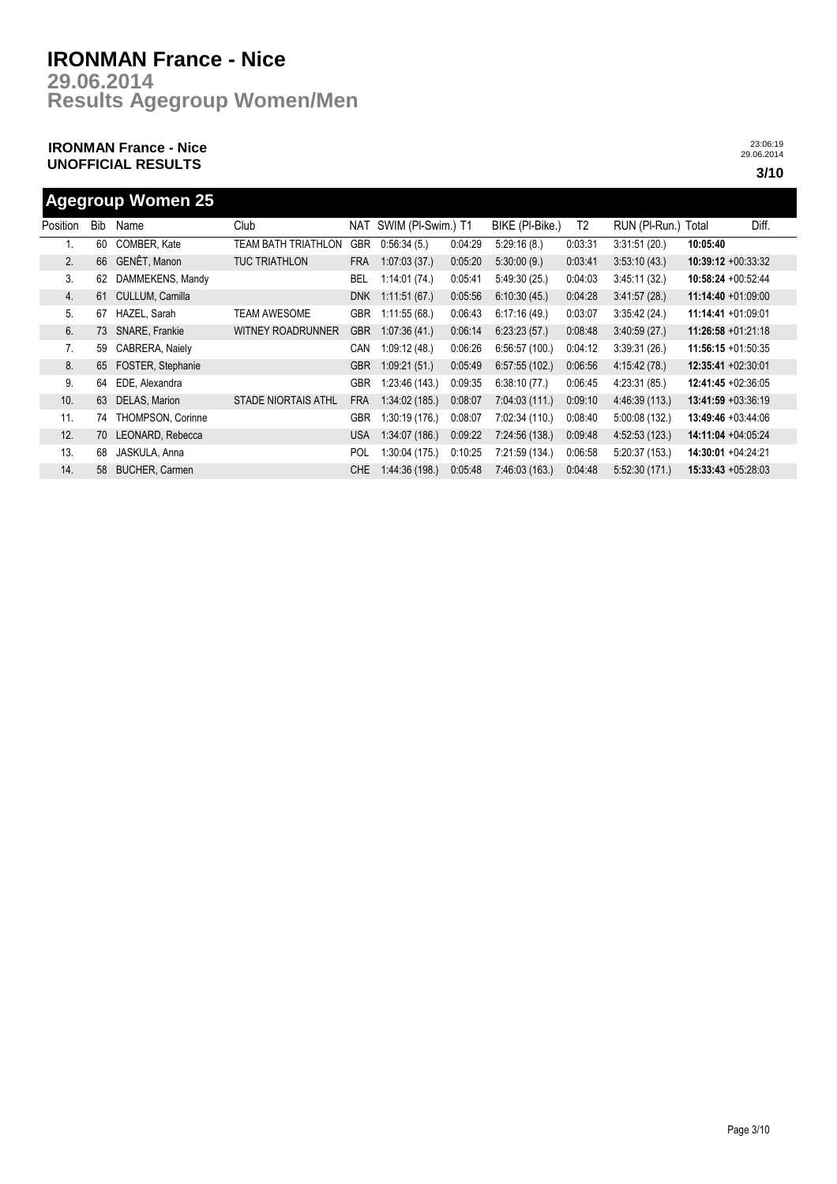**Results Agegroup Women/Men 29.06.2014**

## **IRONMAN France - Nice UNOFFICIAL RESULTS 3/10**

23:06:19 29.06.2014

## **Agegroup Women 25**

| Position | <b>Bib</b> | Name                  | Club                       | NAT        | SWIM (PI-Swim.) T1 |         | BIKE (PI-Bike.) | T2      | RUN (PI-Run.) | Total                 | Diff. |
|----------|------------|-----------------------|----------------------------|------------|--------------------|---------|-----------------|---------|---------------|-----------------------|-------|
| ι.       | 60         | COMBER, Kate          | TEAM BATH TRIATHLON        | <b>GBR</b> | 0:56:34(5)         | 0:04:29 | 5:29:16(8)      | 0:03:31 | 3:31:51(20.)  | 10:05:40              |       |
| 2.       | 66         | <b>GENÊT, Manon</b>   | <b>TUC TRIATHLON</b>       | <b>FRA</b> | 1:07:03(37)        | 0:05:20 | 5:30:00(9)      | 0:03:41 | 3:53:10(43)   | $10:39:12 +00:33:32$  |       |
| 3.       | 62         | DAMMEKENS, Mandy      |                            | BEL        | 1:14:01(74)        | 0:05:41 | 5.49.30(25)     | 0:04:03 | 3:45:11(32)   | $10:58:24 +00:52:44$  |       |
| 4.       | 61         | CULLUM, Camilla       |                            | <b>DNK</b> | 1:11:51(67)        | 0:05:56 | 6:10:30(45)     | 0:04:28 | 3:41:57(28)   | $11:14:40 + 01:09:00$ |       |
| 5.       | 67         | HAZEL, Sarah          | <b>TEAM AWESOME</b>        | <b>GBR</b> | 1:11:55(68.)       | 0:06:43 | 6:17:16(49)     | 0:03:07 | 3:35:42(24)   | 11:14:41 +01:09:01    |       |
| 6.       | 73         | SNARE, Frankie        | <b>WITNEY ROADRUNNER</b>   | <b>GBR</b> | 1:07:36(41)        | 0:06:14 | 6:23:23(57)     | 0:08:48 | 3:40:59(27)   | $11:26:58 + 01:21:18$ |       |
| 7.       | 59         | CABRERA, Naiely       |                            | <b>CAN</b> | 1:09:12(48.)       | 0:06:26 | 6.56:57(100.)   | 0.04:12 | 3:39:31(26.)  | $11:56:15 + 01:50:35$ |       |
| 8.       | 65         | FOSTER, Stephanie     |                            | <b>GBR</b> | 1:09:21(51)        | 0:05:49 | 6:57:55(102.)   | 0:06:56 | 4:15:42(78.)  | $12:35:41 + 02:30:01$ |       |
| 9.       | 64         | EDE, Alexandra        |                            | <b>GBR</b> | 1:23:46(143)       | 0:09:35 | 6:38:10(77)     | 0:06:45 | 4:23:31(85)   | 12:41:45 +02:36:05    |       |
| 10.      | 63         | DELAS, Marion         | <b>STADE NIORTAIS ATHL</b> | <b>FRA</b> | 1:34:02(185)       | 0:08:07 | 7:04:03(111)    | 0:09:10 | 4.46.39(113)  | $13:41:59 + 03:36:19$ |       |
| 11.      | 74         | THOMPSON, Corinne     |                            | <b>GBR</b> | 1:30:19(176)       | 0:08:07 | 7:02:34 (110.)  | 0:08:40 | 5:00:08(132)  | 13:49:46 +03:44:06    |       |
| 12.      | 70         | LEONARD, Rebecca      |                            | <b>USA</b> | 1:34:07(186.)      | 0:09:22 | 7:24:56(138.)   | 0:09:48 | 4:52:53(123)  | 14:11:04 +04:05:24    |       |
| 13.      | 68         | JASKULA, Anna         |                            | <b>POL</b> | 1:30:04(175)       | 0:10:25 | 7:21:59 (134.)  | 0:06:58 | 5:20:37(153)  | $14:30:01 + 04:24:21$ |       |
| 14.      | 58         | <b>BUCHER, Carmen</b> |                            | <b>CHE</b> | 1:44:36(198)       | 0.05:48 | 7:46:03(163)    | 0.04.48 | 5:52:30(171)  | $15:33:43 +05:28:03$  |       |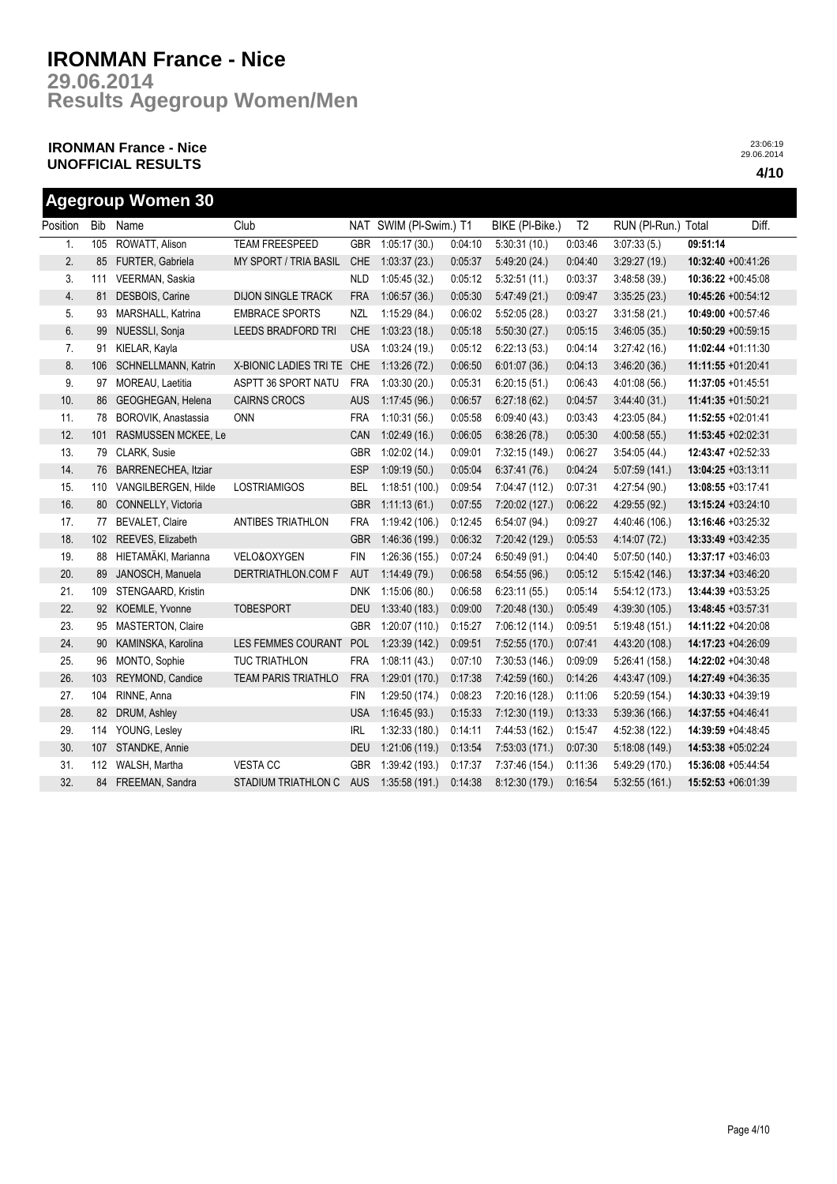**Results Agegroup Women/Men 29.06.2014**

## **IRONMAN France - Nice UNOFFICIAL RESULTS 4/10**

|          |            | <b>Agegroup Women 30</b> |                            |            |                        |         |                 |                |                     |                    |                    |
|----------|------------|--------------------------|----------------------------|------------|------------------------|---------|-----------------|----------------|---------------------|--------------------|--------------------|
| Position | <b>Bib</b> | Name                     | Club                       |            | NAT SWIM (PI-Swim.) T1 |         | BIKE (PI-Bike.) | T <sub>2</sub> | RUN (PI-Run.) Total |                    | Diff.              |
| 1.       | 105        | ROWATT, Alison           | <b>TEAM FREESPEED</b>      | <b>GBR</b> | 1:05:17(30.)           | 0:04:10 | 5:30:31(10.)    | 0:03:46        | 3:07:33(5.)         | 09:51:14           |                    |
| 2.       | 85         | FURTER, Gabriela         | MY SPORT / TRIA BASIL      | CHE        | 1:03:37(23.)           | 0:05:37 | 5:49:20 (24.)   | 0:04:40        | 3:29:27(19)         | 10:32:40 +00:41:26 |                    |
| 3.       | 111        | VEERMAN, Saskia          |                            | <b>NLD</b> | 1:05:45(32.)           | 0:05:12 | 5:32:51(11)     | 0:03:37        | 3.48:58(39)         |                    | 10:36:22 +00:45:08 |
| 4.       | 81         | DESBOIS, Carine          | <b>DIJON SINGLE TRACK</b>  | <b>FRA</b> | 1:06:57(36.)           | 0:05:30 | 5.47:49(21.)    | 0:09:47        | 3:35:25(23.)        |                    | 10:45:26 +00:54:12 |
| 5.       | 93         | MARSHALL, Katrina        | <b>EMBRACE SPORTS</b>      | <b>NZL</b> | 1:15:29(84.)           | 0:06:02 | 5:52:05(28.)    | 0:03:27        | 3:31:58(21)         |                    | 10:49:00 +00:57:46 |
| 6.       | 99         | NUESSLI, Sonja           | LEEDS BRADFORD TRI         | <b>CHE</b> | 1:03:23(18.)           | 0:05:18 | 5:50:30(27.)    | 0:05:15        | 3.46:05(35)         |                    | 10:50:29 +00:59:15 |
| 7.       | 91         | KIELAR, Kayla            |                            | <b>USA</b> | 1:03:24(19.)           | 0:05:12 | 6:22:13(53)     | 0:04:14        | 3:27:42(16.)        |                    | 11:02:44 +01:11:30 |
| 8.       | 106        | SCHNELLMANN, Katrin      | X-BIONIC LADIES TRI TE CHE |            | 1:13:26(72.)           | 0:06:50 | 6:01:07(36.)    | 0:04:13        | 3.46:20(36)         | 11:11:55 +01:20:41 |                    |
| 9.       | 97         | MOREAU, Laetitia         | ASPTT 36 SPORT NATU        | <b>FRA</b> | 1:03:30(20.)           | 0:05:31 | 6:20:15(51)     | 0:06:43        | 4:01:08(56)         | 11:37:05 +01:45:51 |                    |
| 10.      | 86         | GEOGHEGAN, Helena        | <b>CAIRNS CROCS</b>        | <b>AUS</b> | 1:17:45(96.)           | 0:06:57 | 6:27:18(62)     | 0:04:57        | 3.44:40(31)         | 11:41:35 +01:50:21 |                    |
| 11.      | 78         | BOROVIK, Anastassia      | ONN                        | <b>FRA</b> | 1:10:31(56.)           | 0:05:58 | 6:09:40(43)     | 0:03:43        | 4:23:05 (84.)       | 11:52:55 +02:01:41 |                    |
| 12.      | 101        | RASMUSSEN MCKEE, Le      |                            | CAN        | 1:02:49(16.)           | 0:06:05 | 6:38:26(78.)    | 0:05:30        | 4:00:58(55.)        | 11:53:45 +02:02:31 |                    |
| 13.      | 79         | CLARK, Susie             |                            | <b>GBR</b> | 1:02:02(14.)           | 0:09:01 | 7:32:15 (149.)  | 0:06:27        | 3:54:05(44)         |                    | 12:43:47 +02:52:33 |
| 14.      | 76         | BARRENECHEA, Itziar      |                            | <b>ESP</b> | 1:09:19(50.)           | 0:05:04 | 6:37:41(76)     | 0:04:24        | 5:07:59(141.)       | 13:04:25 +03:13:11 |                    |
| 15.      | 110        | VANGILBERGEN, Hilde      | <b>LOSTRIAMIGOS</b>        | <b>BEL</b> | 1:18:51 (100.)         | 0:09:54 | 7:04:47 (112.)  | 0:07:31        | 4:27:54 (90.)       | 13:08:55 +03:17:41 |                    |
| 16.      | 80         | CONNELLY, Victoria       |                            | <b>GBR</b> | 1:11:13(61)            | 0:07:55 | 7:20:02 (127.)  | 0:06:22        | 4:29:55(92)         | 13:15:24 +03:24:10 |                    |
| 17.      | 77         | BEVALET, Claire          | ANTIBES TRIATHLON          | <b>FRA</b> | 1:19:42(106.)          | 0:12:45 | 6:54:07 (94.)   | 0:09:27        | 4:40:46 (106.)      |                    | 13:16:46 +03:25:32 |
| 18.      | 102        | REEVES, Elizabeth        |                            | <b>GBR</b> | 1:46:36 (199.)         | 0:06:32 | 7:20:42 (129.)  | 0:05:53        | 4:14:07 (72.)       |                    | 13:33:49 +03:42:35 |
| 19.      | 88         | HIETAMÄKI, Marianna      | VELO&OXYGEN                | <b>FIN</b> | 1:26:36 (155.)         | 0.07:24 | 6:50:49(91)     | 0:04:40        | 5:07:50 (140.)      |                    | 13:37:17 +03:46:03 |
| 20.      | 89         | JANOSCH, Manuela         | DERTRIATHLON.COM F         | <b>AUT</b> | 1:14:49(79.)           | 0:06:58 | 6:54:55(96.)    | 0:05:12        | 5:15:42(146.)       | 13:37:34 +03:46:20 |                    |
| 21.      | 109        | STENGAARD, Kristin       |                            | <b>DNK</b> | 1:15:06(80.)           | 0:06:58 | 6:23:11(55)     | 0:05:14        | 5:54:12(173.)       |                    | 13:44:39 +03:53:25 |
| 22.      | 92         | KOEMLE, Yvonne           | <b>TOBESPORT</b>           | <b>DEU</b> | 1:33:40(183)           | 0:09:00 | 7:20:48 (130.)  | 0:05:49        | 4:39:30 (105.)      | 13:48:45 +03:57:31 |                    |
| 23.      | 95         | MASTERTON, Claire        |                            | <b>GBR</b> | 1:20:07(110.)          | 0:15:27 | 7:06:12 (114.)  | 0:09:51        | 5:19:48(151)        | 14:11:22 +04:20:08 |                    |
| 24.      | 90         | KAMINSKA, Karolina       | LES FEMMES COURANT         | POL        | 1:23:39(142.)          | 0:09:51 | 7:52:55 (170.)  | 0:07:41        | 4:43:20 (108.)      | 14:17:23 +04:26:09 |                    |
| 25.      | 96         | MONTO, Sophie            | <b>TUC TRIATHLON</b>       | <b>FRA</b> | 1:08:11(43)            | 0:07:10 | 7:30:53 (146.)  | 0:09:09        | 5:26:41(158.)       |                    | 14:22:02 +04:30:48 |
| 26.      | 103        | REYMOND, Candice         | <b>TEAM PARIS TRIATHLO</b> | <b>FRA</b> | 1:29:01(170.)          | 0:17:38 | 7:42:59 (160.)  | 0:14:26        | 4.43.47 (109.)      |                    | 14:27:49 +04:36:35 |
| 27.      | 104        | RINNE, Anna              |                            | <b>FIN</b> | 1:29:50 (174.)         | 0:08:23 | 7:20:16 (128.)  | 0:11:06        | 5:20:59 (154.)      | 14:30:33 +04:39:19 |                    |
| 28.      | 82         | DRUM, Ashley             |                            | <b>USA</b> | 1:16:45(93)            | 0:15:33 | 7:12:30(119.)   | 0:13:33        | 5:39:36(166)        | 14:37:55 +04:46:41 |                    |
| 29.      | 114        | YOUNG, Lesley            |                            | <b>IRL</b> | 1:32:33 (180.)         | 0:14:11 | 7:44:53 (162.)  | 0:15:47        | 4:52:38 (122.)      |                    | 14:39:59 +04:48:45 |
| 30.      | 107        | STANDKE, Annie           |                            | <b>DEU</b> | 1:21:06 (119.)         | 0:13:54 | 7:53:03(171.)   | 0:07:30        | 5:18:08(149)        | 14:53:38 +05:02:24 |                    |
| 31.      | 112        | WALSH, Martha            | <b>VESTACC</b>             | <b>GBR</b> | 1:39:42 (193.)         | 0:17:37 | 7:37:46 (154.)  | 0:11:36        | 5:49:29 (170.)      | 15:36:08 +05:44:54 |                    |
| 32.      | 84         | FREEMAN, Sandra          | STADIUM TRIATHLON C        | <b>AUS</b> | 1:35:58(191.)          | 0:14:38 | 8:12:30 (179.)  | 0:16:54        | 5:32:55(161)        | 15:52:53 +06:01:39 |                    |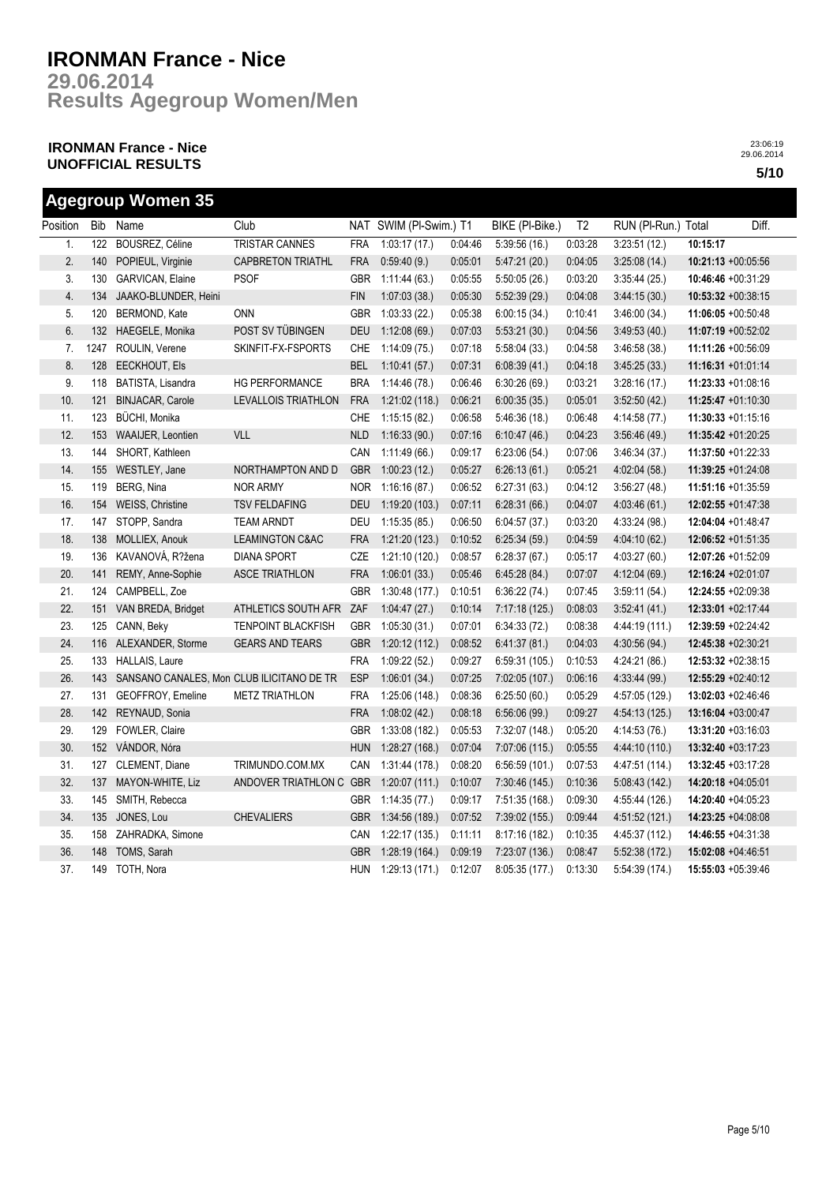**Results Agegroup Women/Men 29.06.2014**

## **IRONMAN France - Nice UNOFFICIAL RESULTS 5/10**

|          |      | <b>Agegroup Women 35</b>                  |                            |            |                        |         |                 |         |                     |                       |       |
|----------|------|-------------------------------------------|----------------------------|------------|------------------------|---------|-----------------|---------|---------------------|-----------------------|-------|
| Position | Bib  | Name                                      | Club                       |            | NAT SWIM (PI-Swim.) T1 |         | BIKE (PI-Bike.) | T2      | RUN (PI-Run.) Total |                       | Diff. |
| 1.       | 122  | BOUSREZ, Céline                           | TRISTAR CANNES             | <b>FRA</b> | 1:03:17(17.)           | 0:04:46 | 5:39:56(16.)    | 0:03:28 | 3:23:51(12)         | 10:15:17              |       |
| 2.       | 140  | POPIEUL, Virginie                         | <b>CAPBRETON TRIATHL</b>   | <b>FRA</b> | 0:59:40(9)             | 0:05:01 | 5:47:21(20.)    | 0:04:05 | 3:25:08(14.)        | 10:21:13 +00:05:56    |       |
| 3.       | 130  | GARVICAN, Elaine                          | <b>PSOF</b>                | GBR        | 1:11:44(63)            | 0:05:55 | 5:50:05(26.)    | 0:03:20 | 3:35:44(25)         | 10:46:46 +00:31:29    |       |
| 4.       | 134  | JAAKO-BLUNDER, Heini                      |                            | <b>FIN</b> | 1:07:03(38.)           | 0:05:30 | 5:52:39(29.)    | 0:04:08 | 3:44:15(30.)        | $10:53:32 +00:38:15$  |       |
| 5.       | 120  | BERMOND, Kate                             | <b>ONN</b>                 | GBR        | 1:03:33(22)            | 0:05:38 | 6:00:15(34)     | 0:10:41 | 3.46:00(34)         | $11:06:05 +00:50:48$  |       |
| 6.       | 132  | HAEGELE, Monika                           | POST SV TÜBINGEN           | <b>DEU</b> | 1:12:08(69.)           | 0:07:03 | 5:53:21(30.)    | 0:04:56 | 3:49:53(40.)        | 11:07:19 +00:52:02    |       |
| 7.       | 1247 | ROULIN, Verene                            | SKINFIT-FX-FSPORTS         | <b>CHE</b> | 1:14:09(75)            | 0:07:18 | 5:58:04(33.)    | 0:04:58 | 3:46:58(38.)        | 11:11:26 +00:56:09    |       |
| 8.       | 128  | EECKHOUT, Els                             |                            | <b>BEL</b> | 1:10:41(57.)           | 0:07:31 | 6:08:39(41)     | 0:04:18 | 3:45:25(33.)        | 11:16:31 +01:01:14    |       |
| 9.       | 118  | BATISTA, Lisandra                         | HG PERFORMANCE             | <b>BRA</b> | 1:14:46(78.)           | 0.06:46 | 6:30:26(69)     | 0:03:21 | 3:28:16(17)         | 11:23:33 +01:08:16    |       |
| 10.      | 121  | <b>BINJACAR, Carole</b>                   | LEVALLOIS TRIATHLON        | <b>FRA</b> | 1:21:02(118.)          | 0:06:21 | 6:00:35(35.)    | 0:05:01 | 3:52:50(42)         | $11:25:47 +01:10:30$  |       |
| 11.      | 123  | <b>BÜCHI, Monika</b>                      |                            | <b>CHE</b> | 1:15:15(82)            | 0:06:58 | 5:46:36(18)     | 0:06:48 | 4:14:58(77)         | $11:30:33 +01:15:16$  |       |
| 12.      | 153  | <b>WAAIJER, Leontien</b>                  | <b>VLL</b>                 | <b>NLD</b> | 1:16:33(90.)           | 0:07:16 | 6:10:47(46.)    | 0:04:23 | 3:56:46(49.)        | 11:35:42 +01:20:25    |       |
| 13.      | 144  | SHORT, Kathleen                           |                            | CAN        | 1:11:49(66.)           | 0.09:17 | 6:23:06(54.)    | 0:07:06 | 3:46:34 (37.)       | 11:37:50 +01:22:33    |       |
| 14.      | 155  | WESTLEY, Jane                             | NORTHAMPTON AND D          | <b>GBR</b> | 1:00:23(12.)           | 0:05:27 | 6:26:13(61.)    | 0:05:21 | 4:02:04(58.)        | 11:39:25 +01:24:08    |       |
| 15.      | 119  | BERG, Nina                                | <b>NOR ARMY</b>            | <b>NOR</b> | 1:16:16(87.)           | 0:06:52 | 6:27:31(63)     | 0:04:12 | 3:56:27(48.)        | 11:51:16 +01:35:59    |       |
| 16.      | 154  | <b>WEISS, Christine</b>                   | <b>TSV FELDAFING</b>       | <b>DEU</b> | 1:19:20 (103.)         | 0:07:11 | 6:28:31(66)     | 0:04:07 | 4.03:46(61)         | $12:02:55 + 01:47:38$ |       |
| 17.      | 147  | STOPP, Sandra                             | <b>TEAM ARNDT</b>          | DEU        | 1:15:35(85)            | 0:06:50 | 6.04:57(37)     | 0:03:20 | 4:33:24 (98.)       | 12:04:04 +01:48:47    |       |
| 18.      | 138  | MOLLIEX, Anouk                            | <b>LEAMINGTON C&amp;AC</b> | <b>FRA</b> | 1:21:20(123.)          | 0:10:52 | 6:25:34(59)     | 0:04:59 | 4:04:10(62)         | $12:06:52 +01:51:35$  |       |
| 19.      | 136  | KAVANOVÁ, R?žena                          | <b>DIANA SPORT</b>         | CZE        | 1:21:10 (120.)         | 0:08:57 | 6:28:37(67)     | 0:05:17 | 4.03:27(60.)        | 12:07:26 +01:52:09    |       |
| 20.      | 141  | REMY, Anne-Sophie                         | <b>ASCE TRIATHLON</b>      | <b>FRA</b> | 1:06:01(33.)           | 0.05:46 | 6:45:28(84.)    | 0:07:07 | 4:12:04(69.)        | 12:16:24 +02:01:07    |       |
| 21.      | 124  | CAMPBELL, Zoe                             |                            | <b>GBR</b> | 1:30:48 (177.)         | 0:10:51 | 6:36:22(74.)    | 0:07:45 | 3:59:11(54.)        | 12:24:55 +02:09:38    |       |
| 22.      | 151  | VAN BREDA, Bridget                        | ATHLETICS SOUTH AFR        | ZAF        | 1:04:47(27.)           | 0:10:14 | 7:17:18 (125.)  | 0:08:03 | 3:52:41(41.)        | 12:33:01 +02:17:44    |       |
| 23.      | 125  | CANN, Beky                                | <b>TENPOINT BLACKFISH</b>  | <b>GBR</b> | 1:05:30(31)            | 0:07:01 | 6:34:33(72)     | 0:08:38 | 4:44:19 (111.)      | 12:39:59 +02:24:42    |       |
| 24.      | 116  | ALEXANDER, Storme                         | <b>GEARS AND TEARS</b>     | <b>GBR</b> | 1:20:12(112.)          | 0:08:52 | 6:41:37(81)     | 0:04:03 | 4:30:56 (94.)       | 12:45:38 +02:30:21    |       |
| 25.      | 133  | HALLAIS, Laure                            |                            | <b>FRA</b> | 1:09:22(52.)           | 0:09:27 | 6:59:31 (105.)  | 0:10:53 | 4:24:21 (86.)       | 12:53:32 +02:38:15    |       |
| 26.      | 143  | SANSANO CANALES, Mon CLUB ILICITANO DE TR |                            | <b>ESP</b> | 1:06:01(34.)           | 0:07:25 | 7:02:05 (107.)  | 0:06:16 | 4:33:44 (99.)       | 12:55:29 +02:40:12    |       |
| 27.      | 131  | GEOFFROY, Emeline                         | <b>METZ TRIATHLON</b>      | <b>FRA</b> | 1:25:06 (148.)         | 0:08:36 | 6:25:50(60.)    | 0:05:29 | 4:57:05 (129.)      | 13:02:03 +02:46:46    |       |
| 28.      | 142  | REYNAUD, Sonia                            |                            | <b>FRA</b> | 1:08:02(42.)           | 0:08:18 | 6:56:06(99.)    | 0:09:27 | 4 54:13 (125.)      | 13:16:04 +03:00:47    |       |
| 29.      | 129  | FOWLER, Claire                            |                            | <b>GBR</b> | 1:33:08(182)           | 0:05:53 | 7:32:07 (148.)  | 0:05:20 | 4:14:53 (76.)       | 13:31:20 +03:16:03    |       |
| 30.      | 152  | VÁNDOR, Nóra                              |                            | <b>HUN</b> | 1:28:27(168.)          | 0:07:04 | 7:07:06 (115.)  | 0:05:55 | 4:44:10 (110.)      | 13:32:40 +03:17:23    |       |
| 31.      | 127  | CLEMENT, Diane                            | TRIMUNDO.COM.MX            | CAN        | 1:31:44(178.)          | 0:08:20 | 6:56:59(101.)   | 0:07:53 | 4:47:51 (114.)      | 13:32:45 +03:17:28    |       |
| 32.      | 137  | MAYON-WHITE, Liz                          | ANDOVER TRIATHLON C GBR    |            | 1:20:07(111.)          | 0:10:07 | 7:30:46 (145.)  | 0:10:36 | 5:08:43(142.)       | 14:20:18 +04:05:01    |       |
| 33.      | 145  | SMITH, Rebecca                            |                            | GBR        | 1:14:35(77.)           | 0:09:17 | 7:51:35(168)    | 0:09:30 | 4:55:44 (126.)      | 14:20:40 +04:05:23    |       |
| 34.      | 135  | JONES, Lou                                | <b>CHEVALIERS</b>          | <b>GBR</b> | 1:34:56(189.)          | 0:07:52 | 7:39:02 (155.)  | 0:09:44 | 4:51:52 (121.)      | 14:23:25 +04:08:08    |       |
| 35.      | 158  | ZAHRADKA, Simone                          |                            | CAN        | 1:22:17(135.)          | 0:11:11 | 8:17:16(182)    | 0:10:35 | 4:45:37 (112.)      | 14:46:55 +04:31:38    |       |
| 36.      | 148  | TOMS, Sarah                               |                            | <b>GBR</b> | 1:28:19 (164.)         | 0:09:19 | 7:23:07 (136.)  | 0:08:47 | 5:52:38 (172.)      | 15:02:08 +04:46:51    |       |
| 37.      | 149  | TOTH, Nora                                |                            | <b>HUN</b> | 1:29:13 (171.)         | 0:12:07 | 8:05:35 (177.)  | 0:13:30 | 5:54:39 (174.)      | 15:55:03 +05:39:46    |       |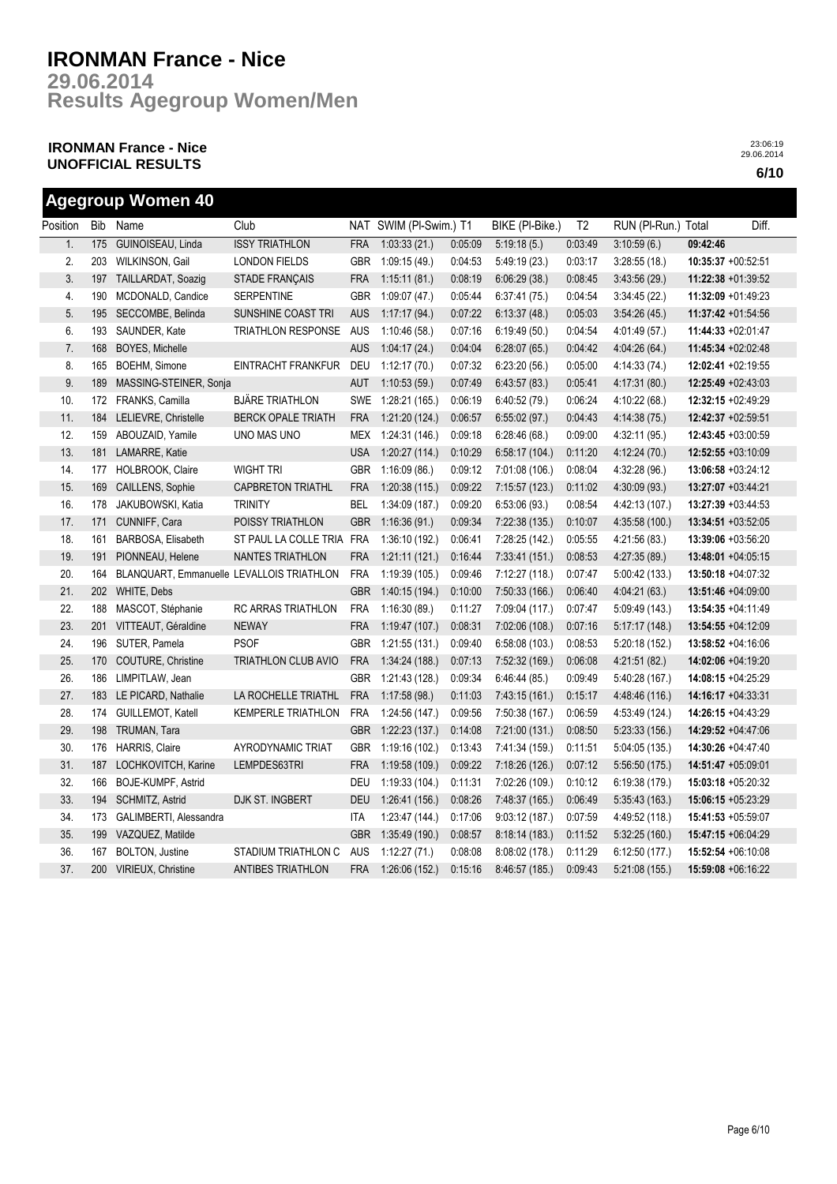**Results Agegroup Women/Men 29.06.2014**

## **IRONMAN France - Nice UNOFFICIAL RESULTS 6/10**

| Position | <b>Bib</b> | Name                                      | Club                       |            | NAT SWIM (PI-Swim.) T1 |         | BIKE (PI-Bike.) | T <sub>2</sub> | RUN (Pl-Run.) Total |                    | Diff.              |
|----------|------------|-------------------------------------------|----------------------------|------------|------------------------|---------|-----------------|----------------|---------------------|--------------------|--------------------|
| 1.       | 175        | GUINOISEAU, Linda                         | <b>ISSY TRIATHLON</b>      | <b>FRA</b> | 1:03:33(21.)           | 0:05:09 | 5:19:18(5.)     | 0:03:49        | 3:10:59(6.)         | 09:42:46           |                    |
| 2.       | 203        | WILKINSON, Gail                           | <b>LONDON FIELDS</b>       | <b>GBR</b> | 1:09:15 (49.)          | 0:04:53 | 5:49:19(23)     | 0:03:17        | 3:28:55(18.)        |                    | 10:35:37 +00:52:51 |
| 3.       | 197        | TAILLARDAT, Soazig                        | STADE FRANÇAIS             | <b>FRA</b> | 1:15:11(81.)           | 0:08:19 | 6:06:29(38.)    | 0:08:45        | 3:43:56(29)         |                    | 11:22:38 +01:39:52 |
| 4.       | 190        | MCDONALD, Candice                         | <b>SERPENTINE</b>          | <b>GBR</b> | 1:09:07 (47.)          | 0:05:44 | 6:37:41(75)     | 0:04:54        | 3.34.45(22)         |                    | 11:32:09 +01:49:23 |
| 5.       | 195        | SECCOMBE, Belinda                         | SUNSHINE COAST TRI         | <b>AUS</b> | 1:17:17(94.)           | 0:07:22 | 6:13:37(48)     | 0:05:03        | 3:54:26(45)         |                    | 11:37:42 +01:54:56 |
| 6.       | 193        | SAUNDER, Kate                             | TRIATHLON RESPONSE         | <b>AUS</b> | 1:10:46 (58.)          | 0:07:16 | 6:19:49 (50.)   | 0:04:54        | 4:01:49 (57.)       |                    | 11:44:33 +02:01:47 |
| 7.       | 168        | <b>BOYES, Michelle</b>                    |                            | <b>AUS</b> | 1:04:17(24.)           | 0.04.04 | 6:28:07(65.)    | 0.04.42        | 4:04:26 (64.)       |                    | 11:45:34 +02:02:48 |
| 8.       | 165        | BOEHM, Simone                             | EINTRACHT FRANKFUR         | DEU        | 1:12:17(70.)           | 0:07:32 | 6:23:20(56.)    | 0:05:00        | 4:14:33 (74.)       |                    | 12:02:41 +02:19:55 |
| 9.       | 189        | MASSING-STEINER, Sonja                    |                            | AUT        | 1:10:53(59)            | 0:07:49 | 6:43:57(83)     | 0:05:41        | 4:17:31 (80.)       |                    | 12:25:49 +02:43:03 |
| 10.      |            | 172 FRANKS, Camilla                       | <b>BJÄRE TRIATHLON</b>     |            | SWE 1:28:21 (165.)     | 0:06:19 | 6:40:52(79.)    | 0:06:24        | 4:10:22 (68.)       |                    | 12:32:15 +02:49:29 |
| 11.      |            | 184 LELIEVRE, Christelle                  | <b>BERCK OPALE TRIATH</b>  | <b>FRA</b> | 1:21:20(124.)          | 0:06:57 | 6:55:02(97.)    | 0.04:43        | 4:14:38(75.)        | 12:42:37 +02:59:51 |                    |
| 12.      |            | 159 ABOUZAID, Yamile                      | UNO MAS UNO                |            | MEX 1:24:31 (146.)     | 0:09:18 | 6:28:46(68)     | 0:09:00        | 4:32:11 (95.)       |                    | 12:43:45 +03:00:59 |
| 13.      | 181        | LAMARRE, Katie                            |                            | <b>USA</b> | 1:20:27(114.)          | 0:10:29 | 6:58:17(104.)   | 0:11:20        | 4:12:24(70.)        |                    | 12:52:55 +03:10:09 |
| 14.      | 177        | HOLBROOK, Claire                          | <b>WIGHT TRI</b>           | <b>GBR</b> | 1:16:09(86.)           | 0:09:12 | 7:01:08 (106.)  | 0:08:04        | 4:32:28 (96.)       |                    | 13:06:58 +03:24:12 |
| 15.      | 169        | CAILLENS, Sophie                          | <b>CAPBRETON TRIATHL</b>   | <b>FRA</b> | 1:20:38(115.)          | 0:09:22 | 7:15:57 (123.)  | 0:11:02        | 4:30:09(93)         |                    | 13:27:07 +03:44:21 |
| 16.      | 178        | JAKUBOWSKI, Katia                         | <b>TRINITY</b>             | BEL        | 1:34:09(187.)          | 0:09:20 | 6:53:06(93.)    | 0:08:54        | 4:42:13 (107.)      |                    | 13:27:39 +03:44:53 |
| 17.      | 171        | CUNNIFF, Cara                             | POISSY TRIATHLON           | <b>GBR</b> | 1:16:36(91.)           | 0:09:34 | 7:22:38 (135.)  | 0:10:07        | 4:35:58(100.)       |                    | 13:34:51 +03:52:05 |
| 18.      | 161        | BARBOSA, Elisabeth                        | ST PAUL LA COLLE TRIA      | <b>FRA</b> | 1:36:10 (192.)         | 0:06:41 | 7:28:25 (142.)  | 0:05:55        | 4:21:56(83)         |                    | 13:39:06 +03:56:20 |
| 19.      | 191        | PIONNEAU, Helene                          | NANTES TRIATHLON           | <b>FRA</b> | 1:21:11(121.)          | 0:16:44 | 7:33:41 (151.)  | 0:08:53        | 4:27:35(89)         |                    | 13:48:01 +04:05:15 |
| 20.      | 164        | BLANQUART, Emmanuelle LEVALLOIS TRIATHLON |                            | <b>FRA</b> | 1:19:39 (105.)         | 0:09:46 | 7:12:27(118.)   | 0:07:47        | 5.00:42(133)        |                    | 13:50:18 +04:07:32 |
| 21.      | 202        | WHITE, Debs                               |                            | <b>GBR</b> | 1:40:15(194.)          | 0:10:00 | 7:50:33(166)    | 0:06:40        | 4:04:21(63)         |                    | 13:51:46 +04:09:00 |
| 22.      | 188        | MASCOT, Stéphanie                         | RC ARRAS TRIATHLON         | <b>FRA</b> | 1:16:30(89)            | 0:11:27 | 7:09:04 (117.)  | 0:07:47        | 5.09.49(143)        |                    | 13:54:35 +04:11:49 |
| 23.      | 201        | VITTEAUT, Géraldine                       | <b>NEWAY</b>               | <b>FRA</b> | 1:19.47(107.)          | 0:08:31 | 7:02:06 (108.)  | 0:07:16        | 5:17:17(148.)       |                    | 13:54:55 +04:12:09 |
| 24.      | 196        | SUTER, Pamela                             | <b>PSOF</b>                | <b>GBR</b> | 1:21:55 (131.)         | 0:09:40 | 6:58:08(103)    | 0:08:53        | 5:20:18 (152.)      |                    | 13:58:52 +04:16:06 |
| 25.      | 170        | COUTURE, Christine                        | <b>TRIATHLON CLUB AVIO</b> | <b>FRA</b> | 1:34:24(188.)          | 0:07:13 | 7:52:32 (169.)  | 0:06:08        | 4:21:51 (82.)       |                    | 14:02:06 +04:19:20 |
| 26.      | 186        | LIMPITLAW, Jean                           |                            | <b>GBR</b> | 1:21:43 (128.)         | 0:09:34 | 6:46:44(85)     | 0:09:49        | 5.40:28(167)        |                    | 14:08:15 +04:25:29 |
| 27.      | 183        | LE PICARD, Nathalie                       | LA ROCHELLE TRIATHL        | <b>FRA</b> | 1:17:58(98.)           | 0:11:03 | 7:43:15 (161.)  | 0:15:17        | 4:48:46 (116.)      | 14:16:17 +04:33:31 |                    |
| 28.      | 174        | GUILLEMOT, Katell                         | <b>KEMPERLE TRIATHLON</b>  | <b>FRA</b> | 1:24:56 (147.)         | 0:09:56 | 7:50:38 (167.)  | 0:06:59        | 4:53:49 (124.)      |                    | 14:26:15 +04:43:29 |
| 29.      | 198        | TRUMAN, Tara                              |                            | <b>GBR</b> | 1:22:23(137.)          | 0:14:08 | 7:21:00 (131.)  | 0:08:50        | 5:23:33(156.)       |                    | 14:29:52 +04:47:06 |
| 30.      | 176        | HARRIS, Claire                            | <b>AYRODYNAMIC TRIAT</b>   | <b>GBR</b> | 1:19:16(102.)          | 0:13:43 | 7:41:34 (159.)  | 0:11:51        | 5.04:05(135)        |                    | 14:30:26 +04:47:40 |
| 31.      | 187        | LOCHKOVITCH, Karine                       | LEMPDES63TRI               | <b>FRA</b> | 1:19.58(109.)          | 0:09:22 | 7:18:26 (126.)  | 0:07:12        | 5:56:50 (175.)      |                    | 14:51:47 +05:09:01 |
| 32.      | 166        | BOJE-KUMPF, Astrid                        |                            | DEU        | 1:19:33 (104.)         | 0:11:31 | 7:02:26 (109.)  | 0:10:12        | 6:19:38 (179.)      |                    | 15:03:18 +05:20:32 |
| 33.      |            | 194 SCHMITZ, Astrid                       | DJK ST. INGBERT            | <b>DEU</b> | 1:26:41(156.)          | 0:08:26 | 7:48:37 (165.)  | 0:06:49        | 5:35:43(163)        |                    | 15:06:15 +05:23:29 |
| 34.      | 173        | GALIMBERTI, Alessandra                    |                            | <b>ITA</b> | 1:23:47(144.)          | 0:17:06 | 9:03:12(187)    | 0:07:59        | 4:49:52 (118.)      |                    | 15:41:53 +05:59:07 |
| 35.      | 199        | VAZQUEZ, Matilde                          |                            | GBR        | 1:35:49 (190.)         | 0:08:57 | 8:18:14(183)    | 0:11:52        | 5:32:25(160.)       |                    | 15:47:15 +06:04:29 |
| 36.      | 167        | BOLTON, Justine                           | STADIUM TRIATHLON C        | <b>AUS</b> | 1:12:27(71.)           | 0:08:08 | 8:08:02 (178.)  | 0:11:29        | 6:12:50 (177.)      |                    | 15:52:54 +06:10:08 |
| 37.      | 200        | <b>VIRIEUX, Christine</b>                 | <b>ANTIBES TRIATHLON</b>   | <b>FRA</b> | 1:26:06(152.)          | 0:15:16 | 8:46:57 (185.)  | 0:09:43        | 5:21:08(155)        |                    | 15:59:08 +06:16:22 |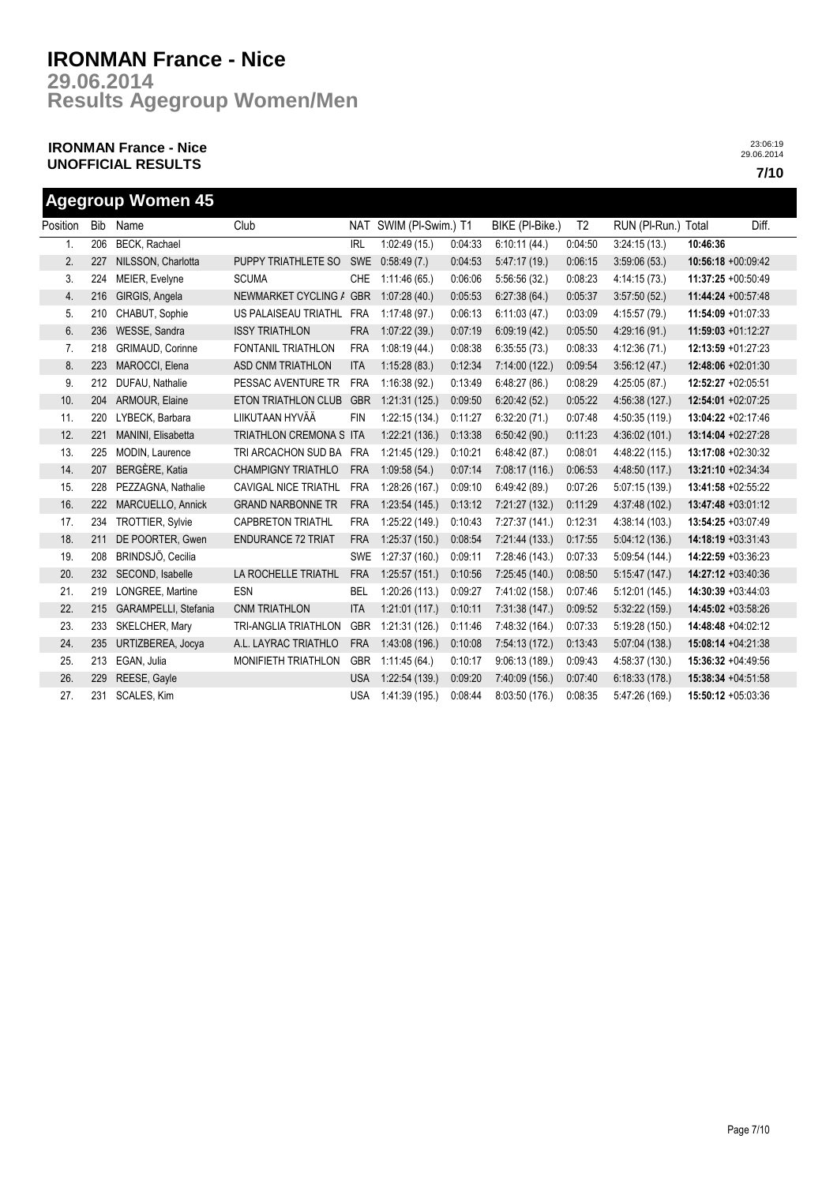**Results Agegroup Women/Men 29.06.2014**

## **IRONMAN France - Nice UNOFFICIAL RESULTS 7/10**

| <b>Agegroup Women 45</b> |     |                         |                             |            |                        |         |                 |                |                     |                    |       |
|--------------------------|-----|-------------------------|-----------------------------|------------|------------------------|---------|-----------------|----------------|---------------------|--------------------|-------|
| Position Bib             |     | Name                    | Club                        |            | NAT SWIM (PI-Swim.) T1 |         | BIKE (PI-Bike.) | T <sub>2</sub> | RUN (PI-Run.) Total |                    | Diff. |
| 1.                       | 206 | <b>BECK, Rachael</b>    |                             | <b>IRL</b> | 1:02:49(15.)           | 0:04:33 | 6:10:11(44)     | 0:04:50        | 3:24:15(13.)        | 10:46:36           |       |
| 2.                       | 227 | NILSSON, Charlotta      | PUPPY TRIATHLETE SO         | <b>SWE</b> | 0:58:49(7.)            | 0:04:53 | 5.47:17(19)     | 0:06:15        | 3:59:06(53)         | 10:56:18 +00:09:42 |       |
| 3.                       | 224 | MEIER, Evelyne          | <b>SCUMA</b>                | <b>CHE</b> | 1:11:46(65)            | 0:06:06 | 5:56:56(32)     | 0:08:23        | 4:14:15 (73.)       | 11:37:25 +00:50:49 |       |
| 4.                       | 216 | GIRGIS, Angela          | NEWMARKET CYCLING / GBR     |            | 1:07:28(40.)           | 0:05:53 | 6:27:38(64)     | 0:05:37        | 3:57:50(52)         | 11:44:24 +00:57:48 |       |
| 5.                       | 210 | CHABUT, Sophie          | US PALAISEAU TRIATHL        | <b>FRA</b> | 1:17:48(97.)           | 0:06:13 | 6:11:03(47)     | 0:03:09        | 4:15:57 (79.)       | 11:54:09 +01:07:33 |       |
| 6.                       | 236 | WESSE, Sandra           | <b>ISSY TRIATHLON</b>       | <b>FRA</b> | 1:07:22(39.)           | 0:07:19 | 6:09:19(42)     | 0:05:50        | 4:29:16(91)         | 11:59:03 +01:12:27 |       |
| 7.                       | 218 | <b>GRIMAUD, Corinne</b> | <b>FONTANIL TRIATHLON</b>   | <b>FRA</b> | 1:08:19(44.)           | 0:08:38 | 6:35:55(73)     | 0:08:33        | 4:12:36(71)         | 12:13:59 +01:27:23 |       |
| 8.                       | 223 | MAROCCI, Elena          | ASD CNM TRIATHLON           | <b>ITA</b> | 1:15:28(83)            | 0:12:34 | 7:14:00 (122.)  | 0:09:54        | 3:56:12(47)         | 12:48:06 +02:01:30 |       |
| 9.                       | 212 | DUFAU, Nathalie         | PESSAC AVENTURE TR          | <b>FRA</b> | 1:16:38(92)            | 0:13:49 | 6:48:27(86)     | 0:08:29        | 4:25:05(87)         | 12:52:27 +02:05:51 |       |
| 10.                      | 204 | ARMOUR, Elaine          | <b>ETON TRIATHLON CLUB</b>  | <b>GBR</b> | 1:21:31(125)           | 0:09:50 | 6:20:42(52)     | 0:05:22        | 4:56:38 (127.)      | 12:54:01 +02:07:25 |       |
| 11.                      | 220 | LYBECK, Barbara         | LIIKUTAAN HYVÄÄ             | <b>FIN</b> | 1:22:15(134.)          | 0:11:27 | 6:32:20(71)     | 0:07:48        | 4:50:35 (119.)      | 13:04:22 +02:17:46 |       |
| 12.                      | 221 | MANINI, Elisabetta      | TRIATHLON CREMONA S ITA     |            | 1:22:21(136.)          | 0:13:38 | 6:50:42(90.)    | 0:11:23        | 4:36:02(101.)       | 13:14:04 +02:27:28 |       |
| 13.                      | 225 | MODIN, Laurence         | TRI ARCACHON SUD BA         | <b>FRA</b> | 1:21:45(129.)          | 0:10:21 | 6:48:42(87)     | 0:08:01        | 4:48:22 (115.)      | 13:17:08 +02:30:32 |       |
| 14.                      | 207 | BERGÈRE, Katia          | <b>CHAMPIGNY TRIATHLO</b>   | <b>FRA</b> | 1:09:58(54.)           | 0:07:14 | 7:08:17 (116.)  | 0:06:53        | 4:48:50 (117.)      | 13:21:10 +02:34:34 |       |
| 15.                      | 228 | PEZZAGNA, Nathalie      | <b>CAVIGAL NICE TRIATHL</b> | <b>FRA</b> | 1:28:26 (167.)         | 0:09:10 | 6.49:42(89)     | 0:07:26        | 5:07:15 (139.)      | 13:41:58 +02:55:22 |       |
| 16.                      | 222 | MARCUELLO, Annick       | <b>GRAND NARBONNE TR</b>    | <b>FRA</b> | 1:23:54(145.)          | 0:13:12 | 7:21:27 (132.)  | 0:11:29        | 4:37:48 (102.)      | 13:47:48 +03:01:12 |       |
| 17.                      | 234 | <b>TROTTIER, Sylvie</b> | <b>CAPBRETON TRIATHL</b>    | <b>FRA</b> | 1:25:22 (149.)         | 0:10:43 | 7:27:37 (141.)  | 0:12:31        | 4:38:14 (103.)      | 13:54:25 +03:07:49 |       |
| 18.                      | 211 | DE POORTER, Gwen        | <b>ENDURANCE 72 TRIAT</b>   | <b>FRA</b> | 1:25:37(150.)          | 0:08:54 | 7:21:44(133)    | 0:17:55        | 5:04:12(136.)       | 14:18:19 +03:31:43 |       |
| 19.                      | 208 | BRINDSJÖ, Cecilia       |                             | <b>SWE</b> | 1:27:37(160.)          | 0:09:11 | 7:28:46 (143.)  | 0:07:33        | 5:09:54 (144.)      | 14:22:59 +03:36:23 |       |
| 20.                      | 232 | SECOND, Isabelle        | LA ROCHELLE TRIATHL         | <b>FRA</b> | 1:25:57(151.)          | 0:10:56 | 7:25:45 (140.)  | 0:08:50        | 5:15:47(147.)       | 14:27:12 +03:40:36 |       |
| 21.                      | 219 | LONGREE, Martine        | <b>ESN</b>                  | <b>BEL</b> | 1:20:26(113.)          | 0:09:27 | 7:41:02 (158.)  | 0:07:46        | 5:12:01 (145.)      | 14:30:39 +03:44:03 |       |
| 22.                      | 215 | GARAMPELLI, Stefania    | <b>CNM TRIATHLON</b>        | <b>ITA</b> | 1:21:01(117.)          | 0:10:11 | 7:31:38(147.)   | 0:09:52        | 5:32:22(159.)       | 14:45:02 +03:58:26 |       |
| 23.                      | 233 | SKELCHER, Mary          | <b>TRI-ANGLIA TRIATHLON</b> | <b>GBR</b> | 1:21:31 (126.)         | 0:11:46 | 7:48:32 (164.)  | 0:07:33        | 5:19:28 (150.)      | 14:48:48 +04:02:12 |       |
| 24.                      | 235 | URTIZBEREA, Jocya       | A.L. LAYRAC TRIATHLO        | <b>FRA</b> | 1:43:08(196.)          | 0:10:08 | 7:54:13 (172.)  | 0:13:43        | 5:07:04 (138.)      | 15:08:14 +04:21:38 |       |
| 25.                      | 213 | EGAN, Julia             | <b>MONIFIETH TRIATHLON</b>  | <b>GBR</b> | 1:11:45(64.)           | 0:10:17 | 9:06:13 (189.)  | 0:09:43        | 4:58:37 (130.)      | 15:36:32 +04:49:56 |       |
| 26.                      | 229 | REESE, Gayle            |                             | <b>USA</b> | 1:22:54(139.)          | 0:09:20 | 7:40:09 (156.)  | 0:07:40        | 6:18:33(178)        | 15:38:34 +04:51:58 |       |
| 27.                      | 231 | SCALES, Kim             |                             | <b>USA</b> | 1:41:39 (195.)         | 0:08:44 | 8:03:50 (176.)  | 0:08:35        | 5:47:26 (169.)      | 15:50:12 +05:03:36 |       |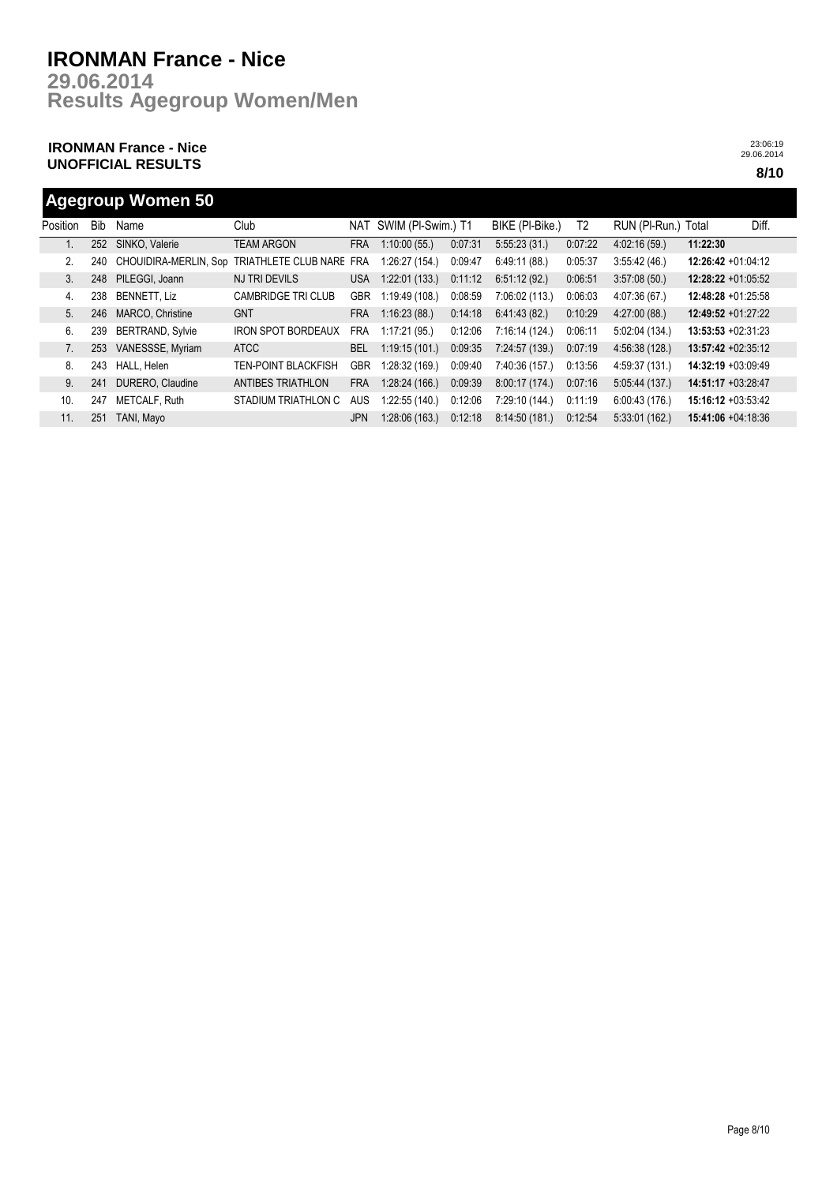**Results Agegroup Women/Men 29.06.2014**

## **IRONMAN France - Nice UNOFFICIAL RESULTS 8/10**

23:06:19 29.06.2014

## **Agegroup Women 50**

| Position | <b>Bib</b> | Name                    | Club                       |            | NAT SWIM (PI-Swim.) T1 |         | BIKE (PI-Bike.) | T <sub>2</sub> | RUN (PI-Run.) Total |                       | Diff. |
|----------|------------|-------------------------|----------------------------|------------|------------------------|---------|-----------------|----------------|---------------------|-----------------------|-------|
|          | 252        | SINKO, Valerie          | <b>TEAM ARGON</b>          | <b>FRA</b> | 1:10:00(55)            | 0:07:31 | 5:55:23(31)     | 0:07:22        | 4:02:16(59)         | 11:22:30              |       |
| 2.       | 240        | CHOUIDIRA-MERLIN, Sop   | TRIATHLETE CLUB NARE       | <b>FRA</b> | 1:26:27 (154.)         | 0:09:47 | 6:49:11(88)     | 0:05:37        | 3:55:42(46.)        | $12:26:42 +01:04:12$  |       |
| 3.       | 248        | PILEGGI, Joann          | <b>NJ TRI DEVILS</b>       | USA        | 1:22:01(133.)          | 0:11:12 | 6.51:12(92)     | 0:06:51        | 3:57:08(50)         | 12:28:22 +01:05:52    |       |
| 4.       | 238        | <b>BENNETT, Liz</b>     | <b>CAMBRIDGE TRI CLUB</b>  | <b>GBR</b> | 1:19:49(108.)          | 0:08:59 | 7:06:02 (113.)  | 0.06.03        | 4.07:36(67)         | $12:48:28 +01:25:58$  |       |
| 5.       | 246        | MARCO, Christine        | <b>GNT</b>                 | <b>FRA</b> | 1:16:23(88)            | 0:14:18 | 6.41.43(82)     | 0:10:29        | 4:27:00(88.)        | $12:49:52 +01:27:22$  |       |
| 6.       | 239        | <b>BERTRAND, Sylvie</b> | <b>IRON SPOT BORDEAUX</b>  | <b>FRA</b> | 1:17:21(95)            | 0:12:06 | 7:16:14 (124.)  | 0:06:11        | 5.02:04(134)        | $13:53:53 + 02:31:23$ |       |
|          | 253        | VANESSSE, Myriam        | <b>ATCC</b>                | <b>BEL</b> | 1:19:15(101.)          | 0:09:35 | 7:24:57 (139.)  | 0:07:19        | 4:56:38(128)        | 13:57:42 +02:35:12    |       |
| 8.       | 243        | HALL, Helen             | <b>TEN-POINT BLACKFISH</b> | <b>GBR</b> | 1:28:32(169)           | 0:09:40 | 7:40:36 (157.)  | 0:13:56        | 4:59:37 (131.)      | 14:32:19 +03:09:49    |       |
| 9.       | 241        | DURERO, Claudine        | <b>ANTIBES TRIATHLON</b>   | <b>FRA</b> | 1:28:24(166.)          | 0:09:39 | 8:00:17 (174.)  | 0:07:16        | 5.05:44(137)        | 14:51:17 +03:28:47    |       |
| 10.      | 247        | METCALF, Ruth           | STADIUM TRIATHLON C        | <b>AUS</b> | 1:22:55(140.)          | 0:12:06 | 7:29:10 (144.)  | 0:11:19        | 6:00:43(176.)       | 15:16:12 +03:53:42    |       |
| 11.      | 251        | TANI, Mavo              |                            | <b>JPN</b> | 1:28:06(163)           | 0:12:18 | 8:14:50 (181.)  | 0:12:54        | 5:33:01(162)        | $15:41:06 + 04:18:36$ |       |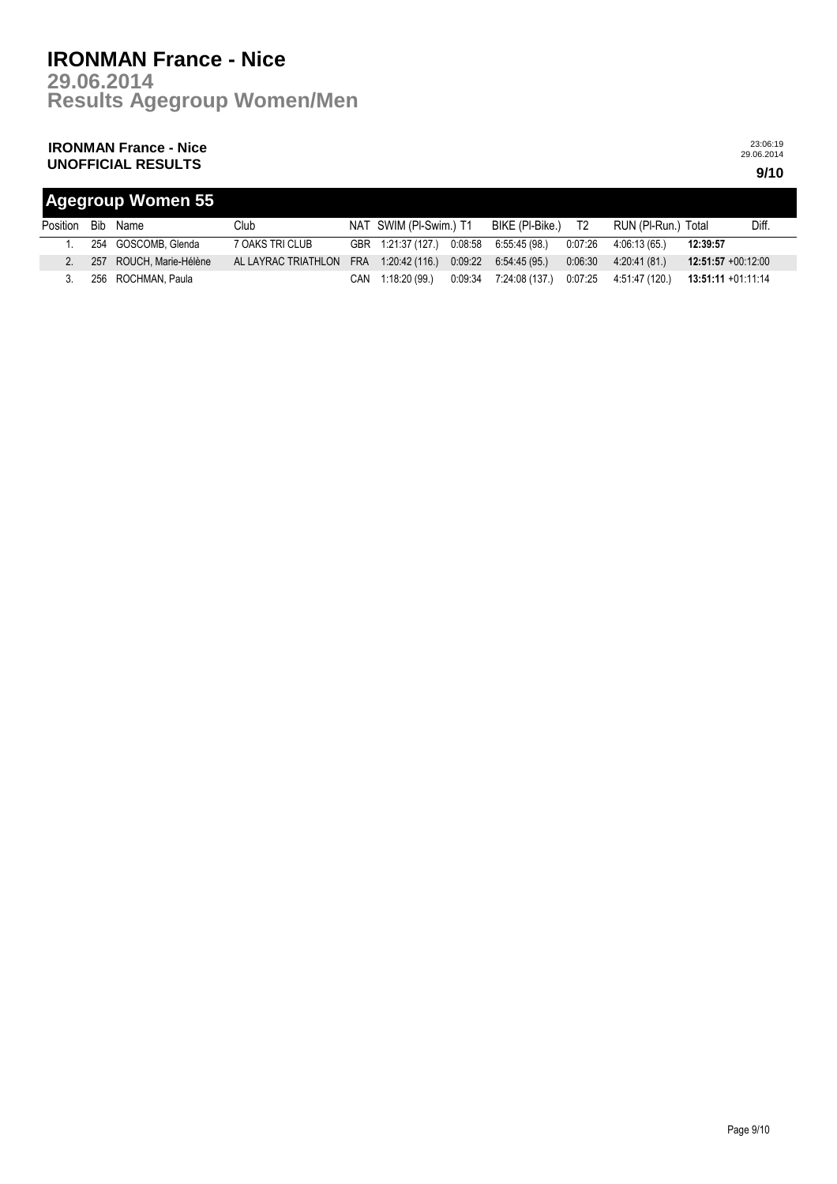**Results Agegroup Women/Men 29.06.2014**

## **IRONMAN France - Nice UNOFFICIAL RESULTS 9/10**

| <b>Agegroup Women 55</b> |  |                         |                     |            |                        |         |                 |         |                     |                       |       |
|--------------------------|--|-------------------------|---------------------|------------|------------------------|---------|-----------------|---------|---------------------|-----------------------|-------|
| Position                 |  | Bib Name                | Club                |            | NAT SWIM (PI-Swim.) T1 |         | BIKE (PI-Bike.) | T2      | RUN (PI-Run.) Total |                       | Diff. |
|                          |  | 254 GOSCOMB, Glenda     | 7 OAKS TRI CLUB     |            | GBR 1:21:37 (127.)     | 0:08:58 | 6:55:45 (98.)   | 0:07:26 | 4:06:13 (65.)       | 12:39:57              |       |
| C.                       |  | 257 ROUCH, Marie-Hélène | AL LAYRAC TRIATHLON | <b>FRA</b> | 1:20:42 (116.)         | 0:09:22 | 6:54:45 (95.)   | 0:06:30 | 4:20:41 (81.)       | $12:51:57 +00:12:00$  |       |
|                          |  | 256 ROCHMAN, Paula      |                     | CAN        | 1:18:20 (99.)          | 0:09:34 | 7:24:08 (137.)  | 0:07:25 | 4:51:47 (120.)      | $13:51:11 + 01:11:14$ |       |